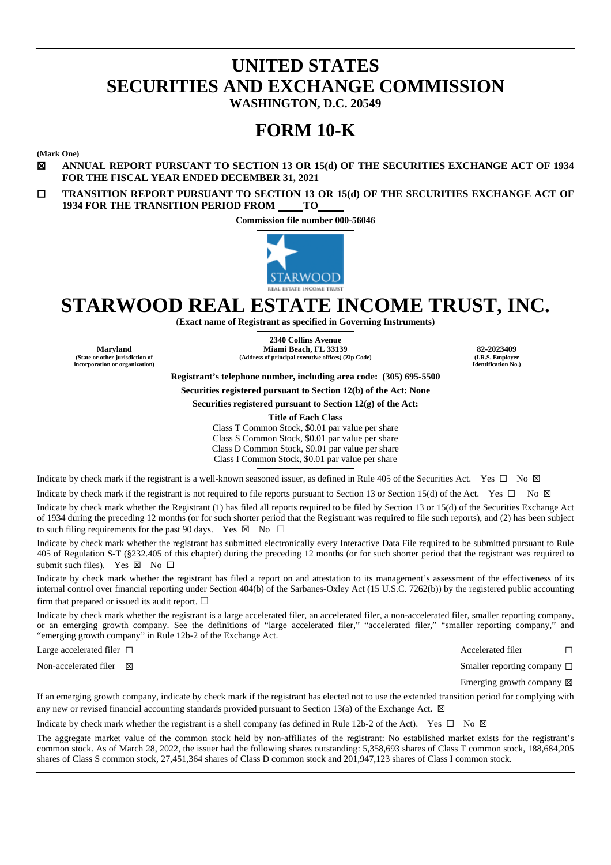# **UNITED STATES SECURITIES AND EXCHANGE COMMISSION**

**WASHINGTON, D.C. 20549**

# **FORM 10-K**

**(Mark One)**

**☒ ANNUAL REPORT PURSUANT TO SECTION 13 OR 15(d) OF THE SECURITIES EXCHANGE ACT OF 1934 FOR THE FISCAL YEAR ENDED DECEMBER 31, 2021**

**☐ TRANSITION REPORT PURSUANT TO SECTION 13 OR 15(d) OF THE SECURITIES EXCHANGE ACT OF**  1934 FOR THE TRANSITION PERIOD FROM **TO** 

**Commission file number 000-56046**



# **STARWOOD REAL ESTATE INCOME TRUST, INC.**

(**Exact name of Registrant as specified in Governing Instruments)**

**Maryland (State or other jurisdiction of incorporation or organization)**

**2340 Collins Avenue Miami Beach, FL 33139 82-2023409**<br> **82-2023409**<br> **82-2023409**<br> **82-2023409 (Address of principal executive offices) (Zip Code)** 

**Identification No.)**

**Registrant's telephone number, including area code: (305) 695-5500**

**Securities registered pursuant to Section 12(b) of the Act: None** 

**Securities registered pursuant to Section 12(g) of the Act:** 

**Title of Each Class**

Class T Common Stock, \$0.01 par value per share Class S Common Stock, \$0.01 par value per share Class D Common Stock, \$0.01 par value per share Class I Common Stock, \$0.01 par value per share

Indicate by check mark if the registrant is a well-known seasoned issuer, as defined in Rule 405 of the Securities Act. Yes  $\Box$  No  $\boxtimes$ 

Indicate by check mark if the registrant is not required to file reports pursuant to Section 13 or Section 15(d) of the Act. Yes  $\Box$  No  $\boxtimes$ 

Indicate by check mark whether the Registrant (1) has filed all reports required to be filed by Section 13 or 15(d) of the Securities Exchange Act of 1934 during the preceding 12 months (or for such shorter period that the Registrant was required to file such reports), and (2) has been subject to such filing requirements for the past 90 days. Yes  $\boxtimes$  No  $\Box$ 

Indicate by check mark whether the registrant has submitted electronically every Interactive Data File required to be submitted pursuant to Rule 405 of Regulation S-T (§232.405 of this chapter) during the preceding 12 months (or for such shorter period that the registrant was required to submit such files). Yes  $\boxtimes$  No  $\square$ 

Indicate by check mark whether the registrant has filed a report on and attestation to its management's assessment of the effectiveness of its internal control over financial reporting under Section 404(b) of the Sarbanes-Oxley Act (15 U.S.C. 7262(b)) by the registered public accounting firm that prepared or issued its audit report.  $\Box$ 

Indicate by check mark whether the registrant is a large accelerated filer, an accelerated filer, a non-accelerated filer, smaller reporting company, or an emerging growth company. See the definitions of "large accelerated filer," "accelerated filer," "smaller reporting company," and "emerging growth company" in Rule 12b-2 of the Exchange Act.

Large accelerated filer □ Accelerated filer □

Non-accelerated filer ⊠ Smaller reporting company □

Emerging growth company  $\boxtimes$ 

If an emerging growth company, indicate by check mark if the registrant has elected not to use the extended transition period for complying with any new or revised financial accounting standards provided pursuant to Section 13(a) of the Exchange Act.  $\boxtimes$ 

Indicate by check mark whether the registrant is a shell company (as defined in Rule 12b-2 of the Act). Yes  $\Box$  No  $\boxtimes$ 

The aggregate market value of the common stock held by non-affiliates of the registrant: No established market exists for the registrant's common stock. As of March 28, 2022, the issuer had the following shares outstanding: 5,358,693 shares of Class T common stock, 188,684,205 shares of Class S common stock, 27,451,364 shares of Class D common stock and 201,947,123 shares of Class I common stock.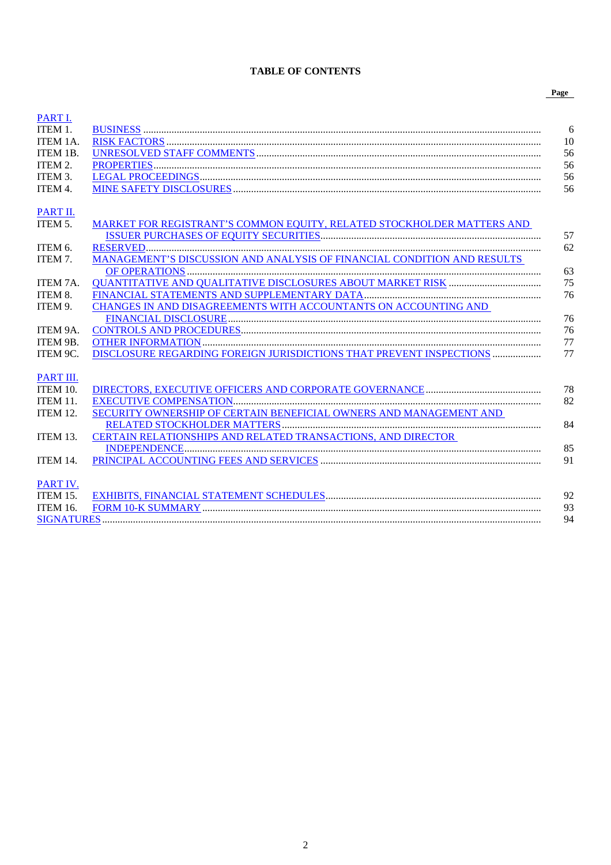# **TABLE OF CONTENTS**

# $Page$

| PART I.         |                                                                         |    |
|-----------------|-------------------------------------------------------------------------|----|
| ITEM 1.         |                                                                         | 6  |
| ITEM 1A.        |                                                                         | 10 |
| ITEM 1B.        |                                                                         | 56 |
| ITEM 2.         |                                                                         | 56 |
| ITEM 3.         |                                                                         | 56 |
| ITEM 4.         |                                                                         | 56 |
| PART II.        |                                                                         |    |
| ITEM 5.         | MARKET FOR REGISTRANT'S COMMON EQUITY, RELATED STOCKHOLDER MATTERS AND  |    |
|                 |                                                                         | 57 |
| ITEM 6.         |                                                                         | 62 |
| ITEM 7.         | MANAGEMENT'S DISCUSSION AND ANALYSIS OF FINANCIAL CONDITION AND RESULTS |    |
|                 |                                                                         | 63 |
| ITEM 7A.        |                                                                         | 75 |
| ITEM 8.         |                                                                         | 76 |
| ITEM 9.         | CHANGES IN AND DISAGREEMENTS WITH ACCOUNTANTS ON ACCOUNTING AND         |    |
|                 |                                                                         | 76 |
| ITEM 9A.        |                                                                         | 76 |
| ITEM 9B.        |                                                                         | 77 |
| ITEM 9C.        | DISCLOSURE REGARDING FOREIGN JURISDICTIONS THAT PREVENT INSPECTIONS     | 77 |
| PART III.       |                                                                         |    |
| <b>ITEM 10.</b> |                                                                         | 78 |
| <b>ITEM 11.</b> |                                                                         | 82 |
| <b>ITEM 12.</b> | SECURITY OWNERSHIP OF CERTAIN BENEFICIAL OWNERS AND MANAGEMENT AND      |    |
|                 |                                                                         | 84 |
| <b>ITEM 13.</b> | <b>CERTAIN RELATIONSHIPS AND RELATED TRANSACTIONS, AND DIRECTOR</b>     |    |
|                 |                                                                         | 85 |
| <b>ITEM 14.</b> |                                                                         | 91 |
| PART IV.        |                                                                         |    |
| ITEM 15.        |                                                                         | 92 |
| <b>ITEM 16.</b> |                                                                         | 93 |
|                 |                                                                         | 94 |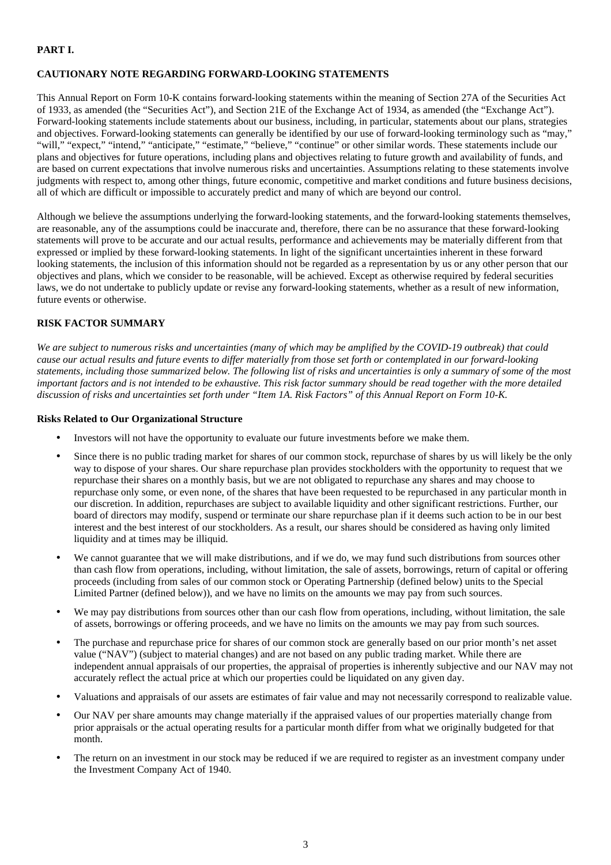# <span id="page-2-0"></span>**PART I.**

# **CAUTIONARY NOTE REGARDING FORWARD-LOOKING STATEMENTS**

This Annual Report on Form 10-K contains forward-looking statements within the meaning of Section 27A of the Securities Act of 1933, as amended (the "Securities Act"), and Section 21E of the Exchange Act of 1934, as amended (the "Exchange Act"). Forward-looking statements include statements about our business, including, in particular, statements about our plans, strategies and objectives. Forward-looking statements can generally be identified by our use of forward-looking terminology such as "may," "will," "expect," "intend," "anticipate," "estimate," "believe," "continue" or other similar words. These statements include our plans and objectives for future operations, including plans and objectives relating to future growth and availability of funds, and are based on current expectations that involve numerous risks and uncertainties. Assumptions relating to these statements involve judgments with respect to, among other things, future economic, competitive and market conditions and future business decisions, all of which are difficult or impossible to accurately predict and many of which are beyond our control.

Although we believe the assumptions underlying the forward-looking statements, and the forward-looking statements themselves, are reasonable, any of the assumptions could be inaccurate and, therefore, there can be no assurance that these forward-looking statements will prove to be accurate and our actual results, performance and achievements may be materially different from that expressed or implied by these forward-looking statements. In light of the significant uncertainties inherent in these forward looking statements, the inclusion of this information should not be regarded as a representation by us or any other person that our objectives and plans, which we consider to be reasonable, will be achieved. Except as otherwise required by federal securities laws, we do not undertake to publicly update or revise any forward-looking statements, whether as a result of new information, future events or otherwise.

# **RISK FACTOR SUMMARY**

*We are subject to numerous risks and uncertainties (many of which may be amplified by the COVID-19 outbreak) that could cause our actual results and future events to differ materially from those set forth or contemplated in our forward-looking statements, including those summarized below. The following list of risks and uncertainties is only a summary of some of the most important factors and is not intended to be exhaustive. This risk factor summary should be read together with the more detailed discussion of risks and uncertainties set forth under "Item 1A. Risk Factors" of this Annual Report on Form 10-K.*

#### **Risks Related to Our Organizational Structure**

- Investors will not have the opportunity to evaluate our future investments before we make them.
- Since there is no public trading market for shares of our common stock, repurchase of shares by us will likely be the only way to dispose of your shares. Our share repurchase plan provides stockholders with the opportunity to request that we repurchase their shares on a monthly basis, but we are not obligated to repurchase any shares and may choose to repurchase only some, or even none, of the shares that have been requested to be repurchased in any particular month in our discretion. In addition, repurchases are subject to available liquidity and other significant restrictions. Further, our board of directors may modify, suspend or terminate our share repurchase plan if it deems such action to be in our best interest and the best interest of our stockholders. As a result, our shares should be considered as having only limited liquidity and at times may be illiquid.
- We cannot guarantee that we will make distributions, and if we do, we may fund such distributions from sources other than cash flow from operations, including, without limitation, the sale of assets, borrowings, return of capital or offering proceeds (including from sales of our common stock or Operating Partnership (defined below) units to the Special Limited Partner (defined below)), and we have no limits on the amounts we may pay from such sources.
- We may pay distributions from sources other than our cash flow from operations, including, without limitation, the sale of assets, borrowings or offering proceeds, and we have no limits on the amounts we may pay from such sources.
- The purchase and repurchase price for shares of our common stock are generally based on our prior month's net asset value ("NAV") (subject to material changes) and are not based on any public trading market. While there are independent annual appraisals of our properties, the appraisal of properties is inherently subjective and our NAV may not accurately reflect the actual price at which our properties could be liquidated on any given day.
- Valuations and appraisals of our assets are estimates of fair value and may not necessarily correspond to realizable value.
- Our NAV per share amounts may change materially if the appraised values of our properties materially change from prior appraisals or the actual operating results for a particular month differ from what we originally budgeted for that month.
- The return on an investment in our stock may be reduced if we are required to register as an investment company under the Investment Company Act of 1940.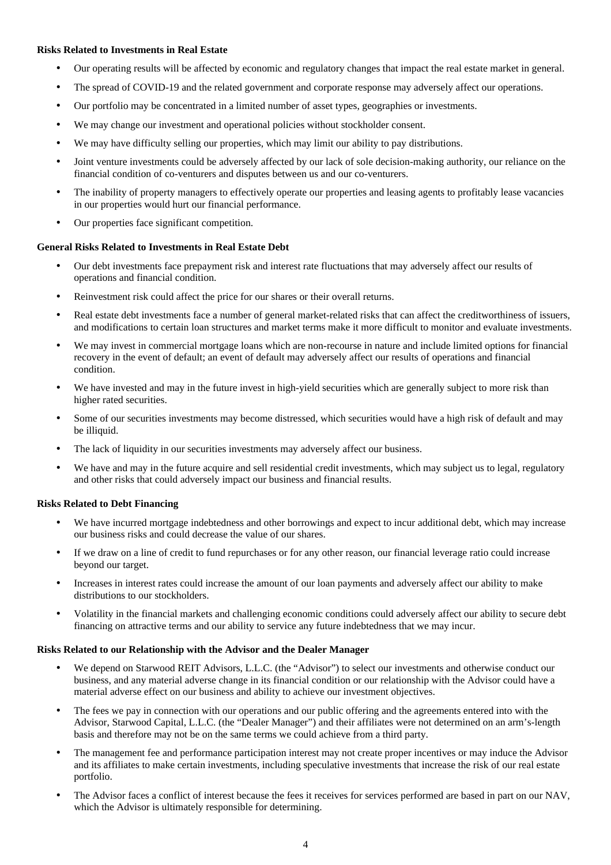## **Risks Related to Investments in Real Estate**

- Our operating results will be affected by economic and regulatory changes that impact the real estate market in general.
- The spread of COVID-19 and the related government and corporate response may adversely affect our operations.
- Our portfolio may be concentrated in a limited number of asset types, geographies or investments.
- We may change our investment and operational policies without stockholder consent.
- We may have difficulty selling our properties, which may limit our ability to pay distributions.
- Joint venture investments could be adversely affected by our lack of sole decision-making authority, our reliance on the financial condition of co-venturers and disputes between us and our co-venturers.
- The inability of property managers to effectively operate our properties and leasing agents to profitably lease vacancies in our properties would hurt our financial performance.
- Our properties face significant competition.

#### **General Risks Related to Investments in Real Estate Debt**

- Our debt investments face prepayment risk and interest rate fluctuations that may adversely affect our results of operations and financial condition.
- Reinvestment risk could affect the price for our shares or their overall returns.
- Real estate debt investments face a number of general market-related risks that can affect the creditworthiness of issuers, and modifications to certain loan structures and market terms make it more difficult to monitor and evaluate investments.
- We may invest in commercial mortgage loans which are non-recourse in nature and include limited options for financial recovery in the event of default; an event of default may adversely affect our results of operations and financial condition.
- We have invested and may in the future invest in high-yield securities which are generally subject to more risk than higher rated securities.
- Some of our securities investments may become distressed, which securities would have a high risk of default and may be illiquid.
- The lack of liquidity in our securities investments may adversely affect our business.
- We have and may in the future acquire and sell residential credit investments, which may subject us to legal, regulatory and other risks that could adversely impact our business and financial results.

#### **Risks Related to Debt Financing**

- We have incurred mortgage indebtedness and other borrowings and expect to incur additional debt, which may increase our business risks and could decrease the value of our shares.
- If we draw on a line of credit to fund repurchases or for any other reason, our financial leverage ratio could increase beyond our target.
- Increases in interest rates could increase the amount of our loan payments and adversely affect our ability to make distributions to our stockholders.
- Volatility in the financial markets and challenging economic conditions could adversely affect our ability to secure debt financing on attractive terms and our ability to service any future indebtedness that we may incur.

# **Risks Related to our Relationship with the Advisor and the Dealer Manager**

- We depend on Starwood REIT Advisors, L.L.C. (the "Advisor") to select our investments and otherwise conduct our business, and any material adverse change in its financial condition or our relationship with the Advisor could have a material adverse effect on our business and ability to achieve our investment objectives.
- The fees we pay in connection with our operations and our public offering and the agreements entered into with the Advisor, Starwood Capital, L.L.C. (the "Dealer Manager") and their affiliates were not determined on an arm's-length basis and therefore may not be on the same terms we could achieve from a third party.
- The management fee and performance participation interest may not create proper incentives or may induce the Advisor and its affiliates to make certain investments, including speculative investments that increase the risk of our real estate portfolio.
- The Advisor faces a conflict of interest because the fees it receives for services performed are based in part on our NAV, which the Advisor is ultimately responsible for determining.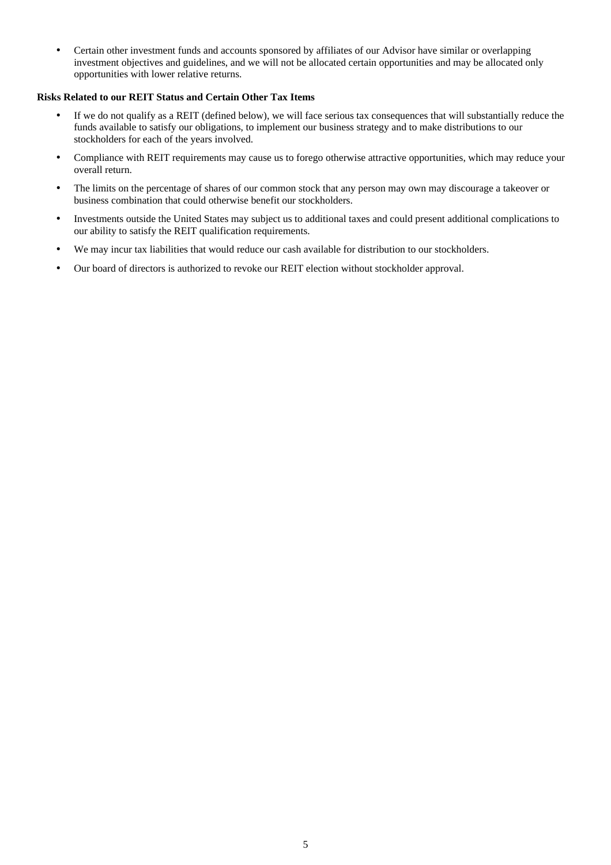• Certain other investment funds and accounts sponsored by affiliates of our Advisor have similar or overlapping investment objectives and guidelines, and we will not be allocated certain opportunities and may be allocated only opportunities with lower relative returns.

# **Risks Related to our REIT Status and Certain Other Tax Items**

- If we do not qualify as a REIT (defined below), we will face serious tax consequences that will substantially reduce the funds available to satisfy our obligations, to implement our business strategy and to make distributions to our stockholders for each of the years involved.
- Compliance with REIT requirements may cause us to forego otherwise attractive opportunities, which may reduce your overall return.
- The limits on the percentage of shares of our common stock that any person may own may discourage a takeover or business combination that could otherwise benefit our stockholders.
- Investments outside the United States may subject us to additional taxes and could present additional complications to our ability to satisfy the REIT qualification requirements.
- We may incur tax liabilities that would reduce our cash available for distribution to our stockholders.
- Our board of directors is authorized to revoke our REIT election without stockholder approval.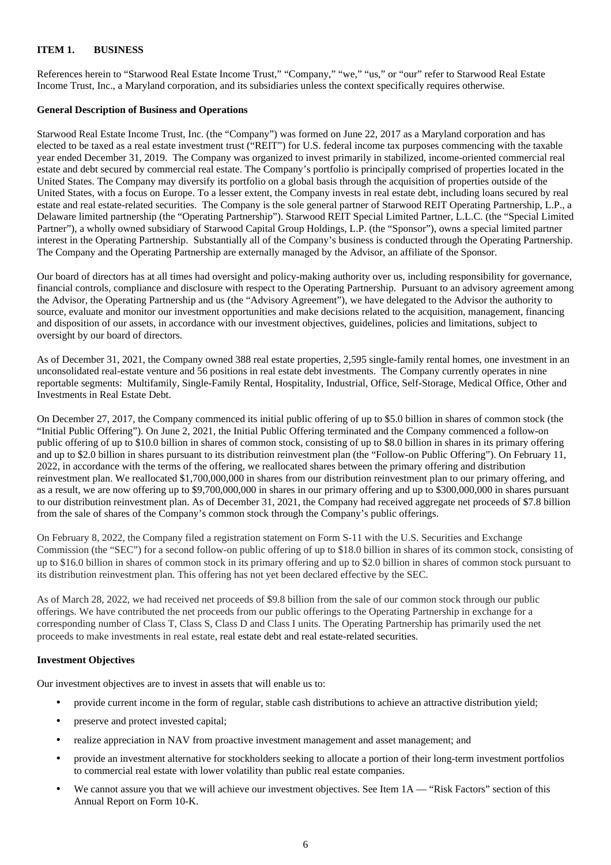# <span id="page-5-0"></span>**ITEM 1. BUSINESS**

References herein to "Starwood Real Estate Income Trust," "Company," "we," "us," or "our" refer to Starwood Real Estate Income Trust, Inc., a Maryland corporation, and its subsidiaries unless the context specifically requires otherwise.

# **General Description of Business and Operations**

Starwood Real Estate Income Trust, Inc. (the "Company") was formed on June 22, 2017 as a Maryland corporation and has elected to be taxed as a real estate investment trust ("REIT") for U.S. federal income tax purposes commencing with the taxable year ended December 31, 2019. The Company was organized to invest primarily in stabilized, income-oriented commercial real estate and debt secured by commercial real estate. The Company's portfolio is principally comprised of properties located in the United States. The Company may diversify its portfolio on a global basis through the acquisition of properties outside of the United States, with a focus on Europe. To a lesser extent, the Company invests in real estate debt, including loans secured by real estate and real estate-related securities. The Company is the sole general partner of Starwood REIT Operating Partnership, L.P., a Delaware limited partnership (the "Operating Partnership"). Starwood REIT Special Limited Partner, L.L.C. (the "Special Limited Partner"), a wholly owned subsidiary of Starwood Capital Group Holdings, L.P. (the "Sponsor"), owns a special limited partner interest in the Operating Partnership. Substantially all of the Company's business is conducted through the Operating Partnership. The Company and the Operating Partnership are externally managed by the Advisor, an affiliate of the Sponsor.

Our board of directors has at all times had oversight and policy-making authority over us, including responsibility for governance, financial controls, compliance and disclosure with respect to the Operating Partnership. Pursuant to an advisory agreement among the Advisor, the Operating Partnership and us (the "Advisory Agreement"), we have delegated to the Advisor the authority to source, evaluate and monitor our investment opportunities and make decisions related to the acquisition, management, financing and disposition of our assets, in accordance with our investment objectives, guidelines, policies and limitations, subject to oversight by our board of directors.

As of December 31, 2021, the Company owned 388 real estate properties, 2,595 single-family rental homes, one investment in an unconsolidated real-estate venture and 56 positions in real estate debt investments. The Company currently operates in nine reportable segments: Multifamily, Single-Family Rental, Hospitality, Industrial, Office, Self-Storage, Medical Office, Other and Investments in Real Estate Debt.

On December 27, 2017, the Company commenced its initial public offering of up to \$5.0 billion in shares of common stock (the "Initial Public Offering"). On June 2, 2021, the Initial Public Offering terminated and the Company commenced a follow-on public offering of up to \$10.0 billion in shares of common stock, consisting of up to \$8.0 billion in shares in its primary offering and up to \$2.0 billion in shares pursuant to its distribution reinvestment plan (the "Follow-on Public Offering"). On February 11, 2022, in accordance with the terms of the offering, we reallocated shares between the primary offering and distribution reinvestment plan. We reallocated \$1,700,000,000 in shares from our distribution reinvestment plan to our primary offering, and as a result, we are now offering up to \$9,700,000,000 in shares in our primary offering and up to \$300,000,000 in shares pursuant to our distribution reinvestment plan. As of December 31, 2021, the Company had received aggregate net proceeds of \$7.8 billion from the sale of shares of the Company's common stock through the Company's public offerings.

On February 8, 2022, the Company filed a registration statement on Form S-11 with the U.S. Securities and Exchange Commission (the "SEC") for a second follow-on public offering of up to \$18.0 billion in shares of its common stock, consisting of up to \$16.0 billion in shares of common stock in its primary offering and up to \$2.0 billion in shares of common stock pursuant to its distribution reinvestment plan. This offering has not yet been declared effective by the SEC.

As of March 28, 2022, we had received net proceeds of \$9.8 billion from the sale of our common stock through our public offerings. We have contributed the net proceeds from our public offerings to the Operating Partnership in exchange for a corresponding number of Class T, Class S, Class D and Class I units. The Operating Partnership has primarily used the net proceeds to make investments in real estate, real estate debt and real estate-related securities.

# **Investment Objectives**

Our investment objectives are to invest in assets that will enable us to:

- provide current income in the form of regular, stable cash distributions to achieve an attractive distribution yield;
- preserve and protect invested capital;
- realize appreciation in NAV from proactive investment management and asset management; and
- provide an investment alternative for stockholders seeking to allocate a portion of their long-term investment portfolios to commercial real estate with lower volatility than public real estate companies.
- We cannot assure you that we will achieve our investment objectives. See Item 1A "Risk Factors" section of this Annual Report on Form 10-K.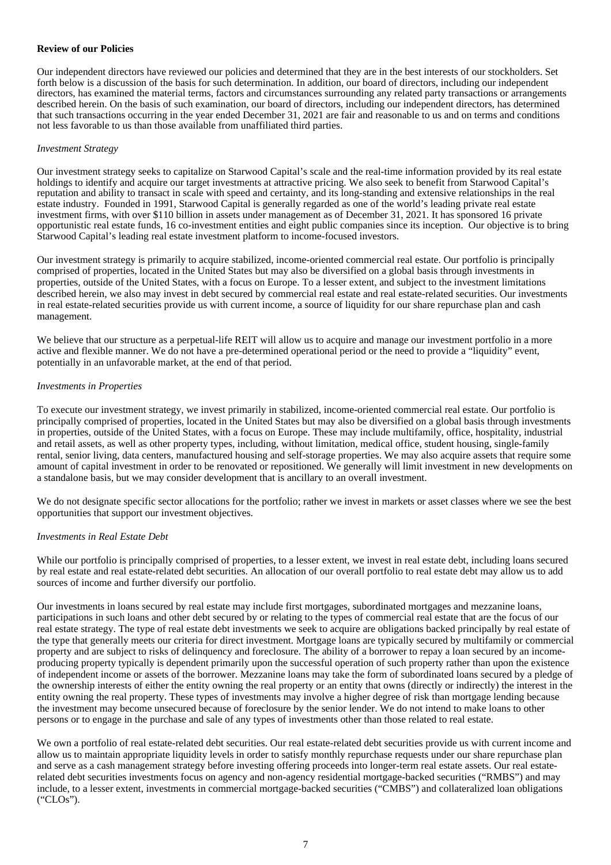# **Review of our Policies**

Our independent directors have reviewed our policies and determined that they are in the best interests of our stockholders. Set forth below is a discussion of the basis for such determination. In addition, our board of directors, including our independent directors, has examined the material terms, factors and circumstances surrounding any related party transactions or arrangements described herein. On the basis of such examination, our board of directors, including our independent directors, has determined that such transactions occurring in the year ended December 31, 2021 are fair and reasonable to us and on terms and conditions not less favorable to us than those available from unaffiliated third parties.

#### *Investment Strategy*

Our investment strategy seeks to capitalize on Starwood Capital's scale and the real-time information provided by its real estate holdings to identify and acquire our target investments at attractive pricing. We also seek to benefit from Starwood Capital's reputation and ability to transact in scale with speed and certainty, and its long-standing and extensive relationships in the real estate industry. Founded in 1991, Starwood Capital is generally regarded as one of the world's leading private real estate investment firms, with over \$110 billion in assets under management as of December 31, 2021. It has sponsored 16 private opportunistic real estate funds, 16 co-investment entities and eight public companies since its inception. Our objective is to bring Starwood Capital's leading real estate investment platform to income-focused investors.

Our investment strategy is primarily to acquire stabilized, income-oriented commercial real estate. Our portfolio is principally comprised of properties, located in the United States but may also be diversified on a global basis through investments in properties, outside of the United States, with a focus on Europe. To a lesser extent, and subject to the investment limitations described herein, we also may invest in debt secured by commercial real estate and real estate-related securities. Our investments in real estate-related securities provide us with current income, a source of liquidity for our share repurchase plan and cash management.

We believe that our structure as a perpetual-life REIT will allow us to acquire and manage our investment portfolio in a more active and flexible manner. We do not have a pre-determined operational period or the need to provide a "liquidity" event, potentially in an unfavorable market, at the end of that period.

#### *Investments in Properties*

To execute our investment strategy, we invest primarily in stabilized, income-oriented commercial real estate. Our portfolio is principally comprised of properties, located in the United States but may also be diversified on a global basis through investments in properties, outside of the United States, with a focus on Europe. These may include multifamily, office, hospitality, industrial and retail assets, as well as other property types, including, without limitation, medical office, student housing, single-family rental, senior living, data centers, manufactured housing and self-storage properties. We may also acquire assets that require some amount of capital investment in order to be renovated or repositioned. We generally will limit investment in new developments on a standalone basis, but we may consider development that is ancillary to an overall investment.

We do not designate specific sector allocations for the portfolio; rather we invest in markets or asset classes where we see the best opportunities that support our investment objectives.

#### *Investments in Real Estate Debt*

While our portfolio is principally comprised of properties, to a lesser extent, we invest in real estate debt, including loans secured by real estate and real estate-related debt securities. An allocation of our overall portfolio to real estate debt may allow us to add sources of income and further diversify our portfolio.

Our investments in loans secured by real estate may include first mortgages, subordinated mortgages and mezzanine loans, participations in such loans and other debt secured by or relating to the types of commercial real estate that are the focus of our real estate strategy. The type of real estate debt investments we seek to acquire are obligations backed principally by real estate of the type that generally meets our criteria for direct investment. Mortgage loans are typically secured by multifamily or commercial property and are subject to risks of delinquency and foreclosure. The ability of a borrower to repay a loan secured by an incomeproducing property typically is dependent primarily upon the successful operation of such property rather than upon the existence of independent income or assets of the borrower. Mezzanine loans may take the form of subordinated loans secured by a pledge of the ownership interests of either the entity owning the real property or an entity that owns (directly or indirectly) the interest in the entity owning the real property. These types of investments may involve a higher degree of risk than mortgage lending because the investment may become unsecured because of foreclosure by the senior lender. We do not intend to make loans to other persons or to engage in the purchase and sale of any types of investments other than those related to real estate.

We own a portfolio of real estate-related debt securities. Our real estate-related debt securities provide us with current income and allow us to maintain appropriate liquidity levels in order to satisfy monthly repurchase requests under our share repurchase plan and serve as a cash management strategy before investing offering proceeds into longer-term real estate assets. Our real estaterelated debt securities investments focus on agency and non-agency residential mortgage-backed securities ("RMBS") and may include, to a lesser extent, investments in commercial mortgage-backed securities ("CMBS") and collateralized loan obligations ("CLOs").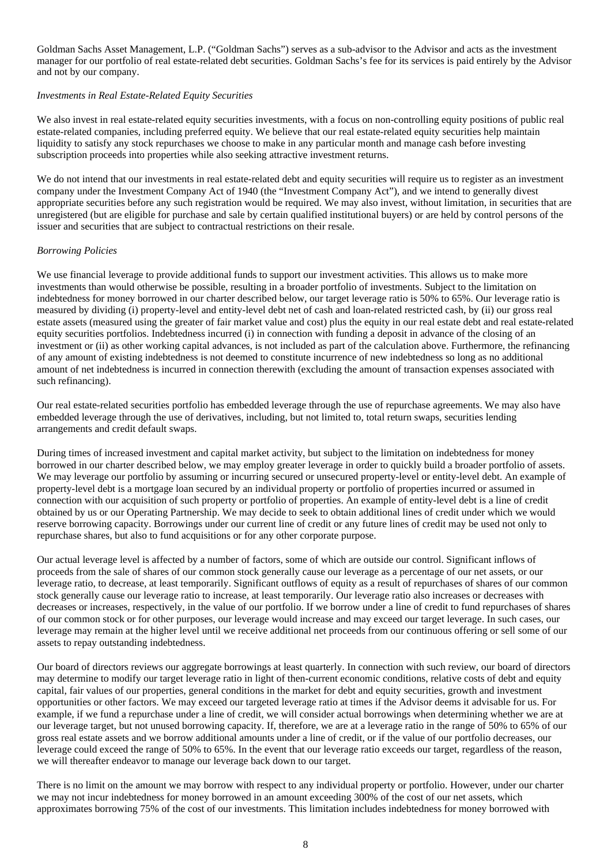Goldman Sachs Asset Management, L.P. ("Goldman Sachs") serves as a sub-advisor to the Advisor and acts as the investment manager for our portfolio of real estate-related debt securities. Goldman Sachs's fee for its services is paid entirely by the Advisor and not by our company.

## *Investments in Real Estate-Related Equity Securities*

We also invest in real estate-related equity securities investments, with a focus on non-controlling equity positions of public real estate-related companies, including preferred equity. We believe that our real estate-related equity securities help maintain liquidity to satisfy any stock repurchases we choose to make in any particular month and manage cash before investing subscription proceeds into properties while also seeking attractive investment returns.

We do not intend that our investments in real estate-related debt and equity securities will require us to register as an investment company under the Investment Company Act of 1940 (the "Investment Company Act"), and we intend to generally divest appropriate securities before any such registration would be required. We may also invest, without limitation, in securities that are unregistered (but are eligible for purchase and sale by certain qualified institutional buyers) or are held by control persons of the issuer and securities that are subject to contractual restrictions on their resale.

# *Borrowing Policies*

We use financial leverage to provide additional funds to support our investment activities. This allows us to make more investments than would otherwise be possible, resulting in a broader portfolio of investments. Subject to the limitation on indebtedness for money borrowed in our charter described below, our target leverage ratio is 50% to 65%. Our leverage ratio is measured by dividing (i) property-level and entity-level debt net of cash and loan-related restricted cash, by (ii) our gross real estate assets (measured using the greater of fair market value and cost) plus the equity in our real estate debt and real estate-related equity securities portfolios. Indebtedness incurred (i) in connection with funding a deposit in advance of the closing of an investment or (ii) as other working capital advances, is not included as part of the calculation above. Furthermore, the refinancing of any amount of existing indebtedness is not deemed to constitute incurrence of new indebtedness so long as no additional amount of net indebtedness is incurred in connection therewith (excluding the amount of transaction expenses associated with such refinancing).

Our real estate-related securities portfolio has embedded leverage through the use of repurchase agreements. We may also have embedded leverage through the use of derivatives, including, but not limited to, total return swaps, securities lending arrangements and credit default swaps.

During times of increased investment and capital market activity, but subject to the limitation on indebtedness for money borrowed in our charter described below, we may employ greater leverage in order to quickly build a broader portfolio of assets. We may leverage our portfolio by assuming or incurring secured or unsecured property-level or entity-level debt. An example of property-level debt is a mortgage loan secured by an individual property or portfolio of properties incurred or assumed in connection with our acquisition of such property or portfolio of properties. An example of entity-level debt is a line of credit obtained by us or our Operating Partnership. We may decide to seek to obtain additional lines of credit under which we would reserve borrowing capacity. Borrowings under our current line of credit or any future lines of credit may be used not only to repurchase shares, but also to fund acquisitions or for any other corporate purpose.

Our actual leverage level is affected by a number of factors, some of which are outside our control. Significant inflows of proceeds from the sale of shares of our common stock generally cause our leverage as a percentage of our net assets, or our leverage ratio, to decrease, at least temporarily. Significant outflows of equity as a result of repurchases of shares of our common stock generally cause our leverage ratio to increase, at least temporarily. Our leverage ratio also increases or decreases with decreases or increases, respectively, in the value of our portfolio. If we borrow under a line of credit to fund repurchases of shares of our common stock or for other purposes, our leverage would increase and may exceed our target leverage. In such cases, our leverage may remain at the higher level until we receive additional net proceeds from our continuous offering or sell some of our assets to repay outstanding indebtedness.

Our board of directors reviews our aggregate borrowings at least quarterly. In connection with such review, our board of directors may determine to modify our target leverage ratio in light of then-current economic conditions, relative costs of debt and equity capital, fair values of our properties, general conditions in the market for debt and equity securities, growth and investment opportunities or other factors. We may exceed our targeted leverage ratio at times if the Advisor deems it advisable for us. For example, if we fund a repurchase under a line of credit, we will consider actual borrowings when determining whether we are at our leverage target, but not unused borrowing capacity. If, therefore, we are at a leverage ratio in the range of 50% to 65% of our gross real estate assets and we borrow additional amounts under a line of credit, or if the value of our portfolio decreases, our leverage could exceed the range of 50% to 65%. In the event that our leverage ratio exceeds our target, regardless of the reason, we will thereafter endeavor to manage our leverage back down to our target.

There is no limit on the amount we may borrow with respect to any individual property or portfolio. However, under our charter we may not incur indebtedness for money borrowed in an amount exceeding 300% of the cost of our net assets, which approximates borrowing 75% of the cost of our investments. This limitation includes indebtedness for money borrowed with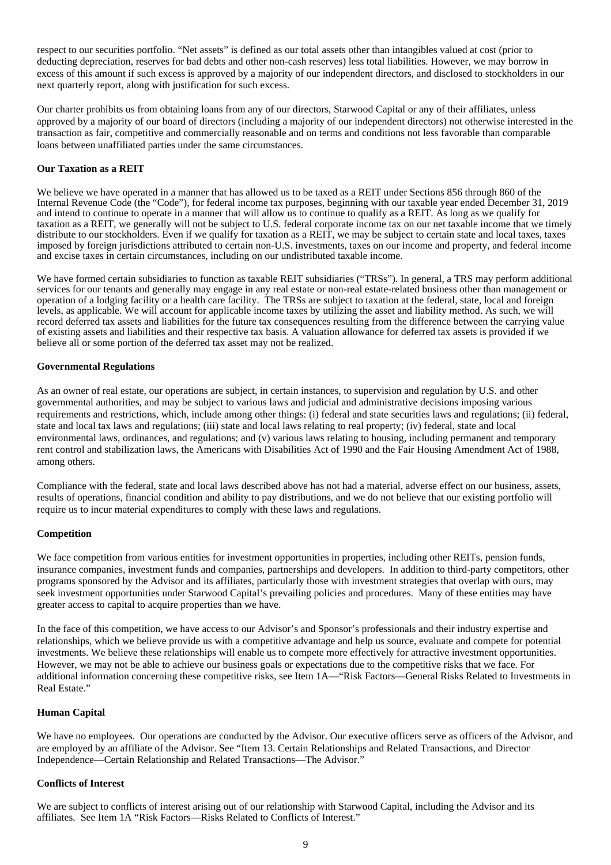respect to our securities portfolio. "Net assets" is defined as our total assets other than intangibles valued at cost (prior to deducting depreciation, reserves for bad debts and other non-cash reserves) less total liabilities. However, we may borrow in excess of this amount if such excess is approved by a majority of our independent directors, and disclosed to stockholders in our next quarterly report, along with justification for such excess.

Our charter prohibits us from obtaining loans from any of our directors, Starwood Capital or any of their affiliates, unless approved by a majority of our board of directors (including a majority of our independent directors) not otherwise interested in the transaction as fair, competitive and commercially reasonable and on terms and conditions not less favorable than comparable loans between unaffiliated parties under the same circumstances.

# **Our Taxation as a REIT**

We believe we have operated in a manner that has allowed us to be taxed as a REIT under Sections 856 through 860 of the Internal Revenue Code (the "Code"), for federal income tax purposes, beginning with our taxable year ended December 31, 2019 and intend to continue to operate in a manner that will allow us to continue to qualify as a REIT. As long as we qualify for taxation as a REIT, we generally will not be subject to U.S. federal corporate income tax on our net taxable income that we timely distribute to our stockholders. Even if we qualify for taxation as a REIT, we may be subject to certain state and local taxes, taxes imposed by foreign jurisdictions attributed to certain non-U.S. investments, taxes on our income and property, and federal income and excise taxes in certain circumstances, including on our undistributed taxable income.

We have formed certain subsidiaries to function as taxable REIT subsidiaries ("TRSs"). In general, a TRS may perform additional services for our tenants and generally may engage in any real estate or non-real estate-related business other than management or operation of a lodging facility or a health care facility. The TRSs are subject to taxation at the federal, state, local and foreign levels, as applicable. We will account for applicable income taxes by utilizing the asset and liability method. As such, we will record deferred tax assets and liabilities for the future tax consequences resulting from the difference between the carrying value of existing assets and liabilities and their respective tax basis. A valuation allowance for deferred tax assets is provided if we believe all or some portion of the deferred tax asset may not be realized.

# **Governmental Regulations**

As an owner of real estate, our operations are subject, in certain instances, to supervision and regulation by U.S. and other governmental authorities, and may be subject to various laws and judicial and administrative decisions imposing various requirements and restrictions, which, include among other things: (i) federal and state securities laws and regulations; (ii) federal, state and local tax laws and regulations; (iii) state and local laws relating to real property; (iv) federal, state and local environmental laws, ordinances, and regulations; and (v) various laws relating to housing, including permanent and temporary rent control and stabilization laws, the Americans with Disabilities Act of 1990 and the Fair Housing Amendment Act of 1988, among others.

Compliance with the federal, state and local laws described above has not had a material, adverse effect on our business, assets, results of operations, financial condition and ability to pay distributions, and we do not believe that our existing portfolio will require us to incur material expenditures to comply with these laws and regulations.

# **Competition**

We face competition from various entities for investment opportunities in properties, including other REITs, pension funds, insurance companies, investment funds and companies, partnerships and developers. In addition to third-party competitors, other programs sponsored by the Advisor and its affiliates, particularly those with investment strategies that overlap with ours, may seek investment opportunities under Starwood Capital's prevailing policies and procedures. Many of these entities may have greater access to capital to acquire properties than we have.

In the face of this competition, we have access to our Advisor's and Sponsor's professionals and their industry expertise and relationships, which we believe provide us with a competitive advantage and help us source, evaluate and compete for potential investments. We believe these relationships will enable us to compete more effectively for attractive investment opportunities. However, we may not be able to achieve our business goals or expectations due to the competitive risks that we face. For additional information concerning these competitive risks, see Item 1A—"Risk Factors—General Risks Related to Investments in Real Estate."

# **Human Capital**

We have no employees. Our operations are conducted by the Advisor. Our executive officers serve as officers of the Advisor, and are employed by an affiliate of the Advisor. See "Item 13. Certain Relationships and Related Transactions, and Director Independence—Certain Relationship and Related Transactions—The Advisor."

# **Conflicts of Interest**

We are subject to conflicts of interest arising out of our relationship with Starwood Capital, including the Advisor and its affiliates. See Item 1A "Risk Factors—Risks Related to Conflicts of Interest."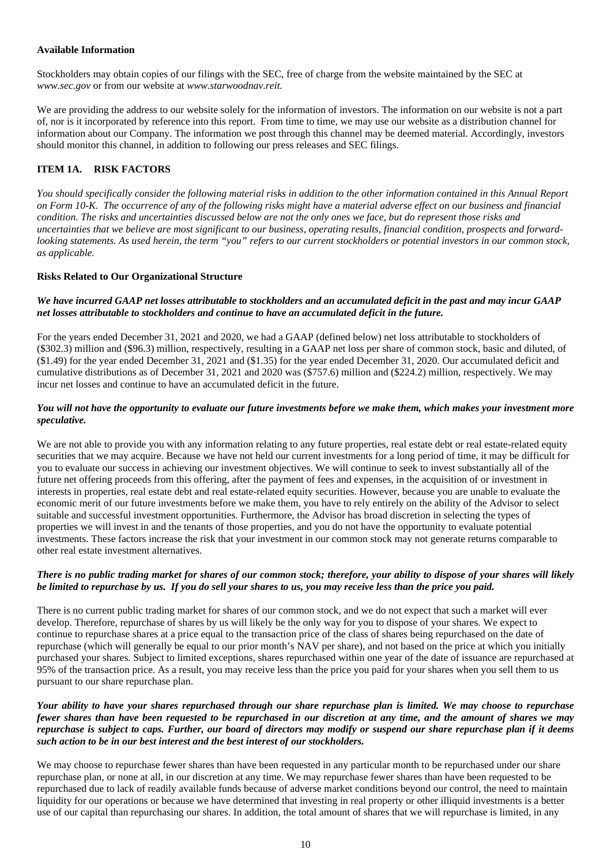## **Available Information**

Stockholders may obtain copies of our filings with the SEC, free of charge from the website maintained by the SEC at *[www.sec.gov](http://www.sec.gov/)* or from our website at *[www.starwoodnav.reit.](http://www.starwoodnav.reit/)*

We are providing the address to our website solely for the information of investors. The information on our website is not a part of, nor is it incorporated by reference into this report. From time to time, we may use our website as a distribution channel for information about our Company. The information we post through this channel may be deemed material. Accordingly, investors should monitor this channel, in addition to following our press releases and SEC filings.

# <span id="page-9-0"></span>**ITEM 1A. RISK FACTORS**

*You should specifically consider the following material risks in addition to the other information contained in this Annual Report on Form 10-K. The occurrence of any of the following risks might have a material adverse effect on our business and financial condition. The risks and uncertainties discussed below are not the only ones we face, but do represent those risks and uncertainties that we believe are most significant to our business, operating results, financial condition, prospects and forwardlooking statements. As used herein, the term "you" refers to our current stockholders or potential investors in our common stock, as applicable.*

# **Risks Related to Our Organizational Structure**

## *We have incurred GAAP net losses attributable to stockholders and an accumulated deficit in the past and may incur GAAP net losses attributable to stockholders and continue to have an accumulated deficit in the future.*

For the years ended December 31, 2021 and 2020, we had a GAAP (defined below) net loss attributable to stockholders of (\$302.3) million and (\$96.3) million, respectively, resulting in a GAAP net loss per share of common stock, basic and diluted, of (\$1.49) for the year ended December 31, 2021 and (\$1.35) for the year ended December 31, 2020. Our accumulated deficit and cumulative distributions as of December 31, 2021 and 2020 was (\$757.6) million and (\$224.2) million, respectively. We may incur net losses and continue to have an accumulated deficit in the future.

#### *You will not have the opportunity to evaluate our future investments before we make them, which makes your investment more speculative.*

We are not able to provide you with any information relating to any future properties, real estate debt or real estate-related equity securities that we may acquire. Because we have not held our current investments for a long period of time, it may be difficult for you to evaluate our success in achieving our investment objectives. We will continue to seek to invest substantially all of the future net offering proceeds from this offering, after the payment of fees and expenses, in the acquisition of or investment in interests in properties, real estate debt and real estate-related equity securities. However, because you are unable to evaluate the economic merit of our future investments before we make them, you have to rely entirely on the ability of the Advisor to select suitable and successful investment opportunities. Furthermore, the Advisor has broad discretion in selecting the types of properties we will invest in and the tenants of those properties, and you do not have the opportunity to evaluate potential investments. These factors increase the risk that your investment in our common stock may not generate returns comparable to other real estate investment alternatives.

# *There is no public trading market for shares of our common stock; therefore, your ability to dispose of your shares will likely be limited to repurchase by us. If you do sell your shares to us, you may receive less than the price you paid.*

There is no current public trading market for shares of our common stock, and we do not expect that such a market will ever develop. Therefore, repurchase of shares by us will likely be the only way for you to dispose of your shares. We expect to continue to repurchase shares at a price equal to the transaction price of the class of shares being repurchased on the date of repurchase (which will generally be equal to our prior month's NAV per share), and not based on the price at which you initially purchased your shares. Subject to limited exceptions, shares repurchased within one year of the date of issuance are repurchased at 95% of the transaction price. As a result, you may receive less than the price you paid for your shares when you sell them to us pursuant to our share repurchase plan.

# *Your ability to have your shares repurchased through our share repurchase plan is limited. We may choose to repurchase fewer shares than have been requested to be repurchased in our discretion at any time, and the amount of shares we may repurchase is subject to caps. Further, our board of directors may modify or suspend our share repurchase plan if it deems such action to be in our best interest and the best interest of our stockholders.*

We may choose to repurchase fewer shares than have been requested in any particular month to be repurchased under our share repurchase plan, or none at all, in our discretion at any time. We may repurchase fewer shares than have been requested to be repurchased due to lack of readily available funds because of adverse market conditions beyond our control, the need to maintain liquidity for our operations or because we have determined that investing in real property or other illiquid investments is a better use of our capital than repurchasing our shares. In addition, the total amount of shares that we will repurchase is limited, in any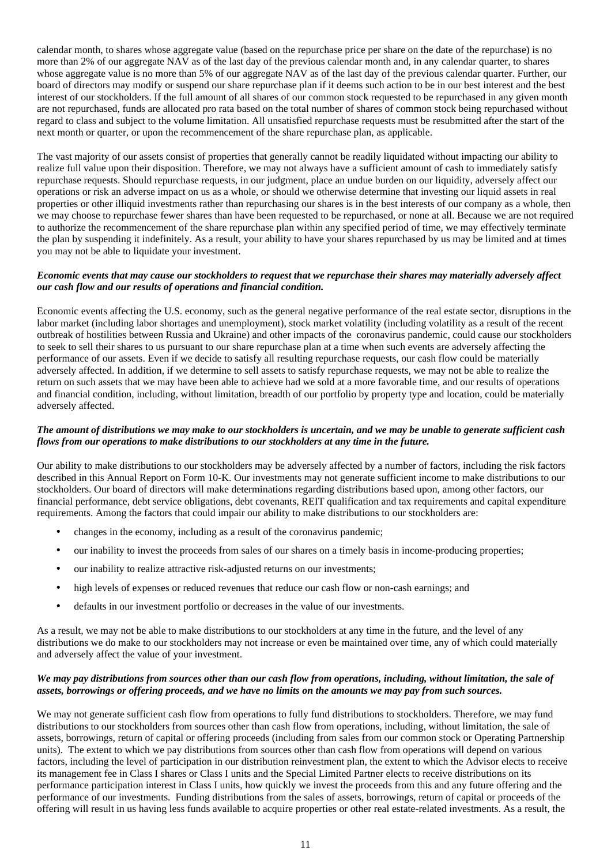calendar month, to shares whose aggregate value (based on the repurchase price per share on the date of the repurchase) is no more than 2% of our aggregate NAV as of the last day of the previous calendar month and, in any calendar quarter, to shares whose aggregate value is no more than 5% of our aggregate NAV as of the last day of the previous calendar quarter. Further, our board of directors may modify or suspend our share repurchase plan if it deems such action to be in our best interest and the best interest of our stockholders. If the full amount of all shares of our common stock requested to be repurchased in any given month are not repurchased, funds are allocated pro rata based on the total number of shares of common stock being repurchased without regard to class and subject to the volume limitation. All unsatisfied repurchase requests must be resubmitted after the start of the next month or quarter, or upon the recommencement of the share repurchase plan, as applicable.

The vast majority of our assets consist of properties that generally cannot be readily liquidated without impacting our ability to realize full value upon their disposition. Therefore, we may not always have a sufficient amount of cash to immediately satisfy repurchase requests. Should repurchase requests, in our judgment, place an undue burden on our liquidity, adversely affect our operations or risk an adverse impact on us as a whole, or should we otherwise determine that investing our liquid assets in real properties or other illiquid investments rather than repurchasing our shares is in the best interests of our company as a whole, then we may choose to repurchase fewer shares than have been requested to be repurchased, or none at all. Because we are not required to authorize the recommencement of the share repurchase plan within any specified period of time, we may effectively terminate the plan by suspending it indefinitely. As a result, your ability to have your shares repurchased by us may be limited and at times you may not be able to liquidate your investment.

# *Economic events that may cause our stockholders to request that we repurchase their shares may materially adversely affect our cash flow and our results of operations and financial condition.*

Economic events affecting the U.S. economy, such as the general negative performance of the real estate sector, disruptions in the labor market (including labor shortages and unemployment), stock market volatility (including volatility as a result of the recent outbreak of hostilities between Russia and Ukraine) and other impacts of the coronavirus pandemic, could cause our stockholders to seek to sell their shares to us pursuant to our share repurchase plan at a time when such events are adversely affecting the performance of our assets. Even if we decide to satisfy all resulting repurchase requests, our cash flow could be materially adversely affected. In addition, if we determine to sell assets to satisfy repurchase requests, we may not be able to realize the return on such assets that we may have been able to achieve had we sold at a more favorable time, and our results of operations and financial condition, including, without limitation, breadth of our portfolio by property type and location, could be materially adversely affected.

# *The amount of distributions we may make to our stockholders is uncertain, and we may be unable to generate sufficient cash flows from our operations to make distributions to our stockholders at any time in the future.*

Our ability to make distributions to our stockholders may be adversely affected by a number of factors, including the risk factors described in this Annual Report on Form 10-K. Our investments may not generate sufficient income to make distributions to our stockholders. Our board of directors will make determinations regarding distributions based upon, among other factors, our financial performance, debt service obligations, debt covenants, REIT qualification and tax requirements and capital expenditure requirements. Among the factors that could impair our ability to make distributions to our stockholders are:

- changes in the economy, including as a result of the coronavirus pandemic;
- our inability to invest the proceeds from sales of our shares on a timely basis in income-producing properties;
- our inability to realize attractive risk-adjusted returns on our investments;
- high levels of expenses or reduced revenues that reduce our cash flow or non-cash earnings; and
- defaults in our investment portfolio or decreases in the value of our investments.

As a result, we may not be able to make distributions to our stockholders at any time in the future, and the level of any distributions we do make to our stockholders may not increase or even be maintained over time, any of which could materially and adversely affect the value of your investment.

# *We may pay distributions from sources other than our cash flow from operations, including, without limitation, the sale of assets, borrowings or offering proceeds, and we have no limits on the amounts we may pay from such sources.*

We may not generate sufficient cash flow from operations to fully fund distributions to stockholders. Therefore, we may fund distributions to our stockholders from sources other than cash flow from operations, including, without limitation, the sale of assets, borrowings, return of capital or offering proceeds (including from sales from our common stock or Operating Partnership units). The extent to which we pay distributions from sources other than cash flow from operations will depend on various factors, including the level of participation in our distribution reinvestment plan, the extent to which the Advisor elects to receive its management fee in Class I shares or Class I units and the Special Limited Partner elects to receive distributions on its performance participation interest in Class I units, how quickly we invest the proceeds from this and any future offering and the performance of our investments. Funding distributions from the sales of assets, borrowings, return of capital or proceeds of the offering will result in us having less funds available to acquire properties or other real estate-related investments. As a result, the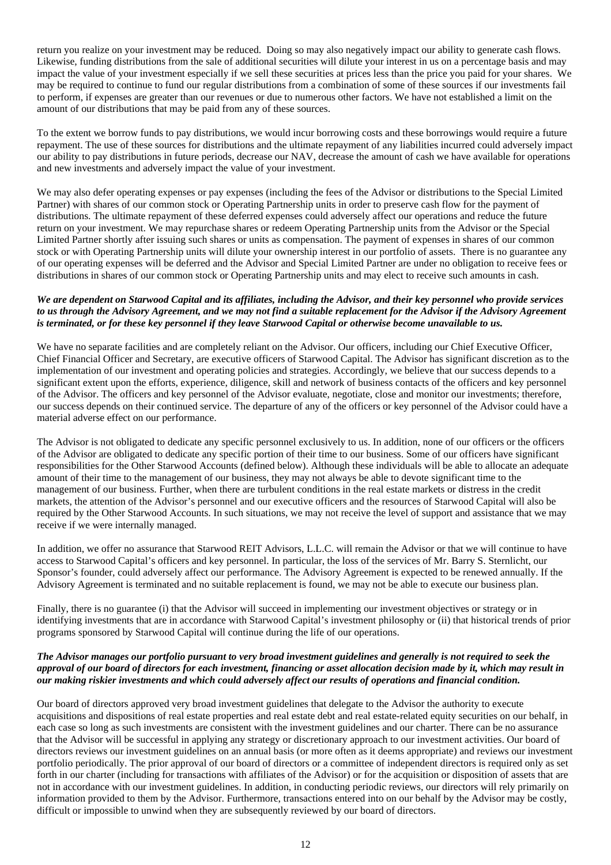return you realize on your investment may be reduced. Doing so may also negatively impact our ability to generate cash flows. Likewise, funding distributions from the sale of additional securities will dilute your interest in us on a percentage basis and may impact the value of your investment especially if we sell these securities at prices less than the price you paid for your shares. We may be required to continue to fund our regular distributions from a combination of some of these sources if our investments fail to perform, if expenses are greater than our revenues or due to numerous other factors. We have not established a limit on the amount of our distributions that may be paid from any of these sources.

To the extent we borrow funds to pay distributions, we would incur borrowing costs and these borrowings would require a future repayment. The use of these sources for distributions and the ultimate repayment of any liabilities incurred could adversely impact our ability to pay distributions in future periods, decrease our NAV, decrease the amount of cash we have available for operations and new investments and adversely impact the value of your investment.

We may also defer operating expenses or pay expenses (including the fees of the Advisor or distributions to the Special Limited Partner) with shares of our common stock or Operating Partnership units in order to preserve cash flow for the payment of distributions. The ultimate repayment of these deferred expenses could adversely affect our operations and reduce the future return on your investment. We may repurchase shares or redeem Operating Partnership units from the Advisor or the Special Limited Partner shortly after issuing such shares or units as compensation. The payment of expenses in shares of our common stock or with Operating Partnership units will dilute your ownership interest in our portfolio of assets. There is no guarantee any of our operating expenses will be deferred and the Advisor and Special Limited Partner are under no obligation to receive fees or distributions in shares of our common stock or Operating Partnership units and may elect to receive such amounts in cash.

# *We are dependent on Starwood Capital and its affiliates, including the Advisor, and their key personnel who provide services to us through the Advisory Agreement, and we may not find a suitable replacement for the Advisor if the Advisory Agreement is terminated, or for these key personnel if they leave Starwood Capital or otherwise become unavailable to us.*

We have no separate facilities and are completely reliant on the Advisor. Our officers, including our Chief Executive Officer, Chief Financial Officer and Secretary, are executive officers of Starwood Capital. The Advisor has significant discretion as to the implementation of our investment and operating policies and strategies. Accordingly, we believe that our success depends to a significant extent upon the efforts, experience, diligence, skill and network of business contacts of the officers and key personnel of the Advisor. The officers and key personnel of the Advisor evaluate, negotiate, close and monitor our investments; therefore, our success depends on their continued service. The departure of any of the officers or key personnel of the Advisor could have a material adverse effect on our performance.

The Advisor is not obligated to dedicate any specific personnel exclusively to us. In addition, none of our officers or the officers of the Advisor are obligated to dedicate any specific portion of their time to our business. Some of our officers have significant responsibilities for the Other Starwood Accounts (defined below). Although these individuals will be able to allocate an adequate amount of their time to the management of our business, they may not always be able to devote significant time to the management of our business. Further, when there are turbulent conditions in the real estate markets or distress in the credit markets, the attention of the Advisor's personnel and our executive officers and the resources of Starwood Capital will also be required by the Other Starwood Accounts. In such situations, we may not receive the level of support and assistance that we may receive if we were internally managed.

In addition, we offer no assurance that Starwood REIT Advisors, L.L.C. will remain the Advisor or that we will continue to have access to Starwood Capital's officers and key personnel. In particular, the loss of the services of Mr. Barry S. Sternlicht, our Sponsor's founder, could adversely affect our performance. The Advisory Agreement is expected to be renewed annually. If the Advisory Agreement is terminated and no suitable replacement is found, we may not be able to execute our business plan.

Finally, there is no guarantee (i) that the Advisor will succeed in implementing our investment objectives or strategy or in identifying investments that are in accordance with Starwood Capital's investment philosophy or (ii) that historical trends of prior programs sponsored by Starwood Capital will continue during the life of our operations.

# *The Advisor manages our portfolio pursuant to very broad investment guidelines and generally is not required to seek the approval of our board of directors for each investment, financing or asset allocation decision made by it, which may result in our making riskier investments and which could adversely affect our results of operations and financial condition.*

Our board of directors approved very broad investment guidelines that delegate to the Advisor the authority to execute acquisitions and dispositions of real estate properties and real estate debt and real estate-related equity securities on our behalf, in each case so long as such investments are consistent with the investment guidelines and our charter. There can be no assurance that the Advisor will be successful in applying any strategy or discretionary approach to our investment activities. Our board of directors reviews our investment guidelines on an annual basis (or more often as it deems appropriate) and reviews our investment portfolio periodically. The prior approval of our board of directors or a committee of independent directors is required only as set forth in our charter (including for transactions with affiliates of the Advisor) or for the acquisition or disposition of assets that are not in accordance with our investment guidelines. In addition, in conducting periodic reviews, our directors will rely primarily on information provided to them by the Advisor. Furthermore, transactions entered into on our behalf by the Advisor may be costly, difficult or impossible to unwind when they are subsequently reviewed by our board of directors.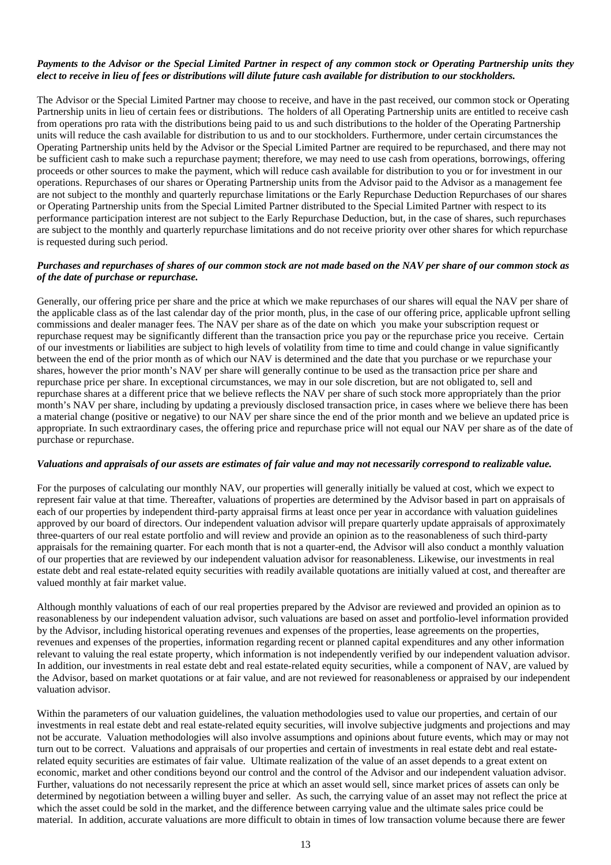# *Payments to the Advisor or the Special Limited Partner in respect of any common stock or Operating Partnership units they elect to receive in lieu of fees or distributions will dilute future cash available for distribution to our stockholders.*

The Advisor or the Special Limited Partner may choose to receive, and have in the past received, our common stock or Operating Partnership units in lieu of certain fees or distributions. The holders of all Operating Partnership units are entitled to receive cash from operations pro rata with the distributions being paid to us and such distributions to the holder of the Operating Partnership units will reduce the cash available for distribution to us and to our stockholders. Furthermore, under certain circumstances the Operating Partnership units held by the Advisor or the Special Limited Partner are required to be repurchased, and there may not be sufficient cash to make such a repurchase payment; therefore, we may need to use cash from operations, borrowings, offering proceeds or other sources to make the payment, which will reduce cash available for distribution to you or for investment in our operations. Repurchases of our shares or Operating Partnership units from the Advisor paid to the Advisor as a management fee are not subject to the monthly and quarterly repurchase limitations or the Early Repurchase Deduction Repurchases of our shares or Operating Partnership units from the Special Limited Partner distributed to the Special Limited Partner with respect to its performance participation interest are not subject to the Early Repurchase Deduction, but, in the case of shares, such repurchases are subject to the monthly and quarterly repurchase limitations and do not receive priority over other shares for which repurchase is requested during such period.

# *Purchases and repurchases of shares of our common stock are not made based on the NAV per share of our common stock as of the date of purchase or repurchase.*

Generally, our offering price per share and the price at which we make repurchases of our shares will equal the NAV per share of the applicable class as of the last calendar day of the prior month, plus, in the case of our offering price, applicable upfront selling commissions and dealer manager fees. The NAV per share as of the date on which you make your subscription request or repurchase request may be significantly different than the transaction price you pay or the repurchase price you receive. Certain of our investments or liabilities are subject to high levels of volatility from time to time and could change in value significantly between the end of the prior month as of which our NAV is determined and the date that you purchase or we repurchase your shares, however the prior month's NAV per share will generally continue to be used as the transaction price per share and repurchase price per share. In exceptional circumstances, we may in our sole discretion, but are not obligated to, sell and repurchase shares at a different price that we believe reflects the NAV per share of such stock more appropriately than the prior month's NAV per share, including by updating a previously disclosed transaction price, in cases where we believe there has been a material change (positive or negative) to our NAV per share since the end of the prior month and we believe an updated price is appropriate. In such extraordinary cases, the offering price and repurchase price will not equal our NAV per share as of the date of purchase or repurchase.

# *Valuations and appraisals of our assets are estimates of fair value and may not necessarily correspond to realizable value.*

For the purposes of calculating our monthly NAV, our properties will generally initially be valued at cost, which we expect to represent fair value at that time. Thereafter, valuations of properties are determined by the Advisor based in part on appraisals of each of our properties by independent third-party appraisal firms at least once per year in accordance with valuation guidelines approved by our board of directors. Our independent valuation advisor will prepare quarterly update appraisals of approximately three-quarters of our real estate portfolio and will review and provide an opinion as to the reasonableness of such third-party appraisals for the remaining quarter. For each month that is not a quarter-end, the Advisor will also conduct a monthly valuation of our properties that are reviewed by our independent valuation advisor for reasonableness. Likewise, our investments in real estate debt and real estate-related equity securities with readily available quotations are initially valued at cost, and thereafter are valued monthly at fair market value.

Although monthly valuations of each of our real properties prepared by the Advisor are reviewed and provided an opinion as to reasonableness by our independent valuation advisor, such valuations are based on asset and portfolio-level information provided by the Advisor, including historical operating revenues and expenses of the properties, lease agreements on the properties, revenues and expenses of the properties, information regarding recent or planned capital expenditures and any other information relevant to valuing the real estate property, which information is not independently verified by our independent valuation advisor. In addition, our investments in real estate debt and real estate-related equity securities, while a component of NAV, are valued by the Advisor, based on market quotations or at fair value, and are not reviewed for reasonableness or appraised by our independent valuation advisor.

Within the parameters of our valuation guidelines, the valuation methodologies used to value our properties, and certain of our investments in real estate debt and real estate-related equity securities, will involve subjective judgments and projections and may not be accurate. Valuation methodologies will also involve assumptions and opinions about future events, which may or may not turn out to be correct. Valuations and appraisals of our properties and certain of investments in real estate debt and real estaterelated equity securities are estimates of fair value. Ultimate realization of the value of an asset depends to a great extent on economic, market and other conditions beyond our control and the control of the Advisor and our independent valuation advisor. Further, valuations do not necessarily represent the price at which an asset would sell, since market prices of assets can only be determined by negotiation between a willing buyer and seller. As such, the carrying value of an asset may not reflect the price at which the asset could be sold in the market, and the difference between carrying value and the ultimate sales price could be material. In addition, accurate valuations are more difficult to obtain in times of low transaction volume because there are fewer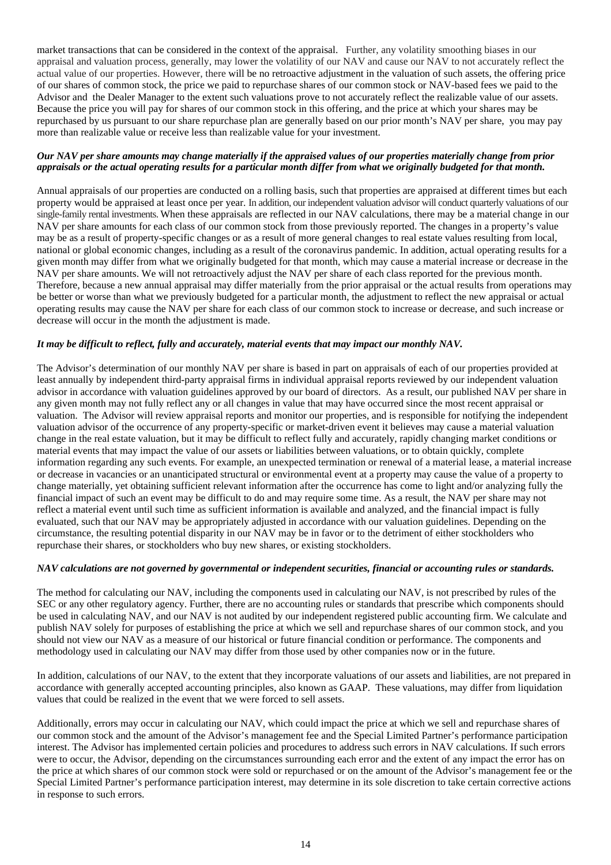market transactions that can be considered in the context of the appraisal. Further, any volatility smoothing biases in our appraisal and valuation process, generally, may lower the volatility of our NAV and cause our NAV to not accurately reflect the actual value of our properties. However, there will be no retroactive adjustment in the valuation of such assets, the offering price of our shares of common stock, the price we paid to repurchase shares of our common stock or NAV-based fees we paid to the Advisor and the Dealer Manager to the extent such valuations prove to not accurately reflect the realizable value of our assets. Because the price you will pay for shares of our common stock in this offering, and the price at which your shares may be repurchased by us pursuant to our share repurchase plan are generally based on our prior month's NAV per share, you may pay more than realizable value or receive less than realizable value for your investment.

## *Our NAV per share amounts may change materially if the appraised values of our properties materially change from prior appraisals or the actual operating results for a particular month differ from what we originally budgeted for that month.*

Annual appraisals of our properties are conducted on a rolling basis, such that properties are appraised at different times but each property would be appraised at least once per year. In addition, our independent valuation advisor will conduct quarterly valuations of our single-family rental investments. When these appraisals are reflected in our NAV calculations, there may be a material change in our NAV per share amounts for each class of our common stock from those previously reported. The changes in a property's value may be as a result of property-specific changes or as a result of more general changes to real estate values resulting from local, national or global economic changes, including as a result of the coronavirus pandemic. In addition, actual operating results for a given month may differ from what we originally budgeted for that month, which may cause a material increase or decrease in the NAV per share amounts. We will not retroactively adjust the NAV per share of each class reported for the previous month. Therefore, because a new annual appraisal may differ materially from the prior appraisal or the actual results from operations may be better or worse than what we previously budgeted for a particular month, the adjustment to reflect the new appraisal or actual operating results may cause the NAV per share for each class of our common stock to increase or decrease, and such increase or decrease will occur in the month the adjustment is made.

# *It may be difficult to reflect, fully and accurately, material events that may impact our monthly NAV.*

The Advisor's determination of our monthly NAV per share is based in part on appraisals of each of our properties provided at least annually by independent third-party appraisal firms in individual appraisal reports reviewed by our independent valuation advisor in accordance with valuation guidelines approved by our board of directors. As a result, our published NAV per share in any given month may not fully reflect any or all changes in value that may have occurred since the most recent appraisal or valuation. The Advisor will review appraisal reports and monitor our properties, and is responsible for notifying the independent valuation advisor of the occurrence of any property-specific or market-driven event it believes may cause a material valuation change in the real estate valuation, but it may be difficult to reflect fully and accurately, rapidly changing market conditions or material events that may impact the value of our assets or liabilities between valuations, or to obtain quickly, complete information regarding any such events. For example, an unexpected termination or renewal of a material lease, a material increase or decrease in vacancies or an unanticipated structural or environmental event at a property may cause the value of a property to change materially, yet obtaining sufficient relevant information after the occurrence has come to light and/or analyzing fully the financial impact of such an event may be difficult to do and may require some time. As a result, the NAV per share may not reflect a material event until such time as sufficient information is available and analyzed, and the financial impact is fully evaluated, such that our NAV may be appropriately adjusted in accordance with our valuation guidelines. Depending on the circumstance, the resulting potential disparity in our NAV may be in favor or to the detriment of either stockholders who repurchase their shares, or stockholders who buy new shares, or existing stockholders.

# *NAV calculations are not governed by governmental or independent securities, financial or accounting rules or standards.*

The method for calculating our NAV, including the components used in calculating our NAV, is not prescribed by rules of the SEC or any other regulatory agency. Further, there are no accounting rules or standards that prescribe which components should be used in calculating NAV, and our NAV is not audited by our independent registered public accounting firm. We calculate and publish NAV solely for purposes of establishing the price at which we sell and repurchase shares of our common stock, and you should not view our NAV as a measure of our historical or future financial condition or performance. The components and methodology used in calculating our NAV may differ from those used by other companies now or in the future.

In addition, calculations of our NAV, to the extent that they incorporate valuations of our assets and liabilities, are not prepared in accordance with generally accepted accounting principles, also known as GAAP. These valuations, may differ from liquidation values that could be realized in the event that we were forced to sell assets.

Additionally, errors may occur in calculating our NAV, which could impact the price at which we sell and repurchase shares of our common stock and the amount of the Advisor's management fee and the Special Limited Partner's performance participation interest. The Advisor has implemented certain policies and procedures to address such errors in NAV calculations. If such errors were to occur, the Advisor, depending on the circumstances surrounding each error and the extent of any impact the error has on the price at which shares of our common stock were sold or repurchased or on the amount of the Advisor's management fee or the Special Limited Partner's performance participation interest, may determine in its sole discretion to take certain corrective actions in response to such errors.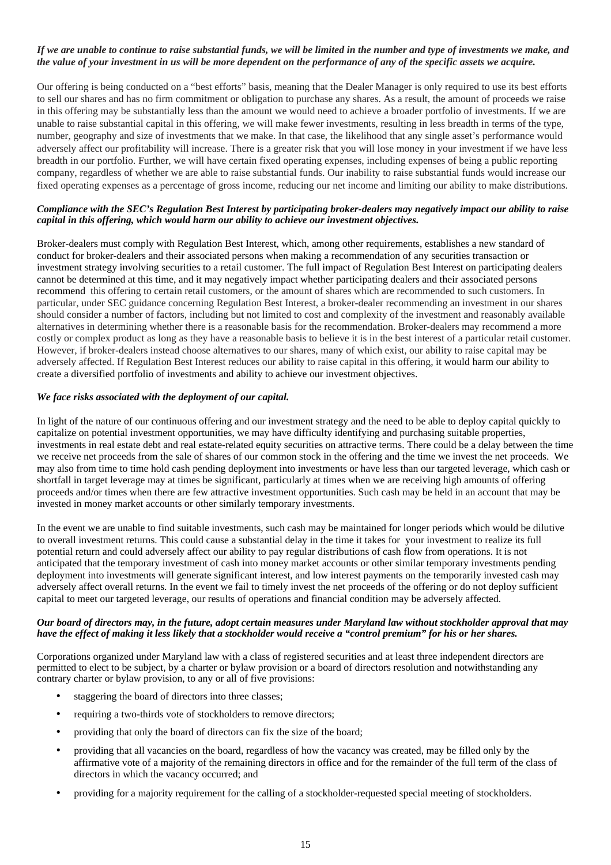# *If we are unable to continue to raise substantial funds, we will be limited in the number and type of investments we make, and the value of your investment in us will be more dependent on the performance of any of the specific assets we acquire.*

Our offering is being conducted on a "best efforts" basis, meaning that the Dealer Manager is only required to use its best efforts to sell our shares and has no firm commitment or obligation to purchase any shares. As a result, the amount of proceeds we raise in this offering may be substantially less than the amount we would need to achieve a broader portfolio of investments. If we are unable to raise substantial capital in this offering, we will make fewer investments, resulting in less breadth in terms of the type, number, geography and size of investments that we make. In that case, the likelihood that any single asset's performance would adversely affect our profitability will increase. There is a greater risk that you will lose money in your investment if we have less breadth in our portfolio. Further, we will have certain fixed operating expenses, including expenses of being a public reporting company, regardless of whether we are able to raise substantial funds. Our inability to raise substantial funds would increase our fixed operating expenses as a percentage of gross income, reducing our net income and limiting our ability to make distributions.

## *Compliance with the SEC's Regulation Best Interest by participating broker-dealers may negatively impact our ability to raise capital in this offering, which would harm our ability to achieve our investment objectives.*

Broker-dealers must comply with Regulation Best Interest, which, among other requirements, establishes a new standard of conduct for broker-dealers and their associated persons when making a recommendation of any securities transaction or investment strategy involving securities to a retail customer. The full impact of Regulation Best Interest on participating dealers cannot be determined at this time, and it may negatively impact whether participating dealers and their associated persons recommend this offering to certain retail customers, or the amount of shares which are recommended to such customers. In particular, under SEC guidance concerning Regulation Best Interest, a broker-dealer recommending an investment in our shares should consider a number of factors, including but not limited to cost and complexity of the investment and reasonably available alternatives in determining whether there is a reasonable basis for the recommendation. Broker-dealers may recommend a more costly or complex product as long as they have a reasonable basis to believe it is in the best interest of a particular retail customer. However, if broker-dealers instead choose alternatives to our shares, many of which exist, our ability to raise capital may be adversely affected. If Regulation Best Interest reduces our ability to raise capital in this offering, it would harm our ability to create a diversified portfolio of investments and ability to achieve our investment objectives.

# *We face risks associated with the deployment of our capital.*

In light of the nature of our continuous offering and our investment strategy and the need to be able to deploy capital quickly to capitalize on potential investment opportunities, we may have difficulty identifying and purchasing suitable properties, investments in real estate debt and real estate-related equity securities on attractive terms. There could be a delay between the time we receive net proceeds from the sale of shares of our common stock in the offering and the time we invest the net proceeds. We may also from time to time hold cash pending deployment into investments or have less than our targeted leverage, which cash or shortfall in target leverage may at times be significant, particularly at times when we are receiving high amounts of offering proceeds and/or times when there are few attractive investment opportunities. Such cash may be held in an account that may be invested in money market accounts or other similarly temporary investments.

In the event we are unable to find suitable investments, such cash may be maintained for longer periods which would be dilutive to overall investment returns. This could cause a substantial delay in the time it takes for your investment to realize its full potential return and could adversely affect our ability to pay regular distributions of cash flow from operations. It is not anticipated that the temporary investment of cash into money market accounts or other similar temporary investments pending deployment into investments will generate significant interest, and low interest payments on the temporarily invested cash may adversely affect overall returns. In the event we fail to timely invest the net proceeds of the offering or do not deploy sufficient capital to meet our targeted leverage, our results of operations and financial condition may be adversely affected.

# *Our board of directors may, in the future, adopt certain measures under Maryland law without stockholder approval that may have the effect of making it less likely that a stockholder would receive a "control premium" for his or her shares.*

Corporations organized under Maryland law with a class of registered securities and at least three independent directors are permitted to elect to be subject, by a charter or bylaw provision or a board of directors resolution and notwithstanding any contrary charter or bylaw provision, to any or all of five provisions:

- staggering the board of directors into three classes;
- requiring a two-thirds vote of stockholders to remove directors;
- providing that only the board of directors can fix the size of the board;
- providing that all vacancies on the board, regardless of how the vacancy was created, may be filled only by the affirmative vote of a majority of the remaining directors in office and for the remainder of the full term of the class of directors in which the vacancy occurred; and
- providing for a majority requirement for the calling of a stockholder-requested special meeting of stockholders.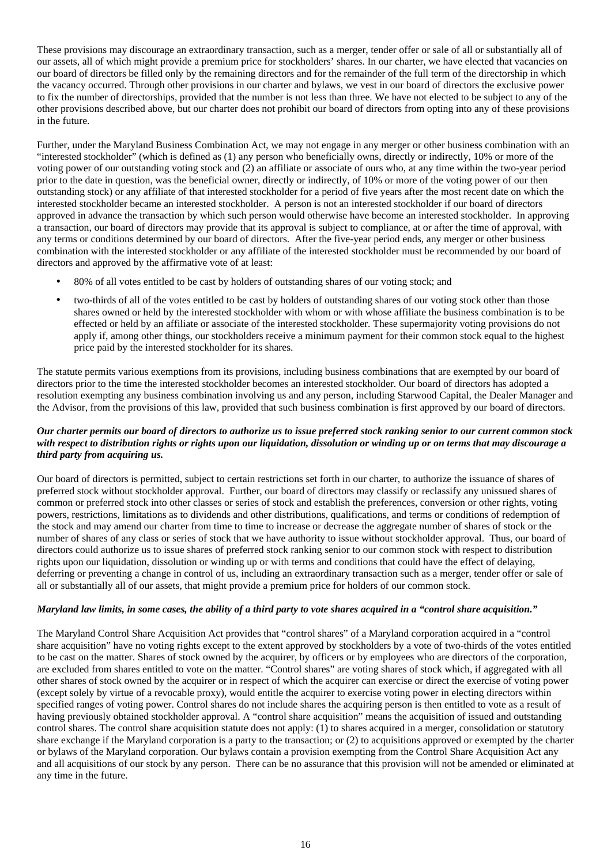These provisions may discourage an extraordinary transaction, such as a merger, tender offer or sale of all or substantially all of our assets, all of which might provide a premium price for stockholders' shares. In our charter, we have elected that vacancies on our board of directors be filled only by the remaining directors and for the remainder of the full term of the directorship in which the vacancy occurred. Through other provisions in our charter and bylaws, we vest in our board of directors the exclusive power to fix the number of directorships, provided that the number is not less than three. We have not elected to be subject to any of the other provisions described above, but our charter does not prohibit our board of directors from opting into any of these provisions in the future.

Further, under the Maryland Business Combination Act, we may not engage in any merger or other business combination with an "interested stockholder" (which is defined as (1) any person who beneficially owns, directly or indirectly, 10% or more of the voting power of our outstanding voting stock and (2) an affiliate or associate of ours who, at any time within the two-year period prior to the date in question, was the beneficial owner, directly or indirectly, of 10% or more of the voting power of our then outstanding stock) or any affiliate of that interested stockholder for a period of five years after the most recent date on which the interested stockholder became an interested stockholder. A person is not an interested stockholder if our board of directors approved in advance the transaction by which such person would otherwise have become an interested stockholder. In approving a transaction, our board of directors may provide that its approval is subject to compliance, at or after the time of approval, with any terms or conditions determined by our board of directors. After the five-year period ends, any merger or other business combination with the interested stockholder or any affiliate of the interested stockholder must be recommended by our board of directors and approved by the affirmative vote of at least:

- 80% of all votes entitled to be cast by holders of outstanding shares of our voting stock; and
- two-thirds of all of the votes entitled to be cast by holders of outstanding shares of our voting stock other than those shares owned or held by the interested stockholder with whom or with whose affiliate the business combination is to be effected or held by an affiliate or associate of the interested stockholder. These supermajority voting provisions do not apply if, among other things, our stockholders receive a minimum payment for their common stock equal to the highest price paid by the interested stockholder for its shares.

The statute permits various exemptions from its provisions, including business combinations that are exempted by our board of directors prior to the time the interested stockholder becomes an interested stockholder. Our board of directors has adopted a resolution exempting any business combination involving us and any person, including Starwood Capital, the Dealer Manager and the Advisor, from the provisions of this law, provided that such business combination is first approved by our board of directors.

# *Our charter permits our board of directors to authorize us to issue preferred stock ranking senior to our current common stock with respect to distribution rights or rights upon our liquidation, dissolution or winding up or on terms that may discourage a third party from acquiring us.*

Our board of directors is permitted, subject to certain restrictions set forth in our charter, to authorize the issuance of shares of preferred stock without stockholder approval. Further, our board of directors may classify or reclassify any unissued shares of common or preferred stock into other classes or series of stock and establish the preferences, conversion or other rights, voting powers, restrictions, limitations as to dividends and other distributions, qualifications, and terms or conditions of redemption of the stock and may amend our charter from time to time to increase or decrease the aggregate number of shares of stock or the number of shares of any class or series of stock that we have authority to issue without stockholder approval. Thus, our board of directors could authorize us to issue shares of preferred stock ranking senior to our common stock with respect to distribution rights upon our liquidation, dissolution or winding up or with terms and conditions that could have the effect of delaying, deferring or preventing a change in control of us, including an extraordinary transaction such as a merger, tender offer or sale of all or substantially all of our assets, that might provide a premium price for holders of our common stock.

# *Maryland law limits, in some cases, the ability of a third party to vote shares acquired in a "control share acquisition."*

The Maryland Control Share Acquisition Act provides that "control shares" of a Maryland corporation acquired in a "control share acquisition" have no voting rights except to the extent approved by stockholders by a vote of two-thirds of the votes entitled to be cast on the matter. Shares of stock owned by the acquirer, by officers or by employees who are directors of the corporation, are excluded from shares entitled to vote on the matter. "Control shares" are voting shares of stock which, if aggregated with all other shares of stock owned by the acquirer or in respect of which the acquirer can exercise or direct the exercise of voting power (except solely by virtue of a revocable proxy), would entitle the acquirer to exercise voting power in electing directors within specified ranges of voting power. Control shares do not include shares the acquiring person is then entitled to vote as a result of having previously obtained stockholder approval. A "control share acquisition" means the acquisition of issued and outstanding control shares. The control share acquisition statute does not apply: (1) to shares acquired in a merger, consolidation or statutory share exchange if the Maryland corporation is a party to the transaction; or (2) to acquisitions approved or exempted by the charter or bylaws of the Maryland corporation. Our bylaws contain a provision exempting from the Control Share Acquisition Act any and all acquisitions of our stock by any person. There can be no assurance that this provision will not be amended or eliminated at any time in the future.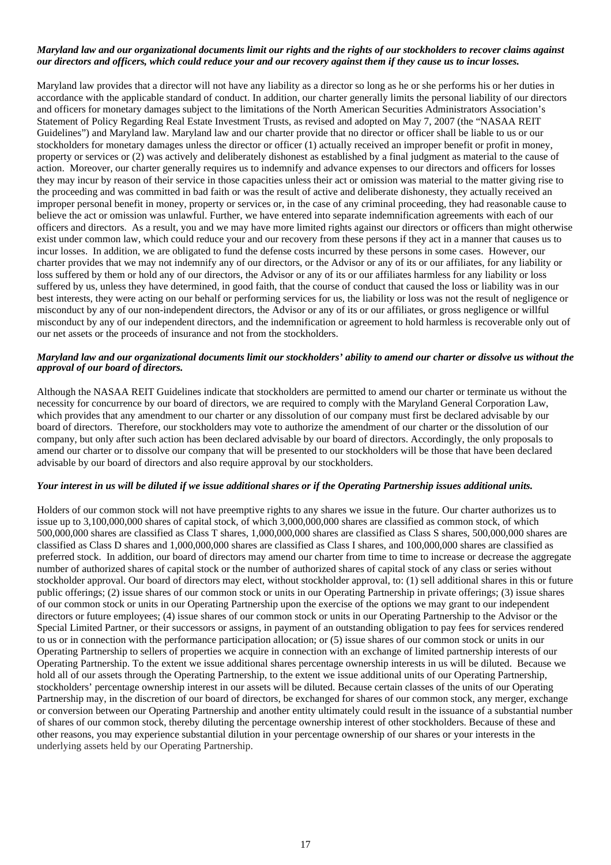# *Maryland law and our organizational documents limit our rights and the rights of our stockholders to recover claims against our directors and officers, which could reduce your and our recovery against them if they cause us to incur losses.*

Maryland law provides that a director will not have any liability as a director so long as he or she performs his or her duties in accordance with the applicable standard of conduct. In addition, our charter generally limits the personal liability of our directors and officers for monetary damages subject to the limitations of the North American Securities Administrators Association's Statement of Policy Regarding Real Estate Investment Trusts, as revised and adopted on May 7, 2007 (the "NASAA REIT Guidelines") and Maryland law. Maryland law and our charter provide that no director or officer shall be liable to us or our stockholders for monetary damages unless the director or officer (1) actually received an improper benefit or profit in money, property or services or (2) was actively and deliberately dishonest as established by a final judgment as material to the cause of action. Moreover, our charter generally requires us to indemnify and advance expenses to our directors and officers for losses they may incur by reason of their service in those capacities unless their act or omission was material to the matter giving rise to the proceeding and was committed in bad faith or was the result of active and deliberate dishonesty, they actually received an improper personal benefit in money, property or services or, in the case of any criminal proceeding, they had reasonable cause to believe the act or omission was unlawful. Further, we have entered into separate indemnification agreements with each of our officers and directors. As a result, you and we may have more limited rights against our directors or officers than might otherwise exist under common law, which could reduce your and our recovery from these persons if they act in a manner that causes us to incur losses. In addition, we are obligated to fund the defense costs incurred by these persons in some cases. However, our charter provides that we may not indemnify any of our directors, or the Advisor or any of its or our affiliates, for any liability or loss suffered by them or hold any of our directors, the Advisor or any of its or our affiliates harmless for any liability or loss suffered by us, unless they have determined, in good faith, that the course of conduct that caused the loss or liability was in our best interests, they were acting on our behalf or performing services for us, the liability or loss was not the result of negligence or misconduct by any of our non-independent directors, the Advisor or any of its or our affiliates, or gross negligence or willful misconduct by any of our independent directors, and the indemnification or agreement to hold harmless is recoverable only out of our net assets or the proceeds of insurance and not from the stockholders.

# *Maryland law and our organizational documents limit our stockholders' ability to amend our charter or dissolve us without the approval of our board of directors.*

Although the NASAA REIT Guidelines indicate that stockholders are permitted to amend our charter or terminate us without the necessity for concurrence by our board of directors, we are required to comply with the Maryland General Corporation Law, which provides that any amendment to our charter or any dissolution of our company must first be declared advisable by our board of directors. Therefore, our stockholders may vote to authorize the amendment of our charter or the dissolution of our company, but only after such action has been declared advisable by our board of directors. Accordingly, the only proposals to amend our charter or to dissolve our company that will be presented to our stockholders will be those that have been declared advisable by our board of directors and also require approval by our stockholders.

# *Your interest in us will be diluted if we issue additional shares or if the Operating Partnership issues additional units.*

Holders of our common stock will not have preemptive rights to any shares we issue in the future. Our charter authorizes us to issue up to 3,100,000,000 shares of capital stock, of which 3,000,000,000 shares are classified as common stock, of which 500,000,000 shares are classified as Class T shares, 1,000,000,000 shares are classified as Class S shares, 500,000,000 shares are classified as Class D shares and 1,000,000,000 shares are classified as Class I shares, and 100,000,000 shares are classified as preferred stock. In addition, our board of directors may amend our charter from time to time to increase or decrease the aggregate number of authorized shares of capital stock or the number of authorized shares of capital stock of any class or series without stockholder approval. Our board of directors may elect, without stockholder approval, to: (1) sell additional shares in this or future public offerings; (2) issue shares of our common stock or units in our Operating Partnership in private offerings; (3) issue shares of our common stock or units in our Operating Partnership upon the exercise of the options we may grant to our independent directors or future employees; (4) issue shares of our common stock or units in our Operating Partnership to the Advisor or the Special Limited Partner, or their successors or assigns, in payment of an outstanding obligation to pay fees for services rendered to us or in connection with the performance participation allocation; or (5) issue shares of our common stock or units in our Operating Partnership to sellers of properties we acquire in connection with an exchange of limited partnership interests of our Operating Partnership. To the extent we issue additional shares percentage ownership interests in us will be diluted. Because we hold all of our assets through the Operating Partnership, to the extent we issue additional units of our Operating Partnership, stockholders' percentage ownership interest in our assets will be diluted. Because certain classes of the units of our Operating Partnership may, in the discretion of our board of directors, be exchanged for shares of our common stock, any merger, exchange or conversion between our Operating Partnership and another entity ultimately could result in the issuance of a substantial number of shares of our common stock, thereby diluting the percentage ownership interest of other stockholders. Because of these and other reasons, you may experience substantial dilution in your percentage ownership of our shares or your interests in the underlying assets held by our Operating Partnership.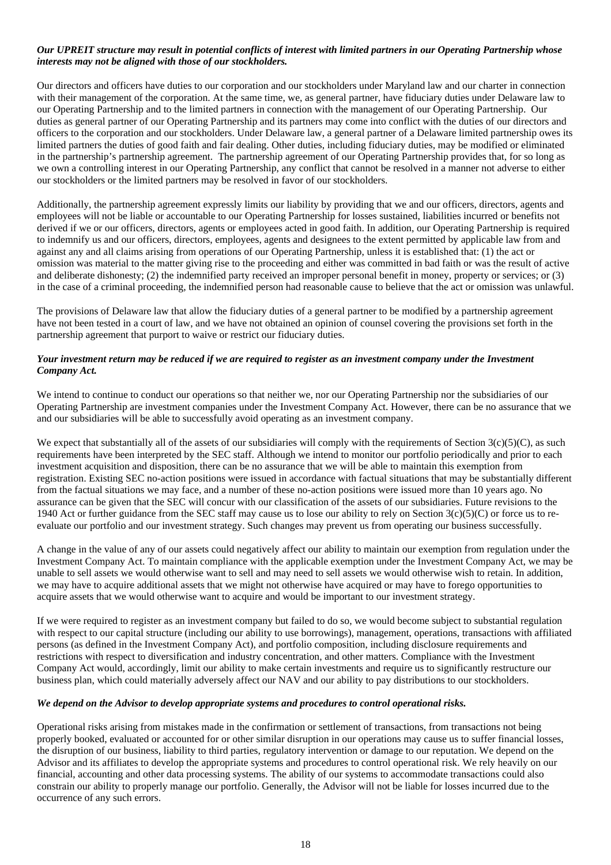# *Our UPREIT structure may result in potential conflicts of interest with limited partners in our Operating Partnership whose interests may not be aligned with those of our stockholders.*

Our directors and officers have duties to our corporation and our stockholders under Maryland law and our charter in connection with their management of the corporation. At the same time, we, as general partner, have fiduciary duties under Delaware law to our Operating Partnership and to the limited partners in connection with the management of our Operating Partnership. Our duties as general partner of our Operating Partnership and its partners may come into conflict with the duties of our directors and officers to the corporation and our stockholders. Under Delaware law, a general partner of a Delaware limited partnership owes its limited partners the duties of good faith and fair dealing. Other duties, including fiduciary duties, may be modified or eliminated in the partnership's partnership agreement. The partnership agreement of our Operating Partnership provides that, for so long as we own a controlling interest in our Operating Partnership, any conflict that cannot be resolved in a manner not adverse to either our stockholders or the limited partners may be resolved in favor of our stockholders.

Additionally, the partnership agreement expressly limits our liability by providing that we and our officers, directors, agents and employees will not be liable or accountable to our Operating Partnership for losses sustained, liabilities incurred or benefits not derived if we or our officers, directors, agents or employees acted in good faith. In addition, our Operating Partnership is required to indemnify us and our officers, directors, employees, agents and designees to the extent permitted by applicable law from and against any and all claims arising from operations of our Operating Partnership, unless it is established that: (1) the act or omission was material to the matter giving rise to the proceeding and either was committed in bad faith or was the result of active and deliberate dishonesty; (2) the indemnified party received an improper personal benefit in money, property or services; or (3) in the case of a criminal proceeding, the indemnified person had reasonable cause to believe that the act or omission was unlawful.

The provisions of Delaware law that allow the fiduciary duties of a general partner to be modified by a partnership agreement have not been tested in a court of law, and we have not obtained an opinion of counsel covering the provisions set forth in the partnership agreement that purport to waive or restrict our fiduciary duties.

# *Your investment return may be reduced if we are required to register as an investment company under the Investment Company Act.*

We intend to continue to conduct our operations so that neither we, nor our Operating Partnership nor the subsidiaries of our Operating Partnership are investment companies under the Investment Company Act. However, there can be no assurance that we and our subsidiaries will be able to successfully avoid operating as an investment company.

We expect that substantially all of the assets of our subsidiaries will comply with the requirements of Section  $3(c)(5)(C)$ , as such requirements have been interpreted by the SEC staff. Although we intend to monitor our portfolio periodically and prior to each investment acquisition and disposition, there can be no assurance that we will be able to maintain this exemption from registration. Existing SEC no-action positions were issued in accordance with factual situations that may be substantially different from the factual situations we may face, and a number of these no-action positions were issued more than 10 years ago. No assurance can be given that the SEC will concur with our classification of the assets of our subsidiaries. Future revisions to the 1940 Act or further guidance from the SEC staff may cause us to lose our ability to rely on Section  $3(c)(5)(C)$  or force us to reevaluate our portfolio and our investment strategy. Such changes may prevent us from operating our business successfully.

A change in the value of any of our assets could negatively affect our ability to maintain our exemption from regulation under the Investment Company Act. To maintain compliance with the applicable exemption under the Investment Company Act, we may be unable to sell assets we would otherwise want to sell and may need to sell assets we would otherwise wish to retain. In addition, we may have to acquire additional assets that we might not otherwise have acquired or may have to forego opportunities to acquire assets that we would otherwise want to acquire and would be important to our investment strategy.

If we were required to register as an investment company but failed to do so, we would become subject to substantial regulation with respect to our capital structure (including our ability to use borrowings), management, operations, transactions with affiliated persons (as defined in the Investment Company Act), and portfolio composition, including disclosure requirements and restrictions with respect to diversification and industry concentration, and other matters. Compliance with the Investment Company Act would, accordingly, limit our ability to make certain investments and require us to significantly restructure our business plan, which could materially adversely affect our NAV and our ability to pay distributions to our stockholders.

# *We depend on the Advisor to develop appropriate systems and procedures to control operational risks.*

Operational risks arising from mistakes made in the confirmation or settlement of transactions, from transactions not being properly booked, evaluated or accounted for or other similar disruption in our operations may cause us to suffer financial losses, the disruption of our business, liability to third parties, regulatory intervention or damage to our reputation. We depend on the Advisor and its affiliates to develop the appropriate systems and procedures to control operational risk. We rely heavily on our financial, accounting and other data processing systems. The ability of our systems to accommodate transactions could also constrain our ability to properly manage our portfolio. Generally, the Advisor will not be liable for losses incurred due to the occurrence of any such errors.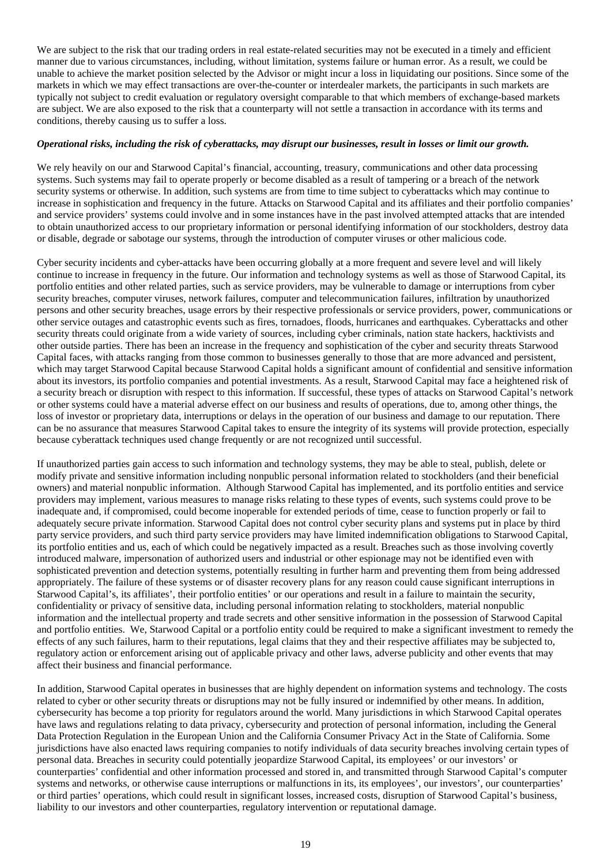We are subject to the risk that our trading orders in real estate-related securities may not be executed in a timely and efficient manner due to various circumstances, including, without limitation, systems failure or human error. As a result, we could be unable to achieve the market position selected by the Advisor or might incur a loss in liquidating our positions. Since some of the markets in which we may effect transactions are over-the-counter or interdealer markets, the participants in such markets are typically not subject to credit evaluation or regulatory oversight comparable to that which members of exchange-based markets are subject. We are also exposed to the risk that a counterparty will not settle a transaction in accordance with its terms and conditions, thereby causing us to suffer a loss.

# *Operational risks, including the risk of cyberattacks, may disrupt our businesses, result in losses or limit our growth.*

We rely heavily on our and Starwood Capital's financial, accounting, treasury, communications and other data processing systems. Such systems may fail to operate properly or become disabled as a result of tampering or a breach of the network security systems or otherwise. In addition, such systems are from time to time subject to cyberattacks which may continue to increase in sophistication and frequency in the future. Attacks on Starwood Capital and its affiliates and their portfolio companies' and service providers' systems could involve and in some instances have in the past involved attempted attacks that are intended to obtain unauthorized access to our proprietary information or personal identifying information of our stockholders, destroy data or disable, degrade or sabotage our systems, through the introduction of computer viruses or other malicious code.

Cyber security incidents and cyber-attacks have been occurring globally at a more frequent and severe level and will likely continue to increase in frequency in the future. Our information and technology systems as well as those of Starwood Capital, its portfolio entities and other related parties, such as service providers, may be vulnerable to damage or interruptions from cyber security breaches, computer viruses, network failures, computer and telecommunication failures, infiltration by unauthorized persons and other security breaches, usage errors by their respective professionals or service providers, power, communications or other service outages and catastrophic events such as fires, tornadoes, floods, hurricanes and earthquakes. Cyberattacks and other security threats could originate from a wide variety of sources, including cyber criminals, nation state hackers, hacktivists and other outside parties. There has been an increase in the frequency and sophistication of the cyber and security threats Starwood Capital faces, with attacks ranging from those common to businesses generally to those that are more advanced and persistent, which may target Starwood Capital because Starwood Capital holds a significant amount of confidential and sensitive information about its investors, its portfolio companies and potential investments. As a result, Starwood Capital may face a heightened risk of a security breach or disruption with respect to this information. If successful, these types of attacks on Starwood Capital's network or other systems could have a material adverse effect on our business and results of operations, due to, among other things, the loss of investor or proprietary data, interruptions or delays in the operation of our business and damage to our reputation. There can be no assurance that measures Starwood Capital takes to ensure the integrity of its systems will provide protection, especially because cyberattack techniques used change frequently or are not recognized until successful.

If unauthorized parties gain access to such information and technology systems, they may be able to steal, publish, delete or modify private and sensitive information including nonpublic personal information related to stockholders (and their beneficial owners) and material nonpublic information. Although Starwood Capital has implemented, and its portfolio entities and service providers may implement, various measures to manage risks relating to these types of events, such systems could prove to be inadequate and, if compromised, could become inoperable for extended periods of time, cease to function properly or fail to adequately secure private information. Starwood Capital does not control cyber security plans and systems put in place by third party service providers, and such third party service providers may have limited indemnification obligations to Starwood Capital, its portfolio entities and us, each of which could be negatively impacted as a result. Breaches such as those involving covertly introduced malware, impersonation of authorized users and industrial or other espionage may not be identified even with sophisticated prevention and detection systems, potentially resulting in further harm and preventing them from being addressed appropriately. The failure of these systems or of disaster recovery plans for any reason could cause significant interruptions in Starwood Capital's, its affiliates', their portfolio entities' or our operations and result in a failure to maintain the security, confidentiality or privacy of sensitive data, including personal information relating to stockholders, material nonpublic information and the intellectual property and trade secrets and other sensitive information in the possession of Starwood Capital and portfolio entities. We, Starwood Capital or a portfolio entity could be required to make a significant investment to remedy the effects of any such failures, harm to their reputations, legal claims that they and their respective affiliates may be subjected to, regulatory action or enforcement arising out of applicable privacy and other laws, adverse publicity and other events that may affect their business and financial performance.

In addition, Starwood Capital operates in businesses that are highly dependent on information systems and technology. The costs related to cyber or other security threats or disruptions may not be fully insured or indemnified by other means. In addition, cybersecurity has become a top priority for regulators around the world. Many jurisdictions in which Starwood Capital operates have laws and regulations relating to data privacy, cybersecurity and protection of personal information, including the General Data Protection Regulation in the European Union and the California Consumer Privacy Act in the State of California. Some jurisdictions have also enacted laws requiring companies to notify individuals of data security breaches involving certain types of personal data. Breaches in security could potentially jeopardize Starwood Capital, its employees' or our investors' or counterparties' confidential and other information processed and stored in, and transmitted through Starwood Capital's computer systems and networks, or otherwise cause interruptions or malfunctions in its, its employees', our investors', our counterparties' or third parties' operations, which could result in significant losses, increased costs, disruption of Starwood Capital's business, liability to our investors and other counterparties, regulatory intervention or reputational damage.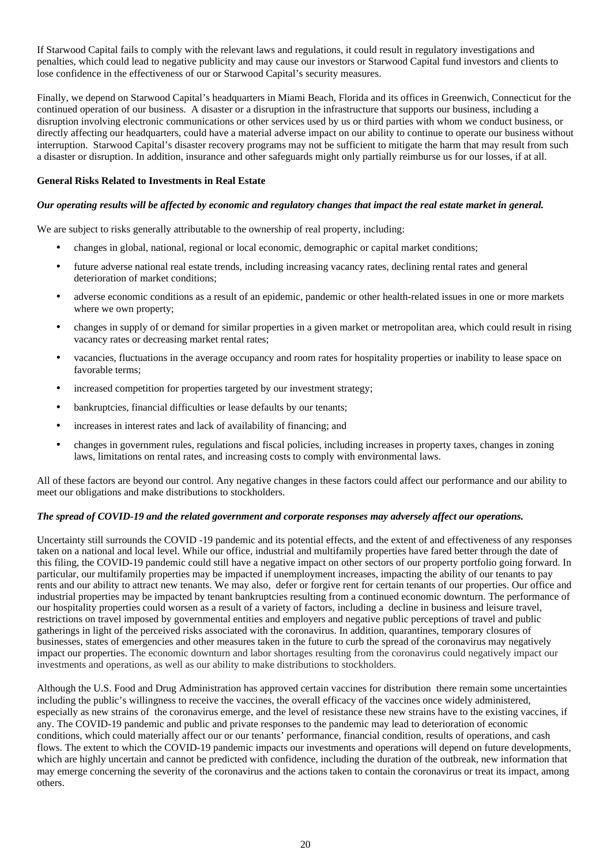If Starwood Capital fails to comply with the relevant laws and regulations, it could result in regulatory investigations and penalties, which could lead to negative publicity and may cause our investors or Starwood Capital fund investors and clients to lose confidence in the effectiveness of our or Starwood Capital's security measures.

Finally, we depend on Starwood Capital's headquarters in Miami Beach, Florida and its offices in Greenwich, Connecticut for the continued operation of our business. A disaster or a disruption in the infrastructure that supports our business, including a disruption involving electronic communications or other services used by us or third parties with whom we conduct business, or directly affecting our headquarters, could have a material adverse impact on our ability to continue to operate our business without interruption. Starwood Capital's disaster recovery programs may not be sufficient to mitigate the harm that may result from such a disaster or disruption. In addition, insurance and other safeguards might only partially reimburse us for our losses, if at all.

# **General Risks Related to Investments in Real Estate**

# *Our operating results will be affected by economic and regulatory changes that impact the real estate market in general.*

We are subject to risks generally attributable to the ownership of real property, including:

- changes in global, national, regional or local economic, demographic or capital market conditions;
- future adverse national real estate trends, including increasing vacancy rates, declining rental rates and general deterioration of market conditions;
- adverse economic conditions as a result of an epidemic, pandemic or other health-related issues in one or more markets where we own property;
- changes in supply of or demand for similar properties in a given market or metropolitan area, which could result in rising vacancy rates or decreasing market rental rates;
- vacancies, fluctuations in the average occupancy and room rates for hospitality properties or inability to lease space on favorable terms;
- increased competition for properties targeted by our investment strategy;
- bankruptcies, financial difficulties or lease defaults by our tenants;
- increases in interest rates and lack of availability of financing; and
- changes in government rules, regulations and fiscal policies, including increases in property taxes, changes in zoning laws, limitations on rental rates, and increasing costs to comply with environmental laws.

All of these factors are beyond our control. Any negative changes in these factors could affect our performance and our ability to meet our obligations and make distributions to stockholders.

# *The spread of COVID-19 and the related government and corporate responses may adversely affect our operations.*

Uncertainty still surrounds the COVID -19 pandemic and its potential effects, and the extent of and effectiveness of any responses taken on a national and local level. While our office, industrial and multifamily properties have fared better through the date of this filing, the COVID-19 pandemic could still have a negative impact on other sectors of our property portfolio going forward. In particular, our multifamily properties may be impacted if unemployment increases, impacting the ability of our tenants to pay rents and our ability to attract new tenants. We may also, defer or forgive rent for certain tenants of our properties. Our office and industrial properties may be impacted by tenant bankruptcies resulting from a continued economic downturn. The performance of our hospitality properties could worsen as a result of a variety of factors, including a decline in business and leisure travel, restrictions on travel imposed by governmental entities and employers and negative public perceptions of travel and public gatherings in light of the perceived risks associated with the coronavirus. In addition, quarantines, temporary closures of businesses, states of emergencies and other measures taken in the future to curb the spread of the coronavirus may negatively impact our properties. The economic downturn and labor shortages resulting from the coronavirus could negatively impact our investments and operations, as well as our ability to make distributions to stockholders.

Although the U.S. Food and Drug Administration has approved certain vaccines for distribution there remain some uncertainties including the public's willingness to receive the vaccines, the overall efficacy of the vaccines once widely administered, especially as new strains of the coronavirus emerge, and the level of resistance these new strains have to the existing vaccines, if any. The COVID-19 pandemic and public and private responses to the pandemic may lead to deterioration of economic conditions, which could materially affect our or our tenants' performance, financial condition, results of operations, and cash flows. The extent to which the COVID-19 pandemic impacts our investments and operations will depend on future developments, which are highly uncertain and cannot be predicted with confidence, including the duration of the outbreak, new information that may emerge concerning the severity of the coronavirus and the actions taken to contain the coronavirus or treat its impact, among others.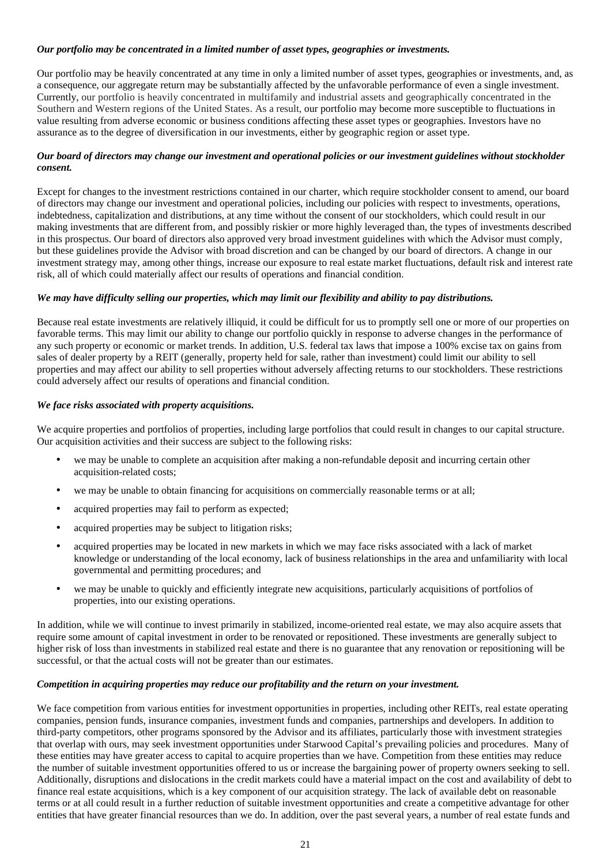# *Our portfolio may be concentrated in a limited number of asset types, geographies or investments.*

Our portfolio may be heavily concentrated at any time in only a limited number of asset types, geographies or investments, and, as a consequence, our aggregate return may be substantially affected by the unfavorable performance of even a single investment. Currently, our portfolio is heavily concentrated in multifamily and industrial assets and geographically concentrated in the Southern and Western regions of the United States. As a result, our portfolio may become more susceptible to fluctuations in value resulting from adverse economic or business conditions affecting these asset types or geographies. Investors have no assurance as to the degree of diversification in our investments, either by geographic region or asset type.

# *Our board of directors may change our investment and operational policies or our investment guidelines without stockholder consent.*

Except for changes to the investment restrictions contained in our charter, which require stockholder consent to amend, our board of directors may change our investment and operational policies, including our policies with respect to investments, operations, indebtedness, capitalization and distributions, at any time without the consent of our stockholders, which could result in our making investments that are different from, and possibly riskier or more highly leveraged than, the types of investments described in this prospectus. Our board of directors also approved very broad investment guidelines with which the Advisor must comply, but these guidelines provide the Advisor with broad discretion and can be changed by our board of directors. A change in our investment strategy may, among other things, increase our exposure to real estate market fluctuations, default risk and interest rate risk, all of which could materially affect our results of operations and financial condition.

# *We may have difficulty selling our properties, which may limit our flexibility and ability to pay distributions.*

Because real estate investments are relatively illiquid, it could be difficult for us to promptly sell one or more of our properties on favorable terms. This may limit our ability to change our portfolio quickly in response to adverse changes in the performance of any such property or economic or market trends. In addition, U.S. federal tax laws that impose a 100% excise tax on gains from sales of dealer property by a REIT (generally, property held for sale, rather than investment) could limit our ability to sell properties and may affect our ability to sell properties without adversely affecting returns to our stockholders. These restrictions could adversely affect our results of operations and financial condition.

# *We face risks associated with property acquisitions.*

We acquire properties and portfolios of properties, including large portfolios that could result in changes to our capital structure. Our acquisition activities and their success are subject to the following risks:

- we may be unable to complete an acquisition after making a non-refundable deposit and incurring certain other acquisition-related costs;
- we may be unable to obtain financing for acquisitions on commercially reasonable terms or at all;
- acquired properties may fail to perform as expected;
- acquired properties may be subject to litigation risks;
- acquired properties may be located in new markets in which we may face risks associated with a lack of market knowledge or understanding of the local economy, lack of business relationships in the area and unfamiliarity with local governmental and permitting procedures; and
- we may be unable to quickly and efficiently integrate new acquisitions, particularly acquisitions of portfolios of properties, into our existing operations.

In addition, while we will continue to invest primarily in stabilized, income-oriented real estate, we may also acquire assets that require some amount of capital investment in order to be renovated or repositioned. These investments are generally subject to higher risk of loss than investments in stabilized real estate and there is no guarantee that any renovation or repositioning will be successful, or that the actual costs will not be greater than our estimates.

# *Competition in acquiring properties may reduce our profitability and the return on your investment.*

We face competition from various entities for investment opportunities in properties, including other REITs, real estate operating companies, pension funds, insurance companies, investment funds and companies, partnerships and developers. In addition to third-party competitors, other programs sponsored by the Advisor and its affiliates, particularly those with investment strategies that overlap with ours, may seek investment opportunities under Starwood Capital's prevailing policies and procedures. Many of these entities may have greater access to capital to acquire properties than we have. Competition from these entities may reduce the number of suitable investment opportunities offered to us or increase the bargaining power of property owners seeking to sell. Additionally, disruptions and dislocations in the credit markets could have a material impact on the cost and availability of debt to finance real estate acquisitions, which is a key component of our acquisition strategy. The lack of available debt on reasonable terms or at all could result in a further reduction of suitable investment opportunities and create a competitive advantage for other entities that have greater financial resources than we do. In addition, over the past several years, a number of real estate funds and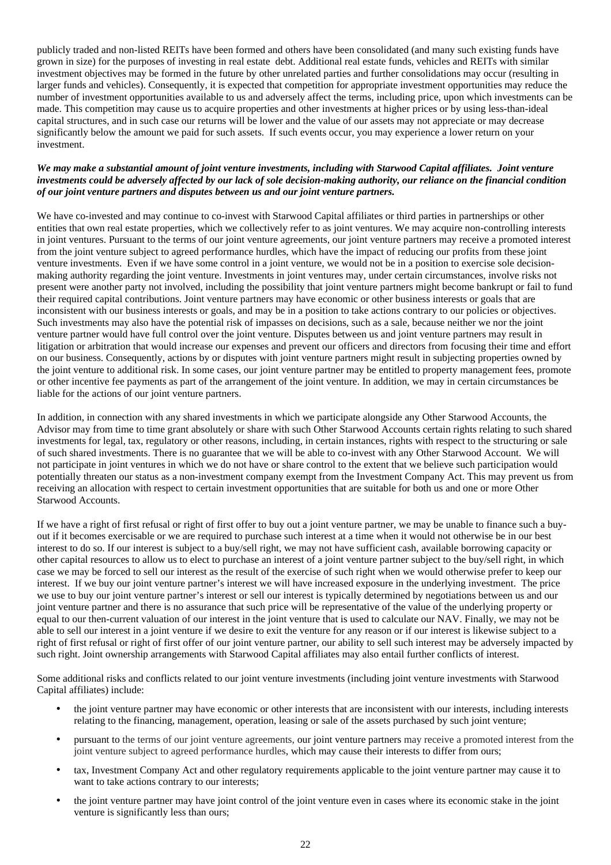publicly traded and non-listed REITs have been formed and others have been consolidated (and many such existing funds have grown in size) for the purposes of investing in real estate debt. Additional real estate funds, vehicles and REITs with similar investment objectives may be formed in the future by other unrelated parties and further consolidations may occur (resulting in larger funds and vehicles). Consequently, it is expected that competition for appropriate investment opportunities may reduce the number of investment opportunities available to us and adversely affect the terms, including price, upon which investments can be made. This competition may cause us to acquire properties and other investments at higher prices or by using less-than-ideal capital structures, and in such case our returns will be lower and the value of our assets may not appreciate or may decrease significantly below the amount we paid for such assets. If such events occur, you may experience a lower return on your investment.

# *We may make a substantial amount of joint venture investments, including with Starwood Capital affiliates. Joint venture investments could be adversely affected by our lack of sole decision-making authority, our reliance on the financial condition of our joint venture partners and disputes between us and our joint venture partners.*

We have co-invested and may continue to co-invest with Starwood Capital affiliates or third parties in partnerships or other entities that own real estate properties, which we collectively refer to as joint ventures. We may acquire non-controlling interests in joint ventures. Pursuant to the terms of our joint venture agreements, our joint venture partners may receive a promoted interest from the joint venture subject to agreed performance hurdles, which have the impact of reducing our profits from these joint venture investments. Even if we have some control in a joint venture, we would not be in a position to exercise sole decisionmaking authority regarding the joint venture. Investments in joint ventures may, under certain circumstances, involve risks not present were another party not involved, including the possibility that joint venture partners might become bankrupt or fail to fund their required capital contributions. Joint venture partners may have economic or other business interests or goals that are inconsistent with our business interests or goals, and may be in a position to take actions contrary to our policies or objectives. Such investments may also have the potential risk of impasses on decisions, such as a sale, because neither we nor the joint venture partner would have full control over the joint venture. Disputes between us and joint venture partners may result in litigation or arbitration that would increase our expenses and prevent our officers and directors from focusing their time and effort on our business. Consequently, actions by or disputes with joint venture partners might result in subjecting properties owned by the joint venture to additional risk. In some cases, our joint venture partner may be entitled to property management fees, promote or other incentive fee payments as part of the arrangement of the joint venture. In addition, we may in certain circumstances be liable for the actions of our joint venture partners.

In addition, in connection with any shared investments in which we participate alongside any Other Starwood Accounts, the Advisor may from time to time grant absolutely or share with such Other Starwood Accounts certain rights relating to such shared investments for legal, tax, regulatory or other reasons, including, in certain instances, rights with respect to the structuring or sale of such shared investments. There is no guarantee that we will be able to co-invest with any Other Starwood Account. We will not participate in joint ventures in which we do not have or share control to the extent that we believe such participation would potentially threaten our status as a non-investment company exempt from the Investment Company Act. This may prevent us from receiving an allocation with respect to certain investment opportunities that are suitable for both us and one or more Other Starwood Accounts.

If we have a right of first refusal or right of first offer to buy out a joint venture partner, we may be unable to finance such a buyout if it becomes exercisable or we are required to purchase such interest at a time when it would not otherwise be in our best interest to do so. If our interest is subject to a buy/sell right, we may not have sufficient cash, available borrowing capacity or other capital resources to allow us to elect to purchase an interest of a joint venture partner subject to the buy/sell right, in which case we may be forced to sell our interest as the result of the exercise of such right when we would otherwise prefer to keep our interest. If we buy our joint venture partner's interest we will have increased exposure in the underlying investment. The price we use to buy our joint venture partner's interest or sell our interest is typically determined by negotiations between us and our joint venture partner and there is no assurance that such price will be representative of the value of the underlying property or equal to our then-current valuation of our interest in the joint venture that is used to calculate our NAV. Finally, we may not be able to sell our interest in a joint venture if we desire to exit the venture for any reason or if our interest is likewise subject to a right of first refusal or right of first offer of our joint venture partner, our ability to sell such interest may be adversely impacted by such right. Joint ownership arrangements with Starwood Capital affiliates may also entail further conflicts of interest.

Some additional risks and conflicts related to our joint venture investments (including joint venture investments with Starwood Capital affiliates) include:

- the joint venture partner may have economic or other interests that are inconsistent with our interests, including interests relating to the financing, management, operation, leasing or sale of the assets purchased by such joint venture;
- pursuant to the terms of our joint venture agreements, our joint venture partners may receive a promoted interest from the joint venture subject to agreed performance hurdles, which may cause their interests to differ from ours;
- tax, Investment Company Act and other regulatory requirements applicable to the joint venture partner may cause it to want to take actions contrary to our interests:
- the joint venture partner may have joint control of the joint venture even in cases where its economic stake in the joint venture is significantly less than ours;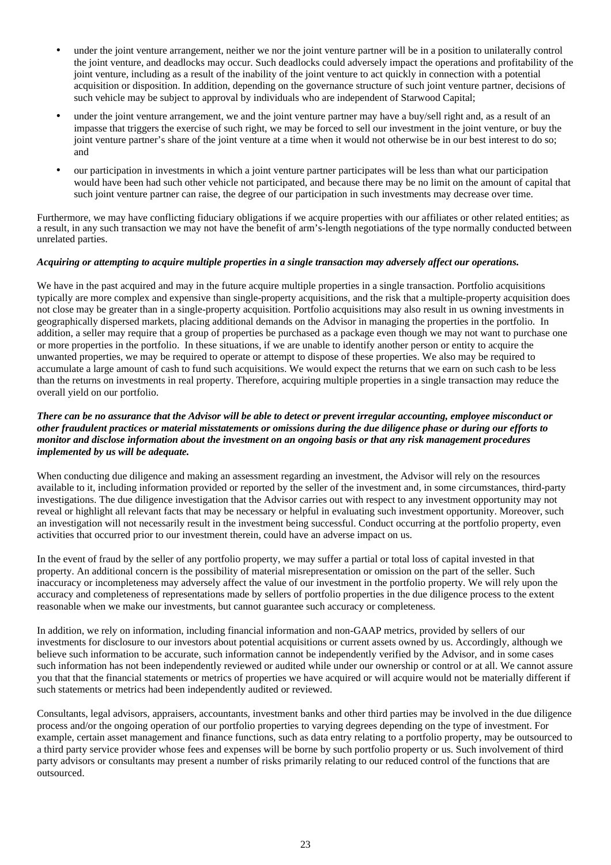- under the joint venture arrangement, neither we nor the joint venture partner will be in a position to unilaterally control the joint venture, and deadlocks may occur. Such deadlocks could adversely impact the operations and profitability of the joint venture, including as a result of the inability of the joint venture to act quickly in connection with a potential acquisition or disposition. In addition, depending on the governance structure of such joint venture partner, decisions of such vehicle may be subject to approval by individuals who are independent of Starwood Capital;
- under the joint venture arrangement, we and the joint venture partner may have a buy/sell right and, as a result of an impasse that triggers the exercise of such right, we may be forced to sell our investment in the joint venture, or buy the joint venture partner's share of the joint venture at a time when it would not otherwise be in our best interest to do so; and
- our participation in investments in which a joint venture partner participates will be less than what our participation would have been had such other vehicle not participated, and because there may be no limit on the amount of capital that such joint venture partner can raise, the degree of our participation in such investments may decrease over time.

Furthermore, we may have conflicting fiduciary obligations if we acquire properties with our affiliates or other related entities; as a result, in any such transaction we may not have the benefit of arm's-length negotiations of the type normally conducted between unrelated parties.

# *Acquiring or attempting to acquire multiple properties in a single transaction may adversely affect our operations.*

We have in the past acquired and may in the future acquire multiple properties in a single transaction. Portfolio acquisitions typically are more complex and expensive than single-property acquisitions, and the risk that a multiple-property acquisition does not close may be greater than in a single-property acquisition. Portfolio acquisitions may also result in us owning investments in geographically dispersed markets, placing additional demands on the Advisor in managing the properties in the portfolio. In addition, a seller may require that a group of properties be purchased as a package even though we may not want to purchase one or more properties in the portfolio. In these situations, if we are unable to identify another person or entity to acquire the unwanted properties, we may be required to operate or attempt to dispose of these properties. We also may be required to accumulate a large amount of cash to fund such acquisitions. We would expect the returns that we earn on such cash to be less than the returns on investments in real property. Therefore, acquiring multiple properties in a single transaction may reduce the overall yield on our portfolio.

# *There can be no assurance that the Advisor will be able to detect or prevent irregular accounting, employee misconduct or other fraudulent practices or material misstatements or omissions during the due diligence phase or during our efforts to monitor and disclose information about the investment on an ongoing basis or that any risk management procedures implemented by us will be adequate.*

When conducting due diligence and making an assessment regarding an investment, the Advisor will rely on the resources available to it, including information provided or reported by the seller of the investment and, in some circumstances, third-party investigations. The due diligence investigation that the Advisor carries out with respect to any investment opportunity may not reveal or highlight all relevant facts that may be necessary or helpful in evaluating such investment opportunity. Moreover, such an investigation will not necessarily result in the investment being successful. Conduct occurring at the portfolio property, even activities that occurred prior to our investment therein, could have an adverse impact on us.

In the event of fraud by the seller of any portfolio property, we may suffer a partial or total loss of capital invested in that property. An additional concern is the possibility of material misrepresentation or omission on the part of the seller. Such inaccuracy or incompleteness may adversely affect the value of our investment in the portfolio property. We will rely upon the accuracy and completeness of representations made by sellers of portfolio properties in the due diligence process to the extent reasonable when we make our investments, but cannot guarantee such accuracy or completeness.

In addition, we rely on information, including financial information and non-GAAP metrics, provided by sellers of our investments for disclosure to our investors about potential acquisitions or current assets owned by us. Accordingly, although we believe such information to be accurate, such information cannot be independently verified by the Advisor, and in some cases such information has not been independently reviewed or audited while under our ownership or control or at all. We cannot assure you that that the financial statements or metrics of properties we have acquired or will acquire would not be materially different if such statements or metrics had been independently audited or reviewed.

Consultants, legal advisors, appraisers, accountants, investment banks and other third parties may be involved in the due diligence process and/or the ongoing operation of our portfolio properties to varying degrees depending on the type of investment. For example, certain asset management and finance functions, such as data entry relating to a portfolio property, may be outsourced to a third party service provider whose fees and expenses will be borne by such portfolio property or us. Such involvement of third party advisors or consultants may present a number of risks primarily relating to our reduced control of the functions that are outsourced.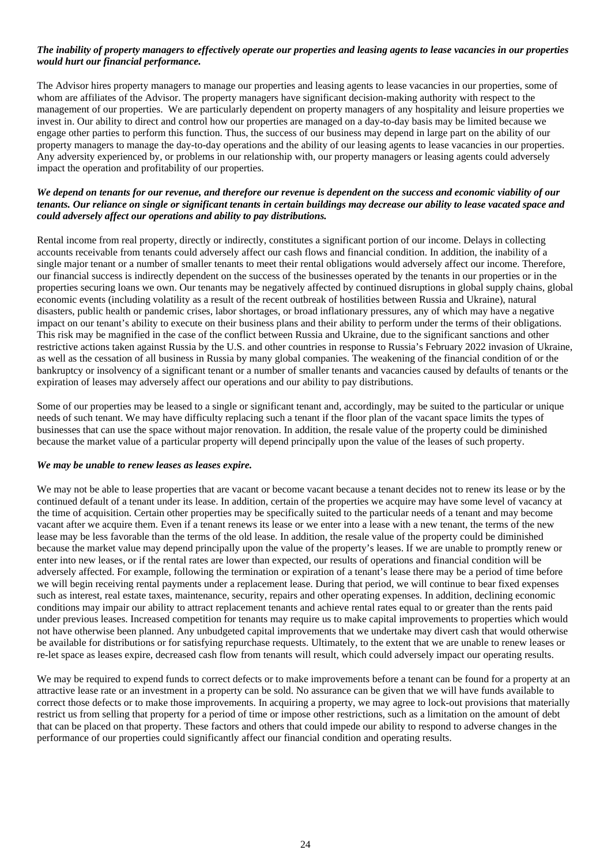# *The inability of property managers to effectively operate our properties and leasing agents to lease vacancies in our properties would hurt our financial performance.*

The Advisor hires property managers to manage our properties and leasing agents to lease vacancies in our properties, some of whom are affiliates of the Advisor. The property managers have significant decision-making authority with respect to the management of our properties. We are particularly dependent on property managers of any hospitality and leisure properties we invest in. Our ability to direct and control how our properties are managed on a day-to-day basis may be limited because we engage other parties to perform this function. Thus, the success of our business may depend in large part on the ability of our property managers to manage the day-to-day operations and the ability of our leasing agents to lease vacancies in our properties. Any adversity experienced by, or problems in our relationship with, our property managers or leasing agents could adversely impact the operation and profitability of our properties.

# *We depend on tenants for our revenue, and therefore our revenue is dependent on the success and economic viability of our tenants. Our reliance on single or significant tenants in certain buildings may decrease our ability to lease vacated space and could adversely affect our operations and ability to pay distributions.*

Rental income from real property, directly or indirectly, constitutes a significant portion of our income. Delays in collecting accounts receivable from tenants could adversely affect our cash flows and financial condition. In addition, the inability of a single major tenant or a number of smaller tenants to meet their rental obligations would adversely affect our income. Therefore, our financial success is indirectly dependent on the success of the businesses operated by the tenants in our properties or in the properties securing loans we own. Our tenants may be negatively affected by continued disruptions in global supply chains, global economic events (including volatility as a result of the recent outbreak of hostilities between Russia and Ukraine), natural disasters, public health or pandemic crises, labor shortages, or broad inflationary pressures, any of which may have a negative impact on our tenant's ability to execute on their business plans and their ability to perform under the terms of their obligations. This risk may be magnified in the case of the conflict between Russia and Ukraine, due to the significant sanctions and other restrictive actions taken against Russia by the U.S. and other countries in response to Russia's February 2022 invasion of Ukraine, as well as the cessation of all business in Russia by many global companies. The weakening of the financial condition of or the bankruptcy or insolvency of a significant tenant or a number of smaller tenants and vacancies caused by defaults of tenants or the expiration of leases may adversely affect our operations and our ability to pay distributions.

Some of our properties may be leased to a single or significant tenant and, accordingly, may be suited to the particular or unique needs of such tenant. We may have difficulty replacing such a tenant if the floor plan of the vacant space limits the types of businesses that can use the space without major renovation. In addition, the resale value of the property could be diminished because the market value of a particular property will depend principally upon the value of the leases of such property.

# *We may be unable to renew leases as leases expire.*

We may not be able to lease properties that are vacant or become vacant because a tenant decides not to renew its lease or by the continued default of a tenant under its lease. In addition, certain of the properties we acquire may have some level of vacancy at the time of acquisition. Certain other properties may be specifically suited to the particular needs of a tenant and may become vacant after we acquire them. Even if a tenant renews its lease or we enter into a lease with a new tenant, the terms of the new lease may be less favorable than the terms of the old lease. In addition, the resale value of the property could be diminished because the market value may depend principally upon the value of the property's leases. If we are unable to promptly renew or enter into new leases, or if the rental rates are lower than expected, our results of operations and financial condition will be adversely affected. For example, following the termination or expiration of a tenant's lease there may be a period of time before we will begin receiving rental payments under a replacement lease. During that period, we will continue to bear fixed expenses such as interest, real estate taxes, maintenance, security, repairs and other operating expenses. In addition, declining economic conditions may impair our ability to attract replacement tenants and achieve rental rates equal to or greater than the rents paid under previous leases. Increased competition for tenants may require us to make capital improvements to properties which would not have otherwise been planned. Any unbudgeted capital improvements that we undertake may divert cash that would otherwise be available for distributions or for satisfying repurchase requests. Ultimately, to the extent that we are unable to renew leases or re-let space as leases expire, decreased cash flow from tenants will result, which could adversely impact our operating results.

We may be required to expend funds to correct defects or to make improvements before a tenant can be found for a property at an attractive lease rate or an investment in a property can be sold. No assurance can be given that we will have funds available to correct those defects or to make those improvements. In acquiring a property, we may agree to lock-out provisions that materially restrict us from selling that property for a period of time or impose other restrictions, such as a limitation on the amount of debt that can be placed on that property. These factors and others that could impede our ability to respond to adverse changes in the performance of our properties could significantly affect our financial condition and operating results.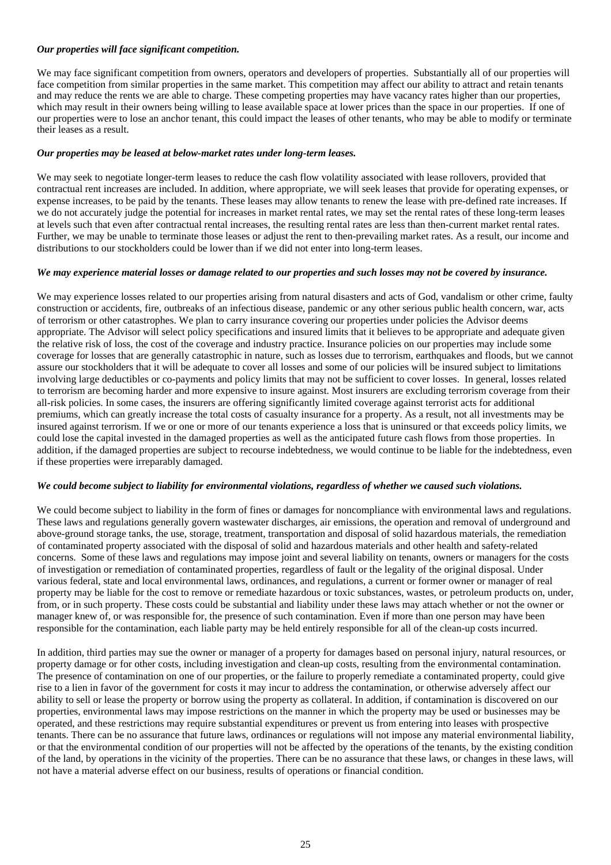# *Our properties will face significant competition.*

We may face significant competition from owners, operators and developers of properties. Substantially all of our properties will face competition from similar properties in the same market. This competition may affect our ability to attract and retain tenants and may reduce the rents we are able to charge. These competing properties may have vacancy rates higher than our properties, which may result in their owners being willing to lease available space at lower prices than the space in our properties. If one of our properties were to lose an anchor tenant, this could impact the leases of other tenants, who may be able to modify or terminate their leases as a result.

## *Our properties may be leased at below-market rates under long-term leases.*

We may seek to negotiate longer-term leases to reduce the cash flow volatility associated with lease rollovers, provided that contractual rent increases are included. In addition, where appropriate, we will seek leases that provide for operating expenses, or expense increases, to be paid by the tenants. These leases may allow tenants to renew the lease with pre-defined rate increases. If we do not accurately judge the potential for increases in market rental rates, we may set the rental rates of these long-term leases at levels such that even after contractual rental increases, the resulting rental rates are less than then-current market rental rates. Further, we may be unable to terminate those leases or adjust the rent to then-prevailing market rates. As a result, our income and distributions to our stockholders could be lower than if we did not enter into long-term leases.

#### *We may experience material losses or damage related to our properties and such losses may not be covered by insurance.*

We may experience losses related to our properties arising from natural disasters and acts of God, vandalism or other crime, faulty construction or accidents, fire, outbreaks of an infectious disease, pandemic or any other serious public health concern, war, acts of terrorism or other catastrophes. We plan to carry insurance covering our properties under policies the Advisor deems appropriate. The Advisor will select policy specifications and insured limits that it believes to be appropriate and adequate given the relative risk of loss, the cost of the coverage and industry practice. Insurance policies on our properties may include some coverage for losses that are generally catastrophic in nature, such as losses due to terrorism, earthquakes and floods, but we cannot assure our stockholders that it will be adequate to cover all losses and some of our policies will be insured subject to limitations involving large deductibles or co-payments and policy limits that may not be sufficient to cover losses. In general, losses related to terrorism are becoming harder and more expensive to insure against. Most insurers are excluding terrorism coverage from their all-risk policies. In some cases, the insurers are offering significantly limited coverage against terrorist acts for additional premiums, which can greatly increase the total costs of casualty insurance for a property. As a result, not all investments may be insured against terrorism. If we or one or more of our tenants experience a loss that is uninsured or that exceeds policy limits, we could lose the capital invested in the damaged properties as well as the anticipated future cash flows from those properties. In addition, if the damaged properties are subject to recourse indebtedness, we would continue to be liable for the indebtedness, even if these properties were irreparably damaged.

# *We could become subject to liability for environmental violations, regardless of whether we caused such violations.*

We could become subject to liability in the form of fines or damages for noncompliance with environmental laws and regulations. These laws and regulations generally govern wastewater discharges, air emissions, the operation and removal of underground and above-ground storage tanks, the use, storage, treatment, transportation and disposal of solid hazardous materials, the remediation of contaminated property associated with the disposal of solid and hazardous materials and other health and safety-related concerns. Some of these laws and regulations may impose joint and several liability on tenants, owners or managers for the costs of investigation or remediation of contaminated properties, regardless of fault or the legality of the original disposal. Under various federal, state and local environmental laws, ordinances, and regulations, a current or former owner or manager of real property may be liable for the cost to remove or remediate hazardous or toxic substances, wastes, or petroleum products on, under, from, or in such property. These costs could be substantial and liability under these laws may attach whether or not the owner or manager knew of, or was responsible for, the presence of such contamination. Even if more than one person may have been responsible for the contamination, each liable party may be held entirely responsible for all of the clean-up costs incurred.

In addition, third parties may sue the owner or manager of a property for damages based on personal injury, natural resources, or property damage or for other costs, including investigation and clean-up costs, resulting from the environmental contamination. The presence of contamination on one of our properties, or the failure to properly remediate a contaminated property, could give rise to a lien in favor of the government for costs it may incur to address the contamination, or otherwise adversely affect our ability to sell or lease the property or borrow using the property as collateral. In addition, if contamination is discovered on our properties, environmental laws may impose restrictions on the manner in which the property may be used or businesses may be operated, and these restrictions may require substantial expenditures or prevent us from entering into leases with prospective tenants. There can be no assurance that future laws, ordinances or regulations will not impose any material environmental liability, or that the environmental condition of our properties will not be affected by the operations of the tenants, by the existing condition of the land, by operations in the vicinity of the properties. There can be no assurance that these laws, or changes in these laws, will not have a material adverse effect on our business, results of operations or financial condition.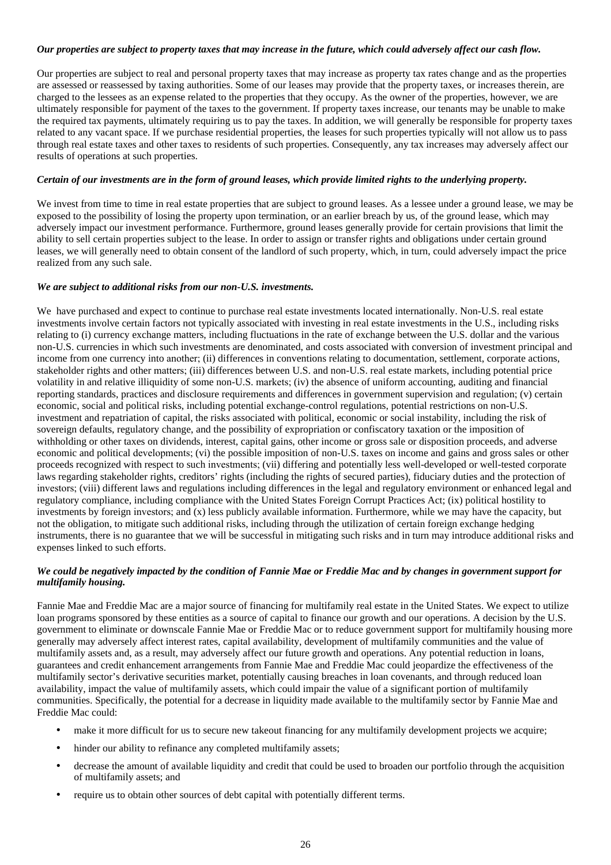# *Our properties are subject to property taxes that may increase in the future, which could adversely affect our cash flow.*

Our properties are subject to real and personal property taxes that may increase as property tax rates change and as the properties are assessed or reassessed by taxing authorities. Some of our leases may provide that the property taxes, or increases therein, are charged to the lessees as an expense related to the properties that they occupy. As the owner of the properties, however, we are ultimately responsible for payment of the taxes to the government. If property taxes increase, our tenants may be unable to make the required tax payments, ultimately requiring us to pay the taxes. In addition, we will generally be responsible for property taxes related to any vacant space. If we purchase residential properties, the leases for such properties typically will not allow us to pass through real estate taxes and other taxes to residents of such properties. Consequently, any tax increases may adversely affect our results of operations at such properties.

## *Certain of our investments are in the form of ground leases, which provide limited rights to the underlying property.*

We invest from time to time in real estate properties that are subject to ground leases. As a lessee under a ground lease, we may be exposed to the possibility of losing the property upon termination, or an earlier breach by us, of the ground lease, which may adversely impact our investment performance. Furthermore, ground leases generally provide for certain provisions that limit the ability to sell certain properties subject to the lease. In order to assign or transfer rights and obligations under certain ground leases, we will generally need to obtain consent of the landlord of such property, which, in turn, could adversely impact the price realized from any such sale.

#### *We are subject to additional risks from our non-U.S. investments.*

We have purchased and expect to continue to purchase real estate investments located internationally. Non-U.S. real estate investments involve certain factors not typically associated with investing in real estate investments in the U.S., including risks relating to (i) currency exchange matters, including fluctuations in the rate of exchange between the U.S. dollar and the various non-U.S. currencies in which such investments are denominated, and costs associated with conversion of investment principal and income from one currency into another; (ii) differences in conventions relating to documentation, settlement, corporate actions, stakeholder rights and other matters; (iii) differences between U.S. and non-U.S. real estate markets, including potential price volatility in and relative illiquidity of some non-U.S. markets; (iv) the absence of uniform accounting, auditing and financial reporting standards, practices and disclosure requirements and differences in government supervision and regulation; (v) certain economic, social and political risks, including potential exchange-control regulations, potential restrictions on non-U.S. investment and repatriation of capital, the risks associated with political, economic or social instability, including the risk of sovereign defaults, regulatory change, and the possibility of expropriation or confiscatory taxation or the imposition of withholding or other taxes on dividends, interest, capital gains, other income or gross sale or disposition proceeds, and adverse economic and political developments; (vi) the possible imposition of non-U.S. taxes on income and gains and gross sales or other proceeds recognized with respect to such investments; (vii) differing and potentially less well-developed or well-tested corporate laws regarding stakeholder rights, creditors' rights (including the rights of secured parties), fiduciary duties and the protection of investors; (viii) different laws and regulations including differences in the legal and regulatory environment or enhanced legal and regulatory compliance, including compliance with the United States Foreign Corrupt Practices Act; (ix) political hostility to investments by foreign investors; and (x) less publicly available information. Furthermore, while we may have the capacity, but not the obligation, to mitigate such additional risks, including through the utilization of certain foreign exchange hedging instruments, there is no guarantee that we will be successful in mitigating such risks and in turn may introduce additional risks and expenses linked to such efforts.

### *We could be negatively impacted by the condition of Fannie Mae or Freddie Mac and by changes in government support for multifamily housing.*

Fannie Mae and Freddie Mac are a major source of financing for multifamily real estate in the United States. We expect to utilize loan programs sponsored by these entities as a source of capital to finance our growth and our operations. A decision by the U.S. government to eliminate or downscale Fannie Mae or Freddie Mac or to reduce government support for multifamily housing more generally may adversely affect interest rates, capital availability, development of multifamily communities and the value of multifamily assets and, as a result, may adversely affect our future growth and operations. Any potential reduction in loans, guarantees and credit enhancement arrangements from Fannie Mae and Freddie Mac could jeopardize the effectiveness of the multifamily sector's derivative securities market, potentially causing breaches in loan covenants, and through reduced loan availability, impact the value of multifamily assets, which could impair the value of a significant portion of multifamily communities. Specifically, the potential for a decrease in liquidity made available to the multifamily sector by Fannie Mae and Freddie Mac could:

- make it more difficult for us to secure new takeout financing for any multifamily development projects we acquire;
- hinder our ability to refinance any completed multifamily assets;
- decrease the amount of available liquidity and credit that could be used to broaden our portfolio through the acquisition of multifamily assets; and
- require us to obtain other sources of debt capital with potentially different terms.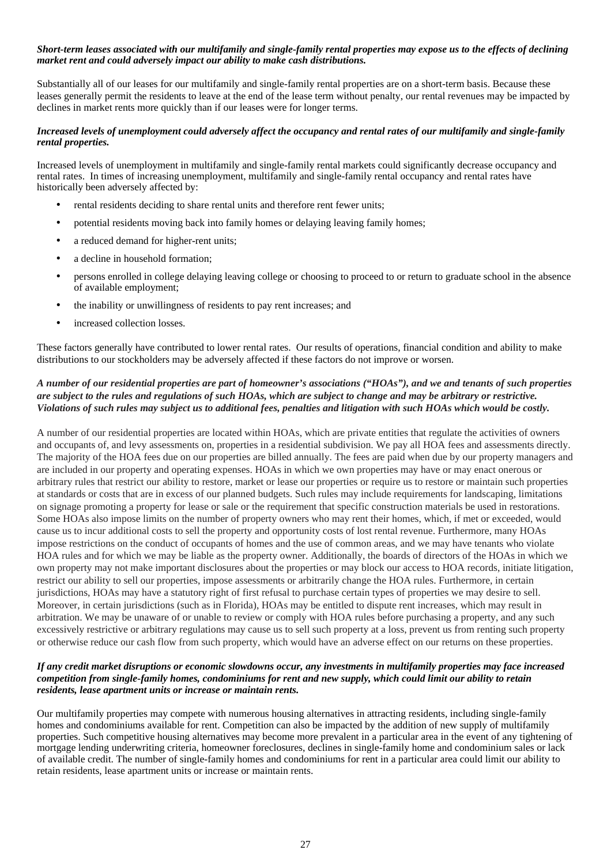## *Short-term leases associated with our multifamily and single-family rental properties may expose us to the effects of declining market rent and could adversely impact our ability to make cash distributions.*

Substantially all of our leases for our multifamily and single-family rental properties are on a short-term basis. Because these leases generally permit the residents to leave at the end of the lease term without penalty, our rental revenues may be impacted by declines in market rents more quickly than if our leases were for longer terms.

# *Increased levels of unemployment could adversely affect the occupancy and rental rates of our multifamily and single-family rental properties.*

Increased levels of unemployment in multifamily and single-family rental markets could significantly decrease occupancy and rental rates. In times of increasing unemployment, multifamily and single-family rental occupancy and rental rates have historically been adversely affected by:

- rental residents deciding to share rental units and therefore rent fewer units;
- potential residents moving back into family homes or delaying leaving family homes;
- a reduced demand for higher-rent units;
- a decline in household formation;
- persons enrolled in college delaying leaving college or choosing to proceed to or return to graduate school in the absence of available employment;
- the inability or unwillingness of residents to pay rent increases; and
- increased collection losses.

These factors generally have contributed to lower rental rates. Our results of operations, financial condition and ability to make distributions to our stockholders may be adversely affected if these factors do not improve or worsen.

# *A number of our residential properties are part of homeowner's associations ("HOAs"), and we and tenants of such properties are subject to the rules and regulations of such HOAs, which are subject to change and may be arbitrary or restrictive. Violations of such rules may subject us to additional fees, penalties and litigation with such HOAs which would be costly.*

A number of our residential properties are located within HOAs, which are private entities that regulate the activities of owners and occupants of, and levy assessments on, properties in a residential subdivision. We pay all HOA fees and assessments directly. The majority of the HOA fees due on our properties are billed annually. The fees are paid when due by our property managers and are included in our property and operating expenses. HOAs in which we own properties may have or may enact onerous or arbitrary rules that restrict our ability to restore, market or lease our properties or require us to restore or maintain such properties at standards or costs that are in excess of our planned budgets. Such rules may include requirements for landscaping, limitations on signage promoting a property for lease or sale or the requirement that specific construction materials be used in restorations. Some HOAs also impose limits on the number of property owners who may rent their homes, which, if met or exceeded, would cause us to incur additional costs to sell the property and opportunity costs of lost rental revenue. Furthermore, many HOAs impose restrictions on the conduct of occupants of homes and the use of common areas, and we may have tenants who violate HOA rules and for which we may be liable as the property owner. Additionally, the boards of directors of the HOAs in which we own property may not make important disclosures about the properties or may block our access to HOA records, initiate litigation, restrict our ability to sell our properties, impose assessments or arbitrarily change the HOA rules. Furthermore, in certain jurisdictions, HOAs may have a statutory right of first refusal to purchase certain types of properties we may desire to sell. Moreover, in certain jurisdictions (such as in Florida), HOAs may be entitled to dispute rent increases, which may result in arbitration. We may be unaware of or unable to review or comply with HOA rules before purchasing a property, and any such excessively restrictive or arbitrary regulations may cause us to sell such property at a loss, prevent us from renting such property or otherwise reduce our cash flow from such property, which would have an adverse effect on our returns on these properties.

## *If any credit market disruptions or economic slowdowns occur, any investments in multifamily properties may face increased competition from single-family homes, condominiums for rent and new supply, which could limit our ability to retain residents, lease apartment units or increase or maintain rents.*

Our multifamily properties may compete with numerous housing alternatives in attracting residents, including single-family homes and condominiums available for rent. Competition can also be impacted by the addition of new supply of multifamily properties. Such competitive housing alternatives may become more prevalent in a particular area in the event of any tightening of mortgage lending underwriting criteria, homeowner foreclosures, declines in single-family home and condominium sales or lack of available credit. The number of single-family homes and condominiums for rent in a particular area could limit our ability to retain residents, lease apartment units or increase or maintain rents.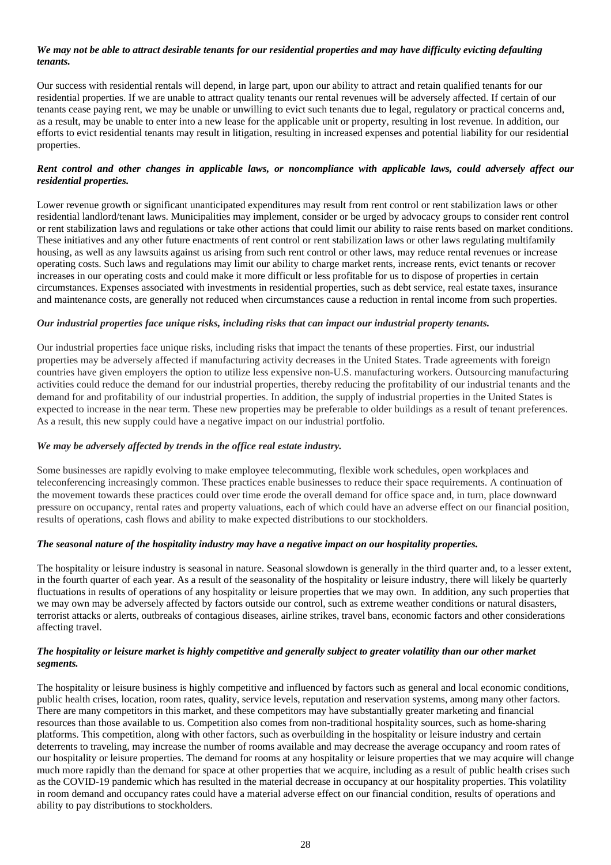# *We may not be able to attract desirable tenants for our residential properties and may have difficulty evicting defaulting tenants.*

Our success with residential rentals will depend, in large part, upon our ability to attract and retain qualified tenants for our residential properties. If we are unable to attract quality tenants our rental revenues will be adversely affected. If certain of our tenants cease paying rent, we may be unable or unwilling to evict such tenants due to legal, regulatory or practical concerns and, as a result, may be unable to enter into a new lease for the applicable unit or property, resulting in lost revenue. In addition, our efforts to evict residential tenants may result in litigation, resulting in increased expenses and potential liability for our residential properties.

# *Rent control and other changes in applicable laws, or noncompliance with applicable laws, could adversely affect our residential properties.*

Lower revenue growth or significant unanticipated expenditures may result from rent control or rent stabilization laws or other residential landlord/tenant laws. Municipalities may implement, consider or be urged by advocacy groups to consider rent control or rent stabilization laws and regulations or take other actions that could limit our ability to raise rents based on market conditions. These initiatives and any other future enactments of rent control or rent stabilization laws or other laws regulating multifamily housing, as well as any lawsuits against us arising from such rent control or other laws, may reduce rental revenues or increase operating costs. Such laws and regulations may limit our ability to charge market rents, increase rents, evict tenants or recover increases in our operating costs and could make it more difficult or less profitable for us to dispose of properties in certain circumstances. Expenses associated with investments in residential properties, such as debt service, real estate taxes, insurance and maintenance costs, are generally not reduced when circumstances cause a reduction in rental income from such properties.

# *Our industrial properties face unique risks, including risks that can impact our industrial property tenants.*

Our industrial properties face unique risks, including risks that impact the tenants of these properties. First, our industrial properties may be adversely affected if manufacturing activity decreases in the United States. Trade agreements with foreign countries have given employers the option to utilize less expensive non-U.S. manufacturing workers. Outsourcing manufacturing activities could reduce the demand for our industrial properties, thereby reducing the profitability of our industrial tenants and the demand for and profitability of our industrial properties. In addition, the supply of industrial properties in the United States is expected to increase in the near term. These new properties may be preferable to older buildings as a result of tenant preferences. As a result, this new supply could have a negative impact on our industrial portfolio.

# *We may be adversely affected by trends in the office real estate industry.*

Some businesses are rapidly evolving to make employee telecommuting, flexible work schedules, open workplaces and teleconferencing increasingly common. These practices enable businesses to reduce their space requirements. A continuation of the movement towards these practices could over time erode the overall demand for office space and, in turn, place downward pressure on occupancy, rental rates and property valuations, each of which could have an adverse effect on our financial position, results of operations, cash flows and ability to make expected distributions to our stockholders.

# *The seasonal nature of the hospitality industry may have a negative impact on our hospitality properties.*

The hospitality or leisure industry is seasonal in nature. Seasonal slowdown is generally in the third quarter and, to a lesser extent, in the fourth quarter of each year. As a result of the seasonality of the hospitality or leisure industry, there will likely be quarterly fluctuations in results of operations of any hospitality or leisure properties that we may own. In addition, any such properties that we may own may be adversely affected by factors outside our control, such as extreme weather conditions or natural disasters, terrorist attacks or alerts, outbreaks of contagious diseases, airline strikes, travel bans, economic factors and other considerations affecting travel.

# *The hospitality or leisure market is highly competitive and generally subject to greater volatility than our other market segments.*

The hospitality or leisure business is highly competitive and influenced by factors such as general and local economic conditions, public health crises, location, room rates, quality, service levels, reputation and reservation systems, among many other factors. There are many competitors in this market, and these competitors may have substantially greater marketing and financial resources than those available to us. Competition also comes from non-traditional hospitality sources, such as home-sharing platforms. This competition, along with other factors, such as overbuilding in the hospitality or leisure industry and certain deterrents to traveling, may increase the number of rooms available and may decrease the average occupancy and room rates of our hospitality or leisure properties. The demand for rooms at any hospitality or leisure properties that we may acquire will change much more rapidly than the demand for space at other properties that we acquire, including as a result of public health crises such as the COVID-19 pandemic which has resulted in the material decrease in occupancy at our hospitality properties. This volatility in room demand and occupancy rates could have a material adverse effect on our financial condition, results of operations and ability to pay distributions to stockholders.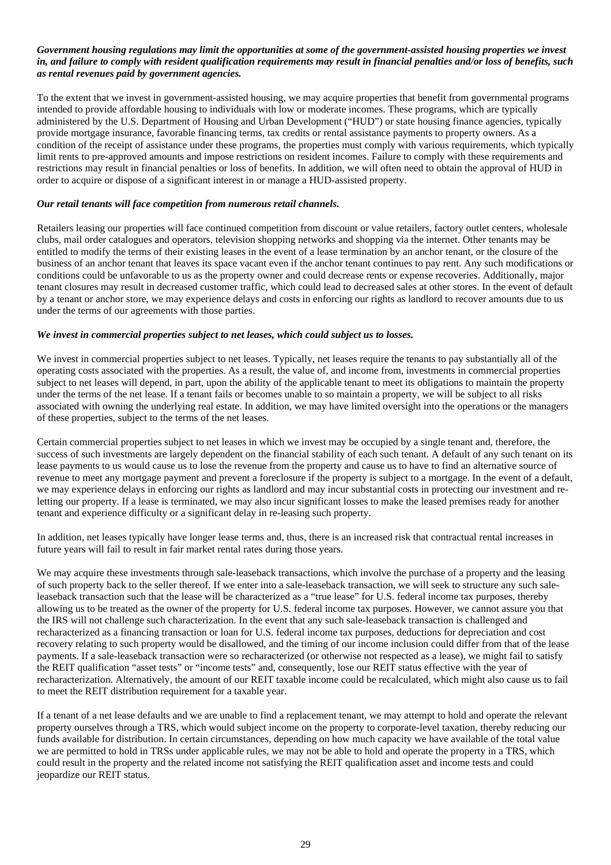# *Government housing regulations may limit the opportunities at some of the government-assisted housing properties we invest in, and failure to comply with resident qualification requirements may result in financial penalties and/or loss of benefits, such as rental revenues paid by government agencies.*

To the extent that we invest in government-assisted housing, we may acquire properties that benefit from governmental programs intended to provide affordable housing to individuals with low or moderate incomes. These programs, which are typically administered by the U.S. Department of Housing and Urban Development ("HUD") or state housing finance agencies, typically provide mortgage insurance, favorable financing terms, tax credits or rental assistance payments to property owners. As a condition of the receipt of assistance under these programs, the properties must comply with various requirements, which typically limit rents to pre-approved amounts and impose restrictions on resident incomes. Failure to comply with these requirements and restrictions may result in financial penalties or loss of benefits. In addition, we will often need to obtain the approval of HUD in order to acquire or dispose of a significant interest in or manage a HUD-assisted property.

#### *Our retail tenants will face competition from numerous retail channels.*

Retailers leasing our properties will face continued competition from discount or value retailers, factory outlet centers, wholesale clubs, mail order catalogues and operators, television shopping networks and shopping via the internet. Other tenants may be entitled to modify the terms of their existing leases in the event of a lease termination by an anchor tenant, or the closure of the business of an anchor tenant that leaves its space vacant even if the anchor tenant continues to pay rent. Any such modifications or conditions could be unfavorable to us as the property owner and could decrease rents or expense recoveries. Additionally, major tenant closures may result in decreased customer traffic, which could lead to decreased sales at other stores. In the event of default by a tenant or anchor store, we may experience delays and costs in enforcing our rights as landlord to recover amounts due to us under the terms of our agreements with those parties.

# *We invest in commercial properties subject to net leases, which could subject us to losses.*

We invest in commercial properties subject to net leases. Typically, net leases require the tenants to pay substantially all of the operating costs associated with the properties. As a result, the value of, and income from, investments in commercial properties subject to net leases will depend, in part, upon the ability of the applicable tenant to meet its obligations to maintain the property under the terms of the net lease. If a tenant fails or becomes unable to so maintain a property, we will be subject to all risks associated with owning the underlying real estate. In addition, we may have limited oversight into the operations or the managers of these properties, subject to the terms of the net leases.

Certain commercial properties subject to net leases in which we invest may be occupied by a single tenant and, therefore, the success of such investments are largely dependent on the financial stability of each such tenant. A default of any such tenant on its lease payments to us would cause us to lose the revenue from the property and cause us to have to find an alternative source of revenue to meet any mortgage payment and prevent a foreclosure if the property is subject to a mortgage. In the event of a default, we may experience delays in enforcing our rights as landlord and may incur substantial costs in protecting our investment and reletting our property. If a lease is terminated, we may also incur significant losses to make the leased premises ready for another tenant and experience difficulty or a significant delay in re-leasing such property.

In addition, net leases typically have longer lease terms and, thus, there is an increased risk that contractual rental increases in future years will fail to result in fair market rental rates during those years.

We may acquire these investments through sale-leaseback transactions, which involve the purchase of a property and the leasing of such property back to the seller thereof. If we enter into a sale-leaseback transaction, we will seek to structure any such saleleaseback transaction such that the lease will be characterized as a "true lease" for U.S. federal income tax purposes, thereby allowing us to be treated as the owner of the property for U.S. federal income tax purposes. However, we cannot assure you that the IRS will not challenge such characterization. In the event that any such sale-leaseback transaction is challenged and recharacterized as a financing transaction or loan for U.S. federal income tax purposes, deductions for depreciation and cost recovery relating to such property would be disallowed, and the timing of our income inclusion could differ from that of the lease payments. If a sale-leaseback transaction were so recharacterized (or otherwise not respected as a lease), we might fail to satisfy the REIT qualification "asset tests" or "income tests" and, consequently, lose our REIT status effective with the year of recharacterization. Alternatively, the amount of our REIT taxable income could be recalculated, which might also cause us to fail to meet the REIT distribution requirement for a taxable year.

If a tenant of a net lease defaults and we are unable to find a replacement tenant, we may attempt to hold and operate the relevant property ourselves through a TRS, which would subject income on the property to corporate-level taxation, thereby reducing our funds available for distribution. In certain circumstances, depending on how much capacity we have available of the total value we are permitted to hold in TRSs under applicable rules, we may not be able to hold and operate the property in a TRS, which could result in the property and the related income not satisfying the REIT qualification asset and income tests and could jeopardize our REIT status.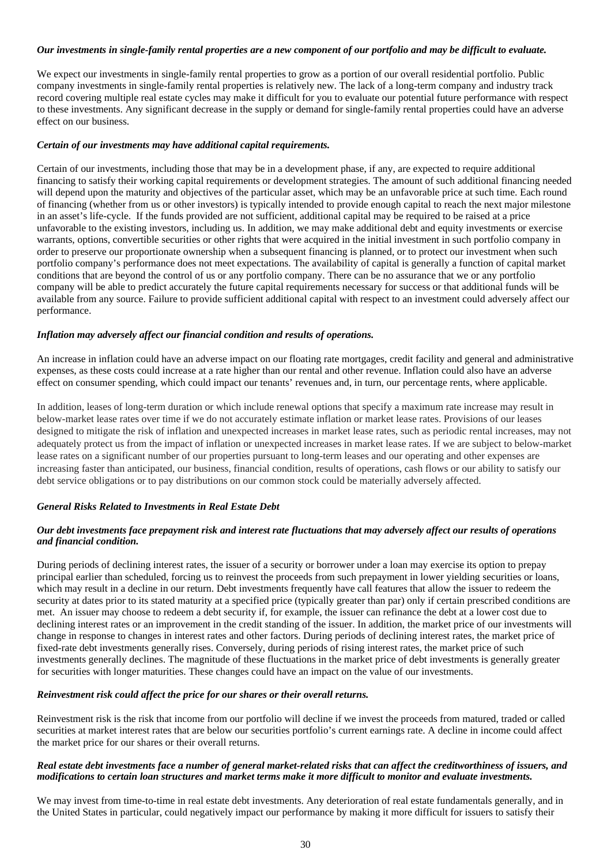## *Our investments in single-family rental properties are a new component of our portfolio and may be difficult to evaluate.*

We expect our investments in single-family rental properties to grow as a portion of our overall residential portfolio. Public company investments in single-family rental properties is relatively new. The lack of a long-term company and industry track record covering multiple real estate cycles may make it difficult for you to evaluate our potential future performance with respect to these investments. Any significant decrease in the supply or demand for single-family rental properties could have an adverse effect on our business.

#### *Certain of our investments may have additional capital requirements.*

Certain of our investments, including those that may be in a development phase, if any, are expected to require additional financing to satisfy their working capital requirements or development strategies. The amount of such additional financing needed will depend upon the maturity and objectives of the particular asset, which may be an unfavorable price at such time. Each round of financing (whether from us or other investors) is typically intended to provide enough capital to reach the next major milestone in an asset's life-cycle. If the funds provided are not sufficient, additional capital may be required to be raised at a price unfavorable to the existing investors, including us. In addition, we may make additional debt and equity investments or exercise warrants, options, convertible securities or other rights that were acquired in the initial investment in such portfolio company in order to preserve our proportionate ownership when a subsequent financing is planned, or to protect our investment when such portfolio company's performance does not meet expectations. The availability of capital is generally a function of capital market conditions that are beyond the control of us or any portfolio company. There can be no assurance that we or any portfolio company will be able to predict accurately the future capital requirements necessary for success or that additional funds will be available from any source. Failure to provide sufficient additional capital with respect to an investment could adversely affect our performance.

## *Inflation may adversely affect our financial condition and results of operations.*

An increase in inflation could have an adverse impact on our floating rate mortgages, credit facility and general and administrative expenses, as these costs could increase at a rate higher than our rental and other revenue. Inflation could also have an adverse effect on consumer spending, which could impact our tenants' revenues and, in turn, our percentage rents, where applicable.

In addition, leases of long-term duration or which include renewal options that specify a maximum rate increase may result in below-market lease rates over time if we do not accurately estimate inflation or market lease rates. Provisions of our leases designed to mitigate the risk of inflation and unexpected increases in market lease rates, such as periodic rental increases, may not adequately protect us from the impact of inflation or unexpected increases in market lease rates. If we are subject to below-market lease rates on a significant number of our properties pursuant to long-term leases and our operating and other expenses are increasing faster than anticipated, our business, financial condition, results of operations, cash flows or our ability to satisfy our debt service obligations or to pay distributions on our common stock could be materially adversely affected.

#### *General Risks Related to Investments in Real Estate Debt*

#### *Our debt investments face prepayment risk and interest rate fluctuations that may adversely affect our results of operations and financial condition.*

During periods of declining interest rates, the issuer of a security or borrower under a loan may exercise its option to prepay principal earlier than scheduled, forcing us to reinvest the proceeds from such prepayment in lower yielding securities or loans, which may result in a decline in our return. Debt investments frequently have call features that allow the issuer to redeem the security at dates prior to its stated maturity at a specified price (typically greater than par) only if certain prescribed conditions are met. An issuer may choose to redeem a debt security if, for example, the issuer can refinance the debt at a lower cost due to declining interest rates or an improvement in the credit standing of the issuer. In addition, the market price of our investments will change in response to changes in interest rates and other factors. During periods of declining interest rates, the market price of fixed-rate debt investments generally rises. Conversely, during periods of rising interest rates, the market price of such investments generally declines. The magnitude of these fluctuations in the market price of debt investments is generally greater for securities with longer maturities. These changes could have an impact on the value of our investments.

#### *Reinvestment risk could affect the price for our shares or their overall returns.*

Reinvestment risk is the risk that income from our portfolio will decline if we invest the proceeds from matured, traded or called securities at market interest rates that are below our securities portfolio's current earnings rate. A decline in income could affect the market price for our shares or their overall returns.

## *Real estate debt investments face a number of general market-related risks that can affect the creditworthiness of issuers, and modifications to certain loan structures and market terms make it more difficult to monitor and evaluate investments.*

We may invest from time-to-time in real estate debt investments. Any deterioration of real estate fundamentals generally, and in the United States in particular, could negatively impact our performance by making it more difficult for issuers to satisfy their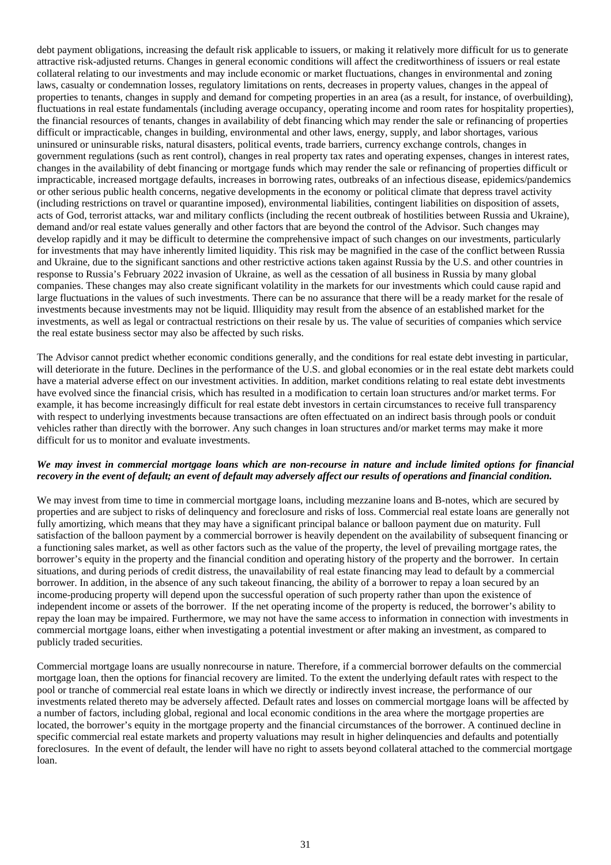debt payment obligations, increasing the default risk applicable to issuers, or making it relatively more difficult for us to generate attractive risk-adjusted returns. Changes in general economic conditions will affect the creditworthiness of issuers or real estate collateral relating to our investments and may include economic or market fluctuations, changes in environmental and zoning laws, casualty or condemnation losses, regulatory limitations on rents, decreases in property values, changes in the appeal of properties to tenants, changes in supply and demand for competing properties in an area (as a result, for instance, of overbuilding), fluctuations in real estate fundamentals (including average occupancy, operating income and room rates for hospitality properties), the financial resources of tenants, changes in availability of debt financing which may render the sale or refinancing of properties difficult or impracticable, changes in building, environmental and other laws, energy, supply, and labor shortages, various uninsured or uninsurable risks, natural disasters, political events, trade barriers, currency exchange controls, changes in government regulations (such as rent control), changes in real property tax rates and operating expenses, changes in interest rates, changes in the availability of debt financing or mortgage funds which may render the sale or refinancing of properties difficult or impracticable, increased mortgage defaults, increases in borrowing rates, outbreaks of an infectious disease, epidemics/pandemics or other serious public health concerns, negative developments in the economy or political climate that depress travel activity (including restrictions on travel or quarantine imposed), environmental liabilities, contingent liabilities on disposition of assets, acts of God, terrorist attacks, war and military conflicts (including the recent outbreak of hostilities between Russia and Ukraine), demand and/or real estate values generally and other factors that are beyond the control of the Advisor. Such changes may develop rapidly and it may be difficult to determine the comprehensive impact of such changes on our investments, particularly for investments that may have inherently limited liquidity. This risk may be magnified in the case of the conflict between Russia and Ukraine, due to the significant sanctions and other restrictive actions taken against Russia by the U.S. and other countries in response to Russia's February 2022 invasion of Ukraine, as well as the cessation of all business in Russia by many global companies. These changes may also create significant volatility in the markets for our investments which could cause rapid and large fluctuations in the values of such investments. There can be no assurance that there will be a ready market for the resale of investments because investments may not be liquid. Illiquidity may result from the absence of an established market for the investments, as well as legal or contractual restrictions on their resale by us. The value of securities of companies which service the real estate business sector may also be affected by such risks.

The Advisor cannot predict whether economic conditions generally, and the conditions for real estate debt investing in particular, will deteriorate in the future. Declines in the performance of the U.S. and global economies or in the real estate debt markets could have a material adverse effect on our investment activities. In addition, market conditions relating to real estate debt investments have evolved since the financial crisis, which has resulted in a modification to certain loan structures and/or market terms. For example, it has become increasingly difficult for real estate debt investors in certain circumstances to receive full transparency with respect to underlying investments because transactions are often effectuated on an indirect basis through pools or conduit vehicles rather than directly with the borrower. Any such changes in loan structures and/or market terms may make it more difficult for us to monitor and evaluate investments.

# *We may invest in commercial mortgage loans which are non-recourse in nature and include limited options for financial recovery in the event of default; an event of default may adversely affect our results of operations and financial condition.*

We may invest from time to time in commercial mortgage loans, including mezzanine loans and B-notes, which are secured by properties and are subject to risks of delinquency and foreclosure and risks of loss. Commercial real estate loans are generally not fully amortizing, which means that they may have a significant principal balance or balloon payment due on maturity. Full satisfaction of the balloon payment by a commercial borrower is heavily dependent on the availability of subsequent financing or a functioning sales market, as well as other factors such as the value of the property, the level of prevailing mortgage rates, the borrower's equity in the property and the financial condition and operating history of the property and the borrower. In certain situations, and during periods of credit distress, the unavailability of real estate financing may lead to default by a commercial borrower. In addition, in the absence of any such takeout financing, the ability of a borrower to repay a loan secured by an income-producing property will depend upon the successful operation of such property rather than upon the existence of independent income or assets of the borrower. If the net operating income of the property is reduced, the borrower's ability to repay the loan may be impaired. Furthermore, we may not have the same access to information in connection with investments in commercial mortgage loans, either when investigating a potential investment or after making an investment, as compared to publicly traded securities.

Commercial mortgage loans are usually nonrecourse in nature. Therefore, if a commercial borrower defaults on the commercial mortgage loan, then the options for financial recovery are limited. To the extent the underlying default rates with respect to the pool or tranche of commercial real estate loans in which we directly or indirectly invest increase, the performance of our investments related thereto may be adversely affected. Default rates and losses on commercial mortgage loans will be affected by a number of factors, including global, regional and local economic conditions in the area where the mortgage properties are located, the borrower's equity in the mortgage property and the financial circumstances of the borrower. A continued decline in specific commercial real estate markets and property valuations may result in higher delinquencies and defaults and potentially foreclosures. In the event of default, the lender will have no right to assets beyond collateral attached to the commercial mortgage loan.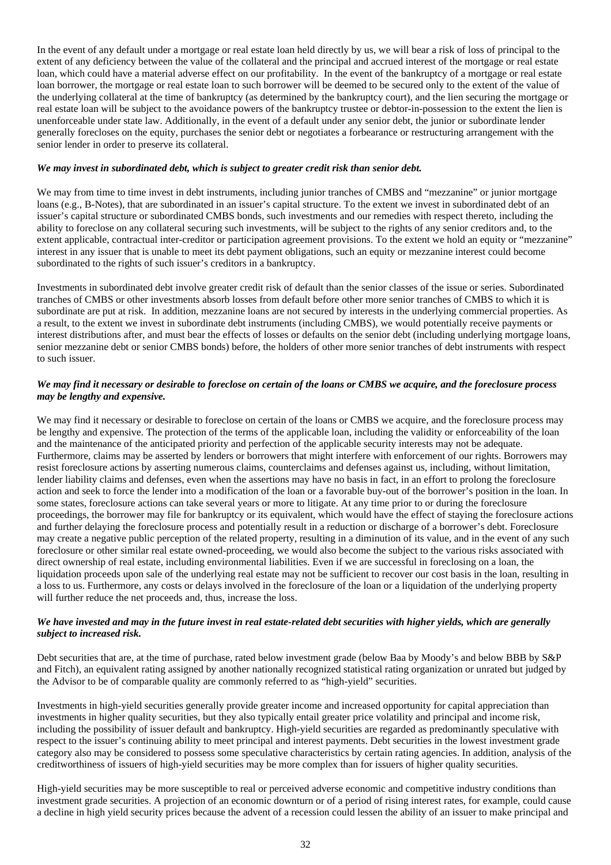In the event of any default under a mortgage or real estate loan held directly by us, we will bear a risk of loss of principal to the extent of any deficiency between the value of the collateral and the principal and accrued interest of the mortgage or real estate loan, which could have a material adverse effect on our profitability. In the event of the bankruptcy of a mortgage or real estate loan borrower, the mortgage or real estate loan to such borrower will be deemed to be secured only to the extent of the value of the underlying collateral at the time of bankruptcy (as determined by the bankruptcy court), and the lien securing the mortgage or real estate loan will be subject to the avoidance powers of the bankruptcy trustee or debtor-in-possession to the extent the lien is unenforceable under state law. Additionally, in the event of a default under any senior debt, the junior or subordinate lender generally forecloses on the equity, purchases the senior debt or negotiates a forbearance or restructuring arrangement with the senior lender in order to preserve its collateral.

# *We may invest in subordinated debt, which is subject to greater credit risk than senior debt.*

We may from time to time invest in debt instruments, including junior tranches of CMBS and "mezzanine" or junior mortgage loans (e.g., B-Notes), that are subordinated in an issuer's capital structure. To the extent we invest in subordinated debt of an issuer's capital structure or subordinated CMBS bonds, such investments and our remedies with respect thereto, including the ability to foreclose on any collateral securing such investments, will be subject to the rights of any senior creditors and, to the extent applicable, contractual inter-creditor or participation agreement provisions. To the extent we hold an equity or "mezzanine" interest in any issuer that is unable to meet its debt payment obligations, such an equity or mezzanine interest could become subordinated to the rights of such issuer's creditors in a bankruptcy.

Investments in subordinated debt involve greater credit risk of default than the senior classes of the issue or series. Subordinated tranches of CMBS or other investments absorb losses from default before other more senior tranches of CMBS to which it is subordinate are put at risk. In addition, mezzanine loans are not secured by interests in the underlying commercial properties. As a result, to the extent we invest in subordinate debt instruments (including CMBS), we would potentially receive payments or interest distributions after, and must bear the effects of losses or defaults on the senior debt (including underlying mortgage loans, senior mezzanine debt or senior CMBS bonds) before, the holders of other more senior tranches of debt instruments with respect to such issuer.

# *We may find it necessary or desirable to foreclose on certain of the loans or CMBS we acquire, and the foreclosure process may be lengthy and expensive.*

We may find it necessary or desirable to foreclose on certain of the loans or CMBS we acquire, and the foreclosure process may be lengthy and expensive. The protection of the terms of the applicable loan, including the validity or enforceability of the loan and the maintenance of the anticipated priority and perfection of the applicable security interests may not be adequate. Furthermore, claims may be asserted by lenders or borrowers that might interfere with enforcement of our rights. Borrowers may resist foreclosure actions by asserting numerous claims, counterclaims and defenses against us, including, without limitation, lender liability claims and defenses, even when the assertions may have no basis in fact, in an effort to prolong the foreclosure action and seek to force the lender into a modification of the loan or a favorable buy-out of the borrower's position in the loan. In some states, foreclosure actions can take several years or more to litigate. At any time prior to or during the foreclosure proceedings, the borrower may file for bankruptcy or its equivalent, which would have the effect of staying the foreclosure actions and further delaying the foreclosure process and potentially result in a reduction or discharge of a borrower's debt. Foreclosure may create a negative public perception of the related property, resulting in a diminution of its value, and in the event of any such foreclosure or other similar real estate owned-proceeding, we would also become the subject to the various risks associated with direct ownership of real estate, including environmental liabilities. Even if we are successful in foreclosing on a loan, the liquidation proceeds upon sale of the underlying real estate may not be sufficient to recover our cost basis in the loan, resulting in a loss to us. Furthermore, any costs or delays involved in the foreclosure of the loan or a liquidation of the underlying property will further reduce the net proceeds and, thus, increase the loss.

#### *We have invested and may in the future invest in real estate-related debt securities with higher yields, which are generally subject to increased risk.*

Debt securities that are, at the time of purchase, rated below investment grade (below Baa by Moody's and below BBB by S&P and Fitch), an equivalent rating assigned by another nationally recognized statistical rating organization or unrated but judged by the Advisor to be of comparable quality are commonly referred to as "high-yield" securities.

Investments in high-yield securities generally provide greater income and increased opportunity for capital appreciation than investments in higher quality securities, but they also typically entail greater price volatility and principal and income risk, including the possibility of issuer default and bankruptcy. High-yield securities are regarded as predominantly speculative with respect to the issuer's continuing ability to meet principal and interest payments. Debt securities in the lowest investment grade category also may be considered to possess some speculative characteristics by certain rating agencies. In addition, analysis of the creditworthiness of issuers of high-yield securities may be more complex than for issuers of higher quality securities.

High-yield securities may be more susceptible to real or perceived adverse economic and competitive industry conditions than investment grade securities. A projection of an economic downturn or of a period of rising interest rates, for example, could cause a decline in high yield security prices because the advent of a recession could lessen the ability of an issuer to make principal and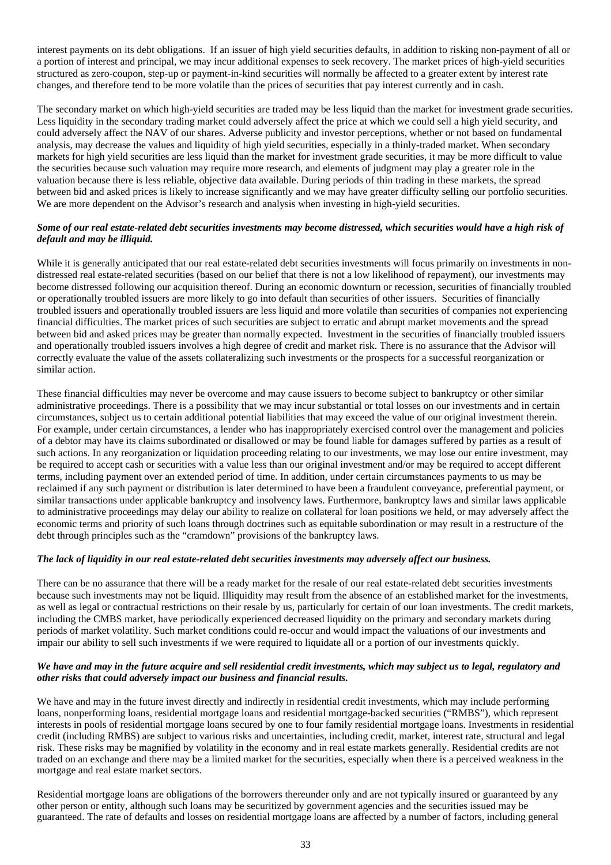interest payments on its debt obligations. If an issuer of high yield securities defaults, in addition to risking non-payment of all or a portion of interest and principal, we may incur additional expenses to seek recovery. The market prices of high-yield securities structured as zero-coupon, step-up or payment-in-kind securities will normally be affected to a greater extent by interest rate changes, and therefore tend to be more volatile than the prices of securities that pay interest currently and in cash.

The secondary market on which high-yield securities are traded may be less liquid than the market for investment grade securities. Less liquidity in the secondary trading market could adversely affect the price at which we could sell a high yield security, and could adversely affect the NAV of our shares. Adverse publicity and investor perceptions, whether or not based on fundamental analysis, may decrease the values and liquidity of high yield securities, especially in a thinly-traded market. When secondary markets for high yield securities are less liquid than the market for investment grade securities, it may be more difficult to value the securities because such valuation may require more research, and elements of judgment may play a greater role in the valuation because there is less reliable, objective data available. During periods of thin trading in these markets, the spread between bid and asked prices is likely to increase significantly and we may have greater difficulty selling our portfolio securities. We are more dependent on the Advisor's research and analysis when investing in high-yield securities.

# *Some of our real estate-related debt securities investments may become distressed, which securities would have a high risk of default and may be illiquid.*

While it is generally anticipated that our real estate-related debt securities investments will focus primarily on investments in nondistressed real estate-related securities (based on our belief that there is not a low likelihood of repayment), our investments may become distressed following our acquisition thereof. During an economic downturn or recession, securities of financially troubled or operationally troubled issuers are more likely to go into default than securities of other issuers. Securities of financially troubled issuers and operationally troubled issuers are less liquid and more volatile than securities of companies not experiencing financial difficulties. The market prices of such securities are subject to erratic and abrupt market movements and the spread between bid and asked prices may be greater than normally expected. Investment in the securities of financially troubled issuers and operationally troubled issuers involves a high degree of credit and market risk. There is no assurance that the Advisor will correctly evaluate the value of the assets collateralizing such investments or the prospects for a successful reorganization or similar action.

These financial difficulties may never be overcome and may cause issuers to become subject to bankruptcy or other similar administrative proceedings. There is a possibility that we may incur substantial or total losses on our investments and in certain circumstances, subject us to certain additional potential liabilities that may exceed the value of our original investment therein. For example, under certain circumstances, a lender who has inappropriately exercised control over the management and policies of a debtor may have its claims subordinated or disallowed or may be found liable for damages suffered by parties as a result of such actions. In any reorganization or liquidation proceeding relating to our investments, we may lose our entire investment, may be required to accept cash or securities with a value less than our original investment and/or may be required to accept different terms, including payment over an extended period of time. In addition, under certain circumstances payments to us may be reclaimed if any such payment or distribution is later determined to have been a fraudulent conveyance, preferential payment, or similar transactions under applicable bankruptcy and insolvency laws. Furthermore, bankruptcy laws and similar laws applicable to administrative proceedings may delay our ability to realize on collateral for loan positions we held, or may adversely affect the economic terms and priority of such loans through doctrines such as equitable subordination or may result in a restructure of the debt through principles such as the "cramdown" provisions of the bankruptcy laws.

# *The lack of liquidity in our real estate-related debt securities investments may adversely affect our business.*

There can be no assurance that there will be a ready market for the resale of our real estate-related debt securities investments because such investments may not be liquid. Illiquidity may result from the absence of an established market for the investments, as well as legal or contractual restrictions on their resale by us, particularly for certain of our loan investments. The credit markets, including the CMBS market, have periodically experienced decreased liquidity on the primary and secondary markets during periods of market volatility. Such market conditions could re-occur and would impact the valuations of our investments and impair our ability to sell such investments if we were required to liquidate all or a portion of our investments quickly.

# *We have and may in the future acquire and sell residential credit investments, which may subject us to legal, regulatory and other risks that could adversely impact our business and financial results.*

We have and may in the future invest directly and indirectly in residential credit investments, which may include performing loans, nonperforming loans, residential mortgage loans and residential mortgage-backed securities ("RMBS"), which represent interests in pools of residential mortgage loans secured by one to four family residential mortgage loans. Investments in residential credit (including RMBS) are subject to various risks and uncertainties, including credit, market, interest rate, structural and legal risk. These risks may be magnified by volatility in the economy and in real estate markets generally. Residential credits are not traded on an exchange and there may be a limited market for the securities, especially when there is a perceived weakness in the mortgage and real estate market sectors.

Residential mortgage loans are obligations of the borrowers thereunder only and are not typically insured or guaranteed by any other person or entity, although such loans may be securitized by government agencies and the securities issued may be guaranteed. The rate of defaults and losses on residential mortgage loans are affected by a number of factors, including general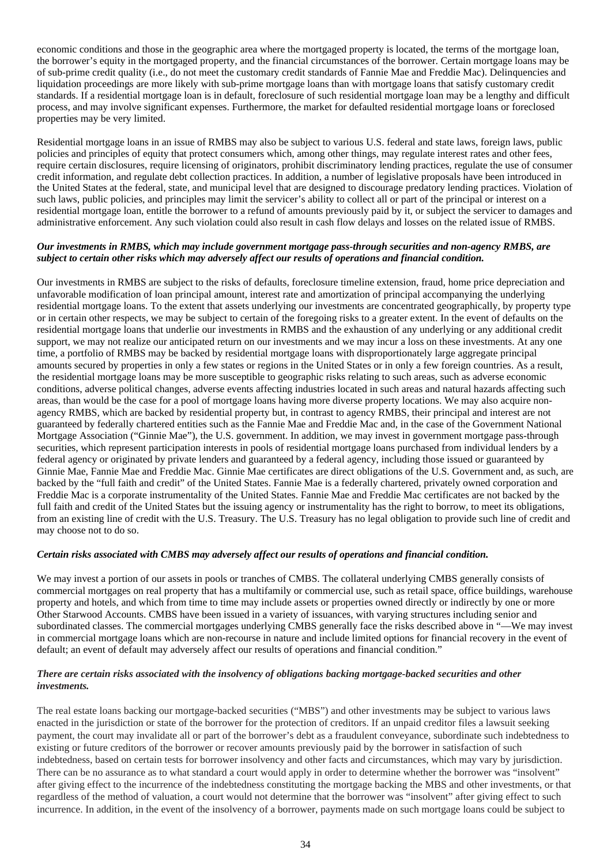economic conditions and those in the geographic area where the mortgaged property is located, the terms of the mortgage loan, the borrower's equity in the mortgaged property, and the financial circumstances of the borrower. Certain mortgage loans may be of sub-prime credit quality (i.e., do not meet the customary credit standards of Fannie Mae and Freddie Mac). Delinquencies and liquidation proceedings are more likely with sub-prime mortgage loans than with mortgage loans that satisfy customary credit standards. If a residential mortgage loan is in default, foreclosure of such residential mortgage loan may be a lengthy and difficult process, and may involve significant expenses. Furthermore, the market for defaulted residential mortgage loans or foreclosed properties may be very limited.

Residential mortgage loans in an issue of RMBS may also be subject to various U.S. federal and state laws, foreign laws, public policies and principles of equity that protect consumers which, among other things, may regulate interest rates and other fees, require certain disclosures, require licensing of originators, prohibit discriminatory lending practices, regulate the use of consumer credit information, and regulate debt collection practices. In addition, a number of legislative proposals have been introduced in the United States at the federal, state, and municipal level that are designed to discourage predatory lending practices. Violation of such laws, public policies, and principles may limit the servicer's ability to collect all or part of the principal or interest on a residential mortgage loan, entitle the borrower to a refund of amounts previously paid by it, or subject the servicer to damages and administrative enforcement. Any such violation could also result in cash flow delays and losses on the related issue of RMBS.

# *Our investments in RMBS, which may include government mortgage pass-through securities and non-agency RMBS, are subject to certain other risks which may adversely affect our results of operations and financial condition.*

Our investments in RMBS are subject to the risks of defaults, foreclosure timeline extension, fraud, home price depreciation and unfavorable modification of loan principal amount, interest rate and amortization of principal accompanying the underlying residential mortgage loans. To the extent that assets underlying our investments are concentrated geographically, by property type or in certain other respects, we may be subject to certain of the foregoing risks to a greater extent. In the event of defaults on the residential mortgage loans that underlie our investments in RMBS and the exhaustion of any underlying or any additional credit support, we may not realize our anticipated return on our investments and we may incur a loss on these investments. At any one time, a portfolio of RMBS may be backed by residential mortgage loans with disproportionately large aggregate principal amounts secured by properties in only a few states or regions in the United States or in only a few foreign countries. As a result, the residential mortgage loans may be more susceptible to geographic risks relating to such areas, such as adverse economic conditions, adverse political changes, adverse events affecting industries located in such areas and natural hazards affecting such areas, than would be the case for a pool of mortgage loans having more diverse property locations. We may also acquire nonagency RMBS, which are backed by residential property but, in contrast to agency RMBS, their principal and interest are not guaranteed by federally chartered entities such as the Fannie Mae and Freddie Mac and, in the case of the Government National Mortgage Association ("Ginnie Mae"), the U.S. government. In addition, we may invest in government mortgage pass-through securities, which represent participation interests in pools of residential mortgage loans purchased from individual lenders by a federal agency or originated by private lenders and guaranteed by a federal agency, including those issued or guaranteed by Ginnie Mae, Fannie Mae and Freddie Mac. Ginnie Mae certificates are direct obligations of the U.S. Government and, as such, are backed by the "full faith and credit" of the United States. Fannie Mae is a federally chartered, privately owned corporation and Freddie Mac is a corporate instrumentality of the United States. Fannie Mae and Freddie Mac certificates are not backed by the full faith and credit of the United States but the issuing agency or instrumentality has the right to borrow, to meet its obligations, from an existing line of credit with the U.S. Treasury. The U.S. Treasury has no legal obligation to provide such line of credit and may choose not to do so.

# *Certain risks associated with CMBS may adversely affect our results of operations and financial condition.*

We may invest a portion of our assets in pools or tranches of CMBS. The collateral underlying CMBS generally consists of commercial mortgages on real property that has a multifamily or commercial use, such as retail space, office buildings, warehouse property and hotels, and which from time to time may include assets or properties owned directly or indirectly by one or more Other Starwood Accounts. CMBS have been issued in a variety of issuances, with varying structures including senior and subordinated classes. The commercial mortgages underlying CMBS generally face the risks described above in "—We may invest in commercial mortgage loans which are non-recourse in nature and include limited options for financial recovery in the event of default; an event of default may adversely affect our results of operations and financial condition."

# *There are certain risks associated with the insolvency of obligations backing mortgage-backed securities and other investments.*

The real estate loans backing our mortgage-backed securities ("MBS") and other investments may be subject to various laws enacted in the jurisdiction or state of the borrower for the protection of creditors. If an unpaid creditor files a lawsuit seeking payment, the court may invalidate all or part of the borrower's debt as a fraudulent conveyance, subordinate such indebtedness to existing or future creditors of the borrower or recover amounts previously paid by the borrower in satisfaction of such indebtedness, based on certain tests for borrower insolvency and other facts and circumstances, which may vary by jurisdiction. There can be no assurance as to what standard a court would apply in order to determine whether the borrower was "insolvent" after giving effect to the incurrence of the indebtedness constituting the mortgage backing the MBS and other investments, or that regardless of the method of valuation, a court would not determine that the borrower was "insolvent" after giving effect to such incurrence. In addition, in the event of the insolvency of a borrower, payments made on such mortgage loans could be subject to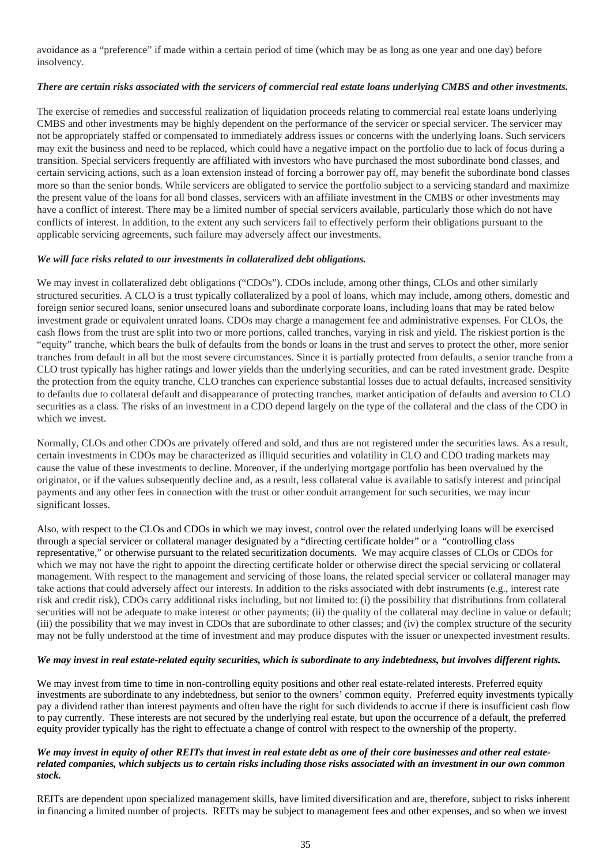avoidance as a "preference" if made within a certain period of time (which may be as long as one year and one day) before insolvency.

# *There are certain risks associated with the servicers of commercial real estate loans underlying CMBS and other investments.*

The exercise of remedies and successful realization of liquidation proceeds relating to commercial real estate loans underlying CMBS and other investments may be highly dependent on the performance of the servicer or special servicer. The servicer may not be appropriately staffed or compensated to immediately address issues or concerns with the underlying loans. Such servicers may exit the business and need to be replaced, which could have a negative impact on the portfolio due to lack of focus during a transition. Special servicers frequently are affiliated with investors who have purchased the most subordinate bond classes, and certain servicing actions, such as a loan extension instead of forcing a borrower pay off, may benefit the subordinate bond classes more so than the senior bonds. While servicers are obligated to service the portfolio subject to a servicing standard and maximize the present value of the loans for all bond classes, servicers with an affiliate investment in the CMBS or other investments may have a conflict of interest. There may be a limited number of special servicers available, particularly those which do not have conflicts of interest. In addition, to the extent any such servicers fail to effectively perform their obligations pursuant to the applicable servicing agreements, such failure may adversely affect our investments.

# *We will face risks related to our investments in collateralized debt obligations.*

We may invest in collateralized debt obligations ("CDOs"). CDOs include, among other things, CLOs and other similarly structured securities. A CLO is a trust typically collateralized by a pool of loans, which may include, among others, domestic and foreign senior secured loans, senior unsecured loans and subordinate corporate loans, including loans that may be rated below investment grade or equivalent unrated loans. CDOs may charge a management fee and administrative expenses. For CLOs, the cash flows from the trust are split into two or more portions, called tranches, varying in risk and yield. The riskiest portion is the "equity" tranche, which bears the bulk of defaults from the bonds or loans in the trust and serves to protect the other, more senior tranches from default in all but the most severe circumstances. Since it is partially protected from defaults, a senior tranche from a CLO trust typically has higher ratings and lower yields than the underlying securities, and can be rated investment grade. Despite the protection from the equity tranche, CLO tranches can experience substantial losses due to actual defaults, increased sensitivity to defaults due to collateral default and disappearance of protecting tranches, market anticipation of defaults and aversion to CLO securities as a class. The risks of an investment in a CDO depend largely on the type of the collateral and the class of the CDO in which we invest.

Normally, CLOs and other CDOs are privately offered and sold, and thus are not registered under the securities laws. As a result, certain investments in CDOs may be characterized as illiquid securities and volatility in CLO and CDO trading markets may cause the value of these investments to decline. Moreover, if the underlying mortgage portfolio has been overvalued by the originator, or if the values subsequently decline and, as a result, less collateral value is available to satisfy interest and principal payments and any other fees in connection with the trust or other conduit arrangement for such securities, we may incur significant losses.

Also, with respect to the CLOs and CDOs in which we may invest, control over the related underlying loans will be exercised through a special servicer or collateral manager designated by a "directing certificate holder" or a "controlling class representative," or otherwise pursuant to the related securitization documents. We may acquire classes of CLOs or CDOs for which we may not have the right to appoint the directing certificate holder or otherwise direct the special servicing or collateral management. With respect to the management and servicing of those loans, the related special servicer or collateral manager may take actions that could adversely affect our interests. In addition to the risks associated with debt instruments (e.g., interest rate risk and credit risk), CDOs carry additional risks including, but not limited to: (i) the possibility that distributions from collateral securities will not be adequate to make interest or other payments; (ii) the quality of the collateral may decline in value or default; (iii) the possibility that we may invest in CDOs that are subordinate to other classes; and (iv) the complex structure of the security may not be fully understood at the time of investment and may produce disputes with the issuer or unexpected investment results.

#### *We may invest in real estate-related equity securities, which is subordinate to any indebtedness, but involves different rights.*

We may invest from time to time in non-controlling equity positions and other real estate-related interests. Preferred equity investments are subordinate to any indebtedness, but senior to the owners' common equity. Preferred equity investments typically pay a dividend rather than interest payments and often have the right for such dividends to accrue if there is insufficient cash flow to pay currently. These interests are not secured by the underlying real estate, but upon the occurrence of a default, the preferred equity provider typically has the right to effectuate a change of control with respect to the ownership of the property.

#### *We may invest in equity of other REITs that invest in real estate debt as one of their core businesses and other real estaterelated companies, which subjects us to certain risks including those risks associated with an investment in our own common stock.*

REITs are dependent upon specialized management skills, have limited diversification and are, therefore, subject to risks inherent in financing a limited number of projects. REITs may be subject to management fees and other expenses, and so when we invest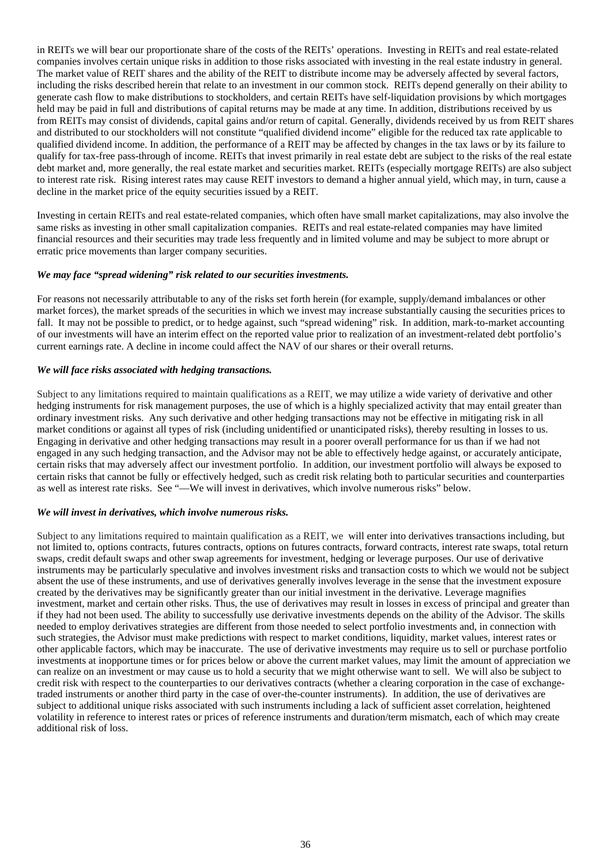in REITs we will bear our proportionate share of the costs of the REITs' operations. Investing in REITs and real estate-related companies involves certain unique risks in addition to those risks associated with investing in the real estate industry in general. The market value of REIT shares and the ability of the REIT to distribute income may be adversely affected by several factors, including the risks described herein that relate to an investment in our common stock. REITs depend generally on their ability to generate cash flow to make distributions to stockholders, and certain REITs have self-liquidation provisions by which mortgages held may be paid in full and distributions of capital returns may be made at any time. In addition, distributions received by us from REITs may consist of dividends, capital gains and/or return of capital. Generally, dividends received by us from REIT shares and distributed to our stockholders will not constitute "qualified dividend income" eligible for the reduced tax rate applicable to qualified dividend income. In addition, the performance of a REIT may be affected by changes in the tax laws or by its failure to qualify for tax-free pass-through of income. REITs that invest primarily in real estate debt are subject to the risks of the real estate debt market and, more generally, the real estate market and securities market. REITs (especially mortgage REITs) are also subject to interest rate risk. Rising interest rates may cause REIT investors to demand a higher annual yield, which may, in turn, cause a decline in the market price of the equity securities issued by a REIT.

Investing in certain REITs and real estate-related companies, which often have small market capitalizations, may also involve the same risks as investing in other small capitalization companies. REITs and real estate-related companies may have limited financial resources and their securities may trade less frequently and in limited volume and may be subject to more abrupt or erratic price movements than larger company securities.

# *We may face "spread widening" risk related to our securities investments.*

For reasons not necessarily attributable to any of the risks set forth herein (for example, supply/demand imbalances or other market forces), the market spreads of the securities in which we invest may increase substantially causing the securities prices to fall. It may not be possible to predict, or to hedge against, such "spread widening" risk. In addition, mark-to-market accounting of our investments will have an interim effect on the reported value prior to realization of an investment-related debt portfolio's current earnings rate. A decline in income could affect the NAV of our shares or their overall returns.

# *We will face risks associated with hedging transactions.*

Subject to any limitations required to maintain qualifications as a REIT, we may utilize a wide variety of derivative and other hedging instruments for risk management purposes, the use of which is a highly specialized activity that may entail greater than ordinary investment risks. Any such derivative and other hedging transactions may not be effective in mitigating risk in all market conditions or against all types of risk (including unidentified or unanticipated risks), thereby resulting in losses to us. Engaging in derivative and other hedging transactions may result in a poorer overall performance for us than if we had not engaged in any such hedging transaction, and the Advisor may not be able to effectively hedge against, or accurately anticipate, certain risks that may adversely affect our investment portfolio. In addition, our investment portfolio will always be exposed to certain risks that cannot be fully or effectively hedged, such as credit risk relating both to particular securities and counterparties as well as interest rate risks. See "—We will invest in derivatives, which involve numerous risks" below.

# *We will invest in derivatives, which involve numerous risks.*

Subject to any limitations required to maintain qualification as a REIT, we will enter into derivatives transactions including, but not limited to, options contracts, futures contracts, options on futures contracts, forward contracts, interest rate swaps, total return swaps, credit default swaps and other swap agreements for investment, hedging or leverage purposes. Our use of derivative instruments may be particularly speculative and involves investment risks and transaction costs to which we would not be subject absent the use of these instruments, and use of derivatives generally involves leverage in the sense that the investment exposure created by the derivatives may be significantly greater than our initial investment in the derivative. Leverage magnifies investment, market and certain other risks. Thus, the use of derivatives may result in losses in excess of principal and greater than if they had not been used. The ability to successfully use derivative investments depends on the ability of the Advisor. The skills needed to employ derivatives strategies are different from those needed to select portfolio investments and, in connection with such strategies, the Advisor must make predictions with respect to market conditions, liquidity, market values, interest rates or other applicable factors, which may be inaccurate. The use of derivative investments may require us to sell or purchase portfolio investments at inopportune times or for prices below or above the current market values, may limit the amount of appreciation we can realize on an investment or may cause us to hold a security that we might otherwise want to sell. We will also be subject to credit risk with respect to the counterparties to our derivatives contracts (whether a clearing corporation in the case of exchangetraded instruments or another third party in the case of over-the-counter instruments). In addition, the use of derivatives are subject to additional unique risks associated with such instruments including a lack of sufficient asset correlation, heightened volatility in reference to interest rates or prices of reference instruments and duration/term mismatch, each of which may create additional risk of loss.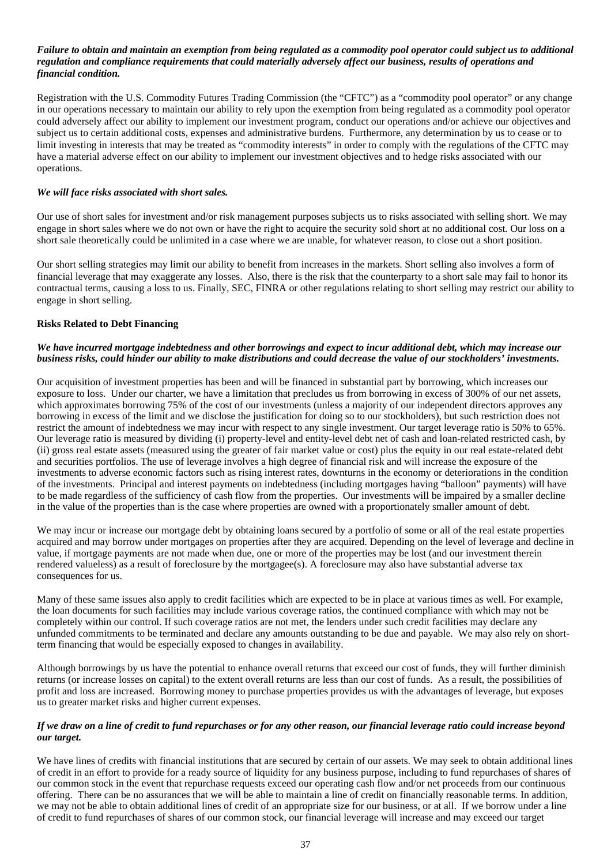# *Failure to obtain and maintain an exemption from being regulated as a commodity pool operator could subject us to additional regulation and compliance requirements that could materially adversely affect our business, results of operations and financial condition.*

Registration with the U.S. Commodity Futures Trading Commission (the "CFTC") as a "commodity pool operator" or any change in our operations necessary to maintain our ability to rely upon the exemption from being regulated as a commodity pool operator could adversely affect our ability to implement our investment program, conduct our operations and/or achieve our objectives and subject us to certain additional costs, expenses and administrative burdens. Furthermore, any determination by us to cease or to limit investing in interests that may be treated as "commodity interests" in order to comply with the regulations of the CFTC may have a material adverse effect on our ability to implement our investment objectives and to hedge risks associated with our operations.

# *We will face risks associated with short sales.*

Our use of short sales for investment and/or risk management purposes subjects us to risks associated with selling short. We may engage in short sales where we do not own or have the right to acquire the security sold short at no additional cost. Our loss on a short sale theoretically could be unlimited in a case where we are unable, for whatever reason, to close out a short position.

Our short selling strategies may limit our ability to benefit from increases in the markets. Short selling also involves a form of financial leverage that may exaggerate any losses. Also, there is the risk that the counterparty to a short sale may fail to honor its contractual terms, causing a loss to us. Finally, SEC, FINRA or other regulations relating to short selling may restrict our ability to engage in short selling.

### **Risks Related to Debt Financing**

# *We have incurred mortgage indebtedness and other borrowings and expect to incur additional debt, which may increase our business risks, could hinder our ability to make distributions and could decrease the value of our stockholders' investments.*

Our acquisition of investment properties has been and will be financed in substantial part by borrowing, which increases our exposure to loss. Under our charter, we have a limitation that precludes us from borrowing in excess of 300% of our net assets, which approximates borrowing 75% of the cost of our investments (unless a majority of our independent directors approves any borrowing in excess of the limit and we disclose the justification for doing so to our stockholders), but such restriction does not restrict the amount of indebtedness we may incur with respect to any single investment. Our target leverage ratio is 50% to 65%. Our leverage ratio is measured by dividing (i) property-level and entity-level debt net of cash and loan-related restricted cash, by (ii) gross real estate assets (measured using the greater of fair market value or cost) plus the equity in our real estate-related debt and securities portfolios. The use of leverage involves a high degree of financial risk and will increase the exposure of the investments to adverse economic factors such as rising interest rates, downturns in the economy or deteriorations in the condition of the investments. Principal and interest payments on indebtedness (including mortgages having "balloon" payments) will have to be made regardless of the sufficiency of cash flow from the properties. Our investments will be impaired by a smaller decline in the value of the properties than is the case where properties are owned with a proportionately smaller amount of debt.

We may incur or increase our mortgage debt by obtaining loans secured by a portfolio of some or all of the real estate properties acquired and may borrow under mortgages on properties after they are acquired. Depending on the level of leverage and decline in value, if mortgage payments are not made when due, one or more of the properties may be lost (and our investment therein rendered valueless) as a result of foreclosure by the mortgagee(s). A foreclosure may also have substantial adverse tax consequences for us.

Many of these same issues also apply to credit facilities which are expected to be in place at various times as well. For example, the loan documents for such facilities may include various coverage ratios, the continued compliance with which may not be completely within our control. If such coverage ratios are not met, the lenders under such credit facilities may declare any unfunded commitments to be terminated and declare any amounts outstanding to be due and payable. We may also rely on shortterm financing that would be especially exposed to changes in availability.

Although borrowings by us have the potential to enhance overall returns that exceed our cost of funds, they will further diminish returns (or increase losses on capital) to the extent overall returns are less than our cost of funds. As a result, the possibilities of profit and loss are increased. Borrowing money to purchase properties provides us with the advantages of leverage, but exposes us to greater market risks and higher current expenses.

# *If we draw on a line of credit to fund repurchases or for any other reason, our financial leverage ratio could increase beyond our target.*

We have lines of credits with financial institutions that are secured by certain of our assets. We may seek to obtain additional lines of credit in an effort to provide for a ready source of liquidity for any business purpose, including to fund repurchases of shares of our common stock in the event that repurchase requests exceed our operating cash flow and/or net proceeds from our continuous offering. There can be no assurances that we will be able to maintain a line of credit on financially reasonable terms. In addition, we may not be able to obtain additional lines of credit of an appropriate size for our business, or at all. If we borrow under a line of credit to fund repurchases of shares of our common stock, our financial leverage will increase and may exceed our target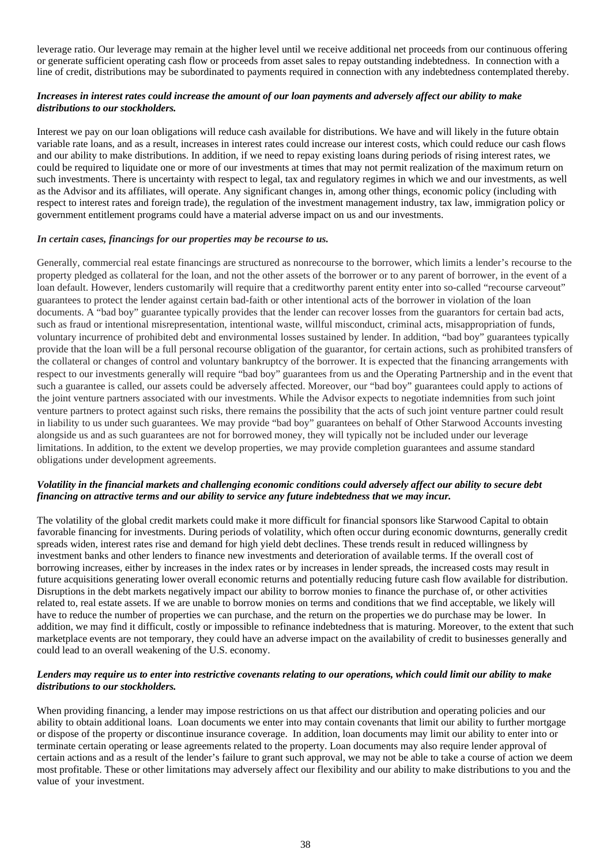leverage ratio. Our leverage may remain at the higher level until we receive additional net proceeds from our continuous offering or generate sufficient operating cash flow or proceeds from asset sales to repay outstanding indebtedness. In connection with a line of credit, distributions may be subordinated to payments required in connection with any indebtedness contemplated thereby.

# *Increases in interest rates could increase the amount of our loan payments and adversely affect our ability to make distributions to our stockholders.*

Interest we pay on our loan obligations will reduce cash available for distributions. We have and will likely in the future obtain variable rate loans, and as a result, increases in interest rates could increase our interest costs, which could reduce our cash flows and our ability to make distributions. In addition, if we need to repay existing loans during periods of rising interest rates, we could be required to liquidate one or more of our investments at times that may not permit realization of the maximum return on such investments. There is uncertainty with respect to legal, tax and regulatory regimes in which we and our investments, as well as the Advisor and its affiliates, will operate. Any significant changes in, among other things, economic policy (including with respect to interest rates and foreign trade), the regulation of the investment management industry, tax law, immigration policy or government entitlement programs could have a material adverse impact on us and our investments.

#### *In certain cases, financings for our properties may be recourse to us.*

Generally, commercial real estate financings are structured as nonrecourse to the borrower, which limits a lender's recourse to the property pledged as collateral for the loan, and not the other assets of the borrower or to any parent of borrower, in the event of a loan default. However, lenders customarily will require that a creditworthy parent entity enter into so-called "recourse carveout" guarantees to protect the lender against certain bad-faith or other intentional acts of the borrower in violation of the loan documents. A "bad boy" guarantee typically provides that the lender can recover losses from the guarantors for certain bad acts, such as fraud or intentional misrepresentation, intentional waste, willful misconduct, criminal acts, misappropriation of funds, voluntary incurrence of prohibited debt and environmental losses sustained by lender. In addition, "bad boy" guarantees typically provide that the loan will be a full personal recourse obligation of the guarantor, for certain actions, such as prohibited transfers of the collateral or changes of control and voluntary bankruptcy of the borrower. It is expected that the financing arrangements with respect to our investments generally will require "bad boy" guarantees from us and the Operating Partnership and in the event that such a guarantee is called, our assets could be adversely affected. Moreover, our "bad boy" guarantees could apply to actions of the joint venture partners associated with our investments. While the Advisor expects to negotiate indemnities from such joint venture partners to protect against such risks, there remains the possibility that the acts of such joint venture partner could result in liability to us under such guarantees. We may provide "bad boy" guarantees on behalf of Other Starwood Accounts investing alongside us and as such guarantees are not for borrowed money, they will typically not be included under our leverage limitations. In addition, to the extent we develop properties, we may provide completion guarantees and assume standard obligations under development agreements.

# *Volatility in the financial markets and challenging economic conditions could adversely affect our ability to secure debt financing on attractive terms and our ability to service any future indebtedness that we may incur.*

The volatility of the global credit markets could make it more difficult for financial sponsors like Starwood Capital to obtain favorable financing for investments. During periods of volatility, which often occur during economic downturns, generally credit spreads widen, interest rates rise and demand for high yield debt declines. These trends result in reduced willingness by investment banks and other lenders to finance new investments and deterioration of available terms. If the overall cost of borrowing increases, either by increases in the index rates or by increases in lender spreads, the increased costs may result in future acquisitions generating lower overall economic returns and potentially reducing future cash flow available for distribution. Disruptions in the debt markets negatively impact our ability to borrow monies to finance the purchase of, or other activities related to, real estate assets. If we are unable to borrow monies on terms and conditions that we find acceptable, we likely will have to reduce the number of properties we can purchase, and the return on the properties we do purchase may be lower. In addition, we may find it difficult, costly or impossible to refinance indebtedness that is maturing. Moreover, to the extent that such marketplace events are not temporary, they could have an adverse impact on the availability of credit to businesses generally and could lead to an overall weakening of the U.S. economy.

# *Lenders may require us to enter into restrictive covenants relating to our operations, which could limit our ability to make distributions to our stockholders.*

When providing financing, a lender may impose restrictions on us that affect our distribution and operating policies and our ability to obtain additional loans. Loan documents we enter into may contain covenants that limit our ability to further mortgage or dispose of the property or discontinue insurance coverage. In addition, loan documents may limit our ability to enter into or terminate certain operating or lease agreements related to the property. Loan documents may also require lender approval of certain actions and as a result of the lender's failure to grant such approval, we may not be able to take a course of action we deem most profitable. These or other limitations may adversely affect our flexibility and our ability to make distributions to you and the value of your investment.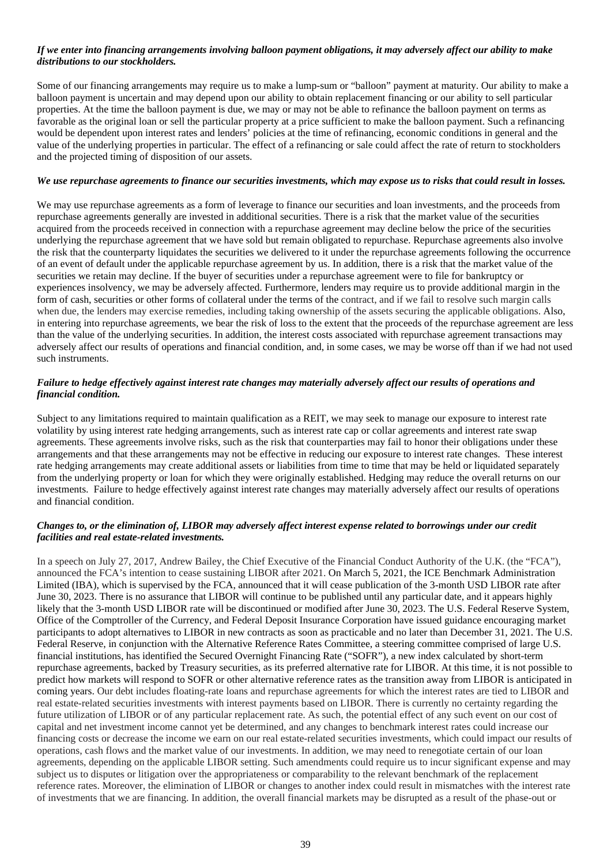# *If we enter into financing arrangements involving balloon payment obligations, it may adversely affect our ability to make distributions to our stockholders.*

Some of our financing arrangements may require us to make a lump-sum or "balloon" payment at maturity. Our ability to make a balloon payment is uncertain and may depend upon our ability to obtain replacement financing or our ability to sell particular properties. At the time the balloon payment is due, we may or may not be able to refinance the balloon payment on terms as favorable as the original loan or sell the particular property at a price sufficient to make the balloon payment. Such a refinancing would be dependent upon interest rates and lenders' policies at the time of refinancing, economic conditions in general and the value of the underlying properties in particular. The effect of a refinancing or sale could affect the rate of return to stockholders and the projected timing of disposition of our assets.

### *We use repurchase agreements to finance our securities investments, which may expose us to risks that could result in losses.*

We may use repurchase agreements as a form of leverage to finance our securities and loan investments, and the proceeds from repurchase agreements generally are invested in additional securities. There is a risk that the market value of the securities acquired from the proceeds received in connection with a repurchase agreement may decline below the price of the securities underlying the repurchase agreement that we have sold but remain obligated to repurchase. Repurchase agreements also involve the risk that the counterparty liquidates the securities we delivered to it under the repurchase agreements following the occurrence of an event of default under the applicable repurchase agreement by us. In addition, there is a risk that the market value of the securities we retain may decline. If the buyer of securities under a repurchase agreement were to file for bankruptcy or experiences insolvency, we may be adversely affected. Furthermore, lenders may require us to provide additional margin in the form of cash, securities or other forms of collateral under the terms of the contract, and if we fail to resolve such margin calls when due, the lenders may exercise remedies, including taking ownership of the assets securing the applicable obligations. Also, in entering into repurchase agreements, we bear the risk of loss to the extent that the proceeds of the repurchase agreement are less than the value of the underlying securities. In addition, the interest costs associated with repurchase agreement transactions may adversely affect our results of operations and financial condition, and, in some cases, we may be worse off than if we had not used such instruments.

# *Failure to hedge effectively against interest rate changes may materially adversely affect our results of operations and financial condition.*

Subject to any limitations required to maintain qualification as a REIT, we may seek to manage our exposure to interest rate volatility by using interest rate hedging arrangements, such as interest rate cap or collar agreements and interest rate swap agreements. These agreements involve risks, such as the risk that counterparties may fail to honor their obligations under these arrangements and that these arrangements may not be effective in reducing our exposure to interest rate changes. These interest rate hedging arrangements may create additional assets or liabilities from time to time that may be held or liquidated separately from the underlying property or loan for which they were originally established. Hedging may reduce the overall returns on our investments. Failure to hedge effectively against interest rate changes may materially adversely affect our results of operations and financial condition.

# *Changes to, or the elimination of, LIBOR may adversely affect interest expense related to borrowings under our credit facilities and real estate-related investments.*

In a speech on July 27, 2017, Andrew Bailey, the Chief Executive of the Financial Conduct Authority of the U.K. (the "FCA"), announced the FCA's intention to cease sustaining LIBOR after 2021. On March 5, 2021, the ICE Benchmark Administration Limited (IBA), which is supervised by the FCA, announced that it will cease publication of the 3-month USD LIBOR rate after June 30, 2023. There is no assurance that LIBOR will continue to be published until any particular date, and it appears highly likely that the 3-month USD LIBOR rate will be discontinued or modified after June 30, 2023. The U.S. Federal Reserve System, Office of the Comptroller of the Currency, and Federal Deposit Insurance Corporation have issued guidance encouraging market participants to adopt alternatives to LIBOR in new contracts as soon as practicable and no later than December 31, 2021. The U.S. Federal Reserve, in conjunction with the Alternative Reference Rates Committee, a steering committee comprised of large U.S. financial institutions, has identified the Secured Overnight Financing Rate ("SOFR"), a new index calculated by short-term repurchase agreements, backed by Treasury securities, as its preferred alternative rate for LIBOR. At this time, it is not possible to predict how markets will respond to SOFR or other alternative reference rates as the transition away from LIBOR is anticipated in coming years. Our debt includes floating-rate loans and repurchase agreements for which the interest rates are tied to LIBOR and real estate-related securities investments with interest payments based on LIBOR. There is currently no certainty regarding the future utilization of LIBOR or of any particular replacement rate. As such, the potential effect of any such event on our cost of capital and net investment income cannot yet be determined, and any changes to benchmark interest rates could increase our financing costs or decrease the income we earn on our real estate-related securities investments, which could impact our results of operations, cash flows and the market value of our investments. In addition, we may need to renegotiate certain of our loan agreements, depending on the applicable LIBOR setting. Such amendments could require us to incur significant expense and may subject us to disputes or litigation over the appropriateness or comparability to the relevant benchmark of the replacement reference rates. Moreover, the elimination of LIBOR or changes to another index could result in mismatches with the interest rate of investments that we are financing. In addition, the overall financial markets may be disrupted as a result of the phase-out or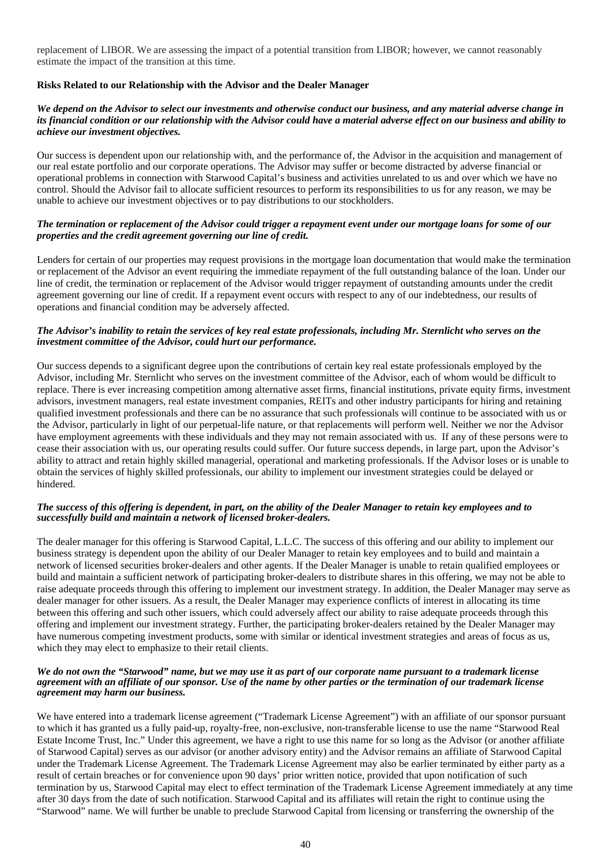replacement of LIBOR. We are assessing the impact of a potential transition from LIBOR; however, we cannot reasonably estimate the impact of the transition at this time.

# **Risks Related to our Relationship with the Advisor and the Dealer Manager**

#### *We depend on the Advisor to select our investments and otherwise conduct our business, and any material adverse change in its financial condition or our relationship with the Advisor could have a material adverse effect on our business and ability to achieve our investment objectives.*

Our success is dependent upon our relationship with, and the performance of, the Advisor in the acquisition and management of our real estate portfolio and our corporate operations. The Advisor may suffer or become distracted by adverse financial or operational problems in connection with Starwood Capital's business and activities unrelated to us and over which we have no control. Should the Advisor fail to allocate sufficient resources to perform its responsibilities to us for any reason, we may be unable to achieve our investment objectives or to pay distributions to our stockholders.

#### *The termination or replacement of the Advisor could trigger a repayment event under our mortgage loans for some of our properties and the credit agreement governing our line of credit.*

Lenders for certain of our properties may request provisions in the mortgage loan documentation that would make the termination or replacement of the Advisor an event requiring the immediate repayment of the full outstanding balance of the loan. Under our line of credit, the termination or replacement of the Advisor would trigger repayment of outstanding amounts under the credit agreement governing our line of credit. If a repayment event occurs with respect to any of our indebtedness, our results of operations and financial condition may be adversely affected.

### *The Advisor's inability to retain the services of key real estate professionals, including Mr. Sternlicht who serves on the investment committee of the Advisor, could hurt our performance.*

Our success depends to a significant degree upon the contributions of certain key real estate professionals employed by the Advisor, including Mr. Sternlicht who serves on the investment committee of the Advisor, each of whom would be difficult to replace. There is ever increasing competition among alternative asset firms, financial institutions, private equity firms, investment advisors, investment managers, real estate investment companies, REITs and other industry participants for hiring and retaining qualified investment professionals and there can be no assurance that such professionals will continue to be associated with us or the Advisor, particularly in light of our perpetual-life nature, or that replacements will perform well. Neither we nor the Advisor have employment agreements with these individuals and they may not remain associated with us. If any of these persons were to cease their association with us, our operating results could suffer. Our future success depends, in large part, upon the Advisor's ability to attract and retain highly skilled managerial, operational and marketing professionals. If the Advisor loses or is unable to obtain the services of highly skilled professionals, our ability to implement our investment strategies could be delayed or hindered.

#### *The success of this offering is dependent, in part, on the ability of the Dealer Manager to retain key employees and to successfully build and maintain a network of licensed broker-dealers.*

The dealer manager for this offering is Starwood Capital, L.L.C. The success of this offering and our ability to implement our business strategy is dependent upon the ability of our Dealer Manager to retain key employees and to build and maintain a network of licensed securities broker-dealers and other agents. If the Dealer Manager is unable to retain qualified employees or build and maintain a sufficient network of participating broker-dealers to distribute shares in this offering, we may not be able to raise adequate proceeds through this offering to implement our investment strategy. In addition, the Dealer Manager may serve as dealer manager for other issuers. As a result, the Dealer Manager may experience conflicts of interest in allocating its time between this offering and such other issuers, which could adversely affect our ability to raise adequate proceeds through this offering and implement our investment strategy. Further, the participating broker-dealers retained by the Dealer Manager may have numerous competing investment products, some with similar or identical investment strategies and areas of focus as us, which they may elect to emphasize to their retail clients.

### *We do not own the "Starwood" name, but we may use it as part of our corporate name pursuant to a trademark license agreement with an affiliate of our sponsor. Use of the name by other parties or the termination of our trademark license agreement may harm our business.*

We have entered into a trademark license agreement ("Trademark License Agreement") with an affiliate of our sponsor pursuant to which it has granted us a fully paid-up, royalty-free, non-exclusive, non-transferable license to use the name "Starwood Real Estate Income Trust, Inc." Under this agreement, we have a right to use this name for so long as the Advisor (or another affiliate of Starwood Capital) serves as our advisor (or another advisory entity) and the Advisor remains an affiliate of Starwood Capital under the Trademark License Agreement. The Trademark License Agreement may also be earlier terminated by either party as a result of certain breaches or for convenience upon 90 days' prior written notice, provided that upon notification of such termination by us, Starwood Capital may elect to effect termination of the Trademark License Agreement immediately at any time after 30 days from the date of such notification. Starwood Capital and its affiliates will retain the right to continue using the "Starwood" name. We will further be unable to preclude Starwood Capital from licensing or transferring the ownership of the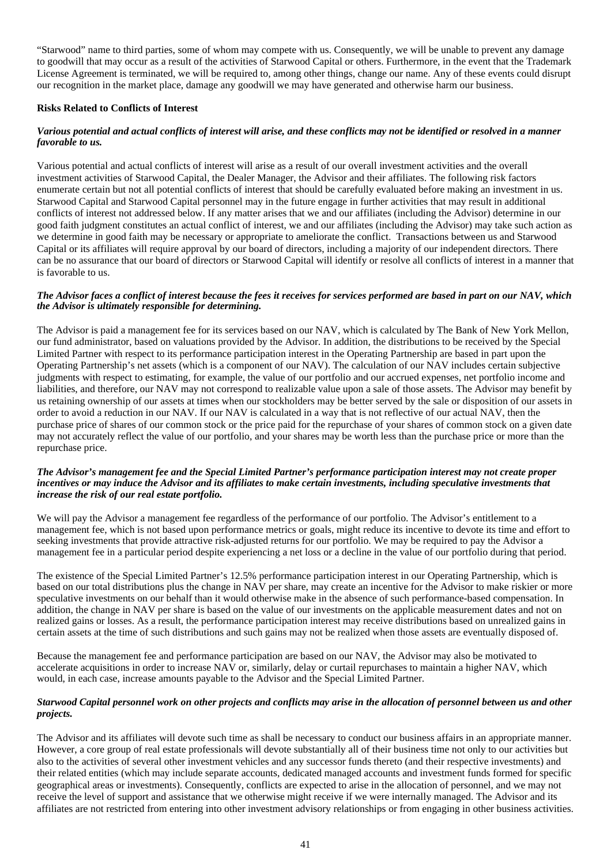"Starwood" name to third parties, some of whom may compete with us. Consequently, we will be unable to prevent any damage to goodwill that may occur as a result of the activities of Starwood Capital or others. Furthermore, in the event that the Trademark License Agreement is terminated, we will be required to, among other things, change our name. Any of these events could disrupt our recognition in the market place, damage any goodwill we may have generated and otherwise harm our business.

# **Risks Related to Conflicts of Interest**

# *Various potential and actual conflicts of interest will arise, and these conflicts may not be identified or resolved in a manner favorable to us.*

Various potential and actual conflicts of interest will arise as a result of our overall investment activities and the overall investment activities of Starwood Capital, the Dealer Manager, the Advisor and their affiliates. The following risk factors enumerate certain but not all potential conflicts of interest that should be carefully evaluated before making an investment in us. Starwood Capital and Starwood Capital personnel may in the future engage in further activities that may result in additional conflicts of interest not addressed below. If any matter arises that we and our affiliates (including the Advisor) determine in our good faith judgment constitutes an actual conflict of interest, we and our affiliates (including the Advisor) may take such action as we determine in good faith may be necessary or appropriate to ameliorate the conflict. Transactions between us and Starwood Capital or its affiliates will require approval by our board of directors, including a majority of our independent directors. There can be no assurance that our board of directors or Starwood Capital will identify or resolve all conflicts of interest in a manner that is favorable to us.

# *The Advisor faces a conflict of interest because the fees it receives for services performed are based in part on our NAV, which the Advisor is ultimately responsible for determining.*

The Advisor is paid a management fee for its services based on our NAV, which is calculated by The Bank of New York Mellon, our fund administrator, based on valuations provided by the Advisor. In addition, the distributions to be received by the Special Limited Partner with respect to its performance participation interest in the Operating Partnership are based in part upon the Operating Partnership's net assets (which is a component of our NAV). The calculation of our NAV includes certain subjective judgments with respect to estimating, for example, the value of our portfolio and our accrued expenses, net portfolio income and liabilities, and therefore, our NAV may not correspond to realizable value upon a sale of those assets. The Advisor may benefit by us retaining ownership of our assets at times when our stockholders may be better served by the sale or disposition of our assets in order to avoid a reduction in our NAV. If our NAV is calculated in a way that is not reflective of our actual NAV, then the purchase price of shares of our common stock or the price paid for the repurchase of your shares of common stock on a given date may not accurately reflect the value of our portfolio, and your shares may be worth less than the purchase price or more than the repurchase price.

### *The Advisor's management fee and the Special Limited Partner's performance participation interest may not create proper incentives or may induce the Advisor and its affiliates to make certain investments, including speculative investments that increase the risk of our real estate portfolio.*

We will pay the Advisor a management fee regardless of the performance of our portfolio. The Advisor's entitlement to a management fee, which is not based upon performance metrics or goals, might reduce its incentive to devote its time and effort to seeking investments that provide attractive risk-adjusted returns for our portfolio. We may be required to pay the Advisor a management fee in a particular period despite experiencing a net loss or a decline in the value of our portfolio during that period.

The existence of the Special Limited Partner's 12.5% performance participation interest in our Operating Partnership, which is based on our total distributions plus the change in NAV per share, may create an incentive for the Advisor to make riskier or more speculative investments on our behalf than it would otherwise make in the absence of such performance-based compensation. In addition, the change in NAV per share is based on the value of our investments on the applicable measurement dates and not on realized gains or losses. As a result, the performance participation interest may receive distributions based on unrealized gains in certain assets at the time of such distributions and such gains may not be realized when those assets are eventually disposed of.

Because the management fee and performance participation are based on our NAV, the Advisor may also be motivated to accelerate acquisitions in order to increase NAV or, similarly, delay or curtail repurchases to maintain a higher NAV, which would, in each case, increase amounts payable to the Advisor and the Special Limited Partner.

# *Starwood Capital personnel work on other projects and conflicts may arise in the allocation of personnel between us and other projects.*

The Advisor and its affiliates will devote such time as shall be necessary to conduct our business affairs in an appropriate manner. However, a core group of real estate professionals will devote substantially all of their business time not only to our activities but also to the activities of several other investment vehicles and any successor funds thereto (and their respective investments) and their related entities (which may include separate accounts, dedicated managed accounts and investment funds formed for specific geographical areas or investments). Consequently, conflicts are expected to arise in the allocation of personnel, and we may not receive the level of support and assistance that we otherwise might receive if we were internally managed. The Advisor and its affiliates are not restricted from entering into other investment advisory relationships or from engaging in other business activities.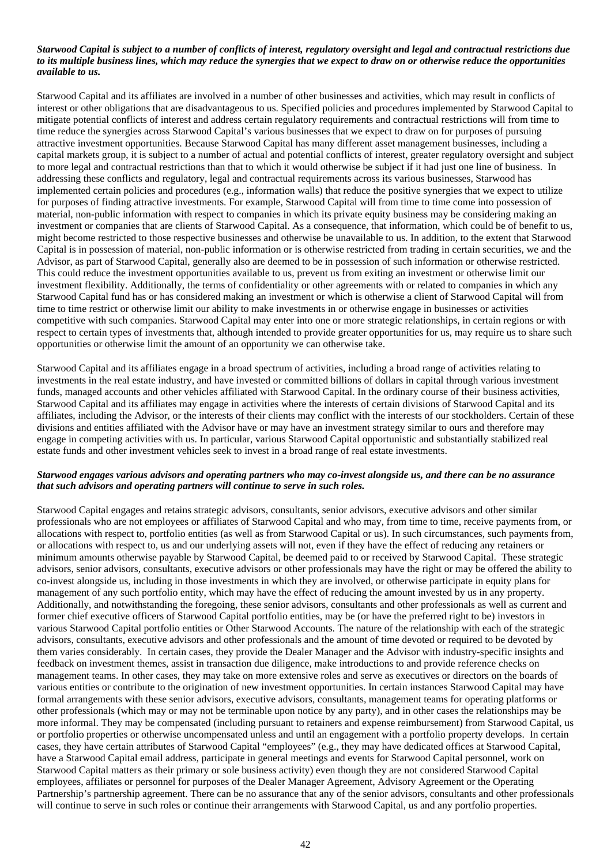#### *Starwood Capital is subject to a number of conflicts of interest, regulatory oversight and legal and contractual restrictions due to its multiple business lines, which may reduce the synergies that we expect to draw on or otherwise reduce the opportunities available to us.*

Starwood Capital and its affiliates are involved in a number of other businesses and activities, which may result in conflicts of interest or other obligations that are disadvantageous to us. Specified policies and procedures implemented by Starwood Capital to mitigate potential conflicts of interest and address certain regulatory requirements and contractual restrictions will from time to time reduce the synergies across Starwood Capital's various businesses that we expect to draw on for purposes of pursuing attractive investment opportunities. Because Starwood Capital has many different asset management businesses, including a capital markets group, it is subject to a number of actual and potential conflicts of interest, greater regulatory oversight and subject to more legal and contractual restrictions than that to which it would otherwise be subject if it had just one line of business. In addressing these conflicts and regulatory, legal and contractual requirements across its various businesses, Starwood has implemented certain policies and procedures (e.g., information walls) that reduce the positive synergies that we expect to utilize for purposes of finding attractive investments. For example, Starwood Capital will from time to time come into possession of material, non-public information with respect to companies in which its private equity business may be considering making an investment or companies that are clients of Starwood Capital. As a consequence, that information, which could be of benefit to us, might become restricted to those respective businesses and otherwise be unavailable to us. In addition, to the extent that Starwood Capital is in possession of material, non-public information or is otherwise restricted from trading in certain securities, we and the Advisor, as part of Starwood Capital, generally also are deemed to be in possession of such information or otherwise restricted. This could reduce the investment opportunities available to us, prevent us from exiting an investment or otherwise limit our investment flexibility. Additionally, the terms of confidentiality or other agreements with or related to companies in which any Starwood Capital fund has or has considered making an investment or which is otherwise a client of Starwood Capital will from time to time restrict or otherwise limit our ability to make investments in or otherwise engage in businesses or activities competitive with such companies. Starwood Capital may enter into one or more strategic relationships, in certain regions or with respect to certain types of investments that, although intended to provide greater opportunities for us, may require us to share such opportunities or otherwise limit the amount of an opportunity we can otherwise take.

Starwood Capital and its affiliates engage in a broad spectrum of activities, including a broad range of activities relating to investments in the real estate industry, and have invested or committed billions of dollars in capital through various investment funds, managed accounts and other vehicles affiliated with Starwood Capital. In the ordinary course of their business activities, Starwood Capital and its affiliates may engage in activities where the interests of certain divisions of Starwood Capital and its affiliates, including the Advisor, or the interests of their clients may conflict with the interests of our stockholders. Certain of these divisions and entities affiliated with the Advisor have or may have an investment strategy similar to ours and therefore may engage in competing activities with us. In particular, various Starwood Capital opportunistic and substantially stabilized real estate funds and other investment vehicles seek to invest in a broad range of real estate investments.

#### *Starwood engages various advisors and operating partners who may co-invest alongside us, and there can be no assurance that such advisors and operating partners will continue to serve in such roles.*

Starwood Capital engages and retains strategic advisors, consultants, senior advisors, executive advisors and other similar professionals who are not employees or affiliates of Starwood Capital and who may, from time to time, receive payments from, or allocations with respect to, portfolio entities (as well as from Starwood Capital or us). In such circumstances, such payments from, or allocations with respect to, us and our underlying assets will not, even if they have the effect of reducing any retainers or minimum amounts otherwise payable by Starwood Capital, be deemed paid to or received by Starwood Capital. These strategic advisors, senior advisors, consultants, executive advisors or other professionals may have the right or may be offered the ability to co-invest alongside us, including in those investments in which they are involved, or otherwise participate in equity plans for management of any such portfolio entity, which may have the effect of reducing the amount invested by us in any property. Additionally, and notwithstanding the foregoing, these senior advisors, consultants and other professionals as well as current and former chief executive officers of Starwood Capital portfolio entities, may be (or have the preferred right to be) investors in various Starwood Capital portfolio entities or Other Starwood Accounts. The nature of the relationship with each of the strategic advisors, consultants, executive advisors and other professionals and the amount of time devoted or required to be devoted by them varies considerably. In certain cases, they provide the Dealer Manager and the Advisor with industry-specific insights and feedback on investment themes, assist in transaction due diligence, make introductions to and provide reference checks on management teams. In other cases, they may take on more extensive roles and serve as executives or directors on the boards of various entities or contribute to the origination of new investment opportunities. In certain instances Starwood Capital may have formal arrangements with these senior advisors, executive advisors, consultants, management teams for operating platforms or other professionals (which may or may not be terminable upon notice by any party), and in other cases the relationships may be more informal. They may be compensated (including pursuant to retainers and expense reimbursement) from Starwood Capital, us or portfolio properties or otherwise uncompensated unless and until an engagement with a portfolio property develops. In certain cases, they have certain attributes of Starwood Capital "employees" (e.g., they may have dedicated offices at Starwood Capital, have a Starwood Capital email address, participate in general meetings and events for Starwood Capital personnel, work on Starwood Capital matters as their primary or sole business activity) even though they are not considered Starwood Capital employees, affiliates or personnel for purposes of the Dealer Manager Agreement, Advisory Agreement or the Operating Partnership's partnership agreement. There can be no assurance that any of the senior advisors, consultants and other professionals will continue to serve in such roles or continue their arrangements with Starwood Capital, us and any portfolio properties.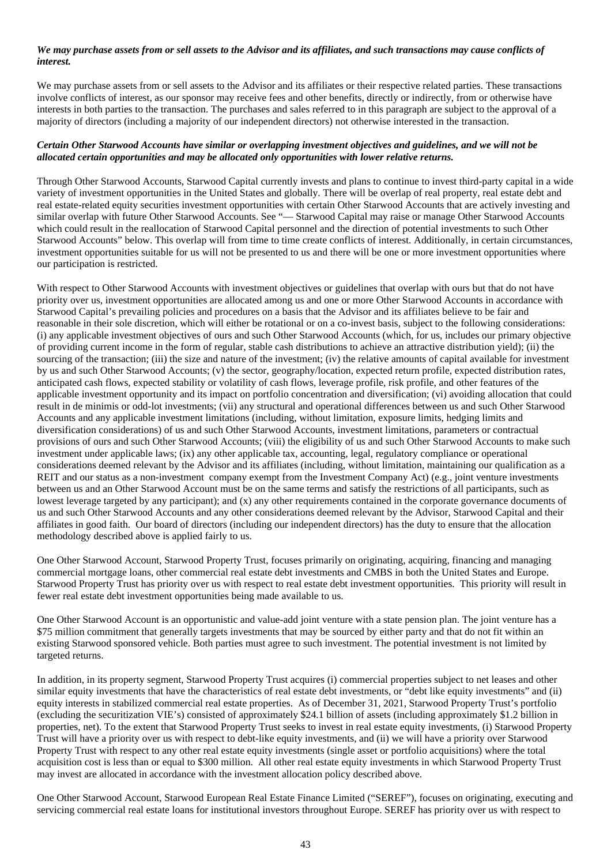# *We may purchase assets from or sell assets to the Advisor and its affiliates, and such transactions may cause conflicts of interest.*

We may purchase assets from or sell assets to the Advisor and its affiliates or their respective related parties. These transactions involve conflicts of interest, as our sponsor may receive fees and other benefits, directly or indirectly, from or otherwise have interests in both parties to the transaction. The purchases and sales referred to in this paragraph are subject to the approval of a majority of directors (including a majority of our independent directors) not otherwise interested in the transaction.

# *Certain Other Starwood Accounts have similar or overlapping investment objectives and guidelines, and we will not be allocated certain opportunities and may be allocated only opportunities with lower relative returns.*

Through Other Starwood Accounts, Starwood Capital currently invests and plans to continue to invest third-party capital in a wide variety of investment opportunities in the United States and globally. There will be overlap of real property, real estate debt and real estate-related equity securities investment opportunities with certain Other Starwood Accounts that are actively investing and similar overlap with future Other Starwood Accounts. See "— Starwood Capital may raise or manage Other Starwood Accounts which could result in the reallocation of Starwood Capital personnel and the direction of potential investments to such Other Starwood Accounts" below. This overlap will from time to time create conflicts of interest. Additionally, in certain circumstances, investment opportunities suitable for us will not be presented to us and there will be one or more investment opportunities where our participation is restricted.

With respect to Other Starwood Accounts with investment objectives or guidelines that overlap with ours but that do not have priority over us, investment opportunities are allocated among us and one or more Other Starwood Accounts in accordance with Starwood Capital's prevailing policies and procedures on a basis that the Advisor and its affiliates believe to be fair and reasonable in their sole discretion, which will either be rotational or on a co-invest basis, subject to the following considerations: (i) any applicable investment objectives of ours and such Other Starwood Accounts (which, for us, includes our primary objective of providing current income in the form of regular, stable cash distributions to achieve an attractive distribution yield); (ii) the sourcing of the transaction; (iii) the size and nature of the investment; (iv) the relative amounts of capital available for investment by us and such Other Starwood Accounts; (v) the sector, geography/location, expected return profile, expected distribution rates, anticipated cash flows, expected stability or volatility of cash flows, leverage profile, risk profile, and other features of the applicable investment opportunity and its impact on portfolio concentration and diversification; (vi) avoiding allocation that could result in de minimis or odd-lot investments; (vii) any structural and operational differences between us and such Other Starwood Accounts and any applicable investment limitations (including, without limitation, exposure limits, hedging limits and diversification considerations) of us and such Other Starwood Accounts, investment limitations, parameters or contractual provisions of ours and such Other Starwood Accounts; (viii) the eligibility of us and such Other Starwood Accounts to make such investment under applicable laws; (ix) any other applicable tax, accounting, legal, regulatory compliance or operational considerations deemed relevant by the Advisor and its affiliates (including, without limitation, maintaining our qualification as a REIT and our status as a non-investment company exempt from the Investment Company Act) (e.g., joint venture investments between us and an Other Starwood Account must be on the same terms and satisfy the restrictions of all participants, such as lowest leverage targeted by any participant); and (x) any other requirements contained in the corporate governance documents of us and such Other Starwood Accounts and any other considerations deemed relevant by the Advisor, Starwood Capital and their affiliates in good faith. Our board of directors (including our independent directors) has the duty to ensure that the allocation methodology described above is applied fairly to us.

One Other Starwood Account, Starwood Property Trust, focuses primarily on originating, acquiring, financing and managing commercial mortgage loans, other commercial real estate debt investments and CMBS in both the United States and Europe. Starwood Property Trust has priority over us with respect to real estate debt investment opportunities. This priority will result in fewer real estate debt investment opportunities being made available to us.

One Other Starwood Account is an opportunistic and value-add joint venture with a state pension plan. The joint venture has a \$75 million commitment that generally targets investments that may be sourced by either party and that do not fit within an existing Starwood sponsored vehicle. Both parties must agree to such investment. The potential investment is not limited by targeted returns.

In addition, in its property segment, Starwood Property Trust acquires (i) commercial properties subject to net leases and other similar equity investments that have the characteristics of real estate debt investments, or "debt like equity investments" and (ii) equity interests in stabilized commercial real estate properties. As of December 31, 2021, Starwood Property Trust's portfolio (excluding the securitization VIE's) consisted of approximately \$24.1 billion of assets (including approximately \$1.2 billion in properties, net). To the extent that Starwood Property Trust seeks to invest in real estate equity investments, (i) Starwood Property Trust will have a priority over us with respect to debt-like equity investments, and (ii) we will have a priority over Starwood Property Trust with respect to any other real estate equity investments (single asset or portfolio acquisitions) where the total acquisition cost is less than or equal to \$300 million. All other real estate equity investments in which Starwood Property Trust may invest are allocated in accordance with the investment allocation policy described above.

One Other Starwood Account, Starwood European Real Estate Finance Limited ("SEREF"), focuses on originating, executing and servicing commercial real estate loans for institutional investors throughout Europe. SEREF has priority over us with respect to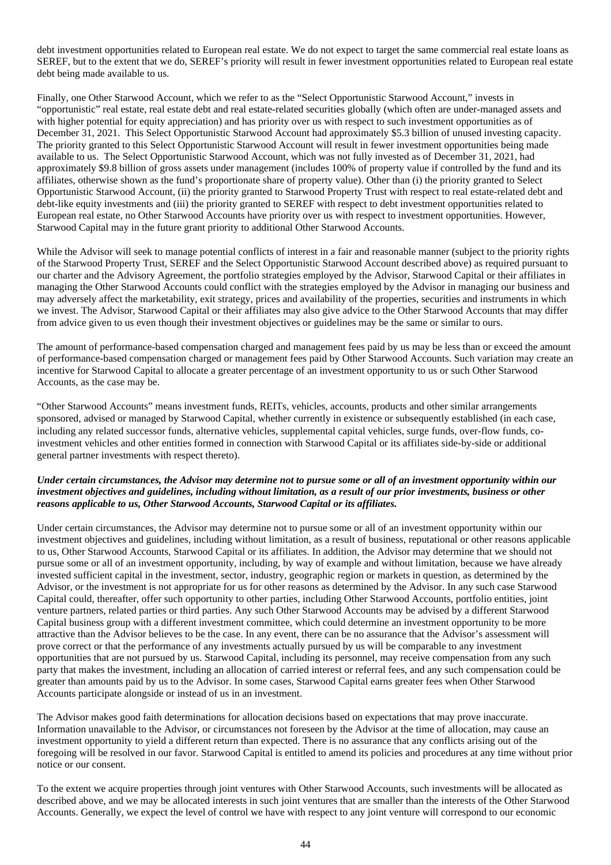debt investment opportunities related to European real estate. We do not expect to target the same commercial real estate loans as SEREF, but to the extent that we do, SEREF's priority will result in fewer investment opportunities related to European real estate debt being made available to us.

Finally, one Other Starwood Account, which we refer to as the "Select Opportunistic Starwood Account," invests in "opportunistic" real estate, real estate debt and real estate-related securities globally (which often are under-managed assets and with higher potential for equity appreciation) and has priority over us with respect to such investment opportunities as of December 31, 2021. This Select Opportunistic Starwood Account had approximately \$5.3 billion of unused investing capacity. The priority granted to this Select Opportunistic Starwood Account will result in fewer investment opportunities being made available to us. The Select Opportunistic Starwood Account, which was not fully invested as of December 31, 2021, had approximately \$9.8 billion of gross assets under management (includes 100% of property value if controlled by the fund and its affiliates, otherwise shown as the fund's proportionate share of property value). Other than (i) the priority granted to Select Opportunistic Starwood Account, (ii) the priority granted to Starwood Property Trust with respect to real estate-related debt and debt-like equity investments and (iii) the priority granted to SEREF with respect to debt investment opportunities related to European real estate, no Other Starwood Accounts have priority over us with respect to investment opportunities. However, Starwood Capital may in the future grant priority to additional Other Starwood Accounts.

While the Advisor will seek to manage potential conflicts of interest in a fair and reasonable manner (subject to the priority rights of the Starwood Property Trust, SEREF and the Select Opportunistic Starwood Account described above) as required pursuant to our charter and the Advisory Agreement, the portfolio strategies employed by the Advisor, Starwood Capital or their affiliates in managing the Other Starwood Accounts could conflict with the strategies employed by the Advisor in managing our business and may adversely affect the marketability, exit strategy, prices and availability of the properties, securities and instruments in which we invest. The Advisor, Starwood Capital or their affiliates may also give advice to the Other Starwood Accounts that may differ from advice given to us even though their investment objectives or guidelines may be the same or similar to ours.

The amount of performance-based compensation charged and management fees paid by us may be less than or exceed the amount of performance-based compensation charged or management fees paid by Other Starwood Accounts. Such variation may create an incentive for Starwood Capital to allocate a greater percentage of an investment opportunity to us or such Other Starwood Accounts, as the case may be.

"Other Starwood Accounts" means investment funds, REITs, vehicles, accounts, products and other similar arrangements sponsored, advised or managed by Starwood Capital, whether currently in existence or subsequently established (in each case, including any related successor funds, alternative vehicles, supplemental capital vehicles, surge funds, over-flow funds, coinvestment vehicles and other entities formed in connection with Starwood Capital or its affiliates side-by-side or additional general partner investments with respect thereto).

### *Under certain circumstances, the Advisor may determine not to pursue some or all of an investment opportunity within our investment objectives and guidelines, including without limitation, as a result of our prior investments, business or other reasons applicable to us, Other Starwood Accounts, Starwood Capital or its affiliates.*

Under certain circumstances, the Advisor may determine not to pursue some or all of an investment opportunity within our investment objectives and guidelines, including without limitation, as a result of business, reputational or other reasons applicable to us, Other Starwood Accounts, Starwood Capital or its affiliates. In addition, the Advisor may determine that we should not pursue some or all of an investment opportunity, including, by way of example and without limitation, because we have already invested sufficient capital in the investment, sector, industry, geographic region or markets in question, as determined by the Advisor, or the investment is not appropriate for us for other reasons as determined by the Advisor. In any such case Starwood Capital could, thereafter, offer such opportunity to other parties, including Other Starwood Accounts, portfolio entities, joint venture partners, related parties or third parties. Any such Other Starwood Accounts may be advised by a different Starwood Capital business group with a different investment committee, which could determine an investment opportunity to be more attractive than the Advisor believes to be the case. In any event, there can be no assurance that the Advisor's assessment will prove correct or that the performance of any investments actually pursued by us will be comparable to any investment opportunities that are not pursued by us. Starwood Capital, including its personnel, may receive compensation from any such party that makes the investment, including an allocation of carried interest or referral fees, and any such compensation could be greater than amounts paid by us to the Advisor. In some cases, Starwood Capital earns greater fees when Other Starwood Accounts participate alongside or instead of us in an investment.

The Advisor makes good faith determinations for allocation decisions based on expectations that may prove inaccurate. Information unavailable to the Advisor, or circumstances not foreseen by the Advisor at the time of allocation, may cause an investment opportunity to yield a different return than expected. There is no assurance that any conflicts arising out of the foregoing will be resolved in our favor. Starwood Capital is entitled to amend its policies and procedures at any time without prior notice or our consent.

To the extent we acquire properties through joint ventures with Other Starwood Accounts, such investments will be allocated as described above, and we may be allocated interests in such joint ventures that are smaller than the interests of the Other Starwood Accounts. Generally, we expect the level of control we have with respect to any joint venture will correspond to our economic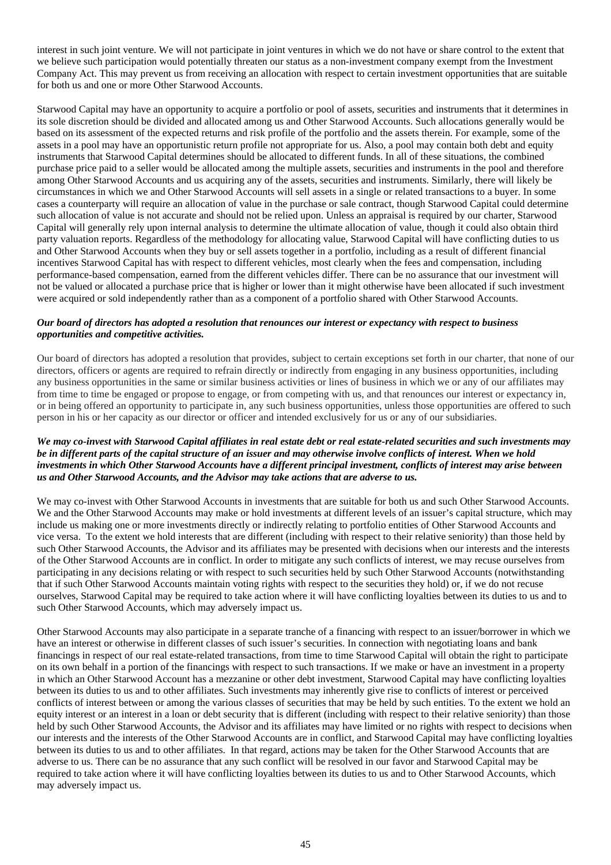interest in such joint venture. We will not participate in joint ventures in which we do not have or share control to the extent that we believe such participation would potentially threaten our status as a non-investment company exempt from the Investment Company Act. This may prevent us from receiving an allocation with respect to certain investment opportunities that are suitable for both us and one or more Other Starwood Accounts.

Starwood Capital may have an opportunity to acquire a portfolio or pool of assets, securities and instruments that it determines in its sole discretion should be divided and allocated among us and Other Starwood Accounts. Such allocations generally would be based on its assessment of the expected returns and risk profile of the portfolio and the assets therein. For example, some of the assets in a pool may have an opportunistic return profile not appropriate for us. Also, a pool may contain both debt and equity instruments that Starwood Capital determines should be allocated to different funds. In all of these situations, the combined purchase price paid to a seller would be allocated among the multiple assets, securities and instruments in the pool and therefore among Other Starwood Accounts and us acquiring any of the assets, securities and instruments. Similarly, there will likely be circumstances in which we and Other Starwood Accounts will sell assets in a single or related transactions to a buyer. In some cases a counterparty will require an allocation of value in the purchase or sale contract, though Starwood Capital could determine such allocation of value is not accurate and should not be relied upon. Unless an appraisal is required by our charter, Starwood Capital will generally rely upon internal analysis to determine the ultimate allocation of value, though it could also obtain third party valuation reports. Regardless of the methodology for allocating value, Starwood Capital will have conflicting duties to us and Other Starwood Accounts when they buy or sell assets together in a portfolio, including as a result of different financial incentives Starwood Capital has with respect to different vehicles, most clearly when the fees and compensation, including performance-based compensation, earned from the different vehicles differ. There can be no assurance that our investment will not be valued or allocated a purchase price that is higher or lower than it might otherwise have been allocated if such investment were acquired or sold independently rather than as a component of a portfolio shared with Other Starwood Accounts.

# *Our board of directors has adopted a resolution that renounces our interest or expectancy with respect to business opportunities and competitive activities.*

Our board of directors has adopted a resolution that provides, subject to certain exceptions set forth in our charter, that none of our directors, officers or agents are required to refrain directly or indirectly from engaging in any business opportunities, including any business opportunities in the same or similar business activities or lines of business in which we or any of our affiliates may from time to time be engaged or propose to engage, or from competing with us, and that renounces our interest or expectancy in, or in being offered an opportunity to participate in, any such business opportunities, unless those opportunities are offered to such person in his or her capacity as our director or officer and intended exclusively for us or any of our subsidiaries.

# We may co-invest with Starwood Capital affiliates in real estate debt or real estate-related securities and such investments may *be in different parts of the capital structure of an issuer and may otherwise involve conflicts of interest. When we hold investments in which Other Starwood Accounts have a different principal investment, conflicts of interest may arise between us and Other Starwood Accounts, and the Advisor may take actions that are adverse to us.*

We may co-invest with Other Starwood Accounts in investments that are suitable for both us and such Other Starwood Accounts. We and the Other Starwood Accounts may make or hold investments at different levels of an issuer's capital structure, which may include us making one or more investments directly or indirectly relating to portfolio entities of Other Starwood Accounts and vice versa. To the extent we hold interests that are different (including with respect to their relative seniority) than those held by such Other Starwood Accounts, the Advisor and its affiliates may be presented with decisions when our interests and the interests of the Other Starwood Accounts are in conflict. In order to mitigate any such conflicts of interest, we may recuse ourselves from participating in any decisions relating or with respect to such securities held by such Other Starwood Accounts (notwithstanding that if such Other Starwood Accounts maintain voting rights with respect to the securities they hold) or, if we do not recuse ourselves, Starwood Capital may be required to take action where it will have conflicting loyalties between its duties to us and to such Other Starwood Accounts, which may adversely impact us.

Other Starwood Accounts may also participate in a separate tranche of a financing with respect to an issuer/borrower in which we have an interest or otherwise in different classes of such issuer's securities. In connection with negotiating loans and bank financings in respect of our real estate-related transactions, from time to time Starwood Capital will obtain the right to participate on its own behalf in a portion of the financings with respect to such transactions. If we make or have an investment in a property in which an Other Starwood Account has a mezzanine or other debt investment, Starwood Capital may have conflicting loyalties between its duties to us and to other affiliates. Such investments may inherently give rise to conflicts of interest or perceived conflicts of interest between or among the various classes of securities that may be held by such entities. To the extent we hold an equity interest or an interest in a loan or debt security that is different (including with respect to their relative seniority) than those held by such Other Starwood Accounts, the Advisor and its affiliates may have limited or no rights with respect to decisions when our interests and the interests of the Other Starwood Accounts are in conflict, and Starwood Capital may have conflicting loyalties between its duties to us and to other affiliates. In that regard, actions may be taken for the Other Starwood Accounts that are adverse to us. There can be no assurance that any such conflict will be resolved in our favor and Starwood Capital may be required to take action where it will have conflicting loyalties between its duties to us and to Other Starwood Accounts, which may adversely impact us.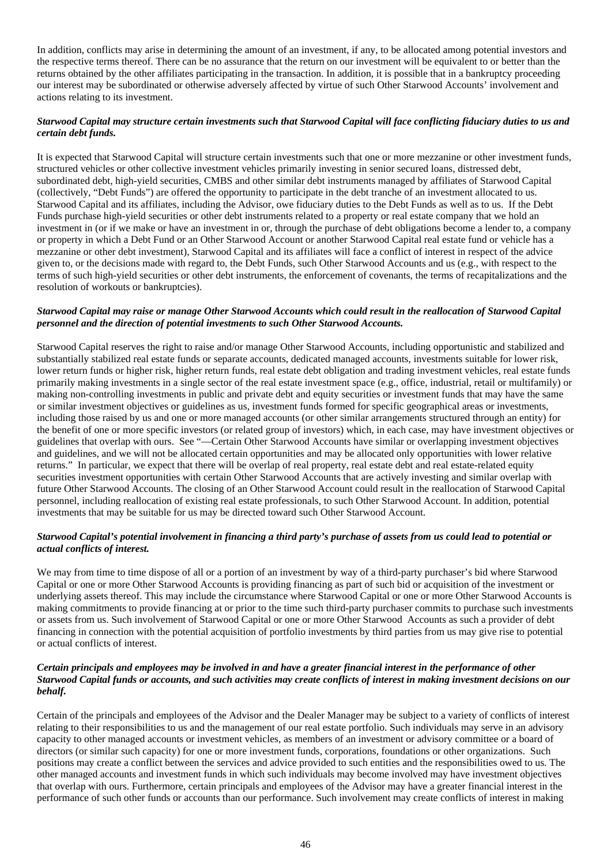In addition, conflicts may arise in determining the amount of an investment, if any, to be allocated among potential investors and the respective terms thereof. There can be no assurance that the return on our investment will be equivalent to or better than the returns obtained by the other affiliates participating in the transaction. In addition, it is possible that in a bankruptcy proceeding our interest may be subordinated or otherwise adversely affected by virtue of such Other Starwood Accounts' involvement and actions relating to its investment.

# *Starwood Capital may structure certain investments such that Starwood Capital will face conflicting fiduciary duties to us and certain debt funds.*

It is expected that Starwood Capital will structure certain investments such that one or more mezzanine or other investment funds, structured vehicles or other collective investment vehicles primarily investing in senior secured loans, distressed debt, subordinated debt, high-yield securities, CMBS and other similar debt instruments managed by affiliates of Starwood Capital (collectively, "Debt Funds") are offered the opportunity to participate in the debt tranche of an investment allocated to us. Starwood Capital and its affiliates, including the Advisor, owe fiduciary duties to the Debt Funds as well as to us. If the Debt Funds purchase high-yield securities or other debt instruments related to a property or real estate company that we hold an investment in (or if we make or have an investment in or, through the purchase of debt obligations become a lender to, a company or property in which a Debt Fund or an Other Starwood Account or another Starwood Capital real estate fund or vehicle has a mezzanine or other debt investment), Starwood Capital and its affiliates will face a conflict of interest in respect of the advice given to, or the decisions made with regard to, the Debt Funds, such Other Starwood Accounts and us (e.g., with respect to the terms of such high-yield securities or other debt instruments, the enforcement of covenants, the terms of recapitalizations and the resolution of workouts or bankruptcies).

# *Starwood Capital may raise or manage Other Starwood Accounts which could result in the reallocation of Starwood Capital personnel and the direction of potential investments to such Other Starwood Accounts.*

Starwood Capital reserves the right to raise and/or manage Other Starwood Accounts, including opportunistic and stabilized and substantially stabilized real estate funds or separate accounts, dedicated managed accounts, investments suitable for lower risk, lower return funds or higher risk, higher return funds, real estate debt obligation and trading investment vehicles, real estate funds primarily making investments in a single sector of the real estate investment space (e.g., office, industrial, retail or multifamily) or making non-controlling investments in public and private debt and equity securities or investment funds that may have the same or similar investment objectives or guidelines as us, investment funds formed for specific geographical areas or investments, including those raised by us and one or more managed accounts (or other similar arrangements structured through an entity) for the benefit of one or more specific investors (or related group of investors) which, in each case, may have investment objectives or guidelines that overlap with ours. See "—Certain Other Starwood Accounts have similar or overlapping investment objectives and guidelines, and we will not be allocated certain opportunities and may be allocated only opportunities with lower relative returns." In particular, we expect that there will be overlap of real property, real estate debt and real estate-related equity securities investment opportunities with certain Other Starwood Accounts that are actively investing and similar overlap with future Other Starwood Accounts. The closing of an Other Starwood Account could result in the reallocation of Starwood Capital personnel, including reallocation of existing real estate professionals, to such Other Starwood Account. In addition, potential investments that may be suitable for us may be directed toward such Other Starwood Account.

# *Starwood Capital's potential involvement in financing a third party's purchase of assets from us could lead to potential or actual conflicts of interest.*

We may from time to time dispose of all or a portion of an investment by way of a third-party purchaser's bid where Starwood Capital or one or more Other Starwood Accounts is providing financing as part of such bid or acquisition of the investment or underlying assets thereof. This may include the circumstance where Starwood Capital or one or more Other Starwood Accounts is making commitments to provide financing at or prior to the time such third-party purchaser commits to purchase such investments or assets from us. Such involvement of Starwood Capital or one or more Other Starwood Accounts as such a provider of debt financing in connection with the potential acquisition of portfolio investments by third parties from us may give rise to potential or actual conflicts of interest.

# *Certain principals and employees may be involved in and have a greater financial interest in the performance of other Starwood Capital funds or accounts, and such activities may create conflicts of interest in making investment decisions on our behalf.*

Certain of the principals and employees of the Advisor and the Dealer Manager may be subject to a variety of conflicts of interest relating to their responsibilities to us and the management of our real estate portfolio. Such individuals may serve in an advisory capacity to other managed accounts or investment vehicles, as members of an investment or advisory committee or a board of directors (or similar such capacity) for one or more investment funds, corporations, foundations or other organizations. Such positions may create a conflict between the services and advice provided to such entities and the responsibilities owed to us. The other managed accounts and investment funds in which such individuals may become involved may have investment objectives that overlap with ours. Furthermore, certain principals and employees of the Advisor may have a greater financial interest in the performance of such other funds or accounts than our performance. Such involvement may create conflicts of interest in making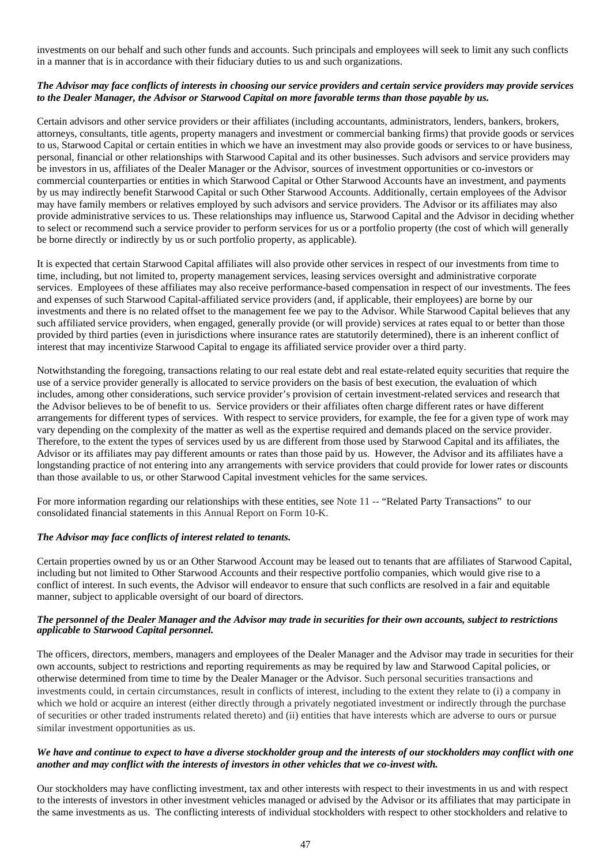investments on our behalf and such other funds and accounts. Such principals and employees will seek to limit any such conflicts in a manner that is in accordance with their fiduciary duties to us and such organizations.

# *The Advisor may face conflicts of interests in choosing our service providers and certain service providers may provide services to the Dealer Manager, the Advisor or Starwood Capital on more favorable terms than those payable by us.*

Certain advisors and other service providers or their affiliates (including accountants, administrators, lenders, bankers, brokers, attorneys, consultants, title agents, property managers and investment or commercial banking firms) that provide goods or services to us, Starwood Capital or certain entities in which we have an investment may also provide goods or services to or have business, personal, financial or other relationships with Starwood Capital and its other businesses. Such advisors and service providers may be investors in us, affiliates of the Dealer Manager or the Advisor, sources of investment opportunities or co-investors or commercial counterparties or entities in which Starwood Capital or Other Starwood Accounts have an investment, and payments by us may indirectly benefit Starwood Capital or such Other Starwood Accounts. Additionally, certain employees of the Advisor may have family members or relatives employed by such advisors and service providers. The Advisor or its affiliates may also provide administrative services to us. These relationships may influence us, Starwood Capital and the Advisor in deciding whether to select or recommend such a service provider to perform services for us or a portfolio property (the cost of which will generally be borne directly or indirectly by us or such portfolio property, as applicable).

It is expected that certain Starwood Capital affiliates will also provide other services in respect of our investments from time to time, including, but not limited to, property management services, leasing services oversight and administrative corporate services. Employees of these affiliates may also receive performance-based compensation in respect of our investments. The fees and expenses of such Starwood Capital-affiliated service providers (and, if applicable, their employees) are borne by our investments and there is no related offset to the management fee we pay to the Advisor. While Starwood Capital believes that any such affiliated service providers, when engaged, generally provide (or will provide) services at rates equal to or better than those provided by third parties (even in jurisdictions where insurance rates are statutorily determined), there is an inherent conflict of interest that may incentivize Starwood Capital to engage its affiliated service provider over a third party.

Notwithstanding the foregoing, transactions relating to our real estate debt and real estate-related equity securities that require the use of a service provider generally is allocated to service providers on the basis of best execution, the evaluation of which includes, among other considerations, such service provider's provision of certain investment-related services and research that the Advisor believes to be of benefit to us. Service providers or their affiliates often charge different rates or have different arrangements for different types of services. With respect to service providers, for example, the fee for a given type of work may vary depending on the complexity of the matter as well as the expertise required and demands placed on the service provider. Therefore, to the extent the types of services used by us are different from those used by Starwood Capital and its affiliates, the Advisor or its affiliates may pay different amounts or rates than those paid by us. However, the Advisor and its affiliates have a longstanding practice of not entering into any arrangements with service providers that could provide for lower rates or discounts than those available to us, or other Starwood Capital investment vehicles for the same services.

For more information regarding our relationships with these entities, see Note 11 -- "Related Party Transactions" to our consolidated financial statements in this Annual Report on Form 10-K.

# *The Advisor may face conflicts of interest related to tenants.*

Certain properties owned by us or an Other Starwood Account may be leased out to tenants that are affiliates of Starwood Capital, including but not limited to Other Starwood Accounts and their respective portfolio companies, which would give rise to a conflict of interest. In such events, the Advisor will endeavor to ensure that such conflicts are resolved in a fair and equitable manner, subject to applicable oversight of our board of directors.

#### *The personnel of the Dealer Manager and the Advisor may trade in securities for their own accounts, subject to restrictions applicable to Starwood Capital personnel.*

The officers, directors, members, managers and employees of the Dealer Manager and the Advisor may trade in securities for their own accounts, subject to restrictions and reporting requirements as may be required by law and Starwood Capital policies, or otherwise determined from time to time by the Dealer Manager or the Advisor. Such personal securities transactions and investments could, in certain circumstances, result in conflicts of interest, including to the extent they relate to (i) a company in which we hold or acquire an interest (either directly through a privately negotiated investment or indirectly through the purchase of securities or other traded instruments related thereto) and (ii) entities that have interests which are adverse to ours or pursue similar investment opportunities as us.

# *We have and continue to expect to have a diverse stockholder group and the interests of our stockholders may conflict with one another and may conflict with the interests of investors in other vehicles that we co-invest with.*

Our stockholders may have conflicting investment, tax and other interests with respect to their investments in us and with respect to the interests of investors in other investment vehicles managed or advised by the Advisor or its affiliates that may participate in the same investments as us. The conflicting interests of individual stockholders with respect to other stockholders and relative to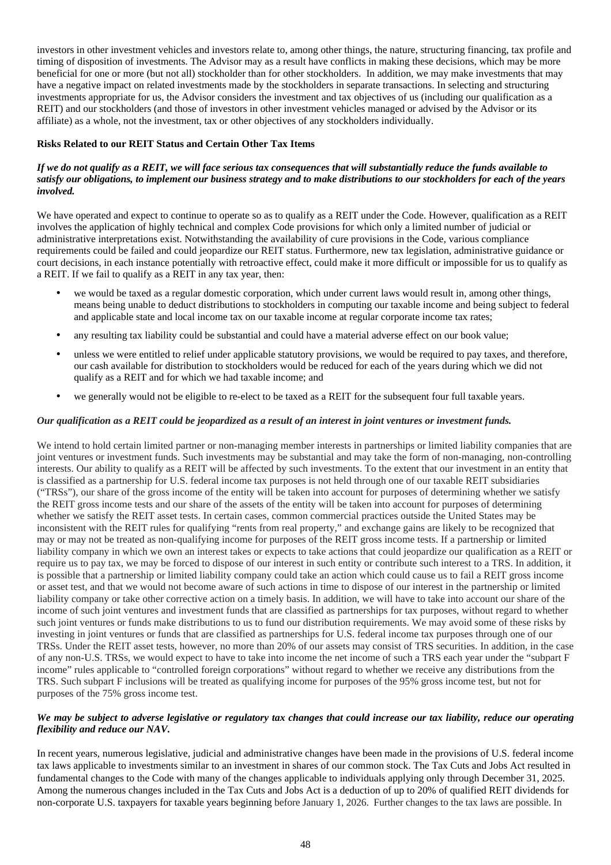investors in other investment vehicles and investors relate to, among other things, the nature, structuring financing, tax profile and timing of disposition of investments. The Advisor may as a result have conflicts in making these decisions, which may be more beneficial for one or more (but not all) stockholder than for other stockholders. In addition, we may make investments that may have a negative impact on related investments made by the stockholders in separate transactions. In selecting and structuring investments appropriate for us, the Advisor considers the investment and tax objectives of us (including our qualification as a REIT) and our stockholders (and those of investors in other investment vehicles managed or advised by the Advisor or its affiliate) as a whole, not the investment, tax or other objectives of any stockholders individually.

# **Risks Related to our REIT Status and Certain Other Tax Items**

# *If we do not qualify as a REIT, we will face serious tax consequences that will substantially reduce the funds available to satisfy our obligations, to implement our business strategy and to make distributions to our stockholders for each of the years involved.*

We have operated and expect to continue to operate so as to qualify as a REIT under the Code. However, qualification as a REIT involves the application of highly technical and complex Code provisions for which only a limited number of judicial or administrative interpretations exist. Notwithstanding the availability of cure provisions in the Code, various compliance requirements could be failed and could jeopardize our REIT status. Furthermore, new tax legislation, administrative guidance or court decisions, in each instance potentially with retroactive effect, could make it more difficult or impossible for us to qualify as a REIT. If we fail to qualify as a REIT in any tax year, then:

- we would be taxed as a regular domestic corporation, which under current laws would result in, among other things, means being unable to deduct distributions to stockholders in computing our taxable income and being subject to federal and applicable state and local income tax on our taxable income at regular corporate income tax rates;
- any resulting tax liability could be substantial and could have a material adverse effect on our book value;
- unless we were entitled to relief under applicable statutory provisions, we would be required to pay taxes, and therefore, our cash available for distribution to stockholders would be reduced for each of the years during which we did not qualify as a REIT and for which we had taxable income; and
- we generally would not be eligible to re-elect to be taxed as a REIT for the subsequent four full taxable years.

#### *Our qualification as a REIT could be jeopardized as a result of an interest in joint ventures or investment funds.*

We intend to hold certain limited partner or non-managing member interests in partnerships or limited liability companies that are joint ventures or investment funds. Such investments may be substantial and may take the form of non-managing, non-controlling interests. Our ability to qualify as a REIT will be affected by such investments. To the extent that our investment in an entity that is classified as a partnership for U.S. federal income tax purposes is not held through one of our taxable REIT subsidiaries ("TRSs"), our share of the gross income of the entity will be taken into account for purposes of determining whether we satisfy the REIT gross income tests and our share of the assets of the entity will be taken into account for purposes of determining whether we satisfy the REIT asset tests. In certain cases, common commercial practices outside the United States may be inconsistent with the REIT rules for qualifying "rents from real property," and exchange gains are likely to be recognized that may or may not be treated as non-qualifying income for purposes of the REIT gross income tests. If a partnership or limited liability company in which we own an interest takes or expects to take actions that could jeopardize our qualification as a REIT or require us to pay tax, we may be forced to dispose of our interest in such entity or contribute such interest to a TRS. In addition, it is possible that a partnership or limited liability company could take an action which could cause us to fail a REIT gross income or asset test, and that we would not become aware of such actions in time to dispose of our interest in the partnership or limited liability company or take other corrective action on a timely basis. In addition, we will have to take into account our share of the income of such joint ventures and investment funds that are classified as partnerships for tax purposes, without regard to whether such joint ventures or funds make distributions to us to fund our distribution requirements. We may avoid some of these risks by investing in joint ventures or funds that are classified as partnerships for U.S. federal income tax purposes through one of our TRSs. Under the REIT asset tests, however, no more than 20% of our assets may consist of TRS securities. In addition, in the case of any non-U.S. TRSs, we would expect to have to take into income the net income of such a TRS each year under the "subpart F income" rules applicable to "controlled foreign corporations" without regard to whether we receive any distributions from the TRS. Such subpart F inclusions will be treated as qualifying income for purposes of the 95% gross income test, but not for purposes of the 75% gross income test.

# *We may be subject to adverse legislative or regulatory tax changes that could increase our tax liability, reduce our operating flexibility and reduce our NAV.*

In recent years, numerous legislative, judicial and administrative changes have been made in the provisions of U.S. federal income tax laws applicable to investments similar to an investment in shares of our common stock. The Tax Cuts and Jobs Act resulted in fundamental changes to the Code with many of the changes applicable to individuals applying only through December 31, 2025. Among the numerous changes included in the Tax Cuts and Jobs Act is a deduction of up to 20% of qualified REIT dividends for non-corporate U.S. taxpayers for taxable years beginning before January 1, 2026. Further changes to the tax laws are possible. In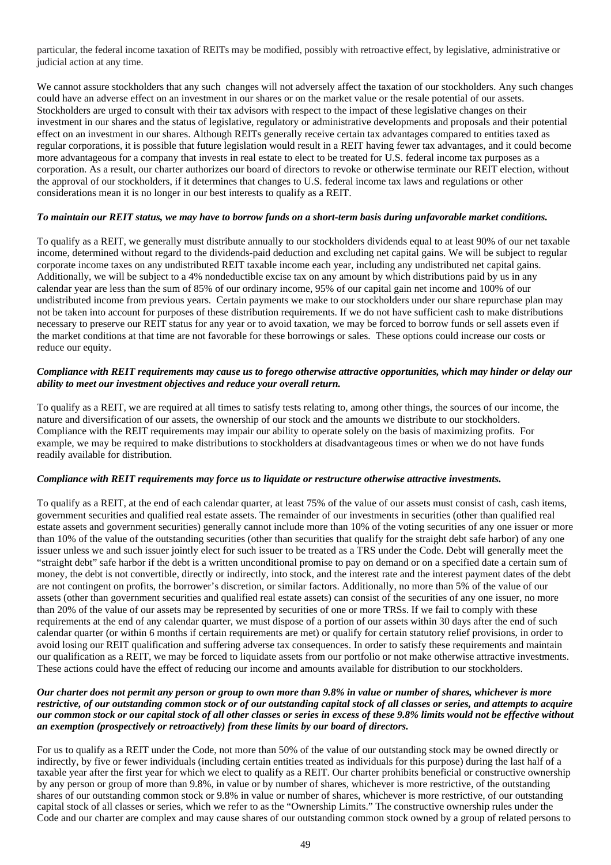particular, the federal income taxation of REITs may be modified, possibly with retroactive effect, by legislative, administrative or judicial action at any time.

We cannot assure stockholders that any such changes will not adversely affect the taxation of our stockholders. Any such changes could have an adverse effect on an investment in our shares or on the market value or the resale potential of our assets. Stockholders are urged to consult with their tax advisors with respect to the impact of these legislative changes on their investment in our shares and the status of legislative, regulatory or administrative developments and proposals and their potential effect on an investment in our shares. Although REITs generally receive certain tax advantages compared to entities taxed as regular corporations, it is possible that future legislation would result in a REIT having fewer tax advantages, and it could become more advantageous for a company that invests in real estate to elect to be treated for U.S. federal income tax purposes as a corporation. As a result, our charter authorizes our board of directors to revoke or otherwise terminate our REIT election, without the approval of our stockholders, if it determines that changes to U.S. federal income tax laws and regulations or other considerations mean it is no longer in our best interests to qualify as a REIT.

# *To maintain our REIT status, we may have to borrow funds on a short-term basis during unfavorable market conditions.*

To qualify as a REIT, we generally must distribute annually to our stockholders dividends equal to at least 90% of our net taxable income, determined without regard to the dividends-paid deduction and excluding net capital gains. We will be subject to regular corporate income taxes on any undistributed REIT taxable income each year, including any undistributed net capital gains. Additionally, we will be subject to a 4% nondeductible excise tax on any amount by which distributions paid by us in any calendar year are less than the sum of 85% of our ordinary income, 95% of our capital gain net income and 100% of our undistributed income from previous years. Certain payments we make to our stockholders under our share repurchase plan may not be taken into account for purposes of these distribution requirements. If we do not have sufficient cash to make distributions necessary to preserve our REIT status for any year or to avoid taxation, we may be forced to borrow funds or sell assets even if the market conditions at that time are not favorable for these borrowings or sales. These options could increase our costs or reduce our equity.

### *Compliance with REIT requirements may cause us to forego otherwise attractive opportunities, which may hinder or delay our ability to meet our investment objectives and reduce your overall return.*

To qualify as a REIT, we are required at all times to satisfy tests relating to, among other things, the sources of our income, the nature and diversification of our assets, the ownership of our stock and the amounts we distribute to our stockholders. Compliance with the REIT requirements may impair our ability to operate solely on the basis of maximizing profits. For example, we may be required to make distributions to stockholders at disadvantageous times or when we do not have funds readily available for distribution.

# *Compliance with REIT requirements may force us to liquidate or restructure otherwise attractive investments.*

To qualify as a REIT, at the end of each calendar quarter, at least 75% of the value of our assets must consist of cash, cash items, government securities and qualified real estate assets. The remainder of our investments in securities (other than qualified real estate assets and government securities) generally cannot include more than 10% of the voting securities of any one issuer or more than 10% of the value of the outstanding securities (other than securities that qualify for the straight debt safe harbor) of any one issuer unless we and such issuer jointly elect for such issuer to be treated as a TRS under the Code. Debt will generally meet the "straight debt" safe harbor if the debt is a written unconditional promise to pay on demand or on a specified date a certain sum of money, the debt is not convertible, directly or indirectly, into stock, and the interest rate and the interest payment dates of the debt are not contingent on profits, the borrower's discretion, or similar factors. Additionally, no more than 5% of the value of our assets (other than government securities and qualified real estate assets) can consist of the securities of any one issuer, no more than 20% of the value of our assets may be represented by securities of one or more TRSs. If we fail to comply with these requirements at the end of any calendar quarter, we must dispose of a portion of our assets within 30 days after the end of such calendar quarter (or within 6 months if certain requirements are met) or qualify for certain statutory relief provisions, in order to avoid losing our REIT qualification and suffering adverse tax consequences. In order to satisfy these requirements and maintain our qualification as a REIT, we may be forced to liquidate assets from our portfolio or not make otherwise attractive investments. These actions could have the effect of reducing our income and amounts available for distribution to our stockholders.

#### *Our charter does not permit any person or group to own more than 9.8% in value or number of shares, whichever is more restrictive, of our outstanding common stock or of our outstanding capital stock of all classes or series, and attempts to acquire our common stock or our capital stock of all other classes or series in excess of these 9.8% limits would not be effective without an exemption (prospectively or retroactively) from these limits by our board of directors.*

For us to qualify as a REIT under the Code, not more than 50% of the value of our outstanding stock may be owned directly or indirectly, by five or fewer individuals (including certain entities treated as individuals for this purpose) during the last half of a taxable year after the first year for which we elect to qualify as a REIT. Our charter prohibits beneficial or constructive ownership by any person or group of more than 9.8%, in value or by number of shares, whichever is more restrictive, of the outstanding shares of our outstanding common stock or 9.8% in value or number of shares, whichever is more restrictive, of our outstanding capital stock of all classes or series, which we refer to as the "Ownership Limits." The constructive ownership rules under the Code and our charter are complex and may cause shares of our outstanding common stock owned by a group of related persons to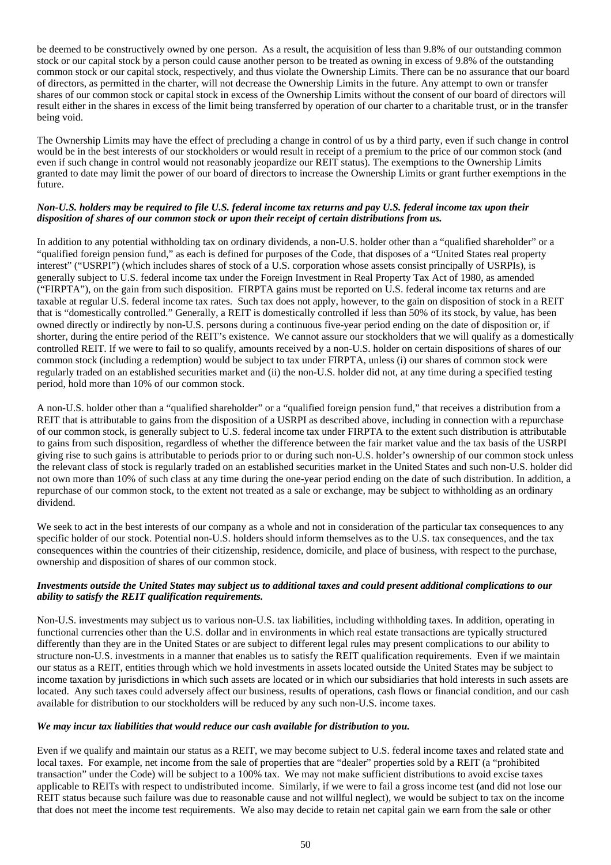be deemed to be constructively owned by one person. As a result, the acquisition of less than 9.8% of our outstanding common stock or our capital stock by a person could cause another person to be treated as owning in excess of 9.8% of the outstanding common stock or our capital stock, respectively, and thus violate the Ownership Limits. There can be no assurance that our board of directors, as permitted in the charter, will not decrease the Ownership Limits in the future. Any attempt to own or transfer shares of our common stock or capital stock in excess of the Ownership Limits without the consent of our board of directors will result either in the shares in excess of the limit being transferred by operation of our charter to a charitable trust, or in the transfer being void.

The Ownership Limits may have the effect of precluding a change in control of us by a third party, even if such change in control would be in the best interests of our stockholders or would result in receipt of a premium to the price of our common stock (and even if such change in control would not reasonably jeopardize our REIT status). The exemptions to the Ownership Limits granted to date may limit the power of our board of directors to increase the Ownership Limits or grant further exemptions in the future.

# *Non-U.S. holders may be required to file U.S. federal income tax returns and pay U.S. federal income tax upon their disposition of shares of our common stock or upon their receipt of certain distributions from us.*

In addition to any potential withholding tax on ordinary dividends, a non-U.S. holder other than a "qualified shareholder" or a "qualified foreign pension fund," as each is defined for purposes of the Code, that disposes of a "United States real property interest" ("USRPI") (which includes shares of stock of a U.S. corporation whose assets consist principally of USRPIs), is generally subject to U.S. federal income tax under the Foreign Investment in Real Property Tax Act of 1980, as amended ("FIRPTA"), on the gain from such disposition. FIRPTA gains must be reported on U.S. federal income tax returns and are taxable at regular U.S. federal income tax rates. Such tax does not apply, however, to the gain on disposition of stock in a REIT that is "domestically controlled." Generally, a REIT is domestically controlled if less than 50% of its stock, by value, has been owned directly or indirectly by non-U.S. persons during a continuous five-year period ending on the date of disposition or, if shorter, during the entire period of the REIT's existence. We cannot assure our stockholders that we will qualify as a domestically controlled REIT. If we were to fail to so qualify, amounts received by a non-U.S. holder on certain dispositions of shares of our common stock (including a redemption) would be subject to tax under FIRPTA, unless (i) our shares of common stock were regularly traded on an established securities market and (ii) the non-U.S. holder did not, at any time during a specified testing period, hold more than 10% of our common stock.

A non-U.S. holder other than a "qualified shareholder" or a "qualified foreign pension fund," that receives a distribution from a REIT that is attributable to gains from the disposition of a USRPI as described above, including in connection with a repurchase of our common stock, is generally subject to U.S. federal income tax under FIRPTA to the extent such distribution is attributable to gains from such disposition, regardless of whether the difference between the fair market value and the tax basis of the USRPI giving rise to such gains is attributable to periods prior to or during such non-U.S. holder's ownership of our common stock unless the relevant class of stock is regularly traded on an established securities market in the United States and such non-U.S. holder did not own more than 10% of such class at any time during the one-year period ending on the date of such distribution. In addition, a repurchase of our common stock, to the extent not treated as a sale or exchange, may be subject to withholding as an ordinary dividend.

We seek to act in the best interests of our company as a whole and not in consideration of the particular tax consequences to any specific holder of our stock. Potential non-U.S. holders should inform themselves as to the U.S. tax consequences, and the tax consequences within the countries of their citizenship, residence, domicile, and place of business, with respect to the purchase, ownership and disposition of shares of our common stock.

# *Investments outside the United States may subject us to additional taxes and could present additional complications to our ability to satisfy the REIT qualification requirements.*

Non-U.S. investments may subject us to various non-U.S. tax liabilities, including withholding taxes. In addition, operating in functional currencies other than the U.S. dollar and in environments in which real estate transactions are typically structured differently than they are in the United States or are subject to different legal rules may present complications to our ability to structure non-U.S. investments in a manner that enables us to satisfy the REIT qualification requirements. Even if we maintain our status as a REIT, entities through which we hold investments in assets located outside the United States may be subject to income taxation by jurisdictions in which such assets are located or in which our subsidiaries that hold interests in such assets are located. Any such taxes could adversely affect our business, results of operations, cash flows or financial condition, and our cash available for distribution to our stockholders will be reduced by any such non-U.S. income taxes.

# *We may incur tax liabilities that would reduce our cash available for distribution to you.*

Even if we qualify and maintain our status as a REIT, we may become subject to U.S. federal income taxes and related state and local taxes. For example, net income from the sale of properties that are "dealer" properties sold by a REIT (a "prohibited" transaction" under the Code) will be subject to a 100% tax. We may not make sufficient distributions to avoid excise taxes applicable to REITs with respect to undistributed income. Similarly, if we were to fail a gross income test (and did not lose our REIT status because such failure was due to reasonable cause and not willful neglect), we would be subject to tax on the income that does not meet the income test requirements. We also may decide to retain net capital gain we earn from the sale or other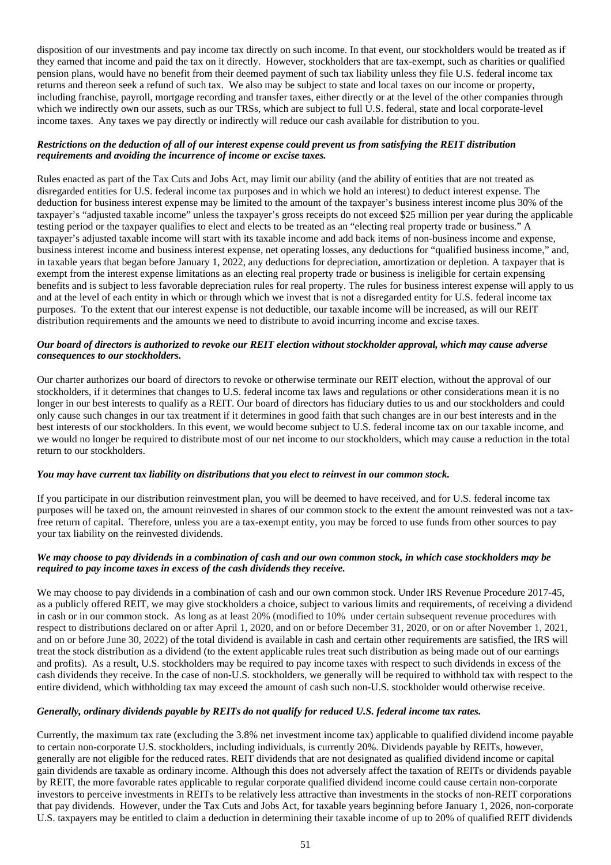disposition of our investments and pay income tax directly on such income. In that event, our stockholders would be treated as if they earned that income and paid the tax on it directly. However, stockholders that are tax-exempt, such as charities or qualified pension plans, would have no benefit from their deemed payment of such tax liability unless they file U.S. federal income tax returns and thereon seek a refund of such tax. We also may be subject to state and local taxes on our income or property, including franchise, payroll, mortgage recording and transfer taxes, either directly or at the level of the other companies through which we indirectly own our assets, such as our TRSs, which are subject to full U.S. federal, state and local corporate-level income taxes. Any taxes we pay directly or indirectly will reduce our cash available for distribution to you.

# *Restrictions on the deduction of all of our interest expense could prevent us from satisfying the REIT distribution requirements and avoiding the incurrence of income or excise taxes.*

Rules enacted as part of the Tax Cuts and Jobs Act, may limit our ability (and the ability of entities that are not treated as disregarded entities for U.S. federal income tax purposes and in which we hold an interest) to deduct interest expense. The deduction for business interest expense may be limited to the amount of the taxpayer's business interest income plus 30% of the taxpayer's "adjusted taxable income" unless the taxpayer's gross receipts do not exceed \$25 million per year during the applicable testing period or the taxpayer qualifies to elect and elects to be treated as an "electing real property trade or business." A taxpayer's adjusted taxable income will start with its taxable income and add back items of non-business income and expense, business interest income and business interest expense, net operating losses, any deductions for "qualified business income," and, in taxable years that began before January 1, 2022, any deductions for depreciation, amortization or depletion. A taxpayer that is exempt from the interest expense limitations as an electing real property trade or business is ineligible for certain expensing benefits and is subject to less favorable depreciation rules for real property. The rules for business interest expense will apply to us and at the level of each entity in which or through which we invest that is not a disregarded entity for U.S. federal income tax purposes. To the extent that our interest expense is not deductible, our taxable income will be increased, as will our REIT distribution requirements and the amounts we need to distribute to avoid incurring income and excise taxes.

### *Our board of directors is authorized to revoke our REIT election without stockholder approval, which may cause adverse consequences to our stockholders.*

Our charter authorizes our board of directors to revoke or otherwise terminate our REIT election, without the approval of our stockholders, if it determines that changes to U.S. federal income tax laws and regulations or other considerations mean it is no longer in our best interests to qualify as a REIT. Our board of directors has fiduciary duties to us and our stockholders and could only cause such changes in our tax treatment if it determines in good faith that such changes are in our best interests and in the best interests of our stockholders. In this event, we would become subject to U.S. federal income tax on our taxable income, and we would no longer be required to distribute most of our net income to our stockholders, which may cause a reduction in the total return to our stockholders.

# *You may have current tax liability on distributions that you elect to reinvest in our common stock.*

If you participate in our distribution reinvestment plan, you will be deemed to have received, and for U.S. federal income tax purposes will be taxed on, the amount reinvested in shares of our common stock to the extent the amount reinvested was not a taxfree return of capital. Therefore, unless you are a tax-exempt entity, you may be forced to use funds from other sources to pay your tax liability on the reinvested dividends.

### *We may choose to pay dividends in a combination of cash and our own common stock, in which case stockholders may be required to pay income taxes in excess of the cash dividends they receive.*

We may choose to pay dividends in a combination of cash and our own common stock. Under IRS Revenue Procedure 2017-45, as a publicly offered REIT, we may give stockholders a choice, subject to various limits and requirements, of receiving a dividend in cash or in our common stock. As long as at least 20% (modified to 10% under certain subsequent revenue procedures with respect to distributions declared on or after April 1, 2020, and on or before December 31, 2020, or on or after November 1, 2021, and on or before June 30, 2022) of the total dividend is available in cash and certain other requirements are satisfied, the IRS will treat the stock distribution as a dividend (to the extent applicable rules treat such distribution as being made out of our earnings and profits). As a result, U.S. stockholders may be required to pay income taxes with respect to such dividends in excess of the cash dividends they receive. In the case of non-U.S. stockholders, we generally will be required to withhold tax with respect to the entire dividend, which withholding tax may exceed the amount of cash such non-U.S. stockholder would otherwise receive.

# *Generally, ordinary dividends payable by REITs do not qualify for reduced U.S. federal income tax rates.*

Currently, the maximum tax rate (excluding the 3.8% net investment income tax) applicable to qualified dividend income payable to certain non-corporate U.S. stockholders, including individuals, is currently 20%. Dividends payable by REITs, however, generally are not eligible for the reduced rates. REIT dividends that are not designated as qualified dividend income or capital gain dividends are taxable as ordinary income. Although this does not adversely affect the taxation of REITs or dividends payable by REIT, the more favorable rates applicable to regular corporate qualified dividend income could cause certain non-corporate investors to perceive investments in REITs to be relatively less attractive than investments in the stocks of non-REIT corporations that pay dividends. However, under the Tax Cuts and Jobs Act, for taxable years beginning before January 1, 2026, non-corporate U.S. taxpayers may be entitled to claim a deduction in determining their taxable income of up to 20% of qualified REIT dividends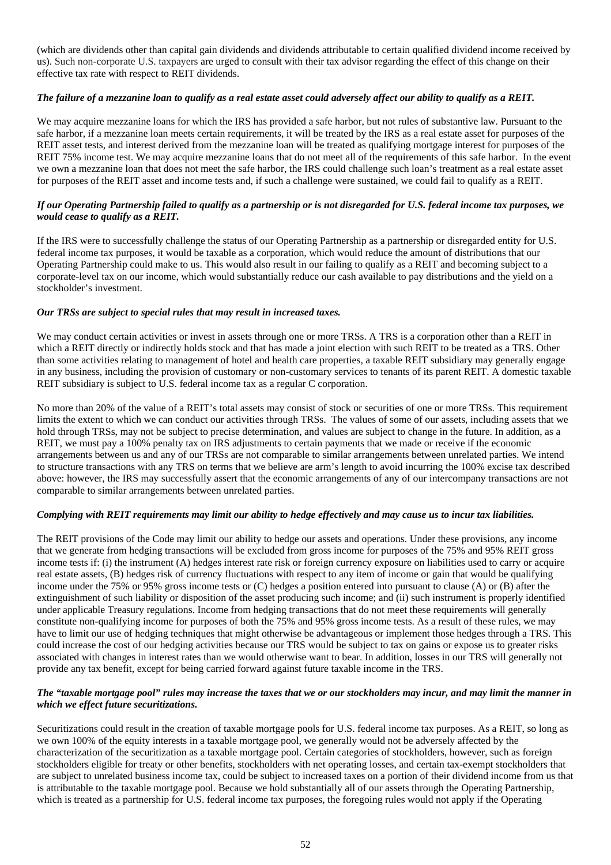(which are dividends other than capital gain dividends and dividends attributable to certain qualified dividend income received by us). Such non-corporate U.S. taxpayers are urged to consult with their tax advisor regarding the effect of this change on their effective tax rate with respect to REIT dividends.

# *The failure of a mezzanine loan to qualify as a real estate asset could adversely affect our ability to qualify as a REIT.*

We may acquire mezzanine loans for which the IRS has provided a safe harbor, but not rules of substantive law. Pursuant to the safe harbor, if a mezzanine loan meets certain requirements, it will be treated by the IRS as a real estate asset for purposes of the REIT asset tests, and interest derived from the mezzanine loan will be treated as qualifying mortgage interest for purposes of the REIT 75% income test. We may acquire mezzanine loans that do not meet all of the requirements of this safe harbor. In the event we own a mezzanine loan that does not meet the safe harbor, the IRS could challenge such loan's treatment as a real estate asset for purposes of the REIT asset and income tests and, if such a challenge were sustained, we could fail to qualify as a REIT.

# *If our Operating Partnership failed to qualify as a partnership or is not disregarded for U.S. federal income tax purposes, we would cease to qualify as a REIT.*

If the IRS were to successfully challenge the status of our Operating Partnership as a partnership or disregarded entity for U.S. federal income tax purposes, it would be taxable as a corporation, which would reduce the amount of distributions that our Operating Partnership could make to us. This would also result in our failing to qualify as a REIT and becoming subject to a corporate-level tax on our income, which would substantially reduce our cash available to pay distributions and the yield on a stockholder's investment.

# *Our TRSs are subject to special rules that may result in increased taxes.*

We may conduct certain activities or invest in assets through one or more TRSs. A TRS is a corporation other than a REIT in which a REIT directly or indirectly holds stock and that has made a joint election with such REIT to be treated as a TRS. Other than some activities relating to management of hotel and health care properties, a taxable REIT subsidiary may generally engage in any business, including the provision of customary or non-customary services to tenants of its parent REIT. A domestic taxable REIT subsidiary is subject to U.S. federal income tax as a regular C corporation.

No more than 20% of the value of a REIT's total assets may consist of stock or securities of one or more TRSs. This requirement limits the extent to which we can conduct our activities through TRSs. The values of some of our assets, including assets that we hold through TRSs, may not be subject to precise determination, and values are subject to change in the future. In addition, as a REIT, we must pay a 100% penalty tax on IRS adjustments to certain payments that we made or receive if the economic arrangements between us and any of our TRSs are not comparable to similar arrangements between unrelated parties. We intend to structure transactions with any TRS on terms that we believe are arm's length to avoid incurring the 100% excise tax described above: however, the IRS may successfully assert that the economic arrangements of any of our intercompany transactions are not comparable to similar arrangements between unrelated parties.

# *Complying with REIT requirements may limit our ability to hedge effectively and may cause us to incur tax liabilities.*

The REIT provisions of the Code may limit our ability to hedge our assets and operations. Under these provisions, any income that we generate from hedging transactions will be excluded from gross income for purposes of the 75% and 95% REIT gross income tests if: (i) the instrument (A) hedges interest rate risk or foreign currency exposure on liabilities used to carry or acquire real estate assets, (B) hedges risk of currency fluctuations with respect to any item of income or gain that would be qualifying income under the 75% or 95% gross income tests or (C) hedges a position entered into pursuant to clause (A) or (B) after the extinguishment of such liability or disposition of the asset producing such income; and (ii) such instrument is properly identified under applicable Treasury regulations. Income from hedging transactions that do not meet these requirements will generally constitute non-qualifying income for purposes of both the 75% and 95% gross income tests. As a result of these rules, we may have to limit our use of hedging techniques that might otherwise be advantageous or implement those hedges through a TRS. This could increase the cost of our hedging activities because our TRS would be subject to tax on gains or expose us to greater risks associated with changes in interest rates than we would otherwise want to bear. In addition, losses in our TRS will generally not provide any tax benefit, except for being carried forward against future taxable income in the TRS.

# *The "taxable mortgage pool" rules may increase the taxes that we or our stockholders may incur, and may limit the manner in which we effect future securitizations.*

Securitizations could result in the creation of taxable mortgage pools for U.S. federal income tax purposes. As a REIT, so long as we own 100% of the equity interests in a taxable mortgage pool, we generally would not be adversely affected by the characterization of the securitization as a taxable mortgage pool. Certain categories of stockholders, however, such as foreign stockholders eligible for treaty or other benefits, stockholders with net operating losses, and certain tax-exempt stockholders that are subject to unrelated business income tax, could be subject to increased taxes on a portion of their dividend income from us that is attributable to the taxable mortgage pool. Because we hold substantially all of our assets through the Operating Partnership, which is treated as a partnership for U.S. federal income tax purposes, the foregoing rules would not apply if the Operating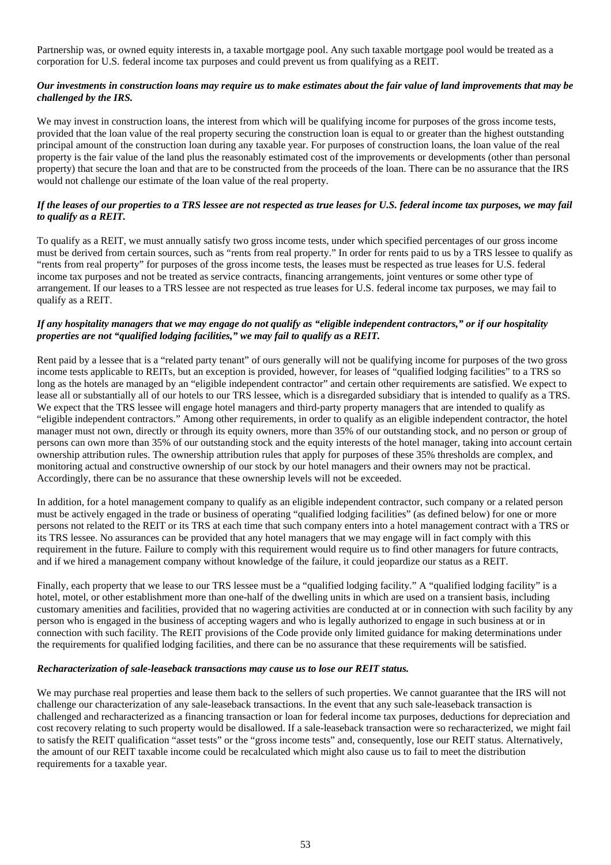Partnership was, or owned equity interests in, a taxable mortgage pool. Any such taxable mortgage pool would be treated as a corporation for U.S. federal income tax purposes and could prevent us from qualifying as a REIT.

# *Our investments in construction loans may require us to make estimates about the fair value of land improvements that may be challenged by the IRS.*

We may invest in construction loans, the interest from which will be qualifying income for purposes of the gross income tests, provided that the loan value of the real property securing the construction loan is equal to or greater than the highest outstanding principal amount of the construction loan during any taxable year. For purposes of construction loans, the loan value of the real property is the fair value of the land plus the reasonably estimated cost of the improvements or developments (other than personal property) that secure the loan and that are to be constructed from the proceeds of the loan. There can be no assurance that the IRS would not challenge our estimate of the loan value of the real property.

# *If the leases of our properties to a TRS lessee are not respected as true leases for U.S. federal income tax purposes, we may fail to qualify as a REIT.*

To qualify as a REIT, we must annually satisfy two gross income tests, under which specified percentages of our gross income must be derived from certain sources, such as "rents from real property." In order for rents paid to us by a TRS lessee to qualify as "rents from real property" for purposes of the gross income tests, the leases must be respected as true leases for U.S. federal income tax purposes and not be treated as service contracts, financing arrangements, joint ventures or some other type of arrangement. If our leases to a TRS lessee are not respected as true leases for U.S. federal income tax purposes, we may fail to qualify as a REIT.

# *If any hospitality managers that we may engage do not qualify as "eligible independent contractors," or if our hospitality properties are not "qualified lodging facilities," we may fail to qualify as a REIT.*

Rent paid by a lessee that is a "related party tenant" of ours generally will not be qualifying income for purposes of the two gross income tests applicable to REITs, but an exception is provided, however, for leases of "qualified lodging facilities" to a TRS so long as the hotels are managed by an "eligible independent contractor" and certain other requirements are satisfied. We expect to lease all or substantially all of our hotels to our TRS lessee, which is a disregarded subsidiary that is intended to qualify as a TRS. We expect that the TRS lessee will engage hotel managers and third-party property managers that are intended to qualify as "eligible independent contractors." Among other requirements, in order to qualify as an eligible independent contractor, the hotel manager must not own, directly or through its equity owners, more than 35% of our outstanding stock, and no person or group of persons can own more than 35% of our outstanding stock and the equity interests of the hotel manager, taking into account certain ownership attribution rules. The ownership attribution rules that apply for purposes of these 35% thresholds are complex, and monitoring actual and constructive ownership of our stock by our hotel managers and their owners may not be practical. Accordingly, there can be no assurance that these ownership levels will not be exceeded.

In addition, for a hotel management company to qualify as an eligible independent contractor, such company or a related person must be actively engaged in the trade or business of operating "qualified lodging facilities" (as defined below) for one or more persons not related to the REIT or its TRS at each time that such company enters into a hotel management contract with a TRS or its TRS lessee. No assurances can be provided that any hotel managers that we may engage will in fact comply with this requirement in the future. Failure to comply with this requirement would require us to find other managers for future contracts, and if we hired a management company without knowledge of the failure, it could jeopardize our status as a REIT.

Finally, each property that we lease to our TRS lessee must be a "qualified lodging facility." A "qualified lodging facility" is a hotel, motel, or other establishment more than one-half of the dwelling units in which are used on a transient basis, including customary amenities and facilities, provided that no wagering activities are conducted at or in connection with such facility by any person who is engaged in the business of accepting wagers and who is legally authorized to engage in such business at or in connection with such facility. The REIT provisions of the Code provide only limited guidance for making determinations under the requirements for qualified lodging facilities, and there can be no assurance that these requirements will be satisfied.

# *Recharacterization of sale-leaseback transactions may cause us to lose our REIT status.*

We may purchase real properties and lease them back to the sellers of such properties. We cannot guarantee that the IRS will not challenge our characterization of any sale-leaseback transactions. In the event that any such sale-leaseback transaction is challenged and recharacterized as a financing transaction or loan for federal income tax purposes, deductions for depreciation and cost recovery relating to such property would be disallowed. If a sale-leaseback transaction were so recharacterized, we might fail to satisfy the REIT qualification "asset tests" or the "gross income tests" and, consequently, lose our REIT status. Alternatively, the amount of our REIT taxable income could be recalculated which might also cause us to fail to meet the distribution requirements for a taxable year.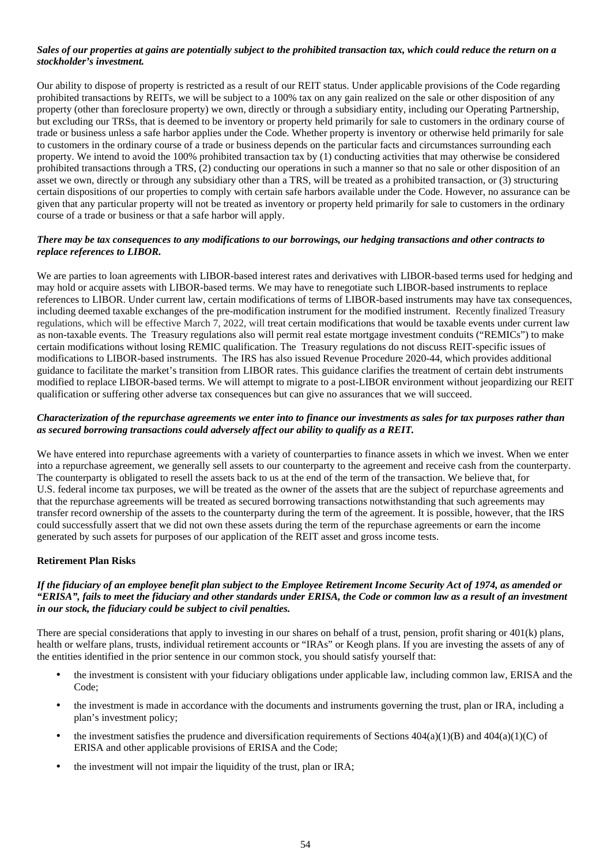# *Sales of our properties at gains are potentially subject to the prohibited transaction tax, which could reduce the return on a stockholder's investment.*

Our ability to dispose of property is restricted as a result of our REIT status. Under applicable provisions of the Code regarding prohibited transactions by REITs, we will be subject to a 100% tax on any gain realized on the sale or other disposition of any property (other than foreclosure property) we own, directly or through a subsidiary entity, including our Operating Partnership, but excluding our TRSs, that is deemed to be inventory or property held primarily for sale to customers in the ordinary course of trade or business unless a safe harbor applies under the Code. Whether property is inventory or otherwise held primarily for sale to customers in the ordinary course of a trade or business depends on the particular facts and circumstances surrounding each property. We intend to avoid the 100% prohibited transaction tax by (1) conducting activities that may otherwise be considered prohibited transactions through a TRS, (2) conducting our operations in such a manner so that no sale or other disposition of an asset we own, directly or through any subsidiary other than a TRS, will be treated as a prohibited transaction, or (3) structuring certain dispositions of our properties to comply with certain safe harbors available under the Code. However, no assurance can be given that any particular property will not be treated as inventory or property held primarily for sale to customers in the ordinary course of a trade or business or that a safe harbor will apply.

# *There may be tax consequences to any modifications to our borrowings, our hedging transactions and other contracts to replace references to LIBOR.*

We are parties to loan agreements with LIBOR-based interest rates and derivatives with LIBOR-based terms used for hedging and may hold or acquire assets with LIBOR-based terms. We may have to renegotiate such LIBOR-based instruments to replace references to LIBOR. Under current law, certain modifications of terms of LIBOR-based instruments may have tax consequences, including deemed taxable exchanges of the pre-modification instrument for the modified instrument. Recently finalized Treasury regulations, which will be effective March 7, 2022, will treat certain modifications that would be taxable events under current law as non-taxable events. The Treasury regulations also will permit real estate mortgage investment conduits ("REMICs") to make certain modifications without losing REMIC qualification. The Treasury regulations do not discuss REIT-specific issues of modifications to LIBOR-based instruments. The IRS has also issued Revenue Procedure 2020-44, which provides additional guidance to facilitate the market's transition from LIBOR rates. This guidance clarifies the treatment of certain debt instruments modified to replace LIBOR-based terms. We will attempt to migrate to a post-LIBOR environment without jeopardizing our REIT qualification or suffering other adverse tax consequences but can give no assurances that we will succeed.

# *Characterization of the repurchase agreements we enter into to finance our investments as sales for tax purposes rather than as secured borrowing transactions could adversely affect our ability to qualify as a REIT.*

We have entered into repurchase agreements with a variety of counterparties to finance assets in which we invest. When we enter into a repurchase agreement, we generally sell assets to our counterparty to the agreement and receive cash from the counterparty. The counterparty is obligated to resell the assets back to us at the end of the term of the transaction. We believe that, for U.S. federal income tax purposes, we will be treated as the owner of the assets that are the subject of repurchase agreements and that the repurchase agreements will be treated as secured borrowing transactions notwithstanding that such agreements may transfer record ownership of the assets to the counterparty during the term of the agreement. It is possible, however, that the IRS could successfully assert that we did not own these assets during the term of the repurchase agreements or earn the income generated by such assets for purposes of our application of the REIT asset and gross income tests.

# **Retirement Plan Risks**

# *If the fiduciary of an employee benefit plan subject to the Employee Retirement Income Security Act of 1974, as amended or "ERISA", fails to meet the fiduciary and other standards under ERISA, the Code or common law as a result of an investment in our stock, the fiduciary could be subject to civil penalties.*

There are special considerations that apply to investing in our shares on behalf of a trust, pension, profit sharing or 401(k) plans, health or welfare plans, trusts, individual retirement accounts or "IRAs" or Keogh plans. If you are investing the assets of any of the entities identified in the prior sentence in our common stock, you should satisfy yourself that:

- the investment is consistent with your fiduciary obligations under applicable law, including common law, ERISA and the Code;
- the investment is made in accordance with the documents and instruments governing the trust, plan or IRA, including a plan's investment policy;
- the investment satisfies the prudence and diversification requirements of Sections  $404(a)(1)(B)$  and  $404(a)(1)(C)$  of ERISA and other applicable provisions of ERISA and the Code;
- the investment will not impair the liquidity of the trust, plan or IRA;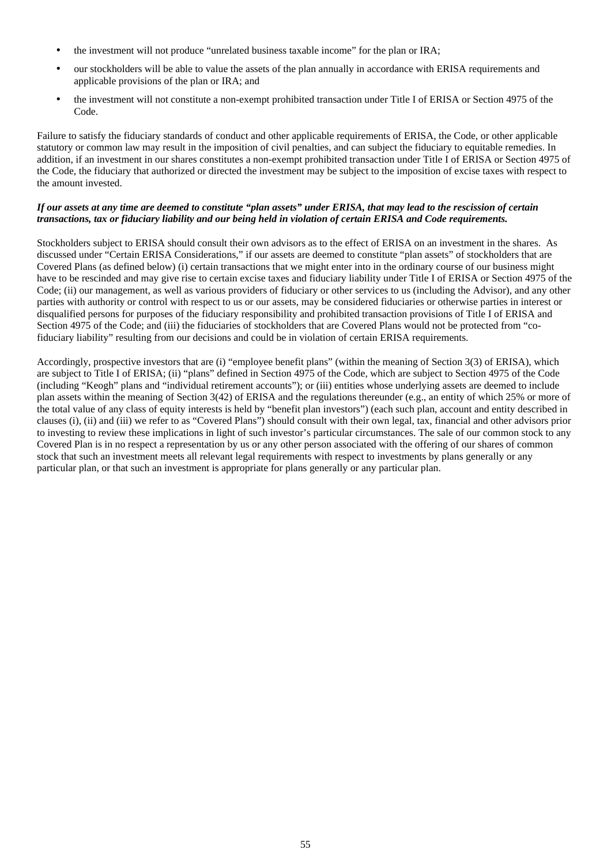- the investment will not produce "unrelated business taxable income" for the plan or IRA;
- our stockholders will be able to value the assets of the plan annually in accordance with ERISA requirements and applicable provisions of the plan or IRA; and
- the investment will not constitute a non-exempt prohibited transaction under Title I of ERISA or Section 4975 of the Code.

Failure to satisfy the fiduciary standards of conduct and other applicable requirements of ERISA, the Code, or other applicable statutory or common law may result in the imposition of civil penalties, and can subject the fiduciary to equitable remedies. In addition, if an investment in our shares constitutes a non-exempt prohibited transaction under Title I of ERISA or Section 4975 of the Code, the fiduciary that authorized or directed the investment may be subject to the imposition of excise taxes with respect to the amount invested.

# *If our assets at any time are deemed to constitute "plan assets" under ERISA, that may lead to the rescission of certain transactions, tax or fiduciary liability and our being held in violation of certain ERISA and Code requirements.*

Stockholders subject to ERISA should consult their own advisors as to the effect of ERISA on an investment in the shares. As discussed under "Certain ERISA Considerations," if our assets are deemed to constitute "plan assets" of stockholders that are Covered Plans (as defined below) (i) certain transactions that we might enter into in the ordinary course of our business might have to be rescinded and may give rise to certain excise taxes and fiduciary liability under Title I of ERISA or Section 4975 of the Code; (ii) our management, as well as various providers of fiduciary or other services to us (including the Advisor), and any other parties with authority or control with respect to us or our assets, may be considered fiduciaries or otherwise parties in interest or disqualified persons for purposes of the fiduciary responsibility and prohibited transaction provisions of Title I of ERISA and Section 4975 of the Code; and (iii) the fiduciaries of stockholders that are Covered Plans would not be protected from "cofiduciary liability" resulting from our decisions and could be in violation of certain ERISA requirements.

Accordingly, prospective investors that are (i) "employee benefit plans" (within the meaning of Section 3(3) of ERISA), which are subject to Title I of ERISA; (ii) "plans" defined in Section 4975 of the Code, which are subject to Section 4975 of the Code (including "Keogh" plans and "individual retirement accounts"); or (iii) entities whose underlying assets are deemed to include plan assets within the meaning of Section 3(42) of ERISA and the regulations thereunder (e.g., an entity of which 25% or more of the total value of any class of equity interests is held by "benefit plan investors") (each such plan, account and entity described in clauses (i), (ii) and (iii) we refer to as "Covered Plans") should consult with their own legal, tax, financial and other advisors prior to investing to review these implications in light of such investor's particular circumstances. The sale of our common stock to any Covered Plan is in no respect a representation by us or any other person associated with the offering of our shares of common stock that such an investment meets all relevant legal requirements with respect to investments by plans generally or any particular plan, or that such an investment is appropriate for plans generally or any particular plan.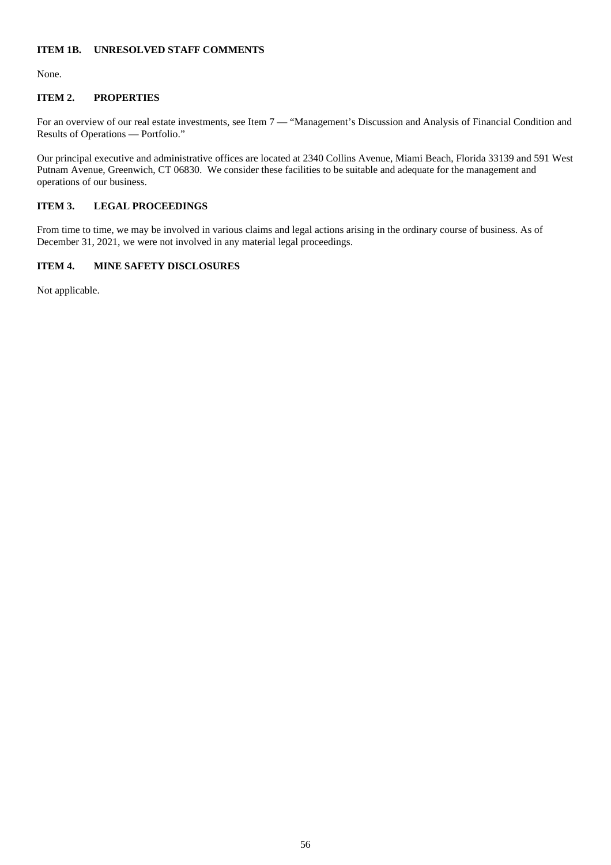# **ITEM 1B. UNRESOLVED STAFF COMMENTS**

None.

# **ITEM 2. PROPERTIES**

For an overview of our real estate investments, see Item 7 — "Management's Discussion and Analysis of Financial Condition and Results of Operations — Portfolio."

Our principal executive and administrative offices are located at 2340 Collins Avenue, Miami Beach, Florida 33139 and 591 West Putnam Avenue, Greenwich, CT 06830. We consider these facilities to be suitable and adequate for the management and operations of our business.

# **ITEM 3. LEGAL PROCEEDINGS**

From time to time, we may be involved in various claims and legal actions arising in the ordinary course of business. As of December 31, 2021, we were not involved in any material legal proceedings.

# **ITEM 4. MINE SAFETY DISCLOSURES**

Not applicable.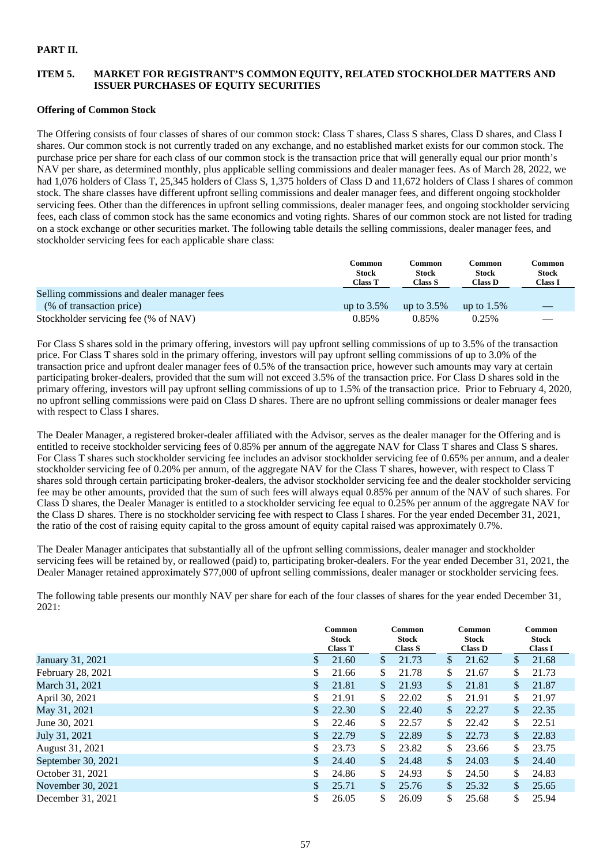# **PART II.**

# **ITEM 5. MARKET FOR REGISTRANT'S COMMON EQUITY, RELATED STOCKHOLDER MATTERS AND ISSUER PURCHASES OF EQUITY SECURITIES**

# **Offering of Common Stock**

The Offering consists of four classes of shares of our common stock: Class T shares, Class S shares, Class D shares, and Class I shares. Our common stock is not currently traded on any exchange, and no established market exists for our common stock. The purchase price per share for each class of our common stock is the transaction price that will generally equal our prior month's NAV per share, as determined monthly, plus applicable selling commissions and dealer manager fees. As of March 28, 2022, we had 1,076 holders of Class T, 25,345 holders of Class S, 1,375 holders of Class D and 11,672 holders of Class I shares of common stock. The share classes have different upfront selling commissions and dealer manager fees, and different ongoing stockholder servicing fees. Other than the differences in upfront selling commissions, dealer manager fees, and ongoing stockholder servicing fees, each class of common stock has the same economics and voting rights. Shares of our common stock are not listed for trading on a stock exchange or other securities market. The following table details the selling commissions, dealer manager fees, and stockholder servicing fees for each applicable share class:

|                                             | Common<br><b>Stock</b><br><b>Class T</b> | Common<br><b>Stock</b><br>Class S | Common<br><b>Stock</b><br><b>Class D</b> | Common<br><b>Stock</b><br><b>Class I</b> |
|---------------------------------------------|------------------------------------------|-----------------------------------|------------------------------------------|------------------------------------------|
| Selling commissions and dealer manager fees |                                          |                                   |                                          |                                          |
| (% of transaction price)                    | up to $3.5\%$                            | up to $3.5\%$                     | up to $1.5\%$                            |                                          |
| Stockholder servicing fee (% of NAV)        | 0.85%                                    | 0.85%                             | 0.25%                                    |                                          |

For Class S shares sold in the primary offering, investors will pay upfront selling commissions of up to 3.5% of the transaction price. For Class T shares sold in the primary offering, investors will pay upfront selling commissions of up to 3.0% of the transaction price and upfront dealer manager fees of 0.5% of the transaction price, however such amounts may vary at certain participating broker-dealers, provided that the sum will not exceed 3.5% of the transaction price. For Class D shares sold in the primary offering, investors will pay upfront selling commissions of up to 1.5% of the transaction price. Prior to February 4, 2020, no upfront selling commissions were paid on Class D shares. There are no upfront selling commissions or dealer manager fees with respect to Class I shares.

The Dealer Manager, a registered broker-dealer affiliated with the Advisor, serves as the dealer manager for the Offering and is entitled to receive stockholder servicing fees of 0.85% per annum of the aggregate NAV for Class T shares and Class S shares. For Class T shares such stockholder servicing fee includes an advisor stockholder servicing fee of 0.65% per annum, and a dealer stockholder servicing fee of 0.20% per annum, of the aggregate NAV for the Class T shares, however, with respect to Class T shares sold through certain participating broker-dealers, the advisor stockholder servicing fee and the dealer stockholder servicing fee may be other amounts, provided that the sum of such fees will always equal 0.85% per annum of the NAV of such shares. For Class D shares, the Dealer Manager is entitled to a stockholder servicing fee equal to 0.25% per annum of the aggregate NAV for the Class D shares. There is no stockholder servicing fee with respect to Class I shares. For the year ended December 31, 2021, the ratio of the cost of raising equity capital to the gross amount of equity capital raised was approximately 0.7%.

The Dealer Manager anticipates that substantially all of the upfront selling commissions, dealer manager and stockholder servicing fees will be retained by, or reallowed (paid) to, participating broker-dealers. For the year ended December 31, 2021, the Dealer Manager retained approximately \$77,000 of upfront selling commissions, dealer manager or stockholder servicing fees.

The following table presents our monthly NAV per share for each of the four classes of shares for the year ended December 31, 2021:

|                         |    | Common<br><b>Stock</b><br><b>Class T</b> |              | <b>Common</b><br><b>Stock</b><br>Class S | Common<br><b>Stock</b><br><b>Class D</b> |              | Common<br><b>Stock</b><br><b>Class I</b> |
|-------------------------|----|------------------------------------------|--------------|------------------------------------------|------------------------------------------|--------------|------------------------------------------|
| <b>January 31, 2021</b> | \$ | 21.60                                    | $\mathbb{S}$ | 21.73                                    | \$<br>21.62                              | \$           | 21.68                                    |
| February 28, 2021       | \$ | 21.66                                    | \$           | 21.78                                    | \$<br>21.67                              | \$           | 21.73                                    |
| March 31, 2021          | \$ | 21.81                                    | $\mathbb{S}$ | 21.93                                    | \$<br>21.81                              | \$           | 21.87                                    |
| April 30, 2021          | \$ | 21.91                                    | \$           | 22.02                                    | \$<br>21.91                              | \$           | 21.97                                    |
| May 31, 2021            | S. | 22.30                                    | \$           | 22.40                                    | \$<br>22.27                              | $\mathbb{S}$ | 22.35                                    |
| June 30, 2021           | \$ | 22.46                                    | \$           | 22.57                                    | \$<br>22.42                              | \$           | 22.51                                    |
| July 31, 2021           | \$ | 22.79                                    | \$           | 22.89                                    | \$<br>22.73                              | \$           | 22.83                                    |
| August 31, 2021         | \$ | 23.73                                    | \$           | 23.82                                    | \$<br>23.66                              | \$           | 23.75                                    |
| September 30, 2021      | \$ | 24.40                                    | \$           | 24.48                                    | \$<br>24.03                              | \$           | 24.40                                    |
| October 31, 2021        | \$ | 24.86                                    | \$           | 24.93                                    | \$<br>24.50                              | \$           | 24.83                                    |
| November 30, 2021       |    | 25.71                                    | \$           | 25.76                                    | \$<br>25.32                              | \$           | 25.65                                    |
| December 31, 2021       | \$ | 26.05                                    | \$           | 26.09                                    | \$<br>25.68                              | \$           | 25.94                                    |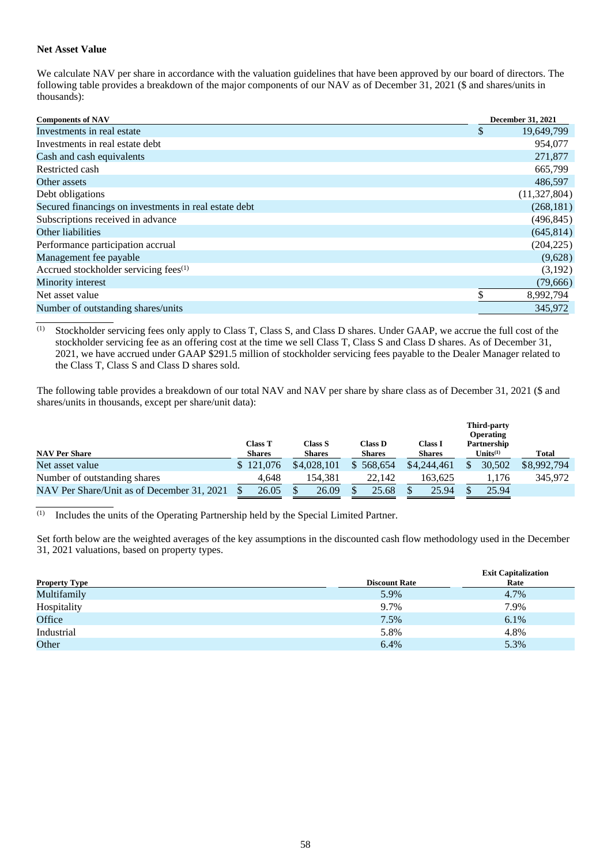# **Net Asset Value**

We calculate NAV per share in accordance with the valuation guidelines that have been approved by our board of directors. The following table provides a breakdown of the major components of our NAV as of December 31, 2021 (\$ and shares/units in thousands):

| <b>Components of NAV</b>                              | <b>December 31, 2021</b> |
|-------------------------------------------------------|--------------------------|
| Investments in real estate.                           | \$<br>19,649,799         |
| Investments in real estate debt                       | 954,077                  |
| Cash and cash equivalents                             | 271,877                  |
| Restricted cash                                       | 665,799                  |
| Other assets                                          | 486,597                  |
| Debt obligations                                      | (11,327,804)             |
| Secured financings on investments in real estate debt | (268, 181)               |
| Subscriptions received in advance                     | (496, 845)               |
| Other liabilities                                     | (645, 814)               |
| Performance participation accrual                     | (204, 225)               |
| Management fee payable                                | (9,628)                  |
| Accrued stockholder servicing fees $(1)$              | (3,192)                  |
| Minority interest                                     | (79, 666)                |
| Net asset value                                       | \$<br>8,992,794          |
| Number of outstanding shares/units                    | 345,972                  |

(1) Stockholder servicing fees only apply to Class T, Class S, and Class D shares. Under GAAP, we accrue the full cost of the stockholder servicing fee as an offering cost at the time we sell Class T, Class S and Class D shares. As of December 31, 2021, we have accrued under GAAP \$291.5 million of stockholder servicing fees payable to the Dealer Manager related to the Class T, Class S and Class D shares sold.

The following table provides a breakdown of our total NAV and NAV per share by share class as of December 31, 2021 (\$ and shares/units in thousands, except per share/unit data):

|                                            | <b>Class T</b> | <b>Class S</b> | <b>Class D</b> | <b>Class I</b> | <b>Third-party</b><br>Operating<br>Partnership |              |
|--------------------------------------------|----------------|----------------|----------------|----------------|------------------------------------------------|--------------|
| <b>NAV Per Share</b>                       | <b>Shares</b>  | <b>Shares</b>  | <b>Shares</b>  | <b>Shares</b>  | Units $(1)$                                    | <b>Total</b> |
| Net asset value                            | \$121,076      | \$4,028,101    | \$568,654      | \$4,244,461    | 30.502                                         | \$8,992,794  |
| Number of outstanding shares               | 4.648          | 154.381        | 22.142         | 163.625        | 1.176                                          | 345,972      |
| NAV Per Share/Unit as of December 31, 2021 | 26.05          | 26.09          | 25.68          | 25.94          | 25.94                                          |              |

 $\overline{p}$  Includes the units of the Operating Partnership held by the Special Limited Partner.

Set forth below are the weighted averages of the key assumptions in the discounted cash flow methodology used in the December 31, 2021 valuations, based on property types.

| <b>Property Type</b> | <b>Discount Rate</b> | <b>Exit Capitalization</b><br>Rate |
|----------------------|----------------------|------------------------------------|
| Multifamily          | 5.9%                 | 4.7%                               |
| Hospitality          | 9.7%                 | 7.9%                               |
| Office               | 7.5%                 | 6.1%                               |
| Industrial           | 5.8%                 | 4.8%                               |
| Other                | 6.4%                 | 5.3%                               |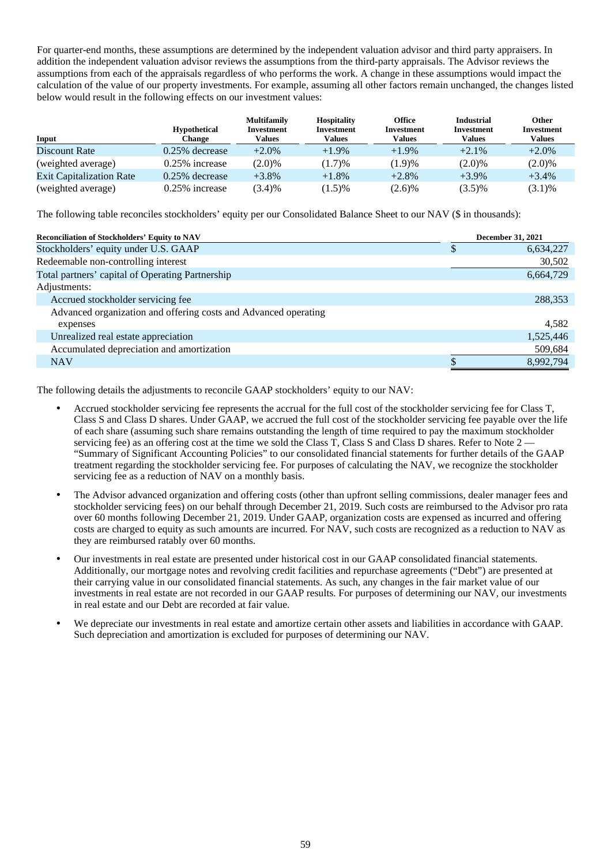For quarter-end months, these assumptions are determined by the independent valuation advisor and third party appraisers. In addition the independent valuation advisor reviews the assumptions from the third-party appraisals. The Advisor reviews the assumptions from each of the appraisals regardless of who performs the work. A change in these assumptions would impact the calculation of the value of our property investments. For example, assuming all other factors remain unchanged, the changes listed below would result in the following effects on our investment values:

|                                 | <b>Hypothetical</b> | <b>Multifamily</b><br>Investment | <b>Hospitality</b><br>Investment | <b>Office</b><br><b>Investment</b> | <b>Industrial</b><br><b>Investment</b> | <b>Other</b><br><b>Investment</b> |
|---------------------------------|---------------------|----------------------------------|----------------------------------|------------------------------------|----------------------------------------|-----------------------------------|
| Input                           | Change              | Values                           | Values                           | Values                             | <b>Values</b>                          | <b>Values</b>                     |
| Discount Rate                   | $0.25\%$ decrease   | $+2.0\%$                         | $+1.9\%$                         | $+1.9\%$                           | $+2.1\%$                               | $+2.0\%$                          |
| (weighted average)              | $0.25\%$ increase   | (2.0)%                           | (1.7)%                           | (1.9)%                             | $(2.0)\%$                              | $(2.0)\%$                         |
| <b>Exit Capitalization Rate</b> | $0.25\%$ decrease   | $+3.8\%$                         | $+1.8%$                          | $+2.8%$                            | $+3.9\%$                               | $+3.4%$                           |
| (weighted average)              | $0.25\%$ increase   | (3.4)%                           | $(1.5)\%$                        | $(2.6)\%$                          | $(3.5)\%$                              | (3.1)%                            |

The following table reconciles stockholders' equity per our Consolidated Balance Sheet to our NAV (\$ in thousands):

| <b>Reconciliation of Stockholders' Equity to NAV</b>            | <b>December 31, 2021</b> |
|-----------------------------------------------------------------|--------------------------|
| Stockholders' equity under U.S. GAAP                            | \$<br>6,634,227          |
| Redeemable non-controlling interest                             | 30,502                   |
| Total partners' capital of Operating Partnership                | 6,664,729                |
| Adjustments:                                                    |                          |
| Accrued stockholder servicing fee                               | 288,353                  |
| Advanced organization and offering costs and Advanced operating |                          |
| expenses                                                        | 4,582                    |
| Unrealized real estate appreciation                             | 1,525,446                |
| Accumulated depreciation and amortization                       | 509,684                  |
| <b>NAV</b>                                                      | 8,992,794                |
|                                                                 |                          |

The following details the adjustments to reconcile GAAP stockholders' equity to our NAV:

- Accrued stockholder servicing fee represents the accrual for the full cost of the stockholder servicing fee for Class T, Class S and Class D shares. Under GAAP, we accrued the full cost of the stockholder servicing fee payable over the life of each share (assuming such share remains outstanding the length of time required to pay the maximum stockholder servicing fee) as an offering cost at the time we sold the Class T, Class S and Class D shares. Refer to Note 2 – "Summary of Significant Accounting Policies" to our consolidated financial statements for further details of the GAAP treatment regarding the stockholder servicing fee. For purposes of calculating the NAV, we recognize the stockholder servicing fee as a reduction of NAV on a monthly basis.
- The Advisor advanced organization and offering costs (other than upfront selling commissions, dealer manager fees and stockholder servicing fees) on our behalf through December 21, 2019. Such costs are reimbursed to the Advisor pro rata over 60 months following December 21, 2019. Under GAAP, organization costs are expensed as incurred and offering costs are charged to equity as such amounts are incurred. For NAV, such costs are recognized as a reduction to NAV as they are reimbursed ratably over 60 months.
- Our investments in real estate are presented under historical cost in our GAAP consolidated financial statements. Additionally, our mortgage notes and revolving credit facilities and repurchase agreements ("Debt") are presented at their carrying value in our consolidated financial statements. As such, any changes in the fair market value of our investments in real estate are not recorded in our GAAP results. For purposes of determining our NAV, our investments in real estate and our Debt are recorded at fair value.
- We depreciate our investments in real estate and amortize certain other assets and liabilities in accordance with GAAP. Such depreciation and amortization is excluded for purposes of determining our NAV.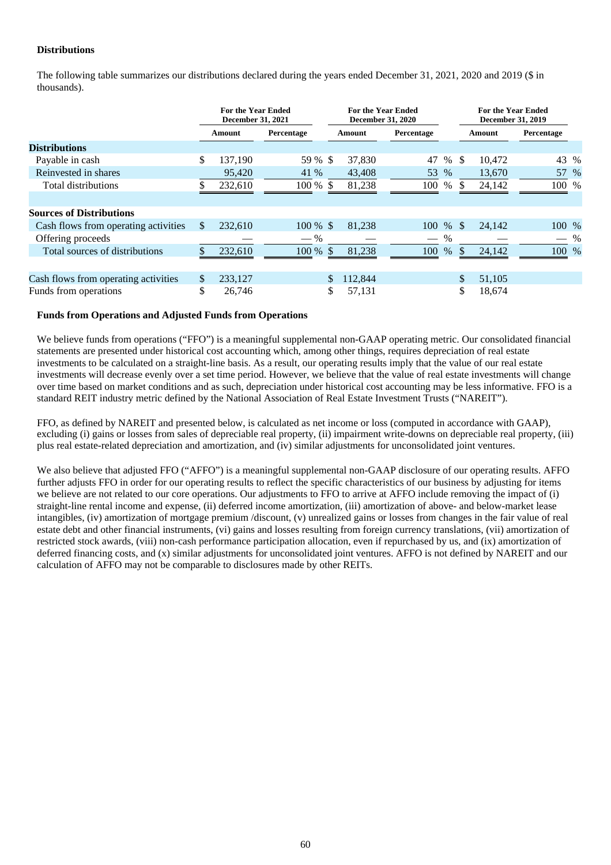# **Distributions**

The following table summarizes our distributions declared during the years ended December 31, 2021, 2020 and 2019 (\$ in thousands).

|                                      | <b>For the Year Ended</b><br><b>December 31, 2021</b> |         | <b>For the Year Ended</b><br><b>December 31, 2020</b> |              |                          | <b>For the Year Ended</b><br><b>December 31, 2019</b> |               |        |            |       |
|--------------------------------------|-------------------------------------------------------|---------|-------------------------------------------------------|--------------|--------------------------|-------------------------------------------------------|---------------|--------|------------|-------|
|                                      |                                                       | Amount  | Percentage                                            | Amount       | Percentage               |                                                       |               | Amount | Percentage |       |
| <b>Distributions</b>                 |                                                       |         |                                                       |              |                          |                                                       |               |        |            |       |
| Payable in cash                      | \$                                                    | 137.190 | 59 % \$                                               | 37,830       | 47                       | %                                                     | \$            | 10,472 |            | 43 %  |
| Reinvested in shares                 |                                                       | 95,420  | 41 %                                                  | 43,408       | 53                       | $\%$                                                  |               | 13,670 |            | 57 %  |
| Total distributions                  |                                                       | 232,610 | 100 % \$                                              | 81,238       | 100                      | %                                                     | \$.           | 24,142 | 100 %      |       |
|                                      |                                                       |         |                                                       |              |                          |                                                       |               |        |            |       |
| <b>Sources of Distributions</b>      |                                                       |         |                                                       |              |                          |                                                       |               |        |            |       |
| Cash flows from operating activities | \$                                                    | 232.610 | $100\%$ \$                                            | 81,238       | 100 %                    |                                                       | <sup>\$</sup> | 24,142 | 100 %      |       |
| Offering proceeds                    |                                                       |         | $-$ %                                                 |              | $\overline{\phantom{m}}$ | $\%$                                                  |               |        |            | $-$ % |
| Total sources of distributions       |                                                       | 232,610 | $100\%$ \$                                            | 81,238       | 100 %                    |                                                       | $\mathbb{S}$  | 24,142 | 100 %      |       |
|                                      |                                                       |         |                                                       |              |                          |                                                       |               |        |            |       |
| Cash flows from operating activities | \$                                                    | 233,127 |                                                       | 112,844      |                          |                                                       | \$            | 51,105 |            |       |
| Funds from operations                | \$                                                    | 26,746  |                                                       | \$<br>57,131 |                          |                                                       | \$            | 18.674 |            |       |

# **Funds from Operations and Adjusted Funds from Operations**

We believe funds from operations ("FFO") is a meaningful supplemental non-GAAP operating metric. Our consolidated financial statements are presented under historical cost accounting which, among other things, requires depreciation of real estate investments to be calculated on a straight-line basis. As a result, our operating results imply that the value of our real estate investments will decrease evenly over a set time period. However, we believe that the value of real estate investments will change over time based on market conditions and as such, depreciation under historical cost accounting may be less informative. FFO is a standard REIT industry metric defined by the National Association of Real Estate Investment Trusts ("NAREIT").

FFO, as defined by NAREIT and presented below, is calculated as net income or loss (computed in accordance with GAAP), excluding (i) gains or losses from sales of depreciable real property, (ii) impairment write-downs on depreciable real property, (iii) plus real estate-related depreciation and amortization, and (iv) similar adjustments for unconsolidated joint ventures.

We also believe that adjusted FFO ("AFFO") is a meaningful supplemental non-GAAP disclosure of our operating results. AFFO further adjusts FFO in order for our operating results to reflect the specific characteristics of our business by adjusting for items we believe are not related to our core operations. Our adjustments to FFO to arrive at AFFO include removing the impact of (i) straight-line rental income and expense, (ii) deferred income amortization, (iii) amortization of above- and below-market lease intangibles, (iv) amortization of mortgage premium /discount, (v) unrealized gains or losses from changes in the fair value of real estate debt and other financial instruments, (vi) gains and losses resulting from foreign currency translations, (vii) amortization of restricted stock awards, (viii) non-cash performance participation allocation, even if repurchased by us, and (ix) amortization of deferred financing costs, and (x) similar adjustments for unconsolidated joint ventures. AFFO is not defined by NAREIT and our calculation of AFFO may not be comparable to disclosures made by other REITs.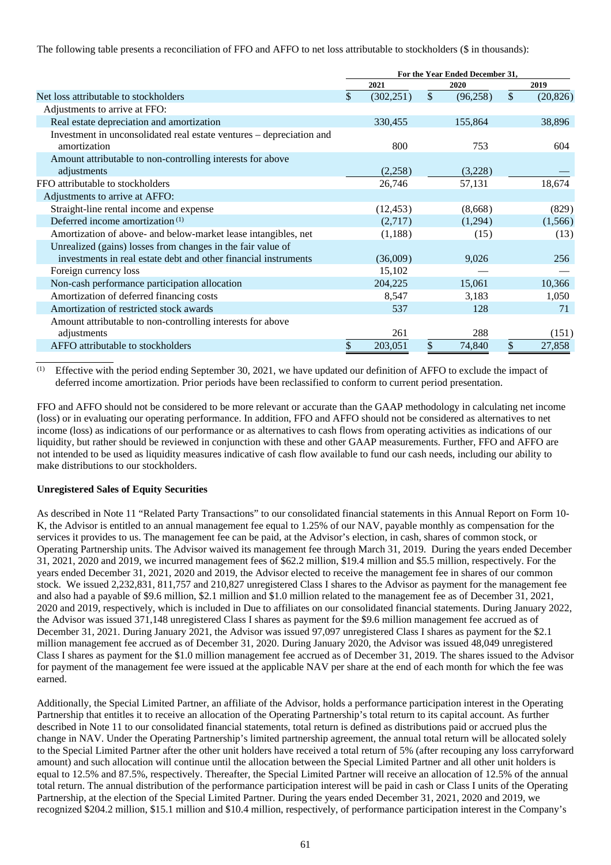The following table presents a reconciliation of FFO and AFFO to net loss attributable to stockholders (\$ in thousands):

|                                                                      |    | 2021       |       | 2020      |              | 2019      |
|----------------------------------------------------------------------|----|------------|-------|-----------|--------------|-----------|
| Net loss attributable to stockholders                                | \$ | (302, 251) | $\$\$ | (96, 258) | $\mathbb{S}$ | (20, 826) |
| Adjustments to arrive at FFO:                                        |    |            |       |           |              |           |
| Real estate depreciation and amortization                            |    | 330,455    |       | 155,864   |              | 38,896    |
| Investment in unconsolidated real estate ventures – depreciation and |    |            |       |           |              |           |
| amortization                                                         |    | 800        |       | 753       |              | 604       |
| Amount attributable to non-controlling interests for above           |    |            |       |           |              |           |
| adjustments                                                          |    | (2,258)    |       | (3,228)   |              |           |
| FFO attributable to stockholders                                     |    | 26,746     |       | 57,131    |              | 18,674    |
| Adjustments to arrive at AFFO:                                       |    |            |       |           |              |           |
| Straight-line rental income and expense                              |    | (12, 453)  |       | (8,668)   |              | (829)     |
| Deferred income amortization <sup>(1)</sup>                          |    | (2,717)    |       | (1,294)   |              | (1,566)   |
| Amortization of above- and below-market lease intangibles, net       |    | (1,188)    |       | (15)      |              | (13)      |
| Unrealized (gains) losses from changes in the fair value of          |    |            |       |           |              |           |
| investments in real estate debt and other financial instruments      |    | (36,009)   |       | 9,026     |              | 256       |
| Foreign currency loss                                                |    | 15,102     |       |           |              |           |
| Non-cash performance participation allocation                        |    | 204,225    |       | 15,061    |              | 10,366    |
| Amortization of deferred financing costs                             |    | 8,547      |       | 3,183     |              | 1,050     |
| Amortization of restricted stock awards                              |    | 537        |       | 128       |              | 71        |
| Amount attributable to non-controlling interests for above           |    |            |       |           |              |           |
| adjustments                                                          |    | 261        |       | 288       |              | (151)     |
| AFFO attributable to stockholders                                    |    | 203,051    | \$    | 74,840    | \$           | 27,858    |

(1) Effective with the period ending September 30, 2021, we have updated our definition of AFFO to exclude the impact of deferred income amortization. Prior periods have been reclassified to conform to current period presentation.

FFO and AFFO should not be considered to be more relevant or accurate than the GAAP methodology in calculating net income (loss) or in evaluating our operating performance. In addition, FFO and AFFO should not be considered as alternatives to net income (loss) as indications of our performance or as alternatives to cash flows from operating activities as indications of our liquidity, but rather should be reviewed in conjunction with these and other GAAP measurements. Further, FFO and AFFO are not intended to be used as liquidity measures indicative of cash flow available to fund our cash needs, including our ability to make distributions to our stockholders.

# **Unregistered Sales of Equity Securities**

As described in Note 11 "Related Party Transactions" to our consolidated financial statements in this Annual Report on Form 10- K, the Advisor is entitled to an annual management fee equal to 1.25% of our NAV, payable monthly as compensation for the services it provides to us. The management fee can be paid, at the Advisor's election, in cash, shares of common stock, or Operating Partnership units. The Advisor waived its management fee through March 31, 2019. During the years ended December 31, 2021, 2020 and 2019, we incurred management fees of \$62.2 million, \$19.4 million and \$5.5 million, respectively. For the years ended December 31, 2021, 2020 and 2019, the Advisor elected to receive the management fee in shares of our common stock. We issued 2,232,831, 811,757 and 210,827 unregistered Class I shares to the Advisor as payment for the management fee and also had a payable of \$9.6 million, \$2.1 million and \$1.0 million related to the management fee as of December 31, 2021, 2020 and 2019, respectively, which is included in Due to affiliates on our consolidated financial statements. During January 2022, the Advisor was issued 371,148 unregistered Class I shares as payment for the \$9.6 million management fee accrued as of December 31, 2021. During January 2021, the Advisor was issued 97,097 unregistered Class I shares as payment for the \$2.1 million management fee accrued as of December 31, 2020. During January 2020, the Advisor was issued 48,049 unregistered Class I shares as payment for the \$1.0 million management fee accrued as of December 31, 2019. The shares issued to the Advisor for payment of the management fee were issued at the applicable NAV per share at the end of each month for which the fee was earned.

Additionally, the Special Limited Partner, an affiliate of the Advisor, holds a performance participation interest in the Operating Partnership that entitles it to receive an allocation of the Operating Partnership's total return to its capital account. As further described in Note 11 to our consolidated financial statements, total return is defined as distributions paid or accrued plus the change in NAV. Under the Operating Partnership's limited partnership agreement, the annual total return will be allocated solely to the Special Limited Partner after the other unit holders have received a total return of 5% (after recouping any loss carryforward amount) and such allocation will continue until the allocation between the Special Limited Partner and all other unit holders is equal to 12.5% and 87.5%, respectively. Thereafter, the Special Limited Partner will receive an allocation of 12.5% of the annual total return. The annual distribution of the performance participation interest will be paid in cash or Class I units of the Operating Partnership, at the election of the Special Limited Partner. During the years ended December 31, 2021, 2020 and 2019, we recognized \$204.2 million, \$15.1 million and \$10.4 million, respectively, of performance participation interest in the Company's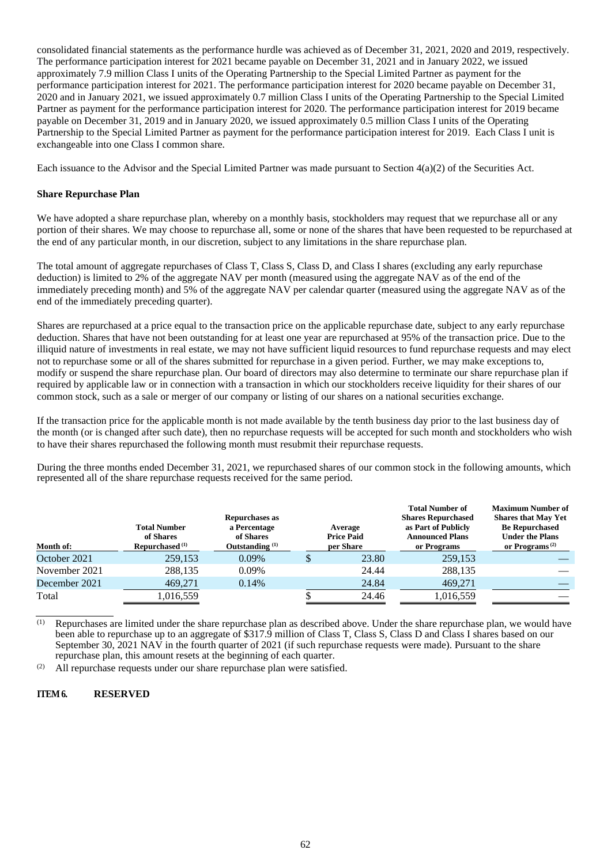consolidated financial statements as the performance hurdle was achieved as of December 31, 2021, 2020 and 2019, respectively. The performance participation interest for 2021 became payable on December 31, 2021 and in January 2022, we issued approximately 7.9 million Class I units of the Operating Partnership to the Special Limited Partner as payment for the performance participation interest for 2021. The performance participation interest for 2020 became payable on December 31, 2020 and in January 2021, we issued approximately 0.7 million Class I units of the Operating Partnership to the Special Limited Partner as payment for the performance participation interest for 2020. The performance participation interest for 2019 became payable on December 31, 2019 and in January 2020, we issued approximately 0.5 million Class I units of the Operating Partnership to the Special Limited Partner as payment for the performance participation interest for 2019. Each Class I unit is exchangeable into one Class I common share.

Each issuance to the Advisor and the Special Limited Partner was made pursuant to Section  $4(a)(2)$  of the Securities Act.

### **Share Repurchase Plan**

We have adopted a share repurchase plan, whereby on a monthly basis, stockholders may request that we repurchase all or any portion of their shares. We may choose to repurchase all, some or none of the shares that have been requested to be repurchased at the end of any particular month, in our discretion, subject to any limitations in the share repurchase plan.

The total amount of aggregate repurchases of Class T, Class S, Class D, and Class I shares (excluding any early repurchase deduction) is limited to 2% of the aggregate NAV per month (measured using the aggregate NAV as of the end of the immediately preceding month) and 5% of the aggregate NAV per calendar quarter (measured using the aggregate NAV as of the end of the immediately preceding quarter).

Shares are repurchased at a price equal to the transaction price on the applicable repurchase date, subject to any early repurchase deduction. Shares that have not been outstanding for at least one year are repurchased at 95% of the transaction price. Due to the illiquid nature of investments in real estate, we may not have sufficient liquid resources to fund repurchase requests and may elect not to repurchase some or all of the shares submitted for repurchase in a given period. Further, we may make exceptions to, modify or suspend the share repurchase plan. Our board of directors may also determine to terminate our share repurchase plan if required by applicable law or in connection with a transaction in which our stockholders receive liquidity for their shares of our common stock, such as a sale or merger of our company or listing of our shares on a national securities exchange.

If the transaction price for the applicable month is not made available by the tenth business day prior to the last business day of the month (or is changed after such date), then no repurchase requests will be accepted for such month and stockholders who wish to have their shares repurchased the following month must resubmit their repurchase requests.

During the three months ended December 31, 2021, we repurchased shares of our common stock in the following amounts, which represented all of the share repurchase requests received for the same period.

| Month of:     | <b>Total Number</b><br>of Shares<br>Repurchased <sup>(1)</sup> | <b>Repurchases as</b><br>a Percentage<br>of Shares<br>Outstanding (1) | Average<br><b>Price Paid</b><br>per Share | <b>Total Number of</b><br><b>Shares Repurchased</b><br>as Part of Publicly<br><b>Announced Plans</b><br>or Programs | <b>Maximum Number of</b><br><b>Shares that May Yet</b><br><b>Be Repurchased</b><br><b>Under the Plans</b><br>or Programs <sup><math>(2)</math></sup> |
|---------------|----------------------------------------------------------------|-----------------------------------------------------------------------|-------------------------------------------|---------------------------------------------------------------------------------------------------------------------|------------------------------------------------------------------------------------------------------------------------------------------------------|
| October 2021  | 259,153                                                        | 0.09%                                                                 | 23.80                                     | 259,153                                                                                                             |                                                                                                                                                      |
| November 2021 | 288,135                                                        | 0.09%                                                                 | 24.44                                     | 288,135                                                                                                             |                                                                                                                                                      |
| December 2021 | 469,271                                                        | 0.14%                                                                 | 24.84                                     | 469,271                                                                                                             |                                                                                                                                                      |
| Total         | 1,016,559                                                      |                                                                       | 24.46                                     | 1,016,559                                                                                                           |                                                                                                                                                      |

(1) Repurchases are limited under the share repurchase plan as described above. Under the share repurchase plan, we would have been able to repurchase up to an aggregate of \$317.9 million of Class T, Class S, Class D and Class I shares based on our September 30, 2021 NAV in the fourth quarter of 2021 (if such repurchase requests were made). Pursuant to the share repurchase plan, this amount resets at the beginning of each quarter.

(2) All repurchase requests under our share repurchase plan were satisfied.

### **ITEM6. RESERVED**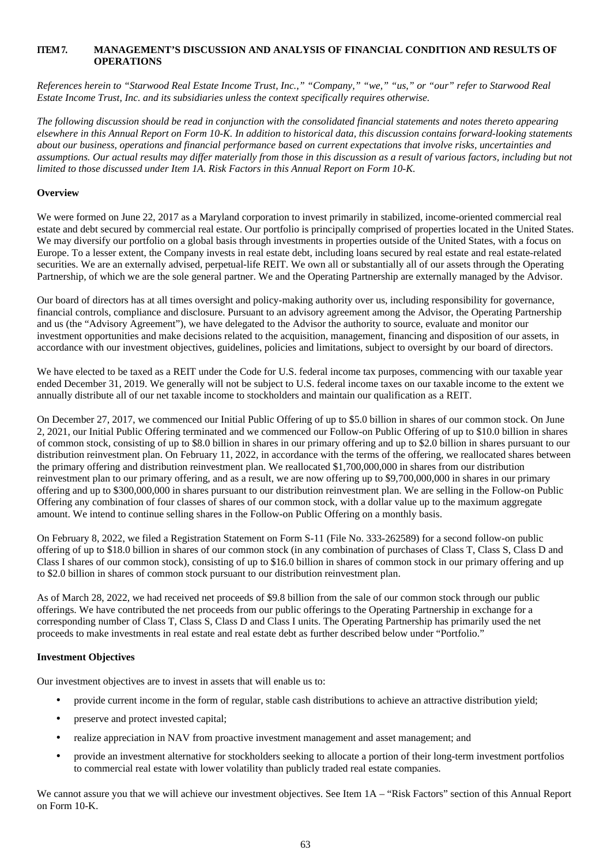# **ITEM7. MANAGEMENT'S DISCUSSION AND ANALYSIS OF FINANCIAL CONDITION AND RESULTS OF OPERATIONS**

*References herein to "Starwood Real Estate Income Trust, Inc.," "Company," "we," "us," or "our" refer to Starwood Real Estate Income Trust, Inc. and its subsidiaries unless the context specifically requires otherwise.*

*The following discussion should be read in conjunction with the consolidated financial statements and notes thereto appearing elsewhere in this Annual Report on Form 10-K. In addition to historical data, this discussion contains forward-looking statements about our business, operations and financial performance based on current expectations that involve risks, uncertainties and assumptions. Our actual results may differ materially from those in this discussion as a result of various factors, including but not limited to those discussed under Item 1A. Risk Factors in this Annual Report on Form 10-K.* 

# **Overview**

We were formed on June 22, 2017 as a Maryland corporation to invest primarily in stabilized, income-oriented commercial real estate and debt secured by commercial real estate. Our portfolio is principally comprised of properties located in the United States. We may diversify our portfolio on a global basis through investments in properties outside of the United States, with a focus on Europe. To a lesser extent, the Company invests in real estate debt, including loans secured by real estate and real estate-related securities. We are an externally advised, perpetual-life REIT. We own all or substantially all of our assets through the Operating Partnership, of which we are the sole general partner. We and the Operating Partnership are externally managed by the Advisor.

Our board of directors has at all times oversight and policy-making authority over us, including responsibility for governance, financial controls, compliance and disclosure. Pursuant to an advisory agreement among the Advisor, the Operating Partnership and us (the "Advisory Agreement"), we have delegated to the Advisor the authority to source, evaluate and monitor our investment opportunities and make decisions related to the acquisition, management, financing and disposition of our assets, in accordance with our investment objectives, guidelines, policies and limitations, subject to oversight by our board of directors.

We have elected to be taxed as a REIT under the Code for U.S. federal income tax purposes, commencing with our taxable year ended December 31, 2019. We generally will not be subject to U.S. federal income taxes on our taxable income to the extent we annually distribute all of our net taxable income to stockholders and maintain our qualification as a REIT.

On December 27, 2017, we commenced our Initial Public Offering of up to \$5.0 billion in shares of our common stock. On June 2, 2021, our Initial Public Offering terminated and we commenced our Follow-on Public Offering of up to \$10.0 billion in shares of common stock, consisting of up to \$8.0 billion in shares in our primary offering and up to \$2.0 billion in shares pursuant to our distribution reinvestment plan. On February 11, 2022, in accordance with the terms of the offering, we reallocated shares between the primary offering and distribution reinvestment plan. We reallocated \$1,700,000,000 in shares from our distribution reinvestment plan to our primary offering, and as a result, we are now offering up to \$9,700,000,000 in shares in our primary offering and up to \$300,000,000 in shares pursuant to our distribution reinvestment plan. We are selling in the Follow-on Public Offering any combination of four classes of shares of our common stock, with a dollar value up to the maximum aggregate amount. We intend to continue selling shares in the Follow-on Public Offering on a monthly basis.

On February 8, 2022, we filed a Registration Statement on Form S-11 (File No. 333-262589) for a second follow-on public offering of up to \$18.0 billion in shares of our common stock (in any combination of purchases of Class T, Class S, Class D and Class I shares of our common stock), consisting of up to \$16.0 billion in shares of common stock in our primary offering and up to \$2.0 billion in shares of common stock pursuant to our distribution reinvestment plan.

As of March 28, 2022, we had received net proceeds of \$9.8 billion from the sale of our common stock through our public offerings. We have contributed the net proceeds from our public offerings to the Operating Partnership in exchange for a corresponding number of Class T, Class S, Class D and Class I units. The Operating Partnership has primarily used the net proceeds to make investments in real estate and real estate debt as further described below under "Portfolio."

# **Investment Objectives**

Our investment objectives are to invest in assets that will enable us to:

- provide current income in the form of regular, stable cash distributions to achieve an attractive distribution yield;
- preserve and protect invested capital;
- realize appreciation in NAV from proactive investment management and asset management; and
- provide an investment alternative for stockholders seeking to allocate a portion of their long-term investment portfolios to commercial real estate with lower volatility than publicly traded real estate companies.

We cannot assure you that we will achieve our investment objectives. See Item  $1A - "Risk Factors"$  section of this Annual Report on Form 10-K.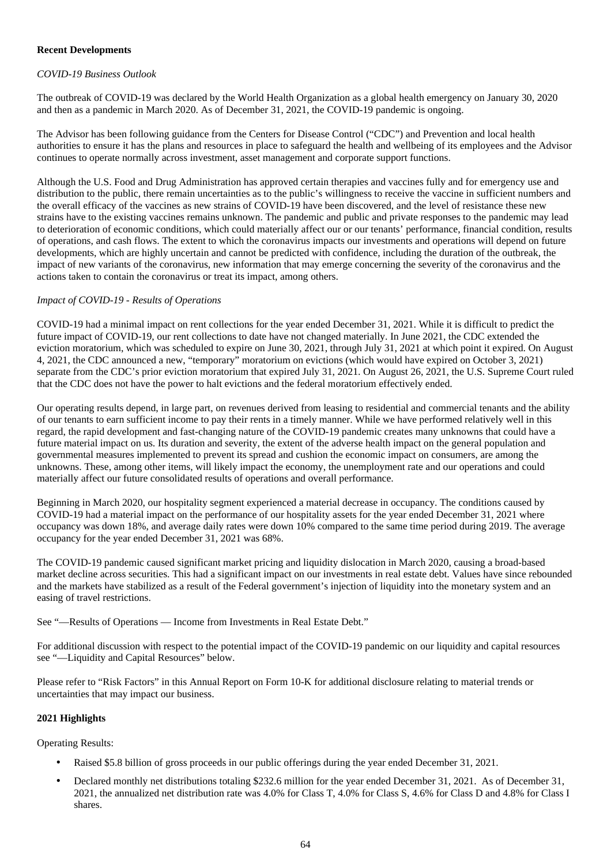# **Recent Developments**

# *COVID-19 Business Outlook*

The outbreak of COVID-19 was declared by the World Health Organization as a global health emergency on January 30, 2020 and then as a pandemic in March 2020. As of December 31, 2021, the COVID-19 pandemic is ongoing.

The Advisor has been following guidance from the Centers for Disease Control ("CDC") and Prevention and local health authorities to ensure it has the plans and resources in place to safeguard the health and wellbeing of its employees and the Advisor continues to operate normally across investment, asset management and corporate support functions.

Although the U.S. Food and Drug Administration has approved certain therapies and vaccines fully and for emergency use and distribution to the public, there remain uncertainties as to the public's willingness to receive the vaccine in sufficient numbers and the overall efficacy of the vaccines as new strains of COVID-19 have been discovered, and the level of resistance these new strains have to the existing vaccines remains unknown. The pandemic and public and private responses to the pandemic may lead to deterioration of economic conditions, which could materially affect our or our tenants' performance, financial condition, results of operations, and cash flows. The extent to which the coronavirus impacts our investments and operations will depend on future developments, which are highly uncertain and cannot be predicted with confidence, including the duration of the outbreak, the impact of new variants of the coronavirus, new information that may emerge concerning the severity of the coronavirus and the actions taken to contain the coronavirus or treat its impact, among others.

# *Impact of COVID-19 - Results of Operations*

COVID-19 had a minimal impact on rent collections for the year ended December 31, 2021. While it is difficult to predict the future impact of COVID-19, our rent collections to date have not changed materially. In June 2021, the CDC extended the eviction moratorium, which was scheduled to expire on June 30, 2021, through July 31, 2021 at which point it expired. On August 4, 2021, the CDC announced a new, "temporary" moratorium on evictions (which would have expired on October 3, 2021) separate from the CDC's prior eviction moratorium that expired July 31, 2021. On August 26, 2021, the U.S. Supreme Court ruled that the CDC does not have the power to halt evictions and the federal moratorium effectively ended.

Our operating results depend, in large part, on revenues derived from leasing to residential and commercial tenants and the ability of our tenants to earn sufficient income to pay their rents in a timely manner. While we have performed relatively well in this regard, the rapid development and fast-changing nature of the COVID-19 pandemic creates many unknowns that could have a future material impact on us. Its duration and severity, the extent of the adverse health impact on the general population and governmental measures implemented to prevent its spread and cushion the economic impact on consumers, are among the unknowns. These, among other items, will likely impact the economy, the unemployment rate and our operations and could materially affect our future consolidated results of operations and overall performance.

Beginning in March 2020, our hospitality segment experienced a material decrease in occupancy. The conditions caused by COVID-19 had a material impact on the performance of our hospitality assets for the year ended December 31, 2021 where occupancy was down 18%, and average daily rates were down 10% compared to the same time period during 2019. The average occupancy for the year ended December 31, 2021 was 68%.

The COVID-19 pandemic caused significant market pricing and liquidity dislocation in March 2020, causing a broad-based market decline across securities. This had a significant impact on our investments in real estate debt. Values have since rebounded and the markets have stabilized as a result of the Federal government's injection of liquidity into the monetary system and an easing of travel restrictions.

See "—Results of Operations — Income from Investments in Real Estate Debt."

For additional discussion with respect to the potential impact of the COVID-19 pandemic on our liquidity and capital resources see "—Liquidity and Capital Resources" below.

Please refer to "Risk Factors" in this Annual Report on Form 10-K for additional disclosure relating to material trends or uncertainties that may impact our business.

# **2021 Highlights**

Operating Results:

- Raised \$5.8 billion of gross proceeds in our public offerings during the year ended December 31, 2021.
- Declared monthly net distributions totaling \$232.6 million for the year ended December 31, 2021. As of December 31, 2021, the annualized net distribution rate was 4.0% for Class T, 4.0% for Class S, 4.6% for Class D and 4.8% for Class I shares.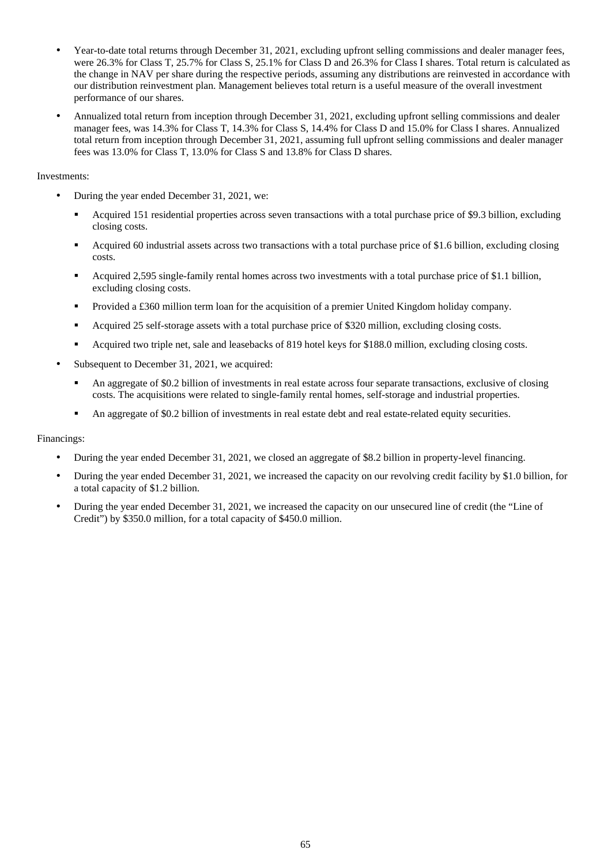- Year-to-date total returns through December 31, 2021, excluding upfront selling commissions and dealer manager fees, were 26.3% for Class T, 25.7% for Class S, 25.1% for Class D and 26.3% for Class I shares. Total return is calculated as the change in NAV per share during the respective periods, assuming any distributions are reinvested in accordance with our distribution reinvestment plan. Management believes total return is a useful measure of the overall investment performance of our shares.
- Annualized total return from inception through December 31, 2021, excluding upfront selling commissions and dealer manager fees, was 14.3% for Class T, 14.3% for Class S, 14.4% for Class D and 15.0% for Class I shares. Annualized total return from inception through December 31, 2021, assuming full upfront selling commissions and dealer manager fees was 13.0% for Class T, 13.0% for Class S and 13.8% for Class D shares.

# Investments:

- During the year ended December 31, 2021, we:
	- Acquired 151 residential properties across seven transactions with a total purchase price of \$9.3 billion, excluding closing costs.
	- Acquired 60 industrial assets across two transactions with a total purchase price of \$1.6 billion, excluding closing costs.
	- Acquired 2,595 single-family rental homes across two investments with a total purchase price of \$1.1 billion, excluding closing costs.
	- **Provided a £360 million term loan for the acquisition of a premier United Kingdom holiday company.**
	- Acquired 25 self-storage assets with a total purchase price of \$320 million, excluding closing costs.
	- Acquired two triple net, sale and leasebacks of 819 hotel keys for \$188.0 million, excluding closing costs.
- Subsequent to December 31, 2021, we acquired:
	- An aggregate of \$0.2 billion of investments in real estate across four separate transactions, exclusive of closing costs. The acquisitions were related to single-family rental homes, self-storage and industrial properties.
	- An aggregate of \$0.2 billion of investments in real estate debt and real estate-related equity securities.

# Financings:

- During the year ended December 31, 2021, we closed an aggregate of \$8.2 billion in property-level financing.
- During the year ended December 31, 2021, we increased the capacity on our revolving credit facility by \$1.0 billion, for a total capacity of \$1.2 billion.
- During the year ended December 31, 2021, we increased the capacity on our unsecured line of credit (the "Line of Credit") by \$350.0 million, for a total capacity of \$450.0 million.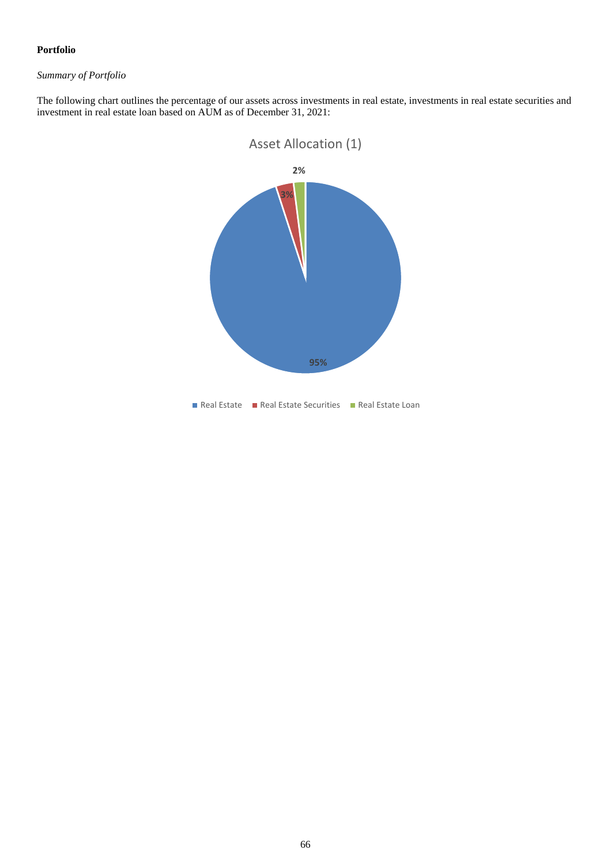# **Portfolio**

# *Summary of Portfolio*

The following chart outlines the percentage of our assets across investments in real estate, investments in real estate securities and investment in real estate loan based on AUM as of December 31, 2021:

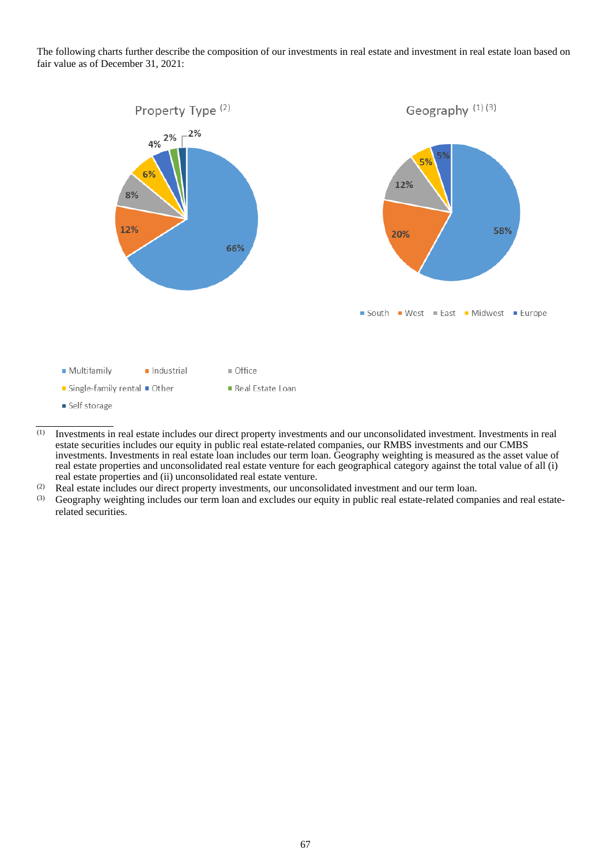The following charts further describe the composition of our investments in real estate and investment in real estate loan based on fair value as of December 31, 2021:



- $\overline{p}$  Investments in real estate includes our direct property investments and our unconsolidated investment. Investments in real estate securities includes our equity in public real estate-related companies, our RMBS investments and our CMBS investments. Investments in real estate loan includes our term loan. Geography weighting is measured as the asset value of real estate properties and unconsolidated real estate venture for each geographical category against the total value of all (i) real estate properties and (ii) unconsolidated real estate venture.
- (2) Real estate includes our direct property investments, our unconsolidated investment and our term loan.<br>(3) Geography weighting includes our term loan and excludes our equity in public real estate-related comp
- Geography weighting includes our term loan and excludes our equity in public real estate-related companies and real estaterelated securities.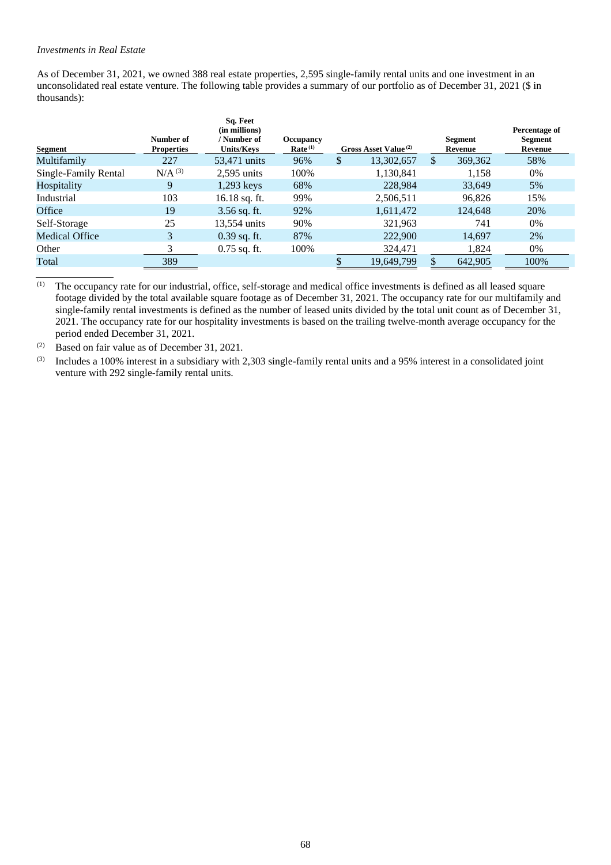# *Investments in Real Estate*

As of December 31, 2021, we owned 388 real estate properties, 2,595 single-family rental units and one investment in an unconsolidated real estate venture. The following table provides a summary of our portfolio as of December 31, 2021 (\$ in thousands):

| <b>Segment</b>        | Number of<br><b>Properties</b> | Sq. Feet<br>(in millions)<br>/ Number of<br><b>Units/Keys</b> | <b>Occupancy</b><br>Rate <sup>(1)</sup> | Gross Asset Value <sup>(2)</sup> |   | Segment<br><b>Revenue</b> | Percentage of<br>Segment<br>Revenue |
|-----------------------|--------------------------------|---------------------------------------------------------------|-----------------------------------------|----------------------------------|---|---------------------------|-------------------------------------|
| Multifamily           | 227                            | 53,471 units                                                  | 96%                                     | \$<br>13,302,657                 | S | 369,362                   | 58%                                 |
| Single-Family Rental  | $N/A$ (3)                      | $2,595$ units                                                 | 100%                                    | 1,130,841                        |   | 1,158                     | 0%                                  |
| Hospitality           | 9                              | 1,293 keys                                                    | 68%                                     | 228,984                          |   | 33,649                    | 5%                                  |
| Industrial            | 103                            | 16.18 sq. ft.                                                 | 99%                                     | 2,506,511                        |   | 96,826                    | 15%                                 |
| Office                | 19                             | $3.56$ sq. ft.                                                | 92%                                     | 1,611,472                        |   | 124,648                   | 20%                                 |
| Self-Storage          | 25                             | 13,554 units                                                  | 90%                                     | 321,963                          |   | 741                       | 0%                                  |
| <b>Medical Office</b> | 3                              | $0.39$ sq. ft.                                                | 87%                                     | 222,900                          |   | 14,697                    | 2%                                  |
| Other                 | 3                              | $0.75$ sq. ft.                                                | 100%                                    | 324,471                          |   | 1,824                     | 0%                                  |
| Total                 | 389                            |                                                               |                                         | 19,649,799                       |   | 642,905                   | 100%                                |

(1) The occupancy rate for our industrial, office, self-storage and medical office investments is defined as all leased square footage divided by the total available square footage as of December 31, 2021. The occupancy rate for our multifamily and single-family rental investments is defined as the number of leased units divided by the total unit count as of December 31, 2021. The occupancy rate for our hospitality investments is based on the trailing twelve-month average occupancy for the period ended December 31, 2021.

(2) Based on fair value as of December 31, 2021.

(3) Includes a 100% interest in a subsidiary with 2,303 single-family rental units and a 95% interest in a consolidated joint venture with 292 single-family rental units.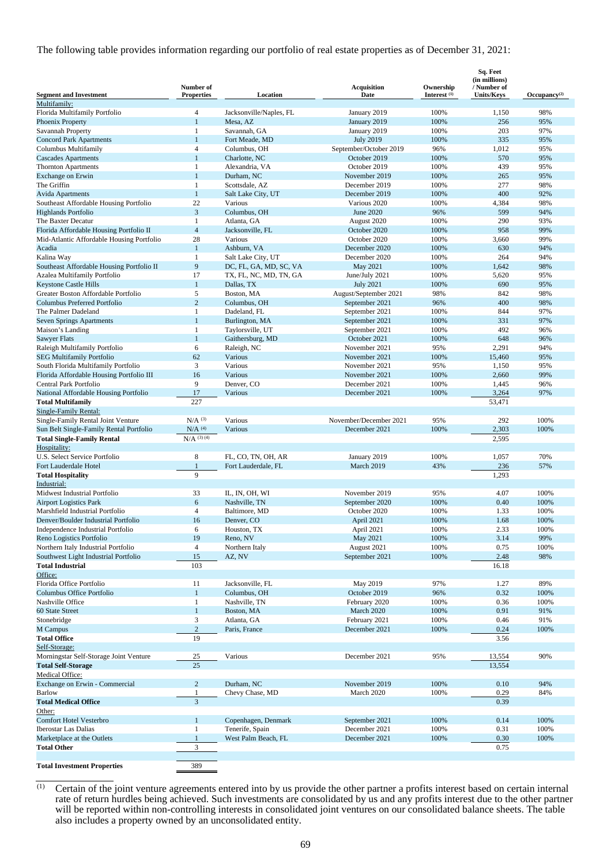### The following table provides information regarding our portfolio of real estate properties as of December 31, 2021:

| <b>Segment and Investment</b>                                     | Number of<br><b>Properties</b> | Location                                     | <b>Acquisition</b><br>Date     | Ownership<br>Interest <sup>(1)</sup> | Sq. Feet<br>(in millions)<br>/ Number of<br><b>Units/Keys</b> | Occupancy <sup>(2)</sup> |
|-------------------------------------------------------------------|--------------------------------|----------------------------------------------|--------------------------------|--------------------------------------|---------------------------------------------------------------|--------------------------|
| Multifamily:                                                      |                                |                                              |                                |                                      |                                                               |                          |
| Florida Multifamily Portfolio<br>Phoenix Property                 | 4<br>$\mathbf{1}$              | Jacksonville/Naples, FL<br>Mesa, AZ          | January 2019<br>January 2019   | 100%<br>100%                         | 1,150<br>256                                                  | 98%<br>95%               |
| Savannah Property                                                 | 1                              | Savannah, GA                                 | January 2019                   | 100%                                 | 203                                                           | 97%                      |
| <b>Concord Park Apartments</b>                                    | $\mathbf{1}$                   | Fort Meade, MD                               | <b>July 2019</b>               | 100%                                 | 335                                                           | 95%                      |
| Columbus Multifamily                                              | 4                              | Columbus, OH                                 | September/October 2019         | 96%                                  | 1,012                                                         | 95%                      |
| <b>Cascades Apartments</b>                                        | $\mathbf{1}$                   | Charlotte, NC                                | October 2019                   | 100%                                 | 570                                                           | 95%                      |
| <b>Thornton Apartments</b>                                        | $\mathbf{1}$                   | Alexandria, VA                               | October 2019                   | 100%                                 | 439                                                           | 95%                      |
| <b>Exchange on Erwin</b>                                          | $\mathbf{1}$                   | Durham, NC                                   | November 2019                  | 100%                                 | 265                                                           | 95%                      |
| The Griffin                                                       | 1                              | Scottsdale, AZ                               | December 2019                  | 100%                                 | 277                                                           | 98%                      |
| <b>Avida Apartments</b>                                           | $\,1$                          | Salt Lake City, UT                           | December 2019                  | 100%                                 | 400                                                           | 92%                      |
| Southeast Affordable Housing Portfolio                            | 22                             | Various                                      | Various 2020                   | 100%                                 | 4,384                                                         | 98%                      |
| <b>Highlands Portfolio</b>                                        | 3                              | Columbus, OH                                 | June 2020                      | 96%                                  | 599                                                           | 94%                      |
| The Baxter Decatur                                                | $\mathbf{1}$                   | Atlanta, GA                                  | August 2020                    | 100%                                 | 290                                                           | 93%                      |
| Florida Affordable Housing Portfolio II                           | $\overline{4}$                 | Jacksonville, FL                             | October 2020                   | 100%                                 | 958                                                           | 99%                      |
| Mid-Atlantic Affordable Housing Portfolio                         | 28                             | Various                                      | October 2020                   | 100%                                 | 3,660                                                         | 99%                      |
| Acadia                                                            | $\mathbf{1}$<br>$\mathbf{1}$   | Ashburn, VA                                  | December 2020<br>December 2020 | 100%<br>100%                         | 630<br>264                                                    | 94%<br>94%               |
| Kalina Way<br>Southeast Affordable Housing Portfolio II           | 9                              | Salt Lake City, UT<br>DC, FL, GA, MD, SC, VA | May 2021                       | 100%                                 | 1,642                                                         | 98%                      |
| Azalea Multifamily Portfolio                                      | 17                             | TX, FL, NC, MD, TN, GA                       | June/July 2021                 | 100%                                 | 5,620                                                         | 95%                      |
| <b>Keystone Castle Hills</b>                                      | $\mathbf{1}$                   | Dallas, TX                                   | <b>July 2021</b>               | 100%                                 | 690                                                           | 95%                      |
| Greater Boston Affordable Portfolio                               | 5                              | Boston, MA                                   | August/September 2021          | 98%                                  | 842                                                           | 98%                      |
| Columbus Preferred Portfolio                                      | $\overline{2}$                 | Columbus, OH                                 | September 2021                 | 96%                                  | 400                                                           | 98%                      |
| The Palmer Dadeland                                               | 1                              | Dadeland, FL                                 | September 2021                 | 100%                                 | 844                                                           | 97%                      |
| <b>Seven Springs Apartments</b>                                   | $\mathbf{1}$                   | Burlington, MA                               | September 2021                 | 100%                                 | 331                                                           | 97%                      |
| Maison's Landing                                                  | 1                              | Taylorsville, UT                             | September 2021                 | 100%                                 | 492                                                           | 96%                      |
| <b>Sawyer Flats</b>                                               | $\mathbf{1}$                   | Gaithersburg, MD                             | October 2021                   | 100%                                 | 648                                                           | 96%                      |
| Raleigh Multifamily Portfolio                                     | 6                              | Raleigh, NC                                  | November 2021                  | 95%                                  | 2,291                                                         | 94%                      |
| <b>SEG Multifamily Portfolio</b>                                  | 62                             | Various                                      | November 2021                  | 100%                                 | 15,460                                                        | 95%                      |
| South Florida Multifamily Portfolio                               | 3                              | Various                                      | November 2021                  | 95%                                  | 1,150                                                         | 95%                      |
| Florida Affordable Housing Portfolio III                          | 16                             | Various                                      | November 2021                  | 100%                                 | 2,660                                                         | 99%                      |
| Central Park Portfolio                                            | 9<br>17                        | Denver, CO                                   | December 2021                  | 100%                                 | 1,445                                                         | 96%<br>97%               |
| National Affordable Housing Portfolio<br><b>Total Multifamily</b> | 227                            | Various                                      | December 2021                  | 100%                                 | 3,264<br>53,471                                               |                          |
| Single-Family Rental:                                             |                                |                                              |                                |                                      |                                                               |                          |
| Single-Family Rental Joint Venture                                | $N/A$ (3)                      | Various                                      | November/December 2021         | 95%                                  | 292                                                           | 100%                     |
| Sun Belt Single-Family Rental Portfolio                           | $N/A$ <sup>(4)</sup>           | Various                                      | December 2021                  | 100%                                 | 2,303                                                         | 100%                     |
| <b>Total Single-Family Rental</b>                                 | $N/A$ (3)(4)                   |                                              |                                |                                      | 2,595                                                         |                          |
| Hospitality:                                                      |                                |                                              |                                |                                      |                                                               |                          |
| U.S. Select Service Portfolio                                     | $\,8\,$                        | FL, CO, TN, OH, AR                           | January 2019                   | 100%                                 | 1,057                                                         | 70%                      |
| Fort Lauderdale Hotel                                             | $\mathbf{1}$                   | Fort Lauderdale, FL                          | March 2019                     | 43%                                  | 236                                                           | 57%                      |
| <b>Total Hospitality</b>                                          | 9                              |                                              |                                |                                      | 1,293                                                         |                          |
| Industrial:                                                       |                                |                                              |                                |                                      |                                                               |                          |
| Midwest Industrial Portfolio                                      | 33                             | IL, IN, OH, WI                               | November 2019                  | 95%                                  | 4.07                                                          | 100%                     |
| <b>Airport Logistics Park</b>                                     | 6                              | Nashville, TN                                | September 2020                 | 100%                                 | 0.40                                                          | 100%                     |
| Marshfield Industrial Portfolio                                   | 4                              | Baltimore, MD                                | October 2020                   | 100%                                 | 1.33                                                          | 100%                     |
| Denver/Boulder Industrial Portfolio                               | 16                             | Denver, CO                                   | April 2021                     | 100%                                 | 1.68                                                          | 100%                     |
| Independence Industrial Portfolio<br>Reno Logistics Portfolio     | 6<br>19                        | Houston, TX<br>Reno, NV                      | April 2021<br>May 2021         | 100%<br>100%                         | 2.33                                                          | 100%<br>99%              |
| Northern Italy Industrial Portfolio                               | $\overline{4}$                 | Northern Italy                               | August 2021                    | 100%                                 | 3.14<br>0.75                                                  | 100%                     |
| Southwest Light Industrial Portfolio                              | 15                             | AZ, NV                                       | September 2021                 | 100%                                 | 2.48                                                          | 98%                      |
| <b>Total Industrial</b>                                           | 103                            |                                              |                                |                                      | 16.18                                                         |                          |
| Office:                                                           |                                |                                              |                                |                                      |                                                               |                          |
| Florida Office Portfolio                                          | 11                             | Jacksonville, FL                             | May 2019                       | 97%                                  | 1.27                                                          | 89%                      |
| Columbus Office Portfolio                                         | $\,1$                          | Columbus, OH                                 | October 2019                   | 96%                                  | 0.32                                                          | 100%                     |
| Nashville Office                                                  | $\mathbf{1}$                   | Nashville, TN                                | February 2020                  | 100%                                 | 0.36                                                          | 100%                     |
| 60 State Street                                                   | $\,1$                          | Boston, MA                                   | March 2020                     | 100%                                 | 0.91                                                          | 91%                      |
| Stonebridge                                                       | $\mathfrak{Z}$                 | Atlanta, GA                                  | February 2021                  | 100%                                 | 0.46                                                          | 91%                      |
| M Campus                                                          | $\sqrt{2}$                     | Paris, France                                | December 2021                  | 100%                                 | 0.24                                                          | 100%                     |
| <b>Total Office</b>                                               | 19                             |                                              |                                |                                      | 3.56                                                          |                          |
| Self-Storage:                                                     |                                |                                              |                                |                                      |                                                               |                          |
| Morningstar Self-Storage Joint Venture                            | $25\,$                         | Various                                      | December 2021                  | 95%                                  | 13,554                                                        | 90%                      |
| <b>Total Self-Storage</b>                                         | 25                             |                                              |                                |                                      | 13,554                                                        |                          |
| Medical Office:                                                   |                                |                                              |                                |                                      |                                                               |                          |
| Exchange on Erwin - Commercial                                    | $\overline{c}$                 | Durham, NC                                   | November 2019                  | 100%                                 | 0.10                                                          | 94%                      |
| <b>Barlow</b>                                                     | $\mathbf{1}$                   | Chevy Chase, MD                              | March 2020                     | 100%                                 | 0.29                                                          | 84%                      |
| <b>Total Medical Office</b><br>Other:                             | $\overline{3}$                 |                                              |                                |                                      | 0.39                                                          |                          |
| <b>Comfort Hotel Vesterbro</b>                                    | $\mathbf{1}$                   | Copenhagen, Denmark                          | September 2021                 | 100%                                 | 0.14                                                          | 100%                     |
| <b>Iberostar Las Dalias</b>                                       | $\mathbf{1}$                   | Tenerife, Spain                              | December 2021                  | 100%                                 | 0.31                                                          | 100%                     |
| Marketplace at the Outlets                                        | $\mathbf{1}$                   | West Palm Beach, FL                          | December 2021                  | 100%                                 | 0.30                                                          | 100%                     |
| <b>Total Other</b>                                                | 3                              |                                              |                                |                                      | 0.75                                                          |                          |
|                                                                   |                                |                                              |                                |                                      |                                                               |                          |
| <b>Total Investment Properties</b>                                | 389                            |                                              |                                |                                      |                                                               |                          |

 $\overline{p}$  Certain of the joint venture agreements entered into by us provide the other partner a profits interest based on certain internal rate of return hurdles being achieved. Such investments are consolidated by us and any profits interest due to the other partner will be reported within non-controlling interests in consolidated joint ventures on our consolidated balance sheets. The table also includes a property owned by an unconsolidated entity.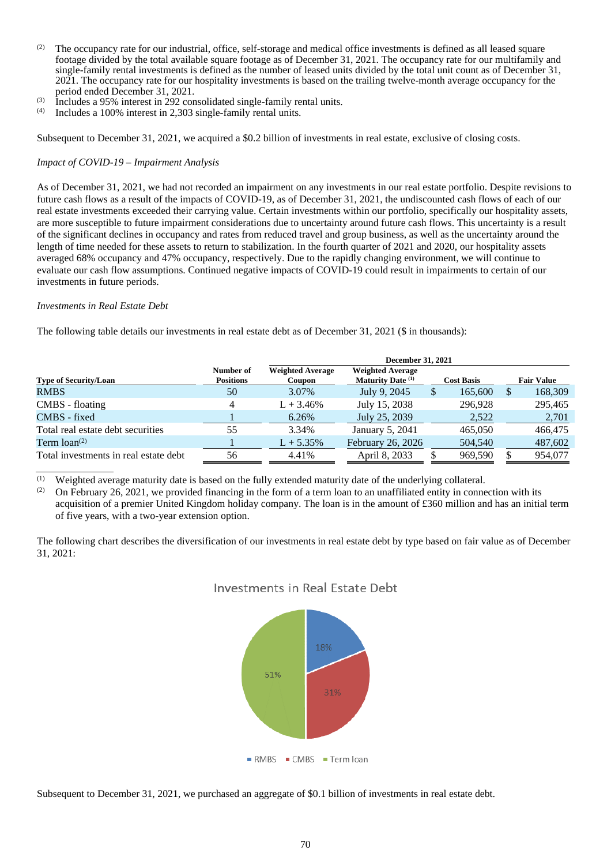- (2) The occupancy rate for our industrial, office, self-storage and medical office investments is defined as all leased square footage divided by the total available square footage as of December 31, 2021. The occupancy rate for our multifamily and single-family rental investments is defined as the number of leased units divided by the total unit count as of December 31, 2021. The occupancy rate for our hospitality investments is based on the trailing twelve-month average occupancy for the period ended December 31, 2021.
- (3) Includes a 95% interest in 292 consolidated single-family rental units.
- (4) Includes a 100% interest in 2,303 single-family rental units.

Subsequent to December 31, 2021, we acquired a \$0.2 billion of investments in real estate, exclusive of closing costs.

# *Impact of COVID-19 – Impairment Analysis*

As of December 31, 2021, we had not recorded an impairment on any investments in our real estate portfolio. Despite revisions to future cash flows as a result of the impacts of COVID-19, as of December 31, 2021, the undiscounted cash flows of each of our real estate investments exceeded their carrying value. Certain investments within our portfolio, specifically our hospitality assets, are more susceptible to future impairment considerations due to uncertainty around future cash flows. This uncertainty is a result of the significant declines in occupancy and rates from reduced travel and group business, as well as the uncertainty around the length of time needed for these assets to return to stabilization. In the fourth quarter of 2021 and 2020, our hospitality assets averaged 68% occupancy and 47% occupancy, respectively. Due to the rapidly changing environment, we will continue to evaluate our cash flow assumptions. Continued negative impacts of COVID-19 could result in impairments to certain of our investments in future periods.

#### *Investments in Real Estate Debt*

The following table details our investments in real estate debt as of December 31, 2021 (\$ in thousands):

| <b>Type of Security/Loan</b>          | Number of<br><b>Positions</b> | <b>Weighted Average</b><br>Coupon | <b>Weighted Average</b><br><b>Maturity Date (1)</b> | <b>Cost Basis</b> | <b>Fair Value</b> |         |  |
|---------------------------------------|-------------------------------|-----------------------------------|-----------------------------------------------------|-------------------|-------------------|---------|--|
| <b>RMBS</b>                           | 50                            | 3.07%                             | July 9, 2045                                        | 165,600           | <b>S</b>          | 168,309 |  |
| CMBS - floating                       | 4                             | $L + 3.46%$                       | July 15, 2038                                       | 296.928           |                   | 295,465 |  |
| CMBS - fixed                          |                               | 6.26%                             | July 25, 2039                                       | 2,522             |                   | 2,701   |  |
| Total real estate debt securities     | 55                            | 3.34%                             | January 5, 2041                                     | 465,050           |                   | 466,475 |  |
| Term $\text{loan}^{(2)}$              |                               | $L + 5.35%$                       | February 26, 2026                                   | 504,540           |                   | 487,602 |  |
| Total investments in real estate debt | 56                            | 4.41%                             | April 8, 2033                                       | 969,590           |                   | 954,077 |  |

(1) Weighted average maturity date is based on the fully extended maturity date of the underlying collateral.

(2) On February 26, 2021, we provided financing in the form of a term loan to an unaffiliated entity in connection with its acquisition of a premier United Kingdom holiday company. The loan is in the amount of £360 million and has an initial term of five years, with a two-year extension option.

The following chart describes the diversification of our investments in real estate debt by type based on fair value as of December 31, 2021:



# Investments in Real Estate Debt

Subsequent to December 31, 2021, we purchased an aggregate of \$0.1 billion of investments in real estate debt.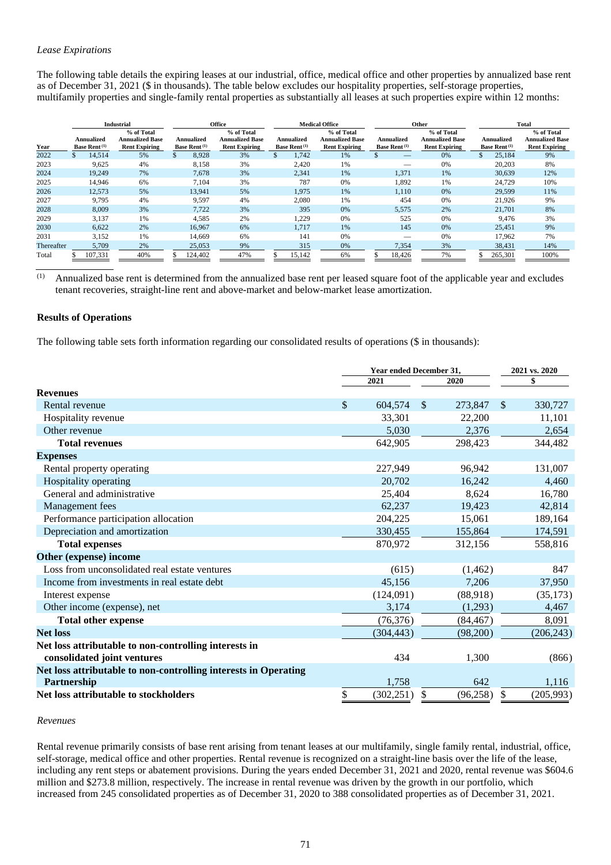### *Lease Expirations*

The following table details the expiring leases at our industrial, office, medical office and other properties by annualized base rent as of December 31, 2021 (\$ in thousands). The table below excludes our hospitality properties, self-storage properties, multifamily properties and single-family rental properties as substantially all leases at such properties expire within 12 months:

|            | <b>Industrial</b> |                                               |                                                              | Office |                                               |  | <b>Medical Office</b>                                        |  |                                               |                                                              | Other |  |                                        |                                                              | <b>Total</b> |                                               |         |                                                              |  |
|------------|-------------------|-----------------------------------------------|--------------------------------------------------------------|--------|-----------------------------------------------|--|--------------------------------------------------------------|--|-----------------------------------------------|--------------------------------------------------------------|-------|--|----------------------------------------|--------------------------------------------------------------|--------------|-----------------------------------------------|---------|--------------------------------------------------------------|--|
| Year       |                   | Annualized<br><b>Base Rent</b> <sup>(1)</sup> | % of Total<br><b>Annualized Base</b><br><b>Rent Expiring</b> |        | Annualized<br><b>Base Rent</b> <sup>(1)</sup> |  | % of Total<br><b>Annualized Base</b><br><b>Rent Expiring</b> |  | Annualized<br><b>Base Rent</b> <sup>(1)</sup> | % of Total<br><b>Annualized Base</b><br><b>Rent Expiring</b> |       |  | Annualized<br>Base Rent <sup>(1)</sup> | % of Total<br><b>Annualized Base</b><br><b>Rent Expiring</b> |              | Annualized<br><b>Base Rent</b> <sup>(1)</sup> |         | % of Total<br><b>Annualized Base</b><br><b>Rent Expiring</b> |  |
| 2022       |                   | 14.514                                        | 5%                                                           |        | 8.928                                         |  | 3%                                                           |  | 1.742                                         | 1%                                                           |       |  |                                        |                                                              | 0%           |                                               | 25,184  | 9%                                                           |  |
| 2023       |                   | 9.625                                         | 4%                                                           |        | 8,158                                         |  | 3%                                                           |  | 2,420                                         | 1%                                                           |       |  | _                                      |                                                              | 0%           |                                               | 20,203  | 8%                                                           |  |
| 2024       |                   | 19.249                                        | 7%                                                           |        | 7.678                                         |  | 3%                                                           |  | 2,341                                         | 1%                                                           |       |  | 1,371                                  |                                                              | 1%           |                                               | 30,639  | 12%                                                          |  |
| 2025       |                   | 14.946                                        | 6%                                                           |        | 7.104                                         |  | 3%                                                           |  | 787                                           | 0%                                                           |       |  | 1.892                                  |                                                              | 1%           |                                               | 24,729  | 10%                                                          |  |
| 2026       |                   | 12.573                                        | 5%                                                           |        | 13.941                                        |  | 5%                                                           |  | 1.975                                         | 1%                                                           |       |  | 1.110                                  |                                                              | 0%           |                                               | 29,599  | 11%                                                          |  |
| 2027       |                   | 9.795                                         | 4%                                                           |        | 9,597                                         |  | 4%                                                           |  | 2,080                                         | 1%                                                           |       |  | 454                                    |                                                              | 0%           |                                               | 21,926  | 9%                                                           |  |
| 2028       |                   | 8,009                                         | 3%                                                           |        | 7.722                                         |  | 3%                                                           |  | 395                                           | 0%                                                           |       |  | 5,575                                  |                                                              | 2%           |                                               | 21,701  | 8%                                                           |  |
| 2029       |                   | 3.137                                         | 1%                                                           |        | 4,585                                         |  | 2%                                                           |  | 1,229                                         | 0%                                                           |       |  | 525                                    |                                                              | 0%           |                                               | 9.476   | 3%                                                           |  |
| 2030       |                   | 6,622                                         | 2%                                                           |        | 16.967                                        |  | 6%                                                           |  | 1.717                                         | 1%                                                           |       |  | 145                                    |                                                              | 0%           |                                               | 25,451  | 9%                                                           |  |
| 2031       |                   | 3,152                                         | 1%                                                           |        | 14.669                                        |  | 6%                                                           |  | 141                                           | 0%                                                           |       |  |                                        |                                                              | 0%           |                                               | 17,962  | 7%                                                           |  |
| Thereafter |                   | 5,709                                         | 2%                                                           |        | 25,053                                        |  | 9%                                                           |  | 315                                           | 0%                                                           |       |  | 7,354                                  |                                                              | 3%           |                                               | 38,431  | 14%                                                          |  |
| Total      |                   | 107.331                                       | 40%                                                          |        | 124.402                                       |  | 47%                                                          |  | 15.142                                        | 6%                                                           |       |  | 18.426                                 |                                                              | 7%           |                                               | 265,301 | 100%                                                         |  |

(1) Annualized base rent is determined from the annualized base rent per leased square foot of the applicable year and excludes tenant recoveries, straight-line rent and above-market and below-market lease amortization.

#### **Results of Operations**

The following table sets forth information regarding our consolidated results of operations (\$ in thousands):

|                                                                 |      | Year ended December 31, | 2021 vs. 2020 |           |    |            |
|-----------------------------------------------------------------|------|-------------------------|---------------|-----------|----|------------|
|                                                                 | 2021 |                         |               | 2020      | \$ |            |
| <b>Revenues</b>                                                 |      |                         |               |           |    |            |
| Rental revenue                                                  | \$   | 604,574                 | $\mathcal{S}$ | 273,847   | \$ | 330,727    |
| Hospitality revenue                                             |      | 33,301                  |               | 22,200    |    | 11,101     |
| Other revenue                                                   |      | 5,030                   |               | 2,376     |    | 2,654      |
| <b>Total revenues</b>                                           |      | 642,905                 |               | 298,423   |    | 344,482    |
| <b>Expenses</b>                                                 |      |                         |               |           |    |            |
| Rental property operating                                       |      | 227,949                 |               | 96,942    |    | 131,007    |
| Hospitality operating                                           |      | 20,702                  |               | 16,242    |    | 4,460      |
| General and administrative                                      |      | 25,404                  |               | 8,624     |    | 16,780     |
| Management fees                                                 |      | 62,237                  |               | 19,423    |    | 42,814     |
| Performance participation allocation                            |      | 204,225                 |               | 15,061    |    | 189,164    |
| Depreciation and amortization                                   |      | 330,455                 |               | 155,864   |    | 174,591    |
| <b>Total expenses</b>                                           |      | 870,972                 |               | 312,156   |    | 558,816    |
| Other (expense) income                                          |      |                         |               |           |    |            |
| Loss from unconsolidated real estate ventures                   |      | (615)                   |               | (1,462)   |    | 847        |
| Income from investments in real estate debt                     |      | 45,156                  |               | 7,206     |    | 37,950     |
| Interest expense                                                |      | (124,091)               |               | (88,918)  |    | (35, 173)  |
| Other income (expense), net                                     |      | 3,174                   |               | (1,293)   |    | 4,467      |
| <b>Total other expense</b>                                      |      | (76, 376)               |               | (84, 467) |    | 8,091      |
| <b>Net loss</b>                                                 |      | (304, 443)              |               | (98,200)  |    | (206, 243) |
| Net loss attributable to non-controlling interests in           |      |                         |               |           |    |            |
| consolidated joint ventures                                     |      | 434                     |               | 1,300     |    | (866)      |
| Net loss attributable to non-controlling interests in Operating |      |                         |               |           |    |            |
| Partnership                                                     |      | 1,758                   |               | 642       |    | 1,116      |
| <b>Net loss attributable to stockholders</b>                    | \$   | (302, 251)              | \$            | (96, 258) | \$ | (205,993)  |

#### *Revenues*

Rental revenue primarily consists of base rent arising from tenant leases at our multifamily, single family rental, industrial, office, self-storage, medical office and other properties. Rental revenue is recognized on a straight-line basis over the life of the lease, including any rent steps or abatement provisions. During the years ended December 31, 2021 and 2020, rental revenue was \$604.6 million and \$273.8 million, respectively. The increase in rental revenue was driven by the growth in our portfolio, which increased from 245 consolidated properties as of December 31, 2020 to 388 consolidated properties as of December 31, 2021.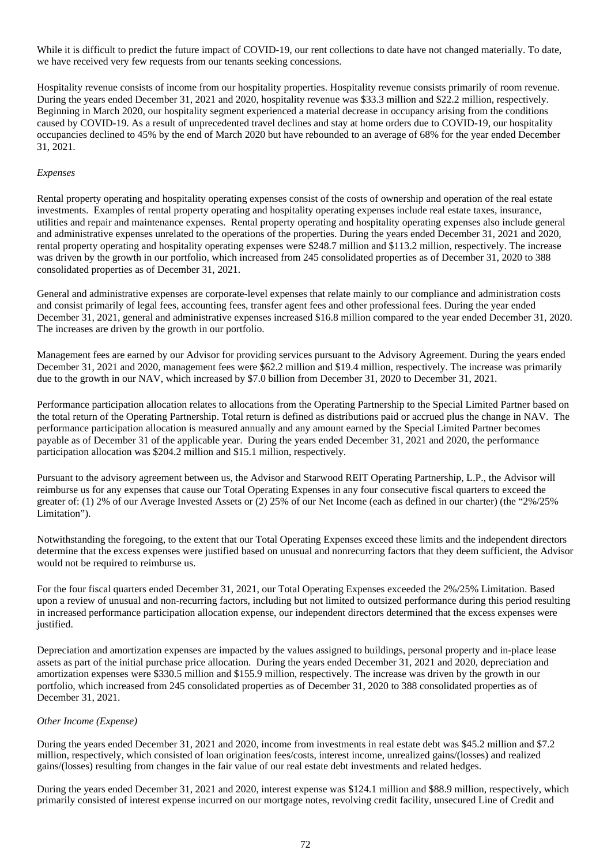While it is difficult to predict the future impact of COVID-19, our rent collections to date have not changed materially. To date, we have received very few requests from our tenants seeking concessions.

Hospitality revenue consists of income from our hospitality properties. Hospitality revenue consists primarily of room revenue. During the years ended December 31, 2021 and 2020, hospitality revenue was \$33.3 million and \$22.2 million, respectively. Beginning in March 2020, our hospitality segment experienced a material decrease in occupancy arising from the conditions caused by COVID-19. As a result of unprecedented travel declines and stay at home orders due to COVID-19, our hospitality occupancies declined to 45% by the end of March 2020 but have rebounded to an average of 68% for the year ended December 31, 2021.

#### *Expenses*

Rental property operating and hospitality operating expenses consist of the costs of ownership and operation of the real estate investments. Examples of rental property operating and hospitality operating expenses include real estate taxes, insurance, utilities and repair and maintenance expenses. Rental property operating and hospitality operating expenses also include general and administrative expenses unrelated to the operations of the properties. During the years ended December 31, 2021 and 2020, rental property operating and hospitality operating expenses were \$248.7 million and \$113.2 million, respectively. The increase was driven by the growth in our portfolio, which increased from 245 consolidated properties as of December 31, 2020 to 388 consolidated properties as of December 31, 2021.

General and administrative expenses are corporate-level expenses that relate mainly to our compliance and administration costs and consist primarily of legal fees, accounting fees, transfer agent fees and other professional fees. During the year ended December 31, 2021, general and administrative expenses increased \$16.8 million compared to the year ended December 31, 2020. The increases are driven by the growth in our portfolio.

Management fees are earned by our Advisor for providing services pursuant to the Advisory Agreement. During the years ended December 31, 2021 and 2020, management fees were \$62.2 million and \$19.4 million, respectively. The increase was primarily due to the growth in our NAV, which increased by \$7.0 billion from December 31, 2020 to December 31, 2021.

Performance participation allocation relates to allocations from the Operating Partnership to the Special Limited Partner based on the total return of the Operating Partnership. Total return is defined as distributions paid or accrued plus the change in NAV. The performance participation allocation is measured annually and any amount earned by the Special Limited Partner becomes payable as of December 31 of the applicable year. During the years ended December 31, 2021 and 2020, the performance participation allocation was \$204.2 million and \$15.1 million, respectively.

Pursuant to the advisory agreement between us, the Advisor and Starwood REIT Operating Partnership, L.P., the Advisor will reimburse us for any expenses that cause our Total Operating Expenses in any four consecutive fiscal quarters to exceed the greater of: (1) 2% of our Average Invested Assets or (2) 25% of our Net Income (each as defined in our charter) (the "2%/25% Limitation").

Notwithstanding the foregoing, to the extent that our Total Operating Expenses exceed these limits and the independent directors determine that the excess expenses were justified based on unusual and nonrecurring factors that they deem sufficient, the Advisor would not be required to reimburse us.

For the four fiscal quarters ended December 31, 2021, our Total Operating Expenses exceeded the 2%/25% Limitation. Based upon a review of unusual and non-recurring factors, including but not limited to outsized performance during this period resulting in increased performance participation allocation expense, our independent directors determined that the excess expenses were justified.

Depreciation and amortization expenses are impacted by the values assigned to buildings, personal property and in-place lease assets as part of the initial purchase price allocation. During the years ended December 31, 2021 and 2020, depreciation and amortization expenses were \$330.5 million and \$155.9 million, respectively. The increase was driven by the growth in our portfolio, which increased from 245 consolidated properties as of December 31, 2020 to 388 consolidated properties as of December 31, 2021.

#### *Other Income (Expense)*

During the years ended December 31, 2021 and 2020, income from investments in real estate debt was \$45.2 million and \$7.2 million, respectively, which consisted of loan origination fees/costs, interest income, unrealized gains/(losses) and realized gains/(losses) resulting from changes in the fair value of our real estate debt investments and related hedges.

During the years ended December 31, 2021 and 2020, interest expense was \$124.1 million and \$88.9 million, respectively, which primarily consisted of interest expense incurred on our mortgage notes, revolving credit facility, unsecured Line of Credit and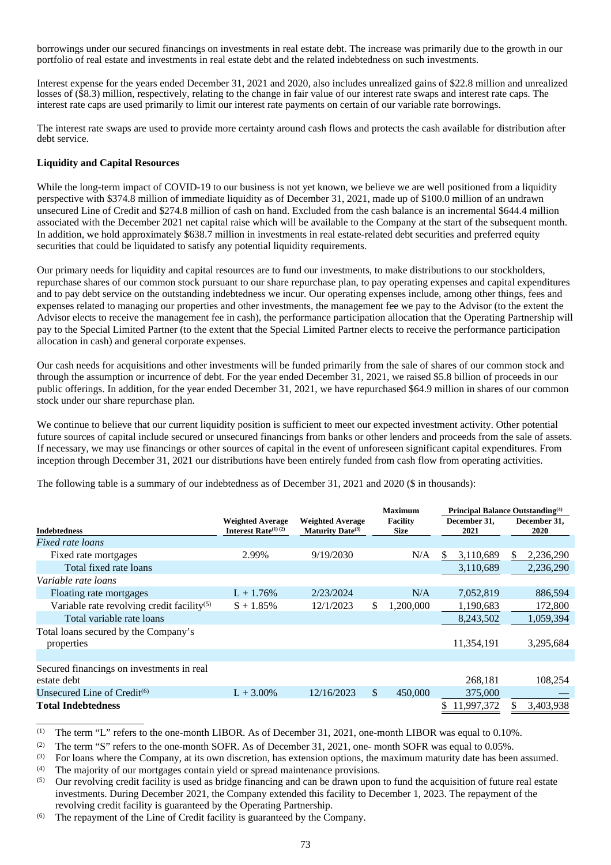borrowings under our secured financings on investments in real estate debt. The increase was primarily due to the growth in our portfolio of real estate and investments in real estate debt and the related indebtedness on such investments.

Interest expense for the years ended December 31, 2021 and 2020, also includes unrealized gains of \$22.8 million and unrealized losses of (\$8.3) million, respectively, relating to the change in fair value of our interest rate swaps and interest rate caps. The interest rate caps are used primarily to limit our interest rate payments on certain of our variable rate borrowings.

The interest rate swaps are used to provide more certainty around cash flows and protects the cash available for distribution after debt service.

#### **Liquidity and Capital Resources**

While the long-term impact of COVID-19 to our business is not yet known, we believe we are well positioned from a liquidity perspective with \$374.8 million of immediate liquidity as of December 31, 2021, made up of \$100.0 million of an undrawn unsecured Line of Credit and \$274.8 million of cash on hand. Excluded from the cash balance is an incremental \$644.4 million associated with the December 2021 net capital raise which will be available to the Company at the start of the subsequent month. In addition, we hold approximately \$638.7 million in investments in real estate-related debt securities and preferred equity securities that could be liquidated to satisfy any potential liquidity requirements.

Our primary needs for liquidity and capital resources are to fund our investments, to make distributions to our stockholders, repurchase shares of our common stock pursuant to our share repurchase plan, to pay operating expenses and capital expenditures and to pay debt service on the outstanding indebtedness we incur. Our operating expenses include, among other things, fees and expenses related to managing our properties and other investments, the management fee we pay to the Advisor (to the extent the Advisor elects to receive the management fee in cash), the performance participation allocation that the Operating Partnership will pay to the Special Limited Partner (to the extent that the Special Limited Partner elects to receive the performance participation allocation in cash) and general corporate expenses.

Our cash needs for acquisitions and other investments will be funded primarily from the sale of shares of our common stock and through the assumption or incurrence of debt. For the year ended December 31, 2021, we raised \$5.8 billion of proceeds in our public offerings. In addition, for the year ended December 31, 2021, we have repurchased \$64.9 million in shares of our common stock under our share repurchase plan.

We continue to believe that our current liquidity position is sufficient to meet our expected investment activity. Other potential future sources of capital include secured or unsecured financings from banks or other lenders and proceeds from the sale of assets. If necessary, we may use financings or other sources of capital in the event of unforeseen significant capital expenditures. From inception through December 31, 2021 our distributions have been entirely funded from cash flow from operating activities.

The following table is a summary of our indebtedness as of December 31, 2021 and 2020 (\$ in thousands):

|                                                          |                                                   |                                                                |     | <b>Maximum</b>                 | Principal Balance Outstanding <sup>(4)</sup> |                      |     |                      |
|----------------------------------------------------------|---------------------------------------------------|----------------------------------------------------------------|-----|--------------------------------|----------------------------------------------|----------------------|-----|----------------------|
| <b>Indebtedness</b>                                      | <b>Weighted Average</b><br>Interest Rate $(1)(2)$ | <b>Weighted Average</b><br><b>Maturity Date</b> <sup>(3)</sup> |     | <b>Facility</b><br><b>Size</b> |                                              | December 31,<br>2021 |     | December 31,<br>2020 |
| Fixed rate loans                                         |                                                   |                                                                |     |                                |                                              |                      |     |                      |
| Fixed rate mortgages                                     | 2.99%                                             | 9/19/2030                                                      |     | N/A                            | \$                                           | 3,110,689            | \$. | 2,236,290            |
| Total fixed rate loans                                   |                                                   |                                                                |     |                                |                                              | 3,110,689            |     | 2,236,290            |
| Variable rate loans                                      |                                                   |                                                                |     |                                |                                              |                      |     |                      |
| Floating rate mortgages                                  | $L + 1.76%$                                       | 2/23/2024                                                      |     | N/A                            |                                              | 7,052,819            |     | 886,594              |
| Variable rate revolving credit facility <sup>(5)</sup>   | $S + 1.85\%$                                      | 12/1/2023                                                      | \$. | 1,200,000                      |                                              | 1,190,683            |     | 172,800              |
| Total variable rate loans                                |                                                   |                                                                |     |                                |                                              | 8,243,502            |     | 1,059,394            |
| Total loans secured by the Company's<br>properties       |                                                   |                                                                |     |                                |                                              | 11,354,191           |     | 3,295,684            |
|                                                          |                                                   |                                                                |     |                                |                                              |                      |     |                      |
| Secured financings on investments in real<br>estate debt |                                                   |                                                                |     |                                |                                              | 268,181              |     | 108,254              |
| Unsecured Line of $C_{\text{redit}}^{(6)}$               | $L + 3.00\%$                                      | 12/16/2023                                                     | \$  | 450,000                        |                                              | 375,000              |     |                      |
| <b>Total Indebtedness</b>                                |                                                   |                                                                |     |                                | \$                                           | 11,997,372           |     | 3,403,938            |

(1) The term "L" refers to the one-month LIBOR. As of December 31, 2021, one-month LIBOR was equal to 0.10%.

(2) The term "S" refers to the one-month SOFR. As of December 31, 2021, one- month SOFR was equal to  $0.05\%$ .

 $^{(3)}$  For loans where the Company, at its own discretion, has extension options, the maximum maturity date has been assumed.

(4) The majority of our mortgages contain yield or spread maintenance provisions.

 $^{(5)}$  Our revolving credit facility is used as bridge financing and can be drawn upon to fund the acquisition of future real estate investments. During December 2021, the Company extended this facility to December 1, 2023. The repayment of the revolving credit facility is guaranteed by the Operating Partnership.

<sup>(6)</sup> The repayment of the Line of Credit facility is guaranteed by the Company.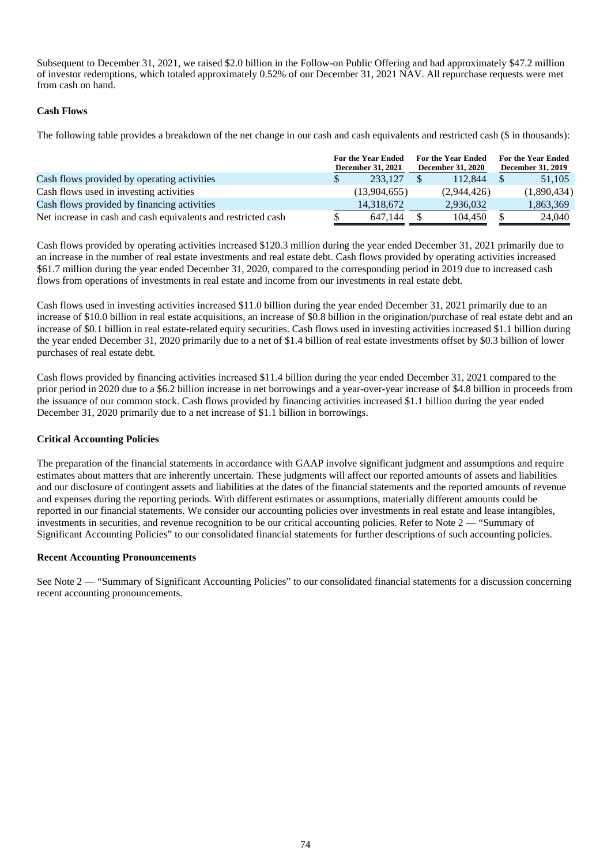Subsequent to December 31, 2021, we raised \$2.0 billion in the Follow-on Public Offering and had approximately \$47.2 million of investor redemptions, which totaled approximately 0.52% of our December 31, 2021 NAV. All repurchase requests were met from cash on hand.

### **Cash Flows**

The following table provides a breakdown of the net change in our cash and cash equivalents and restricted cash (\$ in thousands):

|                                                               | <b>For the Year Ended</b><br><b>December 31, 2021</b> |              | <b>For the Year Ended</b><br><b>December 31, 2020</b> |             | For the Year Ended<br><b>December 31, 2019</b> |
|---------------------------------------------------------------|-------------------------------------------------------|--------------|-------------------------------------------------------|-------------|------------------------------------------------|
| Cash flows provided by operating activities                   |                                                       | 233.127      |                                                       | 112,844     | 51.105                                         |
| Cash flows used in investing activities                       |                                                       | (13,904,655) |                                                       | (2.944.426) | (1,890,434)                                    |
| Cash flows provided by financing activities                   |                                                       | 14,318,672   |                                                       | 2,936,032   | 1,863,369                                      |
| Net increase in cash and cash equivalents and restricted cash |                                                       | 647.144      |                                                       | 104.450     | 24,040                                         |

Cash flows provided by operating activities increased \$120.3 million during the year ended December 31, 2021 primarily due to an increase in the number of real estate investments and real estate debt. Cash flows provided by operating activities increased \$61.7 million during the year ended December 31, 2020, compared to the corresponding period in 2019 due to increased cash flows from operations of investments in real estate and income from our investments in real estate debt.

Cash flows used in investing activities increased \$11.0 billion during the year ended December 31, 2021 primarily due to an increase of \$10.0 billion in real estate acquisitions, an increase of \$0.8 billion in the origination/purchase of real estate debt and an increase of \$0.1 billion in real estate-related equity securities. Cash flows used in investing activities increased \$1.1 billion during the year ended December 31, 2020 primarily due to a net of \$1.4 billion of real estate investments offset by \$0.3 billion of lower purchases of real estate debt.

Cash flows provided by financing activities increased \$11.4 billion during the year ended December 31, 2021 compared to the prior period in 2020 due to a \$6.2 billion increase in net borrowings and a year-over-year increase of \$4.8 billion in proceeds from the issuance of our common stock. Cash flows provided by financing activities increased \$1.1 billion during the year ended December 31, 2020 primarily due to a net increase of \$1.1 billion in borrowings.

# **Critical Accounting Policies**

The preparation of the financial statements in accordance with GAAP involve significant judgment and assumptions and require estimates about matters that are inherently uncertain. These judgments will affect our reported amounts of assets and liabilities and our disclosure of contingent assets and liabilities at the dates of the financial statements and the reported amounts of revenue and expenses during the reporting periods. With different estimates or assumptions, materially different amounts could be reported in our financial statements. We consider our accounting policies over investments in real estate and lease intangibles, investments in securities, and revenue recognition to be our critical accounting policies. Refer to Note 2 — "Summary of Significant Accounting Policies" to our consolidated financial statements for further descriptions of such accounting policies.

## **Recent Accounting Pronouncements**

See Note 2 — "Summary of Significant Accounting Policies" to our consolidated financial statements for a discussion concerning recent accounting pronouncements.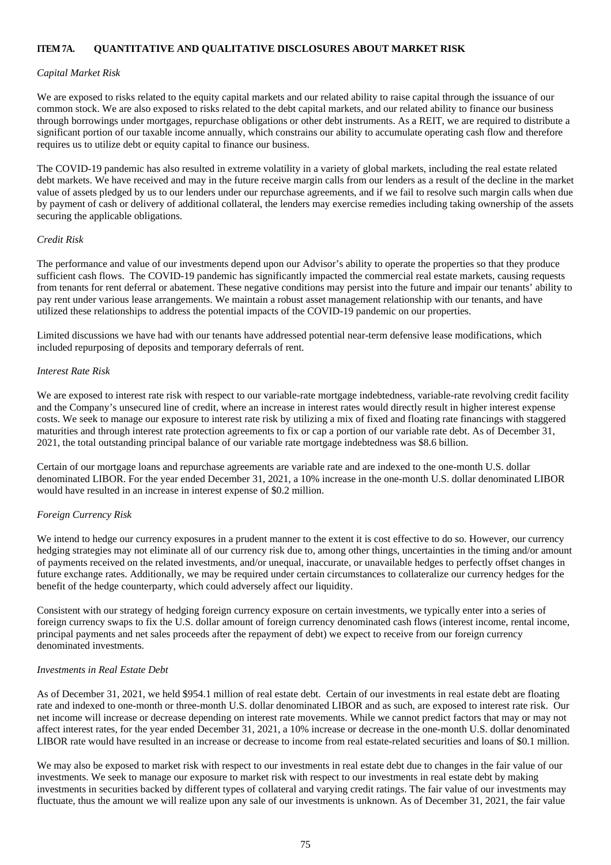# **ITEM 7A. QUANTITATIVE AND QUALITATIVE DISCLOSURES ABOUT MARKET RISK**

#### *Capital Market Risk*

We are exposed to risks related to the equity capital markets and our related ability to raise capital through the issuance of our common stock. We are also exposed to risks related to the debt capital markets, and our related ability to finance our business through borrowings under mortgages, repurchase obligations or other debt instruments. As a REIT, we are required to distribute a significant portion of our taxable income annually, which constrains our ability to accumulate operating cash flow and therefore requires us to utilize debt or equity capital to finance our business.

The COVID-19 pandemic has also resulted in extreme volatility in a variety of global markets, including the real estate related debt markets. We have received and may in the future receive margin calls from our lenders as a result of the decline in the market value of assets pledged by us to our lenders under our repurchase agreements, and if we fail to resolve such margin calls when due by payment of cash or delivery of additional collateral, the lenders may exercise remedies including taking ownership of the assets securing the applicable obligations.

#### *Credit Risk*

The performance and value of our investments depend upon our Advisor's ability to operate the properties so that they produce sufficient cash flows. The COVID-19 pandemic has significantly impacted the commercial real estate markets, causing requests from tenants for rent deferral or abatement. These negative conditions may persist into the future and impair our tenants' ability to pay rent under various lease arrangements. We maintain a robust asset management relationship with our tenants, and have utilized these relationships to address the potential impacts of the COVID-19 pandemic on our properties.

Limited discussions we have had with our tenants have addressed potential near-term defensive lease modifications, which included repurposing of deposits and temporary deferrals of rent.

#### *Interest Rate Risk*

We are exposed to interest rate risk with respect to our variable-rate mortgage indebtedness, variable-rate revolving credit facility and the Company's unsecured line of credit, where an increase in interest rates would directly result in higher interest expense costs. We seek to manage our exposure to interest rate risk by utilizing a mix of fixed and floating rate financings with staggered maturities and through interest rate protection agreements to fix or cap a portion of our variable rate debt. As of December 31, 2021, the total outstanding principal balance of our variable rate mortgage indebtedness was \$8.6 billion.

Certain of our mortgage loans and repurchase agreements are variable rate and are indexed to the one-month U.S. dollar denominated LIBOR. For the year ended December 31, 2021, a 10% increase in the one-month U.S. dollar denominated LIBOR would have resulted in an increase in interest expense of \$0.2 million.

#### *Foreign Currency Risk*

We intend to hedge our currency exposures in a prudent manner to the extent it is cost effective to do so. However, our currency hedging strategies may not eliminate all of our currency risk due to, among other things, uncertainties in the timing and/or amount of payments received on the related investments, and/or unequal, inaccurate, or unavailable hedges to perfectly offset changes in future exchange rates. Additionally, we may be required under certain circumstances to collateralize our currency hedges for the benefit of the hedge counterparty, which could adversely affect our liquidity.

Consistent with our strategy of hedging foreign currency exposure on certain investments, we typically enter into a series of foreign currency swaps to fix the U.S. dollar amount of foreign currency denominated cash flows (interest income, rental income, principal payments and net sales proceeds after the repayment of debt) we expect to receive from our foreign currency denominated investments.

#### *Investments in Real Estate Debt*

As of December 31, 2021, we held \$954.1 million of real estate debt. Certain of our investments in real estate debt are floating rate and indexed to one-month or three-month U.S. dollar denominated LIBOR and as such, are exposed to interest rate risk. Our net income will increase or decrease depending on interest rate movements. While we cannot predict factors that may or may not affect interest rates, for the year ended December 31, 2021, a 10% increase or decrease in the one-month U.S. dollar denominated LIBOR rate would have resulted in an increase or decrease to income from real estate-related securities and loans of \$0.1 million.

We may also be exposed to market risk with respect to our investments in real estate debt due to changes in the fair value of our investments. We seek to manage our exposure to market risk with respect to our investments in real estate debt by making investments in securities backed by different types of collateral and varying credit ratings. The fair value of our investments may fluctuate, thus the amount we will realize upon any sale of our investments is unknown. As of December 31, 2021, the fair value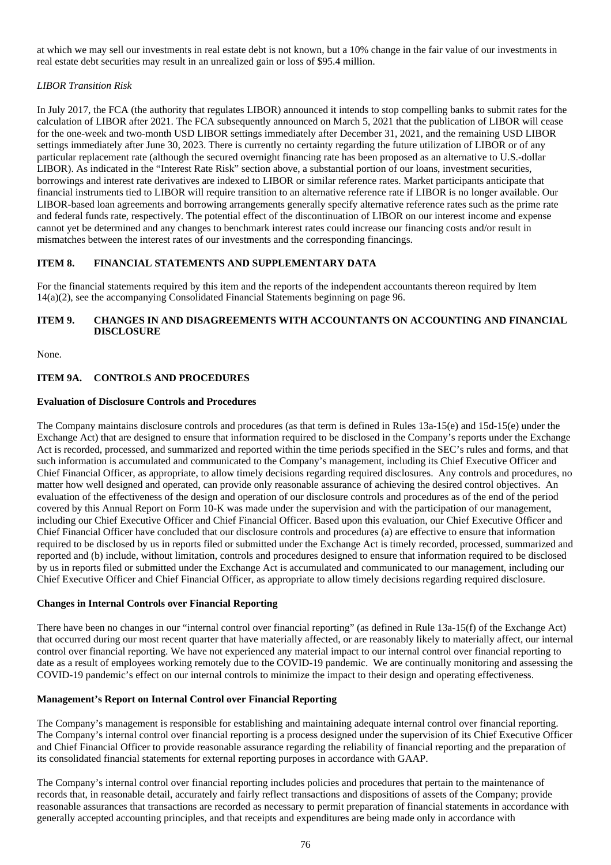at which we may sell our investments in real estate debt is not known, but a 10% change in the fair value of our investments in real estate debt securities may result in an unrealized gain or loss of \$95.4 million.

## *LIBOR Transition Risk*

In July 2017, the FCA (the authority that regulates LIBOR) announced it intends to stop compelling banks to submit rates for the calculation of LIBOR after 2021. The FCA subsequently announced on March 5, 2021 that the publication of LIBOR will cease for the one-week and two-month USD LIBOR settings immediately after December 31, 2021, and the remaining USD LIBOR settings immediately after June 30, 2023. There is currently no certainty regarding the future utilization of LIBOR or of any particular replacement rate (although the secured overnight financing rate has been proposed as an alternative to U.S.-dollar LIBOR). As indicated in the "Interest Rate Risk" section above, a substantial portion of our loans, investment securities, borrowings and interest rate derivatives are indexed to LIBOR or similar reference rates. Market participants anticipate that financial instruments tied to LIBOR will require transition to an alternative reference rate if LIBOR is no longer available. Our LIBOR-based loan agreements and borrowing arrangements generally specify alternative reference rates such as the prime rate and federal funds rate, respectively. The potential effect of the discontinuation of LIBOR on our interest income and expense cannot yet be determined and any changes to benchmark interest rates could increase our financing costs and/or result in mismatches between the interest rates of our investments and the corresponding financings.

# **ITEM 8. FINANCIAL STATEMENTS AND SUPPLEMENTARY DATA**

For the financial statements required by this item and the reports of the independent accountants thereon required by Item 14(a)(2), see the accompanying Consolidated Financial Statements beginning on page 96.

## **ITEM 9. CHANGES IN AND DISAGREEMENTS WITH ACCOUNTANTS ON ACCOUNTING AND FINANCIAL DISCLOSURE**

None.

# **ITEM 9A. CONTROLS AND PROCEDURES**

### **Evaluation of Disclosure Controls and Procedures**

The Company maintains disclosure controls and procedures (as that term is defined in Rules 13a-15(e) and 15d-15(e) under the Exchange Act) that are designed to ensure that information required to be disclosed in the Company's reports under the Exchange Act is recorded, processed, and summarized and reported within the time periods specified in the SEC's rules and forms, and that such information is accumulated and communicated to the Company's management, including its Chief Executive Officer and Chief Financial Officer, as appropriate, to allow timely decisions regarding required disclosures. Any controls and procedures, no matter how well designed and operated, can provide only reasonable assurance of achieving the desired control objectives. An evaluation of the effectiveness of the design and operation of our disclosure controls and procedures as of the end of the period covered by this Annual Report on Form 10-K was made under the supervision and with the participation of our management, including our Chief Executive Officer and Chief Financial Officer. Based upon this evaluation, our Chief Executive Officer and Chief Financial Officer have concluded that our disclosure controls and procedures (a) are effective to ensure that information required to be disclosed by us in reports filed or submitted under the Exchange Act is timely recorded, processed, summarized and reported and (b) include, without limitation, controls and procedures designed to ensure that information required to be disclosed by us in reports filed or submitted under the Exchange Act is accumulated and communicated to our management, including our Chief Executive Officer and Chief Financial Officer, as appropriate to allow timely decisions regarding required disclosure.

#### **Changes in Internal Controls over Financial Reporting**

There have been no changes in our "internal control over financial reporting" (as defined in Rule 13a-15(f) of the Exchange Act) that occurred during our most recent quarter that have materially affected, or are reasonably likely to materially affect, our internal control over financial reporting. We have not experienced any material impact to our internal control over financial reporting to date as a result of employees working remotely due to the COVID-19 pandemic. We are continually monitoring and assessing the COVID-19 pandemic's effect on our internal controls to minimize the impact to their design and operating effectiveness.

### **Management's Report on Internal Control over Financial Reporting**

The Company's management is responsible for establishing and maintaining adequate internal control over financial reporting. The Company's internal control over financial reporting is a process designed under the supervision of its Chief Executive Officer and Chief Financial Officer to provide reasonable assurance regarding the reliability of financial reporting and the preparation of its consolidated financial statements for external reporting purposes in accordance with GAAP.

The Company's internal control over financial reporting includes policies and procedures that pertain to the maintenance of records that, in reasonable detail, accurately and fairly reflect transactions and dispositions of assets of the Company; provide reasonable assurances that transactions are recorded as necessary to permit preparation of financial statements in accordance with generally accepted accounting principles, and that receipts and expenditures are being made only in accordance with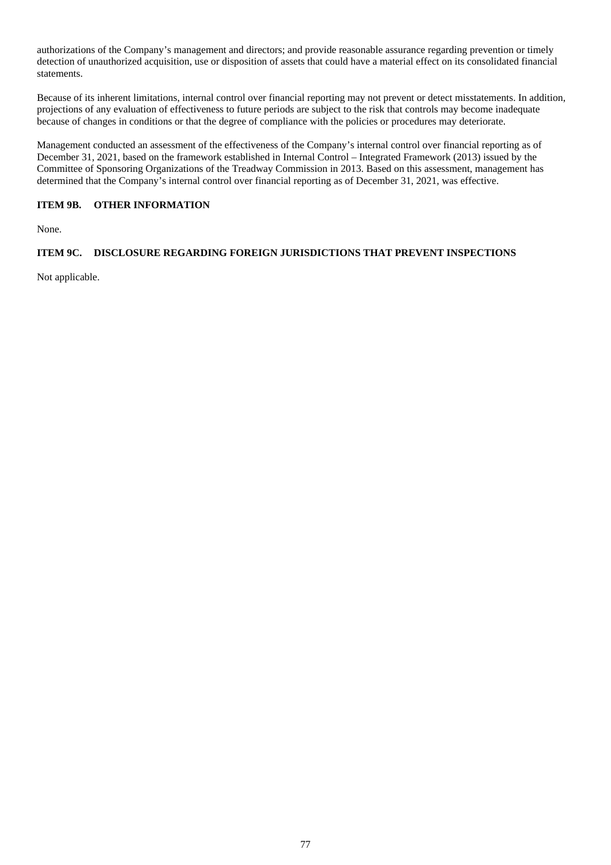authorizations of the Company's management and directors; and provide reasonable assurance regarding prevention or timely detection of unauthorized acquisition, use or disposition of assets that could have a material effect on its consolidated financial statements.

Because of its inherent limitations, internal control over financial reporting may not prevent or detect misstatements. In addition, projections of any evaluation of effectiveness to future periods are subject to the risk that controls may become inadequate because of changes in conditions or that the degree of compliance with the policies or procedures may deteriorate.

Management conducted an assessment of the effectiveness of the Company's internal control over financial reporting as of December 31, 2021, based on the framework established in Internal Control – Integrated Framework (2013) issued by the Committee of Sponsoring Organizations of the Treadway Commission in 2013. Based on this assessment, management has determined that the Company's internal control over financial reporting as of December 31, 2021, was effective.

# **ITEM 9B. OTHER INFORMATION**

None.

# **ITEM 9C. DISCLOSURE REGARDING FOREIGN JURISDICTIONS THAT PREVENT INSPECTIONS**

Not applicable.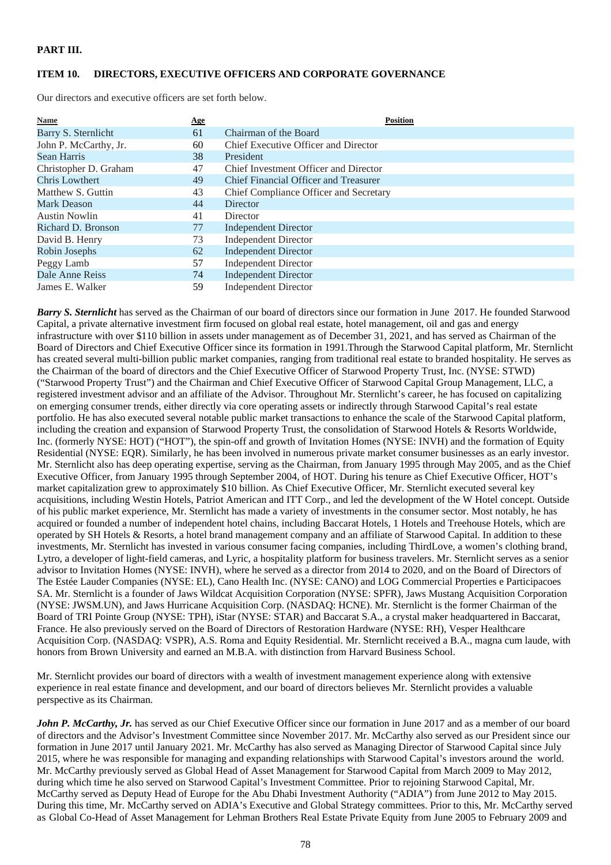### **PART III.**

# **ITEM 10. DIRECTORS, EXECUTIVE OFFICERS AND CORPORATE GOVERNANCE**

Our directors and executive officers are set forth below.

| Name                  | Age | <b>Position</b>                        |
|-----------------------|-----|----------------------------------------|
| Barry S. Sternlicht   | 61  | Chairman of the Board                  |
| John P. McCarthy, Jr. | 60  | Chief Executive Officer and Director   |
| <b>Sean Harris</b>    | 38  | President                              |
| Christopher D. Graham | 47  | Chief Investment Officer and Director  |
| Chris Lowthert        | 49  | Chief Financial Officer and Treasurer  |
| Matthew S. Guttin     | 43  | Chief Compliance Officer and Secretary |
| Mark Deason           | 44  | Director                               |
| <b>Austin Nowlin</b>  | 41  | Director                               |
| Richard D. Bronson    | 77  | <b>Independent Director</b>            |
| David B. Henry        | 73  | <b>Independent Director</b>            |
| Robin Josephs         | 62  | <b>Independent Director</b>            |
| Peggy Lamb            | 57  | <b>Independent Director</b>            |
| Dale Anne Reiss       | 74  | <b>Independent Director</b>            |
| James E. Walker       | 59  | <b>Independent Director</b>            |

*Barry S. Sternlicht* has served as the Chairman of our board of directors since our formation in June 2017. He founded Starwood Capital, a private alternative investment firm focused on global real estate, hotel management, oil and gas and energy infrastructure with over \$110 billion in assets under management as of December 31, 2021, and has served as Chairman of the Board of Directors and Chief Executive Officer since its formation in 1991.Through the Starwood Capital platform, Mr. Sternlicht has created several multi-billion public market companies, ranging from traditional real estate to branded hospitality. He serves as the Chairman of the board of directors and the Chief Executive Officer of Starwood Property Trust, Inc. (NYSE: STWD) ("Starwood Property Trust") and the Chairman and Chief Executive Officer of Starwood Capital Group Management, LLC, a registered investment advisor and an affiliate of the Advisor. Throughout Mr. Sternlicht's career, he has focused on capitalizing on emerging consumer trends, either directly via core operating assets or indirectly through Starwood Capital's real estate portfolio. He has also executed several notable public market transactions to enhance the scale of the Starwood Capital platform, including the creation and expansion of Starwood Property Trust, the consolidation of Starwood Hotels & Resorts Worldwide, Inc. (formerly NYSE: HOT) ("HOT"), the spin-off and growth of Invitation Homes (NYSE: INVH) and the formation of Equity Residential (NYSE: EQR). Similarly, he has been involved in numerous private market consumer businesses as an early investor. Mr. Sternlicht also has deep operating expertise, serving as the Chairman, from January 1995 through May 2005, and as the Chief Executive Officer, from January 1995 through September 2004, of HOT. During his tenure as Chief Executive Officer, HOT's market capitalization grew to approximately \$10 billion. As Chief Executive Officer, Mr. Sternlicht executed several key acquisitions, including Westin Hotels, Patriot American and ITT Corp., and led the development of the W Hotel concept. Outside of his public market experience, Mr. Sternlicht has made a variety of investments in the consumer sector. Most notably, he has acquired or founded a number of independent hotel chains, including Baccarat Hotels, 1 Hotels and Treehouse Hotels, which are operated by SH Hotels & Resorts, a hotel brand management company and an affiliate of Starwood Capital. In addition to these investments, Mr. Sternlicht has invested in various consumer facing companies, including ThirdLove, a women's clothing brand, Lytro, a developer of light-field cameras, and Lyric, a hospitality platform for business travelers. Mr. Sternlicht serves as a senior advisor to Invitation Homes (NYSE: INVH), where he served as a director from 2014 to 2020, and on the Board of Directors of The Estée Lauder Companies (NYSE: EL), Cano Health Inc. (NYSE: CANO) and LOG Commercial Properties e Participacoes SA. Mr. Sternlicht is a founder of Jaws Wildcat Acquisition Corporation (NYSE: SPFR), Jaws Mustang Acquisition Corporation (NYSE: JWSM.UN), and Jaws Hurricane Acquisition Corp. (NASDAQ: HCNE). Mr. Sternlicht is the former Chairman of the Board of TRI Pointe Group (NYSE: TPH), iStar (NYSE: STAR) and Baccarat S.A., a crystal maker headquartered in Baccarat, France. He also previously served on the Board of Directors of Restoration Hardware (NYSE: RH), Vesper Healthcare Acquisition Corp. (NASDAQ: VSPR), A.S. Roma and Equity Residential. Mr. Sternlicht received a B.A., magna cum laude, with honors from Brown University and earned an M.B.A. with distinction from Harvard Business School.

Mr. Sternlicht provides our board of directors with a wealth of investment management experience along with extensive experience in real estate finance and development, and our board of directors believes Mr. Sternlicht provides a valuable perspective as its Chairman.

*John P. McCarthy, Jr.* has served as our Chief Executive Officer since our formation in June 2017 and as a member of our board of directors and the Advisor's Investment Committee since November 2017. Mr. McCarthy also served as our President since our formation in June 2017 until January 2021. Mr. McCarthy has also served as Managing Director of Starwood Capital since July 2015, where he was responsible for managing and expanding relationships with Starwood Capital's investors around the world. Mr. McCarthy previously served as Global Head of Asset Management for Starwood Capital from March 2009 to May 2012, during which time he also served on Starwood Capital's Investment Committee. Prior to rejoining Starwood Capital, Mr. McCarthy served as Deputy Head of Europe for the Abu Dhabi Investment Authority ("ADIA") from June 2012 to May 2015. During this time, Mr. McCarthy served on ADIA's Executive and Global Strategy committees. Prior to this, Mr. McCarthy served as Global Co-Head of Asset Management for Lehman Brothers Real Estate Private Equity from June 2005 to February 2009 and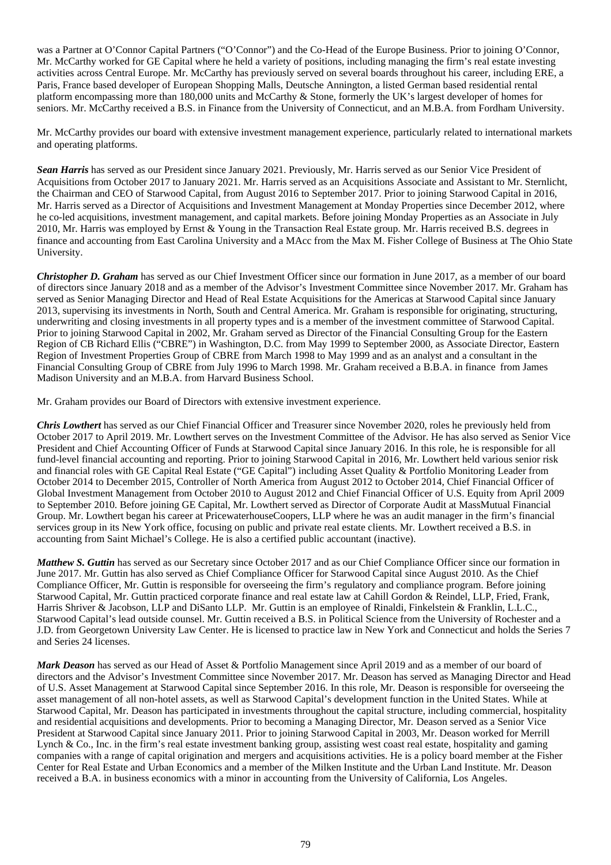was a Partner at O'Connor Capital Partners ("O'Connor") and the Co-Head of the Europe Business. Prior to joining O'Connor, Mr. McCarthy worked for GE Capital where he held a variety of positions, including managing the firm's real estate investing activities across Central Europe. Mr. McCarthy has previously served on several boards throughout his career, including ERE, a Paris, France based developer of European Shopping Malls, Deutsche Annington, a listed German based residential rental platform encompassing more than 180,000 units and McCarthy & Stone, formerly the UK's largest developer of homes for seniors. Mr. McCarthy received a B.S. in Finance from the University of Connecticut, and an M.B.A. from Fordham University.

Mr. McCarthy provides our board with extensive investment management experience, particularly related to international markets and operating platforms.

*Sean Harris* has served as our President since January 2021. Previously, Mr. Harris served as our Senior Vice President of Acquisitions from October 2017 to January 2021. Mr. Harris served as an Acquisitions Associate and Assistant to Mr. Sternlicht, the Chairman and CEO of Starwood Capital, from August 2016 to September 2017. Prior to joining Starwood Capital in 2016, Mr. Harris served as a Director of Acquisitions and Investment Management at Monday Properties since December 2012, where he co-led acquisitions, investment management, and capital markets. Before joining Monday Properties as an Associate in July 2010, Mr. Harris was employed by Ernst & Young in the Transaction Real Estate group. Mr. Harris received B.S. degrees in finance and accounting from East Carolina University and a MAcc from the Max M. Fisher College of Business at The Ohio State University.

*Christopher D. Graham* has served as our Chief Investment Officer since our formation in June 2017, as a member of our board of directors since January 2018 and as a member of the Advisor's Investment Committee since November 2017. Mr. Graham has served as Senior Managing Director and Head of Real Estate Acquisitions for the Americas at Starwood Capital since January 2013, supervising its investments in North, South and Central America. Mr. Graham is responsible for originating, structuring, underwriting and closing investments in all property types and is a member of the investment committee of Starwood Capital. Prior to joining Starwood Capital in 2002, Mr. Graham served as Director of the Financial Consulting Group for the Eastern Region of CB Richard Ellis ("CBRE") in Washington, D.C. from May 1999 to September 2000, as Associate Director, Eastern Region of Investment Properties Group of CBRE from March 1998 to May 1999 and as an analyst and a consultant in the Financial Consulting Group of CBRE from July 1996 to March 1998. Mr. Graham received a B.B.A. in finance from James Madison University and an M.B.A. from Harvard Business School.

Mr. Graham provides our Board of Directors with extensive investment experience.

*Chris Lowthert* has served as our Chief Financial Officer and Treasurer since November 2020, roles he previously held from October 2017 to April 2019. Mr. Lowthert serves on the Investment Committee of the Advisor. He has also served as Senior Vice President and Chief Accounting Officer of Funds at Starwood Capital since January 2016. In this role, he is responsible for all fund-level financial accounting and reporting. Prior to joining Starwood Capital in 2016, Mr. Lowthert held various senior risk and financial roles with GE Capital Real Estate ("GE Capital") including Asset Quality & Portfolio Monitoring Leader from October 2014 to December 2015, Controller of North America from August 2012 to October 2014, Chief Financial Officer of Global Investment Management from October 2010 to August 2012 and Chief Financial Officer of U.S. Equity from April 2009 to September 2010. Before joining GE Capital, Mr. Lowthert served as Director of Corporate Audit at MassMutual Financial Group. Mr. Lowthert began his career at PricewaterhouseCoopers, LLP where he was an audit manager in the firm's financial services group in its New York office, focusing on public and private real estate clients. Mr. Lowthert received a B.S. in accounting from Saint Michael's College. He is also a certified public accountant (inactive).

*Matthew S. Guttin* has served as our Secretary since October 2017 and as our Chief Compliance Officer since our formation in June 2017. Mr. Guttin has also served as Chief Compliance Officer for Starwood Capital since August 2010. As the Chief Compliance Officer, Mr. Guttin is responsible for overseeing the firm's regulatory and compliance program. Before joining Starwood Capital, Mr. Guttin practiced corporate finance and real estate law at Cahill Gordon & Reindel, LLP, Fried, Frank, Harris Shriver & Jacobson, LLP and DiSanto LLP. Mr. Guttin is an employee of Rinaldi, Finkelstein & Franklin, L.L.C., Starwood Capital's lead outside counsel. Mr. Guttin received a B.S. in Political Science from the University of Rochester and a J.D. from Georgetown University Law Center. He is licensed to practice law in New York and Connecticut and holds the Series 7 and Series 24 licenses.

*Mark Deason* has served as our Head of Asset & Portfolio Management since April 2019 and as a member of our board of directors and the Advisor's Investment Committee since November 2017. Mr. Deason has served as Managing Director and Head of U.S. Asset Management at Starwood Capital since September 2016. In this role, Mr. Deason is responsible for overseeing the asset management of all non-hotel assets, as well as Starwood Capital's development function in the United States. While at Starwood Capital, Mr. Deason has participated in investments throughout the capital structure, including commercial, hospitality and residential acquisitions and developments. Prior to becoming a Managing Director, Mr. Deason served as a Senior Vice President at Starwood Capital since January 2011. Prior to joining Starwood Capital in 2003, Mr. Deason worked for Merrill Lynch & Co., Inc. in the firm's real estate investment banking group, assisting west coast real estate, hospitality and gaming companies with a range of capital origination and mergers and acquisitions activities. He is a policy board member at the Fisher Center for Real Estate and Urban Economics and a member of the Milken Institute and the Urban Land Institute. Mr. Deason received a B.A. in business economics with a minor in accounting from the University of California, Los Angeles.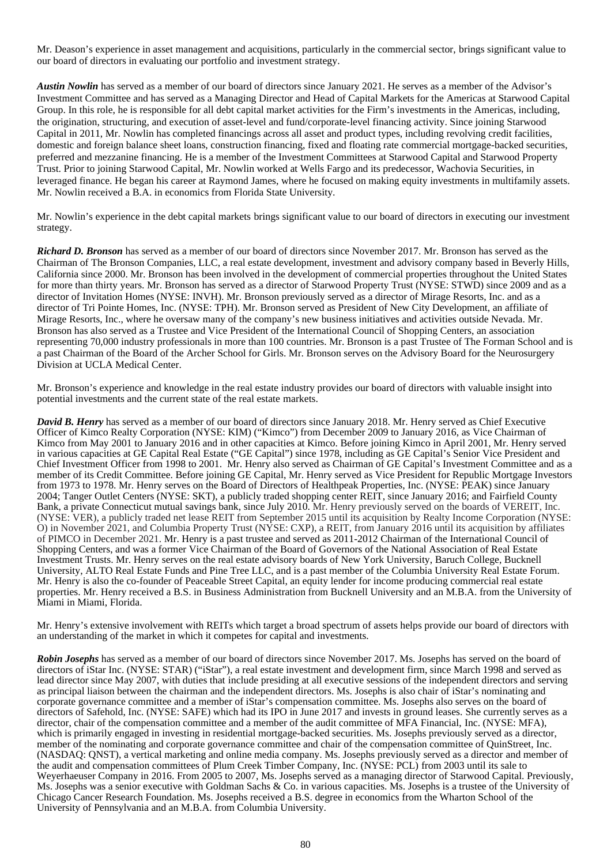Mr. Deason's experience in asset management and acquisitions, particularly in the commercial sector, brings significant value to our board of directors in evaluating our portfolio and investment strategy.

*Austin Nowlin* has served as a member of our board of directors since January 2021. He serves as a member of the Advisor's Investment Committee and has served as a Managing Director and Head of Capital Markets for the Americas at Starwood Capital Group. In this role, he is responsible for all debt capital market activities for the Firm's investments in the Americas, including, the origination, structuring, and execution of asset-level and fund/corporate-level financing activity. Since joining Starwood Capital in 2011, Mr. Nowlin has completed financings across all asset and product types, including revolving credit facilities, domestic and foreign balance sheet loans, construction financing, fixed and floating rate commercial mortgage-backed securities, preferred and mezzanine financing. He is a member of the Investment Committees at Starwood Capital and Starwood Property Trust. Prior to joining Starwood Capital, Mr. Nowlin worked at Wells Fargo and its predecessor, Wachovia Securities, in leveraged finance. He began his career at Raymond James, where he focused on making equity investments in multifamily assets. Mr. Nowlin received a B.A. in economics from Florida State University.

Mr. Nowlin's experience in the debt capital markets brings significant value to our board of directors in executing our investment strategy.

*Richard D. Bronson* has served as a member of our board of directors since November 2017. Mr. Bronson has served as the Chairman of The Bronson Companies, LLC, a real estate development, investment and advisory company based in Beverly Hills, California since 2000. Mr. Bronson has been involved in the development of commercial properties throughout the United States for more than thirty years. Mr. Bronson has served as a director of Starwood Property Trust (NYSE: STWD) since 2009 and as a director of Invitation Homes (NYSE: INVH). Mr. Bronson previously served as a director of Mirage Resorts, Inc. and as a director of Tri Pointe Homes, Inc. (NYSE: TPH). Mr. Bronson served as President of New City Development, an affiliate of Mirage Resorts, Inc., where he oversaw many of the company's new business initiatives and activities outside Nevada. Mr. Bronson has also served as a Trustee and Vice President of the International Council of Shopping Centers, an association representing 70,000 industry professionals in more than 100 countries. Mr. Bronson is a past Trustee of The Forman School and is a past Chairman of the Board of the Archer School for Girls. Mr. Bronson serves on the Advisory Board for the Neurosurgery Division at UCLA Medical Center.

Mr. Bronson's experience and knowledge in the real estate industry provides our board of directors with valuable insight into potential investments and the current state of the real estate markets.

*David B. Henry* has served as a member of our board of directors since January 2018. Mr. Henry served as Chief Executive Officer of Kimco Realty Corporation (NYSE: KIM) ("Kimco") from December 2009 to January 2016, as Vice Chairman of Kimco from May 2001 to January 2016 and in other capacities at Kimco. Before joining Kimco in April 2001, Mr. Henry served in various capacities at GE Capital Real Estate ("GE Capital") since 1978, including as GE Capital's Senior Vice President and Chief Investment Officer from 1998 to 2001. Mr. Henry also served as Chairman of GE Capital's Investment Committee and as a member of its Credit Committee. Before joining GE Capital, Mr. Henry served as Vice President for Republic Mortgage Investors from 1973 to 1978. Mr. Henry serves on the Board of Directors of Healthpeak Properties, Inc. (NYSE: PEAK) since January 2004; Tanger Outlet Centers (NYSE: SKT), a publicly traded shopping center REIT, since January 2016; and Fairfield County Bank, a private Connecticut mutual savings bank, since July 2010. Mr. Henry previously served on the boards of VEREIT, Inc. (NYSE: VER), a publicly traded net lease REIT from September 2015 until its acquisition by Realty Income Corporation (NYSE: O) in November 2021, and Columbia Property Trust (NYSE: CXP), a REIT, from January 2016 until its acquisition by affiliates of PIMCO in December 2021. Mr. Henry is a past trustee and served as 2011-2012 Chairman of the International Council of Shopping Centers, and was a former Vice Chairman of the Board of Governors of the National Association of Real Estate Investment Trusts. Mr. Henry serves on the real estate advisory boards of New York University, Baruch College, Bucknell University, ALTO Real Estate Funds and Pine Tree LLC, and is a past member of the Columbia University Real Estate Forum. Mr. Henry is also the co-founder of Peaceable Street Capital, an equity lender for income producing commercial real estate properties. Mr. Henry received a B.S. in Business Administration from Bucknell University and an M.B.A. from the University of Miami in Miami, Florida.

Mr. Henry's extensive involvement with REITs which target a broad spectrum of assets helps provide our board of directors with an understanding of the market in which it competes for capital and investments.

*Robin Josephs* has served as a member of our board of directors since November 2017. Ms. Josephs has served on the board of directors of iStar Inc. (NYSE: STAR) ("iStar"), a real estate investment and development firm, since March 1998 and served as lead director since May 2007, with duties that include presiding at all executive sessions of the independent directors and serving as principal liaison between the chairman and the independent directors. Ms. Josephs is also chair of iStar's nominating and corporate governance committee and a member of iStar's compensation committee. Ms. Josephs also serves on the board of directors of Safehold, Inc. (NYSE: SAFE) which had its IPO in June 2017 and invests in ground leases. She currently serves as a director, chair of the compensation committee and a member of the audit committee of MFA Financial, Inc. (NYSE: MFA), which is primarily engaged in investing in residential mortgage-backed securities. Ms. Josephs previously served as a director, member of the nominating and corporate governance committee and chair of the compensation committee of QuinStreet, Inc. (NASDAQ: QNST), a vertical marketing and online media company. Ms. Josephs previously served as a director and member of the audit and compensation committees of Plum Creek Timber Company, Inc. (NYSE: PCL) from 2003 until its sale to Weyerhaeuser Company in 2016. From 2005 to 2007, Ms. Josephs served as a managing director of Starwood Capital. Previously, Ms. Josephs was a senior executive with Goldman Sachs & Co. in various capacities. Ms. Josephs is a trustee of the University of Chicago Cancer Research Foundation. Ms. Josephs received a B.S. degree in economics from the Wharton School of the University of Pennsylvania and an M.B.A. from Columbia University.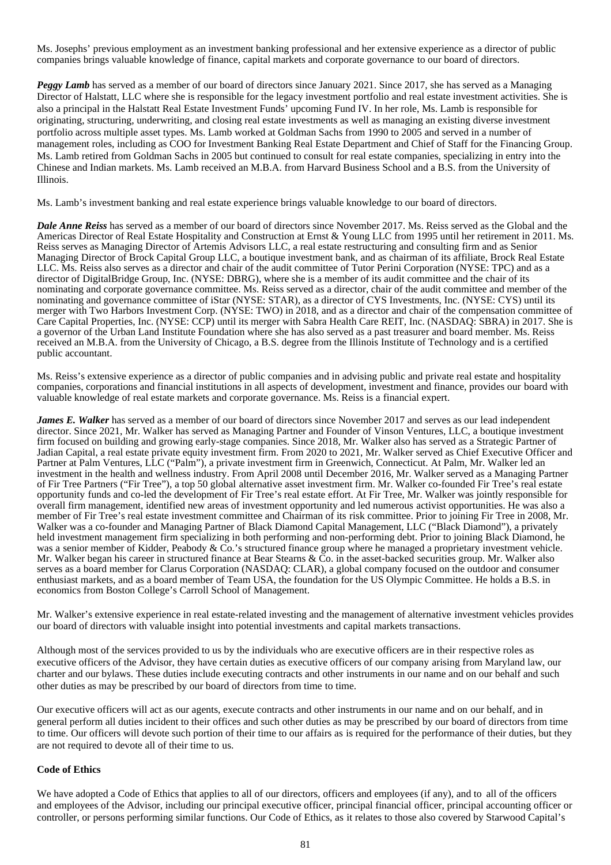Ms. Josephs' previous employment as an investment banking professional and her extensive experience as a director of public companies brings valuable knowledge of finance, capital markets and corporate governance to our board of directors.

*Peggy Lamb* has served as a member of our board of directors since January 2021. Since 2017, she has served as a Managing Director of Halstatt, LLC where she is responsible for the legacy investment portfolio and real estate investment activities. She is also a principal in the Halstatt Real Estate Investment Funds' upcoming Fund IV. In her role, Ms. Lamb is responsible for originating, structuring, underwriting, and closing real estate investments as well as managing an existing diverse investment portfolio across multiple asset types. Ms. Lamb worked at Goldman Sachs from 1990 to 2005 and served in a number of management roles, including as COO for Investment Banking Real Estate Department and Chief of Staff for the Financing Group. Ms. Lamb retired from Goldman Sachs in 2005 but continued to consult for real estate companies, specializing in entry into the Chinese and Indian markets. Ms. Lamb received an M.B.A. from Harvard Business School and a B.S. from the University of Illinois.

Ms. Lamb's investment banking and real estate experience brings valuable knowledge to our board of directors.

*Dale Anne Reiss* has served as a member of our board of directors since November 2017. Ms. Reiss served as the Global and the Americas Director of Real Estate Hospitality and Construction at Ernst & Young LLC from 1995 until her retirement in 2011. Ms. Reiss serves as Managing Director of Artemis Advisors LLC, a real estate restructuring and consulting firm and as Senior Managing Director of Brock Capital Group LLC, a boutique investment bank, and as chairman of its affiliate, Brock Real Estate LLC. Ms. Reiss also serves as a director and chair of the audit committee of Tutor Perini Corporation (NYSE: TPC) and as a director of DigitalBridge Group, Inc. (NYSE: DBRG), where she is a member of its audit committee and the chair of its nominating and corporate governance committee. Ms. Reiss served as a director, chair of the audit committee and member of the nominating and governance committee of iStar (NYSE: STAR), as a director of CYS Investments, Inc. (NYSE: CYS) until its merger with Two Harbors Investment Corp. (NYSE: TWO) in 2018, and as a director and chair of the compensation committee of Care Capital Properties, Inc. (NYSE: CCP) until its merger with Sabra Health Care REIT, Inc. (NASDAQ: SBRA) in 2017. She is a governor of the Urban Land Institute Foundation where she has also served as a past treasurer and board member. Ms. Reiss received an M.B.A. from the University of Chicago, a B.S. degree from the Illinois Institute of Technology and is a certified public accountant.

Ms. Reiss's extensive experience as a director of public companies and in advising public and private real estate and hospitality companies, corporations and financial institutions in all aspects of development, investment and finance, provides our board with valuable knowledge of real estate markets and corporate governance. Ms. Reiss is a financial expert.

*James E. Walker* has served as a member of our board of directors since November 2017 and serves as our lead independent director. Since 2021, Mr. Walker has served as Managing Partner and Founder of Vinson Ventures, LLC, a boutique investment firm focused on building and growing early-stage companies. Since 2018, Mr. Walker also has served as a Strategic Partner of Jadian Capital, a real estate private equity investment firm. From 2020 to 2021, Mr. Walker served as Chief Executive Officer and Partner at Palm Ventures, LLC ("Palm"), a private investment firm in Greenwich, Connecticut. At Palm, Mr. Walker led an investment in the health and wellness industry. From April 2008 until December 2016, Mr. Walker served as a Managing Partner of Fir Tree Partners ("Fir Tree"), a top 50 global alternative asset investment firm. Mr. Walker co-founded Fir Tree's real estate opportunity funds and co-led the development of Fir Tree's real estate effort. At Fir Tree, Mr. Walker was jointly responsible for overall firm management, identified new areas of investment opportunity and led numerous activist opportunities. He was also a member of Fir Tree's real estate investment committee and Chairman of its risk committee. Prior to joining Fir Tree in 2008, Mr. Walker was a co-founder and Managing Partner of Black Diamond Capital Management, LLC ("Black Diamond"), a privately held investment management firm specializing in both performing and non-performing debt. Prior to joining Black Diamond, he was a senior member of Kidder, Peabody & Co.'s structured finance group where he managed a proprietary investment vehicle. Mr. Walker began his career in structured finance at Bear Stearns  $\&$  Co. in the asset-backed securities group. Mr. Walker also serves as a board member for Clarus Corporation (NASDAQ: CLAR), a global company focused on the outdoor and consumer enthusiast markets, and as a board member of Team USA, the foundation for the US Olympic Committee. He holds a B.S. in economics from Boston College's Carroll School of Management.

Mr. Walker's extensive experience in real estate-related investing and the management of alternative investment vehicles provides our board of directors with valuable insight into potential investments and capital markets transactions.

Although most of the services provided to us by the individuals who are executive officers are in their respective roles as executive officers of the Advisor, they have certain duties as executive officers of our company arising from Maryland law, our charter and our bylaws. These duties include executing contracts and other instruments in our name and on our behalf and such other duties as may be prescribed by our board of directors from time to time.

Our executive officers will act as our agents, execute contracts and other instruments in our name and on our behalf, and in general perform all duties incident to their offices and such other duties as may be prescribed by our board of directors from time to time. Our officers will devote such portion of their time to our affairs as is required for the performance of their duties, but they are not required to devote all of their time to us.

### **Code of Ethics**

We have adopted a Code of Ethics that applies to all of our directors, officers and employees (if any), and to all of the officers and employees of the Advisor, including our principal executive officer, principal financial officer, principal accounting officer or controller, or persons performing similar functions. Our Code of Ethics, as it relates to those also covered by Starwood Capital's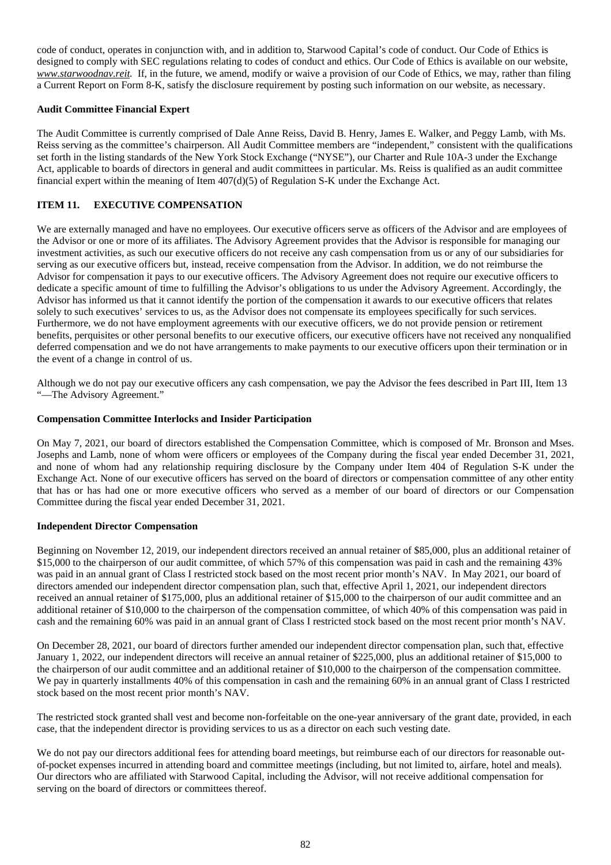code of conduct, operates in conjunction with, and in addition to, Starwood Capital's code of conduct. Our Code of Ethics is designed to comply with SEC regulations relating to codes of conduct and ethics. Our Code of Ethics is available on our website, *[www.starwoodnav.reit.](http://www.starwoodnav.reit/)* If, in the future, we amend, modify or waive a provision of our Code of Ethics, we may, rather than filing a Current Report on Form 8-K, satisfy the disclosure requirement by posting such information on our website, as necessary.

## **Audit Committee Financial Expert**

The Audit Committee is currently comprised of Dale Anne Reiss, David B. Henry, James E. Walker, and Peggy Lamb, with Ms. Reiss serving as the committee's chairperson. All Audit Committee members are "independent," consistent with the qualifications set forth in the listing standards of the New York Stock Exchange ("NYSE"), our Charter and Rule 10A-3 under the Exchange Act, applicable to boards of directors in general and audit committees in particular. Ms. Reiss is qualified as an audit committee financial expert within the meaning of Item 407(d)(5) of Regulation S-K under the Exchange Act.

# **ITEM 11. EXECUTIVE COMPENSATION**

We are externally managed and have no employees. Our executive officers serve as officers of the Advisor and are employees of the Advisor or one or more of its affiliates. The Advisory Agreement provides that the Advisor is responsible for managing our investment activities, as such our executive officers do not receive any cash compensation from us or any of our subsidiaries for serving as our executive officers but, instead, receive compensation from the Advisor. In addition, we do not reimburse the Advisor for compensation it pays to our executive officers. The Advisory Agreement does not require our executive officers to dedicate a specific amount of time to fulfilling the Advisor's obligations to us under the Advisory Agreement. Accordingly, the Advisor has informed us that it cannot identify the portion of the compensation it awards to our executive officers that relates solely to such executives' services to us, as the Advisor does not compensate its employees specifically for such services. Furthermore, we do not have employment agreements with our executive officers, we do not provide pension or retirement benefits, perquisites or other personal benefits to our executive officers, our executive officers have not received any nonqualified deferred compensation and we do not have arrangements to make payments to our executive officers upon their termination or in the event of a change in control of us.

Although we do not pay our executive officers any cash compensation, we pay the Advisor the fees described in Part III, Item 13 "—The Advisory Agreement."

## **Compensation Committee Interlocks and Insider Participation**

On May 7, 2021, our board of directors established the Compensation Committee, which is composed of Mr. Bronson and Mses. Josephs and Lamb, none of whom were officers or employees of the Company during the fiscal year ended December 31, 2021, and none of whom had any relationship requiring disclosure by the Company under Item 404 of Regulation S-K under the Exchange Act. None of our executive officers has served on the board of directors or compensation committee of any other entity that has or has had one or more executive officers who served as a member of our board of directors or our Compensation Committee during the fiscal year ended December 31, 2021.

### **Independent Director Compensation**

Beginning on November 12, 2019, our independent directors received an annual retainer of \$85,000, plus an additional retainer of \$15,000 to the chairperson of our audit committee, of which 57% of this compensation was paid in cash and the remaining 43% was paid in an annual grant of Class I restricted stock based on the most recent prior month's NAV. In May 2021, our board of directors amended our independent director compensation plan, such that, effective April 1, 2021, our independent directors received an annual retainer of \$175,000, plus an additional retainer of \$15,000 to the chairperson of our audit committee and an additional retainer of \$10,000 to the chairperson of the compensation committee, of which 40% of this compensation was paid in cash and the remaining 60% was paid in an annual grant of Class I restricted stock based on the most recent prior month's NAV.

On December 28, 2021, our board of directors further amended our independent director compensation plan, such that, effective January 1, 2022, our independent directors will receive an annual retainer of \$225,000, plus an additional retainer of \$15,000 to the chairperson of our audit committee and an additional retainer of \$10,000 to the chairperson of the compensation committee. We pay in quarterly installments 40% of this compensation in cash and the remaining 60% in an annual grant of Class I restricted stock based on the most recent prior month's NAV.

The restricted stock granted shall vest and become non-forfeitable on the one-year anniversary of the grant date, provided, in each case, that the independent director is providing services to us as a director on each such vesting date.

We do not pay our directors additional fees for attending board meetings, but reimburse each of our directors for reasonable outof-pocket expenses incurred in attending board and committee meetings (including, but not limited to, airfare, hotel and meals). Our directors who are affiliated with Starwood Capital, including the Advisor, will not receive additional compensation for serving on the board of directors or committees thereof.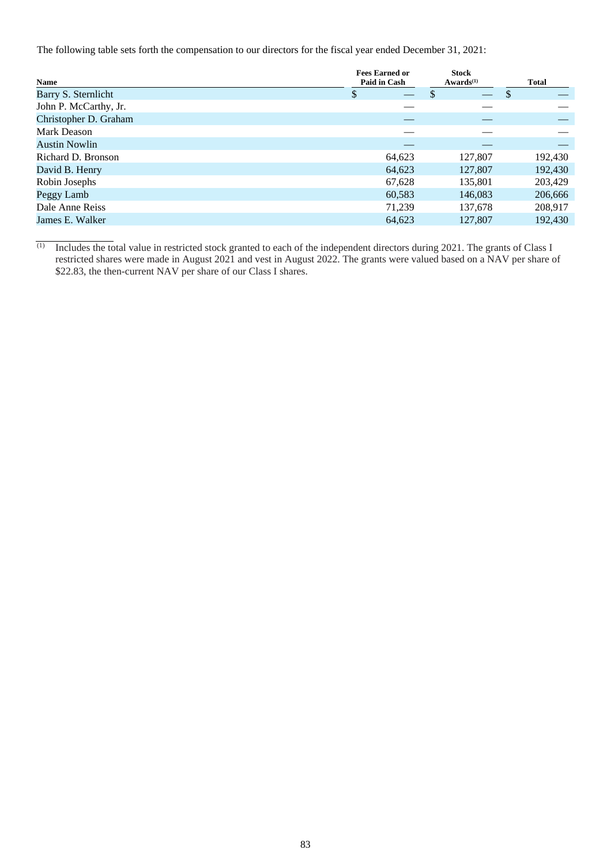The following table sets forth the compensation to our directors for the fiscal year ended December 31, 2021:

| <b>Name</b>           | <b>Fees Earned or</b><br>Paid in Cash | <b>Stock</b><br>Awards <sup>(1)</sup> | <b>Total</b> |
|-----------------------|---------------------------------------|---------------------------------------|--------------|
| Barry S. Sternlicht   | $\mathcal{L}$                         |                                       | <b>S</b>     |
| John P. McCarthy, Jr. |                                       |                                       |              |
| Christopher D. Graham |                                       |                                       |              |
| Mark Deason           |                                       |                                       |              |
| <b>Austin Nowlin</b>  |                                       |                                       |              |
| Richard D. Bronson    | 64,623                                | 127,807                               | 192,430      |
| David B. Henry        | 64,623                                | 127,807                               | 192,430      |
| Robin Josephs         | 67,628                                | 135,801                               | 203,429      |
| Peggy Lamb            | 60,583                                | 146,083                               | 206,666      |
| Dale Anne Reiss       | 71,239                                | 137,678                               | 208,917      |
| James E. Walker       | 64,623                                | 127,807                               | 192,430      |

 $<sup>(1)</sup>$  Includes the total value in restricted stock granted to each of the independent directors during 2021. The grants of Class I</sup> restricted shares were made in August 2021 and vest in August 2022. The grants were valued based on a NAV per share of \$22.83, the then-current NAV per share of our Class I shares.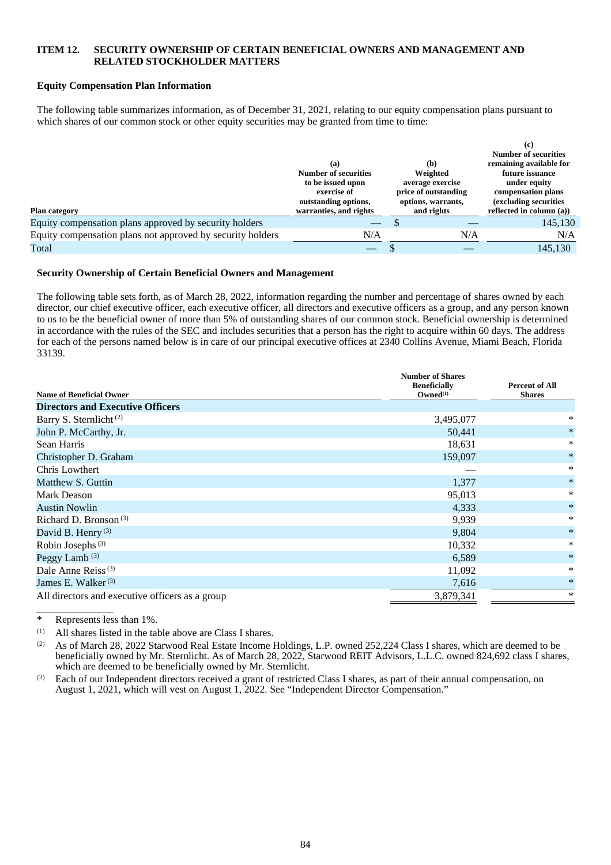## **ITEM 12. SECURITY OWNERSHIP OF CERTAIN BENEFICIAL OWNERS AND MANAGEMENT AND RELATED STOCKHOLDER MATTERS**

### **Equity Compensation Plan Information**

The following table summarizes information, as of December 31, 2021, relating to our equity compensation plans pursuant to which shares of our common stock or other equity securities may be granted from time to time:

| <b>Plan category</b>                                       | (a)<br><b>Number of securities</b><br>to be issued upon<br>exercise of<br>outstanding options,<br>warranties, and rights | (b)<br>Weighted<br>average exercise<br>price of outstanding<br>options, warrants,<br>and rights | $\left( \mathbf{c} \right)$<br><b>Number of securities</b><br>remaining available for<br>future issuance<br>under equity<br>compensation plans<br>(excluding securities)<br>reflected in column $(a)$ ) |
|------------------------------------------------------------|--------------------------------------------------------------------------------------------------------------------------|-------------------------------------------------------------------------------------------------|---------------------------------------------------------------------------------------------------------------------------------------------------------------------------------------------------------|
| Equity compensation plans approved by security holders     |                                                                                                                          |                                                                                                 | 145,130                                                                                                                                                                                                 |
| Equity compensation plans not approved by security holders | N/A                                                                                                                      | N/A                                                                                             | N/A                                                                                                                                                                                                     |
| Total                                                      |                                                                                                                          |                                                                                                 | 145.130                                                                                                                                                                                                 |

#### **Security Ownership of Certain Beneficial Owners and Management**

The following table sets forth, as of March 28, 2022, information regarding the number and percentage of shares owned by each director, our chief executive officer, each executive officer, all directors and executive officers as a group, and any person known to us to be the beneficial owner of more than 5% of outstanding shares of our common stock. Beneficial ownership is determined in accordance with the rules of the SEC and includes securities that a person has the right to acquire within 60 days. The address for each of the persons named below is in care of our principal executive offices at 2340 Collins Avenue, Miami Beach, Florida 33139.

|                                                 | <b>Number of Shares</b>                     |                                        |
|-------------------------------------------------|---------------------------------------------|----------------------------------------|
| <b>Name of Beneficial Owner</b>                 | <b>Beneficially</b><br>Owned <sup>(1)</sup> | <b>Percent of All</b><br><b>Shares</b> |
| <b>Directors and Executive Officers</b>         |                                             |                                        |
| Barry S. Sternlicht <sup>(2)</sup>              | 3,495,077                                   | *                                      |
| John P. McCarthy, Jr.                           | 50,441                                      | *                                      |
| Sean Harris                                     | 18,631                                      | *                                      |
| Christopher D. Graham                           | 159,097                                     | $\ast$                                 |
| Chris Lowthert                                  |                                             | *                                      |
| Matthew S. Guttin                               | 1,377                                       | $\ast$                                 |
| Mark Deason                                     | 95,013                                      | ∗                                      |
| <b>Austin Nowlin</b>                            | 4,333                                       | $\ast$                                 |
| Richard D. Bronson <sup><math>(3)</math></sup>  | 9,939                                       | *                                      |
| David B. Henry <sup>(3)</sup>                   | 9,804                                       | *                                      |
| Robin Josephs <sup>(3)</sup>                    | 10,332                                      | *                                      |
| Peggy Lamb <sup>(3)</sup>                       | 6,589                                       | *                                      |
| Dale Anne Reiss <sup>(3)</sup>                  | 11,092                                      | *                                      |
| James E. Walker <sup>(3)</sup>                  | 7,616                                       | *                                      |
| All directors and executive officers as a group | 3,879,341                                   | $\ast$                                 |

\* Represents less than 1%.

(1) All shares listed in the table above are Class I shares.

(2) As of March 28, 2022 Starwood Real Estate Income Holdings, L.P. owned 252,224 Class I shares, which are deemed to be beneficially owned by Mr. Sternlicht. As of March 28, 2022, Starwood REIT Advisors, L.L.C. owned 824,692 class I shares, which are deemed to be beneficially owned by Mr. Sternlicht.

(3) Each of our Independent directors received a grant of restricted Class I shares, as part of their annual compensation, on August 1, 2021, which will vest on August 1, 2022. See "Independent Director Compensation."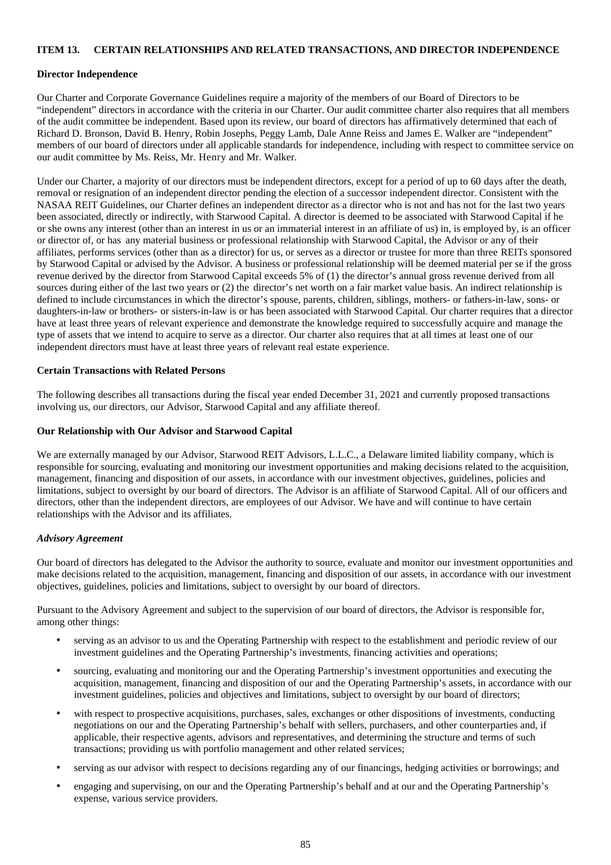## **ITEM 13. CERTAIN RELATIONSHIPS AND RELATED TRANSACTIONS, AND DIRECTOR INDEPENDENCE**

### **Director Independence**

Our Charter and Corporate Governance Guidelines require a majority of the members of our Board of Directors to be "independent" directors in accordance with the criteria in our Charter. Our audit committee charter also requires that all members of the audit committee be independent. Based upon its review, our board of directors has affirmatively determined that each of Richard D. Bronson, David B. Henry, Robin Josephs, Peggy Lamb, Dale Anne Reiss and James E. Walker are "independent" members of our board of directors under all applicable standards for independence, including with respect to committee service on our audit committee by Ms. Reiss, Mr. Henry and Mr. Walker.

Under our Charter, a majority of our directors must be independent directors, except for a period of up to 60 days after the death, removal or resignation of an independent director pending the election of a successor independent director. Consistent with the NASAA REIT Guidelines, our Charter defines an independent director as a director who is not and has not for the last two years been associated, directly or indirectly, with Starwood Capital. A director is deemed to be associated with Starwood Capital if he or she owns any interest (other than an interest in us or an immaterial interest in an affiliate of us) in, is employed by, is an officer or director of, or has any material business or professional relationship with Starwood Capital, the Advisor or any of their affiliates, performs services (other than as a director) for us, or serves as a director or trustee for more than three REITs sponsored by Starwood Capital or advised by the Advisor. A business or professional relationship will be deemed material per se if the gross revenue derived by the director from Starwood Capital exceeds 5% of (1) the director's annual gross revenue derived from all sources during either of the last two years or (2) the director's net worth on a fair market value basis. An indirect relationship is defined to include circumstances in which the director's spouse, parents, children, siblings, mothers- or fathers-in-law, sons- or daughters-in-law or brothers- or sisters-in-law is or has been associated with Starwood Capital. Our charter requires that a director have at least three years of relevant experience and demonstrate the knowledge required to successfully acquire and manage the type of assets that we intend to acquire to serve as a director. Our charter also requires that at all times at least one of our independent directors must have at least three years of relevant real estate experience.

#### **Certain Transactions with Related Persons**

The following describes all transactions during the fiscal year ended December 31, 2021 and currently proposed transactions involving us, our directors, our Advisor, Starwood Capital and any affiliate thereof.

### **Our Relationship with Our Advisor and Starwood Capital**

We are externally managed by our Advisor, Starwood REIT Advisors, L.L.C., a Delaware limited liability company, which is responsible for sourcing, evaluating and monitoring our investment opportunities and making decisions related to the acquisition, management, financing and disposition of our assets, in accordance with our investment objectives, guidelines, policies and limitations, subject to oversight by our board of directors. The Advisor is an affiliate of Starwood Capital. All of our officers and directors, other than the independent directors, are employees of our Advisor. We have and will continue to have certain relationships with the Advisor and its affiliates.

#### *Advisory Agreement*

Our board of directors has delegated to the Advisor the authority to source, evaluate and monitor our investment opportunities and make decisions related to the acquisition, management, financing and disposition of our assets, in accordance with our investment objectives, guidelines, policies and limitations, subject to oversight by our board of directors.

Pursuant to the Advisory Agreement and subject to the supervision of our board of directors, the Advisor is responsible for, among other things:

- serving as an advisor to us and the Operating Partnership with respect to the establishment and periodic review of our investment guidelines and the Operating Partnership's investments, financing activities and operations;
- sourcing, evaluating and monitoring our and the Operating Partnership's investment opportunities and executing the acquisition, management, financing and disposition of our and the Operating Partnership's assets, in accordance with our investment guidelines, policies and objectives and limitations, subject to oversight by our board of directors;
- with respect to prospective acquisitions, purchases, sales, exchanges or other dispositions of investments, conducting negotiations on our and the Operating Partnership's behalf with sellers, purchasers, and other counterparties and, if applicable, their respective agents, advisors and representatives, and determining the structure and terms of such transactions; providing us with portfolio management and other related services;
- serving as our advisor with respect to decisions regarding any of our financings, hedging activities or borrowings; and
- engaging and supervising, on our and the Operating Partnership's behalf and at our and the Operating Partnership's expense, various service providers.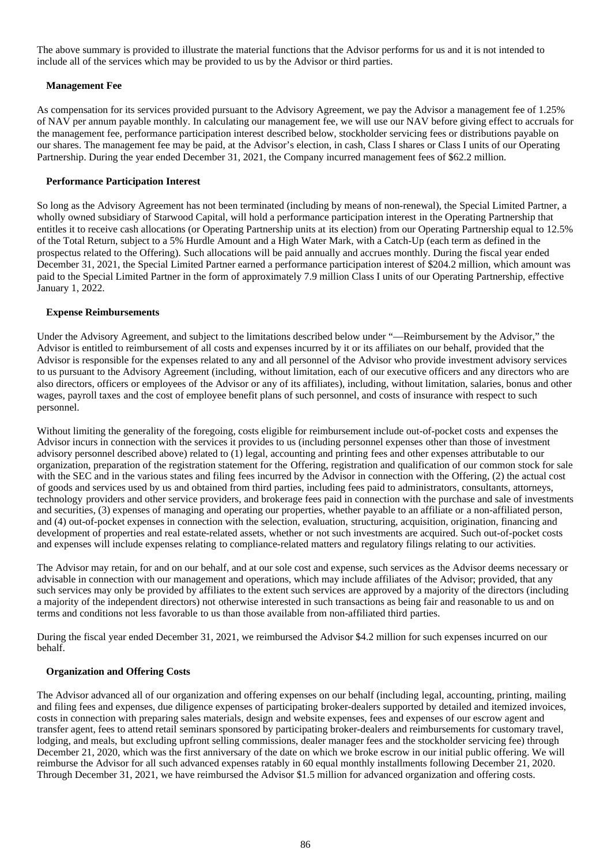The above summary is provided to illustrate the material functions that the Advisor performs for us and it is not intended to include all of the services which may be provided to us by the Advisor or third parties.

### **Management Fee**

As compensation for its services provided pursuant to the Advisory Agreement, we pay the Advisor a management fee of 1.25% of NAV per annum payable monthly. In calculating our management fee, we will use our NAV before giving effect to accruals for the management fee, performance participation interest described below, stockholder servicing fees or distributions payable on our shares. The management fee may be paid, at the Advisor's election, in cash, Class I shares or Class I units of our Operating Partnership. During the year ended December 31, 2021, the Company incurred management fees of \$62.2 million.

### **Performance Participation Interest**

So long as the Advisory Agreement has not been terminated (including by means of non-renewal), the Special Limited Partner, a wholly owned subsidiary of Starwood Capital, will hold a performance participation interest in the Operating Partnership that entitles it to receive cash allocations (or Operating Partnership units at its election) from our Operating Partnership equal to 12.5% of the Total Return, subject to a 5% Hurdle Amount and a High Water Mark, with a Catch-Up (each term as defined in the prospectus related to the Offering). Such allocations will be paid annually and accrues monthly. During the fiscal year ended December 31, 2021, the Special Limited Partner earned a performance participation interest of \$204.2 million, which amount was paid to the Special Limited Partner in the form of approximately 7.9 million Class I units of our Operating Partnership, effective January 1, 2022.

#### **Expense Reimbursements**

Under the Advisory Agreement, and subject to the limitations described below under "—Reimbursement by the Advisor," the Advisor is entitled to reimbursement of all costs and expenses incurred by it or its affiliates on our behalf, provided that the Advisor is responsible for the expenses related to any and all personnel of the Advisor who provide investment advisory services to us pursuant to the Advisory Agreement (including, without limitation, each of our executive officers and any directors who are also directors, officers or employees of the Advisor or any of its affiliates), including, without limitation, salaries, bonus and other wages, payroll taxes and the cost of employee benefit plans of such personnel, and costs of insurance with respect to such personnel.

Without limiting the generality of the foregoing, costs eligible for reimbursement include out-of-pocket costs and expenses the Advisor incurs in connection with the services it provides to us (including personnel expenses other than those of investment advisory personnel described above) related to (1) legal, accounting and printing fees and other expenses attributable to our organization, preparation of the registration statement for the Offering, registration and qualification of our common stock for sale with the SEC and in the various states and filing fees incurred by the Advisor in connection with the Offering, (2) the actual cost of goods and services used by us and obtained from third parties, including fees paid to administrators, consultants, attorneys, technology providers and other service providers, and brokerage fees paid in connection with the purchase and sale of investments and securities, (3) expenses of managing and operating our properties, whether payable to an affiliate or a non-affiliated person, and (4) out-of-pocket expenses in connection with the selection, evaluation, structuring, acquisition, origination, financing and development of properties and real estate-related assets, whether or not such investments are acquired. Such out-of-pocket costs and expenses will include expenses relating to compliance-related matters and regulatory filings relating to our activities.

The Advisor may retain, for and on our behalf, and at our sole cost and expense, such services as the Advisor deems necessary or advisable in connection with our management and operations, which may include affiliates of the Advisor; provided, that any such services may only be provided by affiliates to the extent such services are approved by a majority of the directors (including a majority of the independent directors) not otherwise interested in such transactions as being fair and reasonable to us and on terms and conditions not less favorable to us than those available from non-affiliated third parties.

During the fiscal year ended December 31, 2021, we reimbursed the Advisor \$4.2 million for such expenses incurred on our behalf.

### **Organization and Offering Costs**

The Advisor advanced all of our organization and offering expenses on our behalf (including legal, accounting, printing, mailing and filing fees and expenses, due diligence expenses of participating broker-dealers supported by detailed and itemized invoices, costs in connection with preparing sales materials, design and website expenses, fees and expenses of our escrow agent and transfer agent, fees to attend retail seminars sponsored by participating broker-dealers and reimbursements for customary travel, lodging, and meals, but excluding upfront selling commissions, dealer manager fees and the stockholder servicing fee) through December 21, 2020, which was the first anniversary of the date on which we broke escrow in our initial public offering. We will reimburse the Advisor for all such advanced expenses ratably in 60 equal monthly installments following December 21, 2020. Through December 31, 2021, we have reimbursed the Advisor \$1.5 million for advanced organization and offering costs.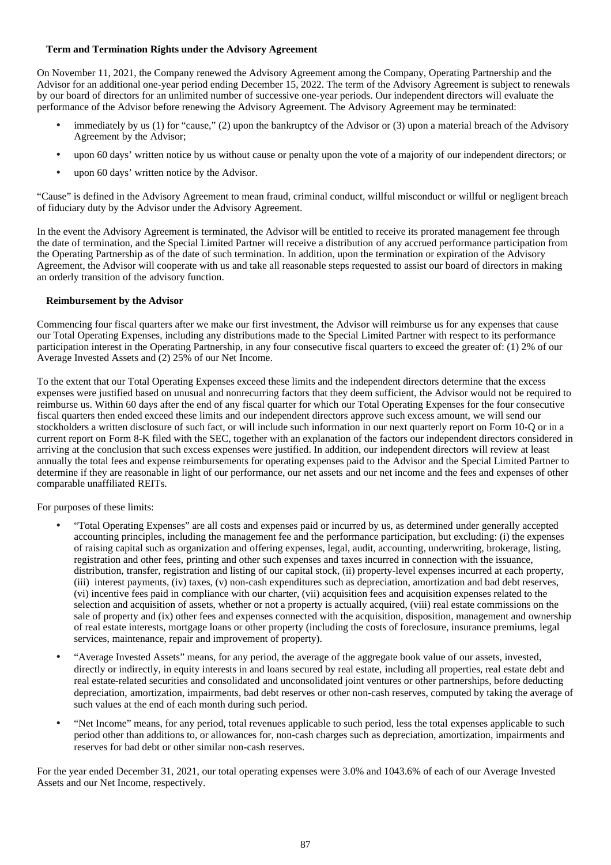## **Term and Termination Rights under the Advisory Agreement**

On November 11, 2021, the Company renewed the Advisory Agreement among the Company, Operating Partnership and the Advisor for an additional one-year period ending December 15, 2022. The term of the Advisory Agreement is subject to renewals by our board of directors for an unlimited number of successive one-year periods. Our independent directors will evaluate the performance of the Advisor before renewing the Advisory Agreement. The Advisory Agreement may be terminated:

- immediately by us (1) for "cause," (2) upon the bankruptcy of the Advisor or (3) upon a material breach of the Advisory Agreement by the Advisor;
- upon 60 days' written notice by us without cause or penalty upon the vote of a majority of our independent directors; or
- upon 60 days' written notice by the Advisor.

"Cause" is defined in the Advisory Agreement to mean fraud, criminal conduct, willful misconduct or willful or negligent breach of fiduciary duty by the Advisor under the Advisory Agreement.

In the event the Advisory Agreement is terminated, the Advisor will be entitled to receive its prorated management fee through the date of termination, and the Special Limited Partner will receive a distribution of any accrued performance participation from the Operating Partnership as of the date of such termination. In addition, upon the termination or expiration of the Advisory Agreement, the Advisor will cooperate with us and take all reasonable steps requested to assist our board of directors in making an orderly transition of the advisory function.

#### **Reimbursement by the Advisor**

Commencing four fiscal quarters after we make our first investment, the Advisor will reimburse us for any expenses that cause our Total Operating Expenses, including any distributions made to the Special Limited Partner with respect to its performance participation interest in the Operating Partnership, in any four consecutive fiscal quarters to exceed the greater of: (1) 2% of our Average Invested Assets and (2) 25% of our Net Income.

To the extent that our Total Operating Expenses exceed these limits and the independent directors determine that the excess expenses were justified based on unusual and nonrecurring factors that they deem sufficient, the Advisor would not be required to reimburse us. Within 60 days after the end of any fiscal quarter for which our Total Operating Expenses for the four consecutive fiscal quarters then ended exceed these limits and our independent directors approve such excess amount, we will send our stockholders a written disclosure of such fact, or will include such information in our next quarterly report on Form 10-Q or in a current report on Form 8-K filed with the SEC, together with an explanation of the factors our independent directors considered in arriving at the conclusion that such excess expenses were justified. In addition, our independent directors will review at least annually the total fees and expense reimbursements for operating expenses paid to the Advisor and the Special Limited Partner to determine if they are reasonable in light of our performance, our net assets and our net income and the fees and expenses of other comparable unaffiliated REITs.

For purposes of these limits:

- "Total Operating Expenses" are all costs and expenses paid or incurred by us, as determined under generally accepted accounting principles, including the management fee and the performance participation, but excluding: (i) the expenses of raising capital such as organization and offering expenses, legal, audit, accounting, underwriting, brokerage, listing, registration and other fees, printing and other such expenses and taxes incurred in connection with the issuance, distribution, transfer, registration and listing of our capital stock, (ii) property-level expenses incurred at each property, (iii) interest payments, (iv) taxes, (v) non-cash expenditures such as depreciation, amortization and bad debt reserves, (vi) incentive fees paid in compliance with our charter, (vii) acquisition fees and acquisition expenses related to the selection and acquisition of assets, whether or not a property is actually acquired, (viii) real estate commissions on the sale of property and (ix) other fees and expenses connected with the acquisition, disposition, management and ownership of real estate interests, mortgage loans or other property (including the costs of foreclosure, insurance premiums, legal services, maintenance, repair and improvement of property).
- "Average Invested Assets" means, for any period, the average of the aggregate book value of our assets, invested, directly or indirectly, in equity interests in and loans secured by real estate, including all properties, real estate debt and real estate-related securities and consolidated and unconsolidated joint ventures or other partnerships, before deducting depreciation, amortization, impairments, bad debt reserves or other non-cash reserves, computed by taking the average of such values at the end of each month during such period.
- "Net Income" means, for any period, total revenues applicable to such period, less the total expenses applicable to such period other than additions to, or allowances for, non-cash charges such as depreciation, amortization, impairments and reserves for bad debt or other similar non-cash reserves.

For the year ended December 31, 2021, our total operating expenses were 3.0% and 1043.6% of each of our Average Invested Assets and our Net Income, respectively.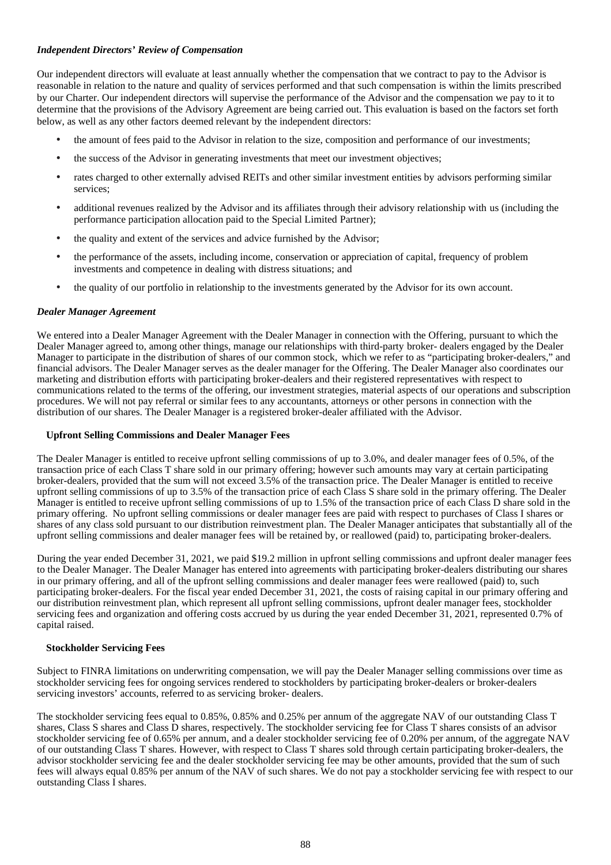## *Independent Directors' Review of Compensation*

Our independent directors will evaluate at least annually whether the compensation that we contract to pay to the Advisor is reasonable in relation to the nature and quality of services performed and that such compensation is within the limits prescribed by our Charter. Our independent directors will supervise the performance of the Advisor and the compensation we pay to it to determine that the provisions of the Advisory Agreement are being carried out. This evaluation is based on the factors set forth below, as well as any other factors deemed relevant by the independent directors:

- the amount of fees paid to the Advisor in relation to the size, composition and performance of our investments;
- the success of the Advisor in generating investments that meet our investment objectives;
- rates charged to other externally advised REITs and other similar investment entities by advisors performing similar services;
- additional revenues realized by the Advisor and its affiliates through their advisory relationship with us (including the performance participation allocation paid to the Special Limited Partner);
- the quality and extent of the services and advice furnished by the Advisor;
- the performance of the assets, including income, conservation or appreciation of capital, frequency of problem investments and competence in dealing with distress situations; and
- the quality of our portfolio in relationship to the investments generated by the Advisor for its own account.

#### *Dealer Manager Agreement*

We entered into a Dealer Manager Agreement with the Dealer Manager in connection with the Offering, pursuant to which the Dealer Manager agreed to, among other things, manage our relationships with third-party broker- dealers engaged by the Dealer Manager to participate in the distribution of shares of our common stock, which we refer to as "participating broker-dealers," and financial advisors. The Dealer Manager serves as the dealer manager for the Offering. The Dealer Manager also coordinates our marketing and distribution efforts with participating broker-dealers and their registered representatives with respect to communications related to the terms of the offering, our investment strategies, material aspects of our operations and subscription procedures. We will not pay referral or similar fees to any accountants, attorneys or other persons in connection with the distribution of our shares. The Dealer Manager is a registered broker-dealer affiliated with the Advisor.

#### **Upfront Selling Commissions and Dealer Manager Fees**

The Dealer Manager is entitled to receive upfront selling commissions of up to 3.0%, and dealer manager fees of 0.5%, of the transaction price of each Class T share sold in our primary offering; however such amounts may vary at certain participating broker-dealers, provided that the sum will not exceed 3.5% of the transaction price. The Dealer Manager is entitled to receive upfront selling commissions of up to 3.5% of the transaction price of each Class S share sold in the primary offering. The Dealer Manager is entitled to receive upfront selling commissions of up to 1.5% of the transaction price of each Class D share sold in the primary offering. No upfront selling commissions or dealer manager fees are paid with respect to purchases of Class I shares or shares of any class sold pursuant to our distribution reinvestment plan. The Dealer Manager anticipates that substantially all of the upfront selling commissions and dealer manager fees will be retained by, or reallowed (paid) to, participating broker-dealers.

During the year ended December 31, 2021, we paid \$19.2 million in upfront selling commissions and upfront dealer manager fees to the Dealer Manager. The Dealer Manager has entered into agreements with participating broker-dealers distributing our shares in our primary offering, and all of the upfront selling commissions and dealer manager fees were reallowed (paid) to, such participating broker-dealers. For the fiscal year ended December 31, 2021, the costs of raising capital in our primary offering and our distribution reinvestment plan, which represent all upfront selling commissions, upfront dealer manager fees, stockholder servicing fees and organization and offering costs accrued by us during the year ended December 31, 2021, represented 0.7% of capital raised.

#### **Stockholder Servicing Fees**

Subject to FINRA limitations on underwriting compensation, we will pay the Dealer Manager selling commissions over time as stockholder servicing fees for ongoing services rendered to stockholders by participating broker-dealers or broker-dealers servicing investors' accounts, referred to as servicing broker- dealers.

The stockholder servicing fees equal to 0.85%, 0.85% and 0.25% per annum of the aggregate NAV of our outstanding Class T shares, Class S shares and Class D shares, respectively. The stockholder servicing fee for Class T shares consists of an advisor stockholder servicing fee of 0.65% per annum, and a dealer stockholder servicing fee of 0.20% per annum, of the aggregate NAV of our outstanding Class T shares. However, with respect to Class T shares sold through certain participating broker-dealers, the advisor stockholder servicing fee and the dealer stockholder servicing fee may be other amounts, provided that the sum of such fees will always equal 0.85% per annum of the NAV of such shares. We do not pay a stockholder servicing fee with respect to our outstanding Class I shares.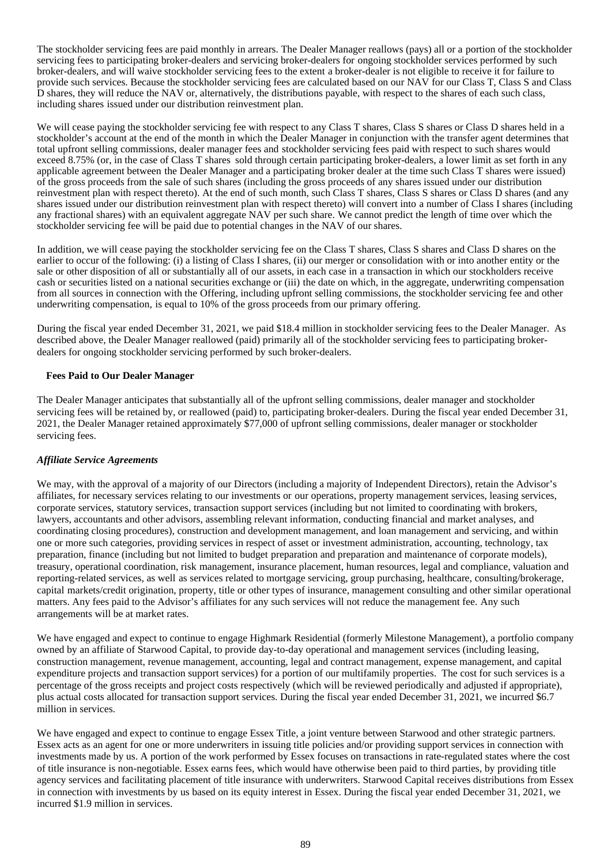The stockholder servicing fees are paid monthly in arrears. The Dealer Manager reallows (pays) all or a portion of the stockholder servicing fees to participating broker-dealers and servicing broker-dealers for ongoing stockholder services performed by such broker-dealers, and will waive stockholder servicing fees to the extent a broker-dealer is not eligible to receive it for failure to provide such services. Because the stockholder servicing fees are calculated based on our NAV for our Class T, Class S and Class D shares, they will reduce the NAV or, alternatively, the distributions payable, with respect to the shares of each such class, including shares issued under our distribution reinvestment plan.

We will cease paying the stockholder servicing fee with respect to any Class T shares, Class S shares or Class D shares held in a stockholder's account at the end of the month in which the Dealer Manager in conjunction with the transfer agent determines that total upfront selling commissions, dealer manager fees and stockholder servicing fees paid with respect to such shares would exceed 8.75% (or, in the case of Class T shares sold through certain participating broker-dealers, a lower limit as set forth in any applicable agreement between the Dealer Manager and a participating broker dealer at the time such Class T shares were issued) of the gross proceeds from the sale of such shares (including the gross proceeds of any shares issued under our distribution reinvestment plan with respect thereto). At the end of such month, such Class T shares, Class S shares or Class D shares (and any shares issued under our distribution reinvestment plan with respect thereto) will convert into a number of Class I shares (including any fractional shares) with an equivalent aggregate NAV per such share. We cannot predict the length of time over which the stockholder servicing fee will be paid due to potential changes in the NAV of our shares.

In addition, we will cease paying the stockholder servicing fee on the Class T shares, Class S shares and Class D shares on the earlier to occur of the following: (i) a listing of Class I shares, (ii) our merger or consolidation with or into another entity or the sale or other disposition of all or substantially all of our assets, in each case in a transaction in which our stockholders receive cash or securities listed on a national securities exchange or (iii) the date on which, in the aggregate, underwriting compensation from all sources in connection with the Offering, including upfront selling commissions, the stockholder servicing fee and other underwriting compensation, is equal to 10% of the gross proceeds from our primary offering.

During the fiscal year ended December 31, 2021, we paid \$18.4 million in stockholder servicing fees to the Dealer Manager. As described above, the Dealer Manager reallowed (paid) primarily all of the stockholder servicing fees to participating brokerdealers for ongoing stockholder servicing performed by such broker-dealers.

### **Fees Paid to Our Dealer Manager**

The Dealer Manager anticipates that substantially all of the upfront selling commissions, dealer manager and stockholder servicing fees will be retained by, or reallowed (paid) to, participating broker-dealers. During the fiscal year ended December 31, 2021, the Dealer Manager retained approximately \$77,000 of upfront selling commissions, dealer manager or stockholder servicing fees.

### *Affiliate Service Agreements*

We may, with the approval of a majority of our Directors (including a majority of Independent Directors), retain the Advisor's affiliates, for necessary services relating to our investments or our operations, property management services, leasing services, corporate services, statutory services, transaction support services (including but not limited to coordinating with brokers, lawyers, accountants and other advisors, assembling relevant information, conducting financial and market analyses, and coordinating closing procedures), construction and development management, and loan management and servicing, and within one or more such categories, providing services in respect of asset or investment administration, accounting, technology, tax preparation, finance (including but not limited to budget preparation and preparation and maintenance of corporate models), treasury, operational coordination, risk management, insurance placement, human resources, legal and compliance, valuation and reporting-related services, as well as services related to mortgage servicing, group purchasing, healthcare, consulting/brokerage, capital markets/credit origination, property, title or other types of insurance, management consulting and other similar operational matters. Any fees paid to the Advisor's affiliates for any such services will not reduce the management fee. Any such arrangements will be at market rates.

We have engaged and expect to continue to engage Highmark Residential (formerly Milestone Management), a portfolio company owned by an affiliate of Starwood Capital, to provide day-to-day operational and management services (including leasing, construction management, revenue management, accounting, legal and contract management, expense management, and capital expenditure projects and transaction support services) for a portion of our multifamily properties. The cost for such services is a percentage of the gross receipts and project costs respectively (which will be reviewed periodically and adjusted if appropriate), plus actual costs allocated for transaction support services. During the fiscal year ended December 31, 2021, we incurred \$6.7 million in services.

We have engaged and expect to continue to engage Essex Title, a joint venture between Starwood and other strategic partners. Essex acts as an agent for one or more underwriters in issuing title policies and/or providing support services in connection with investments made by us. A portion of the work performed by Essex focuses on transactions in rate-regulated states where the cost of title insurance is non-negotiable. Essex earns fees, which would have otherwise been paid to third parties, by providing title agency services and facilitating placement of title insurance with underwriters. Starwood Capital receives distributions from Essex in connection with investments by us based on its equity interest in Essex. During the fiscal year ended December 31, 2021, we incurred \$1.9 million in services.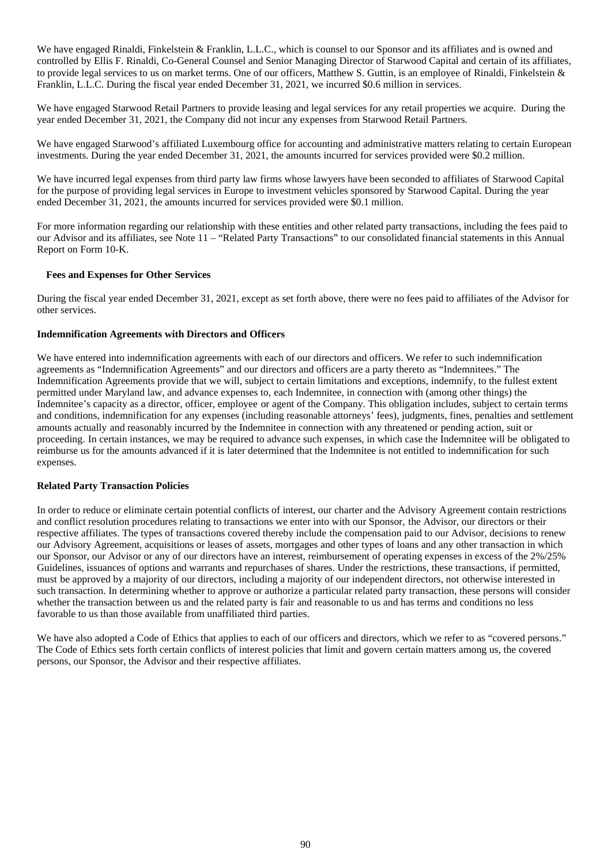We have engaged Rinaldi, Finkelstein & Franklin, L.L.C., which is counsel to our Sponsor and its affiliates and is owned and controlled by Ellis F. Rinaldi, Co-General Counsel and Senior Managing Director of Starwood Capital and certain of its affiliates, to provide legal services to us on market terms. One of our officers, Matthew S. Guttin, is an employee of Rinaldi, Finkelstein & Franklin, L.L.C. During the fiscal year ended December 31, 2021, we incurred \$0.6 million in services.

We have engaged Starwood Retail Partners to provide leasing and legal services for any retail properties we acquire. During the year ended December 31, 2021, the Company did not incur any expenses from Starwood Retail Partners.

We have engaged Starwood's affiliated Luxembourg office for accounting and administrative matters relating to certain European investments. During the year ended December 31, 2021, the amounts incurred for services provided were \$0.2 million.

We have incurred legal expenses from third party law firms whose lawyers have been seconded to affiliates of Starwood Capital for the purpose of providing legal services in Europe to investment vehicles sponsored by Starwood Capital. During the year ended December 31, 2021, the amounts incurred for services provided were \$0.1 million.

For more information regarding our relationship with these entities and other related party transactions, including the fees paid to our Advisor and its affiliates, see Note 11 – "Related Party Transactions" to our consolidated financial statements in this Annual Report on Form 10-K.

### **Fees and Expenses for Other Services**

During the fiscal year ended December 31, 2021, except as set forth above, there were no fees paid to affiliates of the Advisor for other services.

#### **Indemnification Agreements with Directors and Officers**

We have entered into indemnification agreements with each of our directors and officers. We refer to such indemnification agreements as "Indemnification Agreements" and our directors and officers are a party thereto as "Indemnitees." The Indemnification Agreements provide that we will, subject to certain limitations and exceptions, indemnify, to the fullest extent permitted under Maryland law, and advance expenses to, each Indemnitee, in connection with (among other things) the Indemnitee's capacity as a director, officer, employee or agent of the Company. This obligation includes, subject to certain terms and conditions, indemnification for any expenses (including reasonable attorneys' fees), judgments, fines, penalties and settlement amounts actually and reasonably incurred by the Indemnitee in connection with any threatened or pending action, suit or proceeding. In certain instances, we may be required to advance such expenses, in which case the Indemnitee will be obligated to reimburse us for the amounts advanced if it is later determined that the Indemnitee is not entitled to indemnification for such expenses.

#### **Related Party Transaction Policies**

In order to reduce or eliminate certain potential conflicts of interest, our charter and the Advisory Agreement contain restrictions and conflict resolution procedures relating to transactions we enter into with our Sponsor, the Advisor, our directors or their respective affiliates. The types of transactions covered thereby include the compensation paid to our Advisor, decisions to renew our Advisory Agreement, acquisitions or leases of assets, mortgages and other types of loans and any other transaction in which our Sponsor, our Advisor or any of our directors have an interest, reimbursement of operating expenses in excess of the 2%/25% Guidelines, issuances of options and warrants and repurchases of shares. Under the restrictions, these transactions, if permitted, must be approved by a majority of our directors, including a majority of our independent directors, not otherwise interested in such transaction. In determining whether to approve or authorize a particular related party transaction, these persons will consider whether the transaction between us and the related party is fair and reasonable to us and has terms and conditions no less favorable to us than those available from unaffiliated third parties.

We have also adopted a Code of Ethics that applies to each of our officers and directors, which we refer to as "covered persons." The Code of Ethics sets forth certain conflicts of interest policies that limit and govern certain matters among us, the covered persons, our Sponsor, the Advisor and their respective affiliates.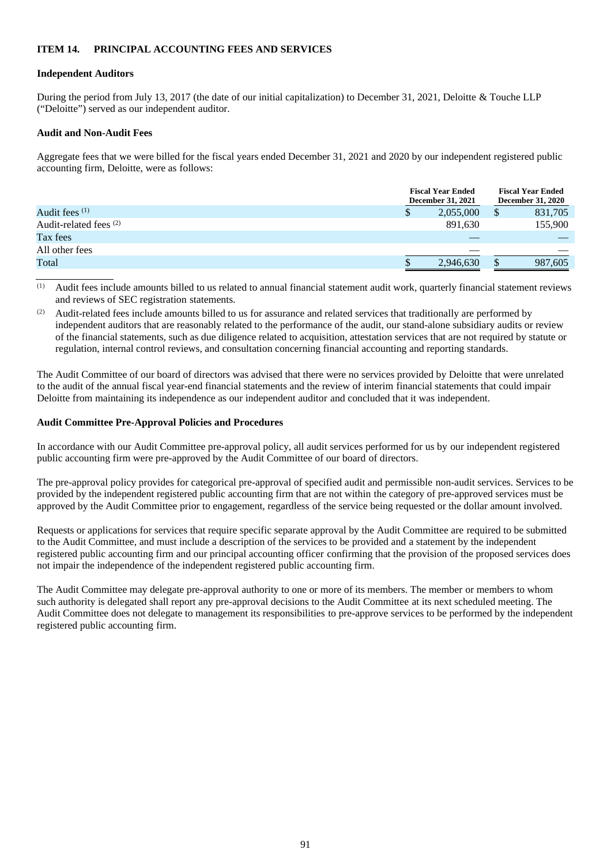## **ITEM 14. PRINCIPAL ACCOUNTING FEES AND SERVICES**

#### **Independent Auditors**

During the period from July 13, 2017 (the date of our initial capitalization) to December 31, 2021, Deloitte & Touche LLP ("Deloitte") served as our independent auditor.

#### **Audit and Non-Audit Fees**

Aggregate fees that we were billed for the fiscal years ended December 31, 2021 and 2020 by our independent registered public accounting firm, Deloitte, were as follows:

|                          | <b>Fiscal Year Ended</b><br>December 31, 2021 | <b>Fiscal Year Ended</b><br><b>December 31, 2020</b> |               |         |
|--------------------------|-----------------------------------------------|------------------------------------------------------|---------------|---------|
| Audit fees $(1)$         | S                                             | 2,055,000                                            | \$            | 831,705 |
| Audit-related fees $(2)$ |                                               | 891.630                                              |               | 155,900 |
| Tax fees                 |                                               |                                                      |               |         |
| All other fees           |                                               |                                                      |               |         |
| Total                    |                                               | 2,946,630                                            | <sup>\$</sup> | 987,605 |

 $(1)$  Audit fees include amounts billed to us related to annual financial statement audit work, quarterly financial statement reviews and reviews of SEC registration statements.

(2) Audit-related fees include amounts billed to us for assurance and related services that traditionally are performed by independent auditors that are reasonably related to the performance of the audit, our stand-alone subsidiary audits or review of the financial statements, such as due diligence related to acquisition, attestation services that are not required by statute or regulation, internal control reviews, and consultation concerning financial accounting and reporting standards.

The Audit Committee of our board of directors was advised that there were no services provided by Deloitte that were unrelated to the audit of the annual fiscal year-end financial statements and the review of interim financial statements that could impair Deloitte from maintaining its independence as our independent auditor and concluded that it was independent.

#### **Audit Committee Pre-Approval Policies and Procedures**

In accordance with our Audit Committee pre-approval policy, all audit services performed for us by our independent registered public accounting firm were pre-approved by the Audit Committee of our board of directors.

The pre-approval policy provides for categorical pre-approval of specified audit and permissible non-audit services. Services to be provided by the independent registered public accounting firm that are not within the category of pre-approved services must be approved by the Audit Committee prior to engagement, regardless of the service being requested or the dollar amount involved.

Requests or applications for services that require specific separate approval by the Audit Committee are required to be submitted to the Audit Committee, and must include a description of the services to be provided and a statement by the independent registered public accounting firm and our principal accounting officer confirming that the provision of the proposed services does not impair the independence of the independent registered public accounting firm.

The Audit Committee may delegate pre-approval authority to one or more of its members. The member or members to whom such authority is delegated shall report any pre-approval decisions to the Audit Committee at its next scheduled meeting. The Audit Committee does not delegate to management its responsibilities to pre-approve services to be performed by the independent registered public accounting firm.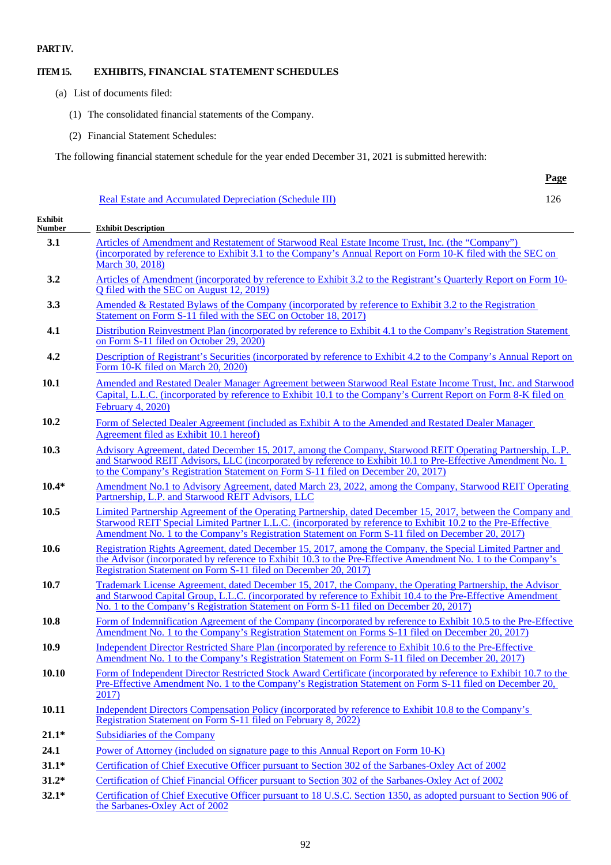### **PARTIV.**

# **ITEM15. EXHIBITS, FINANCIAL STATEMENT SCHEDULES**

- (a) List of documents filed:
	- (1) The consolidated financial statements of the Company.
	- (2) Financial Statement Schedules:

The following financial statement schedule for the year ended December 31, 2021 is submitted herewith:

[Real Estate and Accumulated Depreciation \(Schedule III\)](#page-125-0) 126

**Page**

| Exhibit<br><b>Number</b> | <b>Exhibit Description</b>                                                                                                                                                                                                                                                                                                       |
|--------------------------|----------------------------------------------------------------------------------------------------------------------------------------------------------------------------------------------------------------------------------------------------------------------------------------------------------------------------------|
| 3.1                      | Articles of Amendment and Restatement of Starwood Real Estate Income Trust, Inc. (the "Company")<br>(incorporated by reference to Exhibit 3.1 to the Company's Annual Report on Form 10-K filed with the SEC on<br>March 30, 2018)                                                                                               |
| 3.2                      | Articles of Amendment (incorporated by reference to Exhibit 3.2 to the Registrant's Quarterly Report on Form 10-<br>Q filed with the SEC on August 12, 2019)                                                                                                                                                                     |
| 3.3                      | Amended & Restated Bylaws of the Company (incorporated by reference to Exhibit 3.2 to the Registration<br>Statement on Form S-11 filed with the SEC on October 18, 2017)                                                                                                                                                         |
| 4.1                      | Distribution Reinvestment Plan (incorporated by reference to Exhibit 4.1 to the Company's Registration Statement<br>on Form S-11 filed on October 29, 2020)                                                                                                                                                                      |
| 4.2                      | Description of Registrant's Securities (incorporated by reference to Exhibit 4.2 to the Company's Annual Report on<br>Form 10-K filed on March 20, 2020)                                                                                                                                                                         |
| <b>10.1</b>              | Amended and Restated Dealer Manager Agreement between Starwood Real Estate Income Trust, Inc. and Starwood<br>Capital, L.L.C. (incorporated by reference to Exhibit 10.1 to the Company's Current Report on Form 8-K filed on<br>February 4, 2020)                                                                               |
| 10.2                     | Form of Selected Dealer Agreement (included as Exhibit A to the Amended and Restated Dealer Manager<br>Agreement filed as Exhibit 10.1 hereof)                                                                                                                                                                                   |
| 10.3                     | Advisory Agreement, dated December 15, 2017, among the Company, Starwood REIT Operating Partnership, L.P.<br>and Starwood REIT Advisors, LLC (incorporated by reference to Exhibit 10.1 to Pre-Effective Amendment No. 1<br>to the Company's Registration Statement on Form S-11 filed on December 20, 2017)                     |
| $10.4*$                  | Amendment No.1 to Advisory Agreement, dated March 23, 2022, among the Company, Starwood REIT Operating<br>Partnership, L.P. and Starwood REIT Advisors, LLC                                                                                                                                                                      |
| 10.5                     | Limited Partnership Agreement of the Operating Partnership, dated December 15, 2017, between the Company and<br>Starwood REIT Special Limited Partner L.L.C. (incorporated by reference to Exhibit 10.2 to the Pre-Effective<br>Amendment No. 1 to the Company's Registration Statement on Form S-11 filed on December 20, 2017) |
| 10.6                     | Registration Rights Agreement, dated December 15, 2017, among the Company, the Special Limited Partner and<br>the Advisor (incorporated by reference to Exhibit 10.3 to the Pre-Effective Amendment No. 1 to the Company's<br>Registration Statement on Form S-11 filed on December 20, 2017)                                    |
| 10.7                     | Trademark License Agreement, dated December 15, 2017, the Company, the Operating Partnership, the Advisor<br>and Starwood Capital Group, L.L.C. (incorporated by reference to Exhibit 10.4 to the Pre-Effective Amendment<br>No. 1 to the Company's Registration Statement on Form S-11 filed on December 20, 2017)              |
| 10.8                     | Form of Indemnification Agreement of the Company (incorporated by reference to Exhibit 10.5 to the Pre-Effective<br>Amendment No. 1 to the Company's Registration Statement on Forms S-11 filed on December 20, 2017)                                                                                                            |
| 10.9                     | Independent Director Restricted Share Plan (incorporated by reference to Exhibit 10.6 to the Pre-Effective<br>Amendment No. 1 to the Company's Registration Statement on Form S-11 filed on December 20, 2017)                                                                                                                   |
| 10.10                    | Form of Independent Director Restricted Stock Award Certificate (incorporated by reference to Exhibit 10.7 to the<br>Pre-Effective Amendment No. 1 to the Company's Registration Statement on Form S-11 filed on December 20,<br>2017)                                                                                           |
| 10.11                    | Independent Directors Compensation Policy (incorporated by reference to Exhibit 10.8 to the Company's<br>Registration Statement on Form S-11 filed on February 8, 2022)                                                                                                                                                          |
| $21.1*$                  | <b>Subsidiaries of the Company</b>                                                                                                                                                                                                                                                                                               |
| 24.1                     | Power of Attorney (included on signature page to this Annual Report on Form 10-K)                                                                                                                                                                                                                                                |
| $31.1*$                  | Certification of Chief Executive Officer pursuant to Section 302 of the Sarbanes-Oxley Act of 2002                                                                                                                                                                                                                               |
| $31.2*$                  | Certification of Chief Financial Officer pursuant to Section 302 of the Sarbanes-Oxley Act of 2002                                                                                                                                                                                                                               |
| $32.1*$                  | Certification of Chief Executive Officer pursuant to 18 U.S.C. Section 1350, as adopted pursuant to Section 906 of<br>the Sarbanes-Oxley Act of 2002                                                                                                                                                                             |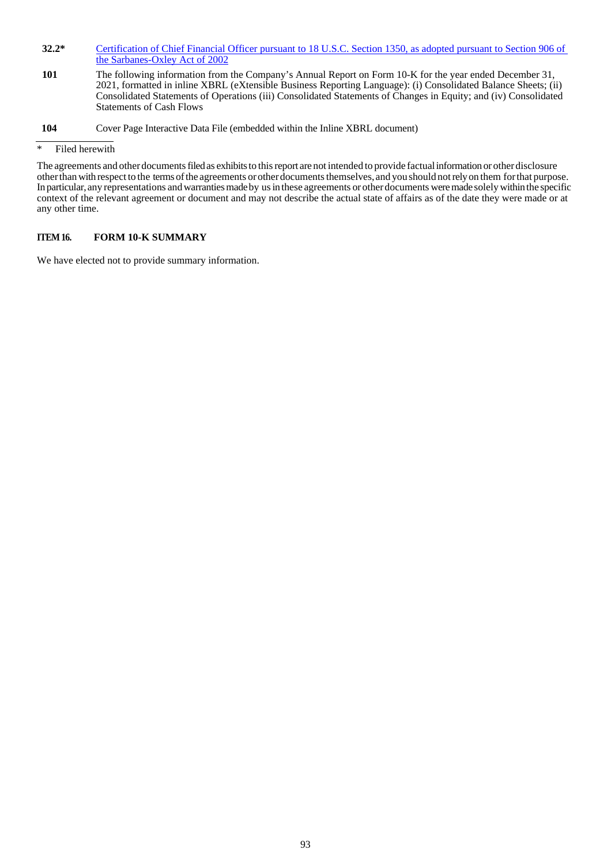- **32.2\*** [Certification of Chief Financial Officer pursuant to 18 U.S.C. Section 1350, as adopted pursuant to Section 906 of](ck1711929-ex322_10.htm)  [the Sarbanes-Oxley Act of 2002](ck1711929-ex322_10.htm)
- **101** The following information from the Company's Annual Report on Form 10-K for the year ended December 31, 2021, formatted in inline XBRL (eXtensible Business Reporting Language): (i) Consolidated Balance Sheets; (ii) Consolidated Statements of Operations (iii) Consolidated Statements of Changes in Equity; and (iv) Consolidated Statements of Cash Flows
- **104** Cover Page Interactive Data File (embedded within the Inline XBRL document)
- \* Filed herewith

The agreements and other documents filed as exhibits to this report are not intended to provide factual information or other disclosure other than with respect to the terms of the agreements or other documents themselves, and you should not rely on them for that purpose. In particular, any representations and warranties made by us in these agreements or other documents were made solely within the specific context of the relevant agreement or document and may not describe the actual state of affairs as of the date they were made or at any other time.

### **ITEM16. FORM 10-K SUMMARY**

We have elected not to provide summary information.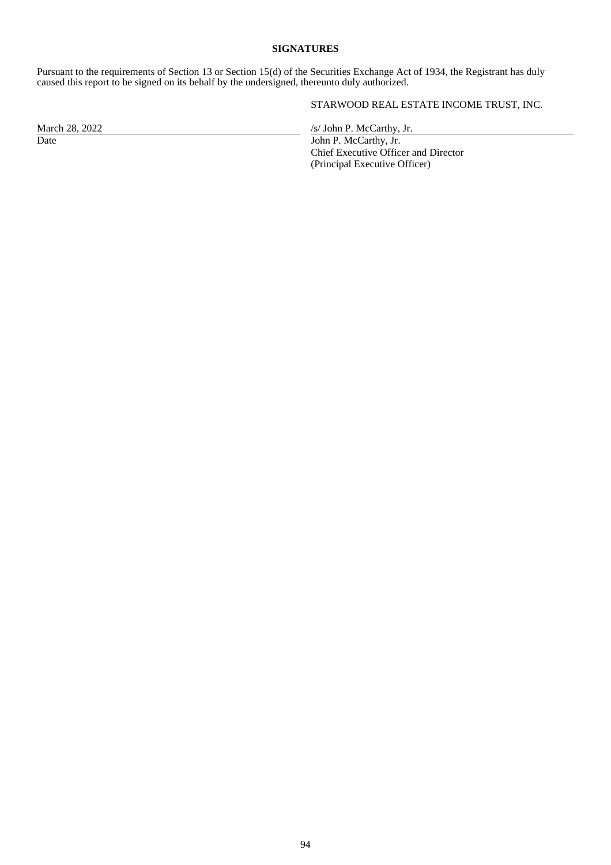#### **SIGNATURES**

Pursuant to the requirements of Section 13 or Section 15(d) of the Securities Exchange Act of 1934, the Registrant has duly caused this report to be signed on its behalf by the undersigned, thereunto duly authorized.

STARWOOD REAL ESTATE INCOME TRUST, INC.

March 28, 2022 /s/ John P. McCarthy, Jr.

Date John P. McCarthy, Jr. Chief Executive Officer and Director (Principal Executive Officer)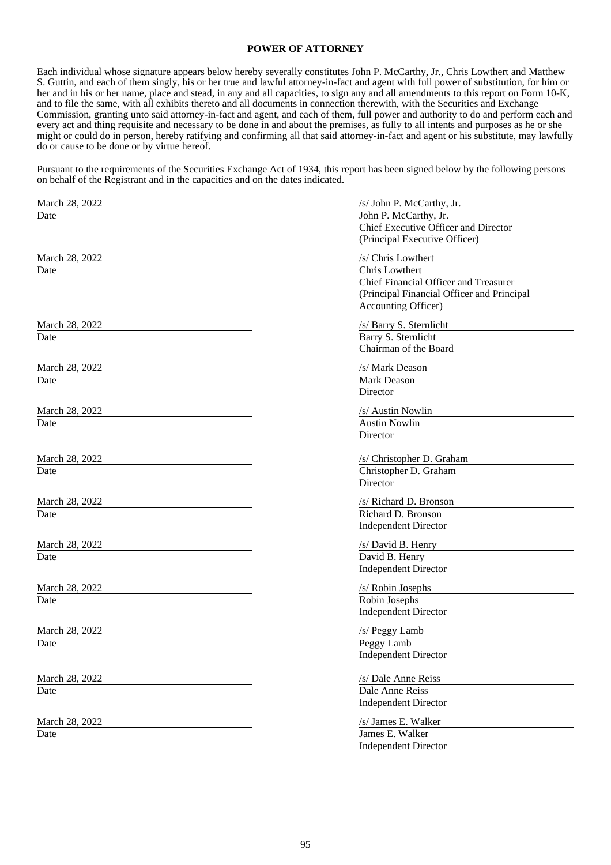## <span id="page-94-0"></span>**POWER OF ATTORNEY**

Each individual whose signature appears below hereby severally constitutes John P. McCarthy, Jr., Chris Lowthert and Matthew S. Guttin, and each of them singly, his or her true and lawful attorney-in-fact and agent with full power of substitution, for him or her and in his or her name, place and stead, in any and all capacities, to sign any and all amendments to this report on Form 10-K, and to file the same, with all exhibits thereto and all documents in connection therewith, with the Securities and Exchange Commission, granting unto said attorney-in-fact and agent, and each of them, full power and authority to do and perform each and every act and thing requisite and necessary to be done in and about the premises, as fully to all intents and purposes as he or she might or could do in person, hereby ratifying and confirming all that said attorney-in-fact and agent or his substitute, may lawfully do or cause to be done or by virtue hereof.

Pursuant to the requirements of the Securities Exchange Act of 1934, this report has been signed below by the following persons on behalf of the Registrant and in the capacities and on the dates indicated.

| March 28, 2022 | /s/ John P. McCarthy, Jr.                  |
|----------------|--------------------------------------------|
| Date           | John P. McCarthy, Jr.                      |
|                | Chief Executive Officer and Director       |
|                | (Principal Executive Officer)              |
|                |                                            |
| March 28, 2022 | /s/ Chris Lowthert                         |
| Date           | Chris Lowthert                             |
|                | Chief Financial Officer and Treasurer      |
|                | (Principal Financial Officer and Principal |
|                | Accounting Officer)                        |
| March 28, 2022 | /s/ Barry S. Sternlicht                    |
| Date           | Barry S. Sternlicht                        |
|                | Chairman of the Board                      |
| March 28, 2022 | /s/ Mark Deason                            |
| Date           | Mark Deason                                |
|                | Director                                   |
| March 28, 2022 | /s/ Austin Nowlin                          |
| Date           | <b>Austin Nowlin</b>                       |
|                | Director                                   |
|                |                                            |
| March 28, 2022 | /s/ Christopher D. Graham                  |
| Date           | Christopher D. Graham                      |
|                | Director                                   |
| March 28, 2022 | /s/ Richard D. Bronson                     |
| Date           | Richard D. Bronson                         |
|                | <b>Independent Director</b>                |
| March 28, 2022 | /s/ David B. Henry                         |
| Date           | David B. Henry                             |
|                | <b>Independent Director</b>                |
| March 28, 2022 | /s/ Robin Josephs                          |
| Date           | Robin Josephs                              |
|                | <b>Independent Director</b>                |
| March 28, 2022 | /s/ Peggy Lamb                             |
| Date           | Peggy Lamb                                 |
|                | <b>Independent Director</b>                |
|                |                                            |
| March 28, 2022 | /s/ Dale Anne Reiss                        |
| Date           | Dale Anne Reiss                            |
|                | <b>Independent Director</b>                |
| March 28, 2022 | /s/ James E. Walker                        |
| Date           | James E. Walker                            |
|                | <b>Independent Director</b>                |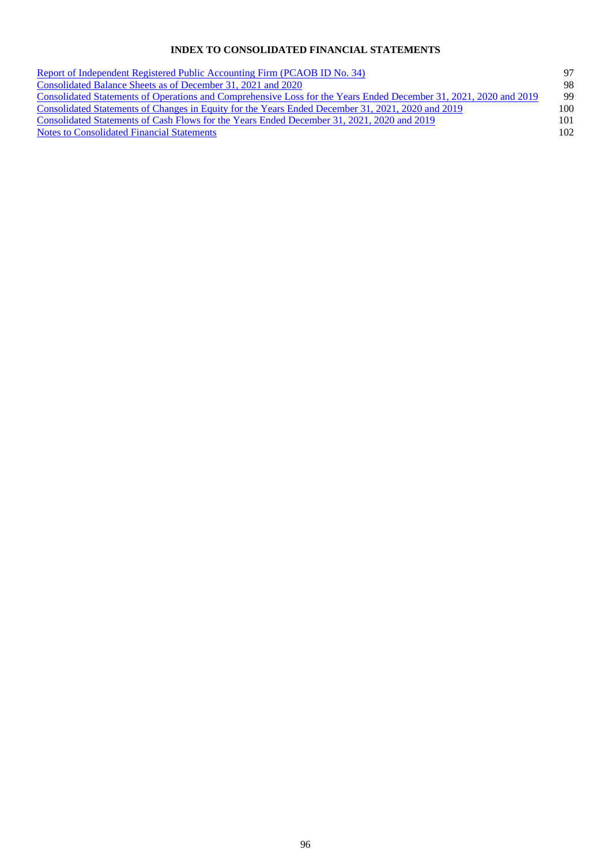# **INDEX TO CONSOLIDATED FINANCIAL STATEMENTS**

| Report of Independent Registered Public Accounting Firm (PCAOB ID No. 34)                                         | 97  |
|-------------------------------------------------------------------------------------------------------------------|-----|
| Consolidated Balance Sheets as of December 31, 2021 and 2020                                                      | 98. |
| Consolidated Statements of Operations and Comprehensive Loss for the Years Ended December 31, 2021, 2020 and 2019 | 99  |
| Consolidated Statements of Changes in Equity for the Years Ended December 31, 2021, 2020 and 2019                 | 100 |
| Consolidated Statements of Cash Flows for the Years Ended December 31, 2021, 2020 and 2019                        | 101 |
| <b>Notes to Consolidated Financial Statements</b>                                                                 | 102 |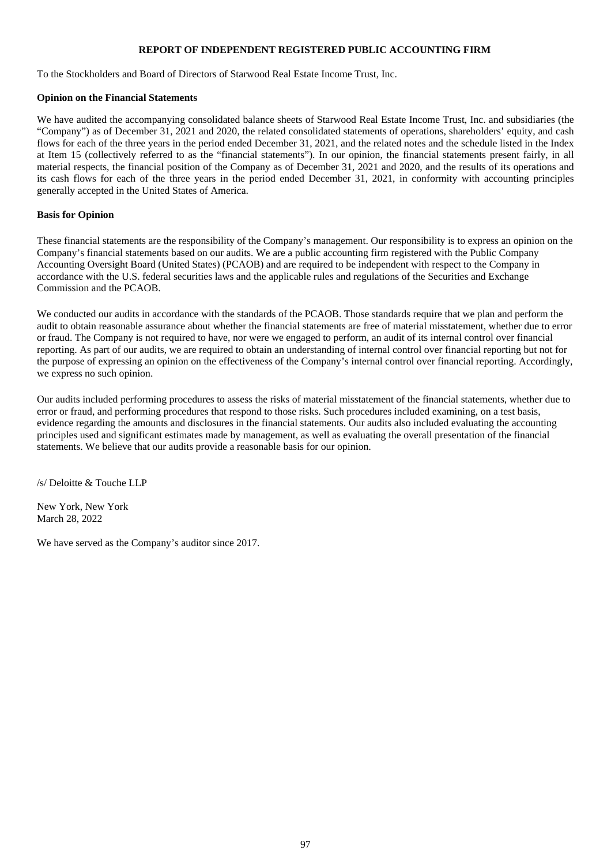## <span id="page-96-0"></span>**REPORT OF INDEPENDENT REGISTERED PUBLIC ACCOUNTING FIRM**

To the Stockholders and Board of Directors of Starwood Real Estate Income Trust, Inc.

#### **Opinion on the Financial Statements**

We have audited the accompanying consolidated balance sheets of Starwood Real Estate Income Trust, Inc. and subsidiaries (the "Company") as of December 31, 2021 and 2020, the related consolidated statements of operations, shareholders' equity, and cash flows for each of the three years in the period ended December 31, 2021, and the related notes and the schedule listed in the Index at Item 15 (collectively referred to as the "financial statements"). In our opinion, the financial statements present fairly, in all material respects, the financial position of the Company as of December 31, 2021 and 2020, and the results of its operations and its cash flows for each of the three years in the period ended December 31, 2021, in conformity with accounting principles generally accepted in the United States of America.

### **Basis for Opinion**

These financial statements are the responsibility of the Company's management. Our responsibility is to express an opinion on the Company's financial statements based on our audits. We are a public accounting firm registered with the Public Company Accounting Oversight Board (United States) (PCAOB) and are required to be independent with respect to the Company in accordance with the U.S. federal securities laws and the applicable rules and regulations of the Securities and Exchange Commission and the PCAOB.

We conducted our audits in accordance with the standards of the PCAOB. Those standards require that we plan and perform the audit to obtain reasonable assurance about whether the financial statements are free of material misstatement, whether due to error or fraud. The Company is not required to have, nor were we engaged to perform, an audit of its internal control over financial reporting. As part of our audits, we are required to obtain an understanding of internal control over financial reporting but not for the purpose of expressing an opinion on the effectiveness of the Company's internal control over financial reporting. Accordingly, we express no such opinion.

Our audits included performing procedures to assess the risks of material misstatement of the financial statements, whether due to error or fraud, and performing procedures that respond to those risks. Such procedures included examining, on a test basis, evidence regarding the amounts and disclosures in the financial statements. Our audits also included evaluating the accounting principles used and significant estimates made by management, as well as evaluating the overall presentation of the financial statements. We believe that our audits provide a reasonable basis for our opinion.

/s/ Deloitte & Touche LLP

New York, New York March 28, 2022

We have served as the Company's auditor since 2017.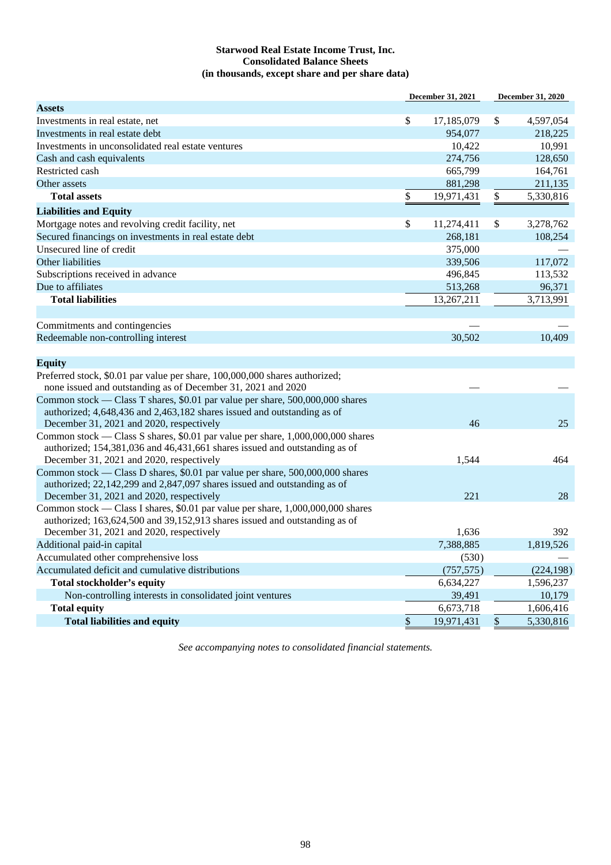# <span id="page-97-0"></span>**Starwood Real Estate Income Trust, Inc. Consolidated Balance Sheets (in thousands, except share and per share data)**

|                                                                                                                                                               | December 31, 2021 |              | <b>December 31, 2020</b> |
|---------------------------------------------------------------------------------------------------------------------------------------------------------------|-------------------|--------------|--------------------------|
| <b>Assets</b>                                                                                                                                                 |                   |              |                          |
| Investments in real estate, net                                                                                                                               | \$<br>17,185,079  | \$           | 4,597,054                |
| Investments in real estate debt                                                                                                                               | 954,077           |              | 218,225                  |
| Investments in unconsolidated real estate ventures                                                                                                            | 10,422            |              | 10,991                   |
| Cash and cash equivalents                                                                                                                                     | 274,756           |              | 128,650                  |
| Restricted cash                                                                                                                                               | 665,799           |              | 164,761                  |
| Other assets                                                                                                                                                  | 881,298           |              | 211,135                  |
| <b>Total assets</b>                                                                                                                                           | \$<br>19,971,431  | $\mathbb{S}$ | 5,330,816                |
| <b>Liabilities and Equity</b>                                                                                                                                 |                   |              |                          |
| Mortgage notes and revolving credit facility, net                                                                                                             | \$<br>11,274,411  | \$           | 3,278,762                |
| Secured financings on investments in real estate debt                                                                                                         | 268,181           |              | 108,254                  |
| Unsecured line of credit                                                                                                                                      | 375,000           |              |                          |
| Other liabilities                                                                                                                                             | 339,506           |              | 117,072                  |
| Subscriptions received in advance                                                                                                                             | 496,845           |              | 113,532                  |
| Due to affiliates                                                                                                                                             | 513,268           |              | 96,371                   |
| <b>Total liabilities</b>                                                                                                                                      | 13,267,211        |              | 3,713,991                |
|                                                                                                                                                               |                   |              |                          |
| Commitments and contingencies                                                                                                                                 |                   |              |                          |
| Redeemable non-controlling interest                                                                                                                           | 30,502            |              | 10,409                   |
|                                                                                                                                                               |                   |              |                          |
| <b>Equity</b>                                                                                                                                                 |                   |              |                          |
| Preferred stock, \$0.01 par value per share, 100,000,000 shares authorized;<br>none issued and outstanding as of December 31, 2021 and 2020                   |                   |              |                          |
| Common stock — Class T shares, \$0.01 par value per share, 500,000,000 shares<br>authorized; 4,648,436 and 2,463,182 shares issued and outstanding as of      |                   |              |                          |
| December 31, 2021 and 2020, respectively                                                                                                                      | 46                |              | 25                       |
| Common stock — Class S shares, \$0.01 par value per share, 1,000,000,000 shares<br>authorized; 154,381,036 and 46,431,661 shares issued and outstanding as of |                   |              |                          |
| December 31, 2021 and 2020, respectively                                                                                                                      | 1,544             |              | 464                      |
| Common stock — Class D shares, \$0.01 par value per share, 500,000,000 shares<br>authorized; 22,142,299 and 2,847,097 shares issued and outstanding as of     | 221               |              |                          |
| December 31, 2021 and 2020, respectively                                                                                                                      |                   |              | 28                       |
| Common stock — Class I shares, \$0.01 par value per share, 1,000,000,000 shares<br>authorized; 163,624,500 and 39,152,913 shares issued and outstanding as of |                   |              |                          |
| December 31, 2021 and 2020, respectively                                                                                                                      | 1,636             |              | 392                      |
| Additional paid-in capital                                                                                                                                    | 7,388,885         |              | 1,819,526                |
| Accumulated other comprehensive loss                                                                                                                          | (530)             |              |                          |
| Accumulated deficit and cumulative distributions                                                                                                              | (757, 575)        |              | (224, 198)               |
| Total stockholder's equity                                                                                                                                    | 6,634,227         |              | 1,596,237                |
| Non-controlling interests in consolidated joint ventures                                                                                                      | 39,491            |              | 10,179                   |
| <b>Total equity</b>                                                                                                                                           | 6,673,718         |              | 1,606,416                |
| <b>Total liabilities and equity</b>                                                                                                                           | \$<br>19,971,431  | \$           | 5,330,816                |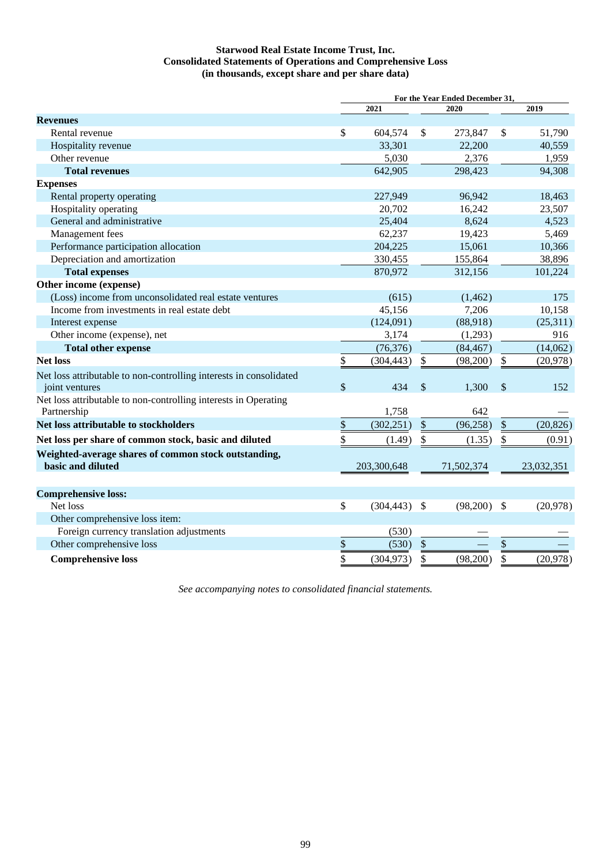## <span id="page-98-0"></span>**Starwood Real Estate Income Trust, Inc. Consolidated Statements of Operations and Comprehensive Loss (in thousands, except share and per share data)**

|                                                                    | For the Year Ended December 31, |                 |               |               |                   |            |
|--------------------------------------------------------------------|---------------------------------|-----------------|---------------|---------------|-------------------|------------|
|                                                                    |                                 | 2021            |               | 2020          |                   | 2019       |
| <b>Revenues</b>                                                    |                                 |                 |               |               |                   |            |
| Rental revenue                                                     | \$                              | 604,574         | $\mathcal{S}$ | 273,847       | \$                | 51,790     |
| Hospitality revenue                                                |                                 | 33,301          |               | 22,200        |                   | 40,559     |
| Other revenue                                                      |                                 | 5,030           |               | 2,376         |                   | 1,959      |
| <b>Total revenues</b>                                              |                                 | 642,905         |               | 298,423       |                   | 94,308     |
| <b>Expenses</b>                                                    |                                 |                 |               |               |                   |            |
| Rental property operating                                          |                                 | 227,949         |               | 96,942        |                   | 18,463     |
| Hospitality operating                                              |                                 | 20,702          |               | 16,242        |                   | 23,507     |
| General and administrative                                         |                                 | 25,404          |               | 8,624         |                   | 4,523      |
| Management fees                                                    |                                 | 62,237          |               | 19,423        |                   | 5,469      |
| Performance participation allocation                               |                                 | 204,225         |               | 15,061        |                   | 10,366     |
| Depreciation and amortization                                      |                                 | 330,455         |               | 155,864       |                   | 38,896     |
| <b>Total expenses</b>                                              |                                 | 870,972         |               | 312,156       |                   | 101,224    |
| Other income (expense)                                             |                                 |                 |               |               |                   |            |
| (Loss) income from unconsolidated real estate ventures             |                                 | (615)           |               | (1, 462)      |                   | 175        |
| Income from investments in real estate debt                        |                                 | 45,156          |               | 7,206         |                   | 10,158     |
| Interest expense                                                   |                                 | (124,091)       |               | (88,918)      |                   | (25,311)   |
| Other income (expense), net                                        |                                 | 3,174           |               | (1,293)       |                   | 916        |
| <b>Total other expense</b>                                         |                                 | (76, 376)       |               | (84, 467)     |                   | (14,062)   |
| <b>Net loss</b>                                                    | \$                              | (304, 443)      | \$            | (98,200)      | \$                | (20, 978)  |
| Net loss attributable to non-controlling interests in consolidated |                                 |                 |               |               |                   |            |
| joint ventures                                                     | \$                              | 434             | $\sqrt$       | 1,300         | \$                | 152        |
| Net loss attributable to non-controlling interests in Operating    |                                 |                 |               |               |                   |            |
| Partnership                                                        |                                 | 1,758           |               | 642           |                   |            |
| Net loss attributable to stockholders                              | \$                              | (302, 251)      | $\sqrt$       | (96, 258)     | $\$\,$            | (20, 826)  |
| Net loss per share of common stock, basic and diluted              | \$                              | (1.49)          | \$            | (1.35)        | \$                | (0.91)     |
| Weighted-average shares of common stock outstanding,               |                                 |                 |               |               |                   |            |
| basic and diluted                                                  |                                 | 203,300,648     |               | 71,502,374    |                   | 23,032,351 |
|                                                                    |                                 |                 |               |               |                   |            |
| <b>Comprehensive loss:</b>                                         |                                 |                 |               |               |                   |            |
| Net loss                                                           | \$                              | $(304, 443)$ \$ |               | $(98,200)$ \$ |                   | (20,978)   |
| Other comprehensive loss item:                                     |                                 |                 |               |               |                   |            |
| Foreign currency translation adjustments                           |                                 | (530)           |               |               |                   |            |
| Other comprehensive loss                                           | \$                              | (530)           | $\$\,$        |               | $\boldsymbol{\$}$ |            |
| <b>Comprehensive loss</b>                                          | \$                              | (304, 973)      | \$            | (98,200)      | \$                | (20,978)   |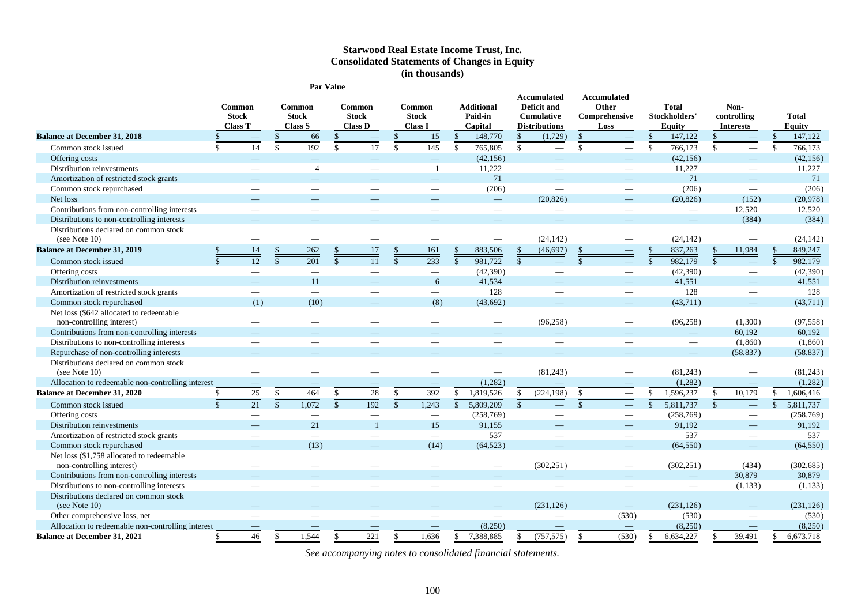### <span id="page-99-0"></span>**Starwood Real Estate Income Trust, Inc. Consolidated Statements of Changes in Equity (in thousands)**

|                                                   | <b>Par Value</b>   |                                          |                           |                                          |                    |                                          |                    |                                          |               |                                         |               |                                                                         |               |                                                      |                    |                                                |              |                                         |               |                               |
|---------------------------------------------------|--------------------|------------------------------------------|---------------------------|------------------------------------------|--------------------|------------------------------------------|--------------------|------------------------------------------|---------------|-----------------------------------------|---------------|-------------------------------------------------------------------------|---------------|------------------------------------------------------|--------------------|------------------------------------------------|--------------|-----------------------------------------|---------------|-------------------------------|
|                                                   |                    | Common<br><b>Stock</b><br><b>Class T</b> |                           | Common<br><b>Stock</b><br><b>Class S</b> |                    | Common<br><b>Stock</b><br><b>Class D</b> |                    | Common<br><b>Stock</b><br><b>Class I</b> |               | <b>Additional</b><br>Paid-in<br>Capital |               | Accumulated<br>Deficit and<br><b>Cumulative</b><br><b>Distributions</b> |               | Accumulated<br><b>Other</b><br>Comprehensive<br>Loss |                    | <b>Total</b><br>Stockholders'<br><b>Equity</b> |              | Non-<br>controlling<br><b>Interests</b> |               | <b>Total</b><br><b>Equity</b> |
| <b>Balance at December 31, 2018</b>               |                    |                                          | \$.                       | 66                                       | $\mathcal{S}$      |                                          | \$.                | 15                                       | -\$           | 148,770                                 | $\mathcal{S}$ | (1,729)                                                                 | $\mathcal{S}$ |                                                      | \$                 | 147,122                                        |              |                                         | \$            | 147,122                       |
| Common stock issued                               | \$                 | 14                                       | \$                        | $\overline{192}$                         | $\mathbb{S}$       | 17                                       | $\mathbb{S}$       | $\overline{145}$                         | <sup>\$</sup> | 765,805                                 | $\mathbf{s}$  | $\overline{\phantom{0}}$                                                | $\mathbb{S}$  | $\overline{\phantom{0}}$                             | \$.                | 766,173                                        | \$           |                                         | \$            | 766.173                       |
| Offering costs                                    |                    |                                          |                           | $\overline{\phantom{0}}$                 |                    | <u>e a</u>                               |                    |                                          |               | (42, 156)                               |               |                                                                         |               |                                                      |                    | (42, 156)                                      |              |                                         |               | (42, 156)                     |
| Distribution reinvestments                        |                    |                                          |                           | $\overline{4}$                           |                    | $\overline{\phantom{0}}$                 |                    | -1                                       |               | 11,222                                  |               |                                                                         |               | $\overline{\phantom{0}}$                             |                    | 11,227                                         |              |                                         |               | 11,227                        |
| Amortization of restricted stock grants           |                    |                                          |                           |                                          |                    |                                          |                    |                                          |               | 71                                      |               |                                                                         |               |                                                      |                    | 71                                             |              |                                         |               | 71                            |
| Common stock repurchased                          |                    |                                          |                           | $\overline{\phantom{0}}$                 |                    | $\overline{\phantom{0}}$                 |                    | $\overline{\phantom{0}}$                 |               | (206)                                   |               | $\overline{\phantom{0}}$                                                |               |                                                      |                    | (206)                                          |              | $\equiv$                                |               | (206)                         |
| Net loss                                          |                    |                                          |                           |                                          |                    |                                          |                    |                                          |               | $\overline{\phantom{m}}$                |               | (20, 826)                                                               |               |                                                      |                    | (20, 826)                                      |              | (152)                                   |               | (20,978)                      |
| Contributions from non-controlling interests      |                    |                                          |                           |                                          |                    |                                          |                    |                                          |               |                                         |               | $\equiv$                                                                |               |                                                      |                    | $\overline{\phantom{a}}$                       |              | 12,520                                  |               | 12,520                        |
| Distributions to non-controlling interests        |                    |                                          |                           |                                          |                    |                                          |                    |                                          |               |                                         |               |                                                                         |               |                                                      |                    |                                                |              | (384)                                   |               | (384)                         |
| Distributions declared on common stock            |                    |                                          |                           |                                          |                    |                                          |                    |                                          |               |                                         |               |                                                                         |               |                                                      |                    |                                                |              |                                         |               |                               |
| (see Note $10$ )                                  |                    |                                          |                           |                                          |                    |                                          |                    |                                          |               |                                         |               | (24, 142)                                                               |               |                                                      |                    | (24, 142)                                      |              |                                         |               | (24, 142)                     |
| <b>Balance at December 31, 2019</b>               |                    | $\frac{14}{1}$                           | \$                        | 262                                      | \$                 | $17\,$                                   | $\mathcal{S}$      | 161                                      | <sup>\$</sup> | 883,506                                 |               | (46, 697)                                                               | $\mathcal{S}$ |                                                      | \$                 | 837,263                                        | \$           | 11,984                                  | \$            | 849,247                       |
| Common stock issued                               |                    | 12                                       | $\overline{\overline{s}}$ | 201                                      | $\mathcal{S}$      | 11                                       | $\mathbf{\hat{S}}$ | 233                                      | $\mathcal{S}$ | 981,722                                 | $\mathbb{S}$  |                                                                         | $\mathcal{S}$ |                                                      | $\mathbf{\hat{S}}$ | 982,179                                        | $\mathbb{S}$ |                                         | $\mathcal{S}$ | 982,179                       |
| Offering costs                                    |                    |                                          |                           | $\overline{\phantom{a}}$                 |                    | $\overline{\phantom{0}}$                 |                    | $\overline{\phantom{0}}$                 |               | (42,390)                                |               |                                                                         |               | $\overline{\phantom{m}}$                             |                    | (42, 390)                                      |              | $\overline{\phantom{0}}$                |               | (42,390)                      |
| Distribution reinvestments                        |                    |                                          |                           | 11                                       |                    |                                          |                    | 6                                        |               | 41,534                                  |               |                                                                         |               |                                                      |                    | 41,551                                         |              |                                         |               | 41,551                        |
| Amortization of restricted stock grants           |                    |                                          |                           |                                          |                    | $\overline{\phantom{0}}$                 |                    | $\equiv$                                 |               | 128                                     |               | $\overline{\phantom{0}}$                                                |               | $\overline{\phantom{0}}$                             |                    | 128                                            |              | $\equiv$                                |               | 128                           |
| Common stock repurchased                          |                    | (1)                                      |                           | (10)                                     |                    |                                          |                    | (8)                                      |               | (43, 692)                               |               |                                                                         |               |                                                      |                    | (43,711)                                       |              |                                         |               | (43,711)                      |
| Net loss (\$642 allocated to redeemable           |                    |                                          |                           |                                          |                    |                                          |                    |                                          |               |                                         |               |                                                                         |               |                                                      |                    |                                                |              |                                         |               |                               |
| non-controlling interest)                         |                    |                                          |                           |                                          |                    |                                          |                    |                                          |               |                                         |               | (96, 258)                                                               |               |                                                      |                    | (96, 258)                                      |              | (1,300)                                 |               | (97, 558)                     |
| Contributions from non-controlling interests      |                    |                                          |                           |                                          |                    |                                          |                    |                                          |               |                                         |               |                                                                         |               |                                                      |                    | $\overline{\phantom{m}}$                       |              | 60,192                                  |               | 60,192                        |
| Distributions to non-controlling interests        |                    |                                          |                           |                                          |                    | $\overline{\phantom{0}}$                 |                    | $\overline{\phantom{0}}$                 |               |                                         |               |                                                                         |               | $\overline{\phantom{0}}$                             |                    | $\equiv$                                       |              | (1,860)                                 |               | (1,860)                       |
| Repurchase of non-controlling interests           |                    |                                          |                           |                                          |                    |                                          |                    |                                          |               |                                         |               |                                                                         |               |                                                      |                    |                                                |              | (58, 837)                               |               | (58, 837)                     |
| Distributions declared on common stock            |                    |                                          |                           |                                          |                    |                                          |                    |                                          |               |                                         |               |                                                                         |               |                                                      |                    |                                                |              |                                         |               |                               |
| (see Note $10$ )                                  |                    |                                          |                           |                                          |                    |                                          |                    |                                          |               |                                         |               | (81,243)                                                                |               | $\overbrace{\phantom{1232211}}$                      |                    | (81,243)                                       |              | $\frac{1}{2}$                           |               | (81,243)                      |
| Allocation to redeemable non-controlling interest |                    |                                          |                           | $\overline{\phantom{a}}$                 |                    |                                          |                    | $\overline{\phantom{m}}$                 |               | (1,282)                                 |               | $\overline{\phantom{a}}$                                                |               |                                                      |                    | (1,282)                                        |              |                                         |               | (1,282)                       |
| <b>Balance at December 31, 2020</b>               |                    | $\frac{25}{2}$                           | \$.                       | 464                                      | \$                 | $28\,$                                   | \$                 | 392                                      | \$.           | 1,819,526                               |               | (224, 198)                                                              | \$            | $\qquad \qquad -$                                    | \$.                | 1,596,237                                      | \$           | 10,179                                  | \$            | 1,606,416                     |
| Common stock issued                               | $\hat{\mathbf{x}}$ | 21                                       | $\mathbb{S}$              | 1.072                                    | $\hat{\mathbf{S}}$ | $\overline{192}$                         | $\mathbb{S}$       | 1,243                                    | $\mathcal{S}$ | 5,809,209                               | $\mathcal{S}$ |                                                                         | $\mathcal{S}$ |                                                      |                    | 5,811,737                                      | $\mathbb{S}$ |                                         | $\mathbb{S}$  | 5,811,737                     |
| Offering costs                                    |                    |                                          |                           |                                          |                    |                                          |                    |                                          |               | (258, 769)                              |               |                                                                         |               | $\overline{\phantom{0}}$                             |                    | (258, 769)                                     |              |                                         |               | (258, 769)                    |
| Distribution reinvestments                        |                    |                                          |                           | 21                                       |                    | $\overline{1}$                           |                    | 15                                       |               | 91,155                                  |               |                                                                         |               |                                                      |                    | 91,192                                         |              |                                         |               | 91,192                        |
| Amortization of restricted stock grants           |                    | $\overline{\phantom{0}}$                 |                           | $\overline{\phantom{m}}$                 |                    |                                          |                    |                                          |               | 537                                     |               |                                                                         |               |                                                      |                    | 537                                            |              |                                         |               | 537                           |
| Common stock repurchased                          |                    |                                          |                           | (13)                                     |                    |                                          |                    | (14)                                     |               | (64, 523)                               |               |                                                                         |               |                                                      |                    | (64, 550)                                      |              |                                         |               | (64, 550)                     |
| Net loss (\$1,758 allocated to redeemable         |                    |                                          |                           |                                          |                    |                                          |                    |                                          |               |                                         |               |                                                                         |               |                                                      |                    |                                                |              |                                         |               |                               |
| non-controlling interest)                         |                    |                                          |                           |                                          |                    |                                          |                    |                                          |               |                                         |               | (302, 251)                                                              |               |                                                      |                    | (302, 251)                                     |              | (434)                                   |               | (302, 685)                    |
| Contributions from non-controlling interests      |                    |                                          |                           |                                          |                    |                                          |                    |                                          |               |                                         |               |                                                                         |               |                                                      |                    |                                                |              | 30,879                                  |               | 30,879                        |
| Distributions to non-controlling interests        |                    |                                          |                           |                                          |                    |                                          |                    |                                          |               |                                         |               |                                                                         |               |                                                      |                    | $\overline{\phantom{m}}$                       |              | (1,133)                                 |               | (1, 133)                      |
| Distributions declared on common stock            |                    |                                          |                           |                                          |                    |                                          |                    |                                          |               |                                         |               |                                                                         |               |                                                      |                    |                                                |              |                                         |               |                               |
| (see Note $10$ )                                  |                    |                                          |                           |                                          |                    |                                          |                    |                                          |               |                                         |               | (231, 126)                                                              |               |                                                      |                    | (231, 126)                                     |              |                                         |               | (231, 126)                    |
| Other comprehensive loss, net                     |                    |                                          |                           |                                          |                    | $\overline{\phantom{0}}$                 |                    |                                          |               |                                         |               |                                                                         |               | (530)                                                |                    | (530)                                          |              | $\overline{\phantom{m}}$                |               | (530)                         |
| Allocation to redeemable non-controlling interest |                    |                                          |                           |                                          |                    |                                          |                    |                                          |               | (8,250)                                 |               |                                                                         |               |                                                      |                    | (8,250)                                        |              |                                         |               | (8,250)                       |
| <b>Balance at December 31, 2021</b>               | \$                 | 46                                       | \$.                       | 1.544                                    | $\mathcal{S}$      | 221                                      | \$                 | 1,636                                    | \$.           | 7,388,885                               |               | (757, 575)                                                              | -\$           | (530)                                                | \$                 | 6,634,227                                      | \$           | 39,491                                  | \$            | 6,673,718                     |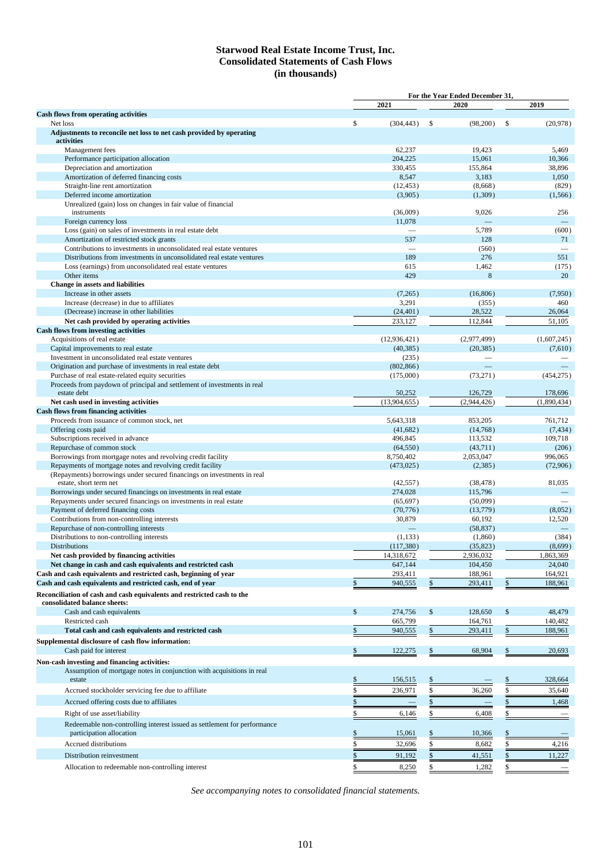### <span id="page-100-0"></span>**Starwood Real Estate Income Trust, Inc. Consolidated Statements of Cash Flows (in thousands)**

|                                                                                             |    | For the Year Ended December 31, |               |                      |               |             |
|---------------------------------------------------------------------------------------------|----|---------------------------------|---------------|----------------------|---------------|-------------|
|                                                                                             |    | 2021                            |               | 2020                 |               | 2019        |
| <b>Cash flows from operating activities</b>                                                 |    |                                 |               |                      |               |             |
| Net loss                                                                                    | \$ | (304, 443)                      | \$            | (98,200)             | <sup>\$</sup> | (20,978)    |
| Adjustments to reconcile net loss to net cash provided by operating<br>activities           |    |                                 |               |                      |               |             |
| Management fees                                                                             |    | 62,237                          |               | 19,423               |               | 5,469       |
| Performance participation allocation                                                        |    | 204,225                         |               | 15,061               |               | 10,366      |
| Depreciation and amortization                                                               |    | 330,455                         |               | 155,864              |               | 38,896      |
| Amortization of deferred financing costs                                                    |    | 8,547                           |               | 3,183                |               | 1,050       |
| Straight-line rent amortization                                                             |    | (12, 453)                       |               | (8,668)              |               | (829)       |
| Deferred income amortization                                                                |    | (3,905)                         |               | (1,309)              |               | (1, 566)    |
| Unrealized (gain) loss on changes in fair value of financial                                |    |                                 |               |                      |               |             |
| instruments                                                                                 |    | (36,009)                        |               | 9,026                |               | 256         |
| Foreign currency loss                                                                       |    | 11,078                          |               |                      |               |             |
| Loss (gain) on sales of investments in real estate debt                                     |    |                                 |               | 5,789                |               | (600)       |
| Amortization of restricted stock grants                                                     |    | 537                             |               | 128                  |               | 71          |
| Contributions to investments in unconsolidated real estate ventures                         |    |                                 |               | (560)                |               |             |
| Distributions from investments in unconsolidated real estate ventures                       |    | 189                             |               | 276                  |               | 551         |
| Loss (earnings) from unconsolidated real estate ventures                                    |    | 615                             |               | 1,462                |               | (175)       |
| Other items                                                                                 |    | 429                             |               | 8                    |               | 20          |
| Change in assets and liabilities<br>Increase in other assets                                |    | (7,265)                         |               | (16, 806)            |               | (7,950)     |
| Increase (decrease) in due to affiliates                                                    |    | 3,291                           |               | (355)                |               | 460         |
| (Decrease) increase in other liabilities                                                    |    | (24, 401)                       |               | 28,522               |               | 26,064      |
| Net cash provided by operating activities                                                   |    | 233,127                         |               | 112,844              |               | 51,105      |
| <b>Cash flows from investing activities</b>                                                 |    |                                 |               |                      |               |             |
| Acquisitions of real estate                                                                 |    | (12, 936, 421)                  |               | (2,977,499)          |               | (1,607,245) |
| Capital improvements to real estate                                                         |    | (40, 385)                       |               | (20, 385)            |               | (7,610)     |
| Investment in unconsolidated real estate ventures                                           |    | (235)                           |               |                      |               |             |
| Origination and purchase of investments in real estate debt                                 |    | (802, 866)                      |               |                      |               |             |
| Purchase of real estate-related equity securities                                           |    | (175,000)                       |               | (73, 271)            |               | (454, 275)  |
| Proceeds from paydown of principal and settlement of investments in real                    |    |                                 |               |                      |               |             |
| estate debt                                                                                 |    | 50,252                          |               | 126,729              |               | 178,696     |
| Net cash used in investing activities                                                       |    | (13,904,655)                    |               | (2,944,426)          |               | (1,890,434) |
| <b>Cash flows from financing activities</b>                                                 |    |                                 |               |                      |               |             |
| Proceeds from issuance of common stock, net                                                 |    | 5,643,318                       |               | 853,205              |               | 761,712     |
| Offering costs paid                                                                         |    | (41,682)                        |               | (14,768)             |               | (7, 434)    |
| Subscriptions received in advance                                                           |    | 496,845                         |               | 113,532              |               | 109,718     |
| Repurchase of common stock                                                                  |    | (64, 550)                       |               | (43,711)             |               | (206)       |
| Borrowings from mortgage notes and revolving credit facility                                |    | 8,750,402                       |               | 2,053,047            |               | 996,065     |
| Repayments of mortgage notes and revolving credit facility                                  |    | (473, 025)                      |               | (2,385)              |               | (72,906)    |
| (Repayments) borrowings under secured financings on investments in real                     |    |                                 |               |                      |               |             |
| estate, short term net<br>Borrowings under secured financings on investments in real estate |    | (42, 557)<br>274,028            |               | (38, 478)<br>115,796 |               | 81,035      |
| Repayments under secured financings on investments in real estate                           |    | (65, 697)                       |               | (50,099)             |               |             |
| Payment of deferred financing costs                                                         |    | (70, 776)                       |               | (13,779)             |               | (8,052)     |
| Contributions from non-controlling interests                                                |    | 30,879                          |               | 60,192               |               | 12,520      |
| Repurchase of non-controlling interests                                                     |    |                                 |               | (58, 837)            |               |             |
| Distributions to non-controlling interests                                                  |    | (1,133)                         |               | (1,860)              |               | (384)       |
| <b>Distributions</b>                                                                        |    | (117,380)                       |               | (35,823)             |               | (8,699)     |
| Net cash provided by financing activities                                                   |    | 14,318,672                      |               | 2,936,032            |               | 1,863,369   |
| Net change in cash and cash equivalents and restricted cash                                 |    | 647,144                         |               | 104,450              |               | 24,040      |
| Cash and cash equivalents and restricted cash, beginning of year                            |    | 293,411                         |               | 188,961              |               | 164,921     |
| Cash and cash equivalents and restricted cash, end of year                                  | \$ | 940,555                         | \$            | 293,411              | \$            | 188,961     |
| Reconciliation of cash and cash equivalents and restricted cash to the                      |    |                                 |               |                      |               |             |
| consolidated balance sheets:                                                                |    |                                 |               |                      |               |             |
| Cash and cash equivalents                                                                   | \$ | 274,756                         | \$            | 128,650              | \$            | 48,479      |
| Restricted cash                                                                             |    | 665,799                         |               | 164,761              |               | 140,482     |
| Total cash and cash equivalents and restricted cash                                         | \$ | 940,555                         | \$            | 293,411              | $\frac{1}{2}$ | 188,961     |
| Supplemental disclosure of cash flow information:                                           |    |                                 |               |                      |               |             |
| Cash paid for interest                                                                      | S  | 122,275                         | \$            | 68,904               | $\frac{1}{2}$ | 20,693      |
|                                                                                             |    |                                 |               |                      |               |             |
| Non-cash investing and financing activities:                                                |    |                                 |               |                      |               |             |
| Assumption of mortgage notes in conjunction with acquisitions in real<br>estate             | S  | 156,515                         | \$            |                      | \$            | 328,664     |
|                                                                                             |    |                                 |               |                      |               |             |
| Accrued stockholder servicing fee due to affiliate                                          | \$ | 236,971                         | \$            | 36,260               | \$            | 35,640      |
| Accrued offering costs due to affiliates                                                    | \$ |                                 | $\frac{1}{2}$ |                      | \$            | 1,468       |
| Right of use asset/liability                                                                | \$ | 6,146                           | \$            | 6,408                | $\frac{1}{2}$ |             |
| Redeemable non-controlling interest issued as settlement for performance                    |    |                                 |               |                      |               |             |
| participation allocation                                                                    | \$ | 15,061                          | \$            | 10,366               | \$            |             |
| <b>Accrued distributions</b>                                                                | \$ | 32,696                          | \$            | 8,682                | \$            | 4,216       |
| Distribution reinvestment                                                                   |    | 91,192                          |               |                      |               |             |
|                                                                                             | \$ |                                 | \$            | 41,551               | $\frac{1}{2}$ | 11,227      |
| Allocation to redeemable non-controlling interest                                           | \$ | 8,250                           | \$            | 1,282                | \$            |             |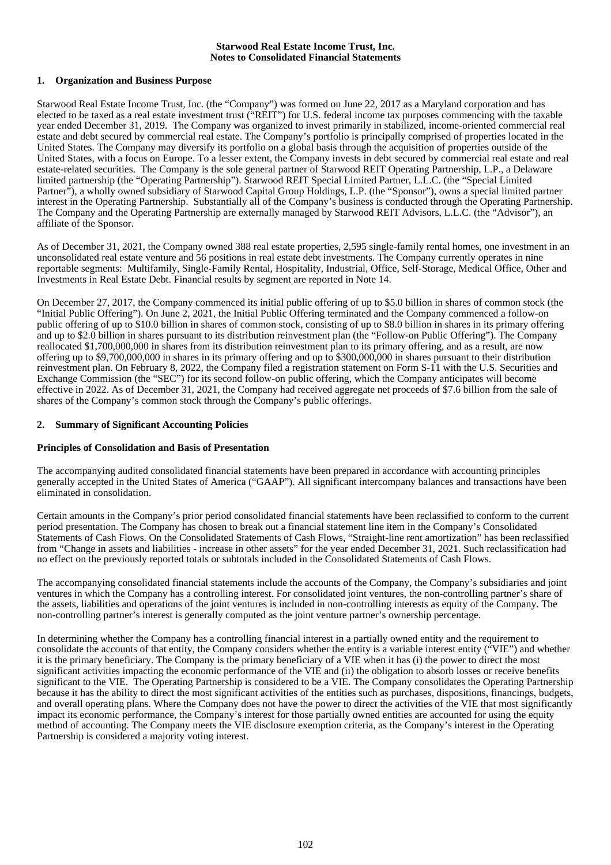## <span id="page-101-0"></span>**1. Organization and Business Purpose**

Starwood Real Estate Income Trust, Inc. (the "Company") was formed on June 22, 2017 as a Maryland corporation and has elected to be taxed as a real estate investment trust ("REIT") for U.S. federal income tax purposes commencing with the taxable year ended December 31, 2019. The Company was organized to invest primarily in stabilized, income-oriented commercial real estate and debt secured by commercial real estate. The Company's portfolio is principally comprised of properties located in the United States. The Company may diversify its portfolio on a global basis through the acquisition of properties outside of the United States, with a focus on Europe. To a lesser extent, the Company invests in debt secured by commercial real estate and real estate-related securities. The Company is the sole general partner of Starwood REIT Operating Partnership, L.P., a Delaware limited partnership (the "Operating Partnership"). Starwood REIT Special Limited Partner, L.L.C. (the "Special Limited Partner"), a wholly owned subsidiary of Starwood Capital Group Holdings, L.P. (the "Sponsor"), owns a special limited partner interest in the Operating Partnership. Substantially all of the Company's business is conducted through the Operating Partnership. The Company and the Operating Partnership are externally managed by Starwood REIT Advisors, L.L.C. (the "Advisor"), an affiliate of the Sponsor.

As of December 31, 2021, the Company owned 388 real estate properties, 2,595 single-family rental homes, one investment in an unconsolidated real estate venture and 56 positions in real estate debt investments. The Company currently operates in nine reportable segments: Multifamily, Single-Family Rental, Hospitality, Industrial, Office, Self-Storage, Medical Office, Other and Investments in Real Estate Debt. Financial results by segment are reported in Note 14.

On December 27, 2017, the Company commenced its initial public offering of up to \$5.0 billion in shares of common stock (the "Initial Public Offering"). On June 2, 2021, the Initial Public Offering terminated and the Company commenced a follow-on public offering of up to \$10.0 billion in shares of common stock, consisting of up to \$8.0 billion in shares in its primary offering and up to \$2.0 billion in shares pursuant to its distribution reinvestment plan (the "Follow-on Public Offering"). The Company reallocated \$1,700,000,000 in shares from its distribution reinvestment plan to its primary offering, and as a result, are now offering up to \$9,700,000,000 in shares in its primary offering and up to \$300,000,000 in shares pursuant to their distribution reinvestment plan. On February 8, 2022, the Company filed a registration statement on Form  $S-11$  with the U.S. Securities and Exchange Commission (the "SEC") for its second follow-on public offering, which the Company anticipates will become effective in 2022. As of December 31, 2021, the Company had received aggregate net proceeds of \$7.6 billion from the sale of shares of the Company's common stock through the Company's public offerings.

### **2. Summary of Significant Accounting Policies**

### **Principles of Consolidation and Basis of Presentation**

The accompanying audited consolidated financial statements have been prepared in accordance with accounting principles generally accepted in the United States of America ("GAAP"). All significant intercompany balances and transactions have been eliminated in consolidation.

Certain amounts in the Company's prior period consolidated financial statements have been reclassified to conform to the current period presentation. The Company has chosen to break out a financial statement line item in the Company's Consolidated Statements of Cash Flows. On the Consolidated Statements of Cash Flows, "Straight-line rent amortization" has been reclassified from "Change in assets and liabilities - increase in other assets" for the year ended December 31, 2021. Such reclassification had no effect on the previously reported totals or subtotals included in the Consolidated Statements of Cash Flows.

The accompanying consolidated financial statements include the accounts of the Company, the Company's subsidiaries and joint ventures in which the Company has a controlling interest. For consolidated joint ventures, the non-controlling partner's share of the assets, liabilities and operations of the joint ventures is included in non-controlling interests as equity of the Company. The non-controlling partner's interest is generally computed as the joint venture partner's ownership percentage.

In determining whether the Company has a controlling financial interest in a partially owned entity and the requirement to consolidate the accounts of that entity, the Company considers whether the entity is a variable interest entity ("VIE") and whether it is the primary beneficiary. The Company is the primary beneficiary of a VIE when it has (i) the power to direct the most significant activities impacting the economic performance of the VIE and (ii) the obligation to absorb losses or receive benefits significant to the VIE. The Operating Partnership is considered to be a VIE. The Company consolidates the Operating Partnership because it has the ability to direct the most significant activities of the entities such as purchases, dispositions, financings, budgets, and overall operating plans. Where the Company does not have the power to direct the activities of the VIE that most significantly impact its economic performance, the Company's interest for those partially owned entities are accounted for using the equity method of accounting. The Company meets the VIE disclosure exemption criteria, as the Company's interest in the Operating Partnership is considered a majority voting interest.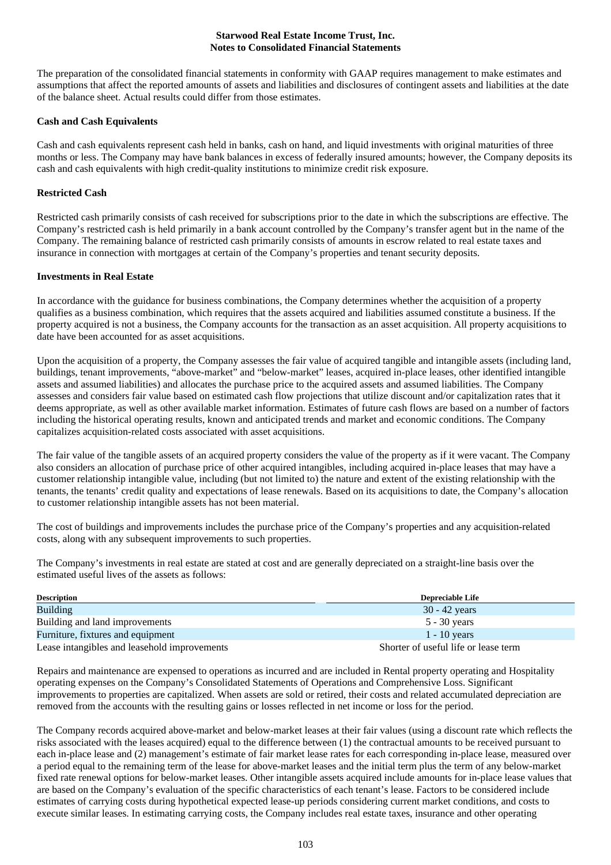The preparation of the consolidated financial statements in conformity with GAAP requires management to make estimates and assumptions that affect the reported amounts of assets and liabilities and disclosures of contingent assets and liabilities at the date of the balance sheet. Actual results could differ from those estimates.

## **Cash and Cash Equivalents**

Cash and cash equivalents represent cash held in banks, cash on hand, and liquid investments with original maturities of three months or less. The Company may have bank balances in excess of federally insured amounts; however, the Company deposits its cash and cash equivalents with high credit-quality institutions to minimize credit risk exposure.

## **Restricted Cash**

Restricted cash primarily consists of cash received for subscriptions prior to the date in which the subscriptions are effective. The Company's restricted cash is held primarily in a bank account controlled by the Company's transfer agent but in the name of the Company. The remaining balance of restricted cash primarily consists of amounts in escrow related to real estate taxes and insurance in connection with mortgages at certain of the Company's properties and tenant security deposits.

## **Investments in Real Estate**

In accordance with the guidance for business combinations, the Company determines whether the acquisition of a property qualifies as a business combination, which requires that the assets acquired and liabilities assumed constitute a business. If the property acquired is not a business, the Company accounts for the transaction as an asset acquisition. All property acquisitions to date have been accounted for as asset acquisitions.

Upon the acquisition of a property, the Company assesses the fair value of acquired tangible and intangible assets (including land, buildings, tenant improvements, "above-market" and "below-market" leases, acquired in-place leases, other identified intangible assets and assumed liabilities) and allocates the purchase price to the acquired assets and assumed liabilities. The Company assesses and considers fair value based on estimated cash flow projections that utilize discount and/or capitalization rates that it deems appropriate, as well as other available market information. Estimates of future cash flows are based on a number of factors including the historical operating results, known and anticipated trends and market and economic conditions. The Company capitalizes acquisition-related costs associated with asset acquisitions.

The fair value of the tangible assets of an acquired property considers the value of the property as if it were vacant. The Company also considers an allocation of purchase price of other acquired intangibles, including acquired in-place leases that may have a customer relationship intangible value, including (but not limited to) the nature and extent of the existing relationship with the tenants, the tenants' credit quality and expectations of lease renewals. Based on its acquisitions to date, the Company's allocation to customer relationship intangible assets has not been material.

The cost of buildings and improvements includes the purchase price of the Company's properties and any acquisition-related costs, along with any subsequent improvements to such properties.

The Company's investments in real estate are stated at cost and are generally depreciated on a straight-line basis over the estimated useful lives of the assets as follows:

| <b>Description</b>                           | <b>Depreciable Life</b>              |
|----------------------------------------------|--------------------------------------|
| <b>Building</b>                              | $30 - 42$ years                      |
| Building and land improvements               | $5 - 30$ years                       |
| Furniture, fixtures and equipment            | $1 - 10$ years                       |
| Lease intangibles and leasehold improvements | Shorter of useful life or lease term |

Repairs and maintenance are expensed to operations as incurred and are included in Rental property operating and Hospitality operating expenses on the Company's Consolidated Statements of Operations and Comprehensive Loss. Significant improvements to properties are capitalized. When assets are sold or retired, their costs and related accumulated depreciation are removed from the accounts with the resulting gains or losses reflected in net income or loss for the period.

The Company records acquired above-market and below-market leases at their fair values (using a discount rate which reflects the risks associated with the leases acquired) equal to the difference between (1) the contractual amounts to be received pursuant to each in-place lease and (2) management's estimate of fair market lease rates for each corresponding in-place lease, measured over a period equal to the remaining term of the lease for above-market leases and the initial term plus the term of any below-market fixed rate renewal options for below-market leases. Other intangible assets acquired include amounts for in-place lease values that are based on the Company's evaluation of the specific characteristics of each tenant's lease. Factors to be considered include estimates of carrying costs during hypothetical expected lease-up periods considering current market conditions, and costs to execute similar leases. In estimating carrying costs, the Company includes real estate taxes, insurance and other operating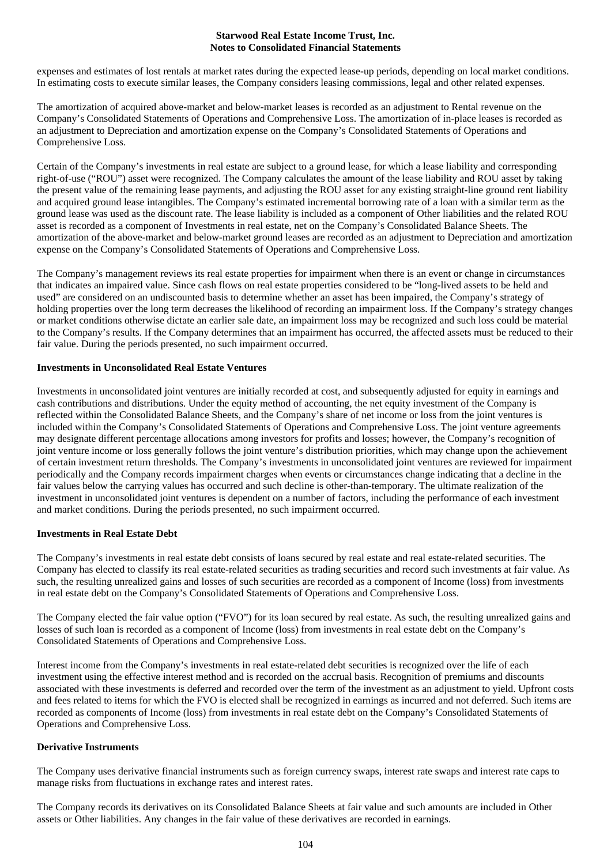expenses and estimates of lost rentals at market rates during the expected lease-up periods, depending on local market conditions. In estimating costs to execute similar leases, the Company considers leasing commissions, legal and other related expenses.

The amortization of acquired above-market and below-market leases is recorded as an adjustment to Rental revenue on the Company's Consolidated Statements of Operations and Comprehensive Loss. The amortization of in-place leases is recorded as an adjustment to Depreciation and amortization expense on the Company's Consolidated Statements of Operations and Comprehensive Loss.

Certain of the Company's investments in real estate are subject to a ground lease, for which a lease liability and corresponding right-of-use ("ROU") asset were recognized. The Company calculates the amount of the lease liability and ROU asset by taking the present value of the remaining lease payments, and adjusting the ROU asset for any existing straight-line ground rent liability and acquired ground lease intangibles. The Company's estimated incremental borrowing rate of a loan with a similar term as the ground lease was used as the discount rate. The lease liability is included as a component of Other liabilities and the related ROU asset is recorded as a component of Investments in real estate, net on the Company's Consolidated Balance Sheets. The amortization of the above-market and below-market ground leases are recorded as an adjustment to Depreciation and amortization expense on the Company's Consolidated Statements of Operations and Comprehensive Loss.

The Company's management reviews its real estate properties for impairment when there is an event or change in circumstances that indicates an impaired value. Since cash flows on real estate properties considered to be "long-lived assets to be held and used" are considered on an undiscounted basis to determine whether an asset has been impaired, the Company's strategy of holding properties over the long term decreases the likelihood of recording an impairment loss. If the Company's strategy changes or market conditions otherwise dictate an earlier sale date, an impairment loss may be recognized and such loss could be material to the Company's results. If the Company determines that an impairment has occurred, the affected assets must be reduced to their fair value. During the periods presented, no such impairment occurred.

## **Investments in Unconsolidated Real Estate Ventures**

Investments in unconsolidated joint ventures are initially recorded at cost, and subsequently adjusted for equity in earnings and cash contributions and distributions. Under the equity method of accounting, the net equity investment of the Company is reflected within the Consolidated Balance Sheets, and the Company's share of net income or loss from the joint ventures is included within the Company's Consolidated Statements of Operations and Comprehensive Loss. The joint venture agreements may designate different percentage allocations among investors for profits and losses; however, the Company's recognition of joint venture income or loss generally follows the joint venture's distribution priorities, which may change upon the achievement of certain investment return thresholds. The Company's investments in unconsolidated joint ventures are reviewed for impairment periodically and the Company records impairment charges when events or circumstances change indicating that a decline in the fair values below the carrying values has occurred and such decline is other-than-temporary. The ultimate realization of the investment in unconsolidated joint ventures is dependent on a number of factors, including the performance of each investment and market conditions. During the periods presented, no such impairment occurred.

# **Investments in Real Estate Debt**

The Company's investments in real estate debt consists of loans secured by real estate and real estate-related securities. The Company has elected to classify its real estate-related securities as trading securities and record such investments at fair value. As such, the resulting unrealized gains and losses of such securities are recorded as a component of Income (loss) from investments in real estate debt on the Company's Consolidated Statements of Operations and Comprehensive Loss.

The Company elected the fair value option ("FVO") for its loan secured by real estate. As such, the resulting unrealized gains and losses of such loan is recorded as a component of Income (loss) from investments in real estate debt on the Company's Consolidated Statements of Operations and Comprehensive Loss.

Interest income from the Company's investments in real estate-related debt securities is recognized over the life of each investment using the effective interest method and is recorded on the accrual basis. Recognition of premiums and discounts associated with these investments is deferred and recorded over the term of the investment as an adjustment to yield. Upfront costs and fees related to items for which the FVO is elected shall be recognized in earnings as incurred and not deferred. Such items are recorded as components of Income (loss) from investments in real estate debt on the Company's Consolidated Statements of Operations and Comprehensive Loss.

# **Derivative Instruments**

The Company uses derivative financial instruments such as foreign currency swaps, interest rate swaps and interest rate caps to manage risks from fluctuations in exchange rates and interest rates.

The Company records its derivatives on its Consolidated Balance Sheets at fair value and such amounts are included in Other assets or Other liabilities. Any changes in the fair value of these derivatives are recorded in earnings.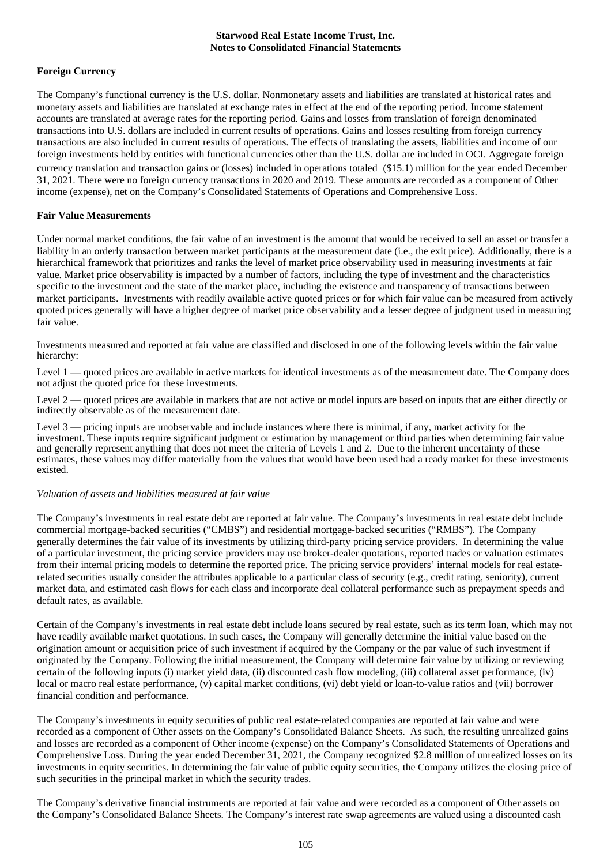# **Foreign Currency**

The Company's functional currency is the U.S. dollar. Nonmonetary assets and liabilities are translated at historical rates and monetary assets and liabilities are translated at exchange rates in effect at the end of the reporting period. Income statement accounts are translated at average rates for the reporting period. Gains and losses from translation of foreign denominated transactions into U.S. dollars are included in current results of operations. Gains and losses resulting from foreign currency transactions are also included in current results of operations. The effects of translating the assets, liabilities and income of our foreign investments held by entities with functional currencies other than the U.S. dollar are included in OCI. Aggregate foreign currency translation and transaction gains or (losses) included in operations totaled (\$15.1) million for the year ended December 31, 2021. There were no foreign currency transactions in 2020 and 2019. These amounts are recorded as a component of Other income (expense), net on the Company's Consolidated Statements of Operations and Comprehensive Loss.

## **Fair Value Measurements**

Under normal market conditions, the fair value of an investment is the amount that would be received to sell an asset or transfer a liability in an orderly transaction between market participants at the measurement date (i.e., the exit price). Additionally, there is a hierarchical framework that prioritizes and ranks the level of market price observability used in measuring investments at fair value. Market price observability is impacted by a number of factors, including the type of investment and the characteristics specific to the investment and the state of the market place, including the existence and transparency of transactions between market participants. Investments with readily available active quoted prices or for which fair value can be measured from actively quoted prices generally will have a higher degree of market price observability and a lesser degree of judgment used in measuring fair value.

Investments measured and reported at fair value are classified and disclosed in one of the following levels within the fair value hierarchy:

Level 1 — quoted prices are available in active markets for identical investments as of the measurement date. The Company does not adjust the quoted price for these investments.

Level 2 — quoted prices are available in markets that are not active or model inputs are based on inputs that are either directly or indirectly observable as of the measurement date.

Level 3 — pricing inputs are unobservable and include instances where there is minimal, if any, market activity for the investment. These inputs require significant judgment or estimation by management or third parties when determining fair value and generally represent anything that does not meet the criteria of Levels 1 and 2. Due to the inherent uncertainty of these estimates, these values may differ materially from the values that would have been used had a ready market for these investments existed.

### *Valuation of assets and liabilities measured at fair value*

The Company's investments in real estate debt are reported at fair value. The Company's investments in real estate debt include commercial mortgage-backed securities ("CMBS") and residential mortgage-backed securities ("RMBS"). The Company generally determines the fair value of its investments by utilizing third-party pricing service providers. In determining the value of a particular investment, the pricing service providers may use broker-dealer quotations, reported trades or valuation estimates from their internal pricing models to determine the reported price. The pricing service providers' internal models for real estaterelated securities usually consider the attributes applicable to a particular class of security (e.g., credit rating, seniority), current market data, and estimated cash flows for each class and incorporate deal collateral performance such as prepayment speeds and default rates, as available.

Certain of the Company's investments in real estate debt include loans secured by real estate, such as its term loan, which may not have readily available market quotations. In such cases, the Company will generally determine the initial value based on the origination amount or acquisition price of such investment if acquired by the Company or the par value of such investment if originated by the Company. Following the initial measurement, the Company will determine fair value by utilizing or reviewing certain of the following inputs (i) market yield data, (ii) discounted cash flow modeling, (iii) collateral asset performance, (iv) local or macro real estate performance, (v) capital market conditions, (vi) debt yield or loan-to-value ratios and (vii) borrower financial condition and performance.

The Company's investments in equity securities of public real estate-related companies are reported at fair value and were recorded as a component of Other assets on the Company's Consolidated Balance Sheets. As such, the resulting unrealized gains and losses are recorded as a component of Other income (expense) on the Company's Consolidated Statements of Operations and Comprehensive Loss. During the year ended December 31, 2021, the Company recognized \$2.8 million of unrealized losses on its investments in equity securities. In determining the fair value of public equity securities, the Company utilizes the closing price of such securities in the principal market in which the security trades.

The Company's derivative financial instruments are reported at fair value and were recorded as a component of Other assets on the Company's Consolidated Balance Sheets. The Company's interest rate swap agreements are valued using a discounted cash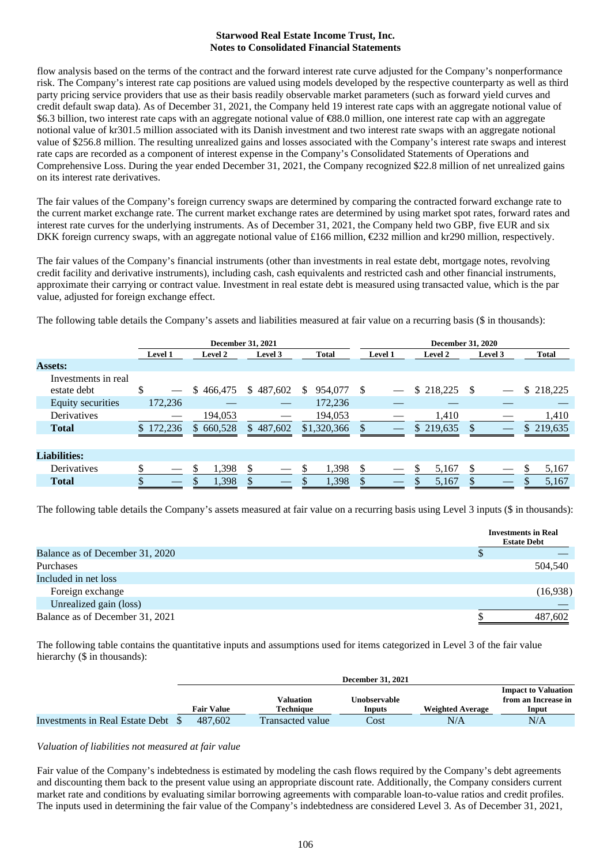flow analysis based on the terms of the contract and the forward interest rate curve adjusted for the Company's nonperformance risk. The Company's interest rate cap positions are valued using models developed by the respective counterparty as well as third party pricing service providers that use as their basis readily observable market parameters (such as forward yield curves and credit default swap data). As of December 31, 2021, the Company held 19 interest rate caps with an aggregate notional value of \$6.3 billion, two interest rate caps with an aggregate notional value of €88.0 million, one interest rate cap with an aggregate notional value of kr301.5 million associated with its Danish investment and two interest rate swaps with an aggregate notional value of \$256.8 million. The resulting unrealized gains and losses associated with the Company's interest rate swaps and interest rate caps are recorded as a component of interest expense in the Company's Consolidated Statements of Operations and Comprehensive Loss. During the year ended December 31, 2021, the Company recognized \$22.8 million of net unrealized gains on its interest rate derivatives.

The fair values of the Company's foreign currency swaps are determined by comparing the contracted forward exchange rate to the current market exchange rate. The current market exchange rates are determined by using market spot rates, forward rates and interest rate curves for the underlying instruments. As of December 31, 2021, the Company held two GBP, five EUR and six DKK foreign currency swaps, with an aggregate notional value of £166 million,  $\epsilon$ 232 million and kr290 million, respectively.

The fair values of the Company's financial instruments (other than investments in real estate debt, mortgage notes, revolving credit facility and derivative instruments), including cash, cash equivalents and restricted cash and other financial instruments, approximate their carrying or contract value. Investment in real estate debt is measured using transacted value, which is the par value, adjusted for foreign exchange effect.

The following table details the Company's assets and liabilities measured at fair value on a recurring basis (\$ in thousands):

|                     |         |   |           | <b>December 31, 2021</b> |               |             | <b>December 31, 2020</b> |            |         |              |  |  |
|---------------------|---------|---|-----------|--------------------------|---------------|-------------|--------------------------|------------|---------|--------------|--|--|
|                     | Level 1 |   | Level 2   | Level 3                  | <b>Total</b>  |             | <b>Level 1</b>           | Level 2    | Level 3 | <b>Total</b> |  |  |
| <b>Assets:</b>      |         |   |           |                          |               |             |                          |            |         |              |  |  |
| Investments in real |         |   |           |                          |               |             |                          |            |         |              |  |  |
| estate debt         | \$      |   | \$466,475 | \$487,602                | S.<br>954,077 | -S          |                          | \$218,225  | - \$    | \$218,225    |  |  |
| Equity securities   | 172,236 |   |           |                          | 172,236       |             |                          |            |         |              |  |  |
| Derivatives         |         |   | 194,053   |                          | 194,053       |             |                          | 1,410      |         | 1,410        |  |  |
| <b>Total</b>        | 172,236 |   | \$660,528 | \$487,602                | \$1,320,366   |             | $\overline{\phantom{0}}$ | \$219,635  |         | \$219,635    |  |  |
|                     |         |   |           |                          |               |             |                          |            |         |              |  |  |
| <b>Liabilities:</b> |         |   |           |                          |               |             |                          |            |         |              |  |  |
| Derivatives         | \$      | S | 1,398     | \$                       | \$.           | 1,398<br>\$ |                          | S<br>5,167 | -S      | S<br>5,167   |  |  |
| <b>Total</b>        |         |   | 1,398     |                          |               | 1,398       |                          | 5,167      |         | 5,167        |  |  |

The following table details the Company's assets measured at fair value on a recurring basis using Level 3 inputs (\$ in thousands):

|                                 |   | <b>Investments in Real</b><br><b>Estate Debt</b> |
|---------------------------------|---|--------------------------------------------------|
| Balance as of December 31, 2020 | Ф |                                                  |
| Purchases                       |   | 504,540                                          |
| Included in net loss            |   |                                                  |
| Foreign exchange                |   | (16,938)                                         |
| Unrealized gain (loss)          |   |                                                  |
| Balance as of December 31, 2021 |   | 487,602                                          |

The following table contains the quantitative inputs and assumptions used for items categorized in Level 3 of the fair value hierarchy (\$ in thousands):

|                                    |                   |                  | <b>December 31, 2021</b> |                         |                            |
|------------------------------------|-------------------|------------------|--------------------------|-------------------------|----------------------------|
|                                    |                   |                  |                          |                         | <b>Impact to Valuation</b> |
|                                    |                   | Valuation        | Unobservable             |                         | from an Increase in        |
|                                    | <b>Fair Value</b> | Techniaue        | Inputs                   | <b>Weighted Average</b> | Input                      |
| Investments in Real Estate Debt \$ | 487.602           | Transacted value | Cost                     | N/A                     | $\rm N/A$                  |

### *Valuation of liabilities not measured at fair value*

Fair value of the Company's indebtedness is estimated by modeling the cash flows required by the Company's debt agreements and discounting them back to the present value using an appropriate discount rate. Additionally, the Company considers current market rate and conditions by evaluating similar borrowing agreements with comparable loan-to-value ratios and credit profiles. The inputs used in determining the fair value of the Company's indebtedness are considered Level 3. As of December 31, 2021,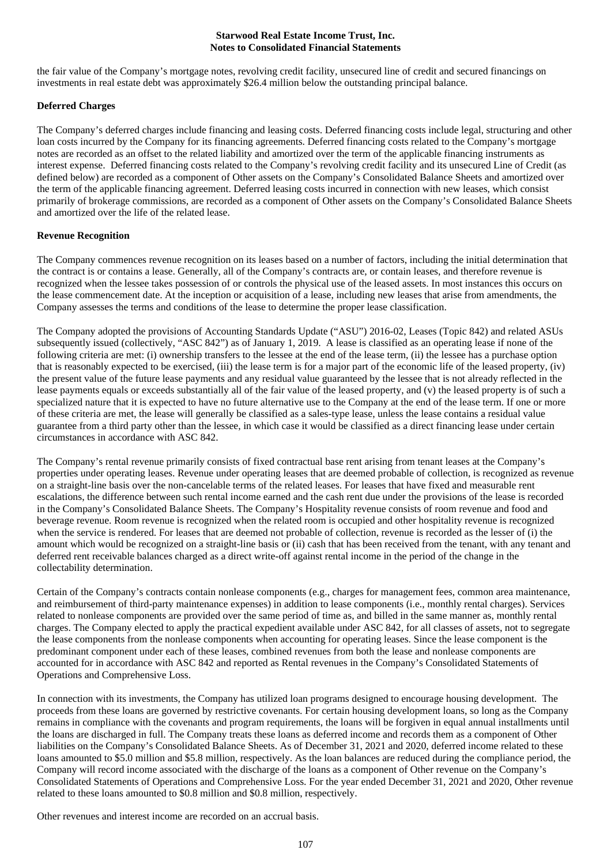the fair value of the Company's mortgage notes, revolving credit facility, unsecured line of credit and secured financings on investments in real estate debt was approximately \$26.4 million below the outstanding principal balance.

## **Deferred Charges**

The Company's deferred charges include financing and leasing costs. Deferred financing costs include legal, structuring and other loan costs incurred by the Company for its financing agreements. Deferred financing costs related to the Company's mortgage notes are recorded as an offset to the related liability and amortized over the term of the applicable financing instruments as interest expense. Deferred financing costs related to the Company's revolving credit facility and its unsecured Line of Credit (as defined below) are recorded as a component of Other assets on the Company's Consolidated Balance Sheets and amortized over the term of the applicable financing agreement. Deferred leasing costs incurred in connection with new leases, which consist primarily of brokerage commissions, are recorded as a component of Other assets on the Company's Consolidated Balance Sheets and amortized over the life of the related lease.

# **Revenue Recognition**

The Company commences revenue recognition on its leases based on a number of factors, including the initial determination that the contract is or contains a lease. Generally, all of the Company's contracts are, or contain leases, and therefore revenue is recognized when the lessee takes possession of or controls the physical use of the leased assets. In most instances this occurs on the lease commencement date. At the inception or acquisition of a lease, including new leases that arise from amendments, the Company assesses the terms and conditions of the lease to determine the proper lease classification.

The Company adopted the provisions of Accounting Standards Update ("ASU") 2016-02, Leases (Topic 842) and related ASUs subsequently issued (collectively, "ASC 842") as of January 1, 2019. A lease is classified as an operating lease if none of the following criteria are met: (i) ownership transfers to the lessee at the end of the lease term, (ii) the lessee has a purchase option that is reasonably expected to be exercised, (iii) the lease term is for a major part of the economic life of the leased property, (iv) the present value of the future lease payments and any residual value guaranteed by the lessee that is not already reflected in the lease payments equals or exceeds substantially all of the fair value of the leased property, and (v) the leased property is of such a specialized nature that it is expected to have no future alternative use to the Company at the end of the lease term. If one or more of these criteria are met, the lease will generally be classified as a sales-type lease, unless the lease contains a residual value guarantee from a third party other than the lessee, in which case it would be classified as a direct financing lease under certain circumstances in accordance with ASC 842.

The Company's rental revenue primarily consists of fixed contractual base rent arising from tenant leases at the Company's properties under operating leases. Revenue under operating leases that are deemed probable of collection, is recognized as revenue on a straight-line basis over the non-cancelable terms of the related leases. For leases that have fixed and measurable rent escalations, the difference between such rental income earned and the cash rent due under the provisions of the lease is recorded in the Company's Consolidated Balance Sheets. The Company's Hospitality revenue consists of room revenue and food and beverage revenue. Room revenue is recognized when the related room is occupied and other hospitality revenue is recognized when the service is rendered. For leases that are deemed not probable of collection, revenue is recorded as the lesser of (i) the amount which would be recognized on a straight-line basis or (ii) cash that has been received from the tenant, with any tenant and deferred rent receivable balances charged as a direct write-off against rental income in the period of the change in the collectability determination.

Certain of the Company's contracts contain nonlease components (e.g., charges for management fees, common area maintenance, and reimbursement of third-party maintenance expenses) in addition to lease components (i.e., monthly rental charges). Services related to nonlease components are provided over the same period of time as, and billed in the same manner as, monthly rental charges. The Company elected to apply the practical expedient available under ASC 842, for all classes of assets, not to segregate the lease components from the nonlease components when accounting for operating leases. Since the lease component is the predominant component under each of these leases, combined revenues from both the lease and nonlease components are accounted for in accordance with ASC 842 and reported as Rental revenues in the Company's Consolidated Statements of Operations and Comprehensive Loss.

In connection with its investments, the Company has utilized loan programs designed to encourage housing development. The proceeds from these loans are governed by restrictive covenants. For certain housing development loans, so long as the Company remains in compliance with the covenants and program requirements, the loans will be forgiven in equal annual installments until the loans are discharged in full. The Company treats these loans as deferred income and records them as a component of Other liabilities on the Company's Consolidated Balance Sheets. As of December 31, 2021 and 2020, deferred income related to these loans amounted to \$5.0 million and \$5.8 million, respectively. As the loan balances are reduced during the compliance period, the Company will record income associated with the discharge of the loans as a component of Other revenue on the Company's Consolidated Statements of Operations and Comprehensive Loss. For the year ended December 31, 2021 and 2020, Other revenue related to these loans amounted to \$0.8 million and \$0.8 million, respectively.

Other revenues and interest income are recorded on an accrual basis.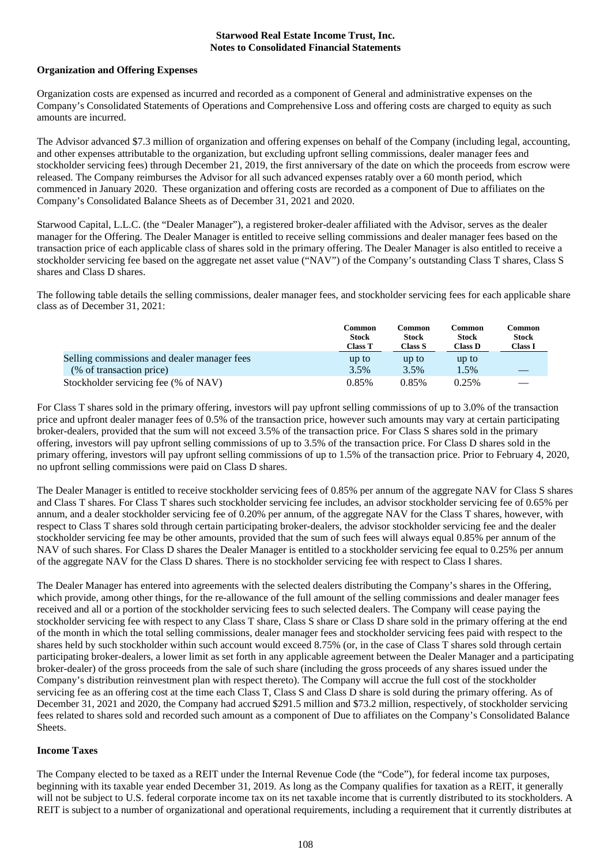### **Organization and Offering Expenses**

Organization costs are expensed as incurred and recorded as a component of General and administrative expenses on the Company's Consolidated Statements of Operations and Comprehensive Loss and offering costs are charged to equity as such amounts are incurred.

The Advisor advanced \$7.3 million of organization and offering expenses on behalf of the Company (including legal, accounting, and other expenses attributable to the organization, but excluding upfront selling commissions, dealer manager fees and stockholder servicing fees) through December 21, 2019, the first anniversary of the date on which the proceeds from escrow were released. The Company reimburses the Advisor for all such advanced expenses ratably over a 60 month period, which commenced in January 2020. These organization and offering costs are recorded as a component of Due to affiliates on the Company's Consolidated Balance Sheets as of December 31, 2021 and 2020.

Starwood Capital, L.L.C. (the "Dealer Manager"), a registered broker-dealer affiliated with the Advisor, serves as the dealer manager for the Offering. The Dealer Manager is entitled to receive selling commissions and dealer manager fees based on the transaction price of each applicable class of shares sold in the primary offering. The Dealer Manager is also entitled to receive a stockholder servicing fee based on the aggregate net asset value ("NAV") of the Company's outstanding Class T shares, Class S shares and Class D shares.

The following table details the selling commissions, dealer manager fees, and stockholder servicing fees for each applicable share class as of December 31, 2021:

|                                             | Common<br><b>Stock</b><br><b>Class T</b> | Common<br><b>Stock</b><br>Class S | Common<br><b>Stock</b><br><b>Class D</b> | Common<br><b>Stock</b><br>Class I |
|---------------------------------------------|------------------------------------------|-----------------------------------|------------------------------------------|-----------------------------------|
| Selling commissions and dealer manager fees | up to                                    | up to                             | up to                                    |                                   |
| (% of transaction price)                    | 3.5%                                     | $3.5\%$                           | 1.5%                                     |                                   |
| Stockholder servicing fee (% of NAV)        | 0.85%                                    | 0.85%                             | 0.25%                                    |                                   |

For Class T shares sold in the primary offering, investors will pay upfront selling commissions of up to 3.0% of the transaction price and upfront dealer manager fees of 0.5% of the transaction price, however such amounts may vary at certain participating broker-dealers, provided that the sum will not exceed 3.5% of the transaction price. For Class S shares sold in the primary offering, investors will pay upfront selling commissions of up to 3.5% of the transaction price. For Class D shares sold in the primary offering, investors will pay upfront selling commissions of up to 1.5% of the transaction price. Prior to February 4, 2020, no upfront selling commissions were paid on Class D shares.

The Dealer Manager is entitled to receive stockholder servicing fees of 0.85% per annum of the aggregate NAV for Class S shares and Class T shares. For Class T shares such stockholder servicing fee includes, an advisor stockholder servicing fee of 0.65% per annum, and a dealer stockholder servicing fee of 0.20% per annum, of the aggregate NAV for the Class T shares, however, with respect to Class T shares sold through certain participating broker-dealers, the advisor stockholder servicing fee and the dealer stockholder servicing fee may be other amounts, provided that the sum of such fees will always equal 0.85% per annum of the NAV of such shares. For Class D shares the Dealer Manager is entitled to a stockholder servicing fee equal to 0.25% per annum of the aggregate NAV for the Class D shares. There is no stockholder servicing fee with respect to Class I shares.

The Dealer Manager has entered into agreements with the selected dealers distributing the Company's shares in the Offering, which provide, among other things, for the re-allowance of the full amount of the selling commissions and dealer manager fees received and all or a portion of the stockholder servicing fees to such selected dealers. The Company will cease paying the stockholder servicing fee with respect to any Class T share, Class S share or Class D share sold in the primary offering at the end of the month in which the total selling commissions, dealer manager fees and stockholder servicing fees paid with respect to the shares held by such stockholder within such account would exceed 8.75% (or, in the case of Class T shares sold through certain participating broker-dealers, a lower limit as set forth in any applicable agreement between the Dealer Manager and a participating broker-dealer) of the gross proceeds from the sale of such share (including the gross proceeds of any shares issued under the Company's distribution reinvestment plan with respect thereto). The Company will accrue the full cost of the stockholder servicing fee as an offering cost at the time each Class T, Class S and Class D share is sold during the primary offering. As of December 31, 2021 and 2020, the Company had accrued \$291.5 million and \$73.2 million, respectively, of stockholder servicing fees related to shares sold and recorded such amount as a component of Due to affiliates on the Company's Consolidated Balance **Sheets**.

# **Income Taxes**

The Company elected to be taxed as a REIT under the Internal Revenue Code (the "Code"), for federal income tax purposes, beginning with its taxable year ended December 31, 2019. As long as the Company qualifies for taxation as a REIT, it generally will not be subject to U.S. federal corporate income tax on its net taxable income that is currently distributed to its stockholders. A REIT is subject to a number of organizational and operational requirements, including a requirement that it currently distributes at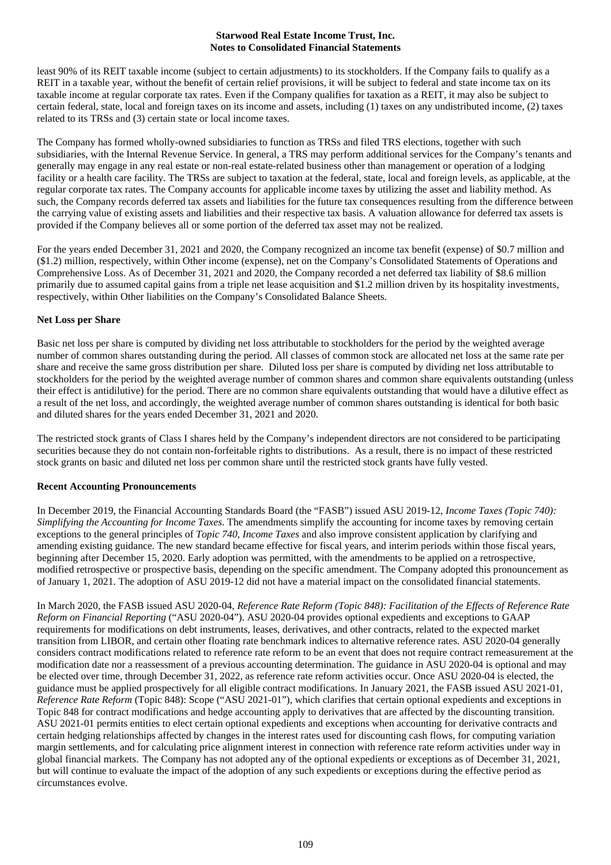least 90% of its REIT taxable income (subject to certain adjustments) to its stockholders. If the Company fails to qualify as a REIT in a taxable year, without the benefit of certain relief provisions, it will be subject to federal and state income tax on its taxable income at regular corporate tax rates. Even if the Company qualifies for taxation as a REIT, it may also be subject to certain federal, state, local and foreign taxes on its income and assets, including (1) taxes on any undistributed income, (2) taxes related to its TRSs and (3) certain state or local income taxes.

The Company has formed wholly-owned subsidiaries to function as TRSs and filed TRS elections, together with such subsidiaries, with the Internal Revenue Service. In general, a TRS may perform additional services for the Company's tenants and generally may engage in any real estate or non-real estate-related business other than management or operation of a lodging facility or a health care facility. The TRSs are subject to taxation at the federal, state, local and foreign levels, as applicable, at the regular corporate tax rates. The Company accounts for applicable income taxes by utilizing the asset and liability method. As such, the Company records deferred tax assets and liabilities for the future tax consequences resulting from the difference between the carrying value of existing assets and liabilities and their respective tax basis. A valuation allowance for deferred tax assets is provided if the Company believes all or some portion of the deferred tax asset may not be realized.

For the years ended December 31, 2021 and 2020, the Company recognized an income tax benefit (expense) of \$0.7 million and (\$1.2) million, respectively, within Other income (expense), net on the Company's Consolidated Statements of Operations and Comprehensive Loss. As of December 31, 2021 and 2020, the Company recorded a net deferred tax liability of \$8.6 million primarily due to assumed capital gains from a triple net lease acquisition and \$1.2 million driven by its hospitality investments, respectively, within Other liabilities on the Company's Consolidated Balance Sheets.

## **Net Loss per Share**

Basic net loss per share is computed by dividing net loss attributable to stockholders for the period by the weighted average number of common shares outstanding during the period. All classes of common stock are allocated net loss at the same rate per share and receive the same gross distribution per share. Diluted loss per share is computed by dividing net loss attributable to stockholders for the period by the weighted average number of common shares and common share equivalents outstanding (unless their effect is antidilutive) for the period. There are no common share equivalents outstanding that would have a dilutive effect as a result of the net loss, and accordingly, the weighted average number of common shares outstanding is identical for both basic and diluted shares for the years ended December 31, 2021 and 2020.

The restricted stock grants of Class I shares held by the Company's independent directors are not considered to be participating securities because they do not contain non-forfeitable rights to distributions. As a result, there is no impact of these restricted stock grants on basic and diluted net loss per common share until the restricted stock grants have fully vested.

## **Recent Accounting Pronouncements**

In December 2019, the Financial Accounting Standards Board (the "FASB") issued ASU 2019-12, *Income Taxes (Topic 740): Simplifying the Accounting for Income Taxes*. The amendments simplify the accounting for income taxes by removing certain exceptions to the general principles of *Topic 740, Income Taxes* and also improve consistent application by clarifying and amending existing guidance. The new standard became effective for fiscal years, and interim periods within those fiscal years, beginning after December 15, 2020. Early adoption was permitted, with the amendments to be applied on a retrospective, modified retrospective or prospective basis, depending on the specific amendment. The Company adopted this pronouncement as of January 1, 2021. The adoption of ASU 2019-12 did not have a material impact on the consolidated financial statements.

In March 2020, the FASB issued ASU 2020-04, *Reference Rate Reform (Topic 848): Facilitation of the Effects of Reference Rate Reform on Financial Reporting* ("ASU 2020-04"). ASU 2020-04 provides optional expedients and exceptions to GAAP requirements for modifications on debt instruments, leases, derivatives, and other contracts, related to the expected market transition from LIBOR, and certain other floating rate benchmark indices to alternative reference rates. ASU 2020-04 generally considers contract modifications related to reference rate reform to be an event that does not require contract remeasurement at the modification date nor a reassessment of a previous accounting determination. The guidance in ASU 2020-04 is optional and may be elected over time, through December 31, 2022, as reference rate reform activities occur. Once ASU 2020-04 is elected, the guidance must be applied prospectively for all eligible contract modifications. In January 2021, the FASB issued ASU 2021-01, *Reference Rate Reform* (Topic 848): Scope ("ASU 2021-01"), which clarifies that certain optional expedients and exceptions in Topic 848 for contract modifications and hedge accounting apply to derivatives that are affected by the discounting transition. ASU 2021-01 permits entities to elect certain optional expedients and exceptions when accounting for derivative contracts and certain hedging relationships affected by changes in the interest rates used for discounting cash flows, for computing variation margin settlements, and for calculating price alignment interest in connection with reference rate reform activities under way in global financial markets. The Company has not adopted any of the optional expedients or exceptions as of December 31, 2021, but will continue to evaluate the impact of the adoption of any such expedients or exceptions during the effective period as circumstances evolve.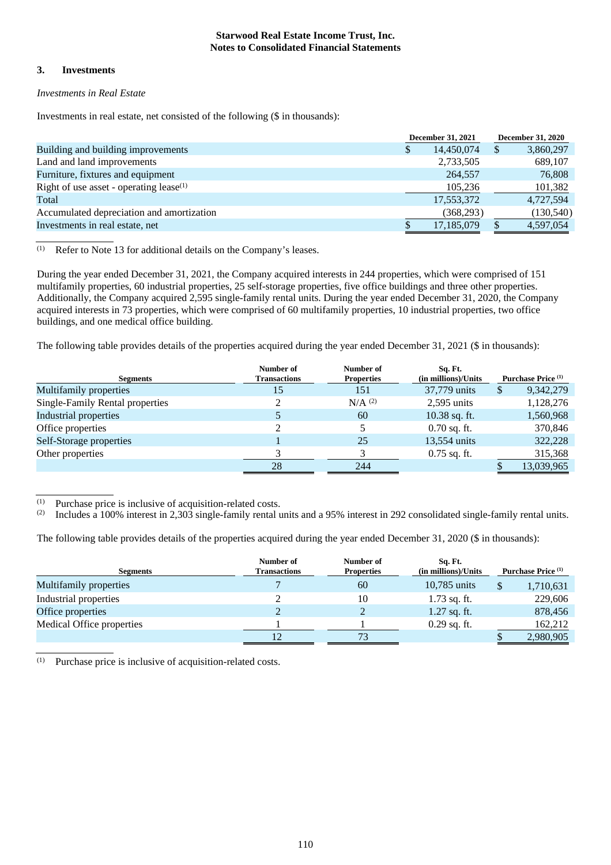# **3. Investments**

# *Investments in Real Estate*

Investments in real estate, net consisted of the following (\$ in thousands):

|                                            |   | December 31, 2021 |               | <b>December 31, 2020</b> |
|--------------------------------------------|---|-------------------|---------------|--------------------------|
| Building and building improvements         | S | 14,450,074        | <sup>\$</sup> | 3,860,297                |
| Land and land improvements                 |   | 2,733,505         |               | 689,107                  |
| Furniture, fixtures and equipment          |   | 264,557           |               | 76,808                   |
| Right of use asset - operating lease $(1)$ |   | 105.236           |               | 101,382                  |
| Total                                      |   | 17,553,372        |               | 4,727,594                |
| Accumulated depreciation and amortization  |   | (368, 293)        |               | (130, 540)               |
| Investments in real estate, net            |   | 17,185,079        | S.            | 4,597,054                |

(1) Refer to Note 13 for additional details on the Company's leases.

During the year ended December 31, 2021, the Company acquired interests in 244 properties, which were comprised of 151 multifamily properties, 60 industrial properties, 25 self-storage properties, five office buildings and three other properties. Additionally, the Company acquired 2,595 single-family rental units. During the year ended December 31, 2020, the Company acquired interests in 73 properties, which were comprised of 60 multifamily properties, 10 industrial properties, two office buildings, and one medical office building.

The following table provides details of the properties acquired during the year ended December 31, 2021 (\$ in thousands):

| <b>Segments</b>                 | Number of<br>Transactions | Number of<br><b>Properties</b> | Sq. Ft.<br>(in millions)/Units |   | Purchase Price (1) |
|---------------------------------|---------------------------|--------------------------------|--------------------------------|---|--------------------|
| Multifamily properties          | 15                        | 151                            | 37,779 units                   | S | 9,342,279          |
| Single-Family Rental properties |                           | $N/A$ <sup>(2)</sup>           | $2,595$ units                  |   | 1,128,276          |
| Industrial properties           |                           | 60                             | $10.38$ sq. ft.                |   | 1,560,968          |
| Office properties               |                           |                                | $0.70$ sq. ft.                 |   | 370,846            |
| Self-Storage properties         |                           | 25                             | 13,554 units                   |   | 322,228            |
| Other properties                |                           |                                | $0.75$ sq. ft.                 |   | 315,368            |
|                                 | 28                        | 244                            |                                |   | 13,039,965         |

<sup>(1)</sup> Purchase price is inclusive of acquisition-related costs.<br>(2) Includes a 100% interest in 2.303 single-family rental in

Includes a 100% interest in 2,303 single-family rental units and a 95% interest in 292 consolidated single-family rental units.

The following table provides details of the properties acquired during the year ended December 31, 2020 (\$ in thousands):

| <b>Segments</b>           | Number of<br><b>Transactions</b> | Number of<br><b>Properties</b> | Sq. Ft.<br>(in millions)/Units | <b>Purchase Price (1)</b> |
|---------------------------|----------------------------------|--------------------------------|--------------------------------|---------------------------|
| Multifamily properties    |                                  | 60                             | 10,785 units                   | \$<br>1,710,631           |
| Industrial properties     |                                  | 10                             | $1.73$ sq. ft.                 | 229,606                   |
| Office properties         |                                  |                                | $1.27$ sq. ft.                 | 878,456                   |
| Medical Office properties |                                  |                                | $0.29$ sq. ft.                 | 162,212                   |
|                           |                                  | 73                             |                                | 2,980,905                 |

(1) Purchase price is inclusive of acquisition-related costs.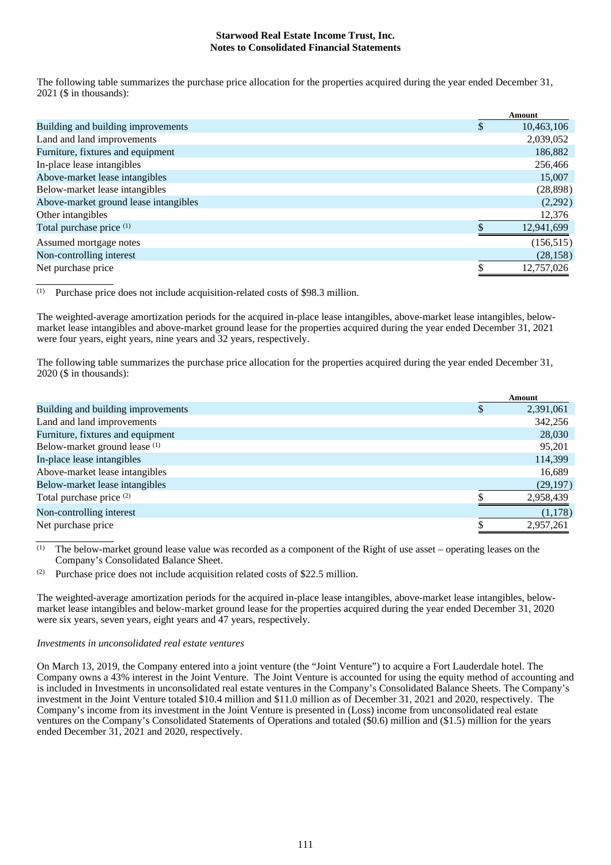The following table summarizes the purchase price allocation for the properties acquired during the year ended December 31, 2021 (\$ in thousands):

|                                       | Amount           |
|---------------------------------------|------------------|
| Building and building improvements    | \$<br>10,463,106 |
| Land and land improvements            | 2,039,052        |
| Furniture, fixtures and equipment     | 186,882          |
| In-place lease intangibles            | 256,466          |
| Above-market lease intangibles        | 15,007           |
| Below-market lease intangibles        | (28, 898)        |
| Above-market ground lease intangibles | (2,292)          |
| Other intangibles                     | 12,376           |
| Total purchase price (1)              | 12,941,699       |
| Assumed mortgage notes                | (156, 515)       |
| Non-controlling interest              | (28, 158)        |
| Net purchase price                    | 12,757,026       |

(1) Purchase price does not include acquisition-related costs of \$98.3 million.

The weighted-average amortization periods for the acquired in-place lease intangibles, above-market lease intangibles, belowmarket lease intangibles and above-market ground lease for the properties acquired during the year ended December 31, 2021 were four years, eight years, nine years and 32 years, respectively.

The following table summarizes the purchase price allocation for the properties acquired during the year ended December 31, 2020 (\$ in thousands):

|                                     |   | Amount    |
|-------------------------------------|---|-----------|
| Building and building improvements  | S | 2,391,061 |
| Land and land improvements          |   | 342,256   |
| Furniture, fixtures and equipment   |   | 28,030    |
| Below-market ground lease (1)       |   | 95,201    |
| In-place lease intangibles          |   | 114,399   |
| Above-market lease intangibles      |   | 16,689    |
| Below-market lease intangibles      |   | (29, 197) |
| Total purchase price <sup>(2)</sup> |   | 2,958,439 |
| Non-controlling interest            |   | (1,178)   |
| Net purchase price                  |   | 2,957,261 |

(1) The below-market ground lease value was recorded as a component of the Right of use asset – operating leases on the Company's Consolidated Balance Sheet.

(2) Purchase price does not include acquisition related costs of \$22.5 million.

The weighted-average amortization periods for the acquired in-place lease intangibles, above-market lease intangibles, belowmarket lease intangibles and below-market ground lease for the properties acquired during the year ended December 31, 2020 were six years, seven years, eight years and 47 years, respectively.

## *Investments in unconsolidated real estate ventures*

On March 13, 2019, the Company entered into a joint venture (the "Joint Venture") to acquire a Fort Lauderdale hotel. The Company owns a 43% interest in the Joint Venture. The Joint Venture is accounted for using the equity method of accounting and is included in Investments in unconsolidated real estate ventures in the Company's Consolidated Balance Sheets. The Company's investment in the Joint Venture totaled \$10.4 million and \$11.0 million as of December 31, 2021 and 2020, respectively. The Company's income from its investment in the Joint Venture is presented in (Loss) income from unconsolidated real estate ventures on the Company's Consolidated Statements of Operations and totaled (\$0.6) million and (\$1.5) million for the years ended December 31, 2021 and 2020, respectively.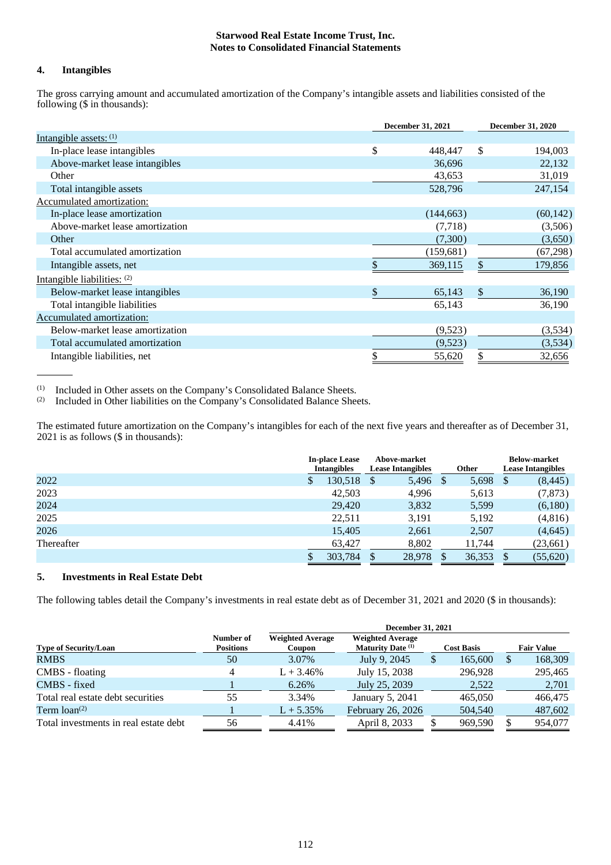# **4. Intangibles**

 $\overline{a}$ 

The gross carrying amount and accumulated amortization of the Company's intangible assets and liabilities consisted of the following (\$ in thousands):

|                                 | <b>December 31, 2021</b> |                                     | <b>December 31, 2020</b> |
|---------------------------------|--------------------------|-------------------------------------|--------------------------|
| Intangible assets: $(1)$        |                          |                                     |                          |
| In-place lease intangibles      | \$                       | $\mathbb{S}$<br>448,447             | 194,003                  |
| Above-market lease intangibles  |                          | 36,696                              | 22,132                   |
| Other                           |                          | 43,653                              | 31,019                   |
| Total intangible assets         |                          | 528,796                             | 247,154                  |
| Accumulated amortization:       |                          |                                     |                          |
| In-place lease amortization     |                          | (144, 663)                          | (60, 142)                |
| Above-market lease amortization |                          | (7,718)                             | (3,506)                  |
| Other                           |                          | (7,300)                             | (3,650)                  |
| Total accumulated amortization  |                          | (159, 681)                          | (67, 298)                |
| Intangible assets, net          |                          | 369,115                             | $\mathbb{S}$<br>179,856  |
| Intangible liabilities: $(2)$   |                          |                                     |                          |
| Below-market lease intangibles  | \$                       | $\boldsymbol{\mathsf{S}}$<br>65,143 | 36,190                   |
| Total intangible liabilities    |                          | 65,143                              | 36,190                   |
| Accumulated amortization:       |                          |                                     |                          |
| Below-market lease amortization |                          | (9,523)                             | (3,534)                  |
| Total accumulated amortization  |                          | (9,523)                             | (3,534)                  |
| Intangible liabilities, net     | \$                       | \$<br>55,620                        | 32,656                   |

(1) Included in Other assets on the Company's Consolidated Balance Sheets.<br>(2) Included in Other liabilities on the Company's Consolidated Balance Sheets.

Included in Other liabilities on the Company's Consolidated Balance Sheets.

The estimated future amortization on the Company's intangibles for each of the next five years and thereafter as of December 31, 2021 is as follows (\$ in thousands):

|            | <b>In-place Lease</b><br><b>Intangibles</b> |      | Above-market<br><b>Lease Intangibles</b> |  | Other  |               | <b>Below-market</b><br><b>Lease Intangibles</b> |
|------------|---------------------------------------------|------|------------------------------------------|--|--------|---------------|-------------------------------------------------|
| 2022       | \$<br>130,518                               | ∣ \$ | 5,496 \$                                 |  | 5,698  | S             | (8, 445)                                        |
| 2023       | 42,503                                      |      | 4,996                                    |  | 5,613  |               | (7,873)                                         |
| 2024       | 29.420                                      |      | 3,832                                    |  | 5,599  |               | (6,180)                                         |
| 2025       | 22.511                                      |      | 3,191                                    |  | 5,192  |               | (4,816)                                         |
| 2026       | 15,405                                      |      | 2,661                                    |  | 2,507  |               | (4,645)                                         |
| Thereafter | 63,427                                      |      | 8,802                                    |  | 11,744 |               | (23, 661)                                       |
|            | \$<br>303,784                               |      | 28,978                                   |  | 36,353 | <sup>\$</sup> | (55,620)                                        |

# **5. Investments in Real Estate Debt**

The following tables detail the Company's investments in real estate debt as of December 31, 2021 and 2020 (\$ in thousands):

|                                       |                               | December 31, 2021                 |                                              |   |                   |    |                   |  |
|---------------------------------------|-------------------------------|-----------------------------------|----------------------------------------------|---|-------------------|----|-------------------|--|
| <b>Type of Security/Loan</b>          | Number of<br><b>Positions</b> | <b>Weighted Average</b><br>Coupon | <b>Weighted Average</b><br>Maturity Date (1) |   | <b>Cost Basis</b> |    | <b>Fair Value</b> |  |
| <b>RMBS</b>                           | 50                            | 3.07%                             | July 9, 2045                                 | S | 165,600           | \$ | 168,309           |  |
| CMBS - floating                       |                               | $L + 3.46%$                       | July 15, 2038                                |   | 296.928           |    | 295,465           |  |
| CMBS - fixed                          |                               | 6.26%                             | July 25, 2039                                |   | 2,522             |    | 2,701             |  |
| Total real estate debt securities     | 55                            | 3.34%                             | January 5, 2041                              |   | 465,050           |    | 466,475           |  |
| Term $\text{loan}^{(2)}$              |                               | $L + 5.35%$                       | February 26, 2026                            |   | 504,540           |    | 487,602           |  |
| Total investments in real estate debt | 56                            | 4.41%                             | April 8, 2033                                |   | 969,590           |    | 954,077           |  |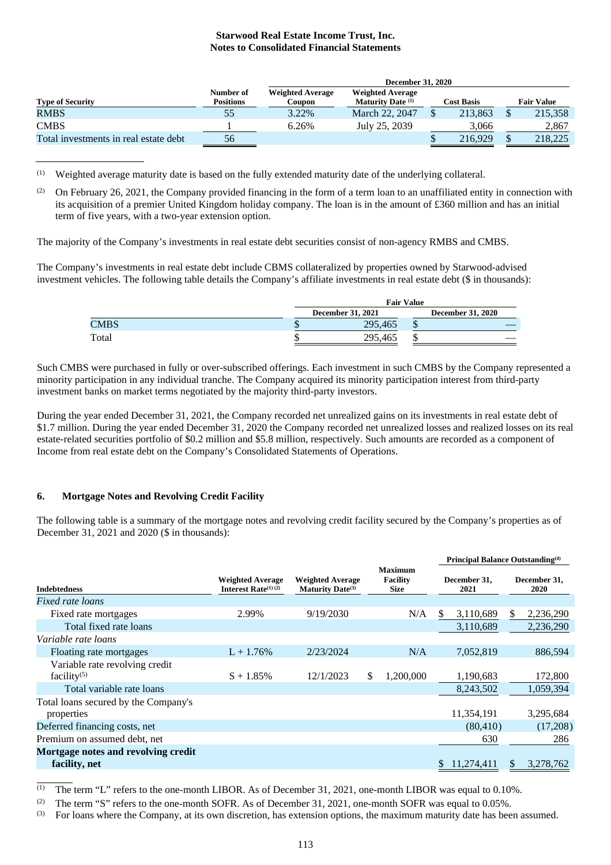|                                       |                  | <b>December 31, 2020</b> |                         |  |                   |    |                   |  |
|---------------------------------------|------------------|--------------------------|-------------------------|--|-------------------|----|-------------------|--|
|                                       | Number of        | <b>Weighted Average</b>  | <b>Weighted Average</b> |  |                   |    |                   |  |
| <b>Type of Security</b>               | <b>Positions</b> | Coupon                   | Maturity Date (1)       |  | <b>Cost Basis</b> |    | <b>Fair Value</b> |  |
| <b>RMBS</b>                           | 55               | 3.22%                    | March 22, 2047          |  | 213.863           |    | 215,358           |  |
| <b>CMBS</b>                           |                  | 6.26%                    | July 25, 2039           |  | 3.066             |    | 2,867             |  |
| Total investments in real estate debt | 56               |                          |                         |  | 216.929           | ۰D | 218,225           |  |

(1) Weighted average maturity date is based on the fully extended maturity date of the underlying collateral.

(2) On February 26, 2021, the Company provided financing in the form of a term loan to an unaffiliated entity in connection with its acquisition of a premier United Kingdom holiday company. The loan is in the amount of £360 million and has an initial term of five years, with a two-year extension option.

The majority of the Company's investments in real estate debt securities consist of non-agency RMBS and CMBS.

The Company's investments in real estate debt include CBMS collateralized by properties owned by Starwood-advised investment vehicles. The following table details the Company's affiliate investments in real estate debt (\$ in thousands):

|       | <b>Fair Value</b>        |  |                          |  |  |  |
|-------|--------------------------|--|--------------------------|--|--|--|
|       | <b>December 31, 2021</b> |  | <b>December 31, 2020</b> |  |  |  |
| CMBS  | 295.465                  |  |                          |  |  |  |
| Total | 295,465                  |  |                          |  |  |  |

Such CMBS were purchased in fully or over-subscribed offerings. Each investment in such CMBS by the Company represented a minority participation in any individual tranche. The Company acquired its minority participation interest from third-party investment banks on market terms negotiated by the majority third-party investors.

During the year ended December 31, 2021, the Company recorded net unrealized gains on its investments in real estate debt of \$1.7 million. During the year ended December 31, 2020 the Company recorded net unrealized losses and realized losses on its real estate-related securities portfolio of \$0.2 million and \$5.8 million, respectively. Such amounts are recorded as a component of Income from real estate debt on the Company's Consolidated Statements of Operations.

## **6. Mortgage Notes and Revolving Credit Facility**

 $\overline{a}$ 

The following table is a summary of the mortgage notes and revolving credit facility secured by the Company's properties as of December 31, 2021 and 2020 (\$ in thousands):

|                                                           |                                                |                                                         |                                                  |                      | Principal Balance Outstanding <sup>(4)</sup> |     |                      |  |
|-----------------------------------------------------------|------------------------------------------------|---------------------------------------------------------|--------------------------------------------------|----------------------|----------------------------------------------|-----|----------------------|--|
| <b>Indebtedness</b>                                       | <b>Weighted Average</b><br>Interest Rate(1)(2) | <b>Weighted Average</b><br>Maturity Date <sup>(3)</sup> | <b>Maximum</b><br><b>Facility</b><br><b>Size</b> | December 31,<br>2021 |                                              |     | December 31,<br>2020 |  |
| Fixed rate loans                                          |                                                |                                                         |                                                  |                      |                                              |     |                      |  |
| Fixed rate mortgages                                      | 2.99%                                          | 9/19/2030                                               | N/A                                              | S.                   | 3,110,689                                    | \$  | 2,236,290            |  |
| Total fixed rate loans                                    |                                                |                                                         |                                                  |                      | 3,110,689                                    |     | 2,236,290            |  |
| Variable rate loans                                       |                                                |                                                         |                                                  |                      |                                              |     |                      |  |
| Floating rate mortgages                                   | $L + 1.76%$                                    | 2/23/2024                                               | N/A                                              |                      | 7,052,819                                    |     | 886,594              |  |
| Variable rate revolving credit<br>facility <sup>(5)</sup> | $S + 1.85\%$                                   | 12/1/2023                                               | \$<br>1,200,000                                  |                      | 1,190,683                                    |     | 172,800              |  |
| Total variable rate loans                                 |                                                |                                                         |                                                  |                      | 8,243,502                                    |     | 1,059,394            |  |
| Total loans secured by the Company's                      |                                                |                                                         |                                                  |                      |                                              |     |                      |  |
| properties                                                |                                                |                                                         |                                                  |                      | 11,354,191                                   |     | 3,295,684            |  |
| Deferred financing costs, net                             |                                                |                                                         |                                                  |                      | (80, 410)                                    |     | (17,208)             |  |
| Premium on assumed debt, net                              |                                                |                                                         |                                                  |                      | 630                                          |     | 286                  |  |
| Mortgage notes and revolving credit<br>facility, net      |                                                |                                                         |                                                  |                      | 11,274,411                                   | SS. | 3,278,762            |  |

 $\overline{^{(1)}}$  The term "L" refers to the one-month LIBOR. As of December 31, 2021, one-month LIBOR was equal to 0.10%.

(2) The term "S" refers to the one-month SOFR. As of December 31, 2021, one-month SOFR was equal to  $0.05\%$ .

 $^{(3)}$  For loans where the Company, at its own discretion, has extension options, the maximum maturity date has been assumed.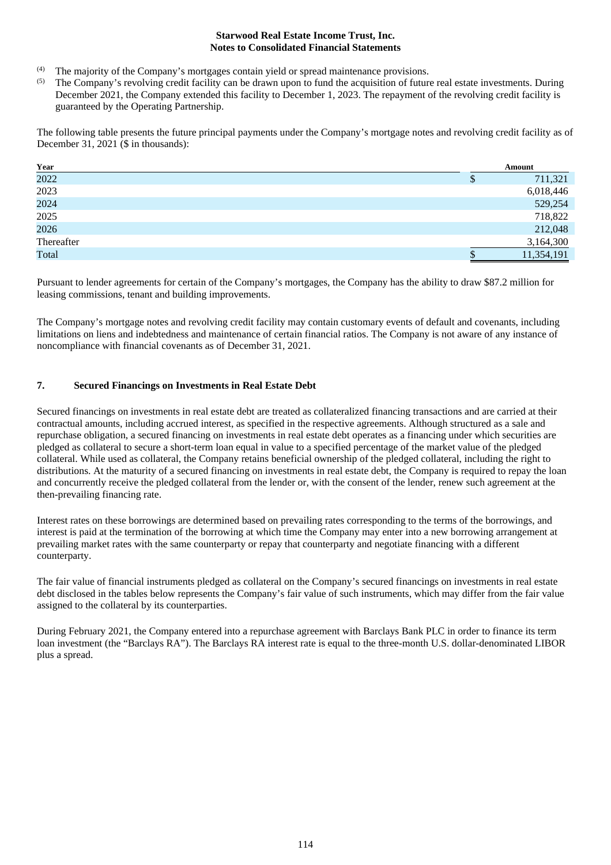- (4) The majority of the Company's mortgages contain yield or spread maintenance provisions.
- (5) The Company's revolving credit facility can be drawn upon to fund the acquisition of future real estate investments. During December 2021, the Company extended this facility to December 1, 2023. The repayment of the revolving credit facility is guaranteed by the Operating Partnership.

The following table presents the future principal payments under the Company's mortgage notes and revolving credit facility as of December 31, 2021 (\$ in thousands):

| Year       |   | Amount     |
|------------|---|------------|
| 2022       | Φ | 711,321    |
| 2023       |   | 6,018,446  |
| 2024       |   | 529,254    |
| 2025       |   | 718,822    |
| 2026       |   | 212,048    |
| Thereafter |   | 3,164,300  |
| Total      |   | 11,354,191 |

Pursuant to lender agreements for certain of the Company's mortgages, the Company has the ability to draw \$87.2 million for leasing commissions, tenant and building improvements.

The Company's mortgage notes and revolving credit facility may contain customary events of default and covenants, including limitations on liens and indebtedness and maintenance of certain financial ratios. The Company is not aware of any instance of noncompliance with financial covenants as of December 31, 2021.

# **7. Secured Financings on Investments in Real Estate Debt**

Secured financings on investments in real estate debt are treated as collateralized financing transactions and are carried at their contractual amounts, including accrued interest, as specified in the respective agreements. Although structured as a sale and repurchase obligation, a secured financing on investments in real estate debt operates as a financing under which securities are pledged as collateral to secure a short-term loan equal in value to a specified percentage of the market value of the pledged collateral. While used as collateral, the Company retains beneficial ownership of the pledged collateral, including the right to distributions. At the maturity of a secured financing on investments in real estate debt, the Company is required to repay the loan and concurrently receive the pledged collateral from the lender or, with the consent of the lender, renew such agreement at the then-prevailing financing rate.

Interest rates on these borrowings are determined based on prevailing rates corresponding to the terms of the borrowings, and interest is paid at the termination of the borrowing at which time the Company may enter into a new borrowing arrangement at prevailing market rates with the same counterparty or repay that counterparty and negotiate financing with a different counterparty.

The fair value of financial instruments pledged as collateral on the Company's secured financings on investments in real estate debt disclosed in the tables below represents the Company's fair value of such instruments, which may differ from the fair value assigned to the collateral by its counterparties.

During February 2021, the Company entered into a repurchase agreement with Barclays Bank PLC in order to finance its term loan investment (the "Barclays RA"). The Barclays RA interest rate is equal to the three-month U.S. dollar-denominated LIBOR plus a spread.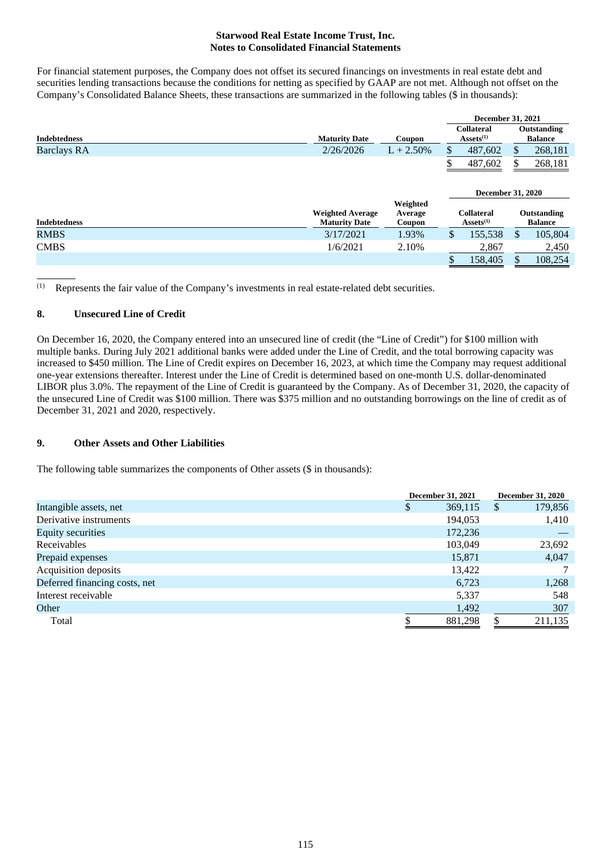For financial statement purposes, the Company does not offset its secured financings on investments in real estate debt and securities lending transactions because the conditions for netting as specified by GAAP are not met. Although not offset on the Company's Consolidated Balance Sheets, these transactions are summarized in the following tables (\$ in thousands):

|                     |                                                 |                               |                                              | <b>December 31, 2021</b> |                               |  |
|---------------------|-------------------------------------------------|-------------------------------|----------------------------------------------|--------------------------|-------------------------------|--|
| <b>Indebtedness</b> | <b>Maturity Date</b>                            | Coupon                        | <b>Collateral</b><br>$\mathbf{Assets}^{(1)}$ |                          | Outstanding<br><b>Balance</b> |  |
| <b>Barclays RA</b>  | 2/26/2026                                       | $L + 2.50\%$                  | \$<br>487,602                                | \$.                      | 268,181                       |  |
|                     |                                                 |                               | 487,602                                      |                          | 268,181                       |  |
|                     |                                                 |                               |                                              |                          |                               |  |
|                     |                                                 |                               | <b>December 31, 2020</b>                     |                          |                               |  |
| <b>Indebtedness</b> | <b>Weighted Average</b><br><b>Maturity Date</b> | Weighted<br>Average<br>Coupon | <b>Collateral</b><br>$\mathbf{Assets}^{(1)}$ |                          | Outstanding<br><b>Balance</b> |  |
| <b>RMBS</b>         | 3/17/2021                                       | 1.93%                         | \$<br>155,538                                | S                        | 105,804                       |  |
| <b>CMBS</b>         | 1/6/2021                                        | 2.10%                         | 2,867                                        |                          | 2,450                         |  |
|                     |                                                 |                               | 158,405                                      |                          | 108,254                       |  |

(1) Represents the fair value of the Company's investments in real estate-related debt securities.

# **8. Unsecured Line of Credit**

 $\overline{a}$ 

On December 16, 2020, the Company entered into an unsecured line of credit (the "Line of Credit") for \$100 million with multiple banks. During July 2021 additional banks were added under the Line of Credit, and the total borrowing capacity was increased to \$450 million. The Line of Credit expires on December 16, 2023, at which time the Company may request additional one-year extensions thereafter. Interest under the Line of Credit is determined based on one-month U.S. dollar-denominated LIBOR plus 3.0%. The repayment of the Line of Credit is guaranteed by the Company. As of December 31, 2020, the capacity of the unsecured Line of Credit was \$100 million. There was \$375 million and no outstanding borrowings on the line of credit as of December 31, 2021 and 2020, respectively.

# **9. Other Assets and Other Liabilities**

The following table summarizes the components of Other assets (\$ in thousands):

|                               |   | <b>December 31, 2021</b> | <b>December 31, 2020</b> |         |  |
|-------------------------------|---|--------------------------|--------------------------|---------|--|
| Intangible assets, net        | S | 369,115                  | -S                       | 179,856 |  |
| Derivative instruments        |   | 194,053                  |                          | 1,410   |  |
| Equity securities             |   | 172,236                  |                          |         |  |
| Receivables                   |   | 103,049                  |                          | 23,692  |  |
| Prepaid expenses              |   | 15,871                   |                          | 4,047   |  |
| Acquisition deposits          |   | 13,422                   |                          |         |  |
| Deferred financing costs, net |   | 6,723                    |                          | 1,268   |  |
| Interest receivable           |   | 5,337                    |                          | 548     |  |
| Other                         |   | 1,492                    |                          | 307     |  |
| Total                         |   | 881,298                  |                          | 211,135 |  |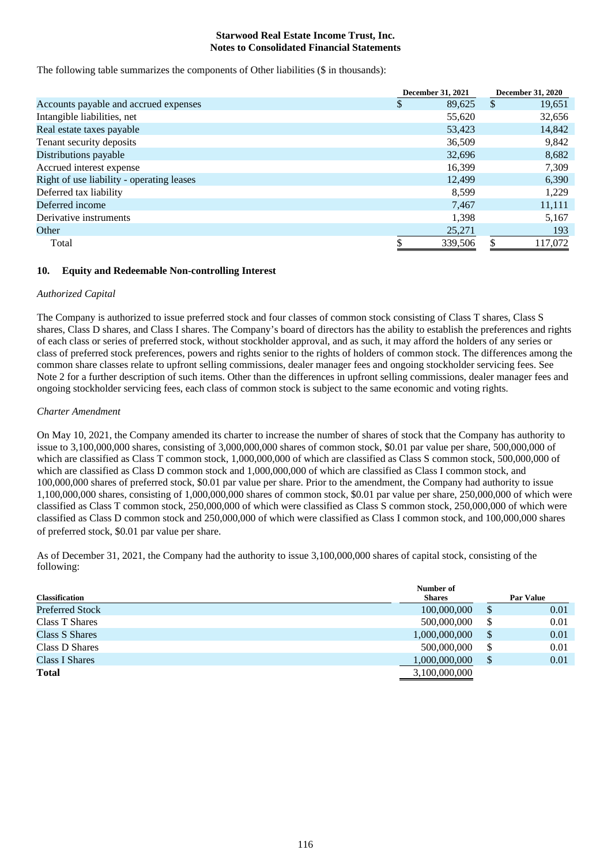The following table summarizes the components of Other liabilities (\$ in thousands):

|                                           |     | <b>December 31, 2021</b> | <b>December 31, 2020</b> |         |  |
|-------------------------------------------|-----|--------------------------|--------------------------|---------|--|
| Accounts payable and accrued expenses     | \$. | 89,625                   | \$.                      | 19,651  |  |
| Intangible liabilities, net               |     | 55,620                   |                          | 32,656  |  |
| Real estate taxes payable                 |     | 53,423                   |                          | 14,842  |  |
| Tenant security deposits                  |     | 36,509                   |                          | 9,842   |  |
| Distributions payable                     |     | 32,696                   |                          | 8,682   |  |
| Accrued interest expense                  |     | 16,399                   |                          | 7,309   |  |
| Right of use liability - operating leases |     | 12,499                   |                          | 6,390   |  |
| Deferred tax liability                    |     | 8.599                    |                          | 1,229   |  |
| Deferred income                           |     | 7,467                    |                          | 11,111  |  |
| Derivative instruments                    |     | 1,398                    |                          | 5,167   |  |
| Other                                     |     | 25,271                   |                          | 193     |  |
| Total                                     |     | 339,506                  |                          | 117,072 |  |

# **10. Equity and Redeemable Non-controlling Interest**

## *Authorized Capital*

The Company is authorized to issue preferred stock and four classes of common stock consisting of Class T shares, Class S shares, Class D shares, and Class I shares. The Company's board of directors has the ability to establish the preferences and rights of each class or series of preferred stock, without stockholder approval, and as such, it may afford the holders of any series or class of preferred stock preferences, powers and rights senior to the rights of holders of common stock. The differences among the common share classes relate to upfront selling commissions, dealer manager fees and ongoing stockholder servicing fees. See Note 2 for a further description of such items. Other than the differences in upfront selling commissions, dealer manager fees and ongoing stockholder servicing fees, each class of common stock is subject to the same economic and voting rights.

# *Charter Amendment*

On May 10, 2021, the Company amended its charter to increase the number of shares of stock that the Company has authority to issue to 3,100,000,000 shares, consisting of 3,000,000,000 shares of common stock, \$0.01 par value per share, 500,000,000 of which are classified as Class T common stock, 1,000,000,000 of which are classified as Class S common stock, 500,000,000 of which are classified as Class D common stock and 1,000,000,000 of which are classified as Class I common stock, and 100,000,000 shares of preferred stock, \$0.01 par value per share. Prior to the amendment, the Company had authority to issue 1,100,000,000 shares, consisting of 1,000,000,000 shares of common stock, \$0.01 par value per share, 250,000,000 of which were classified as Class T common stock, 250,000,000 of which were classified as Class S common stock, 250,000,000 of which were classified as Class D common stock and 250,000,000 of which were classified as Class I common stock, and 100,000,000 shares of preferred stock, \$0.01 par value per share.

As of December 31, 2021, the Company had the authority to issue 3,100,000,000 shares of capital stock, consisting of the following:

|                       | Number of     |   |                  |
|-----------------------|---------------|---|------------------|
| <b>Classification</b> | <b>Shares</b> |   | <b>Par Value</b> |
| Preferred Stock       | 100,000,000   | S | 0.01             |
| Class T Shares        | 500,000,000   |   | 0.01             |
| Class S Shares        | 1,000,000,000 |   | 0.01             |
| Class D Shares        | 500,000,000   |   | 0.01             |
| <b>Class I Shares</b> | 1,000,000,000 |   | 0.01             |
| <b>Total</b>          | 3,100,000,000 |   |                  |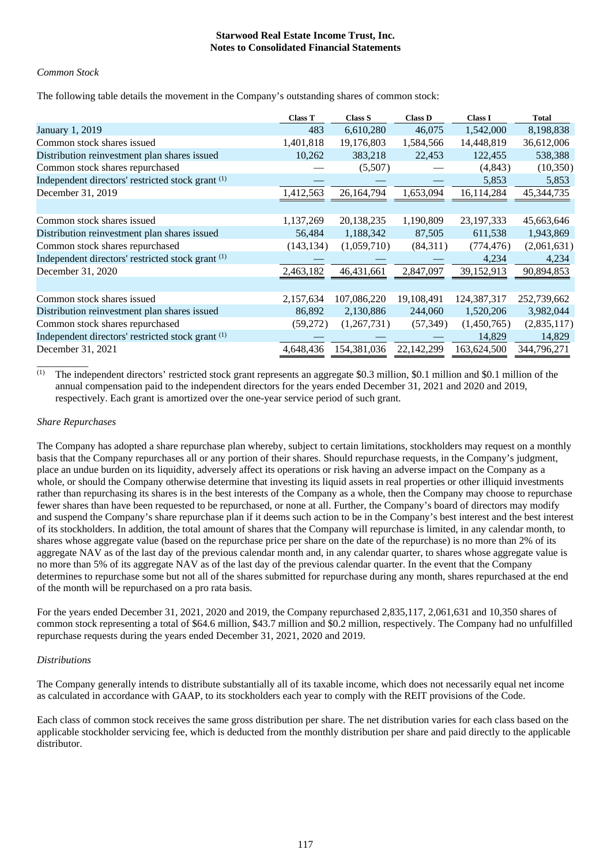## *Common Stock*

The following table details the movement in the Company's outstanding shares of common stock:

|                                                              | <b>Class T</b> | <b>Class S</b> | <b>Class D</b> | <b>Class I</b> | <b>Total</b> |
|--------------------------------------------------------------|----------------|----------------|----------------|----------------|--------------|
| January 1, 2019                                              | 483            | 6,610,280      | 46,075         | 1,542,000      | 8,198,838    |
| Common stock shares issued                                   | 1,401,818      | 19,176,803     | 1,584,566      | 14,448,819     | 36,612,006   |
| Distribution reinvestment plan shares issued                 | 10,262         | 383,218        | 22,453         | 122,455        | 538,388      |
| Common stock shares repurchased                              |                | (5,507)        |                | (4,843)        | (10,350)     |
| Independent directors' restricted stock grant <sup>(1)</sup> |                |                |                | 5,853          | 5,853        |
| December 31, 2019                                            | 1,412,563      | 26,164,794     | 1,653,094      | 16,114,284     | 45, 344, 735 |
|                                                              |                |                |                |                |              |
| Common stock shares issued                                   | 1,137,269      | 20,138,235     | 1,190,809      | 23, 197, 333   | 45,663,646   |
| Distribution reinvestment plan shares issued                 | 56,484         | 1,188,342      | 87,505         | 611,538        | 1,943,869    |
| Common stock shares repurchased                              | (143, 134)     | (1,059,710)    | (84,311)       | (774, 476)     | (2,061,631)  |
| Independent directors' restricted stock grant <sup>(1)</sup> |                |                |                | 4,234          | 4,234        |
| December 31, 2020                                            | 2,463,182      | 46,431,661     | 2,847,097      | 39,152,913     | 90,894,853   |
|                                                              |                |                |                |                |              |
| Common stock shares issued                                   | 2,157,634      | 107,086,220    | 19,108,491     | 124,387,317    | 252,739,662  |
| Distribution reinvestment plan shares issued                 | 86,892         | 2,130,886      | 244,060        | 1,520,206      | 3,982,044    |
| Common stock shares repurchased                              | (59,272)       | (1,267,731)    | (57, 349)      | (1,450,765)    | (2,835,117)  |
| Independent directors' restricted stock grant (1)            |                |                |                | 14,829         | 14,829       |
| December 31, 2021                                            | 4,648,436      | 154,381,036    | 22,142,299     | 163,624,500    | 344,796,271  |

\_\_\_\_\_\_\_\_\_\_ The independent directors' restricted stock grant represents an aggregate \$0.3 million, \$0.1 million and \$0.1 million of the annual compensation paid to the independent directors for the years ended December 31, 2021 and 2020 and 2019, respectively. Each grant is amortized over the one-year service period of such grant.

## *Share Repurchases*

The Company has adopted a share repurchase plan whereby, subject to certain limitations, stockholders may request on a monthly basis that the Company repurchases all or any portion of their shares. Should repurchase requests, in the Company's judgment, place an undue burden on its liquidity, adversely affect its operations or risk having an adverse impact on the Company as a whole, or should the Company otherwise determine that investing its liquid assets in real properties or other illiquid investments rather than repurchasing its shares is in the best interests of the Company as a whole, then the Company may choose to repurchase fewer shares than have been requested to be repurchased, or none at all. Further, the Company's board of directors may modify and suspend the Company's share repurchase plan if it deems such action to be in the Company's best interest and the best interest of its stockholders. In addition, the total amount of shares that the Company will repurchase is limited, in any calendar month, to shares whose aggregate value (based on the repurchase price per share on the date of the repurchase) is no more than 2% of its aggregate NAV as of the last day of the previous calendar month and, in any calendar quarter, to shares whose aggregate value is no more than 5% of its aggregate NAV as of the last day of the previous calendar quarter. In the event that the Company determines to repurchase some but not all of the shares submitted for repurchase during any month, shares repurchased at the end of the month will be repurchased on a pro rata basis.

For the years ended December 31, 2021, 2020 and 2019, the Company repurchased 2,835,117, 2,061,631 and 10,350 shares of common stock representing a total of \$64.6 million, \$43.7 million and \$0.2 million, respectively. The Company had no unfulfilled repurchase requests during the years ended December 31, 2021, 2020 and 2019.

## *Distributions*

The Company generally intends to distribute substantially all of its taxable income, which does not necessarily equal net income as calculated in accordance with GAAP, to its stockholders each year to comply with the REIT provisions of the Code.

Each class of common stock receives the same gross distribution per share. The net distribution varies for each class based on the applicable stockholder servicing fee, which is deducted from the monthly distribution per share and paid directly to the applicable distributor.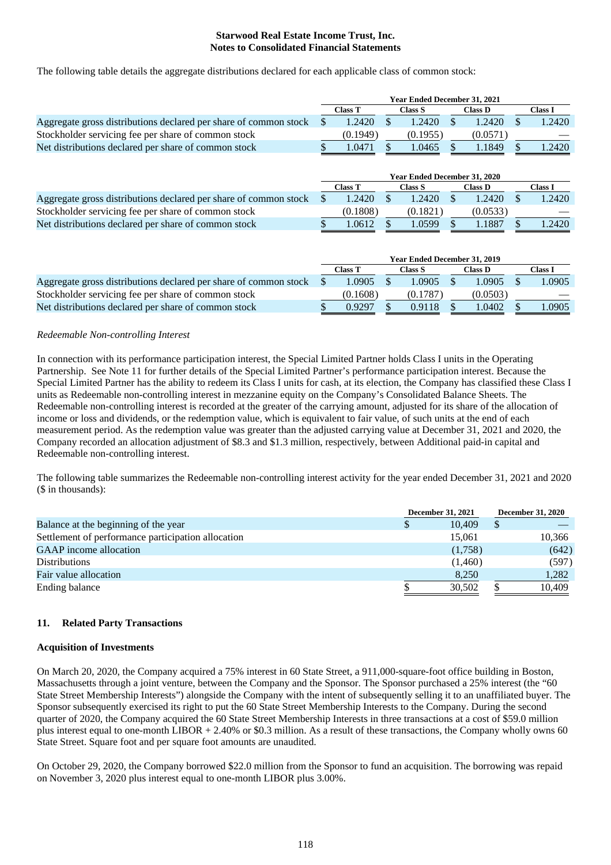The following table details the aggregate distributions declared for each applicable class of common stock:

|                                                                  | <b>Year Ended December 31, 2021</b> |                |  |          |  |          |  |                |
|------------------------------------------------------------------|-------------------------------------|----------------|--|----------|--|----------|--|----------------|
|                                                                  |                                     | <b>Class T</b> |  | Class S  |  | Class D  |  | <b>Class I</b> |
| Aggregate gross distributions declared per share of common stock |                                     | 1.2420         |  | 1.2420   |  | 1.2420.  |  | 1.2420         |
| Stockholder servicing fee per share of common stock              |                                     | (0.1949)       |  | (0.1955) |  | (0.0571) |  |                |
| Net distributions declared per share of common stock             |                                     | .0471          |  | .0465    |  | .1849    |  | .2420          |

|                                                                  |                | <b>Year Ended December 31, 2020</b> |          |         |
|------------------------------------------------------------------|----------------|-------------------------------------|----------|---------|
|                                                                  | <b>Class T</b> | Class S                             | Class D  | Class I |
| Aggregate gross distributions declared per share of common stock | 1.2420         | 1.2420.                             | 1 2420.  | 1.2420  |
| Stockholder servicing fee per share of common stock              | (0.1808)       | (0.1821)                            | (0.0533) |         |
| Net distributions declared per share of common stock             | .0612          | 0599.                               | 1.1887   | 1.2420  |

|                                                                  | <b>Year Ended December 31, 2019</b> |                |  |          |  |                |  |         |
|------------------------------------------------------------------|-------------------------------------|----------------|--|----------|--|----------------|--|---------|
|                                                                  |                                     | <b>Class T</b> |  | Class S  |  | <b>Class D</b> |  | Class I |
| Aggregate gross distributions declared per share of common stock |                                     | 1.0905         |  | 1.0905   |  | 1.0905         |  | 1.0905  |
| Stockholder servicing fee per share of common stock              |                                     | (0.1608)       |  | (0.1787) |  | (0.0503)       |  |         |
| Net distributions declared per share of common stock             |                                     | 0.9297         |  | 0.9118   |  | 1.0402         |  | .0905   |

## *Redeemable Non-controlling Interest*

In connection with its performance participation interest, the Special Limited Partner holds Class I units in the Operating Partnership. See Note 11 for further details of the Special Limited Partner's performance participation interest. Because the Special Limited Partner has the ability to redeem its Class I units for cash, at its election, the Company has classified these Class I units as Redeemable non-controlling interest in mezzanine equity on the Company's Consolidated Balance Sheets. The Redeemable non-controlling interest is recorded at the greater of the carrying amount, adjusted for its share of the allocation of income or loss and dividends, or the redemption value, which is equivalent to fair value, of such units at the end of each measurement period. As the redemption value was greater than the adjusted carrying value at December 31, 2021 and 2020, the Company recorded an allocation adjustment of \$8.3 and \$1.3 million, respectively, between Additional paid-in capital and Redeemable non-controlling interest.

The following table summarizes the Redeemable non-controlling interest activity for the year ended December 31, 2021 and 2020 (\$ in thousands):

|                                                    | <b>December 31, 2021</b> |         | <b>December 31, 2020</b> |        |
|----------------------------------------------------|--------------------------|---------|--------------------------|--------|
| Balance at the beginning of the year               |                          | 10.409  | S                        |        |
| Settlement of performance participation allocation |                          | 15.061  |                          | 10,366 |
| <b>GAAP</b> income allocation                      |                          | (1,758) |                          | (642)  |
| <b>Distributions</b>                               |                          | (1,460) |                          | (597)  |
| Fair value allocation                              |                          | 8,250   |                          | 1,282  |
| Ending balance                                     |                          | 30.502  |                          | 10,409 |

# **11. Related Party Transactions**

## **Acquisition of Investments**

On March 20, 2020, the Company acquired a 75% interest in 60 State Street, a 911,000-square-foot office building in Boston, Massachusetts through a joint venture, between the Company and the Sponsor. The Sponsor purchased a 25% interest (the "60 State Street Membership Interests") alongside the Company with the intent of subsequently selling it to an unaffiliated buyer. The Sponsor subsequently exercised its right to put the 60 State Street Membership Interests to the Company. During the second quarter of 2020, the Company acquired the 60 State Street Membership Interests in three transactions at a cost of \$59.0 million plus interest equal to one-month LIBOR + 2.40% or \$0.3 million. As a result of these transactions, the Company wholly owns 60 State Street. Square foot and per square foot amounts are unaudited.

On October 29, 2020, the Company borrowed \$22.0 million from the Sponsor to fund an acquisition. The borrowing was repaid on November 3, 2020 plus interest equal to one-month LIBOR plus 3.00%.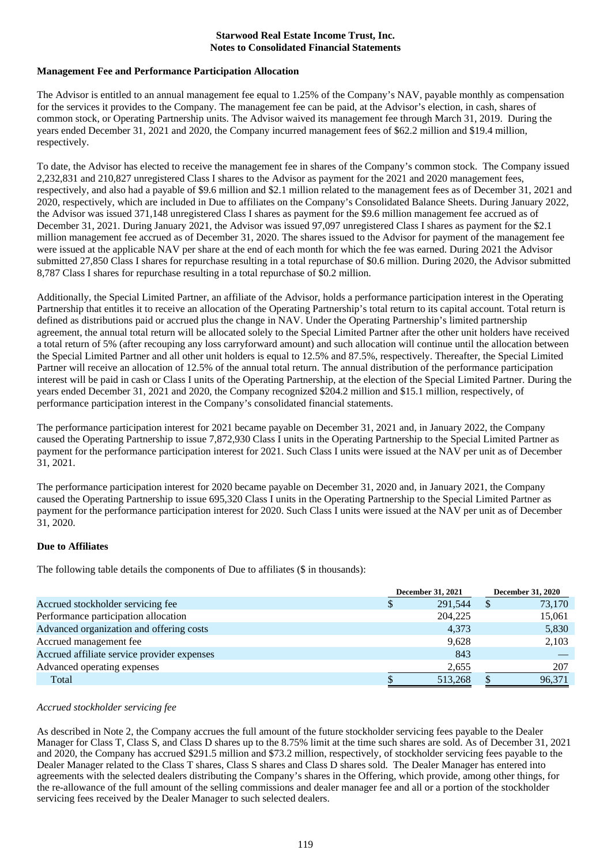## **Management Fee and Performance Participation Allocation**

The Advisor is entitled to an annual management fee equal to 1.25% of the Company's NAV, payable monthly as compensation for the services it provides to the Company. The management fee can be paid, at the Advisor's election, in cash, shares of common stock, or Operating Partnership units. The Advisor waived its management fee through March 31, 2019. During the years ended December 31, 2021 and 2020, the Company incurred management fees of \$62.2 million and \$19.4 million, respectively.

To date, the Advisor has elected to receive the management fee in shares of the Company's common stock. The Company issued 2,232,831 and 210,827 unregistered Class I shares to the Advisor as payment for the 2021 and 2020 management fees, respectively, and also had a payable of \$9.6 million and \$2.1 million related to the management fees as of December 31, 2021 and 2020, respectively, which are included in Due to affiliates on the Company's Consolidated Balance Sheets. During January 2022, the Advisor was issued 371,148 unregistered Class I shares as payment for the \$9.6 million management fee accrued as of December 31, 2021. During January 2021, the Advisor was issued 97,097 unregistered Class I shares as payment for the \$2.1 million management fee accrued as of December 31, 2020. The shares issued to the Advisor for payment of the management fee were issued at the applicable NAV per share at the end of each month for which the fee was earned. During 2021 the Advisor submitted 27,850 Class I shares for repurchase resulting in a total repurchase of \$0.6 million. During 2020, the Advisor submitted 8,787 Class I shares for repurchase resulting in a total repurchase of \$0.2 million.

Additionally, the Special Limited Partner, an affiliate of the Advisor, holds a performance participation interest in the Operating Partnership that entitles it to receive an allocation of the Operating Partnership's total return to its capital account. Total return is defined as distributions paid or accrued plus the change in NAV. Under the Operating Partnership's limited partnership agreement, the annual total return will be allocated solely to the Special Limited Partner after the other unit holders have received a total return of 5% (after recouping any loss carryforward amount) and such allocation will continue until the allocation between the Special Limited Partner and all other unit holders is equal to 12.5% and 87.5%, respectively. Thereafter, the Special Limited Partner will receive an allocation of 12.5% of the annual total return. The annual distribution of the performance participation interest will be paid in cash or Class I units of the Operating Partnership, at the election of the Special Limited Partner. During the years ended December 31, 2021 and 2020, the Company recognized \$204.2 million and \$15.1 million, respectively, of performance participation interest in the Company's consolidated financial statements.

The performance participation interest for 2021 became payable on December 31, 2021 and, in January 2022, the Company caused the Operating Partnership to issue 7,872,930 Class I units in the Operating Partnership to the Special Limited Partner as payment for the performance participation interest for 2021. Such Class I units were issued at the NAV per unit as of December 31, 2021.

The performance participation interest for 2020 became payable on December 31, 2020 and, in January 2021, the Company caused the Operating Partnership to issue 695,320 Class I units in the Operating Partnership to the Special Limited Partner as payment for the performance participation interest for 2020. Such Class I units were issued at the NAV per unit as of December 31, 2020.

# **Due to Affiliates**

The following table details the components of Due to affiliates (\$ in thousands):

|                                             | December 31, 2021 | <b>December 31, 2020</b> |
|---------------------------------------------|-------------------|--------------------------|
| Accrued stockholder servicing fee           | 291,544           | 73,170                   |
| Performance participation allocation        | 204,225           | 15,061                   |
| Advanced organization and offering costs    | 4,373             | 5,830                    |
| Accrued management fee                      | 9,628             | 2,103                    |
| Accrued affiliate service provider expenses | 843               |                          |
| Advanced operating expenses                 | 2,655             | 207                      |
| Total                                       | 513,268           | 96,371                   |

## *Accrued stockholder servicing fee*

As described in Note 2, the Company accrues the full amount of the future stockholder servicing fees payable to the Dealer Manager for Class T, Class S, and Class D shares up to the 8.75% limit at the time such shares are sold. As of December 31, 2021 and 2020, the Company has accrued \$291.5 million and \$73.2 million, respectively, of stockholder servicing fees payable to the Dealer Manager related to the Class T shares, Class S shares and Class D shares sold. The Dealer Manager has entered into agreements with the selected dealers distributing the Company's shares in the Offering, which provide, among other things, for the re-allowance of the full amount of the selling commissions and dealer manager fee and all or a portion of the stockholder servicing fees received by the Dealer Manager to such selected dealers.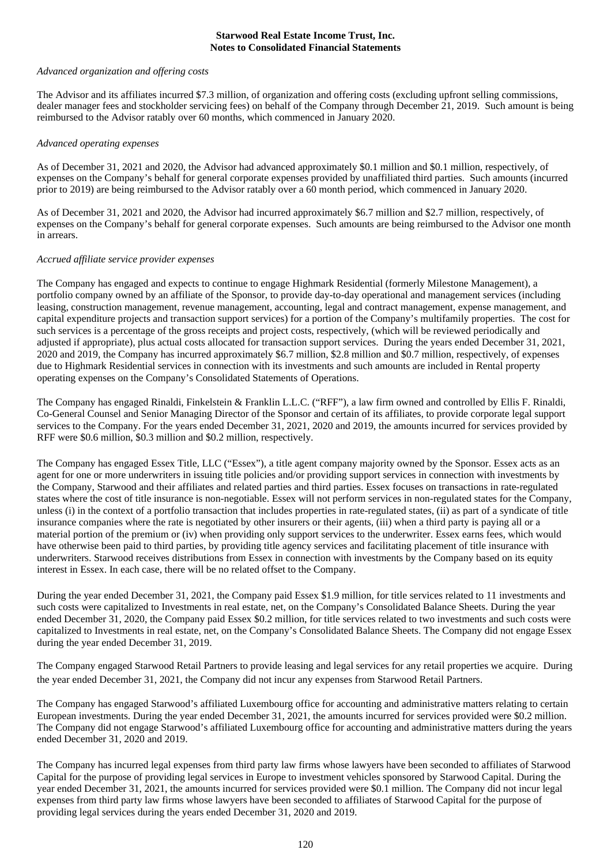#### *Advanced organization and offering costs*

The Advisor and its affiliates incurred \$7.3 million, of organization and offering costs (excluding upfront selling commissions, dealer manager fees and stockholder servicing fees) on behalf of the Company through December 21, 2019. Such amount is being reimbursed to the Advisor ratably over 60 months, which commenced in January 2020.

#### *Advanced operating expenses*

As of December 31, 2021 and 2020, the Advisor had advanced approximately \$0.1 million and \$0.1 million, respectively, of expenses on the Company's behalf for general corporate expenses provided by unaffiliated third parties. Such amounts (incurred prior to 2019) are being reimbursed to the Advisor ratably over a 60 month period, which commenced in January 2020.

As of December 31, 2021 and 2020, the Advisor had incurred approximately \$6.7 million and \$2.7 million, respectively, of expenses on the Company's behalf for general corporate expenses. Such amounts are being reimbursed to the Advisor one month in arrears.

#### *Accrued affiliate service provider expenses*

The Company has engaged and expects to continue to engage Highmark Residential (formerly Milestone Management), a portfolio company owned by an affiliate of the Sponsor, to provide day-to-day operational and management services (including leasing, construction management, revenue management, accounting, legal and contract management, expense management, and capital expenditure projects and transaction support services) for a portion of the Company's multifamily properties. The cost for such services is a percentage of the gross receipts and project costs, respectively, (which will be reviewed periodically and adjusted if appropriate), plus actual costs allocated for transaction support services. During the years ended December 31, 2021, 2020 and 2019, the Company has incurred approximately \$6.7 million, \$2.8 million and \$0.7 million, respectively, of expenses due to Highmark Residential services in connection with its investments and such amounts are included in Rental property operating expenses on the Company's Consolidated Statements of Operations.

The Company has engaged Rinaldi, Finkelstein & Franklin L.L.C. ("RFF"), a law firm owned and controlled by Ellis F. Rinaldi, Co-General Counsel and Senior Managing Director of the Sponsor and certain of its affiliates, to provide corporate legal support services to the Company. For the years ended December 31, 2021, 2020 and 2019, the amounts incurred for services provided by RFF were \$0.6 million, \$0.3 million and \$0.2 million, respectively.

The Company has engaged Essex Title, LLC ("Essex"), a title agent company majority owned by the Sponsor. Essex acts as an agent for one or more underwriters in issuing title policies and/or providing support services in connection with investments by the Company, Starwood and their affiliates and related parties and third parties. Essex focuses on transactions in rate-regulated states where the cost of title insurance is non-negotiable. Essex will not perform services in non-regulated states for the Company, unless (i) in the context of a portfolio transaction that includes properties in rate-regulated states, (ii) as part of a syndicate of title insurance companies where the rate is negotiated by other insurers or their agents, (iii) when a third party is paying all or a material portion of the premium or (iv) when providing only support services to the underwriter. Essex earns fees, which would have otherwise been paid to third parties, by providing title agency services and facilitating placement of title insurance with underwriters. Starwood receives distributions from Essex in connection with investments by the Company based on its equity interest in Essex. In each case, there will be no related offset to the Company.

During the year ended December 31, 2021, the Company paid Essex \$1.9 million, for title services related to 11 investments and such costs were capitalized to Investments in real estate, net, on the Company's Consolidated Balance Sheets. During the year ended December 31, 2020, the Company paid Essex \$0.2 million, for title services related to two investments and such costs were capitalized to Investments in real estate, net, on the Company's Consolidated Balance Sheets. The Company did not engage Essex during the year ended December 31, 2019.

The Company engaged Starwood Retail Partners to provide leasing and legal services for any retail properties we acquire. During the year ended December 31, 2021, the Company did not incur any expenses from Starwood Retail Partners.

The Company has engaged Starwood's affiliated Luxembourg office for accounting and administrative matters relating to certain European investments. During the year ended December 31, 2021, the amounts incurred for services provided were \$0.2 million. The Company did not engage Starwood's affiliated Luxembourg office for accounting and administrative matters during the years ended December 31, 2020 and 2019.

The Company has incurred legal expenses from third party law firms whose lawyers have been seconded to affiliates of Starwood Capital for the purpose of providing legal services in Europe to investment vehicles sponsored by Starwood Capital. During the year ended December 31, 2021, the amounts incurred for services provided were \$0.1 million. The Company did not incur legal expenses from third party law firms whose lawyers have been seconded to affiliates of Starwood Capital for the purpose of providing legal services during the years ended December 31, 2020 and 2019.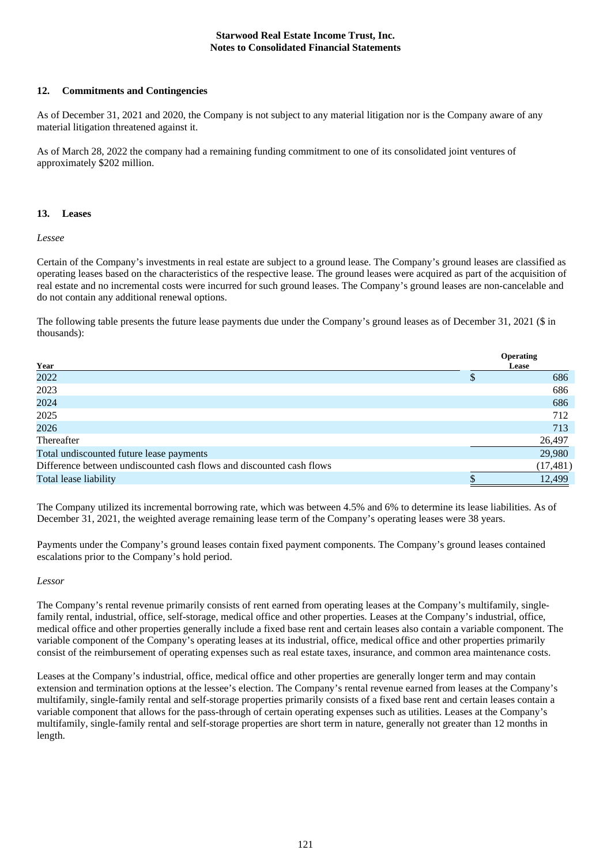## **12. Commitments and Contingencies**

As of December 31, 2021 and 2020, the Company is not subject to any material litigation nor is the Company aware of any material litigation threatened against it.

As of March 28, 2022 the company had a remaining funding commitment to one of its consolidated joint ventures of approximately \$202 million.

## **13. Leases**

#### *Lessee*

Certain of the Company's investments in real estate are subject to a ground lease. The Company's ground leases are classified as operating leases based on the characteristics of the respective lease. The ground leases were acquired as part of the acquisition of real estate and no incremental costs were incurred for such ground leases. The Company's ground leases are non-cancelable and do not contain any additional renewal options.

The following table presents the future lease payments due under the Company's ground leases as of December 31, 2021 (\$ in thousands):

|                                                                      | Operating |
|----------------------------------------------------------------------|-----------|
| Year                                                                 | Lease     |
| 2022                                                                 | 686       |
| 2023                                                                 | 686       |
| 2024                                                                 | 686       |
| 2025                                                                 | 712       |
| 2026                                                                 | 713       |
| Thereafter                                                           | 26,497    |
| Total undiscounted future lease payments                             | 29,980    |
| Difference between undiscounted cash flows and discounted cash flows | (17, 481) |
| Total lease liability                                                | 12.499    |

The Company utilized its incremental borrowing rate, which was between 4.5% and 6% to determine its lease liabilities. As of December 31, 2021, the weighted average remaining lease term of the Company's operating leases were 38 years.

Payments under the Company's ground leases contain fixed payment components. The Company's ground leases contained escalations prior to the Company's hold period.

#### *Lessor*

The Company's rental revenue primarily consists of rent earned from operating leases at the Company's multifamily, singlefamily rental, industrial, office, self-storage, medical office and other properties. Leases at the Company's industrial, office, medical office and other properties generally include a fixed base rent and certain leases also contain a variable component. The variable component of the Company's operating leases at its industrial, office, medical office and other properties primarily consist of the reimbursement of operating expenses such as real estate taxes, insurance, and common area maintenance costs.

Leases at the Company's industrial, office, medical office and other properties are generally longer term and may contain extension and termination options at the lessee's election. The Company's rental revenue earned from leases at the Company's multifamily, single-family rental and self-storage properties primarily consists of a fixed base rent and certain leases contain a variable component that allows for the pass-through of certain operating expenses such as utilities. Leases at the Company's multifamily, single-family rental and self-storage properties are short term in nature, generally not greater than 12 months in length.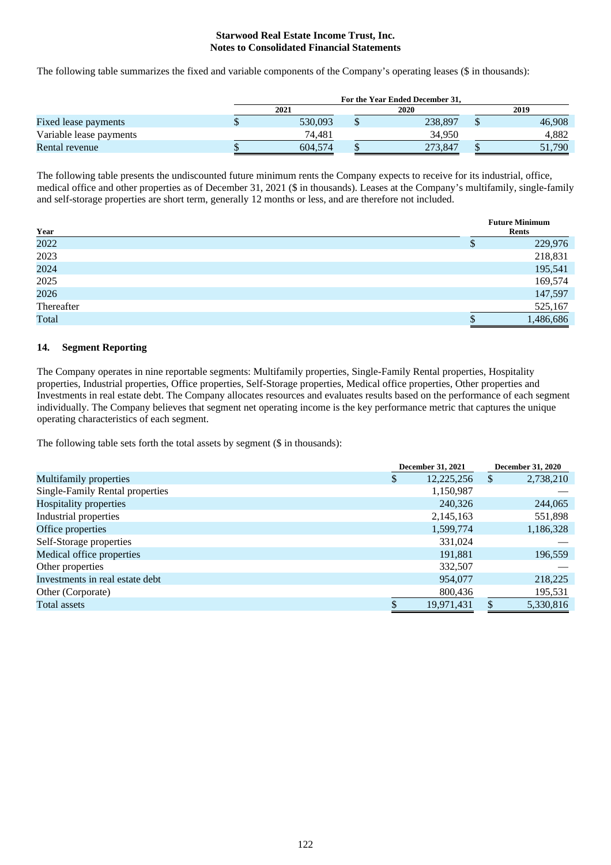The following table summarizes the fixed and variable components of the Company's operating leases (\$ in thousands):

|                         | For the Year Ended December 31. |         |  |         |  |        |  |  |  |
|-------------------------|---------------------------------|---------|--|---------|--|--------|--|--|--|
|                         |                                 | 2021    |  | 2020    |  | 2019   |  |  |  |
| Fixed lease payments    |                                 | 530,093 |  | 238.897 |  | 46.908 |  |  |  |
| Variable lease payments |                                 | 74.481  |  | 34.950  |  | 4.882  |  |  |  |
| Rental revenue          |                                 | 604.574 |  | 273.847 |  | 51.790 |  |  |  |

The following table presents the undiscounted future minimum rents the Company expects to receive for its industrial, office, medical office and other properties as of December 31, 2021 (\$ in thousands). Leases at the Company's multifamily, single-family and self-storage properties are short term, generally 12 months or less, and are therefore not included.

| Year       | <b>Future Minimum</b><br>Rents |
|------------|--------------------------------|
| 2022       | 229,976<br>J                   |
| 2023       | 218,831                        |
| 2024       | 195,541                        |
| 2025       | 169,574                        |
| 2026       | 147,597                        |
| Thereafter | 525,167                        |
| Total      | 1,486,686                      |

# **14. Segment Reporting**

The Company operates in nine reportable segments: Multifamily properties, Single-Family Rental properties, Hospitality properties, Industrial properties, Office properties, Self-Storage properties, Medical office properties, Other properties and Investments in real estate debt. The Company allocates resources and evaluates results based on the performance of each segment individually. The Company believes that segment net operating income is the key performance metric that captures the unique operating characteristics of each segment.

The following table sets forth the total assets by segment (\$ in thousands):

|                                 |   | <b>December 31, 2021</b> |   | <b>December 31, 2020</b> |
|---------------------------------|---|--------------------------|---|--------------------------|
| Multifamily properties          | S | 12,225,256               | S | 2,738,210                |
| Single-Family Rental properties |   | 1,150,987                |   |                          |
| Hospitality properties          |   | 240,326                  |   | 244,065                  |
| Industrial properties           |   | 2,145,163                |   | 551,898                  |
| Office properties               |   | 1,599,774                |   | 1,186,328                |
| Self-Storage properties         |   | 331,024                  |   |                          |
| Medical office properties       |   | 191,881                  |   | 196,559                  |
| Other properties                |   | 332,507                  |   |                          |
| Investments in real estate debt |   | 954,077                  |   | 218,225                  |
| Other (Corporate)               |   | 800,436                  |   | 195,531                  |
| Total assets                    |   | 19,971,431               |   | 5,330,816                |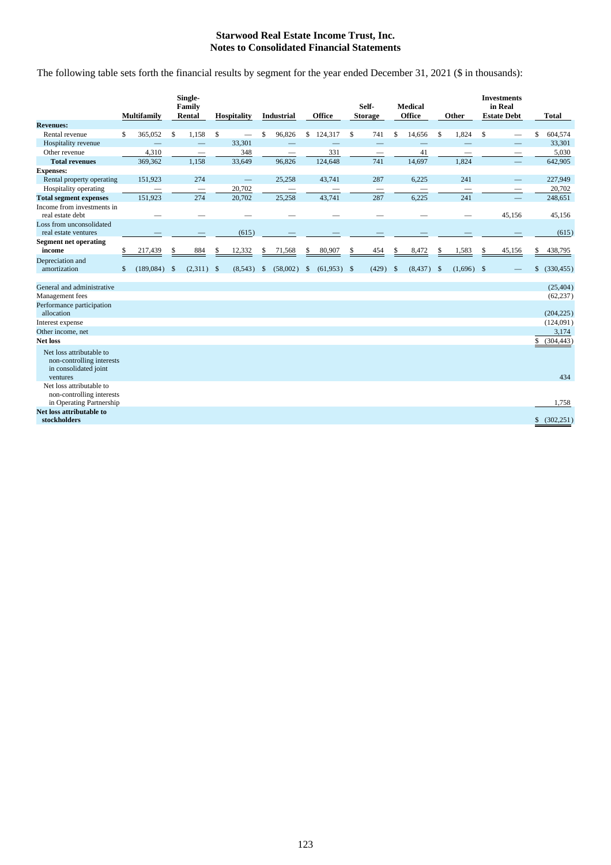The following table sets forth the financial results by segment for the year ended December 31, 2021 (\$ in thousands):

|                                                                                            | <b>Multifamily</b> |              | Single-<br>Family<br>Rental |    | <b>Hospitality</b>       |               | <b>Industrial</b> | <b>Office</b>       | Self-<br><b>Storage</b>  |    | <b>Medical</b><br>Office |      | Other                    | <b>Investments</b><br>in Real<br><b>Estate Debt</b> | <b>Total</b>     |
|--------------------------------------------------------------------------------------------|--------------------|--------------|-----------------------------|----|--------------------------|---------------|-------------------|---------------------|--------------------------|----|--------------------------|------|--------------------------|-----------------------------------------------------|------------------|
| <b>Revenues:</b>                                                                           |                    |              |                             |    |                          |               |                   |                     |                          |    |                          |      |                          |                                                     |                  |
| Rental revenue                                                                             | \$<br>365,052      | \$           | 1.158                       | \$ | $\overline{\phantom{0}}$ | \$            | 96,826            | \$<br>124,317       | \$<br>741                | \$ | 14,656                   | \$   | 1,824                    | \$<br>$\overline{\phantom{0}}$                      | \$<br>604,574    |
| Hospitality revenue                                                                        |                    |              | $\overline{\phantom{0}}$    |    | 33,301                   |               |                   |                     | $\qquad \qquad -$        |    |                          |      |                          | $\overline{\phantom{0}}$                            | 33,301           |
| Other revenue                                                                              | 4,310              |              | $\overline{\phantom{0}}$    |    | 348                      |               |                   | 331                 | $\overline{\phantom{0}}$ |    | 41                       |      |                          | $\qquad \qquad$                                     | 5,030            |
| <b>Total revenues</b>                                                                      | 369,362            |              | 1,158                       |    | 33,649                   |               | 96,826            | 124,648             | 741                      |    | 14,697                   |      | 1,824                    |                                                     | 642,905          |
| <b>Expenses:</b>                                                                           |                    |              |                             |    |                          |               |                   |                     |                          |    |                          |      |                          |                                                     |                  |
| Rental property operating                                                                  | 151,923            |              | 274                         |    | $\overline{\phantom{0}}$ |               | 25,258            | 43,741              | 287                      |    | 6,225                    |      | 241                      | $\overline{\phantom{0}}$                            | 227,949          |
| Hospitality operating                                                                      |                    |              | $\overline{\phantom{0}}$    |    | 20,702                   |               |                   |                     | $\overline{\phantom{m}}$ |    |                          |      |                          | $\qquad \qquad$                                     | 20,702           |
| <b>Total segment expenses</b><br>Income from investments in                                | 151,923            |              | 274                         |    | 20,702                   |               | 25,258            | 43,741              | 287                      |    | 6,225                    |      | 241                      |                                                     | 248,651          |
| real estate debt                                                                           |                    |              |                             |    |                          |               |                   |                     |                          |    |                          |      | $\overline{\phantom{0}}$ | 45,156                                              | 45,156           |
| Loss from unconsolidated<br>real estate ventures                                           |                    |              |                             |    | (615)                    |               |                   |                     |                          |    |                          |      |                          |                                                     | (615)            |
| <b>Segment net operating</b><br>income                                                     | \$<br>217,439      | S            | 884                         | \$ | 12,332                   | S             | 71,568            | \$<br>80,907        | \$<br>454                | s  | 8,472                    | S    | 1,583                    | \$<br>45,156                                        | \$<br>438,795    |
| Depreciation and<br>amortization                                                           | \$<br>(189,084)    | <sup>S</sup> | (2,311)                     | -S | (8,543)                  | <sup>\$</sup> | (58,002)          | \$<br>$(61,953)$ \$ | (429)                    | \$ | (8, 437)                 | - \$ | $(1,696)$ \$             |                                                     | \$<br>(330, 455) |
| General and administrative                                                                 |                    |              |                             |    |                          |               |                   |                     |                          |    |                          |      |                          |                                                     | (25, 404)        |
| Management fees                                                                            |                    |              |                             |    |                          |               |                   |                     |                          |    |                          |      |                          |                                                     | (62, 237)        |
| Performance participation<br>allocation                                                    |                    |              |                             |    |                          |               |                   |                     |                          |    |                          |      |                          |                                                     | (204, 225)       |
| Interest expense                                                                           |                    |              |                             |    |                          |               |                   |                     |                          |    |                          |      |                          |                                                     | (124,091)        |
| Other income, net                                                                          |                    |              |                             |    |                          |               |                   |                     |                          |    |                          |      |                          |                                                     | 3,174            |
| <b>Net loss</b>                                                                            |                    |              |                             |    |                          |               |                   |                     |                          |    |                          |      |                          |                                                     | \$<br>(304, 443) |
| Net loss attributable to<br>non-controlling interests<br>in consolidated joint<br>ventures |                    |              |                             |    |                          |               |                   |                     |                          |    |                          |      |                          |                                                     | 434              |
| Net loss attributable to<br>non-controlling interests<br>in Operating Partnership          |                    |              |                             |    |                          |               |                   |                     |                          |    |                          |      |                          |                                                     | 1,758            |
| Net loss attributable to<br>stockholders                                                   |                    |              |                             |    |                          |               |                   |                     |                          |    |                          |      |                          |                                                     | \$<br>(302, 251) |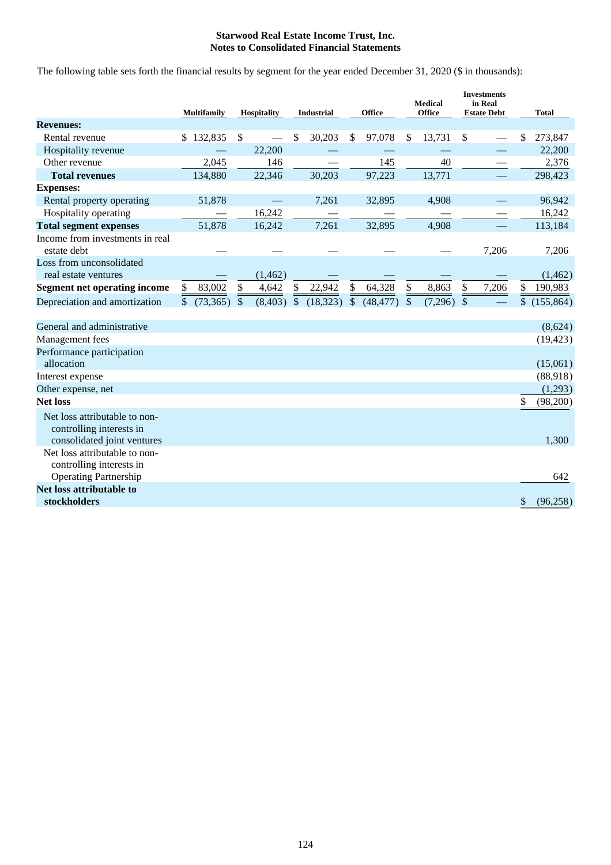The following table sets forth the financial results by segment for the year ended December 31, 2020 (\$ in thousands):

|                                                           | <b>Multifamily</b> |              | <b>Hospitality</b> |                           | <b>Industrial</b> | <b>Office</b>   | <b>Medical</b><br><b>Office</b> |         | <b>Investments</b><br>in Real<br><b>Estate Debt</b> | <b>Total</b>     |
|-----------------------------------------------------------|--------------------|--------------|--------------------|---------------------------|-------------------|-----------------|---------------------------------|---------|-----------------------------------------------------|------------------|
| <b>Revenues:</b>                                          |                    |              |                    |                           |                   |                 |                                 |         |                                                     |                  |
| Rental revenue                                            | \$132,835          | $\mathbb{S}$ |                    | \$                        | 30,203            | \$<br>97,078    | \$<br>13,731                    | \$      |                                                     | \$<br>273,847    |
| Hospitality revenue                                       |                    |              | 22,200             |                           |                   |                 |                                 |         |                                                     | 22,200           |
| Other revenue                                             | 2,045              |              | 146                |                           |                   | 145             | 40                              |         |                                                     | 2,376            |
| <b>Total revenues</b>                                     | 134,880            |              | 22,346             |                           | 30,203            | 97,223          | 13,771                          |         |                                                     | 298,423          |
| <b>Expenses:</b>                                          |                    |              |                    |                           |                   |                 |                                 |         |                                                     |                  |
| Rental property operating                                 | 51,878             |              |                    |                           | 7,261             | 32,895          | 4,908                           |         |                                                     | 96,942           |
| Hospitality operating                                     |                    |              | 16,242             |                           |                   |                 |                                 |         |                                                     | 16,242           |
| <b>Total segment expenses</b>                             | 51,878             |              | 16,242             |                           | 7,261             | 32,895          | 4,908                           |         |                                                     | 113,184          |
| Income from investments in real<br>estate debt            |                    |              |                    |                           |                   |                 |                                 |         | 7,206                                               | 7,206            |
| Loss from unconsolidated<br>real estate ventures          |                    |              | (1, 462)           |                           |                   |                 |                                 |         |                                                     | (1,462)          |
| <b>Segment net operating income</b>                       | 83,002<br>\$       | $\mathbb{S}$ | 4,642              | $\mathbb{S}$              | 22,942            | \$<br>64,328    | \$<br>8,863                     | \$      | 7,206                                               | \$<br>190,983    |
| Depreciation and amortization                             | \$<br>(73, 365)    | \$           | (8, 403)           | $\boldsymbol{\mathsf{S}}$ | (18, 323)         | \$<br>(48, 477) | \$<br>(7,296)                   | $\sqrt$ |                                                     | \$<br>(155, 864) |
|                                                           |                    |              |                    |                           |                   |                 |                                 |         |                                                     |                  |
| General and administrative                                |                    |              |                    |                           |                   |                 |                                 |         |                                                     | (8,624)          |
| Management fees                                           |                    |              |                    |                           |                   |                 |                                 |         |                                                     | (19, 423)        |
| Performance participation<br>allocation                   |                    |              |                    |                           |                   |                 |                                 |         |                                                     | (15,061)         |
| Interest expense                                          |                    |              |                    |                           |                   |                 |                                 |         |                                                     | (88,918)         |
| Other expense, net                                        |                    |              |                    |                           |                   |                 |                                 |         |                                                     | (1,293)          |
| <b>Net loss</b>                                           |                    |              |                    |                           |                   |                 |                                 |         |                                                     | \$<br>(98,200)   |
| Net loss attributable to non-<br>controlling interests in |                    |              |                    |                           |                   |                 |                                 |         |                                                     |                  |
| consolidated joint ventures                               |                    |              |                    |                           |                   |                 |                                 |         |                                                     | 1,300            |
| Net loss attributable to non-                             |                    |              |                    |                           |                   |                 |                                 |         |                                                     |                  |
| controlling interests in                                  |                    |              |                    |                           |                   |                 |                                 |         |                                                     |                  |
| <b>Operating Partnership</b>                              |                    |              |                    |                           |                   |                 |                                 |         |                                                     | 642              |
| Net loss attributable to                                  |                    |              |                    |                           |                   |                 |                                 |         |                                                     |                  |
| stockholders                                              |                    |              |                    |                           |                   |                 |                                 |         |                                                     | \$<br>(96, 258)  |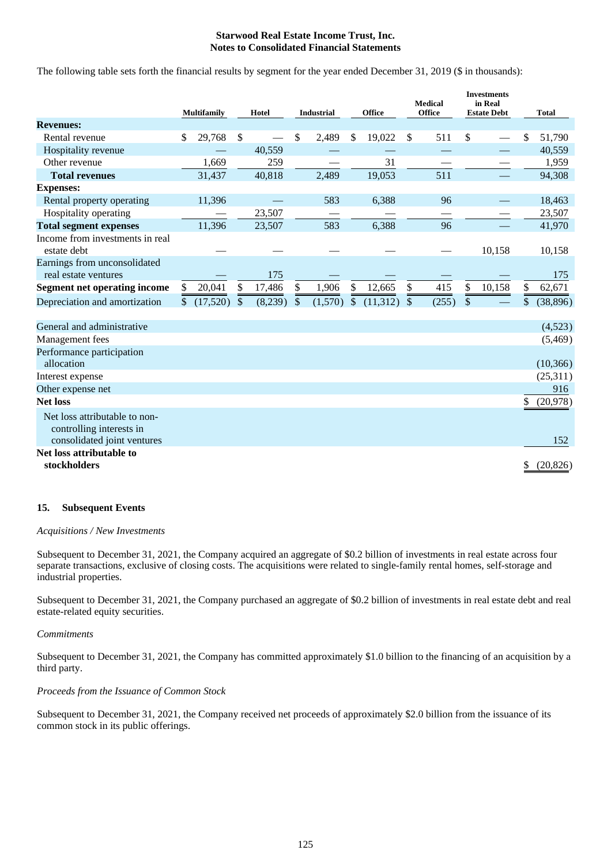The following table sets forth the financial results by segment for the year ended December 31, 2019 (\$ in thousands):

|                                                                                          |      | <b>Multifamily</b> |              | Hotel   |              | <b>Industrial</b> |               | <b>Office</b> |               | <b>Medical</b><br><b>Office</b> | <b>Investments</b><br>in Real<br><b>Estate Debt</b> |      | <b>Total</b> |
|------------------------------------------------------------------------------------------|------|--------------------|--------------|---------|--------------|-------------------|---------------|---------------|---------------|---------------------------------|-----------------------------------------------------|------|--------------|
| <b>Revenues:</b>                                                                         |      |                    |              |         |              |                   |               |               |               |                                 |                                                     |      |              |
| Rental revenue                                                                           | \$   | 29,768             | \$           |         | \$           | 2,489             | \$            | 19,022        | \$            | 511                             | \$                                                  | \$   | 51,790       |
| Hospitality revenue                                                                      |      |                    |              | 40,559  |              |                   |               |               |               |                                 |                                                     |      | 40,559       |
| Other revenue                                                                            |      | 1.669              |              | 259     |              |                   |               | 31            |               |                                 |                                                     |      | 1,959        |
| <b>Total revenues</b>                                                                    |      | 31,437             |              | 40,818  |              | 2,489             |               | 19,053        |               | 511                             |                                                     |      | 94,308       |
| <b>Expenses:</b>                                                                         |      |                    |              |         |              |                   |               |               |               |                                 |                                                     |      |              |
| Rental property operating                                                                |      | 11,396             |              |         |              | 583               |               | 6,388         |               | 96                              |                                                     |      | 18,463       |
| Hospitality operating                                                                    |      |                    |              | 23,507  |              |                   |               |               |               |                                 |                                                     |      | 23,507       |
| <b>Total segment expenses</b>                                                            |      | 11,396             |              | 23,507  |              | 583               |               | 6,388         |               | 96                              |                                                     |      | 41,970       |
| Income from investments in real<br>estate debt                                           |      |                    |              |         |              |                   |               |               |               |                                 | 10,158                                              |      | 10,158       |
| Earnings from unconsolidated<br>real estate ventures                                     |      |                    |              | 175     |              |                   |               |               |               |                                 |                                                     |      | 175          |
| <b>Segment net operating income</b>                                                      | $\$$ | 20,041             | \$           | 17,486  | \$           | 1,906             | \$            | 12,665        | \$            | 415                             | \$<br>10,158                                        | $\$$ | 62,671       |
| Depreciation and amortization                                                            | \$   | (17,520)           | $\mathbb{S}$ | (8,239) | $\mathbb{S}$ | (1,570)           | $\mathcal{S}$ | (11,312)      | $\mathcal{S}$ | (255)                           | \$                                                  | \$   | (38, 896)    |
| General and administrative                                                               |      |                    |              |         |              |                   |               |               |               |                                 |                                                     |      | (4,523)      |
| Management fees                                                                          |      |                    |              |         |              |                   |               |               |               |                                 |                                                     |      | (5,469)      |
| Performance participation<br>allocation                                                  |      |                    |              |         |              |                   |               |               |               |                                 |                                                     |      | (10, 366)    |
| Interest expense                                                                         |      |                    |              |         |              |                   |               |               |               |                                 |                                                     |      | (25,311)     |
| Other expense net                                                                        |      |                    |              |         |              |                   |               |               |               |                                 |                                                     |      | 916          |
| <b>Net loss</b>                                                                          |      |                    |              |         |              |                   |               |               |               |                                 |                                                     | \$   | (20, 978)    |
| Net loss attributable to non-<br>controlling interests in<br>consolidated joint ventures |      |                    |              |         |              |                   |               |               |               |                                 |                                                     |      | 152          |
| Net loss attributable to<br>stockholders                                                 |      |                    |              |         |              |                   |               |               |               |                                 |                                                     | \$   | (20, 826)    |

#### **15. Subsequent Events**

#### *Acquisitions / New Investments*

Subsequent to December 31, 2021, the Company acquired an aggregate of \$0.2 billion of investments in real estate across four separate transactions, exclusive of closing costs. The acquisitions were related to single-family rental homes, self-storage and industrial properties.

Subsequent to December 31, 2021, the Company purchased an aggregate of \$0.2 billion of investments in real estate debt and real estate-related equity securities.

#### *Commitments*

Subsequent to December 31, 2021, the Company has committed approximately \$1.0 billion to the financing of an acquisition by a third party.

#### *Proceeds from the Issuance of Common Stock*

Subsequent to December 31, 2021, the Company received net proceeds of approximately \$2.0 billion from the issuance of its common stock in its public offerings.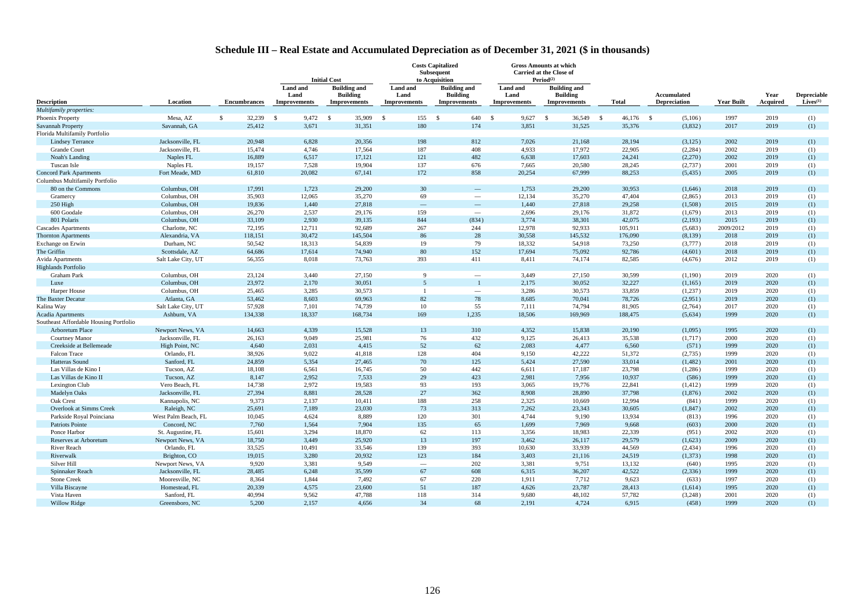|                                        |                     |                        | <b>Initial Cost</b>      |                                        | <b>Costs Capitalized</b><br>Subsequent<br>to Acquisition |                                        | <b>Gross Amounts at which</b><br>Carried at the Close of<br>Period <sup>(2)</sup> |                                        |              |                         |                   |          |               |
|----------------------------------------|---------------------|------------------------|--------------------------|----------------------------------------|----------------------------------------------------------|----------------------------------------|-----------------------------------------------------------------------------------|----------------------------------------|--------------|-------------------------|-------------------|----------|---------------|
|                                        |                     |                        | <b>Land</b> and<br>Land  | <b>Building and</b><br><b>Building</b> | <b>Land and</b><br>Land                                  | <b>Building and</b><br><b>Building</b> | <b>Land</b> and<br>Land                                                           | <b>Building and</b><br><b>Building</b> |              | <b>Accumulated</b>      |                   | Year     | Depreciable   |
| <b>Description</b>                     | Location            | <b>Encumbrances</b>    | <b>Improvements</b>      | <b>Improvements</b>                    | <b>Improvements</b>                                      | <b>Improvements</b>                    | <b>Improvements</b>                                                               | <b>Improvements</b>                    | Total        | Depreciation            | <b>Year Built</b> | Acquired | $Lives^{(1)}$ |
| Multifamily properties:                |                     |                        |                          |                                        |                                                          |                                        |                                                                                   |                                        |              |                         |                   |          |               |
| Phoenix Property                       | Mesa, AZ            | 32,239<br>$\mathbb{S}$ | 9,472 \$<br>$\mathbf{s}$ | 35,909                                 | 155 \$<br>$\mathbf{s}$                                   | 640                                    | $\mathbf{\hat{s}}$<br>9,627                                                       | 36,549<br><sup>\$</sup>                | -S<br>46,176 | <sup>S</sup><br>(5,106) | 1997              | 2019     | (1)           |
| Savannah Property                      | Savannah, GA        | 25,412                 | 3,671                    | 31,351                                 | 180                                                      | 174                                    | 3,851                                                                             | 31,525                                 | 35,376       | (3,832)                 | 2017              | 2019     | (1)           |
| Florida Multifamily Portfolio          |                     |                        |                          |                                        |                                                          |                                        |                                                                                   |                                        |              |                         |                   |          |               |
| <b>Lindsey Terrance</b>                | Jacksonville, FL    | 20,948                 | 6,828                    | 20,356                                 | 198                                                      | 812                                    | 7,026                                                                             | 21,168                                 | 28,194       | (3, 125)                | 2002              | 2019     | (1)           |
| Grande Court                           | Jacksonville, FL    | 15,474                 | 4,746                    | 17,564                                 | 187                                                      | 408                                    | 4,933                                                                             | 17,972                                 | 22,905       | (2, 284)                | 2002              | 2019     | (1)           |
| Noah's Landing                         | Naples FL           | 16,889                 | 6,517                    | 17,121                                 | 121                                                      | 482                                    | 6,638                                                                             | 17,603                                 | 24,241       | (2,270)                 | 2002              | 2019     | (1)           |
| Tuscan Isle                            | Naples FL           | 19,157                 | 7,528                    | 19,904                                 | 137                                                      | 676                                    | 7,665                                                                             | 20,580                                 | 28,245       | (2,737)                 | 2001              | 2019     | (1)           |
| <b>Concord Park Apartments</b>         | Fort Meade, MD      | 61,810                 | 20,082                   | 67,141                                 | 172                                                      | 858                                    | 20,254                                                                            | 67,999                                 | 88,253       | (5, 435)                | 2005              | 2019     | (1)           |
| Columbus Multifamily Portfolio         |                     |                        |                          |                                        |                                                          |                                        |                                                                                   |                                        |              |                         |                   |          |               |
| 80 on the Commons                      | Columbus, OH        | 17,991                 | 1,723                    | 29,200                                 | 30                                                       | $\overline{\phantom{0}}$               | 1,753                                                                             | 29,200                                 | 30,953       | (1,646)                 | 2018              | 2019     | (1)           |
| Gramercy                               | Columbus, OH        | 35,903                 | 12,065                   | 35,270                                 | 69                                                       | $\sim$                                 | 12,134                                                                            | 35,270                                 | 47,404       | (2,865)                 | 2013              | 2019     | (1)           |
| 250 High                               | Columbus, OH        | 19,836                 | 1,440                    | 27,818                                 |                                                          |                                        | 1,440                                                                             | 27,818                                 | 29,258       | (1,508)                 | 2015              | 2019     | (1)           |
| 600 Goodale                            | Columbus, OH        | 26,270                 | 2,537                    | 29,176                                 | 159                                                      |                                        | 2,696                                                                             | 29,176                                 | 31,872       | (1,679)                 | 2013              | 2019     | (1)           |
| 801 Polaris                            | Columbus, OH        | 33,109                 | 2,930                    | 39,135                                 | 844                                                      | (834)                                  | 3,774                                                                             | 38,301                                 | 42,075       | (2,193)                 | 2015              | 2019     | (1)           |
| <b>Cascades Apartments</b>             | Charlotte, NC       | 72,195                 | 12,711                   | 92,689                                 | 267                                                      | 244                                    | 12,978                                                                            | 92,933                                 | 105,911      | (5,683)                 | 2009/2012         | 2019     | (1)           |
| <b>Thornton Apartments</b>             | Alexandria, VA      | 118,151                | 30,472                   | 145,504                                | 86                                                       | 28                                     | 30,558                                                                            | 145,532                                | 176,090      | (8, 139)                | 2018              | 2019     | (1)           |
| Exchange on Erwin                      | Durham, NC          | 50,542                 | 18,313                   | 54,839                                 | 19                                                       | 79                                     | 18,332                                                                            | 54.918                                 | 73,250       | (3,777)                 | 2018              | 2019     | (1)           |
| The Griffin                            | Scottsdale, AZ      | 64,686                 | 17,614                   | 74,940                                 | 80                                                       | 152                                    | 17,694                                                                            | 75,092                                 | 92,786       | (4,601)                 | 2018              | 2019     | (1)           |
| Avida Apartments                       | Salt Lake City, UT  | 56,355                 | 8,018                    | 73,763                                 | 393                                                      | 411                                    | 8,411                                                                             | 74,174                                 | 82,585       | (4,676)                 | 2012              | 2019     | (1)           |
| <b>Highlands Portfolio</b>             |                     |                        |                          |                                        |                                                          |                                        |                                                                                   |                                        |              |                         |                   |          |               |
| Graham Park                            | Columbus, OH        | 23,124                 | 3,440                    | 27,150                                 | 9                                                        | $\sim$                                 | 3,449                                                                             | 27,150                                 | 30,599       | (1,190)                 | 2019              | 2020     | (1)           |
| Luxe                                   | Columbus, OH        | 23,972                 | 2,170                    | 30,051                                 | $\overline{5}$                                           |                                        | 2,175                                                                             | 30.052                                 | 32,227       | (1, 165)                | 2019              | 2020     | (1)           |
| Harper House                           | Columbus, OH        | 25,465                 | 3,285                    | 30,573                                 | - 1                                                      | $\overline{\phantom{0}}$               | 3,286                                                                             | 30,573                                 | 33,859       | (1,237)                 | 2019              | 2020     | (1)           |
| The Baxter Decatur                     | Atlanta, GA         | 53,462                 | 8,603                    | 69,963                                 | 82                                                       | 78                                     | 8,685                                                                             | 70,041                                 | 78,726       | (2,951)                 | 2019              | 2020     | (1)           |
| Kalina Way                             | Salt Lake City, UT  | 57,928                 | 7,101                    | 74,739                                 | 10                                                       | 55                                     | 7,111                                                                             | 74,794                                 | 81,905       | (2,764)                 | 2017              | 2020     | (1)           |
| <b>Acadia Apartments</b>               | Ashburn, VA         | 134,338                | 18,337                   | 168,734                                | 169                                                      | 1,235                                  | 18,506                                                                            | 169,969                                | 188,475      | (5,634)                 | 1999              | 2020     | (1)           |
| Southeast Affordable Housing Portfolio |                     |                        |                          |                                        |                                                          |                                        |                                                                                   |                                        |              |                         |                   |          |               |
| Arboretum Place                        | Newport News, VA    | 14,663                 | 4,339                    | 15,528                                 | 13                                                       | 310                                    | 4,352                                                                             | 15,838                                 | 20,190       | (1,095)                 | 1995              | 2020     | (1)           |
| Courtney Manor                         | Jacksonville, FL    | 26,163                 | 9,049                    | 25,981                                 | 76                                                       | 432                                    | 9,125                                                                             | 26,413                                 | 35,538       | (1,717)                 | 2000              | 2020     | (1)           |
| Creekside at Bellemeade                | High Point, NC      | 4,640                  | 2,031                    | 4,415                                  | 52                                                       | 62                                     | 2,083                                                                             | 4,477                                  | 6,560        | (571)                   | 1999              | 2020     | (1)           |
| <b>Falcon Trace</b>                    | Orlando, FL         | 38,926                 | 9,022                    | 41,818                                 | 128                                                      | 404                                    | 9,150                                                                             | 42,222                                 | 51,372       | (2,735)                 | 1999              | 2020     | (1)           |
| Hatteras Sound                         | Sanford, FL         | 24,859                 | 5,354                    | 27,465                                 | 70                                                       | 125                                    | 5,424                                                                             | 27,590                                 | 33,014       | (1,482)                 | 2001              | 2020     | (1)           |
| Las Villas de Kino I                   | Tucson, AZ          | 18,108                 | 6,561                    | 16,745                                 | 50                                                       | 442                                    | 6,611                                                                             | 17,187                                 | 23,798       | (1,286)                 | 1999              | 2020     | (1)           |
| Las Villas de Kino II                  | Tucson, AZ          | 8,147                  | 2,952                    | 7,533                                  | 29                                                       | 423                                    | 2,981                                                                             | 7,956                                  | 10,937       | (586)                   | 1999              | 2020     | (1)           |
| Lexington Club                         | Vero Beach, FL      | 14,738                 | 2,972                    | 19,583                                 | 93                                                       | 193                                    | 3,065                                                                             | 19,776                                 | 22,841       | (1, 412)                | 1999              | 2020     | (1)           |
| Madelyn Oaks                           | Jacksonville, FL    | 27,394                 | 8,881                    | 28,528                                 | 27                                                       | 362                                    | 8,908                                                                             | 28,890                                 | 37,798       | (1,876)                 | 2002              | 2020     | (1)           |
| <b>Oak Crest</b>                       | Kannapolis, NC      | 9,373                  | 2,137                    | 10,411                                 | 188                                                      | 258                                    | 2,325                                                                             | 10.669                                 | 12,994       | (841)                   | 1999              | 2020     | (1)           |
| <b>Overlook at Simms Creek</b>         | Raleigh, NC         | 25,691                 | 7,189                    | 23,030                                 | 73                                                       | 313                                    | 7,262                                                                             | 23,343                                 | 30,605       | (1, 847)                | 2002              | 2020     | (1)           |
| Parkside Royal Poinciana               | West Palm Beach, FL | 10,045                 | 4,624                    | 8,889                                  | 120                                                      | 301                                    | 4,744                                                                             | 9,190                                  | 13,934       | (813)                   | 1996              | 2020     | (1)           |
| <b>Patriots Pointe</b>                 | Concord, NC         | 7,760                  | 1,564                    | 7,904                                  | 135                                                      | 65                                     | 1,699                                                                             | 7,969                                  | 9,668        | (603)                   | 2000              | 2020     | (1)           |
| Ponce Harbor                           | St. Augustine, FL   | 15,601                 | 3,294                    | 18,870                                 | 62                                                       | 113                                    | 3,356                                                                             | 18.983                                 | 22,339       | (951)                   | 2002              | 2020     | (1)           |
| Reserves at Arboretum                  | Newport News, VA    | 18,750                 | 3,449                    | 25,920                                 | 13                                                       | 197                                    | 3,462                                                                             | 26,117                                 | 29,579       | (1,623)                 | 2009              | 2020     | (1)           |
| <b>River Reach</b>                     | Orlando, FL         | 33,525                 | 10,491                   | 33,546                                 | 139                                                      | 393                                    | 10,630                                                                            | 33,939                                 | 44,569       | (2, 434)                | 1996              | 2020     | (1)           |
| Riverwalk                              | Brighton, CO        | 19,015                 | 3,280                    | 20,932                                 | 123                                                      | 184                                    | 3,403                                                                             | 21,116                                 | 24,519       | (1,373)                 | 1998              | 2020     | (1)           |
| <b>Silver Hill</b>                     | Newport News, VA    | 9,920                  | 3,381                    | 9.549                                  | $\frac{1}{2}$                                            | 202                                    | 3,381                                                                             | 9.751                                  | 13,132       | (640)                   | 1995              | 2020     | (1)           |
| Spinnaker Reach                        | Jacksonville, FL    | 28,485                 | 6,248                    | 35,599                                 | 67                                                       | 608                                    | 6,315                                                                             | 36,207                                 | 42,522       | (2, 336)                | 1999              | 2020     | (1)           |
| <b>Stone Creek</b>                     | Mooresville, NC     | 8,364                  | 1,844                    | 7,492                                  | 67                                                       | 220                                    | 1,911                                                                             | 7,712                                  | 9,623        | (633)                   | 1997              | 2020     | (1)           |
| Villa Biscayne                         | Homestead, FL       | 20,339                 | 4.575                    | 23,600                                 | 51                                                       | 187                                    | 4,626                                                                             | 23,787                                 | 28,413       | (1,614)                 | 1995              | 2020     | (1)           |
| Vista Haven                            | Sanford, FL         | 40.994                 | 9,562                    | 47,788                                 | 118                                                      | 314                                    | 9.680                                                                             | 48.102                                 | 57,782       | (3,248)                 | 2001              | 2020     | (1)           |
| <b>Willow Ridge</b>                    | Greensboro, NC      | 5,200                  | 2,157                    | 4,656                                  | 34                                                       | 68                                     | 2,191                                                                             | 4,724                                  | 6,915        | (458)                   | 1999              | 2020     | (1)           |
|                                        |                     |                        |                          |                                        |                                                          |                                        |                                                                                   |                                        |              |                         |                   |          |               |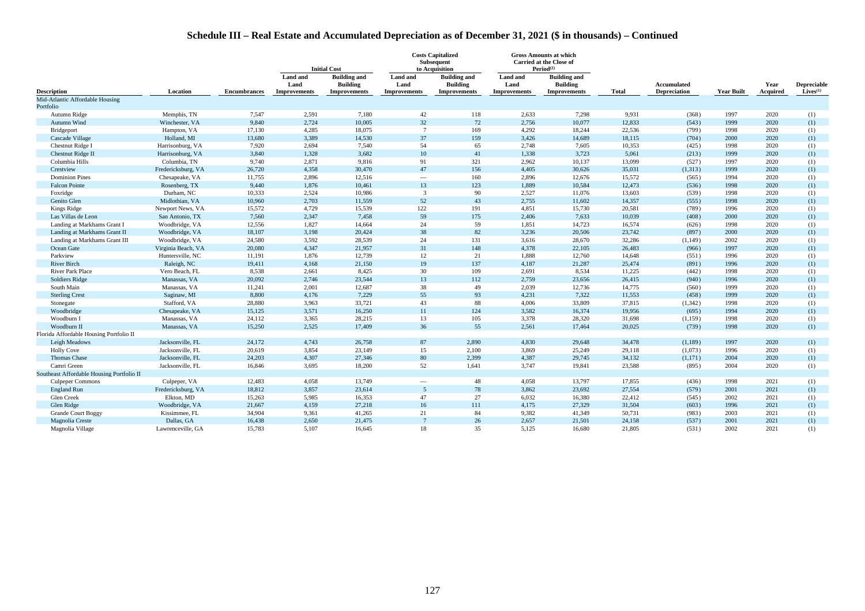| <b>Building and</b><br><b>Land and</b><br><b>Land</b> and<br><b>Building and</b><br><b>Land</b> and<br><b>Building and</b><br><b>Building</b><br><b>Building</b><br><b>Building</b><br>Depreciable<br>Land<br>Land<br>Land<br>Accumulated<br>Year<br>$Lives^{(1)}$<br>Total<br><b>Depreciation</b><br>Acquired<br>Description<br>Location<br><b>Encumbrances</b><br><b>Improvements</b><br><b>Year Built</b><br><b>Improvements</b><br><b>Improvements</b><br><b>Improvements</b><br><b>Improvements</b><br><b>Improvements</b><br>Mid-Atlantic Affordable Housing<br>Portfolio<br>42<br>Memphis, TN<br>7,547<br>2,591<br>7,180<br>118<br>2,633<br>7,298<br>9,931<br>(368)<br>1997<br>2020<br>Autumn Ridge<br>(1)<br>32<br>72<br>9,840<br>2,724<br>10,005<br>2,756<br>10,077<br>12,833<br>(543)<br>1999<br>2020<br>Autumn Wind<br>Winchester, VA<br>(1)<br>$7\phantom{.0}$<br>4,285<br>169<br>18,075<br>4,292<br>18,244<br>22,536<br>(799)<br>1998<br>2020<br>Bridgeport<br>Hampton, VA<br>17,130<br>(1)<br>3,389<br>14,530<br>37<br>159<br>14,689<br>Holland, MI<br>13,680<br>3,426<br>18,115<br>(704)<br>2000<br>2020<br>Cascade Village<br>(1)<br>54<br>Harrisonburg, VA<br>7,920<br>2,694<br>7,540<br>65<br>2,748<br>7,605<br>10,353<br>(425)<br>1998<br>2020<br>Chestnut Ridge I<br>(1)<br>10<br>Harrisonburg, VA<br>3,840<br>1,328<br>3,682<br>41<br>1,338<br>3,723<br>5,061<br>(213)<br>1999<br>2020<br>Chestnut Ridge II<br>(1)<br>Columbia Hills<br>Columbia, TN<br>9,740<br>2,871<br>9,816<br>91<br>321<br>2,962<br>10,137<br>13,099<br>(527)<br>1997<br>2020<br>(1)<br>47<br>Fredericksburg, VA<br>4,358<br>30,470<br>156<br>4,405<br>30,626<br>35,031<br>1999<br>2020<br>Crestview<br>26,720<br>(1,313)<br>(1)<br><b>Dominion Pines</b><br>2,896<br>12,516<br>160<br>2,896<br>12,676<br>15,572<br>(565)<br>1994<br>2020<br>Chesapeake, VA<br>11,755<br>(1)<br>$\overline{\phantom{m}}$<br>13<br>123<br>1,876<br>1,889<br>10,584<br>12,473<br>(536)<br>1998<br><b>Falcon Pointe</b><br>Rosenberg, TX<br>9,440<br>10,461<br>2020<br>(1)<br>Durham, NC<br>10,333<br>2,524<br>10,986<br>$\overline{3}$<br>90<br>2,527<br>11,076<br>1998<br>Foxridge<br>13,603<br>(539)<br>2020<br>(1)<br>Midlothian, VA<br>2,703<br>52<br>43<br>Genito Glen<br>10,960<br>11,559<br>2,755<br>11,602<br>14,357<br>(555)<br>1998<br>2020<br>(1)<br>Kings Ridge<br>Newport News, VA<br>15,572<br>4,729<br>15,539<br>122<br>191<br>4,851<br>15,730<br>20,581<br>(789)<br>1996<br>2020<br>(1)<br>59<br>175<br>Las Villas de Leon<br>San Antonio, TX<br>7,560<br>2,347<br>7,458<br>2,406<br>7,633<br>10,039<br>(408)<br>2000<br>2020<br>(1)<br>59<br>12,556<br>1,827<br>14,664<br>24<br>1,851<br>14,723<br>16,574<br>1998<br>2020<br>Landing at Markhams Grant I<br>Woodbridge, VA<br>(626)<br>(1)<br>38<br>82<br>Woodbridge, VA<br>18,107<br>3,198<br>20,424<br>3,236<br>20,506<br>23,742<br>(897)<br>2000<br>2020<br>Landing at Markhams Grant II<br>(1)<br>24,580<br>3,592<br>28,539<br>24<br>131<br>32,286<br>Landing at Markhams Grant III<br>Woodbridge, VA<br>3,616<br>28,670<br>(1, 149)<br>2002<br>2020<br>(1)<br>31<br>148<br>4,347<br>22,105<br>(966)<br>1997<br>Ocean Gate<br>Virginia Beach, VA<br>20,080<br>21,957<br>4,378<br>26,483<br>2020<br>(1)<br>12<br>1,876<br>12,739<br>21<br>1,888<br>Parkview<br>Huntersville, NC<br>11,191<br>12,760<br>14,648<br>(551)<br>1996<br>2020<br>(1)<br>19<br>137<br>Raleigh, NC<br>21,150<br><b>River Birch</b><br>19,411<br>4,168<br>4,187<br>21,287<br>25,474<br>(891)<br>1996<br>2020<br>(1)<br>30<br>River Park Place<br>Vero Beach, FL<br>8,538<br>2,661<br>8,425<br>109<br>2,691<br>8,534<br>11,225<br>(442)<br>1998<br>2020<br>(1)<br>13<br>2,746<br>112<br><b>Soldiers Ridge</b><br>Manassas, VA<br>20,092<br>23,544<br>2,759<br>23,656<br>26,415<br>(940)<br>1996<br>2020<br>(1)<br>South Main<br>Manassas, VA<br>2,001<br>12,687<br>38<br>49<br>2,039<br>12,736<br>14,775<br>(560)<br>1999<br>2020<br>11,241<br>(1)<br>8,800<br>55<br>93<br>Saginaw, MI<br>4,176<br>7,229<br>4,231<br>7,322<br>11,553<br>(458)<br>1999<br>2020<br>(1)<br><b>Sterling Crest</b><br>43<br>Stafford, VA<br>28,880<br>3,963<br>33,721<br>88<br>4,006<br>33,809<br>37,815<br>Stonegate<br>(1,342)<br>1998<br>2020<br>(1)<br>3,571<br>16,250<br>11<br>124<br>Woodbridge<br>Chesapeake, VA<br>15,125<br>3,582<br>16,374<br>19,956<br>(695)<br>1994<br>2020<br>(1)<br>Woodburn I<br>Manassas, VA<br>3,365<br>13<br>105<br>28,320<br>24,112<br>28,215<br>3,378<br>31,698<br>(1,159)<br>1998<br>2020<br>(1)<br>36<br>55<br>Woodburn II<br>Manassas, VA<br>15,250<br>2,525<br>17,409<br>17,464<br>(739)<br>1998<br>2020<br>(1)<br>2,561<br>20,025<br>Florida Affordable Housing Portfolio II<br>Jacksonville, FL<br>24,172<br>4,743<br>26,758<br>87<br>2.890<br>4.830<br>Leigh Meadows<br>29,648<br>34,478<br>(1,189)<br>1997<br>2020<br>(1)<br>Jacksonville, FL<br><b>Holly Cove</b><br>20,619<br>3,854<br>23,149<br>15<br>2,100<br>3,869<br>25,249<br>29,118<br>(1,073)<br>1996<br>2020<br>(1)<br>4,307<br>27,346<br>80<br>2,399<br>34,132<br>2004<br>2020<br>Thomas Chase<br>Jacksonville, FL<br>24,203<br>4,387<br>29,745<br>(1,171)<br>(1)<br>52<br>Camri Green<br>Jacksonville, FL<br>16,846<br>3,695<br>18,200<br>1,641<br>19,841<br>23,588<br>(895)<br>2004<br>3,747<br>2020<br>(1)<br>Southeast Affordable Housing Portfolio II<br>48<br>12,483<br>4,058<br>13,749<br>4.058<br>13,797<br>17,855<br>(436)<br>1998<br><b>Culpeper Commons</b><br>Culpeper, VA<br>2021<br>(1)<br>$\overline{\phantom{m}}$<br>5<br>78<br><b>England Run</b><br>Fredericksburg, VA<br>18,812<br>3,857<br>23,614<br>3,862<br>23,692<br>27,554<br>(579)<br>2001<br>2021<br>(1)<br>47<br>Elkton, MD<br>16,353<br>27<br>22,412<br>Glen Creek<br>15,263<br>5.985<br>6,032<br>16.380<br>(545)<br>2002<br>2021<br>(1)<br>4,159<br>16<br>111<br>4,175<br>27,329<br>31,504<br>Glen Ridge<br>Woodbridge, VA<br>21,667<br>27,218<br>(603)<br>1996<br>2021<br>(1)<br>84<br>Kissimmee, FL<br>34,904<br>9,361<br>41,265<br>21<br>9,382<br>41,349<br>50,731<br>(983)<br>2003<br>2021<br>(1)<br><b>Grande Court Boggy</b><br>2,650<br>21,475<br>$7\phantom{.0}$<br>26<br>2,657<br>21,501<br>24,158<br>(537)<br>2021<br>Magnolia Creste<br>Dallas, GA<br>16,438<br>2001<br>(1)<br>18<br>35<br>Magnolia Village<br>Lawrenceville, GA<br>15,783<br>5,107<br>16,645<br>5,125<br>16,680<br>21,805<br>(531)<br>2002<br>2021<br>(1) |  |  | <b>Initial Cost</b> | <b>Costs Capitalized</b><br>Subsequent<br>to Acquisition | <b>Gross Amounts at which</b><br>Carried at the Close of<br>Period <sup>(2)</sup> |  |  |  |
|-----------------------------------------------------------------------------------------------------------------------------------------------------------------------------------------------------------------------------------------------------------------------------------------------------------------------------------------------------------------------------------------------------------------------------------------------------------------------------------------------------------------------------------------------------------------------------------------------------------------------------------------------------------------------------------------------------------------------------------------------------------------------------------------------------------------------------------------------------------------------------------------------------------------------------------------------------------------------------------------------------------------------------------------------------------------------------------------------------------------------------------------------------------------------------------------------------------------------------------------------------------------------------------------------------------------------------------------------------------------------------------------------------------------------------------------------------------------------------------------------------------------------------------------------------------------------------------------------------------------------------------------------------------------------------------------------------------------------------------------------------------------------------------------------------------------------------------------------------------------------------------------------------------------------------------------------------------------------------------------------------------------------------------------------------------------------------------------------------------------------------------------------------------------------------------------------------------------------------------------------------------------------------------------------------------------------------------------------------------------------------------------------------------------------------------------------------------------------------------------------------------------------------------------------------------------------------------------------------------------------------------------------------------------------------------------------------------------------------------------------------------------------------------------------------------------------------------------------------------------------------------------------------------------------------------------------------------------------------------------------------------------------------------------------------------------------------------------------------------------------------------------------------------------------------------------------------------------------------------------------------------------------------------------------------------------------------------------------------------------------------------------------------------------------------------------------------------------------------------------------------------------------------------------------------------------------------------------------------------------------------------------------------------------------------------------------------------------------------------------------------------------------------------------------------------------------------------------------------------------------------------------------------------------------------------------------------------------------------------------------------------------------------------------------------------------------------------------------------------------------------------------------------------------------------------------------------------------------------------------------------------------------------------------------------------------------------------------------------------------------------------------------------------------------------------------------------------------------------------------------------------------------------------------------------------------------------------------------------------------------------------------------------------------------------------------------------------------------------------------------------------------------------------------------------------------------------------------------------------------------------------------------------------------------------------------------------------------------------------------------------------------------------------------------------------------------------------------------------------------------------------------------------------------------------------------------------------------------------------------------------------------------------------------------------------------------------------------------------------------------------------------------------------------------------------------------------------------------------------------------------------------------------------------------------------------------------------------------------------------------------------------------------------------------------------------------------------------------------------------------------------------------------------------------------------------------------------------------------------------------------------------------------------------------------------------------------------------------------------------------------------------------------------------------------------------------------------------------------------------------------------------------------------------------------------------------------------------------------------------------------------------------------------------------------------------------------------------------------------------------------------------------------------------------|--|--|---------------------|----------------------------------------------------------|-----------------------------------------------------------------------------------|--|--|--|
|                                                                                                                                                                                                                                                                                                                                                                                                                                                                                                                                                                                                                                                                                                                                                                                                                                                                                                                                                                                                                                                                                                                                                                                                                                                                                                                                                                                                                                                                                                                                                                                                                                                                                                                                                                                                                                                                                                                                                                                                                                                                                                                                                                                                                                                                                                                                                                                                                                                                                                                                                                                                                                                                                                                                                                                                                                                                                                                                                                                                                                                                                                                                                                                                                                                                                                                                                                                                                                                                                                                                                                                                                                                                                                                                                                                                                                                                                                                                                                                                                                                                                                                                                                                                                                                                                                                                                                                                                                                                                                                                                                                                                                                                                                                                                                                                                                                                                                                                                                                                                                                                                                                                                                                                                                                                                                                                                                                                                                                                                                                                                                                                                                                                                                                                                                                                                                                                                                                                                                                                                                                                                                                                                                                                                                                                                                                                                                                                                       |  |  |                     |                                                          |                                                                                   |  |  |  |
|                                                                                                                                                                                                                                                                                                                                                                                                                                                                                                                                                                                                                                                                                                                                                                                                                                                                                                                                                                                                                                                                                                                                                                                                                                                                                                                                                                                                                                                                                                                                                                                                                                                                                                                                                                                                                                                                                                                                                                                                                                                                                                                                                                                                                                                                                                                                                                                                                                                                                                                                                                                                                                                                                                                                                                                                                                                                                                                                                                                                                                                                                                                                                                                                                                                                                                                                                                                                                                                                                                                                                                                                                                                                                                                                                                                                                                                                                                                                                                                                                                                                                                                                                                                                                                                                                                                                                                                                                                                                                                                                                                                                                                                                                                                                                                                                                                                                                                                                                                                                                                                                                                                                                                                                                                                                                                                                                                                                                                                                                                                                                                                                                                                                                                                                                                                                                                                                                                                                                                                                                                                                                                                                                                                                                                                                                                                                                                                                                       |  |  |                     |                                                          |                                                                                   |  |  |  |
|                                                                                                                                                                                                                                                                                                                                                                                                                                                                                                                                                                                                                                                                                                                                                                                                                                                                                                                                                                                                                                                                                                                                                                                                                                                                                                                                                                                                                                                                                                                                                                                                                                                                                                                                                                                                                                                                                                                                                                                                                                                                                                                                                                                                                                                                                                                                                                                                                                                                                                                                                                                                                                                                                                                                                                                                                                                                                                                                                                                                                                                                                                                                                                                                                                                                                                                                                                                                                                                                                                                                                                                                                                                                                                                                                                                                                                                                                                                                                                                                                                                                                                                                                                                                                                                                                                                                                                                                                                                                                                                                                                                                                                                                                                                                                                                                                                                                                                                                                                                                                                                                                                                                                                                                                                                                                                                                                                                                                                                                                                                                                                                                                                                                                                                                                                                                                                                                                                                                                                                                                                                                                                                                                                                                                                                                                                                                                                                                                       |  |  |                     |                                                          |                                                                                   |  |  |  |
|                                                                                                                                                                                                                                                                                                                                                                                                                                                                                                                                                                                                                                                                                                                                                                                                                                                                                                                                                                                                                                                                                                                                                                                                                                                                                                                                                                                                                                                                                                                                                                                                                                                                                                                                                                                                                                                                                                                                                                                                                                                                                                                                                                                                                                                                                                                                                                                                                                                                                                                                                                                                                                                                                                                                                                                                                                                                                                                                                                                                                                                                                                                                                                                                                                                                                                                                                                                                                                                                                                                                                                                                                                                                                                                                                                                                                                                                                                                                                                                                                                                                                                                                                                                                                                                                                                                                                                                                                                                                                                                                                                                                                                                                                                                                                                                                                                                                                                                                                                                                                                                                                                                                                                                                                                                                                                                                                                                                                                                                                                                                                                                                                                                                                                                                                                                                                                                                                                                                                                                                                                                                                                                                                                                                                                                                                                                                                                                                                       |  |  |                     |                                                          |                                                                                   |  |  |  |
|                                                                                                                                                                                                                                                                                                                                                                                                                                                                                                                                                                                                                                                                                                                                                                                                                                                                                                                                                                                                                                                                                                                                                                                                                                                                                                                                                                                                                                                                                                                                                                                                                                                                                                                                                                                                                                                                                                                                                                                                                                                                                                                                                                                                                                                                                                                                                                                                                                                                                                                                                                                                                                                                                                                                                                                                                                                                                                                                                                                                                                                                                                                                                                                                                                                                                                                                                                                                                                                                                                                                                                                                                                                                                                                                                                                                                                                                                                                                                                                                                                                                                                                                                                                                                                                                                                                                                                                                                                                                                                                                                                                                                                                                                                                                                                                                                                                                                                                                                                                                                                                                                                                                                                                                                                                                                                                                                                                                                                                                                                                                                                                                                                                                                                                                                                                                                                                                                                                                                                                                                                                                                                                                                                                                                                                                                                                                                                                                                       |  |  |                     |                                                          |                                                                                   |  |  |  |
|                                                                                                                                                                                                                                                                                                                                                                                                                                                                                                                                                                                                                                                                                                                                                                                                                                                                                                                                                                                                                                                                                                                                                                                                                                                                                                                                                                                                                                                                                                                                                                                                                                                                                                                                                                                                                                                                                                                                                                                                                                                                                                                                                                                                                                                                                                                                                                                                                                                                                                                                                                                                                                                                                                                                                                                                                                                                                                                                                                                                                                                                                                                                                                                                                                                                                                                                                                                                                                                                                                                                                                                                                                                                                                                                                                                                                                                                                                                                                                                                                                                                                                                                                                                                                                                                                                                                                                                                                                                                                                                                                                                                                                                                                                                                                                                                                                                                                                                                                                                                                                                                                                                                                                                                                                                                                                                                                                                                                                                                                                                                                                                                                                                                                                                                                                                                                                                                                                                                                                                                                                                                                                                                                                                                                                                                                                                                                                                                                       |  |  |                     |                                                          |                                                                                   |  |  |  |
|                                                                                                                                                                                                                                                                                                                                                                                                                                                                                                                                                                                                                                                                                                                                                                                                                                                                                                                                                                                                                                                                                                                                                                                                                                                                                                                                                                                                                                                                                                                                                                                                                                                                                                                                                                                                                                                                                                                                                                                                                                                                                                                                                                                                                                                                                                                                                                                                                                                                                                                                                                                                                                                                                                                                                                                                                                                                                                                                                                                                                                                                                                                                                                                                                                                                                                                                                                                                                                                                                                                                                                                                                                                                                                                                                                                                                                                                                                                                                                                                                                                                                                                                                                                                                                                                                                                                                                                                                                                                                                                                                                                                                                                                                                                                                                                                                                                                                                                                                                                                                                                                                                                                                                                                                                                                                                                                                                                                                                                                                                                                                                                                                                                                                                                                                                                                                                                                                                                                                                                                                                                                                                                                                                                                                                                                                                                                                                                                                       |  |  |                     |                                                          |                                                                                   |  |  |  |
|                                                                                                                                                                                                                                                                                                                                                                                                                                                                                                                                                                                                                                                                                                                                                                                                                                                                                                                                                                                                                                                                                                                                                                                                                                                                                                                                                                                                                                                                                                                                                                                                                                                                                                                                                                                                                                                                                                                                                                                                                                                                                                                                                                                                                                                                                                                                                                                                                                                                                                                                                                                                                                                                                                                                                                                                                                                                                                                                                                                                                                                                                                                                                                                                                                                                                                                                                                                                                                                                                                                                                                                                                                                                                                                                                                                                                                                                                                                                                                                                                                                                                                                                                                                                                                                                                                                                                                                                                                                                                                                                                                                                                                                                                                                                                                                                                                                                                                                                                                                                                                                                                                                                                                                                                                                                                                                                                                                                                                                                                                                                                                                                                                                                                                                                                                                                                                                                                                                                                                                                                                                                                                                                                                                                                                                                                                                                                                                                                       |  |  |                     |                                                          |                                                                                   |  |  |  |
|                                                                                                                                                                                                                                                                                                                                                                                                                                                                                                                                                                                                                                                                                                                                                                                                                                                                                                                                                                                                                                                                                                                                                                                                                                                                                                                                                                                                                                                                                                                                                                                                                                                                                                                                                                                                                                                                                                                                                                                                                                                                                                                                                                                                                                                                                                                                                                                                                                                                                                                                                                                                                                                                                                                                                                                                                                                                                                                                                                                                                                                                                                                                                                                                                                                                                                                                                                                                                                                                                                                                                                                                                                                                                                                                                                                                                                                                                                                                                                                                                                                                                                                                                                                                                                                                                                                                                                                                                                                                                                                                                                                                                                                                                                                                                                                                                                                                                                                                                                                                                                                                                                                                                                                                                                                                                                                                                                                                                                                                                                                                                                                                                                                                                                                                                                                                                                                                                                                                                                                                                                                                                                                                                                                                                                                                                                                                                                                                                       |  |  |                     |                                                          |                                                                                   |  |  |  |
|                                                                                                                                                                                                                                                                                                                                                                                                                                                                                                                                                                                                                                                                                                                                                                                                                                                                                                                                                                                                                                                                                                                                                                                                                                                                                                                                                                                                                                                                                                                                                                                                                                                                                                                                                                                                                                                                                                                                                                                                                                                                                                                                                                                                                                                                                                                                                                                                                                                                                                                                                                                                                                                                                                                                                                                                                                                                                                                                                                                                                                                                                                                                                                                                                                                                                                                                                                                                                                                                                                                                                                                                                                                                                                                                                                                                                                                                                                                                                                                                                                                                                                                                                                                                                                                                                                                                                                                                                                                                                                                                                                                                                                                                                                                                                                                                                                                                                                                                                                                                                                                                                                                                                                                                                                                                                                                                                                                                                                                                                                                                                                                                                                                                                                                                                                                                                                                                                                                                                                                                                                                                                                                                                                                                                                                                                                                                                                                                                       |  |  |                     |                                                          |                                                                                   |  |  |  |
|                                                                                                                                                                                                                                                                                                                                                                                                                                                                                                                                                                                                                                                                                                                                                                                                                                                                                                                                                                                                                                                                                                                                                                                                                                                                                                                                                                                                                                                                                                                                                                                                                                                                                                                                                                                                                                                                                                                                                                                                                                                                                                                                                                                                                                                                                                                                                                                                                                                                                                                                                                                                                                                                                                                                                                                                                                                                                                                                                                                                                                                                                                                                                                                                                                                                                                                                                                                                                                                                                                                                                                                                                                                                                                                                                                                                                                                                                                                                                                                                                                                                                                                                                                                                                                                                                                                                                                                                                                                                                                                                                                                                                                                                                                                                                                                                                                                                                                                                                                                                                                                                                                                                                                                                                                                                                                                                                                                                                                                                                                                                                                                                                                                                                                                                                                                                                                                                                                                                                                                                                                                                                                                                                                                                                                                                                                                                                                                                                       |  |  |                     |                                                          |                                                                                   |  |  |  |
|                                                                                                                                                                                                                                                                                                                                                                                                                                                                                                                                                                                                                                                                                                                                                                                                                                                                                                                                                                                                                                                                                                                                                                                                                                                                                                                                                                                                                                                                                                                                                                                                                                                                                                                                                                                                                                                                                                                                                                                                                                                                                                                                                                                                                                                                                                                                                                                                                                                                                                                                                                                                                                                                                                                                                                                                                                                                                                                                                                                                                                                                                                                                                                                                                                                                                                                                                                                                                                                                                                                                                                                                                                                                                                                                                                                                                                                                                                                                                                                                                                                                                                                                                                                                                                                                                                                                                                                                                                                                                                                                                                                                                                                                                                                                                                                                                                                                                                                                                                                                                                                                                                                                                                                                                                                                                                                                                                                                                                                                                                                                                                                                                                                                                                                                                                                                                                                                                                                                                                                                                                                                                                                                                                                                                                                                                                                                                                                                                       |  |  |                     |                                                          |                                                                                   |  |  |  |
|                                                                                                                                                                                                                                                                                                                                                                                                                                                                                                                                                                                                                                                                                                                                                                                                                                                                                                                                                                                                                                                                                                                                                                                                                                                                                                                                                                                                                                                                                                                                                                                                                                                                                                                                                                                                                                                                                                                                                                                                                                                                                                                                                                                                                                                                                                                                                                                                                                                                                                                                                                                                                                                                                                                                                                                                                                                                                                                                                                                                                                                                                                                                                                                                                                                                                                                                                                                                                                                                                                                                                                                                                                                                                                                                                                                                                                                                                                                                                                                                                                                                                                                                                                                                                                                                                                                                                                                                                                                                                                                                                                                                                                                                                                                                                                                                                                                                                                                                                                                                                                                                                                                                                                                                                                                                                                                                                                                                                                                                                                                                                                                                                                                                                                                                                                                                                                                                                                                                                                                                                                                                                                                                                                                                                                                                                                                                                                                                                       |  |  |                     |                                                          |                                                                                   |  |  |  |
|                                                                                                                                                                                                                                                                                                                                                                                                                                                                                                                                                                                                                                                                                                                                                                                                                                                                                                                                                                                                                                                                                                                                                                                                                                                                                                                                                                                                                                                                                                                                                                                                                                                                                                                                                                                                                                                                                                                                                                                                                                                                                                                                                                                                                                                                                                                                                                                                                                                                                                                                                                                                                                                                                                                                                                                                                                                                                                                                                                                                                                                                                                                                                                                                                                                                                                                                                                                                                                                                                                                                                                                                                                                                                                                                                                                                                                                                                                                                                                                                                                                                                                                                                                                                                                                                                                                                                                                                                                                                                                                                                                                                                                                                                                                                                                                                                                                                                                                                                                                                                                                                                                                                                                                                                                                                                                                                                                                                                                                                                                                                                                                                                                                                                                                                                                                                                                                                                                                                                                                                                                                                                                                                                                                                                                                                                                                                                                                                                       |  |  |                     |                                                          |                                                                                   |  |  |  |
|                                                                                                                                                                                                                                                                                                                                                                                                                                                                                                                                                                                                                                                                                                                                                                                                                                                                                                                                                                                                                                                                                                                                                                                                                                                                                                                                                                                                                                                                                                                                                                                                                                                                                                                                                                                                                                                                                                                                                                                                                                                                                                                                                                                                                                                                                                                                                                                                                                                                                                                                                                                                                                                                                                                                                                                                                                                                                                                                                                                                                                                                                                                                                                                                                                                                                                                                                                                                                                                                                                                                                                                                                                                                                                                                                                                                                                                                                                                                                                                                                                                                                                                                                                                                                                                                                                                                                                                                                                                                                                                                                                                                                                                                                                                                                                                                                                                                                                                                                                                                                                                                                                                                                                                                                                                                                                                                                                                                                                                                                                                                                                                                                                                                                                                                                                                                                                                                                                                                                                                                                                                                                                                                                                                                                                                                                                                                                                                                                       |  |  |                     |                                                          |                                                                                   |  |  |  |
|                                                                                                                                                                                                                                                                                                                                                                                                                                                                                                                                                                                                                                                                                                                                                                                                                                                                                                                                                                                                                                                                                                                                                                                                                                                                                                                                                                                                                                                                                                                                                                                                                                                                                                                                                                                                                                                                                                                                                                                                                                                                                                                                                                                                                                                                                                                                                                                                                                                                                                                                                                                                                                                                                                                                                                                                                                                                                                                                                                                                                                                                                                                                                                                                                                                                                                                                                                                                                                                                                                                                                                                                                                                                                                                                                                                                                                                                                                                                                                                                                                                                                                                                                                                                                                                                                                                                                                                                                                                                                                                                                                                                                                                                                                                                                                                                                                                                                                                                                                                                                                                                                                                                                                                                                                                                                                                                                                                                                                                                                                                                                                                                                                                                                                                                                                                                                                                                                                                                                                                                                                                                                                                                                                                                                                                                                                                                                                                                                       |  |  |                     |                                                          |                                                                                   |  |  |  |
|                                                                                                                                                                                                                                                                                                                                                                                                                                                                                                                                                                                                                                                                                                                                                                                                                                                                                                                                                                                                                                                                                                                                                                                                                                                                                                                                                                                                                                                                                                                                                                                                                                                                                                                                                                                                                                                                                                                                                                                                                                                                                                                                                                                                                                                                                                                                                                                                                                                                                                                                                                                                                                                                                                                                                                                                                                                                                                                                                                                                                                                                                                                                                                                                                                                                                                                                                                                                                                                                                                                                                                                                                                                                                                                                                                                                                                                                                                                                                                                                                                                                                                                                                                                                                                                                                                                                                                                                                                                                                                                                                                                                                                                                                                                                                                                                                                                                                                                                                                                                                                                                                                                                                                                                                                                                                                                                                                                                                                                                                                                                                                                                                                                                                                                                                                                                                                                                                                                                                                                                                                                                                                                                                                                                                                                                                                                                                                                                                       |  |  |                     |                                                          |                                                                                   |  |  |  |
|                                                                                                                                                                                                                                                                                                                                                                                                                                                                                                                                                                                                                                                                                                                                                                                                                                                                                                                                                                                                                                                                                                                                                                                                                                                                                                                                                                                                                                                                                                                                                                                                                                                                                                                                                                                                                                                                                                                                                                                                                                                                                                                                                                                                                                                                                                                                                                                                                                                                                                                                                                                                                                                                                                                                                                                                                                                                                                                                                                                                                                                                                                                                                                                                                                                                                                                                                                                                                                                                                                                                                                                                                                                                                                                                                                                                                                                                                                                                                                                                                                                                                                                                                                                                                                                                                                                                                                                                                                                                                                                                                                                                                                                                                                                                                                                                                                                                                                                                                                                                                                                                                                                                                                                                                                                                                                                                                                                                                                                                                                                                                                                                                                                                                                                                                                                                                                                                                                                                                                                                                                                                                                                                                                                                                                                                                                                                                                                                                       |  |  |                     |                                                          |                                                                                   |  |  |  |
|                                                                                                                                                                                                                                                                                                                                                                                                                                                                                                                                                                                                                                                                                                                                                                                                                                                                                                                                                                                                                                                                                                                                                                                                                                                                                                                                                                                                                                                                                                                                                                                                                                                                                                                                                                                                                                                                                                                                                                                                                                                                                                                                                                                                                                                                                                                                                                                                                                                                                                                                                                                                                                                                                                                                                                                                                                                                                                                                                                                                                                                                                                                                                                                                                                                                                                                                                                                                                                                                                                                                                                                                                                                                                                                                                                                                                                                                                                                                                                                                                                                                                                                                                                                                                                                                                                                                                                                                                                                                                                                                                                                                                                                                                                                                                                                                                                                                                                                                                                                                                                                                                                                                                                                                                                                                                                                                                                                                                                                                                                                                                                                                                                                                                                                                                                                                                                                                                                                                                                                                                                                                                                                                                                                                                                                                                                                                                                                                                       |  |  |                     |                                                          |                                                                                   |  |  |  |
|                                                                                                                                                                                                                                                                                                                                                                                                                                                                                                                                                                                                                                                                                                                                                                                                                                                                                                                                                                                                                                                                                                                                                                                                                                                                                                                                                                                                                                                                                                                                                                                                                                                                                                                                                                                                                                                                                                                                                                                                                                                                                                                                                                                                                                                                                                                                                                                                                                                                                                                                                                                                                                                                                                                                                                                                                                                                                                                                                                                                                                                                                                                                                                                                                                                                                                                                                                                                                                                                                                                                                                                                                                                                                                                                                                                                                                                                                                                                                                                                                                                                                                                                                                                                                                                                                                                                                                                                                                                                                                                                                                                                                                                                                                                                                                                                                                                                                                                                                                                                                                                                                                                                                                                                                                                                                                                                                                                                                                                                                                                                                                                                                                                                                                                                                                                                                                                                                                                                                                                                                                                                                                                                                                                                                                                                                                                                                                                                                       |  |  |                     |                                                          |                                                                                   |  |  |  |
|                                                                                                                                                                                                                                                                                                                                                                                                                                                                                                                                                                                                                                                                                                                                                                                                                                                                                                                                                                                                                                                                                                                                                                                                                                                                                                                                                                                                                                                                                                                                                                                                                                                                                                                                                                                                                                                                                                                                                                                                                                                                                                                                                                                                                                                                                                                                                                                                                                                                                                                                                                                                                                                                                                                                                                                                                                                                                                                                                                                                                                                                                                                                                                                                                                                                                                                                                                                                                                                                                                                                                                                                                                                                                                                                                                                                                                                                                                                                                                                                                                                                                                                                                                                                                                                                                                                                                                                                                                                                                                                                                                                                                                                                                                                                                                                                                                                                                                                                                                                                                                                                                                                                                                                                                                                                                                                                                                                                                                                                                                                                                                                                                                                                                                                                                                                                                                                                                                                                                                                                                                                                                                                                                                                                                                                                                                                                                                                                                       |  |  |                     |                                                          |                                                                                   |  |  |  |
|                                                                                                                                                                                                                                                                                                                                                                                                                                                                                                                                                                                                                                                                                                                                                                                                                                                                                                                                                                                                                                                                                                                                                                                                                                                                                                                                                                                                                                                                                                                                                                                                                                                                                                                                                                                                                                                                                                                                                                                                                                                                                                                                                                                                                                                                                                                                                                                                                                                                                                                                                                                                                                                                                                                                                                                                                                                                                                                                                                                                                                                                                                                                                                                                                                                                                                                                                                                                                                                                                                                                                                                                                                                                                                                                                                                                                                                                                                                                                                                                                                                                                                                                                                                                                                                                                                                                                                                                                                                                                                                                                                                                                                                                                                                                                                                                                                                                                                                                                                                                                                                                                                                                                                                                                                                                                                                                                                                                                                                                                                                                                                                                                                                                                                                                                                                                                                                                                                                                                                                                                                                                                                                                                                                                                                                                                                                                                                                                                       |  |  |                     |                                                          |                                                                                   |  |  |  |
|                                                                                                                                                                                                                                                                                                                                                                                                                                                                                                                                                                                                                                                                                                                                                                                                                                                                                                                                                                                                                                                                                                                                                                                                                                                                                                                                                                                                                                                                                                                                                                                                                                                                                                                                                                                                                                                                                                                                                                                                                                                                                                                                                                                                                                                                                                                                                                                                                                                                                                                                                                                                                                                                                                                                                                                                                                                                                                                                                                                                                                                                                                                                                                                                                                                                                                                                                                                                                                                                                                                                                                                                                                                                                                                                                                                                                                                                                                                                                                                                                                                                                                                                                                                                                                                                                                                                                                                                                                                                                                                                                                                                                                                                                                                                                                                                                                                                                                                                                                                                                                                                                                                                                                                                                                                                                                                                                                                                                                                                                                                                                                                                                                                                                                                                                                                                                                                                                                                                                                                                                                                                                                                                                                                                                                                                                                                                                                                                                       |  |  |                     |                                                          |                                                                                   |  |  |  |
|                                                                                                                                                                                                                                                                                                                                                                                                                                                                                                                                                                                                                                                                                                                                                                                                                                                                                                                                                                                                                                                                                                                                                                                                                                                                                                                                                                                                                                                                                                                                                                                                                                                                                                                                                                                                                                                                                                                                                                                                                                                                                                                                                                                                                                                                                                                                                                                                                                                                                                                                                                                                                                                                                                                                                                                                                                                                                                                                                                                                                                                                                                                                                                                                                                                                                                                                                                                                                                                                                                                                                                                                                                                                                                                                                                                                                                                                                                                                                                                                                                                                                                                                                                                                                                                                                                                                                                                                                                                                                                                                                                                                                                                                                                                                                                                                                                                                                                                                                                                                                                                                                                                                                                                                                                                                                                                                                                                                                                                                                                                                                                                                                                                                                                                                                                                                                                                                                                                                                                                                                                                                                                                                                                                                                                                                                                                                                                                                                       |  |  |                     |                                                          |                                                                                   |  |  |  |
|                                                                                                                                                                                                                                                                                                                                                                                                                                                                                                                                                                                                                                                                                                                                                                                                                                                                                                                                                                                                                                                                                                                                                                                                                                                                                                                                                                                                                                                                                                                                                                                                                                                                                                                                                                                                                                                                                                                                                                                                                                                                                                                                                                                                                                                                                                                                                                                                                                                                                                                                                                                                                                                                                                                                                                                                                                                                                                                                                                                                                                                                                                                                                                                                                                                                                                                                                                                                                                                                                                                                                                                                                                                                                                                                                                                                                                                                                                                                                                                                                                                                                                                                                                                                                                                                                                                                                                                                                                                                                                                                                                                                                                                                                                                                                                                                                                                                                                                                                                                                                                                                                                                                                                                                                                                                                                                                                                                                                                                                                                                                                                                                                                                                                                                                                                                                                                                                                                                                                                                                                                                                                                                                                                                                                                                                                                                                                                                                                       |  |  |                     |                                                          |                                                                                   |  |  |  |
|                                                                                                                                                                                                                                                                                                                                                                                                                                                                                                                                                                                                                                                                                                                                                                                                                                                                                                                                                                                                                                                                                                                                                                                                                                                                                                                                                                                                                                                                                                                                                                                                                                                                                                                                                                                                                                                                                                                                                                                                                                                                                                                                                                                                                                                                                                                                                                                                                                                                                                                                                                                                                                                                                                                                                                                                                                                                                                                                                                                                                                                                                                                                                                                                                                                                                                                                                                                                                                                                                                                                                                                                                                                                                                                                                                                                                                                                                                                                                                                                                                                                                                                                                                                                                                                                                                                                                                                                                                                                                                                                                                                                                                                                                                                                                                                                                                                                                                                                                                                                                                                                                                                                                                                                                                                                                                                                                                                                                                                                                                                                                                                                                                                                                                                                                                                                                                                                                                                                                                                                                                                                                                                                                                                                                                                                                                                                                                                                                       |  |  |                     |                                                          |                                                                                   |  |  |  |
|                                                                                                                                                                                                                                                                                                                                                                                                                                                                                                                                                                                                                                                                                                                                                                                                                                                                                                                                                                                                                                                                                                                                                                                                                                                                                                                                                                                                                                                                                                                                                                                                                                                                                                                                                                                                                                                                                                                                                                                                                                                                                                                                                                                                                                                                                                                                                                                                                                                                                                                                                                                                                                                                                                                                                                                                                                                                                                                                                                                                                                                                                                                                                                                                                                                                                                                                                                                                                                                                                                                                                                                                                                                                                                                                                                                                                                                                                                                                                                                                                                                                                                                                                                                                                                                                                                                                                                                                                                                                                                                                                                                                                                                                                                                                                                                                                                                                                                                                                                                                                                                                                                                                                                                                                                                                                                                                                                                                                                                                                                                                                                                                                                                                                                                                                                                                                                                                                                                                                                                                                                                                                                                                                                                                                                                                                                                                                                                                                       |  |  |                     |                                                          |                                                                                   |  |  |  |
|                                                                                                                                                                                                                                                                                                                                                                                                                                                                                                                                                                                                                                                                                                                                                                                                                                                                                                                                                                                                                                                                                                                                                                                                                                                                                                                                                                                                                                                                                                                                                                                                                                                                                                                                                                                                                                                                                                                                                                                                                                                                                                                                                                                                                                                                                                                                                                                                                                                                                                                                                                                                                                                                                                                                                                                                                                                                                                                                                                                                                                                                                                                                                                                                                                                                                                                                                                                                                                                                                                                                                                                                                                                                                                                                                                                                                                                                                                                                                                                                                                                                                                                                                                                                                                                                                                                                                                                                                                                                                                                                                                                                                                                                                                                                                                                                                                                                                                                                                                                                                                                                                                                                                                                                                                                                                                                                                                                                                                                                                                                                                                                                                                                                                                                                                                                                                                                                                                                                                                                                                                                                                                                                                                                                                                                                                                                                                                                                                       |  |  |                     |                                                          |                                                                                   |  |  |  |
|                                                                                                                                                                                                                                                                                                                                                                                                                                                                                                                                                                                                                                                                                                                                                                                                                                                                                                                                                                                                                                                                                                                                                                                                                                                                                                                                                                                                                                                                                                                                                                                                                                                                                                                                                                                                                                                                                                                                                                                                                                                                                                                                                                                                                                                                                                                                                                                                                                                                                                                                                                                                                                                                                                                                                                                                                                                                                                                                                                                                                                                                                                                                                                                                                                                                                                                                                                                                                                                                                                                                                                                                                                                                                                                                                                                                                                                                                                                                                                                                                                                                                                                                                                                                                                                                                                                                                                                                                                                                                                                                                                                                                                                                                                                                                                                                                                                                                                                                                                                                                                                                                                                                                                                                                                                                                                                                                                                                                                                                                                                                                                                                                                                                                                                                                                                                                                                                                                                                                                                                                                                                                                                                                                                                                                                                                                                                                                                                                       |  |  |                     |                                                          |                                                                                   |  |  |  |
|                                                                                                                                                                                                                                                                                                                                                                                                                                                                                                                                                                                                                                                                                                                                                                                                                                                                                                                                                                                                                                                                                                                                                                                                                                                                                                                                                                                                                                                                                                                                                                                                                                                                                                                                                                                                                                                                                                                                                                                                                                                                                                                                                                                                                                                                                                                                                                                                                                                                                                                                                                                                                                                                                                                                                                                                                                                                                                                                                                                                                                                                                                                                                                                                                                                                                                                                                                                                                                                                                                                                                                                                                                                                                                                                                                                                                                                                                                                                                                                                                                                                                                                                                                                                                                                                                                                                                                                                                                                                                                                                                                                                                                                                                                                                                                                                                                                                                                                                                                                                                                                                                                                                                                                                                                                                                                                                                                                                                                                                                                                                                                                                                                                                                                                                                                                                                                                                                                                                                                                                                                                                                                                                                                                                                                                                                                                                                                                                                       |  |  |                     |                                                          |                                                                                   |  |  |  |
|                                                                                                                                                                                                                                                                                                                                                                                                                                                                                                                                                                                                                                                                                                                                                                                                                                                                                                                                                                                                                                                                                                                                                                                                                                                                                                                                                                                                                                                                                                                                                                                                                                                                                                                                                                                                                                                                                                                                                                                                                                                                                                                                                                                                                                                                                                                                                                                                                                                                                                                                                                                                                                                                                                                                                                                                                                                                                                                                                                                                                                                                                                                                                                                                                                                                                                                                                                                                                                                                                                                                                                                                                                                                                                                                                                                                                                                                                                                                                                                                                                                                                                                                                                                                                                                                                                                                                                                                                                                                                                                                                                                                                                                                                                                                                                                                                                                                                                                                                                                                                                                                                                                                                                                                                                                                                                                                                                                                                                                                                                                                                                                                                                                                                                                                                                                                                                                                                                                                                                                                                                                                                                                                                                                                                                                                                                                                                                                                                       |  |  |                     |                                                          |                                                                                   |  |  |  |
|                                                                                                                                                                                                                                                                                                                                                                                                                                                                                                                                                                                                                                                                                                                                                                                                                                                                                                                                                                                                                                                                                                                                                                                                                                                                                                                                                                                                                                                                                                                                                                                                                                                                                                                                                                                                                                                                                                                                                                                                                                                                                                                                                                                                                                                                                                                                                                                                                                                                                                                                                                                                                                                                                                                                                                                                                                                                                                                                                                                                                                                                                                                                                                                                                                                                                                                                                                                                                                                                                                                                                                                                                                                                                                                                                                                                                                                                                                                                                                                                                                                                                                                                                                                                                                                                                                                                                                                                                                                                                                                                                                                                                                                                                                                                                                                                                                                                                                                                                                                                                                                                                                                                                                                                                                                                                                                                                                                                                                                                                                                                                                                                                                                                                                                                                                                                                                                                                                                                                                                                                                                                                                                                                                                                                                                                                                                                                                                                                       |  |  |                     |                                                          |                                                                                   |  |  |  |
|                                                                                                                                                                                                                                                                                                                                                                                                                                                                                                                                                                                                                                                                                                                                                                                                                                                                                                                                                                                                                                                                                                                                                                                                                                                                                                                                                                                                                                                                                                                                                                                                                                                                                                                                                                                                                                                                                                                                                                                                                                                                                                                                                                                                                                                                                                                                                                                                                                                                                                                                                                                                                                                                                                                                                                                                                                                                                                                                                                                                                                                                                                                                                                                                                                                                                                                                                                                                                                                                                                                                                                                                                                                                                                                                                                                                                                                                                                                                                                                                                                                                                                                                                                                                                                                                                                                                                                                                                                                                                                                                                                                                                                                                                                                                                                                                                                                                                                                                                                                                                                                                                                                                                                                                                                                                                                                                                                                                                                                                                                                                                                                                                                                                                                                                                                                                                                                                                                                                                                                                                                                                                                                                                                                                                                                                                                                                                                                                                       |  |  |                     |                                                          |                                                                                   |  |  |  |
|                                                                                                                                                                                                                                                                                                                                                                                                                                                                                                                                                                                                                                                                                                                                                                                                                                                                                                                                                                                                                                                                                                                                                                                                                                                                                                                                                                                                                                                                                                                                                                                                                                                                                                                                                                                                                                                                                                                                                                                                                                                                                                                                                                                                                                                                                                                                                                                                                                                                                                                                                                                                                                                                                                                                                                                                                                                                                                                                                                                                                                                                                                                                                                                                                                                                                                                                                                                                                                                                                                                                                                                                                                                                                                                                                                                                                                                                                                                                                                                                                                                                                                                                                                                                                                                                                                                                                                                                                                                                                                                                                                                                                                                                                                                                                                                                                                                                                                                                                                                                                                                                                                                                                                                                                                                                                                                                                                                                                                                                                                                                                                                                                                                                                                                                                                                                                                                                                                                                                                                                                                                                                                                                                                                                                                                                                                                                                                                                                       |  |  |                     |                                                          |                                                                                   |  |  |  |
|                                                                                                                                                                                                                                                                                                                                                                                                                                                                                                                                                                                                                                                                                                                                                                                                                                                                                                                                                                                                                                                                                                                                                                                                                                                                                                                                                                                                                                                                                                                                                                                                                                                                                                                                                                                                                                                                                                                                                                                                                                                                                                                                                                                                                                                                                                                                                                                                                                                                                                                                                                                                                                                                                                                                                                                                                                                                                                                                                                                                                                                                                                                                                                                                                                                                                                                                                                                                                                                                                                                                                                                                                                                                                                                                                                                                                                                                                                                                                                                                                                                                                                                                                                                                                                                                                                                                                                                                                                                                                                                                                                                                                                                                                                                                                                                                                                                                                                                                                                                                                                                                                                                                                                                                                                                                                                                                                                                                                                                                                                                                                                                                                                                                                                                                                                                                                                                                                                                                                                                                                                                                                                                                                                                                                                                                                                                                                                                                                       |  |  |                     |                                                          |                                                                                   |  |  |  |
|                                                                                                                                                                                                                                                                                                                                                                                                                                                                                                                                                                                                                                                                                                                                                                                                                                                                                                                                                                                                                                                                                                                                                                                                                                                                                                                                                                                                                                                                                                                                                                                                                                                                                                                                                                                                                                                                                                                                                                                                                                                                                                                                                                                                                                                                                                                                                                                                                                                                                                                                                                                                                                                                                                                                                                                                                                                                                                                                                                                                                                                                                                                                                                                                                                                                                                                                                                                                                                                                                                                                                                                                                                                                                                                                                                                                                                                                                                                                                                                                                                                                                                                                                                                                                                                                                                                                                                                                                                                                                                                                                                                                                                                                                                                                                                                                                                                                                                                                                                                                                                                                                                                                                                                                                                                                                                                                                                                                                                                                                                                                                                                                                                                                                                                                                                                                                                                                                                                                                                                                                                                                                                                                                                                                                                                                                                                                                                                                                       |  |  |                     |                                                          |                                                                                   |  |  |  |
|                                                                                                                                                                                                                                                                                                                                                                                                                                                                                                                                                                                                                                                                                                                                                                                                                                                                                                                                                                                                                                                                                                                                                                                                                                                                                                                                                                                                                                                                                                                                                                                                                                                                                                                                                                                                                                                                                                                                                                                                                                                                                                                                                                                                                                                                                                                                                                                                                                                                                                                                                                                                                                                                                                                                                                                                                                                                                                                                                                                                                                                                                                                                                                                                                                                                                                                                                                                                                                                                                                                                                                                                                                                                                                                                                                                                                                                                                                                                                                                                                                                                                                                                                                                                                                                                                                                                                                                                                                                                                                                                                                                                                                                                                                                                                                                                                                                                                                                                                                                                                                                                                                                                                                                                                                                                                                                                                                                                                                                                                                                                                                                                                                                                                                                                                                                                                                                                                                                                                                                                                                                                                                                                                                                                                                                                                                                                                                                                                       |  |  |                     |                                                          |                                                                                   |  |  |  |
|                                                                                                                                                                                                                                                                                                                                                                                                                                                                                                                                                                                                                                                                                                                                                                                                                                                                                                                                                                                                                                                                                                                                                                                                                                                                                                                                                                                                                                                                                                                                                                                                                                                                                                                                                                                                                                                                                                                                                                                                                                                                                                                                                                                                                                                                                                                                                                                                                                                                                                                                                                                                                                                                                                                                                                                                                                                                                                                                                                                                                                                                                                                                                                                                                                                                                                                                                                                                                                                                                                                                                                                                                                                                                                                                                                                                                                                                                                                                                                                                                                                                                                                                                                                                                                                                                                                                                                                                                                                                                                                                                                                                                                                                                                                                                                                                                                                                                                                                                                                                                                                                                                                                                                                                                                                                                                                                                                                                                                                                                                                                                                                                                                                                                                                                                                                                                                                                                                                                                                                                                                                                                                                                                                                                                                                                                                                                                                                                                       |  |  |                     |                                                          |                                                                                   |  |  |  |
|                                                                                                                                                                                                                                                                                                                                                                                                                                                                                                                                                                                                                                                                                                                                                                                                                                                                                                                                                                                                                                                                                                                                                                                                                                                                                                                                                                                                                                                                                                                                                                                                                                                                                                                                                                                                                                                                                                                                                                                                                                                                                                                                                                                                                                                                                                                                                                                                                                                                                                                                                                                                                                                                                                                                                                                                                                                                                                                                                                                                                                                                                                                                                                                                                                                                                                                                                                                                                                                                                                                                                                                                                                                                                                                                                                                                                                                                                                                                                                                                                                                                                                                                                                                                                                                                                                                                                                                                                                                                                                                                                                                                                                                                                                                                                                                                                                                                                                                                                                                                                                                                                                                                                                                                                                                                                                                                                                                                                                                                                                                                                                                                                                                                                                                                                                                                                                                                                                                                                                                                                                                                                                                                                                                                                                                                                                                                                                                                                       |  |  |                     |                                                          |                                                                                   |  |  |  |
|                                                                                                                                                                                                                                                                                                                                                                                                                                                                                                                                                                                                                                                                                                                                                                                                                                                                                                                                                                                                                                                                                                                                                                                                                                                                                                                                                                                                                                                                                                                                                                                                                                                                                                                                                                                                                                                                                                                                                                                                                                                                                                                                                                                                                                                                                                                                                                                                                                                                                                                                                                                                                                                                                                                                                                                                                                                                                                                                                                                                                                                                                                                                                                                                                                                                                                                                                                                                                                                                                                                                                                                                                                                                                                                                                                                                                                                                                                                                                                                                                                                                                                                                                                                                                                                                                                                                                                                                                                                                                                                                                                                                                                                                                                                                                                                                                                                                                                                                                                                                                                                                                                                                                                                                                                                                                                                                                                                                                                                                                                                                                                                                                                                                                                                                                                                                                                                                                                                                                                                                                                                                                                                                                                                                                                                                                                                                                                                                                       |  |  |                     |                                                          |                                                                                   |  |  |  |
|                                                                                                                                                                                                                                                                                                                                                                                                                                                                                                                                                                                                                                                                                                                                                                                                                                                                                                                                                                                                                                                                                                                                                                                                                                                                                                                                                                                                                                                                                                                                                                                                                                                                                                                                                                                                                                                                                                                                                                                                                                                                                                                                                                                                                                                                                                                                                                                                                                                                                                                                                                                                                                                                                                                                                                                                                                                                                                                                                                                                                                                                                                                                                                                                                                                                                                                                                                                                                                                                                                                                                                                                                                                                                                                                                                                                                                                                                                                                                                                                                                                                                                                                                                                                                                                                                                                                                                                                                                                                                                                                                                                                                                                                                                                                                                                                                                                                                                                                                                                                                                                                                                                                                                                                                                                                                                                                                                                                                                                                                                                                                                                                                                                                                                                                                                                                                                                                                                                                                                                                                                                                                                                                                                                                                                                                                                                                                                                                                       |  |  |                     |                                                          |                                                                                   |  |  |  |
|                                                                                                                                                                                                                                                                                                                                                                                                                                                                                                                                                                                                                                                                                                                                                                                                                                                                                                                                                                                                                                                                                                                                                                                                                                                                                                                                                                                                                                                                                                                                                                                                                                                                                                                                                                                                                                                                                                                                                                                                                                                                                                                                                                                                                                                                                                                                                                                                                                                                                                                                                                                                                                                                                                                                                                                                                                                                                                                                                                                                                                                                                                                                                                                                                                                                                                                                                                                                                                                                                                                                                                                                                                                                                                                                                                                                                                                                                                                                                                                                                                                                                                                                                                                                                                                                                                                                                                                                                                                                                                                                                                                                                                                                                                                                                                                                                                                                                                                                                                                                                                                                                                                                                                                                                                                                                                                                                                                                                                                                                                                                                                                                                                                                                                                                                                                                                                                                                                                                                                                                                                                                                                                                                                                                                                                                                                                                                                                                                       |  |  |                     |                                                          |                                                                                   |  |  |  |
|                                                                                                                                                                                                                                                                                                                                                                                                                                                                                                                                                                                                                                                                                                                                                                                                                                                                                                                                                                                                                                                                                                                                                                                                                                                                                                                                                                                                                                                                                                                                                                                                                                                                                                                                                                                                                                                                                                                                                                                                                                                                                                                                                                                                                                                                                                                                                                                                                                                                                                                                                                                                                                                                                                                                                                                                                                                                                                                                                                                                                                                                                                                                                                                                                                                                                                                                                                                                                                                                                                                                                                                                                                                                                                                                                                                                                                                                                                                                                                                                                                                                                                                                                                                                                                                                                                                                                                                                                                                                                                                                                                                                                                                                                                                                                                                                                                                                                                                                                                                                                                                                                                                                                                                                                                                                                                                                                                                                                                                                                                                                                                                                                                                                                                                                                                                                                                                                                                                                                                                                                                                                                                                                                                                                                                                                                                                                                                                                                       |  |  |                     |                                                          |                                                                                   |  |  |  |
|                                                                                                                                                                                                                                                                                                                                                                                                                                                                                                                                                                                                                                                                                                                                                                                                                                                                                                                                                                                                                                                                                                                                                                                                                                                                                                                                                                                                                                                                                                                                                                                                                                                                                                                                                                                                                                                                                                                                                                                                                                                                                                                                                                                                                                                                                                                                                                                                                                                                                                                                                                                                                                                                                                                                                                                                                                                                                                                                                                                                                                                                                                                                                                                                                                                                                                                                                                                                                                                                                                                                                                                                                                                                                                                                                                                                                                                                                                                                                                                                                                                                                                                                                                                                                                                                                                                                                                                                                                                                                                                                                                                                                                                                                                                                                                                                                                                                                                                                                                                                                                                                                                                                                                                                                                                                                                                                                                                                                                                                                                                                                                                                                                                                                                                                                                                                                                                                                                                                                                                                                                                                                                                                                                                                                                                                                                                                                                                                                       |  |  |                     |                                                          |                                                                                   |  |  |  |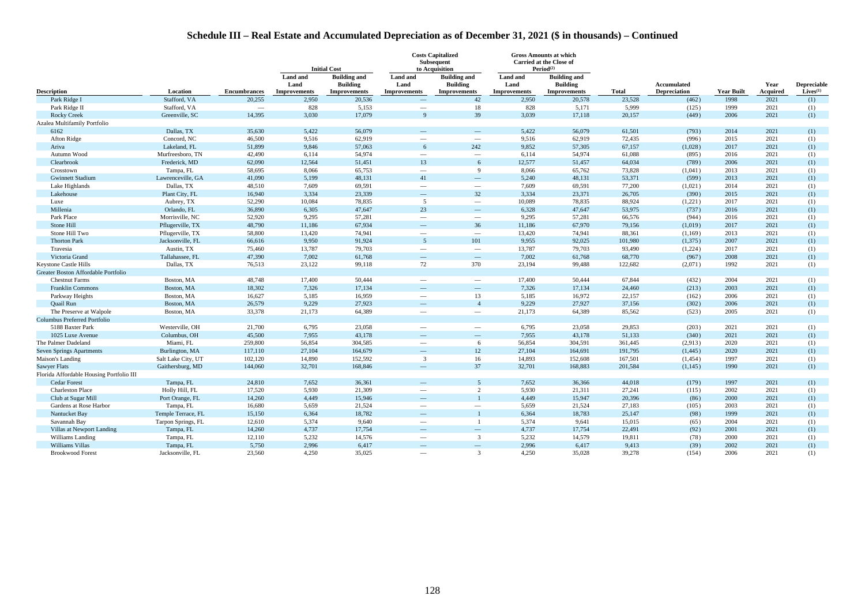|                                          |                    |                          |                                         | <b>Initial Cost</b>                                           |                                                | <b>Costs Capitalized</b><br>Subsequent<br>to Acquisition      |                                                | <b>Gross Amounts at which</b><br><b>Carried at the Close of</b><br>Period <sup>(2)</sup> |              |                                           |                   |                  |                              |
|------------------------------------------|--------------------|--------------------------|-----------------------------------------|---------------------------------------------------------------|------------------------------------------------|---------------------------------------------------------------|------------------------------------------------|------------------------------------------------------------------------------------------|--------------|-------------------------------------------|-------------------|------------------|------------------------------|
| <b>Description</b>                       | Location           | <b>Encumbrances</b>      | Land and<br>Land<br><b>Improvements</b> | <b>Building and</b><br><b>Building</b><br><b>Improvements</b> | <b>Land</b> and<br>Land<br><b>Improvements</b> | <b>Building and</b><br><b>Building</b><br><b>Improvements</b> | <b>Land</b> and<br>Land<br><b>Improvements</b> | <b>Building and</b><br><b>Building</b><br><b>Improvements</b>                            | <b>Total</b> | <b>Accumulated</b><br><b>Depreciation</b> | <b>Year Built</b> | Year<br>Acquired | Depreciable<br>$Lives^{(1)}$ |
| Park Ridge I                             | Stafford, VA       | 20,255                   | 2,950                                   | 20,536                                                        |                                                | 42                                                            | 2,950                                          | 20,578                                                                                   | 23,528       | (462)                                     | 1998              | 2021             | (1)                          |
| Park Ridge II                            | Stafford, VA       | $\overline{\phantom{m}}$ | 828                                     | 5,153                                                         | $\overline{\phantom{0}}$                       | 18                                                            | 828                                            | 5,171                                                                                    | 5,999        | (125)                                     | 1999              | 2021             | (1)                          |
| Rocky Creek                              | Greenville, SC     | 14,395                   | 3,030                                   | 17,079                                                        | $\overline{9}$                                 | 39                                                            | 3,039                                          | 17,118                                                                                   | 20,157       | (449)                                     | 2006              | 2021             | (1)                          |
| Azalea Multifamily Portfolio             |                    |                          |                                         |                                                               |                                                |                                                               |                                                |                                                                                          |              |                                           |                   |                  |                              |
| 6162                                     | Dallas, TX         | 35,630                   | 5,422                                   | 56,079                                                        |                                                |                                                               | 5,422                                          | 56,079                                                                                   | 61,501       | (793)                                     | 2014              | 2021             | (1)                          |
| Afton Ridge                              | Concord, NC        | 46,500                   | 9,516                                   | 62,919                                                        | $\overline{\phantom{0}}$                       | $\sim$                                                        | 9,516                                          | 62,919                                                                                   | 72,435       | (996)                                     | 2015              | 2021             | (1)                          |
| Ariva                                    | Lakeland, FL       | 51,899                   | 9,846                                   | 57,063                                                        | 6                                              | 242                                                           | 9,852                                          | 57,305                                                                                   | 67,157       | (1,028)                                   | 2017              | 2021             | (1)                          |
| Autumn Wood                              | Murfreesboro, TN   | 42,490                   | 6,114                                   | 54,974                                                        | $\frac{1}{2}$                                  | $\overline{\phantom{m}}$                                      | 6,114                                          | 54,974                                                                                   | 61,088       | (895)                                     | 2016              | 2021             | (1)                          |
| Clearbrook                               | Frederick, MD      | 62,090                   | 12,564                                  | 51,451                                                        | 13                                             | 6                                                             | 12,577                                         | 51,457                                                                                   | 64,034       | (789)                                     | 2006              | 2021             | (1)                          |
| Crosstown                                | Tampa, FL          | 58,695                   | 8.066                                   | 65,753                                                        | $\overline{\phantom{0}}$                       | $\mathbf{Q}$                                                  | 8.066                                          | 65,762                                                                                   | 73,828       | (1,041)                                   | 2013              | 2021             | (1)                          |
| <b>Gwinnett Stadium</b>                  | Lawrenceville, GA  | 41,090                   | 5,199                                   | 48,131                                                        | 41                                             |                                                               | 5,240                                          | 48,131                                                                                   | 53,371       | (599)                                     | 2013              | 2021             | (1)                          |
| Lake Highlands                           | Dallas, TX         | 48,510                   | 7,609                                   | 69,591                                                        | $\overline{\phantom{a}}$                       | $\sim$                                                        | 7,609                                          | 69,591                                                                                   | 77,200       | (1,021)                                   | 2014              | 2021             | (1)                          |
| Lakehouse                                | Plant City, FL     | 16,940                   | 3,334                                   | 23,339                                                        | -                                              | 32                                                            | 3,334                                          | 23,371                                                                                   | 26,705       | (390)                                     | 2015              | 2021             | (1)                          |
| Luxe                                     | Aubrey, TX         | 52,290                   | 10,084                                  | 78,835                                                        | 5                                              | $\overline{\phantom{a}}$                                      | 10,089                                         | 78,835                                                                                   | 88,924       | (1,221)                                   | 2017              | 2021             | (1)                          |
| Millenia                                 | Orlando, FL        | 36,890                   | 6,305                                   | 47,647                                                        | 23                                             | $\overline{\phantom{a}}$                                      | 6,328                                          | 47,647                                                                                   | 53,975       | (737)                                     | 2016              | 2021             | (1)                          |
| Park Place                               | Morrisville, NC    | 52,920                   | 9,295                                   | 57,281                                                        | $\overline{\phantom{0}}$                       | $\sim$                                                        | 9,295                                          | 57,281                                                                                   | 66,576       | (944)                                     | 2016              | 2021             | (1)                          |
| Stone Hill                               | Pflugerville, TX   | 48,790                   | 11,186                                  | 67,934                                                        | -                                              | 36                                                            | 11,186                                         | 67,970                                                                                   | 79,156       | (1,019)                                   | 2017              | 2021             | (1)                          |
| Stone Hill Two                           | Pflugerville, TX   | 58,800                   | 13,420                                  | 74,941                                                        | $\overline{\phantom{0}}$                       | $\overline{\phantom{a}}$                                      | 13,420                                         | 74,941                                                                                   | 88,361       | (1,169)                                   | 2013              | 2021             | (1)                          |
| <b>Thorton Park</b>                      | Jacksonville, FL   | 66,616                   | 9,950                                   | 91,924                                                        | 5                                              | 101                                                           | 9,955                                          | 92,025                                                                                   | 101,980      | (1,375)                                   | 2007              | 2021             | (1)                          |
| Travesia                                 | Austin, TX         | 75,460                   | 13,787                                  | 79,703                                                        | $\overline{\phantom{m}}$                       | $\overline{\phantom{a}}$                                      | 13,787                                         | 79,703                                                                                   | 93,490       | (1,224)                                   | 2017              | 2021             | (1)                          |
| Victoria Grand                           | Tallahassee, FL    | 47,390                   | 7,002                                   | 61,768                                                        | -                                              | $\sim$                                                        | 7,002                                          | 61,768                                                                                   | 68,770       | (967)                                     | 2008              | 2021             | (1)                          |
| <b>Keystone Castle Hills</b>             | Dallas, TX         | 76,513                   | 23,122                                  | 99,118                                                        | 72                                             | 370                                                           | 23,194                                         | 99,488                                                                                   | 122,682      | (2,071)                                   | 1992              | 2021             | (1)                          |
| Greater Boston Affordable Portfolio      |                    |                          |                                         |                                                               |                                                |                                                               |                                                |                                                                                          |              |                                           |                   |                  |                              |
| <b>Chestnut Farms</b>                    | Boston, MA         | 48,748                   | 17,400                                  | 50,444                                                        | $\overline{\phantom{a}}$                       | $\overline{\phantom{0}}$                                      | 17,400                                         | 50,444                                                                                   | 67,844       | (432)                                     | 2004              | 2021             | (1)                          |
| <b>Franklin Commons</b>                  | Boston, MA         | 18,302                   | 7,326                                   | 17,134                                                        |                                                | $\overline{\phantom{a}}$                                      | 7,326                                          | 17,134                                                                                   | 24,460       | (213)                                     | 2003              | 2021             | (1)                          |
| Parkway Heights                          | Boston, MA         | 16,627                   | 5,185                                   | 16,959                                                        | $\overline{\phantom{a}}$                       | 13                                                            | 5,185                                          | 16,972                                                                                   | 22,157       | (162)                                     | 2006              | 2021             | (1)                          |
| <b>Quail Run</b>                         | Boston, MA         | 26,579                   | 9,229                                   | 27,923                                                        |                                                | $\overline{A}$                                                | 9,229                                          | 27,927                                                                                   | 37,156       | (302)                                     | 2006              | 2021             | (1)                          |
| The Preserve at Walpole                  | Boston, MA         | 33,378                   | 21,173                                  | 64,389                                                        | $\overline{\phantom{a}}$                       | $\overline{\phantom{m}}$                                      | 21,173                                         | 64,389                                                                                   | 85,562       | (523)                                     | 2005              | 2021             | (1)                          |
| Columbus Preferred Portfolio             |                    |                          |                                         |                                                               |                                                |                                                               |                                                |                                                                                          |              |                                           |                   |                  |                              |
| 5188 Baxter Park                         | Westerville, OH    | 21,700                   | 6.795                                   | 23,058                                                        | $\overline{\phantom{0}}$                       | $\overline{\phantom{0}}$                                      | 6.795                                          | 23,058                                                                                   | 29,853       | (203)                                     | 2021              | 2021             | (1)                          |
| 1025 Luxe Avenue                         | Columbus, OH       | 45,500                   | 7,955                                   | 43,178                                                        |                                                |                                                               | 7,955                                          | 43,178                                                                                   | 51,133       | (340)                                     | 2021              | 2021             | (1)                          |
| The Palmer Dadeland                      | Miami, FL          | 259,800                  | 56,854                                  | 304,585                                                       | $\overline{\phantom{a}}$                       | 6                                                             | 56,854                                         | 304,591                                                                                  | 361,445      | (2,913)                                   | 2020              | 2021             | (1)                          |
| <b>Seven Springs Apartments</b>          | Burlington, MA     | 117,110                  | 27,104                                  | 164,679                                                       |                                                | 12                                                            | 27,104                                         | 164,691                                                                                  | 191,795      | (1, 445)                                  | 2020              | 2021             | (1)                          |
| Maison's Landing                         | Salt Lake City, UT | 102,120                  | 14,890                                  | 152.592                                                       | $\overline{3}$                                 | 16                                                            | 14,893                                         | 152,608                                                                                  | 167,501      | (1,454)                                   | 1997              | 2021             | (1)                          |
| Sawyer Flats                             | Gaithersburg, MD   | 144,060                  | 32,701                                  | 168,846                                                       |                                                | 37                                                            | 32,701                                         | 168,883                                                                                  | 201,584      | (1, 145)                                  | 1990              | 2021             | (1)                          |
| Florida Affordable Housing Portfolio III |                    |                          |                                         |                                                               |                                                |                                                               |                                                |                                                                                          |              |                                           |                   |                  |                              |
| <b>Cedar Forest</b>                      | Tampa, FL          | 24,810                   | 7,652                                   | 36,361                                                        |                                                | $\overline{\phantom{0}}$                                      | 7,652                                          | 36,366                                                                                   | 44,018       | (179)                                     | 1997              | 2021             | (1)                          |
| <b>Charleston Place</b>                  | Holly Hill, FL     | 17,520                   | 5.930                                   | 21,309                                                        | $\overline{\phantom{0}}$                       | $\overline{c}$                                                | 5.930                                          | 21,311                                                                                   | 27,241       | (115)                                     | 2002              | 2021             | (1)                          |
| Club at Sugar Mill                       | Port Orange, FL    | 14,260                   | 4,449                                   | 15,946                                                        |                                                |                                                               | 4,449                                          | 15,947                                                                                   | 20,396       | (86)                                      | 2000              | 2021             | (1)                          |
| Gardens at Rose Harbor                   | Tampa, FL          | 16,680                   | 5,659                                   | 21,524                                                        | $\overline{\phantom{a}}$                       | $\overline{\phantom{m}}$                                      | 5,659                                          | 21,524                                                                                   | 27,183       | (105)                                     | 2003              | 2021             | (1)                          |
| Nantucket Bay                            | Temple Terrace, FL | 15,150                   | 6,364                                   | 18,782                                                        |                                                |                                                               | 6,364                                          | 18,783                                                                                   | 25,147       | (98)                                      | 1999              | 2021             | (1)                          |
| Savannah Bay                             | Tarpon Springs, FL | 12,610                   | 5,374                                   | 9,640                                                         | $\sim$                                         | $\overline{1}$                                                | 5,374                                          | 9,641                                                                                    | 15,015       | (65)                                      | 2004              | 2021             | (1)                          |
| Villas at Newport Landing                | Tampa, FL          | 14,260                   | 4,737                                   | 17,754                                                        |                                                |                                                               | 4,737                                          | 17,754                                                                                   | 22,491       | (92)                                      | 2001              | 2021             | (1)                          |
| Williams Landing                         | Tampa, FL          | 12,110                   | 5,232                                   | 14,576                                                        | $\sim$                                         | 3                                                             | 5,232                                          | 14,579                                                                                   | 19,811       | (78)                                      | 2000              | 2021             | (1)                          |
| Williams Villas                          | Tampa, FL          | 5,750                    | 2,996                                   | 6,417                                                         |                                                |                                                               | 2,996                                          | 6,417                                                                                    | 9,413        | (39)                                      | 2002              | 2021             | (1)                          |
| <b>Brookwood Forest</b>                  | Jacksonville, FL   | 23,560                   | 4,250                                   | 35,025                                                        | $\overline{\phantom{0}}$                       | $\overline{3}$                                                | 4,250                                          | 35,028                                                                                   | 39,278       | (154)                                     | 2006              | 2021             | (1)                          |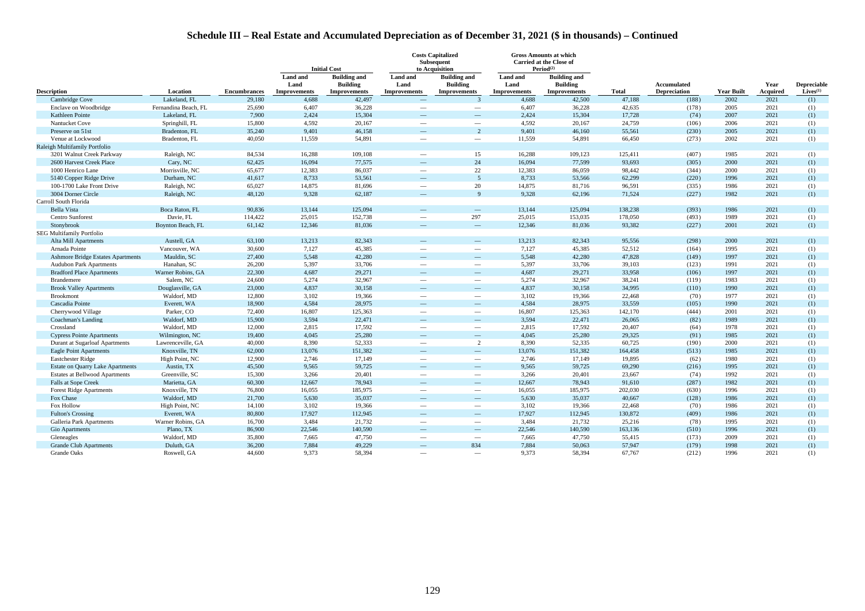|                                          |                      |                     |                                                | <b>Initial Cost</b>                                           |                                                | <b>Costs Capitalized</b><br>Subsequent<br>to Acquisition      |                                                | <b>Gross Amounts at which</b><br><b>Carried at the Close of</b><br>Period <sup>(2)</sup> |         |                                           |                   |                  |                                        |
|------------------------------------------|----------------------|---------------------|------------------------------------------------|---------------------------------------------------------------|------------------------------------------------|---------------------------------------------------------------|------------------------------------------------|------------------------------------------------------------------------------------------|---------|-------------------------------------------|-------------------|------------------|----------------------------------------|
| <b>Description</b>                       | Location             | <b>Encumbrances</b> | <b>Land and</b><br>Land<br><b>Improvements</b> | <b>Building and</b><br><b>Building</b><br><b>Improvements</b> | <b>Land</b> and<br>Land<br><b>Improvements</b> | <b>Building and</b><br><b>Building</b><br><b>Improvements</b> | <b>Land</b> and<br>Land<br><b>Improvements</b> | <b>Building and</b><br><b>Building</b><br><b>Improvements</b>                            | Total   | <b>Accumulated</b><br><b>Depreciation</b> | <b>Year Built</b> | Year<br>Acquired | Depreciable<br>$\bar{L}$ ives $^{(1)}$ |
| Cambridge Cove                           | Lakeland, FL         | 29,180              | 4,688                                          | 42,497                                                        |                                                | $\overline{3}$                                                | 4,688                                          | 42,500                                                                                   | 47,188  | (188)                                     | 2002              | 2021             | (1)                                    |
| Enclave on Woodbridge                    | Fernandina Beach, FL | 25,690              | 6,407                                          | 36,228                                                        | $\sim$                                         | $\sim$                                                        | 6,407                                          | 36.228                                                                                   | 42,635  | (178)                                     | 2005              | 2021             | (1)                                    |
| Kathleen Pointe                          | Lakeland, FL         | 7,900               | 2,424                                          | 15,304                                                        |                                                |                                                               | 2,424                                          | 15,304                                                                                   | 17,728  | (74)                                      | 2007              | 2021             | (1)                                    |
| Nantucket Cove                           | Springhill, FL       | 15,800              | 4,592                                          | 20,167                                                        | $\sim$                                         | $\overline{\phantom{m}}$                                      | 4,592                                          | 20,167                                                                                   | 24,759  | (106)                                     | 2006              | 2021             | (1)                                    |
| Preserve on 51st                         | Bradenton, FL        | 35,240              | 9,401                                          | 46,158                                                        |                                                | $\mathcal{L}$                                                 | 9,401                                          | 46,160                                                                                   | 55,561  | (230)                                     | 2005              | 2021             | (1)                                    |
| Venue at Lockwood                        | Bradenton, FL        | 40,050              | 11,559                                         | 54,891                                                        | $\overline{\phantom{a}}$                       | $\overline{\phantom{a}}$                                      | 11,559                                         | 54,891                                                                                   | 66,450  | (273)                                     | 2002              | 2021             | (1)                                    |
| Raleigh Multifamily Portfolio            |                      |                     |                                                |                                                               |                                                |                                                               |                                                |                                                                                          |         |                                           |                   |                  |                                        |
| 3201 Walnut Creek Parkway                | Raleigh, NC          | 84,534              | 16.288                                         | 109,108                                                       | $\sim$                                         | 15                                                            | 16.288                                         | 109.123                                                                                  | 125,411 | (407)                                     | 1985              | 2021             | (1)                                    |
| 2600 Harvest Creek Place                 | Cary, NC             | 62,425              | 16,094                                         | 77,575                                                        | $\overline{\phantom{m}}$                       | 24                                                            | 16,094                                         | 77,599                                                                                   | 93,693  | (305)                                     | 2000              | 2021             | (1)                                    |
| 1000 Henrico Lane                        | Morrisville, NC      | 65,677              | 12,383                                         | 86,037                                                        | $\sim$                                         | 22                                                            | 12,383                                         | 86,059                                                                                   | 98,442  | (344)                                     | 2000              | 2021             | (1)                                    |
| 5140 Copper Ridge Drive                  | Durham, NC           | 41,617              | 8,733                                          | 53,561                                                        |                                                | $\overline{5}$                                                | 8,733                                          | 53,566                                                                                   | 62,299  | (220)                                     | 1996              | 2021             | (1)                                    |
| 100-1700 Lake Front Drive                | Raleigh, NC          | 65,027              | 14,875                                         | 81,696                                                        | $\sim$                                         | 20                                                            | 14,875                                         | 81,716                                                                                   | 96,591  | (335)                                     | 1986              | 2021             | (1)                                    |
| 3004 Dorner Circle                       | Raleigh, NC          | 48,120              | 9,328                                          | 62,187                                                        |                                                | $\mathbf Q$                                                   | 9,328                                          | 62,196                                                                                   | 71,524  | (227)                                     | 1982              | 2021             | (1)                                    |
| Carroll South Florida                    |                      |                     |                                                |                                                               |                                                |                                                               |                                                |                                                                                          |         |                                           |                   |                  |                                        |
| <b>Bella Vista</b>                       | Boca Raton, FL       | 90,836              | 13,144                                         | 125,094                                                       |                                                |                                                               | 13,144                                         | 125,094                                                                                  | 138,238 | (393)                                     | 1986              | 2021             | (1)                                    |
| Centro Sunforest                         | Davie, FL            | 114,422             | 25,015                                         | 152,738                                                       | $\sim$                                         | 297                                                           | 25,015                                         | 153,035                                                                                  | 178,050 | (493)                                     | 1989              | 2021             | (1)                                    |
| Stonybrook                               | Boynton Beach, FL    | 61,142              | 12,346                                         | 81,036                                                        |                                                |                                                               | 12,346                                         | 81,036                                                                                   | 93,382  | (227)                                     | 2001              | 2021             | (1)                                    |
| <b>SEG Multifamily Portfolio</b>         |                      |                     |                                                |                                                               |                                                |                                                               |                                                |                                                                                          |         |                                           |                   |                  |                                        |
| Alta Mill Apartments                     | Austell, GA          | 63,100              | 13,213                                         | 82,343                                                        |                                                |                                                               | 13,213                                         | 82,343                                                                                   | 95,556  | (298)                                     | 2000              | 2021             | (1)                                    |
| Arnada Pointe                            | Vancouver, WA        | 30,600              | 7,127                                          | 45,385                                                        | $\sim$                                         | $\overline{\phantom{a}}$                                      | 7,127                                          | 45.385                                                                                   | 52,512  | (164)                                     | 1995              | 2021             | (1)                                    |
| <b>Ashmore Bridge Estates Apartments</b> | Mauldin, SC          | 27,400              | 5,548                                          | 42,280                                                        |                                                | $\overline{\phantom{0}}$                                      | 5,548                                          | 42,280                                                                                   | 47,828  | (149)                                     | 1997              | 2021             | (1)                                    |
| <b>Audubon Park Apartments</b>           | Hanahan, SC          | 26,200              | 5.397                                          | 33,706                                                        | $\sim$                                         | $\overline{\phantom{m}}$                                      | 5,397                                          | 33,706                                                                                   | 39,103  | (123)                                     | 1991              | 2021             | (1)                                    |
| <b>Bradford Place Apartments</b>         | Warner Robins, GA    | 22,300              | 4,687                                          | 29,271                                                        |                                                |                                                               | 4,687                                          | 29,271                                                                                   | 33,958  | (106)                                     | 1997              | 2021             | (1)                                    |
| Brandemere                               | Salem, NC            | 24,600              | 5,274                                          | 32,967                                                        | $\overline{\phantom{a}}$                       | $\overline{\phantom{m}}$                                      | 5,274                                          | 32,967                                                                                   | 38,241  | (119)                                     | 1983              | 2021             | (1)                                    |
| <b>Brook Valley Apartments</b>           | Douglasville, GA     | 23,000              | 4,837                                          | 30,158                                                        |                                                | $\overline{\phantom{m}}$                                      | 4,837                                          | 30,158                                                                                   | 34,995  | (110)                                     | 1990              | 2021             | (1)                                    |
| <b>Brookmont</b>                         | Waldorf, MD          | 12,800              | 3,102                                          | 19,366                                                        |                                                | $\overline{\phantom{0}}$                                      | 3,102                                          | 19,366                                                                                   | 22,468  | (70)                                      | 1977              | 2021             | (1)                                    |
| Cascadia Pointe                          | Everett, WA          | 18,900              | 4,584                                          | 28,975                                                        |                                                |                                                               | 4,584                                          | 28,975                                                                                   | 33,559  | (105)                                     | 1990              | 2021             | (1)                                    |
| Cherrywood Village                       | Parker, CO           | 72,400              | 16,807                                         | 125,363                                                       | $\sim$                                         | $\sim$                                                        | 16,807                                         | 125,363                                                                                  | 142,170 | (444)                                     | 2001              | 2021             | (1)                                    |
| Coachman's Landing                       | Waldorf, MD          | 15,900              | 3,594                                          | 22,471                                                        |                                                |                                                               | 3,594                                          | 22,471                                                                                   | 26,065  | (82)                                      | 1989              | 2021             | (1)                                    |
| Crossland                                | Waldorf, MD          | 12,000              | 2,815                                          | 17,592                                                        | $\sim$                                         | $\sim$                                                        | 2,815                                          | 17.592                                                                                   | 20,407  | (64)                                      | 1978              | 2021             | (1)                                    |
| <b>Cypress Pointe Apartments</b>         | Wilmington, NC       | 19,400              | 4,045                                          | 25,280                                                        |                                                |                                                               | 4,045                                          | 25,280                                                                                   | 29,325  | (91)                                      | 1985              | 2021             | (1)                                    |
| Durant at Sugarloaf Apartments           | Lawrenceville, GA    | 40,000              | 8,390                                          | 52,333                                                        | $\sim$                                         | 2                                                             | 8,390                                          | 52,335                                                                                   | 60,725  | (190)                                     | 2000              | 2021             | (1)                                    |
| <b>Eagle Point Apartments</b>            | Knoxville, TN        | 62,000              | 13,076                                         | 151,382                                                       |                                                | $\overline{\phantom{0}}$                                      | 13,076                                         | 151,382                                                                                  | 164,458 | (513)                                     | 1985              | 2021             | (1)                                    |
| <b>Eastchester Ridge</b>                 | High Point, NC       | 12,900              | 2.746                                          | 17,149                                                        | $\sim$                                         | $\overline{\phantom{m}}$                                      | 2,746                                          | 17,149                                                                                   | 19,895  | (62)                                      | 1980              | 2021             | (1)                                    |
| <b>Estate on Quarry Lake Apartments</b>  | Austin, TX           | 45,500              | 9,565                                          | 59,725                                                        |                                                |                                                               | 9,565                                          | 59,725                                                                                   | 69,290  | (216)                                     | 1995              | 2021             | (1)                                    |
| <b>Estates at Bellwood Apartments</b>    | Greenville, SC       | 15,300              | 3,266                                          | 20,401                                                        | $\sim$                                         | $\sim$                                                        | 3,266                                          | 20,401                                                                                   | 23,667  | (74)                                      | 1992              | 2021             | (1)                                    |
| Falls at Sope Creek                      | Marietta, GA         | 60,300              | 12,667                                         | 78,943                                                        |                                                |                                                               | 12,667                                         | 78,943                                                                                   | 91,610  | (287)                                     | 1982              | 2021             | (1)                                    |
| <b>Forest Ridge Apartments</b>           | Knoxville, TN        | 76,800              | 16,055                                         | 185,975                                                       | $\sim$                                         | $\hspace{0.1mm}-\hspace{0.1mm}$                               | 16,055                                         | 185,975                                                                                  | 202,030 | (630)                                     | 1996              | 2021             | (1)                                    |
| Fox Chase                                | Waldorf, MD          | 21,700              | 5,630                                          | 35,037                                                        |                                                |                                                               | 5,630                                          | 35,037                                                                                   | 40,667  | (128)                                     | 1986              | 2021             | (1)                                    |
| Fox Hollow                               | High Point, NC       | 14,100              | 3,102                                          | 19,366                                                        | $\sim$                                         | $\overline{\phantom{m}}$                                      | 3,102                                          | 19,366                                                                                   | 22,468  | (70)                                      | 1986              | 2021             | (1)                                    |
| <b>Fulton's Crossing</b>                 | Everett, WA          | 80,800              | 17,927                                         | 112,945                                                       |                                                | $\overline{\phantom{a}}$                                      | 17,927                                         | 112,945                                                                                  | 130,872 | (409)                                     | 1986              | 2021             | (1)                                    |
| Galleria Park Apartments                 | Warner Robins, GA    | 16,700              | 3,484                                          | 21,732                                                        | $\sim$                                         | $\sim$                                                        | 3,484                                          | 21,732                                                                                   | 25,216  | (78)                                      | 1995              | 2021             | (1)                                    |
| Gio Apartments                           | Plano, TX            | 86,900              | 22,546                                         | 140,590                                                       |                                                |                                                               | 22,546                                         | 140,590                                                                                  | 163,136 | (510)                                     | 1996              | 2021             | (1)                                    |
| Gleneagles                               | Waldorf, MD          | 35,800              | 7,665                                          | 47,750                                                        | $\sim$                                         | $\sim$                                                        | 7,665                                          | 47,750                                                                                   | 55,415  | (173)                                     | 2009              | 2021             | (1)                                    |
| <b>Grande Club Apartments</b>            | Duluth, GA           | 36,200              | 7,884                                          | 49,229                                                        |                                                | 834                                                           | 7,884                                          | 50,063                                                                                   | 57,947  | (179)                                     | 1998              | 2021             | (1)                                    |
| Grande Oaks                              | Roswell, GA          | 44,600              | 9.373                                          | 58,394                                                        | $\sim$                                         | $\sim$                                                        | 9,373                                          | 58,394                                                                                   | 67,767  | (212)                                     | 1996              | 2021             | (1)                                    |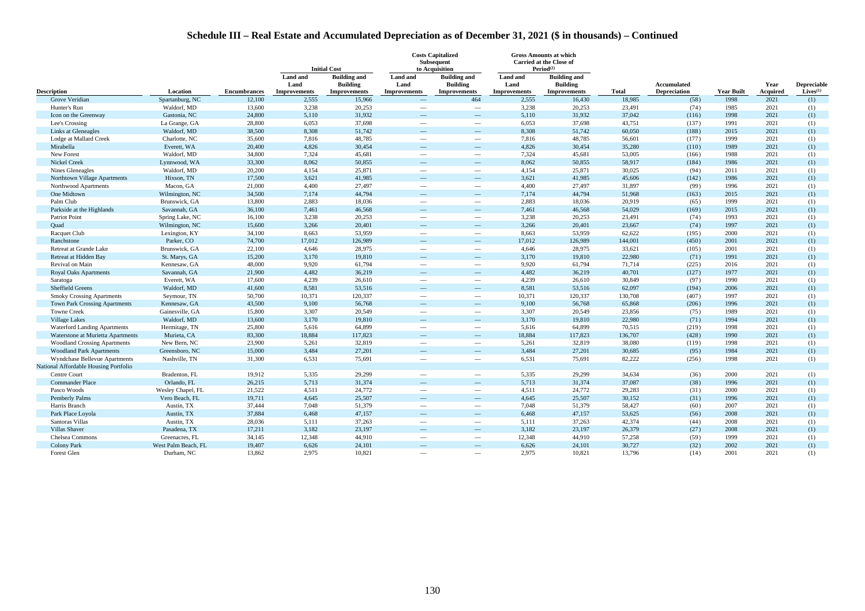|                                         |                              |                     |                                         | <b>Initial Cost</b>                                           |                                                | <b>Costs Capitalized</b><br>Subsequent<br>to Acquisition      |                                                | <b>Gross Amounts at which</b><br>Carried at the Close of<br>Period <sup>(2)</sup> |                  |                                    |                   |                  |                              |
|-----------------------------------------|------------------------------|---------------------|-----------------------------------------|---------------------------------------------------------------|------------------------------------------------|---------------------------------------------------------------|------------------------------------------------|-----------------------------------------------------------------------------------|------------------|------------------------------------|-------------------|------------------|------------------------------|
| <b>Description</b>                      | Location                     | <b>Encumbrances</b> | Land and<br>Land<br><b>Improvements</b> | <b>Building and</b><br><b>Building</b><br><b>Improvements</b> | <b>Land and</b><br>Land<br><b>Improvements</b> | <b>Building and</b><br><b>Building</b><br><b>Improvements</b> | <b>Land</b> and<br>Land<br><b>Improvements</b> | <b>Building and</b><br><b>Building</b><br><b>Improvements</b>                     | Total            | <b>Accumulated</b><br>Depreciation | <b>Year Built</b> | Year<br>Acquired | Depreciable<br>$Lives^{(1)}$ |
| Grove Veridian                          | Spartanburg, NC              | 12,100              | 2,555                                   | 15,966                                                        |                                                | 464                                                           | 2,555                                          | 16,430                                                                            | 18,985           | (58)                               | 1998              | 2021             | (1)                          |
| Hunter's Run                            | Waldorf, MD                  | 13,600              | 3,238                                   | 20,253                                                        | $\sim$                                         | $\sim$                                                        | 3,238                                          | 20.253                                                                            | 23,491           | (74)                               | 1985              | 2021             | (1)                          |
| Icon on the Greenway                    | Gastonia, NC                 | 24,800              | 5,110                                   | 31,932                                                        |                                                |                                                               | 5,110                                          | 31,932                                                                            | 37,042           | (116)                              | 1998              | 2021             | (1)                          |
| Lee's Crossing                          | La Grange, GA                | 28,800              | 6,053                                   | 37,698                                                        | $\overline{\phantom{a}}$                       | $\sim$                                                        | 6,053                                          | 37,698                                                                            | 43,751           | (137)                              | 1991              | 2021             | (1)                          |
| Links at Gleneagles                     | Waldorf, MD                  | 38,500              | 8,308                                   | 51,742                                                        |                                                |                                                               | 8,308                                          | 51,742                                                                            | 60,050           | (188)                              | 2015              | 2021             | (1)                          |
| Lodge at Mallard Creek                  | Charlotte, NC                | 35,600              | 7.816                                   | 48,785                                                        | $\overline{\phantom{a}}$                       | $\overline{\phantom{0}}$                                      | 7.816                                          | 48.785                                                                            | 56,601           | (177)                              | 1999              | 2021             | (1)                          |
| Mirabella                               | Everett, WA                  | 20,400              | 4,826                                   | 30,454                                                        |                                                |                                                               | 4,826                                          | 30,454                                                                            | 35,280           | (110)                              | 1989              | 2021             | (1)                          |
| New Forest                              | Waldorf, MD                  | 34,800              | 7,324                                   | 45,681                                                        | $\sim$                                         | $\sim$                                                        | 7,324                                          | 45,681                                                                            | 53,005           | (166)                              | 1988              | 2021             | (1)                          |
| Nickel Creek                            | Lynnwood, WA                 | 33,300              | 8,062                                   | 50,855                                                        |                                                | $\overline{\phantom{a}}$                                      | 8,062                                          | 50.855                                                                            | 58,917           | (184)                              | 1986              | 2021             | (1)                          |
| Nines Gleneagles                        | Waldorf, MD                  | 20,200              | 4,154                                   | 25,871                                                        | $\sim$                                         | $\overline{\phantom{m}}$                                      | 4,154                                          | 25,871                                                                            | 30,025           | (94)                               | 2011              | 2021             | (1)                          |
| Northtown Village Apartments            | Hixson, TN                   | 17,500              | 3,621                                   | 41,985                                                        |                                                |                                                               | 3,621                                          | 41,985                                                                            | 45,606           | (142)                              | 1986              | 2021             | (1)                          |
| Northwood Apartments                    | Macon, GA                    | 21,000              | 4.400                                   | 27,497                                                        | $\sim$                                         | $\sim$                                                        | 4,400                                          | 27,497                                                                            | 31,897           | (99)                               | 1996              | 2021             | (1)                          |
| One Midtown                             | Wilmington, NC               | 34,500              | 7,174                                   | 44,794                                                        |                                                | $\overline{\phantom{a}}$                                      | 7,174                                          | 44,794                                                                            | 51,968           | (163)                              | 2015              | 2021             | (1)                          |
| Palm Club                               | Brunswick, GA                | 13,800              | 2,883                                   | 18.036                                                        | $\sim$                                         | $\sim$                                                        | 2,883                                          | 18.036                                                                            | 20,919           | (65)                               | 1999              | 2021             | (1)                          |
| Parkside at the Highlands               | Savannah, GA                 | 36,100              | 7,461                                   | 46,568                                                        |                                                |                                                               | 7,461                                          | 46,568                                                                            | 54,029           | (169)                              | 2015              | 2021             | (1)                          |
| <b>Patriot Point</b>                    | Spring Lake, NC              | 16,100              | 3,238                                   | 20,253                                                        | $\overline{\phantom{a}}$                       | $\sim$                                                        | 3,238                                          | 20,253                                                                            | 23,491           | (74)                               | 1993              | 2021             | (1)                          |
| Quad                                    | Wilmington, NC               | 15,600              | 3,266                                   | 20,401                                                        |                                                |                                                               | 3,266                                          | 20,401                                                                            | 23,667           | (74)                               | 1997              | 2021             | (1)                          |
| Racquet Club                            | Lexington, KY                | 34,100              | 8,663                                   | 53,959                                                        | $\overline{\phantom{a}}$                       | $\sim$                                                        | 8,663                                          | 53,959                                                                            | 62,622           | (195)                              | 2000              | 2021             | (1)                          |
| Ranchstone                              | Parker, CO                   | 74,700              | 17,012                                  | 126,989                                                       |                                                |                                                               | 17,012                                         | 126,989                                                                           | 144,001          | (450)                              | 2001              | 2021             | (1)                          |
| Retreat at Grande Lake                  | Brunswick, GA                | 22,100              | 4,646                                   | 28,975                                                        | $\overline{\phantom{a}}$                       | $\sim$                                                        | 4,646                                          | 28,975                                                                            | 33,621           | (105)                              | 2001              | 2021             | (1)                          |
| Retreat at Hidden Bay                   | St. Marys, GA                | 15,200              | 3,170                                   | 19,810                                                        |                                                |                                                               | 3,170                                          | 19,810                                                                            | 22,980           | (71)                               | 1991              | 2021             | (1)                          |
| Revival on Main                         | Kennesaw, GA                 | 48,000              | 9,920                                   | 61,794                                                        | $\overline{\phantom{m}}$                       | $\sim$                                                        | 9,920                                          | 61,794                                                                            | 71,714           | (225)                              | 2016              | 2021             | (1)                          |
| <b>Royal Oaks Apartments</b>            | Savannah, GA                 | 21,900              | 4,482                                   | 36,219                                                        |                                                |                                                               | 4,482                                          | 36.219                                                                            | 40,701           | (127)                              | 1977              | 2021             | (1)                          |
| Saratoga                                | Everett, WA                  | 17,600              | 4,239                                   | 26,610                                                        | $\sim$                                         | $\overline{\phantom{0}}$                                      | 4,239                                          | 26,610                                                                            | 30,849           | (97)                               | 1990              | 2021             | (1)                          |
| <b>Sheffield Greens</b>                 | Waldorf, MD                  | 41,600              | 8,581                                   | 53,516                                                        |                                                |                                                               | 8,581                                          | 53,516                                                                            | 62,097           | (194)                              | 2006              | 2021             | (1)                          |
| <b>Smoky Crossing Apartments</b>        | Seymour, TN                  | 50,700              | 10,371                                  | 120,337                                                       | $\sim$                                         | $\overline{\phantom{a}}$                                      | 10,371                                         | 120.337                                                                           | 130,708          | (407)                              | 1997              | 2021             | (1)                          |
| <b>Town Park Crossing Apartments</b>    | Kennesaw, GA                 | 43,500              | 9,100                                   | 56,768                                                        |                                                |                                                               | 9,100                                          | 56,768                                                                            | 65,868           | (206)                              | 1996              | 2021             | (1)                          |
| <b>Towne Creek</b>                      | Gainesville, GA              | 15,800              | 3,307                                   | 20,549                                                        | $\sim$                                         | $\sim$                                                        | 3,307                                          | 20,549                                                                            | 23,856           | (75)                               | 1989              | 2021             | (1)                          |
| <b>Village Lakes</b>                    | Waldorf, MD                  | 13,600              | 3,170                                   | 19,810                                                        |                                                |                                                               | 3,170                                          | 19,810                                                                            | 22,980           | (71)                               | 1994              | 2021             | (1)                          |
| <b>Waterford Landing Apartments</b>     | Hermitage, TN                | 25,800              | 5,616                                   | 64,899                                                        | $\overline{\phantom{a}}$                       | $\overline{\phantom{a}}$                                      | 5,616                                          | 64,899                                                                            | 70,515           | (219)                              | 1998              | 2021             | (1)                          |
| Waterstone at Murietta Apartments       | Murieta, CA                  | 83,300              | 18,884                                  | 117,823                                                       |                                                |                                                               | 18,884                                         | 117,823                                                                           | 136,707          | (428)                              | 1990              | 2021             | (1)                          |
| <b>Woodland Crossing Apartments</b>     | New Bern, NC                 | 23,900              | 5.261                                   | 32,819                                                        |                                                | $\overline{\phantom{0}}$                                      | 5.261                                          | 32,819                                                                            | 38,080           | (119)                              | 1998              | 2021             | (1)                          |
| <b>Woodland Park Apartments</b>         | Greensboro, NC               | 15,000              | 3,484                                   | 27,201                                                        |                                                |                                                               | 3,484                                          | 27,201                                                                            | 30,685           | (95)                               | 1984              | 2021             | (1)                          |
| <b>Wyndchase Bellevue Apartments</b>    | Nashville, TN                | 31,300              | 6,531                                   | 75,691                                                        | $\sim$                                         | $\sim$                                                        | 6,531                                          | 75,691                                                                            | 82,222           | (256)                              | 1998              | 2021             | (1)                          |
| National Affordable Housing Portfolio   |                              |                     |                                         |                                                               | $\sim$                                         |                                                               |                                                |                                                                                   |                  |                                    |                   |                  |                              |
| Centre Court                            | Bradenton, FL                | 19,912              | 5,335                                   | 29,299                                                        |                                                | $\sim$                                                        | 5,335                                          | 29,299                                                                            | 34,634           | (36)                               | 2000              | 2021             | (1)                          |
| <b>Commander Place</b><br>Pasco Woods   | Orlando, FL                  | 26,215<br>21,522    | 5,713                                   | 31,374<br>24,772                                              |                                                |                                                               | 5,713                                          | 31,374<br>24,772                                                                  | 37,087           | (38)                               | 1996              | 2021             | (1)                          |
|                                         | Wesley Chapel, FL            |                     | 4,511                                   |                                                               | $\overline{\phantom{a}}$                       | $\overline{\phantom{a}}$                                      | 4,511                                          |                                                                                   | 29,283           | (31)                               | 2000              | 2021             | (1)                          |
| <b>Pemberly Palms</b><br>Harris Branch  | Vero Beach, FL<br>Austin, TX | 19,711<br>37,444    | 4,645<br>7.048                          | 25,507<br>51,379                                              |                                                | $\overline{\phantom{0}}$                                      | 4,645<br>7.048                                 | 25,507<br>51,379                                                                  | 30,152<br>58,427 | (31)<br>(60)                       | 1996<br>2007      | 2021<br>2021     | (1)                          |
| Park Place Loyola                       | Austin, TX                   | 37,884              | 6,468                                   | 47,157                                                        | $\overline{\phantom{a}}$                       | $\overline{\phantom{m}}$                                      | 6,468                                          | 47,157                                                                            | 53,625           | (56)                               | 2008              | 2021             | (1)<br>(1)                   |
|                                         |                              |                     |                                         |                                                               | $\overline{\phantom{a}}$                       | $\overline{\phantom{m}}$                                      |                                                |                                                                                   |                  |                                    |                   |                  |                              |
| Santoras Villas<br><b>Villas Shaver</b> | Austin, TX<br>Pasadena, TX   | 28,036<br>17,211    | 5,111<br>3,182                          | 37,263<br>23,197                                              |                                                | $\overline{\phantom{m}}$                                      | 5,111<br>3,182                                 | 37,263<br>23.197                                                                  | 42,374<br>26,379 | (44)<br>(27)                       | 2008<br>2008      | 2021<br>2021     | (1)                          |
| Chelsea Commons                         | Greenacres, FL               | 34,145              | 12,348                                  | 44,910                                                        | $\overline{\phantom{a}}$                       |                                                               | 12,348                                         | 44,910                                                                            | 57,258           | (59)                               | 1999              | 2021             | (1)                          |
| <b>Colony Park</b>                      | West Palm Beach, FL          | 19,407              | 6,626                                   | 24,101                                                        |                                                | $\overline{\phantom{a}}$                                      | 6,626                                          | 24,101                                                                            | 30,727           | (32)                               | 2002              | 2021             | (1)                          |
| Forest Glen                             | Durham, NC                   | 13,862              | 2,975                                   | 10,821                                                        | $\sim$                                         | $\overline{\phantom{0}}$                                      | 2,975                                          | 10,821                                                                            | 13,796           | (14)                               | 2001              | 2021             | (1)<br>(1)                   |
|                                         |                              |                     |                                         |                                                               |                                                |                                                               |                                                |                                                                                   |                  |                                    |                   |                  |                              |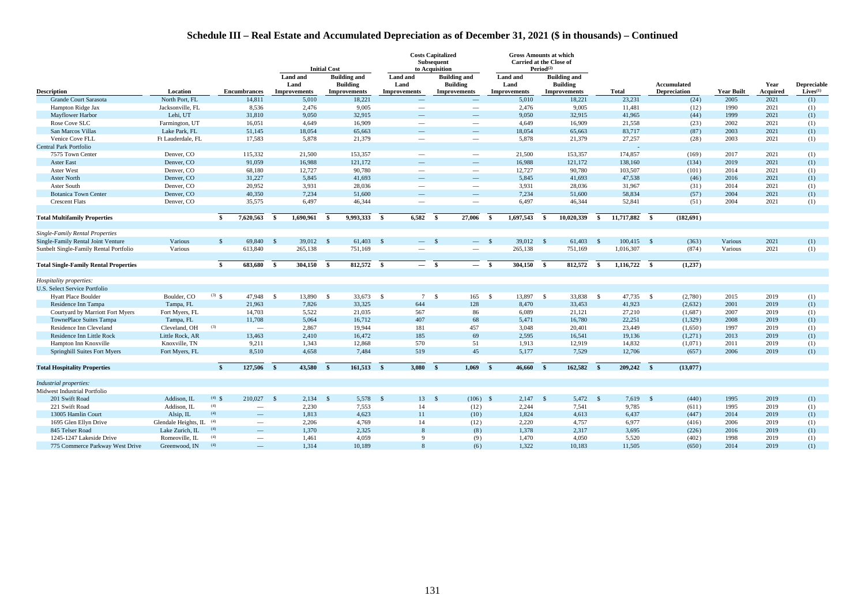|                                              |                      |                    |                          |                    |                                                | <b>Initial Cost</b> |                                                               |               | <b>Costs Capitalized</b><br>Subsequent<br>to Acquisition |              |                                                               |              | <b>Gross Amounts at which</b><br>Carried at the Close of | Period <sup>(2)</sup> |                                                               |              |               |                    |                                    |                   |                  |                              |
|----------------------------------------------|----------------------|--------------------|--------------------------|--------------------|------------------------------------------------|---------------------|---------------------------------------------------------------|---------------|----------------------------------------------------------|--------------|---------------------------------------------------------------|--------------|----------------------------------------------------------|-----------------------|---------------------------------------------------------------|--------------|---------------|--------------------|------------------------------------|-------------------|------------------|------------------------------|
| <b>Description</b>                           | Location             |                    | <b>Encumbrances</b>      |                    | <b>Land</b> and<br>Land<br><b>Improvements</b> |                     | <b>Building and</b><br><b>Building</b><br><b>Improvements</b> |               | <b>Land</b> and<br>Land<br><b>Improvements</b>           |              | <b>Building and</b><br><b>Building</b><br><b>Improvements</b> |              | <b>Land and</b><br>Land<br><b>Improvements</b>           |                       | <b>Building and</b><br><b>Building</b><br><b>Improvements</b> |              | Total         |                    | Accumulated<br><b>Depreciation</b> | <b>Year Built</b> | Year<br>Acquired | Depreciable<br>$Lives^{(1)}$ |
| <b>Grande Court Sarasota</b>                 | North Port, FL       |                    | 14,811                   |                    | 5,010                                          |                     | 18,221                                                        |               |                                                          |              |                                                               |              | 5,010                                                    |                       | 18,221                                                        |              | 23,231        |                    | (24)                               | 2005              | 2021             | (1)                          |
| Hampton Ridge Jax                            | Jacksonville, FL     |                    | 8,536                    |                    | 2,476                                          |                     | 9,005                                                         |               | $\overline{\phantom{a}}$                                 |              | $\overline{\phantom{0}}$                                      |              | 2,476                                                    |                       | 9,005                                                         |              | 11,481        |                    | (12)                               | 1990              | 2021             | (1)                          |
| Mayflower Harbor                             | Lehi, UT             |                    | 31,810                   |                    | 9,050                                          |                     | 32,915                                                        |               |                                                          |              |                                                               |              | 9,050                                                    |                       | 32,915                                                        |              | 41,965        |                    | (44)                               | 1999              | 2021             | (1)                          |
| Rose Cove SLC                                | Farmington, UT       |                    | 16,051                   |                    | 4,649                                          |                     | 16,909                                                        |               | $\frac{1}{2}$                                            |              | $\overline{\phantom{0}}$                                      |              | 4,649                                                    |                       | 16,909                                                        |              | 21,558        |                    | (23)                               | 2002              | 2021             | (1)                          |
| San Marcos Villas                            | Lake Park, FL        |                    | 51,145                   |                    | 18,054                                         |                     | 65,663                                                        |               |                                                          |              |                                                               |              | 18,054                                                   |                       | 65,663                                                        |              | 83,717        |                    | (87)                               | 2003              | 2021             | (1)                          |
| Venice Cove FLL                              | Ft Lauderdale, FL    |                    | 17,583                   |                    | 5,878                                          |                     | 21,379                                                        |               | $\sim$                                                   |              | $\overline{\phantom{m}}$                                      |              | 5,878                                                    |                       | 21,379                                                        |              | 27,257        |                    | (28)                               | 2003              | 2021             | (1)                          |
| <b>Central Park Portfolio</b>                |                      |                    |                          |                    |                                                |                     |                                                               |               |                                                          |              |                                                               |              |                                                          |                       |                                                               |              |               |                    |                                    |                   |                  |                              |
| 7575 Town Center                             | Denver, CO           |                    | 115,332                  |                    | 21,500                                         |                     | 153,357                                                       |               | $\sim$                                                   |              | $\sim$                                                        |              | 21,500                                                   |                       | 153,357                                                       |              | 174,857       |                    | (169)                              | 2017              | 2021             | (1)                          |
| <b>Aster East</b>                            | Denver, CO           |                    | 91,059                   |                    | 16,988                                         |                     | 121,172                                                       |               |                                                          |              |                                                               |              | 16,988                                                   |                       | 121,172                                                       |              | 138,160       |                    | (134)                              | 2019              | 2021             | (1)                          |
| <b>Aster West</b>                            | Denver, CO           |                    | 68,180                   |                    | 12,727                                         |                     | 90,780                                                        |               | $\overline{\phantom{m}}$                                 |              | $\overline{\phantom{0}}$                                      |              | 12,727                                                   |                       | 90.780                                                        |              | 103,507       |                    | (101)                              | 2014              | 2021             | (1)                          |
| Aster North                                  | Denver, CO           |                    | 31,227                   |                    | 5,845                                          |                     | 41,693                                                        |               |                                                          |              | -                                                             |              | 5,845                                                    |                       | 41,693                                                        |              | 47,538        |                    | (46)                               | 2016              | 2021             | (1)                          |
| Aster South                                  | Denver, CO           |                    | 20,952                   |                    | 3,931                                          |                     | 28,036                                                        |               | $\overline{\phantom{m}}$                                 |              | $\overline{\phantom{0}}$                                      |              | 3,931                                                    |                       | 28,036                                                        |              | 31,967        |                    | (31)                               | 2014              | 2021             | (1)                          |
| <b>Botanica Town Center</b>                  | Denver, CO           |                    | 40,350                   |                    | 7,234                                          |                     | 51,600                                                        |               |                                                          |              |                                                               |              | 7,234                                                    |                       | 51,600                                                        |              | 58,834        |                    | (57)                               | 2004              | 2021             | (1)                          |
| <b>Crescent Flats</b>                        | Denver, CO           |                    | 35,575                   |                    | 6,497                                          |                     | 46,344                                                        |               | $\sim$                                                   |              | $\overline{\phantom{0}}$                                      |              | 6,497                                                    |                       | 46,344                                                        |              | 52,841        |                    | (51)                               | 2004              | 2021             | (1)                          |
| <b>Total Multifamily Properties</b>          |                      | -S                 | 7,620,563                | - \$               | 1,690,961                                      | - \$                | 9,993,333 \$                                                  |               | $6,582$ \$                                               |              | 27,006                                                        | - \$         | 1,697,543                                                | - \$                  | 10.020.339                                                    | S.           | 11.717.882 \$ |                    | (182, 691)                         |                   |                  |                              |
| Single-Family Rental Properties              |                      |                    |                          |                    |                                                |                     |                                                               |               |                                                          |              |                                                               |              |                                                          |                       |                                                               |              |               |                    |                                    |                   |                  |                              |
| Single-Family Rental Joint Venture           | Various              | $\mathbf{\hat{s}}$ | 69,840                   | - \$               | 39,012                                         | - S                 | 61.403                                                        | $\mathcal{S}$ | $-$ s                                                    |              | $-$ \$                                                        |              | 39,012                                                   | - \$                  | 61,403                                                        | - \$         | 100,415       | $\mathcal{S}$      | (363)                              | Various           | 2021             | (1)                          |
| Sunbelt Single-Family Rental Portfolio       | Various              |                    | 613,840                  |                    | 265,138                                        |                     | 751,169                                                       |               | ÷,                                                       |              | $\sim$                                                        |              | 265,138                                                  |                       | 751,169                                                       |              | 1,016,307     |                    | (874)                              | Various           | 2021             | (1)                          |
| <b>Total Single-Family Rental Properties</b> |                      | \$                 | 683.680                  | $\mathbf{s}$       | 304,150                                        | $\mathbf{s}$        | 812,572 \$                                                    |               |                                                          | — \$         |                                                               | $-$ \$       | 304,150 \$                                               |                       | 812,572                                                       | $\mathbf{s}$ | 1,116,722     | - \$               | (1,237)                            |                   |                  |                              |
| Hospitality properties:                      |                      |                    |                          |                    |                                                |                     |                                                               |               |                                                          |              |                                                               |              |                                                          |                       |                                                               |              |               |                    |                                    |                   |                  |                              |
| <b>U.S. Select Service Portfolio</b>         |                      |                    |                          |                    |                                                |                     |                                                               |               |                                                          |              |                                                               |              |                                                          |                       |                                                               |              |               |                    |                                    |                   |                  |                              |
| <b>Hyatt Place Boulder</b>                   | Boulder, CO          | $(3)$ \$           | 47,948                   | $\mathbf{s}$       | 13,890                                         | S.                  | 33,673 \$                                                     |               |                                                          | 7S           | 165                                                           | $\mathbf{s}$ | 13,897                                                   | -S                    | 33,838                                                        | - S          | 47,735        | - \$               | (2,780)                            | 2015              | 2019             | (1)                          |
| Residence Inn Tampa                          | Tampa, FL            |                    | 21,963                   |                    | 7,826                                          |                     | 33,325                                                        |               | 644                                                      |              | 128                                                           |              | 8,470                                                    |                       | 33,453                                                        |              | 41,923        |                    | (2,632)                            | 2001              | 2019             | (1)                          |
| Courtyard by Marriott Fort Myers             | Fort Myers, FL       |                    | 14,703                   |                    | 5,522                                          |                     | 21,035                                                        |               | 567                                                      |              | 86                                                            |              | 6,089                                                    |                       | 21,121                                                        |              | 27,210        |                    | (1,687)                            | 2007              | 2019             | (1)                          |
| <b>TownePlace Suites Tampa</b>               | Tampa, FL            |                    | 11,708                   |                    | 5,064                                          |                     | 16,712                                                        |               | 407                                                      |              | 68                                                            |              | 5,471                                                    |                       | 16,780                                                        |              | 22,251        |                    | (1,329)                            | 2008              | 2019             | (1)                          |
| Residence Inn Cleveland                      | Cleveland, OH        | (3)                |                          |                    | 2,867                                          |                     | 19,944                                                        |               | 181                                                      |              | 457                                                           |              | 3,048                                                    |                       | 20,401                                                        |              | 23,449        |                    | (1,650)                            | 1997              | 2019             | (1)                          |
| Residence Inn Little Rock                    | Little Rock, AR      |                    | 13,463                   |                    | 2,410                                          |                     | 16,472                                                        |               | 185                                                      |              | 69                                                            |              | 2,595                                                    |                       | 16,541                                                        |              | 19,136        |                    | (1,271)                            | 2013              | 2019             | (1)                          |
| Hampton Inn Knoxville                        | Knoxville, TN        |                    | 9,211                    |                    | 1,343                                          |                     | 12,868                                                        |               | 570                                                      |              | 51                                                            |              | 1,913                                                    |                       | 12,919                                                        |              | 14,832        |                    | (1,071)                            | 2011              | 2019             | (1)                          |
| Springhill Suites Fort Myers                 | Fort Myers, FL       |                    | 8,510                    |                    | 4,658                                          |                     | 7,484                                                         |               | 519                                                      |              | 45                                                            |              | 5,177                                                    |                       | 7,529                                                         |              | 12,706        |                    | (657)                              | 2006              | 2019             | (1)                          |
| <b>Total Hospitality Properties</b>          |                      | $\hat{\mathbf{x}}$ | 127,506                  | - \$               | 43.580                                         | $\mathbf{s}$        | $161,513$ \$                                                  |               | 3,080                                                    | $\mathbf{s}$ | 1.069                                                         | $\bullet$    | 46,660                                                   | $\mathbf{s}$          | 162,582                                                       | $\mathbf{s}$ | 209,242       | $\mathbf{s}$       | (13,077)                           |                   |                  |                              |
| Industrial properties:                       |                      |                    |                          |                    |                                                |                     |                                                               |               |                                                          |              |                                                               |              |                                                          |                       |                                                               |              |               |                    |                                    |                   |                  |                              |
| Midwest Industrial Portfolio                 |                      |                    |                          |                    |                                                |                     |                                                               |               |                                                          |              |                                                               |              |                                                          |                       |                                                               |              |               |                    |                                    |                   |                  |                              |
| 201 Swift Road                               | Addison, IL          | $(4)$ \$           | 210,027                  | $\mathbf{\hat{s}}$ | $2,134$ \$                                     |                     | 5,578 \$                                                      |               | 13S                                                      |              | $(106)$ \$                                                    |              | 2,147                                                    | -S                    | 5,472 \$                                                      |              | 7,619         | $\mathbf{\hat{s}}$ | (440)                              | 1995              | 2019             | (1)                          |
| 221 Swift Road                               | Addison, IL          | (4)                | $\overline{\phantom{m}}$ |                    | 2,230                                          |                     | 7.553                                                         |               | 14                                                       |              | (12)                                                          |              | 2,244                                                    |                       | 7.541                                                         |              | 9.785         |                    | (611)                              | 1995              | 2019             | (1)                          |
| 13005 Hamlin Court                           | Alsip, IL            | (4)                | -                        |                    | 1,813                                          |                     | 4,623                                                         |               | 11                                                       |              | (10)                                                          |              | 1,824                                                    |                       | 4,613                                                         |              | 6,437         |                    | (447)                              | 2014              | 2019             | (1)                          |
| 1695 Glen Ellyn Drive                        | Glendale Heights, IL | (4)                | $\overline{\phantom{m}}$ |                    | 2,206                                          |                     | 4,769                                                         |               | 14                                                       |              | (12)                                                          |              | 2,220                                                    |                       | 4,757                                                         |              | 6,977         |                    | (416)                              | 2006              | 2019             | (1)                          |
| 845 Telser Road                              | Lake Zurich, IL      | (4)                |                          |                    | 1,370                                          |                     | 2,325                                                         |               | -8                                                       |              | (8)                                                           |              | 1,378                                                    |                       | 2,317                                                         |              | 3,695         |                    | (226)                              | 2016              | 2019             | (1)                          |
| 1245-1247 Lakeside Drive                     | Romeoville, IL       | (4)                | $\overline{\phantom{m}}$ |                    | 1,461                                          |                     | 4,059                                                         |               | $\mathbf{q}$                                             |              | (9)                                                           |              | 1,470                                                    |                       | 4,050                                                         |              | 5,520         |                    | (402)                              | 1998              | 2019             | (1)                          |
| 775 Commerce Parkway West Drive              | Greenwood, IN        | (4)                |                          |                    | 1.314                                          |                     | 10.189                                                        |               | $\overline{8}$                                           |              | (6)                                                           |              | 1.322                                                    |                       | 10.183                                                        |              | 11,505        |                    | (650)                              | 2014              | 2019             | (1)                          |
|                                              |                      |                    |                          |                    |                                                |                     |                                                               |               |                                                          |              |                                                               |              |                                                          |                       |                                                               |              |               |                    |                                    |                   |                  |                              |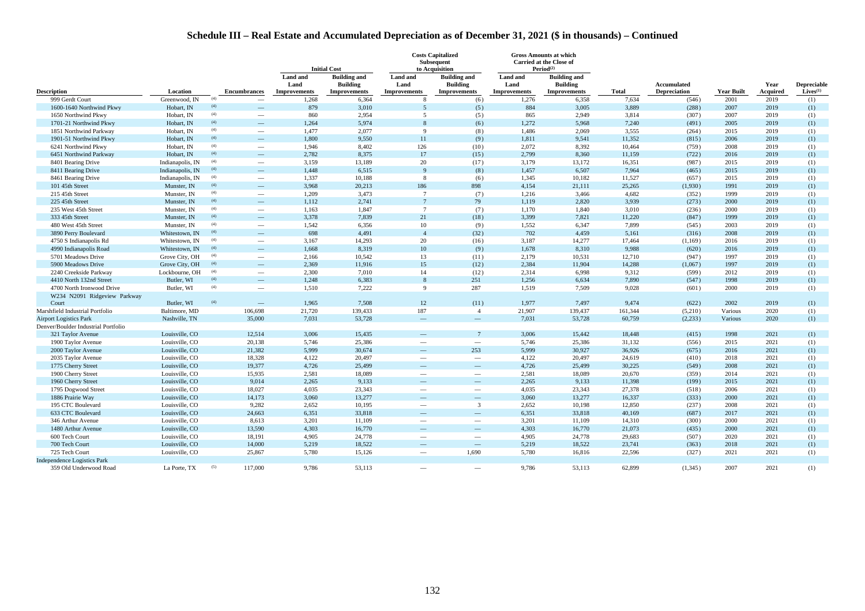|                                     |                  |     |                          |                         | <b>Initial Cost</b>                    |                          | <b>Costs Capitalized</b><br>Subsequent<br>to Acquisition |                     | <b>Gross Amounts at which</b><br><b>Carried at the Close of</b><br>Period <sup>(2)</sup> |              |                     |                   |          |                         |
|-------------------------------------|------------------|-----|--------------------------|-------------------------|----------------------------------------|--------------------------|----------------------------------------------------------|---------------------|------------------------------------------------------------------------------------------|--------------|---------------------|-------------------|----------|-------------------------|
|                                     |                  |     |                          | <b>Land and</b><br>Land | <b>Building and</b><br><b>Building</b> | <b>Land and</b><br>Land  | <b>Building and</b><br><b>Building</b>                   | Land and<br>Land    | <b>Building and</b><br><b>Building</b>                                                   |              | Accumulated         |                   | Year     | Depreciable             |
| <b>Description</b>                  | Location         | (4) | <b>Encumbrances</b>      | <b>Improvements</b>     | <b>Improvements</b>                    | <b>Improvements</b>      | <b>Improvements</b>                                      | <b>Improvements</b> | <b>Improvements</b>                                                                      | <b>Total</b> | <b>Depreciation</b> | <b>Year Built</b> | Acquired | $\bar{L}$ ives $^{(1)}$ |
| 999 Gerdt Court                     | Greenwood, IN    |     |                          | 1,268                   | 6,364                                  | $\mathbf{R}$             | (6)                                                      | 1,276               | 6,358                                                                                    | 7,634        | (546)               | 2001              | 2019     | (1)                     |
| 1600-1640 Northwind Pkwy            | Hobart, IN       | (4) | -                        | 879                     | 3,010                                  |                          | (5)                                                      | 884                 | 3,005                                                                                    | 3,889        | (288)               | 2007              | 2019     | (1)                     |
| 1650 Northwind Pkwy                 | Hobart, IN       | (4) |                          | 860                     | 2.954                                  | 5                        | (5)                                                      | 865                 | 2.949                                                                                    | 3,814        | (307)               | 2007              | 2019     | (1)                     |
| 1701-21 Northwind Pkwy              | Hobart, IN       | (4) |                          | 1,264                   | 5,974                                  |                          | (6)                                                      | 1,272               | 5,968                                                                                    | 7,240        | (491)               | 2005              | 2019     | (1)                     |
| 1851 Northwind Parkway              | Hobart, IN       | (4) | $\overline{\phantom{0}}$ | 1,477                   | 2,077                                  | 9                        | (8)                                                      | 1,486               | 2,069                                                                                    | 3,555        | (264)               | 2015              | 2019     | (1)                     |
| 1901-51 Northwind Pkwy              | Hobart, IN       | (4) | -                        | 1,800                   | 9,550                                  | 11                       | (9)                                                      | 1,811               | 9,541                                                                                    | 11,352       | (815)               | 2006              | 2019     | (1)                     |
| 6241 Northwind Pkwy                 | Hobart, IN       | (4) | $\overline{\phantom{0}}$ | 1,946                   | 8,402                                  | 126                      | (10)                                                     | 2,072               | 8,392                                                                                    | 10,464       | (759)               | 2008              | 2019     | (1)                     |
| 6451 Northwind Parkway              | Hobart, IN       | (4) | $\overline{\phantom{0}}$ | 2,782                   | 8,375                                  | 17                       | (15)                                                     | 2,799               | 8,360                                                                                    | 11,159       | (722)               | 2016              | 2019     | (1)                     |
| 8401 Bearing Drive                  | Indianapolis, IN | (4) | $\overline{\phantom{m}}$ | 3,159                   | 13,189                                 | 20                       | (17)                                                     | 3,179               | 13,172                                                                                   | 16,351       | (987)               | 2015              | 2019     | (1)                     |
| 8411 Bearing Drive                  | Indianapolis, IN | (4) | ÷,                       | 1,448                   | 6,515                                  | $\overline{9}$           | (8)                                                      | 1,457               | 6,507                                                                                    | 7,964        | (465)               | 2015              | 2019     | (1)                     |
| 8461 Bearing Drive                  | Indianapolis, IN | (4) | $\overline{\phantom{m}}$ | 1,337                   | 10,188                                 | -8                       | (6)                                                      | 1,345               | 10,182                                                                                   | 11,527       | (657)               | 2015              | 2019     | (1)                     |
| 101 45th Street                     | Munster, IN      | (4) |                          | 3,968                   | 20,213                                 | 186                      | 898                                                      | 4,154               | 21,111                                                                                   | 25,265       | (1,930)             | 1991              | 2019     | (1)                     |
| 215 45th Street                     | Munster, IN      | (4) | $\overline{\phantom{m}}$ | 1,209                   | 3,473                                  | $\overline{7}$           | (7)                                                      | 1,216               | 3,466                                                                                    | 4,682        | (352)               | 1999              | 2019     | (1)                     |
| 225 45th Street                     | Munster, IN      | (4) |                          | 1,112                   | 2,741                                  | $\overline{7}$           | 79                                                       | 1,119               | 2,820                                                                                    | 3,939        | (273)               | 2000              | 2019     | (1)                     |
| 235 West 45th Street                | Munster, IN      | (4) | $\overline{\phantom{m}}$ | 1,163                   | 1,847                                  | $7\overline{ }$          | (7)                                                      | 1,170               | 1,840                                                                                    | 3,010        | (236)               | 2000              | 2019     | (1)                     |
| 333 45th Street                     | Munster, IN      | (4) | $\overline{\phantom{0}}$ | 3,378                   | 7,839                                  | 21                       | (18)                                                     | 3,399               | 7,821                                                                                    | 11,220       | (847)               | 1999              | 2019     | (1)                     |
| 480 West 45th Street                | Munster, IN      | (4) | $\overline{\phantom{m}}$ | 1,542                   | 6,356                                  | 10                       | (9)                                                      | 1,552               | 6.347                                                                                    | 7,899        | (545)               | 2003              | 2019     | (1)                     |
| 3890 Perry Boulevard                | Whitestown, IN   | (4) | $\overline{\phantom{0}}$ | 698                     | 4,491                                  | $\overline{4}$           | (32)                                                     | 702                 | 4,459                                                                                    | 5,161        | (316)               | 2008              | 2019     | (1)                     |
| 4750 S Indianapolis Rd              | Whitestown, IN   | (4) |                          | 3,167                   | 14,293                                 | 20                       | (16)                                                     | 3,187               | 14,277                                                                                   | 17,464       | (1,169)             | 2016              | 2019     | (1)                     |
| 4990 Indianapolis Road              | Whitestown, IN   | (4) | -                        | 1,668                   | 8,319                                  | 10                       | (9)                                                      | 1,678               | 8,310                                                                                    | 9,988        | (620)               | 2016              | 2019     | (1)                     |
| 5701 Meadows Drive                  | Grove City, OH   | (4) | $\overline{\phantom{m}}$ | 2,166                   | 10,542                                 | 13                       | (11)                                                     | 2,179               | 10,531                                                                                   | 12,710       | (947)               | 1997              | 2019     | (1)                     |
| 5900 Meadows Drive                  | Grove City, OH   | (4) |                          | 2,369                   | 11,916                                 | 15                       | (12)                                                     | 2,384               | 11,904                                                                                   | 14,288       | (1,067)             | 1997              | 2019     | (1)                     |
| 2240 Creekside Parkway              | Lockbourne, OH   | (4) | $\equiv$                 | 2.300                   | 7.010                                  | 14                       | (12)                                                     | 2,314               | 6.998                                                                                    | 9,312        | (599)               | 2012              | 2019     | (1)                     |
| 4410 North 132nd Street             | Butler, WI       | (4) |                          | 1,248                   | 6,383                                  | 8                        | 251                                                      | 1,256               | 6,634                                                                                    | 7,890        | (547)               | 1998              | 2019     | (1)                     |
| 4700 North Ironwood Drive           | Butler, WI       | (4) | $\overline{\phantom{0}}$ | 1,510                   | 7,222                                  | 9                        | 287                                                      | 1,519               | 7,509                                                                                    | 9,028        | (601)               | 2000              | 2019     | (1)                     |
| W234 N2091 Ridgeview Parkway        |                  |     |                          |                         |                                        |                          |                                                          |                     |                                                                                          |              |                     |                   |          |                         |
| Court                               | Butler, WI       | (4) |                          | 1,965                   | 7,508                                  | 12                       | (11)                                                     | 1,977               | 7,497                                                                                    | 9,474        | (622)               | 2002              | 2019     | (1)                     |
| Marshfield Industrial Portfolio     | Baltimore, MD    |     | 106,698                  | 21,720                  | 139,433                                | 187                      | $\overline{4}$                                           | 21,907              | 139,437                                                                                  | 161,344      | (5,210)             | Various           | 2020     | (1)                     |
| <b>Airport Logistics Park</b>       | Nashville, TN    |     | 35,000                   | 7,031                   | 53,728                                 |                          |                                                          | 7,031               | 53,728                                                                                   | 60,759       | (2,233)             | Various           | 2020     | (1)                     |
| Denver/Boulder Industrial Portfolio |                  |     |                          |                         |                                        |                          |                                                          |                     |                                                                                          |              |                     |                   |          |                         |
| 321 Taylor Avenue                   | Louisville, CO   |     | 12,514                   | 3,006                   | 15,435                                 |                          | $\overline{7}$                                           | 3,006               | 15,442                                                                                   | 18,448       | (415)               | 1998              | 2021     | (1)                     |
| 1900 Taylor Avenue                  | Louisville, CO   |     | 20,138                   | 5,746                   | 25,386                                 | $\overline{\phantom{a}}$ | $\sim$                                                   | 5,746               | 25,386                                                                                   | 31,132       | (556)               | 2015              | 2021     | (1)                     |
| 2000 Taylor Avenue                  | Louisville, CO   |     | 21,382                   | 5,999                   | 30,674                                 |                          | 253                                                      | 5,999               | 30,927                                                                                   | 36,926       | (675)               | 2016              | 2021     | (1)                     |
| 2035 Taylor Avenue                  | Louisville, CO   |     | 18,328                   | 4,122                   | 20,497                                 | $\overline{\phantom{a}}$ | $\overline{\phantom{a}}$                                 | 4,122               | 20,497                                                                                   | 24,619       | (410)               | 2018              | 2021     | (1)                     |
| 1775 Cherry Street                  | Louisville, CO   |     | 19,377                   | 4,726                   | 25,499                                 |                          |                                                          | 4,726               | 25,499                                                                                   | 30,225       | (549)               | 2008              | 2021     | (1)                     |
| 1900 Cherry Street                  | Louisville, CO   |     | 15,935                   | 2,581                   | 18,089                                 | $\sim$                   | $\overline{\phantom{0}}$                                 | 2,581               | 18.089                                                                                   | 20,670       | (359)               | 2014              | 2021     | (1)                     |
| 1960 Cherry Street                  | Louisville, CO   |     | 9,014                    | 2,265                   | 9,133                                  |                          |                                                          | 2,265               | 9,133                                                                                    | 11,398       | (199)               | 2015              | 2021     | (1)                     |
| 1795 Dogwood Street                 | Louisville, CO   |     | 18,027                   | 4,035                   | 23,343                                 |                          | $\overline{\phantom{a}}$                                 | 4,035               | 23,343                                                                                   | 27,378       | (518)               | 2006              | 2021     | (1)                     |
| 1886 Prairie Way                    | Louisville, CO   |     | 14,173                   | 3,060                   | 13,277                                 |                          |                                                          | 3,060               | 13,277                                                                                   | 16,337       | (333)               | 2000              | 2021     | (1)                     |
| 195 CTC Boulevard                   | Louisville, CO   |     | 9,282                    | 2,652                   | 10,195                                 |                          | $\overline{3}$                                           | 2,652               | 10,198                                                                                   | 12,850       | (237)               | 2008              | 2021     | (1)                     |
| 633 CTC Boulevard                   | Louisville, CO   |     | 24,663                   | 6,351                   | 33,818                                 |                          |                                                          | 6,351               | 33,818                                                                                   | 40,169       | (687)               | 2017              | 2021     | (1)                     |
| 346 Arthur Avenue                   | Louisville, CO   |     | 8,613                    | 3,201                   | 11,109                                 |                          | $\overline{\phantom{0}}$                                 | 3,201               | 11,109                                                                                   | 14,310       | (300)               | 2000              | 2021     | (1)                     |
| 1480 Arthur Avenue                  | Louisville, CO   |     | 13,590                   | 4,303                   | 16,770                                 |                          |                                                          | 4,303               | 16,770                                                                                   | 21,073       | (435)               | 2000              | 2021     | (1)                     |
| 600 Tech Court                      | Louisville, CO   |     | 18,191                   | 4,905                   | 24,778                                 | $\overline{\phantom{m}}$ | $\overline{\phantom{m}}$                                 | 4,905               | 24,778                                                                                   | 29,683       | (507)               | 2020              | 2021     | (1)                     |
| 700 Tech Court                      | Louisville, CO   |     | 14,000                   | 5,219                   | 18,522                                 |                          |                                                          | 5,219               | 18,522                                                                                   | 23,741       | (363)               | 2018              | 2021     | (1)                     |
| 725 Tech Court                      | Louisville, CO   |     | 25,867                   | 5,780                   | 15,126                                 | $\overline{\phantom{a}}$ | 1,690                                                    | 5,780               | 16,816                                                                                   | 22,596       | (327)               | 2021              | 2021     | (1)                     |
| <b>Independence Logistics Park</b>  |                  |     |                          |                         |                                        |                          |                                                          |                     |                                                                                          |              |                     |                   |          |                         |
| 359 Old Underwood Road              | La Porte, TX     | (5) | 117,000                  | 9.786                   | 53,113                                 |                          | $\overline{\phantom{a}}$                                 | 9,786               | 53,113                                                                                   | 62,899       | (1, 345)            | 2007              | 2021     | (1)                     |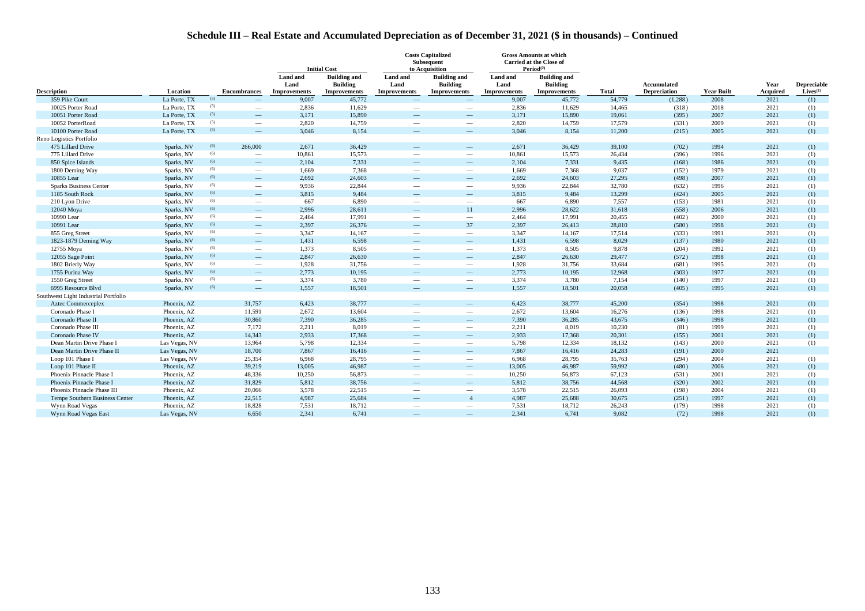|                                      |               |     |                                 |                             | <b>Initial Cost</b>                    |                             | <b>Costs Capitalized</b><br>Subsequent<br>to Acquisition |                             | <b>Gross Amounts at which</b><br>Carried at the Close of<br>Period <sup>(2)</sup> |              |                                    |                   |                  |                                     |
|--------------------------------------|---------------|-----|---------------------------------|-----------------------------|----------------------------------------|-----------------------------|----------------------------------------------------------|-----------------------------|-----------------------------------------------------------------------------------|--------------|------------------------------------|-------------------|------------------|-------------------------------------|
|                                      |               |     |                                 | <b>Land</b> and             | <b>Building and</b>                    | <b>Land and</b>             | <b>Building and</b>                                      | <b>Land</b> and             | <b>Building and</b>                                                               |              |                                    |                   |                  |                                     |
| <b>Description</b>                   | Location      |     | <b>Encumbrances</b>             | Land<br><b>Improvements</b> | <b>Building</b><br><b>Improvements</b> | Land<br><b>Improvements</b> | <b>Building</b><br><b>Improvements</b>                   | Land<br><b>Improvements</b> | <b>Building</b><br><b>Improvements</b>                                            | <b>Total</b> | Accumulated<br><b>Depreciation</b> | <b>Year Built</b> | Year<br>Acquired | <b>Depreciable</b><br>$Lives^{(1)}$ |
| 359 Pike Court                       | La Porte, TX  | (5) |                                 | 9,007                       | 45,772                                 |                             |                                                          | 9,007                       | 45,772                                                                            | 54,779       | (1,288)                            | 2008              | 2021             | (1)                                 |
| 10025 Porter Road                    | La Porte, TX  | (5) | $\frac{1}{2}$                   | 2,836                       | 11,629                                 | $\overline{\phantom{m}}$    | $\overline{\phantom{a}}$                                 | 2,836                       | 11,629                                                                            | 14,465       | (318)                              | 2018              | 2021             | (1)                                 |
| 10051 Porter Road                    | La Porte, TX  | (5) |                                 | 3,171                       | 15,890                                 |                             | -                                                        | 3,171                       | 15,890                                                                            | 19,061       | (395)                              | 2007              | 2021             | (1)                                 |
| 10052 PorterRoad                     | La Porte, TX  | (5) | $\overline{\phantom{m}}$        | 2.820                       | 14,759                                 | $\overline{\phantom{m}}$    | $\overline{\phantom{m}}$                                 | 2,820                       | 14,759                                                                            | 17.579       | (331)                              | 2009              | 2021             | (1)                                 |
| 10100 Porter Road                    | La Porte, TX  | (5) |                                 | 3.046                       | 8,154                                  |                             |                                                          | 3.046                       | 8,154                                                                             | 11,200       | (215)                              | 2005              | 2021             | (1)                                 |
| Reno Logistics Portfolio             |               |     |                                 |                             |                                        |                             |                                                          |                             |                                                                                   |              |                                    |                   |                  |                                     |
| 475 Lillard Drive                    | Sparks, NV    | (6) | 266,000                         | 2,671                       | 36,429                                 |                             | $\overline{\phantom{0}}$                                 | 2,671                       | 36,429                                                                            | 39,100       | (702)                              | 1994              | 2021             | (1)                                 |
| 775 Lillard Drive                    | Sparks, NV    | (6) | $\overline{\phantom{m}}$        | 10,861                      | 15,573                                 | $\overline{\phantom{m}}$    | $\overline{\phantom{m}}$                                 | 10,861                      | 15,573                                                                            | 26,434       | (396)                              | 1996              | 2021             | (1)                                 |
| 850 Spice Islands                    | Sparks, NV    | (6) |                                 | 2,104                       | 7,331                                  | $\overline{\phantom{0}}$    | $\overline{\phantom{m}}$                                 | 2,104                       | 7,331                                                                             | 9,435        | (168)                              | 1986              | 2021             | (1)                                 |
| 1800 Deming Way                      | Sparks, NV    | (6) | $\overline{\phantom{m}}$        | 1,669                       | 7,368                                  | $\qquad \qquad -$           | $\overline{\phantom{m}}$                                 | 1,669                       | 7,368                                                                             | 9,037        | (152)                              | 1979              | 2021             | (1)                                 |
| 10855 Lear                           | Sparks, NV    | (6) | -                               | 2,692                       | 24,603                                 |                             |                                                          | 2,692                       | 24,603                                                                            | 27,295       | (498)                              | 2007              | 2021             | (1)                                 |
| <b>Sparks Business Center</b>        | Sparks, NV    | (6) | $\overline{\phantom{0}}$        | 9.936                       | 22,844                                 |                             | $\overline{\phantom{m}}$                                 | 9,936                       | 22,844                                                                            | 32,780       | (632)                              | 1996              | 2021             | (1)                                 |
| 1185 South Rock                      | Sparks, NV    | (6) | $\overline{\phantom{0}}$        | 3,815                       | 9,484                                  |                             | $\overline{\phantom{0}}$                                 | 3,815                       | 9,484                                                                             | 13,299       | (424)                              | 2005              | 2021             | (1)                                 |
| 210 Lyon Drive                       | Sparks, NV    | (6) | $\overline{\phantom{m}}$        | 667                         | 6,890                                  |                             | $\overline{\phantom{m}}$                                 | 667                         | 6,890                                                                             | 7,557        | (153)                              | 1981              | 2021             | (1)                                 |
| 12040 Moya                           | Sparks, NV    | (6) |                                 | 2,996                       | 28,611                                 | $\overline{\phantom{0}}$    | 11                                                       | 2,996                       | 28,622                                                                            | 31,618       | (558)                              | 2006              | 2021             | (1)                                 |
| 10990 Lear                           | Sparks, NV    | (6) | $\overline{\phantom{0}}$        | 2,464                       | 17,991                                 |                             | $\overline{\phantom{m}}$                                 | 2,464                       | 17,991                                                                            | 20,455       | (402)                              | 2000              | 2021             | (1)                                 |
| 10991 Lear                           | Sparks, NV    | (6) | $\overline{\phantom{0}}$        | 2,397                       | 26,376                                 |                             | 37                                                       | 2,397                       | 26,413                                                                            | 28,810       | (580)                              | 1998              | 2021             | (1)                                 |
| 855 Greg Street                      | Sparks, NV    | (6) | $\overline{\phantom{m}}$        | 3,347                       | 14,167                                 |                             | $\qquad \qquad -$                                        | 3,347                       | 14,167                                                                            | 17,514       | (333)                              | 1991              | 2021             | (1)                                 |
| 1823-1879 Deming Way                 | Sparks, NV    | (6) | $\qquad \qquad -$               | 1,431                       | 6,598                                  | $\overline{\phantom{0}}$    | $\overline{\phantom{m}}$                                 | 1,431                       | 6,598                                                                             | 8,029        | (137)                              | 1980              | 2021             | (1)                                 |
| 12755 Moya                           | Sparks, NV    | (6) | $\overline{\phantom{m}}$        | 1,373                       | 8,505                                  | $\overline{\phantom{m}}$    | $\overline{\phantom{m}}$                                 | 1,373                       | 8,505                                                                             | 9,878        | (204)                              | 1992              | 2021             | (1)                                 |
| 12055 Sage Point                     | Sparks, NV    | (6) |                                 | 2,847                       | 26,630                                 | $\overline{\phantom{0}}$    | $\qquad \qquad$                                          | 2,847                       | 26,630                                                                            | 29,477       | (572)                              | 1998              | 2021             | (1)                                 |
| 1802 Brierly Way                     | Sparks, NV    | (6) | $\overline{\phantom{0}}$        | 1,928                       | 31,756                                 |                             | $\overline{\phantom{m}}$                                 | 1,928                       | 31,756                                                                            | 33,684       | (681)                              | 1995              | 2021             | (1)                                 |
| 1755 Purina Way                      | Sparks, NV    | (6) | $\overline{\phantom{0}}$        | 2,773                       | 10,195                                 |                             | $\overline{\phantom{a}}$                                 | 2,773                       | 10,195                                                                            | 12,968       | (303)                              | 1977              | 2021             | (1)                                 |
| 1550 Greg Street                     | Sparks, NV    | (6) | $\hspace{0.1mm}-\hspace{0.1mm}$ | 3,374                       | 3,780                                  | $\overline{\phantom{m}}$    | $\hspace{0.1mm}-\hspace{0.1mm}$                          | 3,374                       | 3.780                                                                             | 7,154        | (140)                              | 1997              | 2021             | (1)                                 |
| 6995 Resource Blvd                   | Sparks, NV    | (6) | $\overline{\phantom{a}}$        | 1.557                       | 18,501                                 | $\overline{\phantom{0}}$    | $\qquad \qquad -$                                        | 1,557                       | 18,501                                                                            | 20,058       | (405)                              | 1995              | 2021             | (1)                                 |
| Southwest Light Industrial Portfolio |               |     |                                 |                             |                                        |                             |                                                          |                             |                                                                                   |              |                                    |                   |                  |                                     |
| <b>Aztec Commerceplex</b>            | Phoenix, AZ   |     | 31,757                          | 6,423                       | 38,777                                 |                             | $\overline{\phantom{m}}$                                 | 6,423                       | 38,777                                                                            | 45,200       | (354)                              | 1998              | 2021             | (1)                                 |
| Coronado Phase I                     | Phoenix, AZ   |     | 11,591                          | 2,672                       | 13,604                                 |                             | $\overline{\phantom{m}}$                                 | 2,672                       | 13,604                                                                            | 16,276       | (136)                              | 1998              | 2021             | (1)                                 |
| Coronado Phase II                    | Phoenix, AZ   |     | 30,860                          | 7,390                       | 36,285                                 |                             | $\qquad \qquad$                                          | 7,390                       | 36,285                                                                            | 43,675       | (346)                              | 1998              | 2021             | (1)                                 |
| Coronado Phase III                   | Phoenix, AZ   |     | 7,172                           | 2,211                       | 8,019                                  | $\qquad \qquad -$           | $\overline{\phantom{m}}$                                 | 2,211                       | 8,019                                                                             | 10,230       | (81)                               | 1999              | 2021             | (1)                                 |
| Coronado Phase IV                    | Phoenix, AZ   |     | 14,343                          | 2,933                       | 17,368                                 |                             | $\overline{\phantom{0}}$                                 | 2,933                       | 17,368                                                                            | 20,301       | (155)                              | 2001              | 2021             | (1)                                 |
| Dean Martin Drive Phase I            | Las Vegas, NV |     | 13,964                          | 5,798                       | 12,334                                 |                             | $\overline{\phantom{m}}$                                 | 5,798                       | 12.334                                                                            | 18,132       | (143)                              | 2000              | 2021             | (1)                                 |
| Dean Martin Drive Phase II           | Las Vegas, NV |     | 18,700                          | 7,867                       | 16,416                                 | $\overline{\phantom{0}}$    | $\overline{\phantom{m}}$                                 | 7,867                       | 16,416                                                                            | 24,283       | (191)                              | 2000              | 2021             |                                     |
| Loop 101 Phase I                     | Las Vegas, NV |     | 25,354                          | 6,968                       | 28,795                                 |                             | $\overline{\phantom{m}}$                                 | 6,968                       | 28,795                                                                            | 35,763       | (294)                              | 2004              | 2021             | (1)                                 |
| Loop 101 Phase II                    | Phoenix, AZ   |     | 39,219                          | 13,005                      | 46,987                                 | $\overline{\phantom{0}}$    | $\overline{\phantom{m}}$                                 | 13,005                      | 46,987                                                                            | 59,992       | (480)                              | 2006              | 2021             | (1)                                 |
| Phoenix Pinnacle Phase I             | Phoenix, AZ   |     | 48,336                          | 10,250                      | 56,873                                 | $\overline{\phantom{m}}$    | $\overline{\phantom{m}}$                                 | 10,250                      | 56,873                                                                            | 67,123       | (531)                              | 2001              | 2021             | (1)                                 |
| Phoenix Pinnacle Phase I             | Phoenix, AZ   |     | 31,829                          | 5,812                       | 38,756                                 |                             | $\frac{1}{2}$                                            | 5,812                       | 38,756                                                                            | 44,568       | (320)                              | 2002              | 2021             | (1)                                 |
| Phoenix Pinnacle Phase III           | Phoenix, AZ   |     | 20,066                          | 3,578                       | 22,515                                 | $\overline{\phantom{m}}$    | $\overline{\phantom{m}}$                                 | 3,578                       | 22,515                                                                            | 26,093       | (198)                              | 2004              | 2021             | (1)                                 |
| Tempe Southern Business Center       | Phoenix, AZ   |     | 22,515                          | 4,987                       | 25,684                                 |                             | $\overline{4}$                                           | 4,987                       | 25.688                                                                            | 30,675       | (251)                              | 1997              | 2021             | (1)                                 |
| Wynn Road Vegas                      | Phoenix, AZ   |     | 18,828                          | 7,531                       | 18,712                                 | $\overline{\phantom{m}}$    | $\overline{\phantom{m}}$                                 | 7,531                       | 18,712                                                                            | 26,243       | (179)                              | 1998              | 2021             | (1)                                 |
| Wynn Road Vegas East                 | Las Vegas, NV |     | 6,650                           | 2,341                       | 6,741                                  | $\overline{\phantom{0}}$    | $\overline{\phantom{0}}$                                 | 2,341                       | 6,741                                                                             | 9,082        | (72)                               | 1998              | 2021             | (1)                                 |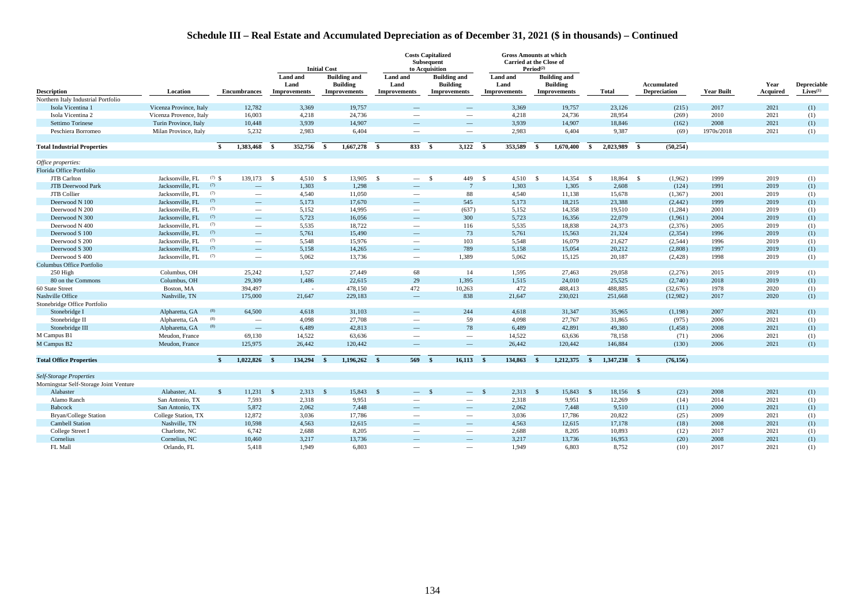|                                        |                         |              |                          | <b>Initial Cost</b> |                                                |                    |                                                               |                    | <b>Costs Capitalized</b><br>Subsequent<br>to Acquisition |              |                                                               | <b>Gross Amounts at which</b><br>Carried at the Close of | Period <sup>(2)</sup>                          |                    |                                                               |              |              |  |                                    |                   |                  |                                     |
|----------------------------------------|-------------------------|--------------|--------------------------|---------------------|------------------------------------------------|--------------------|---------------------------------------------------------------|--------------------|----------------------------------------------------------|--------------|---------------------------------------------------------------|----------------------------------------------------------|------------------------------------------------|--------------------|---------------------------------------------------------------|--------------|--------------|--|------------------------------------|-------------------|------------------|-------------------------------------|
| <b>Description</b>                     | Location                |              | <b>Encumbrances</b>      |                     | <b>Land</b> and<br>Land<br><b>Improvements</b> |                    | <b>Building and</b><br><b>Building</b><br><b>Improvements</b> |                    | <b>Land</b> and<br>Land<br><b>Improvements</b>           |              | <b>Building and</b><br><b>Building</b><br><b>Improvements</b> |                                                          | <b>Land</b> and<br>Land<br><b>Improvements</b> |                    | <b>Building and</b><br><b>Building</b><br><b>Improvements</b> |              | Total        |  | Accumulated<br><b>Depreciation</b> | <b>Year Built</b> | Year<br>Acquired | <b>Depreciable</b><br>$Lives^{(1)}$ |
| Northern Italy Industrial Portfolio    |                         |              |                          |                     |                                                |                    |                                                               |                    |                                                          |              |                                                               |                                                          |                                                |                    |                                                               |              |              |  |                                    |                   |                  |                                     |
| Isola Vicentina 1                      | Vicenza Province, Italy |              | 12,782                   |                     | 3,369                                          |                    | 19,757                                                        |                    |                                                          |              |                                                               |                                                          | 3,369                                          |                    | 19,757                                                        |              | 23,126       |  | (215)                              | 2017              | 2021             | (1)                                 |
| Isola Vicentina 2                      | Vicenza Provence, Italy |              | 16,003                   |                     | 4,218                                          |                    | 24,736                                                        |                    | $\overline{\phantom{0}}$                                 |              |                                                               |                                                          | 4,218                                          |                    | 24,736                                                        |              | 28,954       |  | (269)                              | 2010              | 2021             | (1)                                 |
| <b>Settimo Torinese</b>                | Turin Province, Italy   |              | 10,448                   |                     | 3,939                                          |                    | 14,907                                                        |                    |                                                          |              | $\sim$                                                        |                                                          | 3,939                                          |                    | 14,907                                                        |              | 18,846       |  | (162)                              | 2008              | 2021             | (1)                                 |
| Peschiera Borromeo                     | Milan Province, Italy   |              | 5,232                    |                     | 2,983                                          |                    | 6,404                                                         |                    | $\overline{\phantom{0}}$                                 |              | $\overline{\phantom{a}}$                                      |                                                          | 2,983                                          |                    | 6,404                                                         |              | 9,387        |  | (69)                               | 1970s/2018        | 2021             | (1)                                 |
| <b>Total Industrial Properties</b>     |                         | s.           | 1,383,468                | $\mathbf{s}$        | 352,756                                        | - \$               | 1,667,278                                                     | $\mathbf{s}$       | 833                                                      | $\mathbf{s}$ | 3,122                                                         | - \$                                                     | 353,589                                        | S.                 | 1,670,400                                                     | S.           | 2.023.989 \$ |  | (50, 254)                          |                   |                  |                                     |
| Office properties:                     |                         |              |                          |                     |                                                |                    |                                                               |                    |                                                          |              |                                                               |                                                          |                                                |                    |                                                               |              |              |  |                                    |                   |                  |                                     |
| Florida Office Portfolio               |                         |              |                          |                     |                                                |                    |                                                               |                    |                                                          |              |                                                               |                                                          |                                                |                    |                                                               |              |              |  |                                    |                   |                  |                                     |
| <b>JTB</b> Carlton                     | Jacksonville, FL        | $(7)$ \$     | 139,173 \$               |                     | 4,510                                          | <b>S</b>           | 13,905                                                        | $\mathbf{s}$       | $-$ s                                                    |              | 449                                                           | $\mathbf{s}$                                             | 4,510 \$                                       |                    | 14,354                                                        | $\mathbf{s}$ | 18,864 \$    |  | (1,962)                            | 1999              | 2019             | (1)                                 |
| <b>JTB</b> Deerwood Park               | (7)<br>Jacksonville, FL |              | $\equiv$                 |                     | 1,303                                          |                    | 1,298                                                         |                    |                                                          |              | $7\phantom{1}$                                                |                                                          | 1,303                                          |                    | 1,305                                                         |              | 2,608        |  | (124)                              | 1991              | 2019             | (1)                                 |
| JTB Collier                            | Jacksonville, FL        | (7)          | $\overline{\phantom{0}}$ |                     | 4,540                                          |                    | 11,050                                                        |                    | $\overline{\phantom{0}}$                                 |              | 88                                                            |                                                          | 4,540                                          |                    | 11,138                                                        |              | 15,678       |  | (1, 367)                           | 2001              | 2019             | (1)                                 |
| Deerwood N 100                         | Jacksonville, FL        | (7)          | $\overline{\phantom{0}}$ |                     | 5,173                                          |                    | 17,670                                                        |                    | -                                                        |              | 545                                                           |                                                          | 5,173                                          |                    | 18,215                                                        |              | 23,388       |  | (2, 442)                           | 1999              | 2019             | (1)                                 |
| Deerwood N 200                         | Jacksonville, FL        | (7)          |                          |                     | 5,152                                          |                    | 14,995                                                        |                    | $\sim$                                                   |              | (637)                                                         |                                                          | 5,152                                          |                    | 14,358                                                        |              | 19,510       |  | (1,284)                            | 2001              | 2019             | (1)                                 |
| Deerwood N 300                         | Jacksonville, FL        | (7)          | $\qquad \qquad -$        |                     | 5,723                                          |                    | 16,056                                                        |                    | $\qquad \qquad$                                          |              | 300                                                           |                                                          | 5,723                                          |                    | 16,356                                                        |              | 22,079       |  | (1,961)                            | 2004              | 2019             | (1)                                 |
| Deerwood N 400                         | Jacksonville, FL        | (7)          | $\overline{\phantom{0}}$ |                     | 5,535                                          |                    | 18,722                                                        |                    | $\frac{1}{2}$                                            |              | 116                                                           |                                                          | 5,535                                          |                    | 18,838                                                        |              | 24,373       |  | (2,376)                            | 2005              | 2019             | (1)                                 |
| Deerwood S 100                         | Jacksonville, FL        | (7)          |                          |                     | 5,761                                          |                    | 15,490                                                        |                    |                                                          |              | 73                                                            |                                                          | 5,761                                          |                    | 15,563                                                        |              | 21,324       |  | (2,354)                            | 1996              | 2019             | (1)                                 |
| Deerwood S 200                         | Jacksonville, FL        | (7)          |                          |                     | 5,548                                          |                    | 15,976                                                        |                    | $\overline{\phantom{a}}$                                 |              | 103                                                           |                                                          | 5,548                                          |                    | 16,079                                                        |              | 21,627       |  | (2,544)                            | 1996              | 2019             | (1)                                 |
| Deerwood S 300                         | Jacksonville, FL        | (7)          |                          |                     | 5,158                                          |                    | 14,265                                                        |                    |                                                          |              | 789                                                           |                                                          | 5,158                                          |                    | 15,054                                                        |              | 20,212       |  | (2,808)                            | 1997              | 2019             | (1)                                 |
| Deerwood S 400                         | Jacksonville, FL        | (7)          | $\overline{\phantom{m}}$ |                     | 5,062                                          |                    | 13,736                                                        |                    | $\overline{\phantom{m}}$                                 |              | 1,389                                                         |                                                          | 5,062                                          |                    | 15,125                                                        |              | 20,187       |  | (2, 428)                           | 1998              | 2019             | (1)                                 |
| Columbus Office Portfolio              |                         |              |                          |                     |                                                |                    |                                                               |                    |                                                          |              |                                                               |                                                          |                                                |                    |                                                               |              |              |  |                                    |                   |                  |                                     |
| 250 High                               | Columbus, OH            |              | 25,242                   |                     | 1,527                                          |                    | 27,449                                                        |                    | 68                                                       |              | 14                                                            |                                                          | 1,595                                          |                    | 27,463                                                        |              | 29,058       |  | (2,276)                            | 2015              | 2019             | (1)                                 |
| 80 on the Commons                      | Columbus, OH            |              | 29,309                   |                     | 1,486                                          |                    | 22,615                                                        |                    | 29                                                       |              | 1,395                                                         |                                                          | 1,515                                          |                    | 24,010                                                        |              | 25,525       |  | (2,740)                            | 2018              | 2019             | (1)                                 |
| 60 State Street                        | Boston, MA              |              | 394,497                  |                     |                                                |                    | 478,150                                                       |                    | 472                                                      |              | 10,263                                                        |                                                          | 472                                            |                    | 488,413                                                       |              | 488,885      |  | (32,676)                           | 1978              | 2020             | (1)                                 |
| Nashville Office                       | Nashville, TN           |              | 175,000                  |                     | 21,647                                         |                    | 229,183                                                       |                    | $\overline{\phantom{0}}$                                 |              | 838                                                           |                                                          | 21,647                                         |                    | 230,021                                                       |              | 251,668      |  | (12,982)                           | 2017              | 2020             | (1)                                 |
| Stonebridge Office Portfolio           |                         |              |                          |                     |                                                |                    |                                                               |                    |                                                          |              |                                                               |                                                          |                                                |                    |                                                               |              |              |  |                                    |                   |                  |                                     |
| Stonebridge I                          | Alpharetta, GA          | (8)          | 64.500                   |                     | 4,618                                          |                    | 31,103                                                        |                    | $\equiv$                                                 |              | 244                                                           |                                                          | 4.618                                          |                    | 31,347                                                        |              | 35,965       |  | (1,198)                            | 2007              | 2021             | (1)                                 |
| Stonebridge II                         | Alpharetta, GA          | (8)          |                          |                     | 4,098                                          |                    | 27,708                                                        |                    | $\overline{\phantom{0}}$                                 |              | 59                                                            |                                                          | 4,098                                          |                    | 27,767                                                        |              | 31,865       |  | (975)                              | 2006              | 2021             | (1)                                 |
| Stonebridge III                        | Alpharetta, GA          | (8)          | $\frac{1}{2}$            |                     | 6.489                                          |                    | 42,813                                                        |                    |                                                          |              | 78                                                            |                                                          | 6,489                                          |                    | 42.891                                                        |              | 49,380       |  | (1, 458)                           | 2008              | 2021             | (1)                                 |
| M Campus B1                            | Meudon, France          |              | 69,130                   |                     | 14,522                                         |                    | 63,636                                                        |                    | $\frac{1}{2}$                                            |              | $\overline{\phantom{m}}$                                      |                                                          | 14,522                                         |                    | 63,636                                                        |              | 78,158       |  | (71)                               | 2006              | 2021             |                                     |
| M Campus B2                            | Meudon, France          |              | 125,975                  |                     | 26,442                                         |                    | 120,442                                                       |                    |                                                          |              |                                                               |                                                          | 26,442                                         |                    | 120,442                                                       |              | 146,884      |  | (130)                              | 2006              | 2021             | (1)<br>(1)                          |
|                                        |                         |              |                          |                     |                                                |                    |                                                               |                    |                                                          |              |                                                               |                                                          |                                                |                    |                                                               |              |              |  |                                    |                   |                  |                                     |
| <b>Total Office Properties</b>         |                         | $\mathbf{s}$ | 1.022.826                | $\mathbf{s}$        | 134.294                                        | $\mathbf{\hat{z}}$ | 1,196,262                                                     | $\mathbf{s}$       | 569                                                      | $\mathbf{s}$ | 16,113                                                        | $\mathbf{s}$                                             | 134,863                                        | $\mathbf{\hat{S}}$ | 1,212,375                                                     | $\mathbf{s}$ | 1,347,238 \$ |  | (76, 156)                          |                   |                  |                                     |
| <b>Self-Storage Properties</b>         |                         |              |                          |                     |                                                |                    |                                                               |                    |                                                          |              |                                                               |                                                          |                                                |                    |                                                               |              |              |  |                                    |                   |                  |                                     |
| Morningstar Self-Storage Joint Venture |                         |              |                          |                     |                                                |                    |                                                               |                    |                                                          |              |                                                               |                                                          |                                                |                    |                                                               |              |              |  |                                    |                   |                  |                                     |
| Alabaster                              | Alabaster, AL           | <b>S</b>     | $11,231$ \$              |                     | $2,313$ \$                                     |                    | 15,843                                                        | $\mathbf{\hat{s}}$ | $ -$                                                     |              | $\overline{\phantom{0}}$                                      |                                                          | $2,313$ \$                                     |                    | 15,843                                                        | $^{\circ}$   | 18,156 \$    |  | (23)                               | 2008              | 2021             | (1)                                 |
| Alamo Ranch                            | San Antonio, TX         |              | 7,593                    |                     | 2,318                                          |                    | 9,951                                                         |                    | $\sim$                                                   |              | $\overline{\phantom{m}}$                                      |                                                          | 2,318                                          |                    | 9,951                                                         |              | 12,269       |  | (14)                               | 2014              | 2021             | (1)                                 |
| Babcock                                | San Antonio, TX         |              | 5,872                    |                     | 2,062                                          |                    | 7,448                                                         |                    | -                                                        |              | $\qquad \qquad -$                                             |                                                          | 2,062                                          |                    | 7,448                                                         |              | 9,510        |  | (11)                               | 2000              | 2021             | (1)                                 |
| <b>Bryan/College Station</b>           | College Station, TX     |              | 12,872                   |                     | 3,036                                          |                    | 17,786                                                        |                    | $\overline{\phantom{0}}$                                 |              | $\overline{\phantom{m}}$                                      |                                                          | 3,036                                          |                    | 17,786                                                        |              | 20,822       |  | (25)                               | 2009              | 2021             | (1)                                 |
| <b>Cambell Station</b>                 | Nashville, TN           |              | 10,598                   |                     | 4,563                                          |                    | 12,615                                                        |                    |                                                          |              |                                                               |                                                          | 4,563                                          |                    | 12,615                                                        |              | 17,178       |  | (18)                               | 2008              | 2021             | (1)                                 |
| College Street I                       | Charlotte, NC           |              | 6,742                    |                     | 2,688                                          |                    | 8,205                                                         |                    | $\overline{\phantom{0}}$                                 |              | $\overline{\phantom{0}}$                                      |                                                          | 2,688                                          |                    | 8,205                                                         |              | 10,893       |  | (12)                               | 2017              | 2021             | (1)                                 |
| Cornelius                              | Cornelius, NC           |              | 10,460                   |                     | 3,217                                          |                    | 13,736                                                        |                    |                                                          |              |                                                               |                                                          | 3,217                                          |                    | 13,736                                                        |              | 16,953       |  | (20)                               | 2008              | 2021             | (1)                                 |
| FL Mall                                | Orlando, FL             |              | 5,418                    |                     | 1,949                                          |                    | 6,803                                                         |                    | $\overline{\phantom{0}}$                                 |              | $\sim$                                                        |                                                          | 1,949                                          |                    | 6,803                                                         |              | 8,752        |  | (10)                               | 2017              | 2021             | (1)                                 |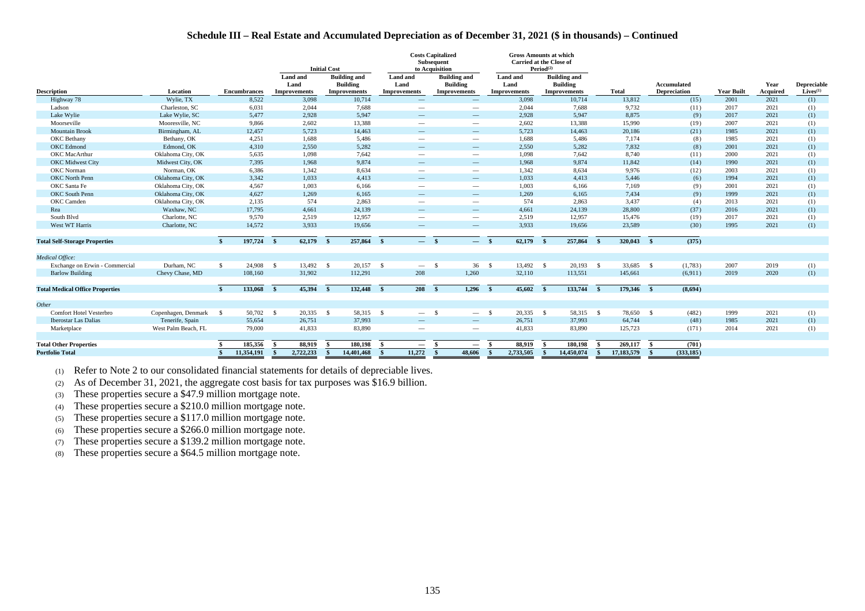|                                        |                     |                    |                     |                    |                                                | <b>Initial Cost</b> |                                                               |              | <b>Costs Capitalized</b>                       | Subsequent<br>to Acquisition |                                                        |              | <b>Gross Amounts at which</b><br>Carried at the Close of | Period <sup>(2)</sup> |                                                               |              |            |                    |                                    |                   |                  |                              |
|----------------------------------------|---------------------|--------------------|---------------------|--------------------|------------------------------------------------|---------------------|---------------------------------------------------------------|--------------|------------------------------------------------|------------------------------|--------------------------------------------------------|--------------|----------------------------------------------------------|-----------------------|---------------------------------------------------------------|--------------|------------|--------------------|------------------------------------|-------------------|------------------|------------------------------|
| <b>Description</b>                     | Location            |                    | <b>Encumbrances</b> |                    | <b>Land</b> and<br>Land<br><b>Improvements</b> |                     | <b>Building and</b><br><b>Building</b><br><b>Improvements</b> |              | <b>Land</b> and<br>Land<br><b>Improvements</b> |                              | <b>Building and</b><br><b>Building</b><br>Improvements |              | <b>Land</b> and<br>Land<br><b>Improvements</b>           |                       | <b>Building and</b><br><b>Building</b><br><b>Improvements</b> |              | Total      |                    | Accumulated<br><b>Depreciation</b> | <b>Year Built</b> | Year<br>Acquired | Depreciable<br>$Lives^{(1)}$ |
| Highway 78                             | Wylie, TX           |                    | 8,522               |                    | 3,098                                          |                     | 10,714                                                        |              |                                                |                              | $\overline{\phantom{0}}$                               |              | 3,098                                                    |                       | 10,714                                                        |              | 13,812     |                    | (15)                               | 2001              | 2021             | (1)                          |
| Ladson                                 | Charleston, SC      |                    | 6,031               |                    | 2,044                                          |                     | 7,688                                                         |              | $\overline{\phantom{m}}$                       |                              | $\overline{\phantom{m}}$                               |              | 2,044                                                    |                       | 7,688                                                         |              | 9,732      |                    | (11)                               | 2017              | 2021             | (1)                          |
| Lake Wylie                             | Lake Wylie, SC      |                    | 5,477               |                    | 2,928                                          |                     | 5,947                                                         |              | $\overline{\phantom{a}}$                       |                              | $\overline{\phantom{0}}$                               |              | 2,928                                                    |                       | 5,947                                                         |              | 8,875      |                    | (9)                                | 2017              | 2021             | (1)                          |
| Moorseville                            | Mooresville, NC     |                    | 9,866               |                    | 2,602                                          |                     | 13,388                                                        |              | $\sim$                                         |                              | $\overline{\phantom{m}}$                               |              | 2,602                                                    |                       | 13,388                                                        |              | 15,990     |                    | (19)                               | 2007              | 2021             | (1)                          |
| <b>Mountain Brook</b>                  | Birmingham, AL      |                    | 12,457              |                    | 5,723                                          |                     | 14,463                                                        |              | $\overline{\phantom{m}}$                       |                              | $\overline{\phantom{0}}$                               |              | 5,723                                                    |                       | 14,463                                                        |              | 20,186     |                    | (21)                               | 1985              | 2021             | (1)                          |
| OKC Bethany                            | Bethany, OK         |                    | 4,251               |                    | 1,688                                          |                     | 5,486                                                         |              | $\overline{\phantom{a}}$                       |                              | $\overline{\phantom{m}}$                               |              | 1,688                                                    |                       | 5,486                                                         |              | 7,174      |                    | (8)                                | 1985              | 2021             | (1)                          |
| <b>OKC</b> Edmond                      | Edmond, OK          |                    | 4,310               |                    | 2,550                                          |                     | 5,282                                                         |              |                                                |                              | $\overline{\phantom{0}}$                               |              | 2,550                                                    |                       | 5,282                                                         |              | 7,832      |                    | (8)                                | 2001              | 2021             | (1)                          |
| <b>OKC</b> MacArthur                   | Oklahoma City, OK   |                    | 5,635               |                    | 1,098                                          |                     | 7,642                                                         |              | $\overline{\phantom{m}}$                       |                              | $\overline{\phantom{m}}$                               |              | 1,098                                                    |                       | 7,642                                                         |              | 8,740      |                    | (11)                               | 2000              | 2021             | (1)                          |
| <b>OKC</b> Midwest City                | Midwest City, OK    |                    | 7,395               |                    | 1,968                                          |                     | 9,874                                                         |              |                                                |                              | $\overline{\phantom{a}}$                               |              | 1,968                                                    |                       | 9,874                                                         |              | 11,842     |                    | (14)                               | 1990              | 2021             | (1)                          |
| <b>OKC</b> Norman                      | Norman, OK          |                    | 6,386               |                    | 1,342                                          |                     | 8,634                                                         |              | $\hspace{0.1mm}-\hspace{0.1mm}$                |                              | $\qquad \qquad$                                        |              | 1,342                                                    |                       | 8,634                                                         |              | 9,976      |                    | (12)                               | 2003              | 2021             | (1)                          |
| <b>OKC</b> North Penn                  | Oklahoma City, OK   |                    | 3,342               |                    | 1,033                                          |                     | 4,413                                                         |              | $\overline{\phantom{m}}$                       |                              | $\overline{\phantom{m}}$                               |              | 1,033                                                    |                       | 4,413                                                         |              | 5,446      |                    | (6)                                | 1994              | 2021             | (1)                          |
| OKC Santa Fe                           | Oklahoma City, OK   |                    | 4,567               |                    | 1,003                                          |                     | 6,166                                                         |              | $\overline{\phantom{a}}$                       |                              | $\overline{\phantom{m}}$                               |              | 1,003                                                    |                       | 6,166                                                         |              | 7,169      |                    | (9)                                | 2001              | 2021             | (1)                          |
| <b>OKC</b> South Penn                  | Oklahoma City, OK   |                    | 4,627               |                    | 1,269                                          |                     | 6,165                                                         |              |                                                |                              | $\qquad \qquad -$                                      |              | 1,269                                                    |                       | 6,165                                                         |              | 7,434      |                    | (9)                                | 1999              | 2021             | (1)                          |
| OKC Camden                             | Oklahoma City, OK   |                    | 2,135               |                    | 574                                            |                     | 2,863                                                         |              | $\overline{\phantom{m}}$                       |                              | $\overline{\phantom{m}}$                               |              | 574                                                      |                       | 2,863                                                         |              | 3,437      |                    | (4)                                | 2013              | 2021             | (1)                          |
| Rea                                    | Waxhaw, NC          |                    | 17,795              |                    | 4,661                                          |                     | 24,139                                                        |              |                                                |                              | -                                                      |              | 4,661                                                    |                       | 24,139                                                        |              | 28,800     |                    | (37)                               | 2016              | 2021             | (1)                          |
| South Blvd                             | Charlotte, NC       |                    | 9,570               |                    | 2,519                                          |                     | 12,957                                                        |              | $\overline{\phantom{m}}$                       |                              | $\overline{\phantom{m}}$                               |              | 2,519                                                    |                       | 12,957                                                        |              | 15,476     |                    | (19)                               | 2017              | 2021             | (1)                          |
| West WT Harris                         | Charlotte, NC       |                    | 14,572              |                    | 3,933                                          |                     | 19,656                                                        |              |                                                |                              | $\overline{\phantom{0}}$                               |              | 3,933                                                    |                       | 19,656                                                        |              | 23,589     |                    | (30)                               | 1995              | 2021             | (1)                          |
|                                        |                     |                    |                     |                    |                                                |                     |                                                               |              |                                                |                              |                                                        |              |                                                          |                       |                                                               |              |            |                    |                                    |                   |                  |                              |
| <b>Total Self-Storage Properties</b>   |                     | $\mathbf{s}$       | 197,724             | - \$               | 62,179                                         | - \$                | 257,864                                                       | - \$         | $-$ \$                                         |                              | $-$ \$                                                 |              | 62,179                                                   | -S                    | 257,864                                                       | - \$         | 320,043    | $\mathbf{\hat{S}}$ | (375)                              |                   |                  |                              |
| Medical Office:                        |                     |                    |                     |                    |                                                |                     |                                                               |              |                                                |                              |                                                        |              |                                                          |                       |                                                               |              |            |                    |                                    |                   |                  |                              |
| Exchange on Erwin - Commercial         | Durham, NC          | s.                 | 24,908              | - \$               | 13,492 \$                                      |                     | 20,157                                                        | $\mathbf{s}$ | $-$ s                                          |                              | 36                                                     | $\mathbf{s}$ | 13,492 \$                                                |                       | 20,193                                                        | $\mathbf{s}$ | 33,685     | - \$               | (1,783)                            | 2007              | 2019             | (1)                          |
| <b>Barlow Building</b>                 | Chevy Chase, MD     |                    | 108,160             |                    | 31,902                                         |                     | 112,291                                                       |              | 208                                            |                              | 1,260                                                  |              | 32,110                                                   |                       | 113,551                                                       |              | 145,661    |                    | (6,911)                            | 2019              | 2020             | (1)                          |
| <b>Total Medical Office Properties</b> |                     | $\hat{\mathbf{x}}$ | 133,068             | $\mathbf{\hat{s}}$ | 45,394                                         | - \$                | 132,448 \$                                                    |              | 208                                            | - \$                         | 1,296                                                  | $\sim$ \$    | 45,602                                                   | - \$                  | 133,744                                                       | - \$         | 179,346    | - \$               | (8,694)                            |                   |                  |                              |
| Other                                  |                     |                    |                     |                    |                                                |                     |                                                               |              |                                                |                              |                                                        |              |                                                          |                       |                                                               |              |            |                    |                                    |                   |                  |                              |
| Comfort Hotel Vesterbro                | Copenhagen, Denmark | $\mathbf{s}$       | 50,702 \$           |                    | 20,335 \$                                      |                     | 58,315 \$                                                     |              | $-$ s                                          |                              | $-$ s                                                  |              | 20,335                                                   | - S                   | 58,315                                                        | - \$         | 78.650     | -S                 | (482)                              | 1999              | 2021             | (1)                          |
| <b>Iberostar Las Dalias</b>            | Tenerife, Spain     |                    | 55,654              |                    | 26,751                                         |                     | 37,993                                                        |              | $\overline{\phantom{0}}$                       |                              |                                                        |              | 26,751                                                   |                       | 37,993                                                        |              | 64,744     |                    | (48)                               | 1985              | 2021             | (1)                          |
| Marketplace                            | West Palm Beach, FL |                    | 79,000              |                    | 41,833                                         |                     | 83,890                                                        |              | $\hspace{0.1mm}-\hspace{0.1mm}$                |                              | $\hspace{0.1mm}-\hspace{0.1mm}$                        |              | 41,833                                                   |                       | 83,890                                                        |              | 125,723    |                    | (171)                              | 2014              | 2021             | (1)                          |
|                                        |                     |                    |                     |                    |                                                |                     |                                                               |              |                                                |                              |                                                        |              |                                                          |                       |                                                               |              |            |                    |                                    |                   |                  |                              |
| <b>Total Other Properties</b>          |                     |                    | 185,356             |                    | 88,919                                         |                     | 180,198                                                       |              | $\overline{\phantom{m}}$                       |                              | $\overline{\phantom{m}}$                               |              | 88,919                                                   | -8                    | 180,198                                                       |              | 269,117    | - \$               | (701)                              |                   |                  |                              |
| <b>Portfolio Total</b>                 |                     |                    | 11,354,191          |                    | 2,722,233                                      |                     | 14,401,468                                                    |              | 11,272                                         |                              | 48,606                                                 |              | 2,733,505                                                |                       | 14,450,074                                                    |              | 17,183,579 |                    | (333, 185)                         |                   |                  |                              |

(1) Refer to Note 2 to our consolidated financial statements for details of depreciable lives.

(2) As of December 31, 2021, the aggregate cost basis for tax purposes was \$16.9 billion.

(3) These properties secure a \$47.9 million mortgage note.

(4) These properties secure a \$210.0 million mortgage note.

(5) These properties secure a \$117.0 million mortgage note.

(6) These properties secure a \$266.0 million mortgage note.

(7) These properties secure a \$139.2 million mortgage note.

(8) These properties secure a \$64.5 million mortgage note.